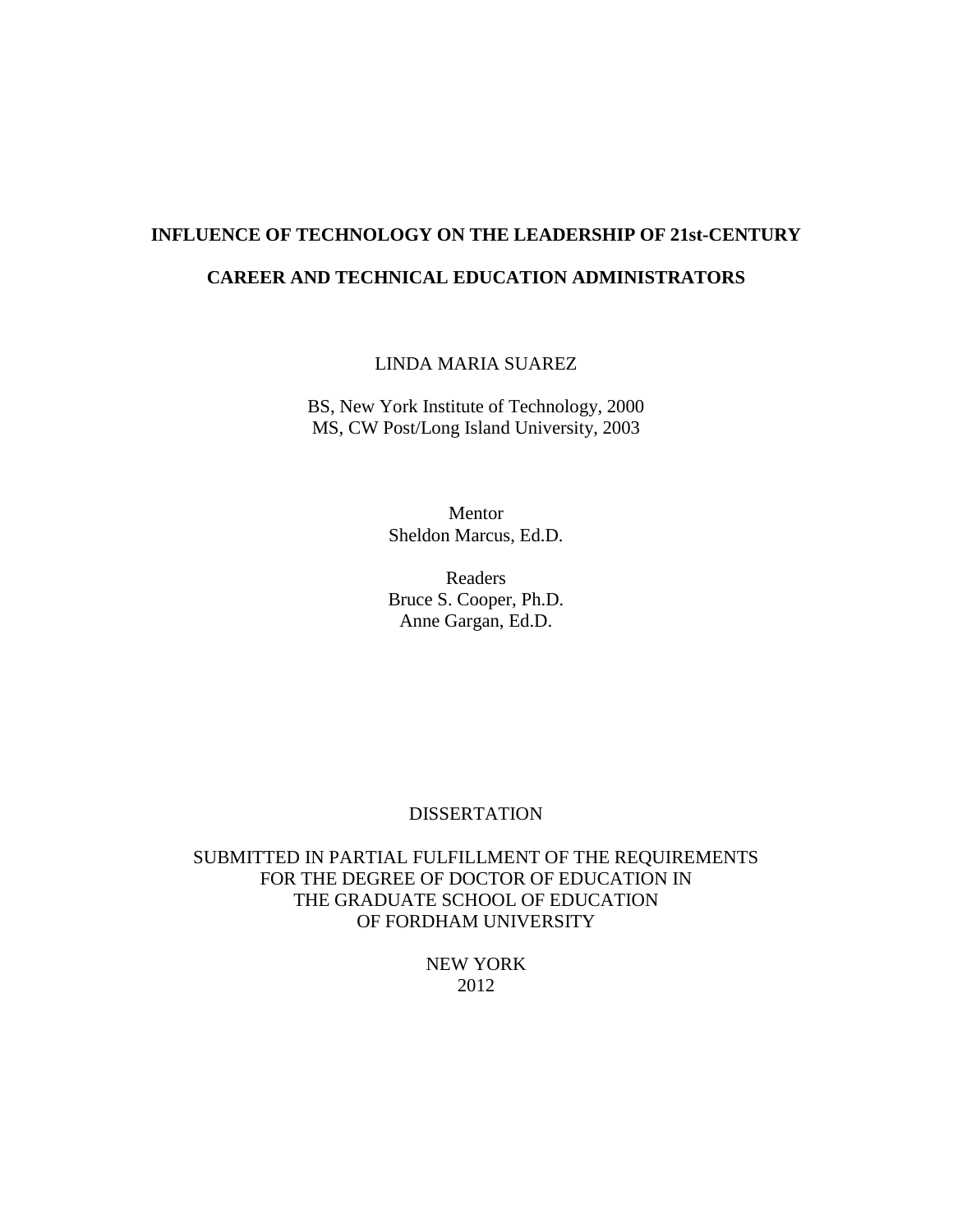# **INFLUENCE OF TECHNOLOGY ON THE LEADERSHIP OF 21st-CENTURY CAREER AND TECHNICAL EDUCATION ADMINISTRATORS**

LINDA MARIA SUAREZ

BS, New York Institute of Technology, 2000 MS, CW Post/Long Island University, 2003

> Mentor Sheldon Marcus, Ed.D.

Readers Bruce S. Cooper, Ph.D. Anne Gargan, Ed.D.

### DISSERTATION

SUBMITTED IN PARTIAL FULFILLMENT OF THE REQUIREMENTS FOR THE DEGREE OF DOCTOR OF EDUCATION IN THE GRADUATE SCHOOL OF EDUCATION OF FORDHAM UNIVERSITY

> NEW YORK 2012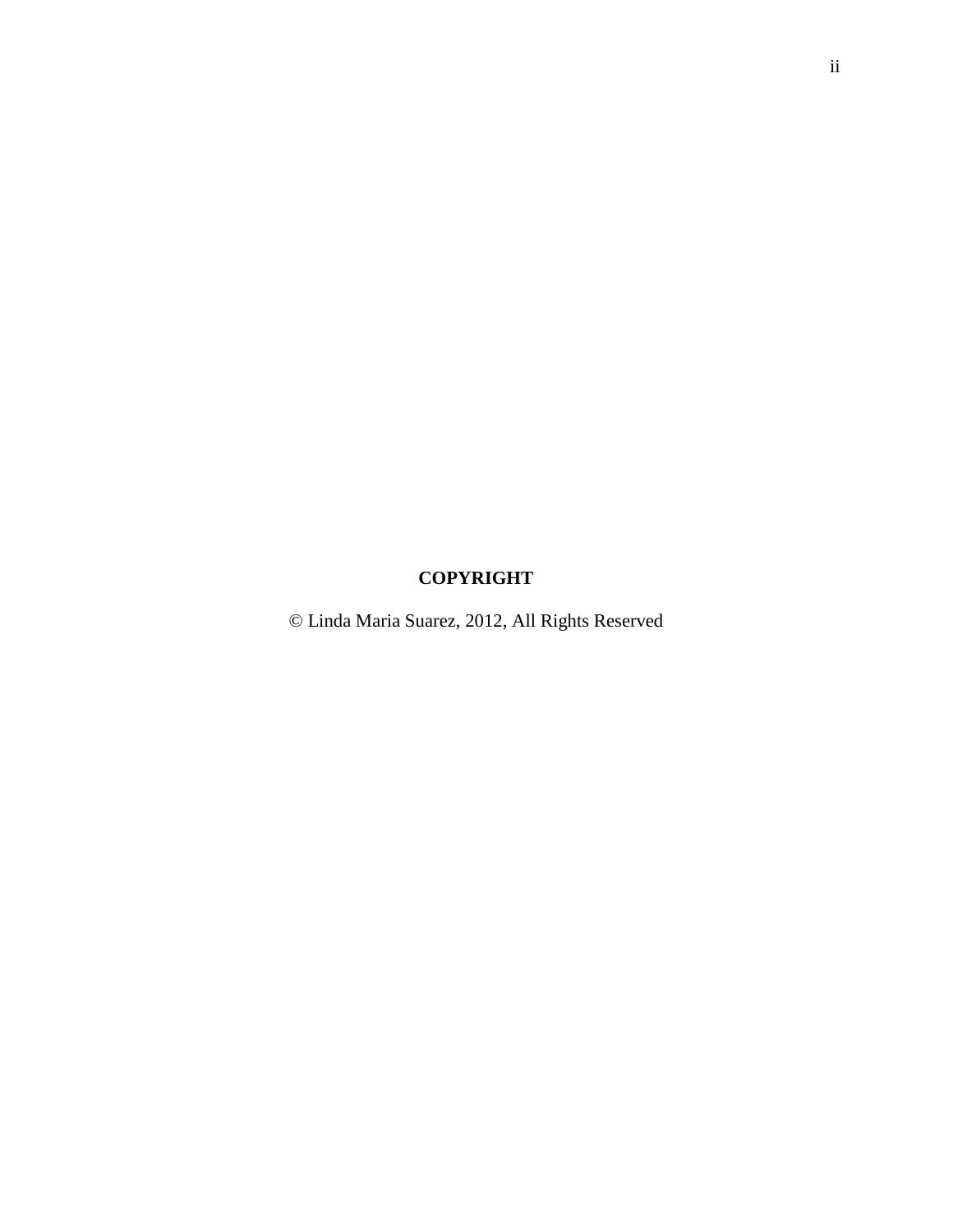# **COPYRIGHT**

© Linda Maria Suarez, 2012, All Rights Reserved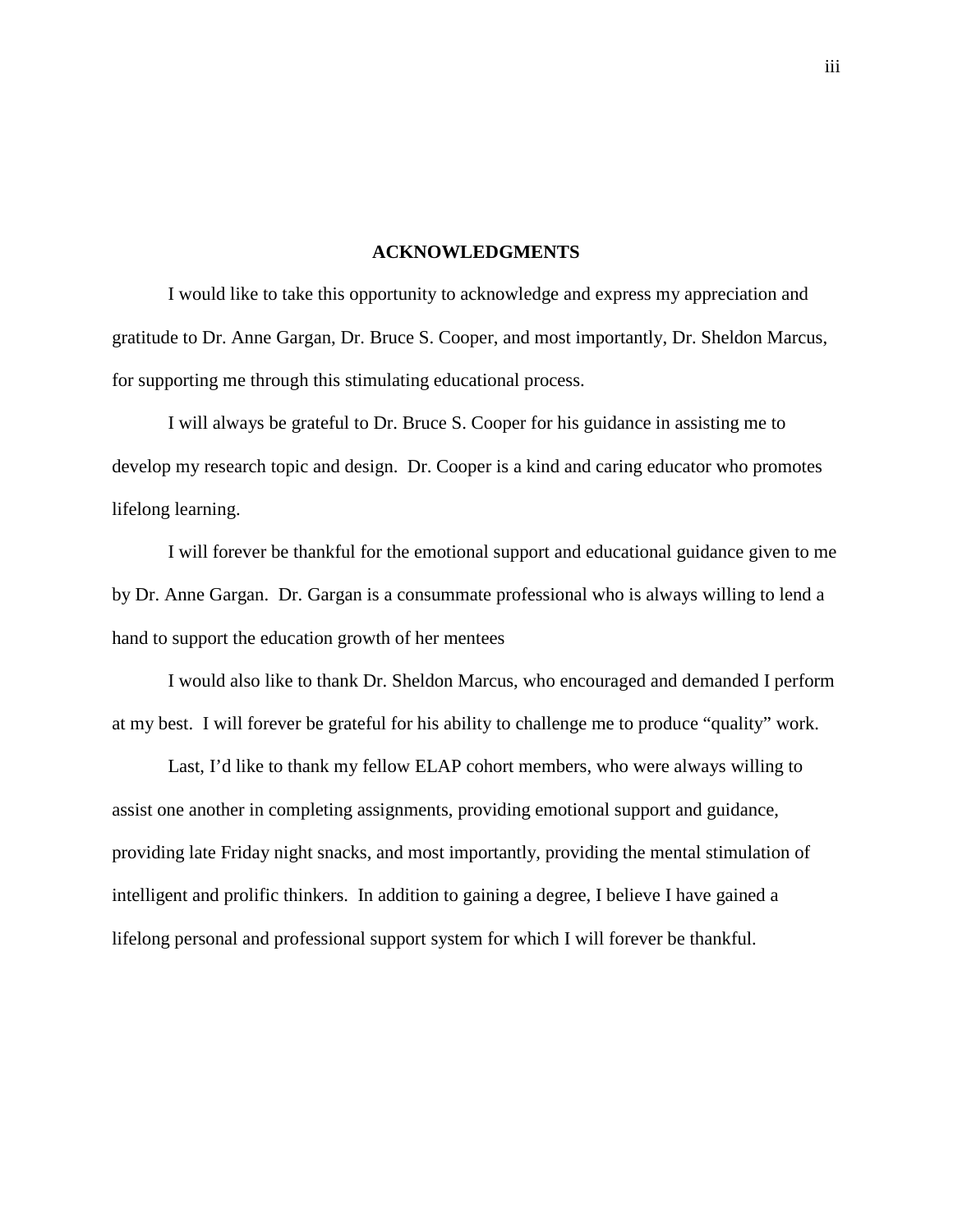#### **ACKNOWLEDGMENTS**

 I would like to take this opportunity to acknowledge and express my appreciation and gratitude to Dr. Anne Gargan, Dr. Bruce S. Cooper, and most importantly, Dr. Sheldon Marcus, for supporting me through this stimulating educational process.

 I will always be grateful to Dr. Bruce S. Cooper for his guidance in assisting me to develop my research topic and design. Dr. Cooper is a kind and caring educator who promotes lifelong learning.

 I will forever be thankful for the emotional support and educational guidance given to me by Dr. Anne Gargan. Dr. Gargan is a consummate professional who is always willing to lend a hand to support the education growth of her mentees

 I would also like to thank Dr. Sheldon Marcus, who encouraged and demanded I perform at my best. I will forever be grateful for his ability to challenge me to produce "quality" work.

 Last, I'd like to thank my fellow ELAP cohort members, who were always willing to assist one another in completing assignments, providing emotional support and guidance, providing late Friday night snacks, and most importantly, providing the mental stimulation of intelligent and prolific thinkers. In addition to gaining a degree, I believe I have gained a lifelong personal and professional support system for which I will forever be thankful.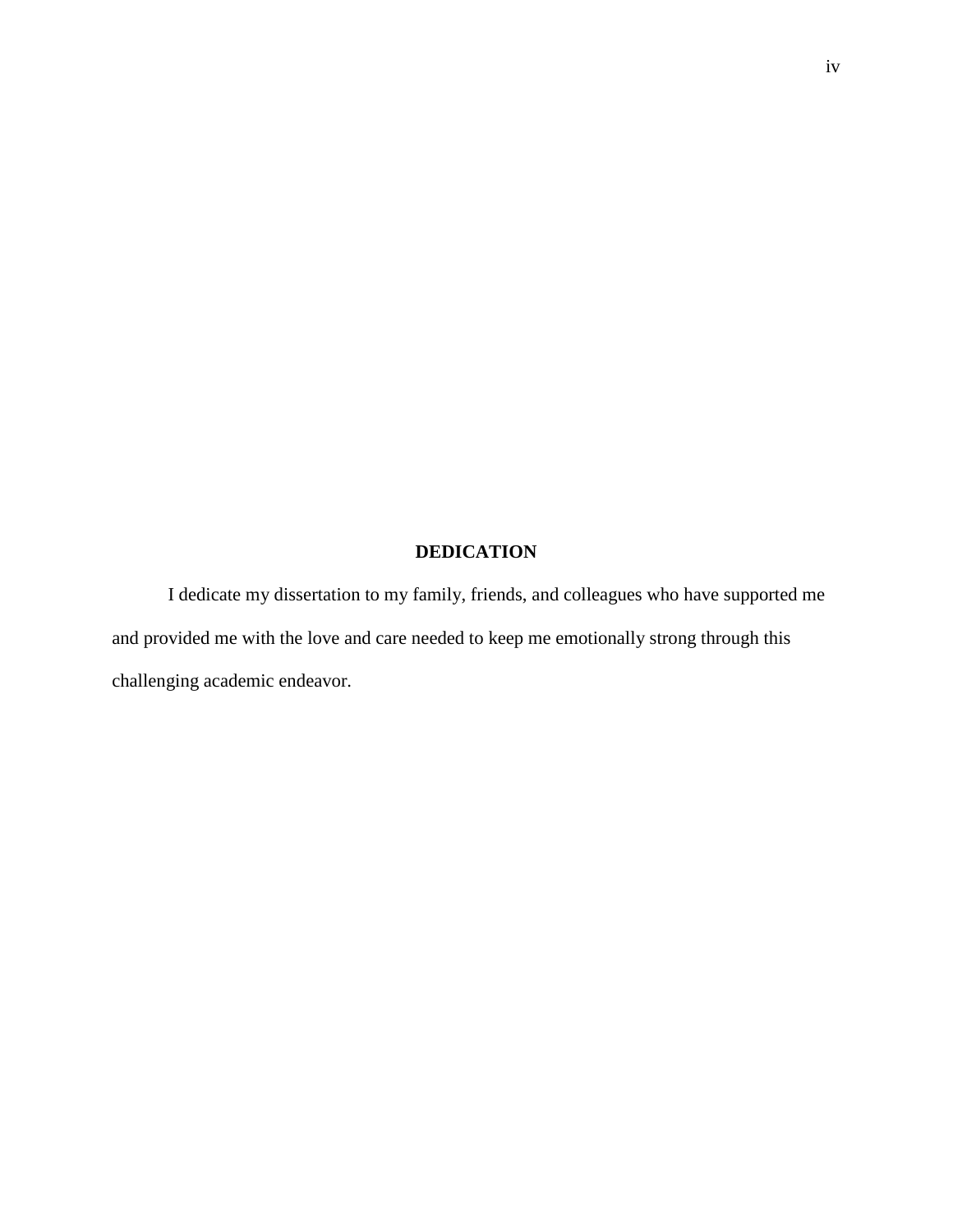### **DEDICATION**

 I dedicate my dissertation to my family, friends, and colleagues who have supported me and provided me with the love and care needed to keep me emotionally strong through this challenging academic endeavor.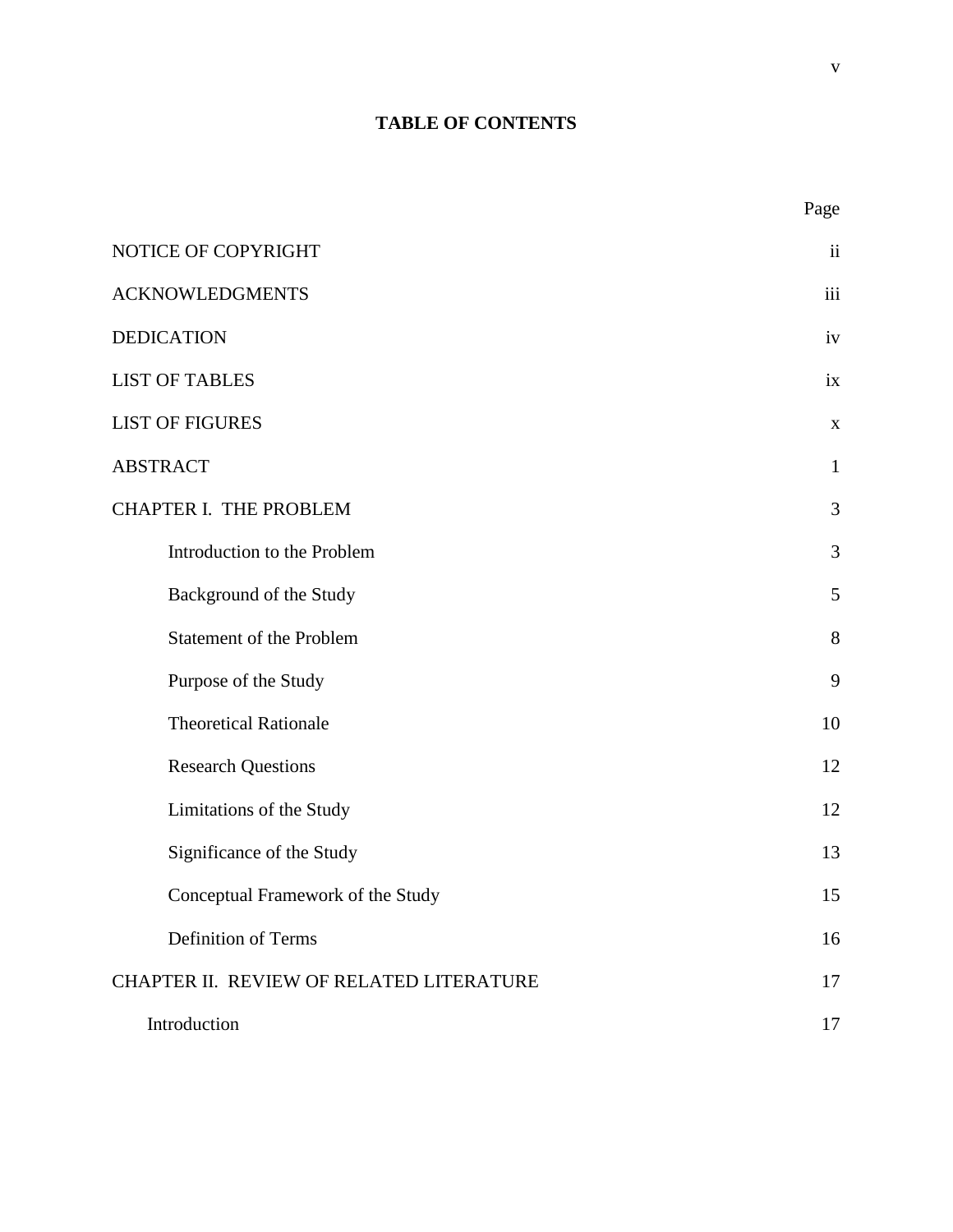# **TABLE OF CONTENTS**

| I |
|---|
|---|

| NOTICE OF COPYRIGHT                      | ii           |
|------------------------------------------|--------------|
| <b>ACKNOWLEDGMENTS</b>                   | iii          |
| <b>DEDICATION</b>                        | iv           |
| <b>LIST OF TABLES</b>                    | ix           |
| <b>LIST OF FIGURES</b>                   | $\mathbf X$  |
| <b>ABSTRACT</b>                          | $\mathbf{1}$ |
| <b>CHAPTER I. THE PROBLEM</b>            | 3            |
| Introduction to the Problem              | 3            |
| Background of the Study                  | 5            |
| <b>Statement of the Problem</b>          | 8            |
| Purpose of the Study                     | 9            |
| <b>Theoretical Rationale</b>             | 10           |
| <b>Research Questions</b>                | 12           |
| Limitations of the Study                 | 12           |
| Significance of the Study                | 13           |
| Conceptual Framework of the Study        | 15           |
| Definition of Terms                      | 16           |
| CHAPTER II. REVIEW OF RELATED LITERATURE | 17           |
| Introduction                             | 17           |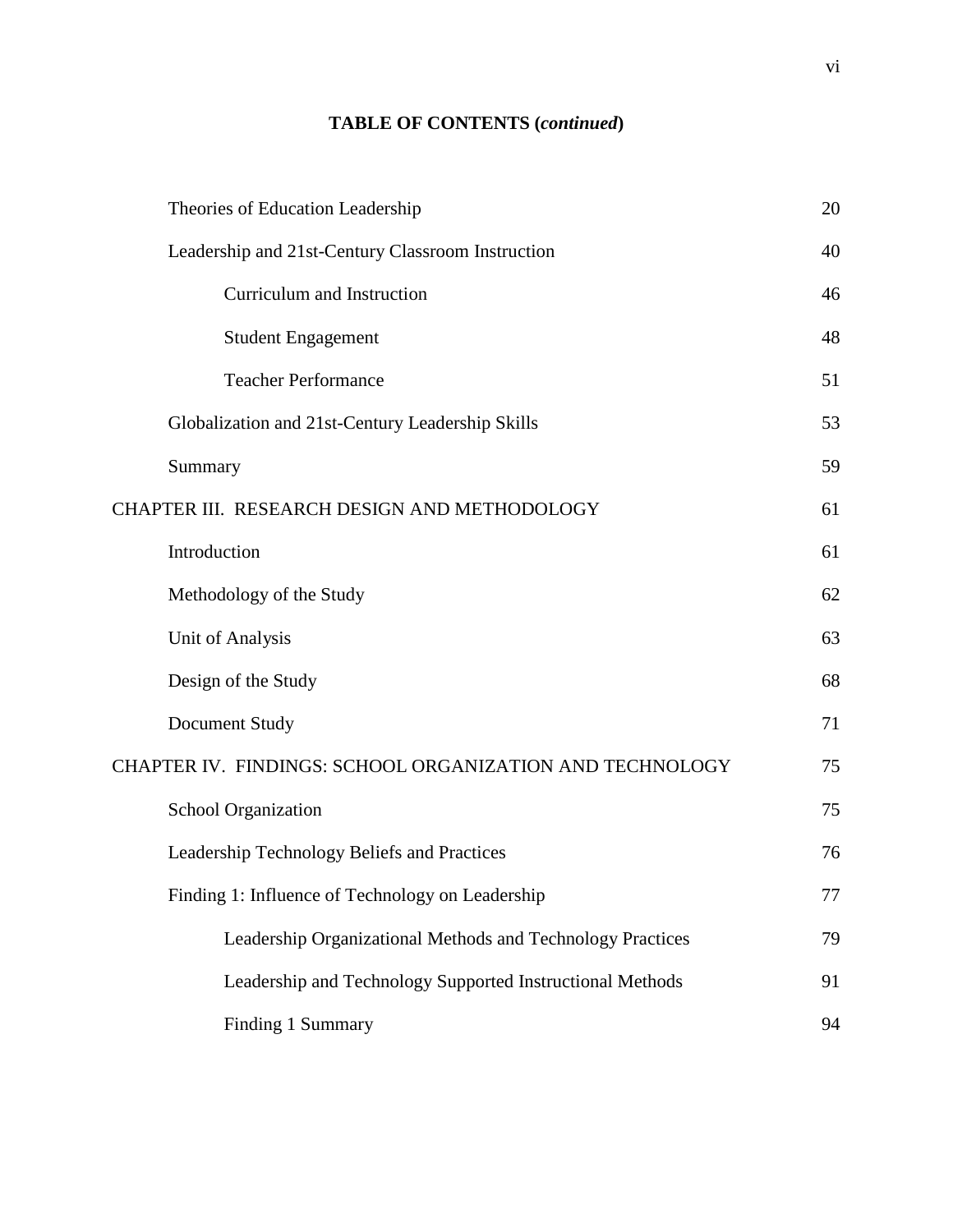## **TABLE OF CONTENTS (***continued***)**

| Theories of Education Leadership                           | 20 |
|------------------------------------------------------------|----|
| Leadership and 21st-Century Classroom Instruction          | 40 |
| Curriculum and Instruction                                 | 46 |
| <b>Student Engagement</b>                                  | 48 |
| <b>Teacher Performance</b>                                 | 51 |
| Globalization and 21st-Century Leadership Skills           | 53 |
| Summary                                                    | 59 |
| CHAPTER III. RESEARCH DESIGN AND METHODOLOGY               | 61 |
| Introduction                                               | 61 |
| Methodology of the Study                                   | 62 |
| Unit of Analysis                                           | 63 |
| Design of the Study                                        | 68 |
| Document Study                                             | 71 |
| CHAPTER IV. FINDINGS: SCHOOL ORGANIZATION AND TECHNOLOGY   | 75 |
| School Organization                                        | 75 |
| Leadership Technology Beliefs and Practices                | 76 |
| Finding 1: Influence of Technology on Leadership           | 77 |
| Leadership Organizational Methods and Technology Practices | 79 |
| Leadership and Technology Supported Instructional Methods  | 91 |
| Finding 1 Summary                                          | 94 |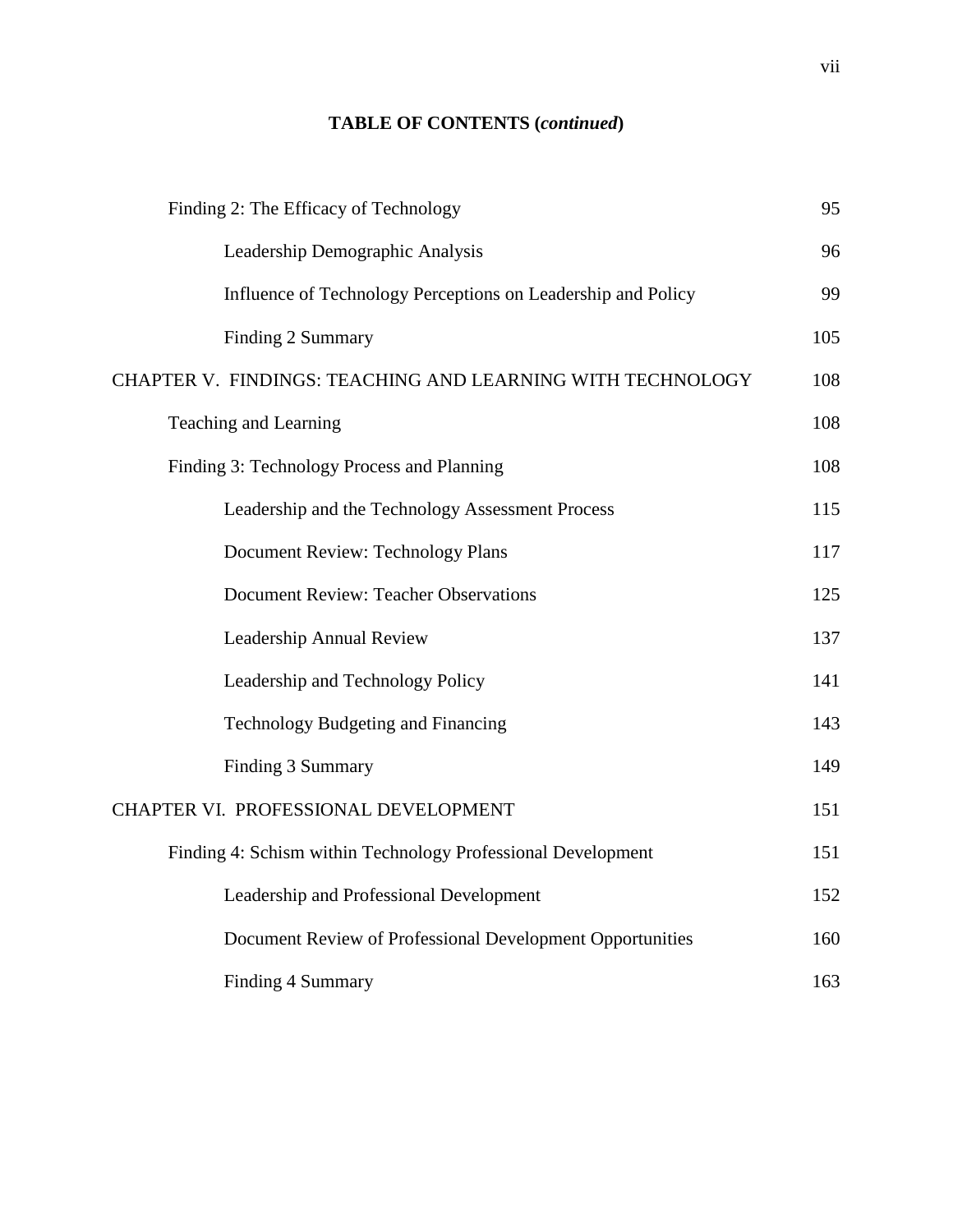## **TABLE OF CONTENTS (***continued***)**

| Finding 2: The Efficacy of Technology                        | 95  |
|--------------------------------------------------------------|-----|
| Leadership Demographic Analysis                              | 96  |
| Influence of Technology Perceptions on Leadership and Policy | 99  |
| Finding 2 Summary                                            | 105 |
| CHAPTER V. FINDINGS: TEACHING AND LEARNING WITH TECHNOLOGY   | 108 |
| Teaching and Learning                                        | 108 |
| Finding 3: Technology Process and Planning                   | 108 |
| Leadership and the Technology Assessment Process             | 115 |
| Document Review: Technology Plans                            | 117 |
| <b>Document Review: Teacher Observations</b>                 | 125 |
| Leadership Annual Review                                     | 137 |
| Leadership and Technology Policy                             | 141 |
| Technology Budgeting and Financing                           | 143 |
| Finding 3 Summary                                            | 149 |
| CHAPTER VI. PROFESSIONAL DEVELOPMENT                         | 151 |
| Finding 4: Schism within Technology Professional Development | 151 |
| Leadership and Professional Development                      | 152 |
| Document Review of Professional Development Opportunities    | 160 |
| <b>Finding 4 Summary</b>                                     | 163 |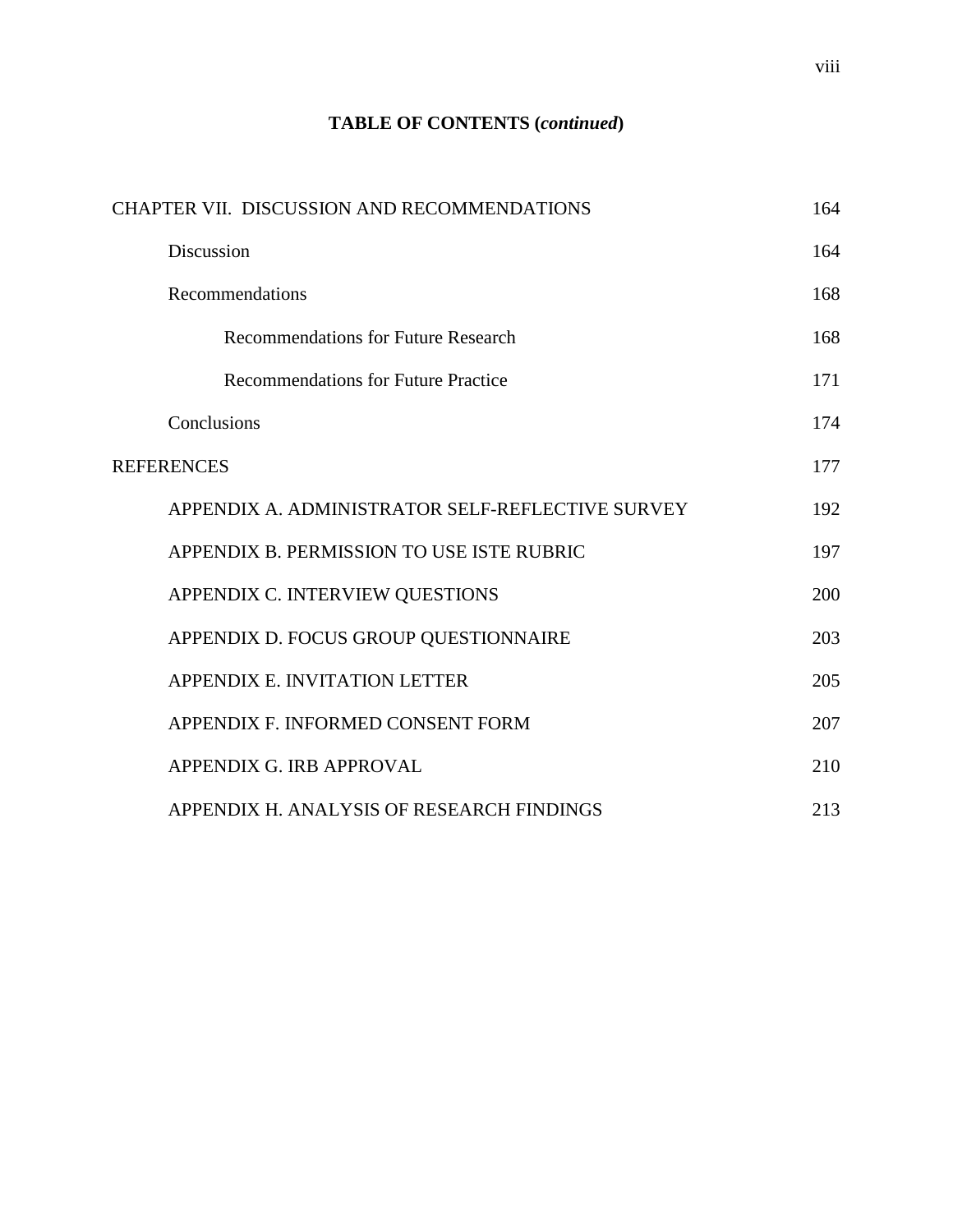### **TABLE OF CONTENTS (***continued***)**

| CHAPTER VII. DISCUSSION AND RECOMMENDATIONS      | 164 |
|--------------------------------------------------|-----|
| <b>Discussion</b>                                | 164 |
| Recommendations                                  | 168 |
| <b>Recommendations for Future Research</b>       | 168 |
| <b>Recommendations for Future Practice</b>       | 171 |
| Conclusions                                      | 174 |
| <b>REFERENCES</b>                                | 177 |
| APPENDIX A. ADMINISTRATOR SELF-REFLECTIVE SURVEY | 192 |
| APPENDIX B. PERMISSION TO USE ISTE RUBRIC        | 197 |
| APPENDIX C. INTERVIEW QUESTIONS                  | 200 |
| APPENDIX D. FOCUS GROUP QUESTIONNAIRE            | 203 |
| APPENDIX E. INVITATION LETTER                    | 205 |
| APPENDIX F. INFORMED CONSENT FORM                | 207 |
| APPENDIX G. IRB APPROVAL                         | 210 |
| APPENDIX H. ANALYSIS OF RESEARCH FINDINGS        | 213 |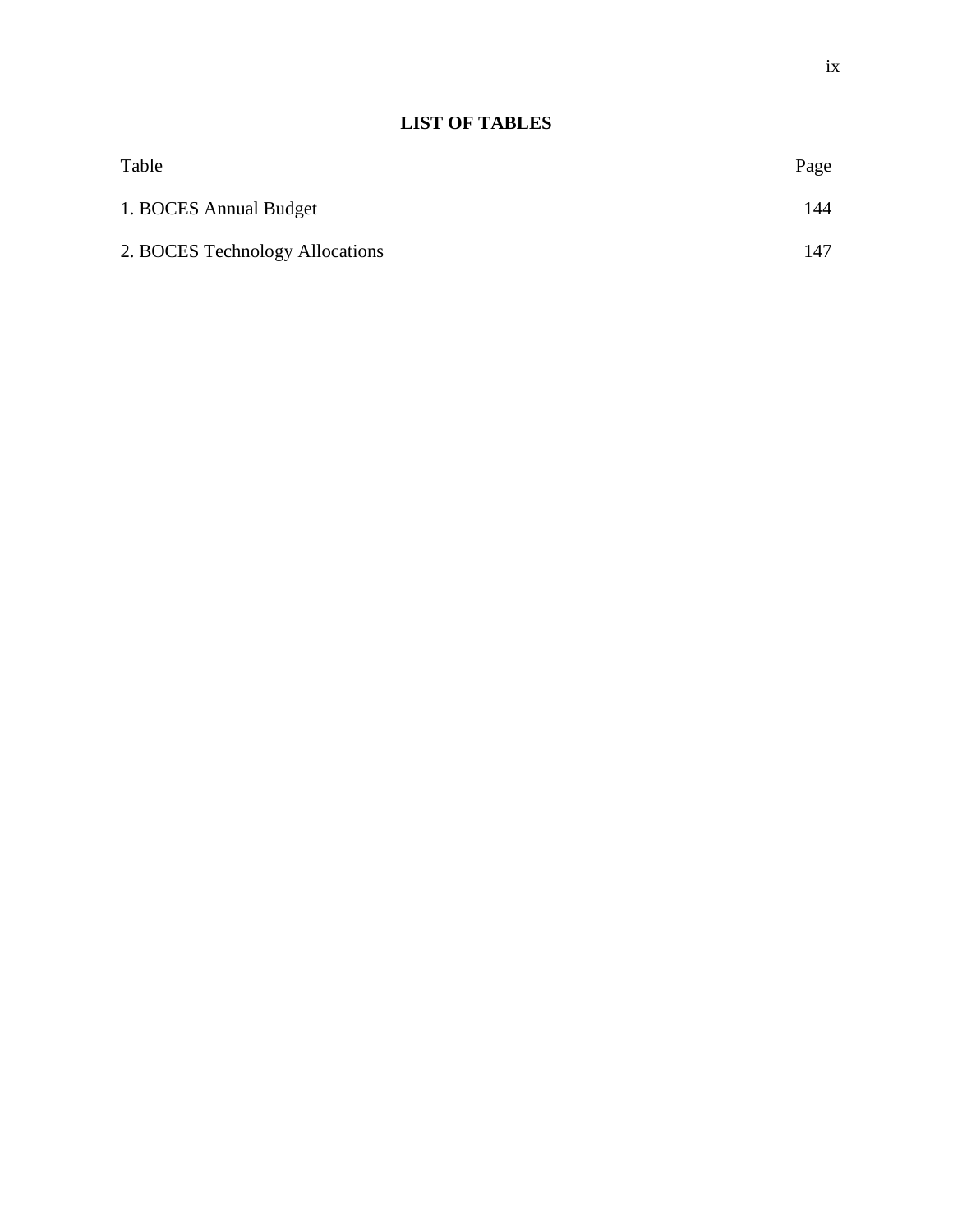# **LIST OF TABLES**

| Table                           | Page |
|---------------------------------|------|
| 1. BOCES Annual Budget          | 144  |
| 2. BOCES Technology Allocations | 147  |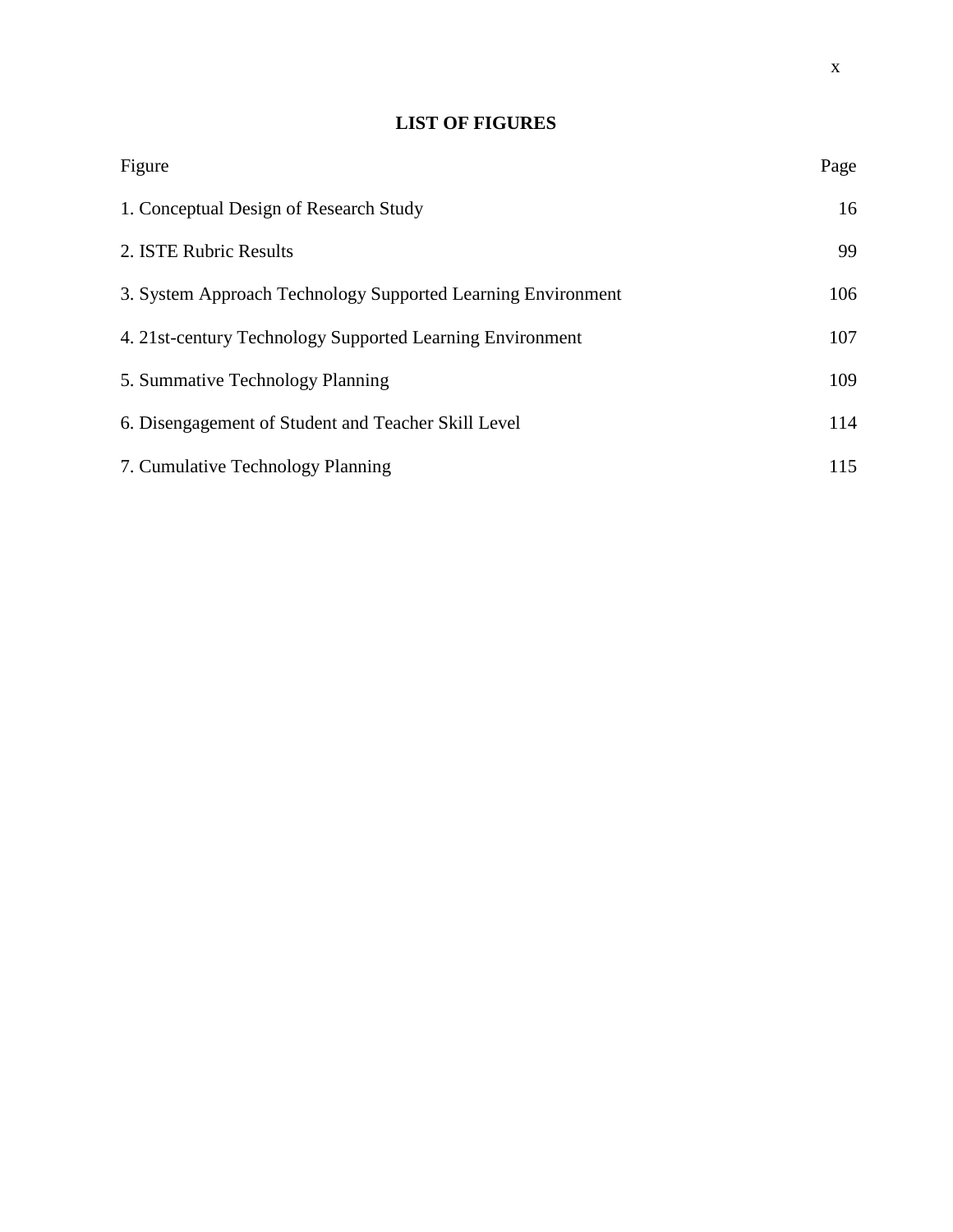### **LIST OF FIGURES**

| Figure                                                       | Page |
|--------------------------------------------------------------|------|
| 1. Conceptual Design of Research Study                       | 16   |
| 2. ISTE Rubric Results                                       | 99   |
| 3. System Approach Technology Supported Learning Environment | 106  |
| 4. 21st-century Technology Supported Learning Environment    | 107  |
| 5. Summative Technology Planning                             | 109  |
| 6. Disengagement of Student and Teacher Skill Level          | 114  |
| 7. Cumulative Technology Planning                            | 115  |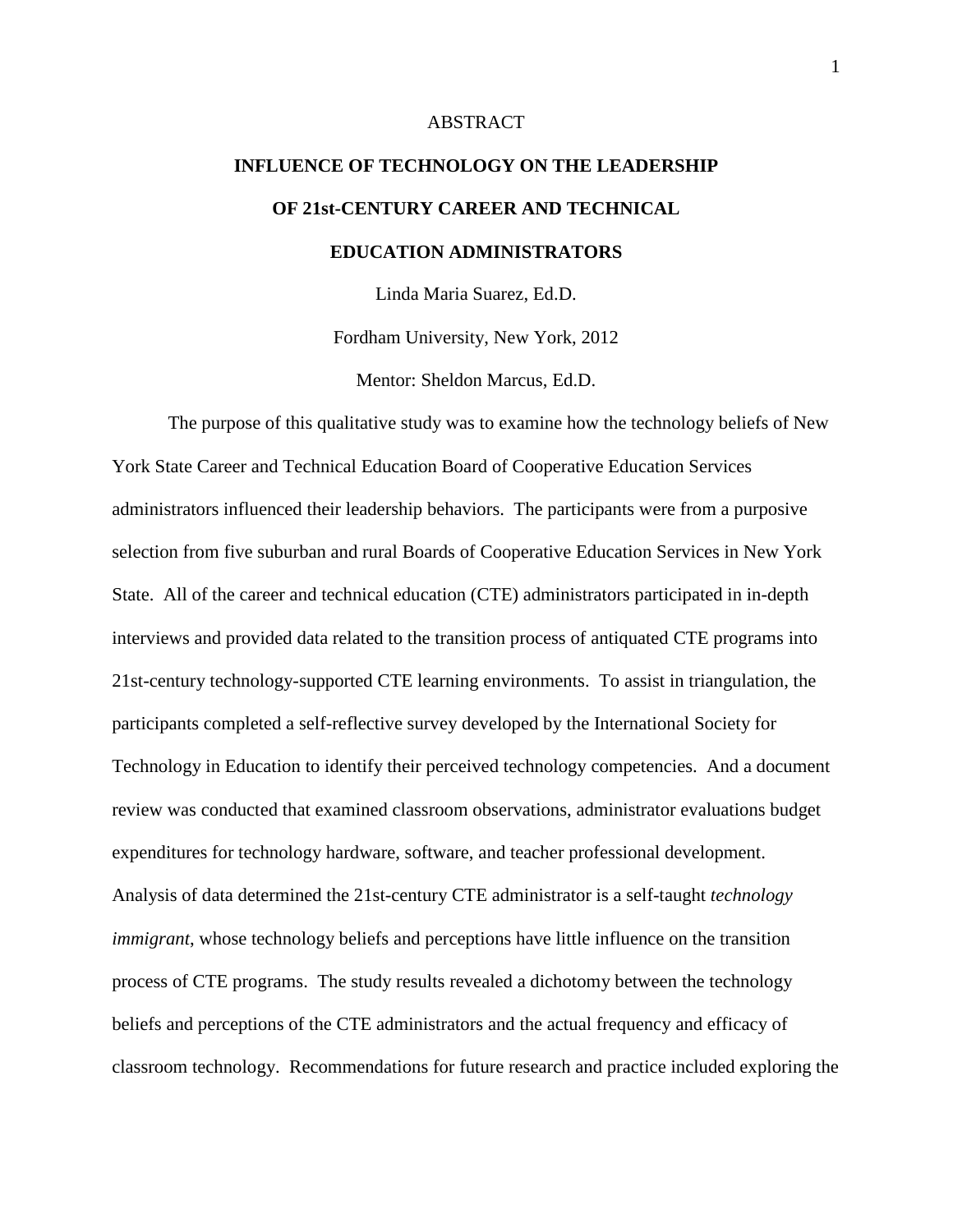#### ABSTRACT

# **INFLUENCE OF TECHNOLOGY ON THE LEADERSHIP OF 21st-CENTURY CAREER AND TECHNICAL EDUCATION ADMINISTRATORS**

Linda Maria Suarez, Ed.D.

Fordham University, New York, 2012

Mentor: Sheldon Marcus, Ed.D.

 The purpose of this qualitative study was to examine how the technology beliefs of New York State Career and Technical Education Board of Cooperative Education Services administrators influenced their leadership behaviors. The participants were from a purposive selection from five suburban and rural Boards of Cooperative Education Services in New York State. All of the career and technical education (CTE) administrators participated in in-depth interviews and provided data related to the transition process of antiquated CTE programs into 21st-century technology-supported CTE learning environments. To assist in triangulation, the participants completed a self-reflective survey developed by the International Society for Technology in Education to identify their perceived technology competencies. And a document review was conducted that examined classroom observations, administrator evaluations budget expenditures for technology hardware, software, and teacher professional development. Analysis of data determined the 21st-century CTE administrator is a self-taught *technology immigrant*, whose technology beliefs and perceptions have little influence on the transition process of CTE programs. The study results revealed a dichotomy between the technology beliefs and perceptions of the CTE administrators and the actual frequency and efficacy of classroom technology. Recommendations for future research and practice included exploring the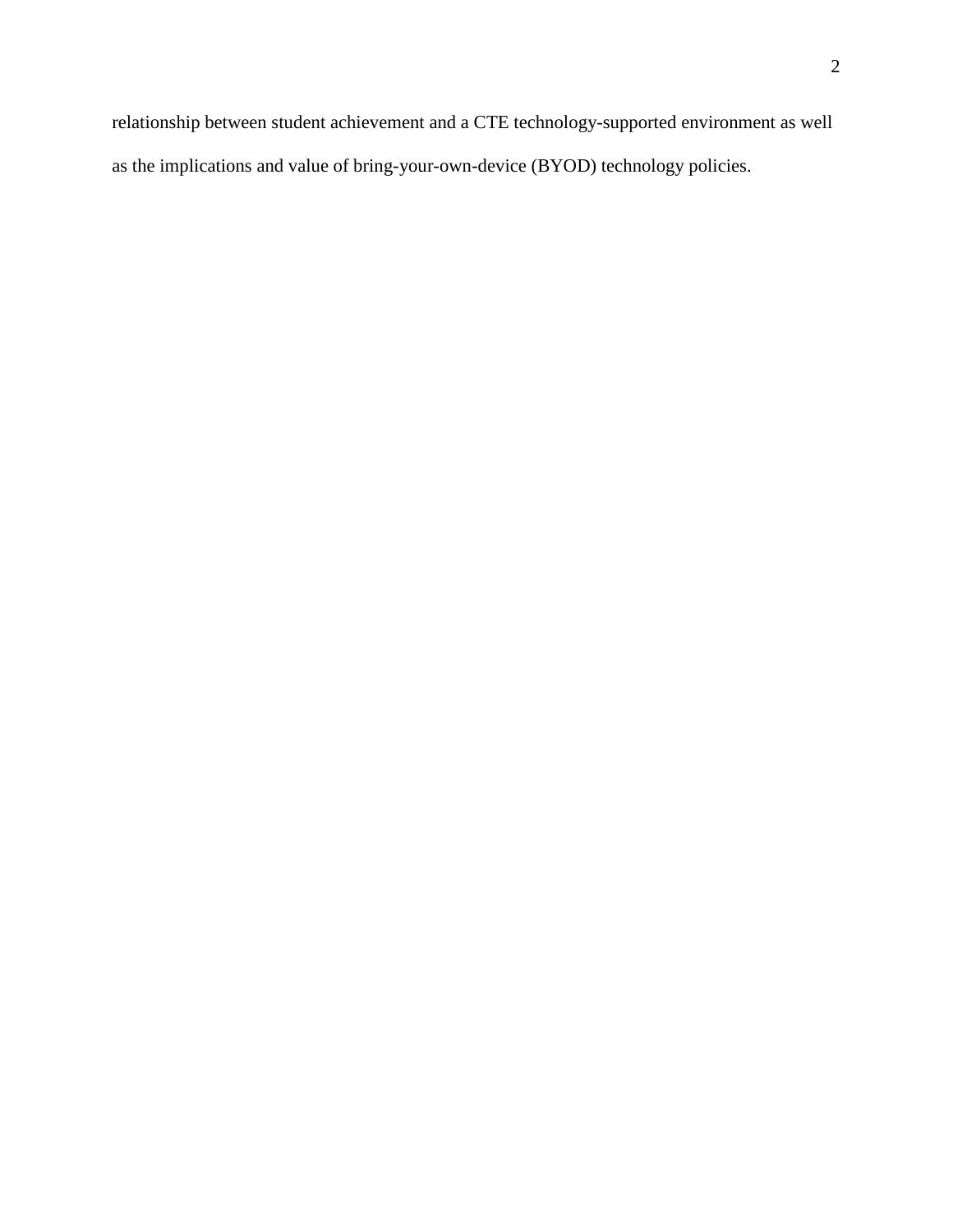relationship between student achievement and a CTE technology-supported environment as well as the implications and value of bring-your-own-device (BYOD) technology policies.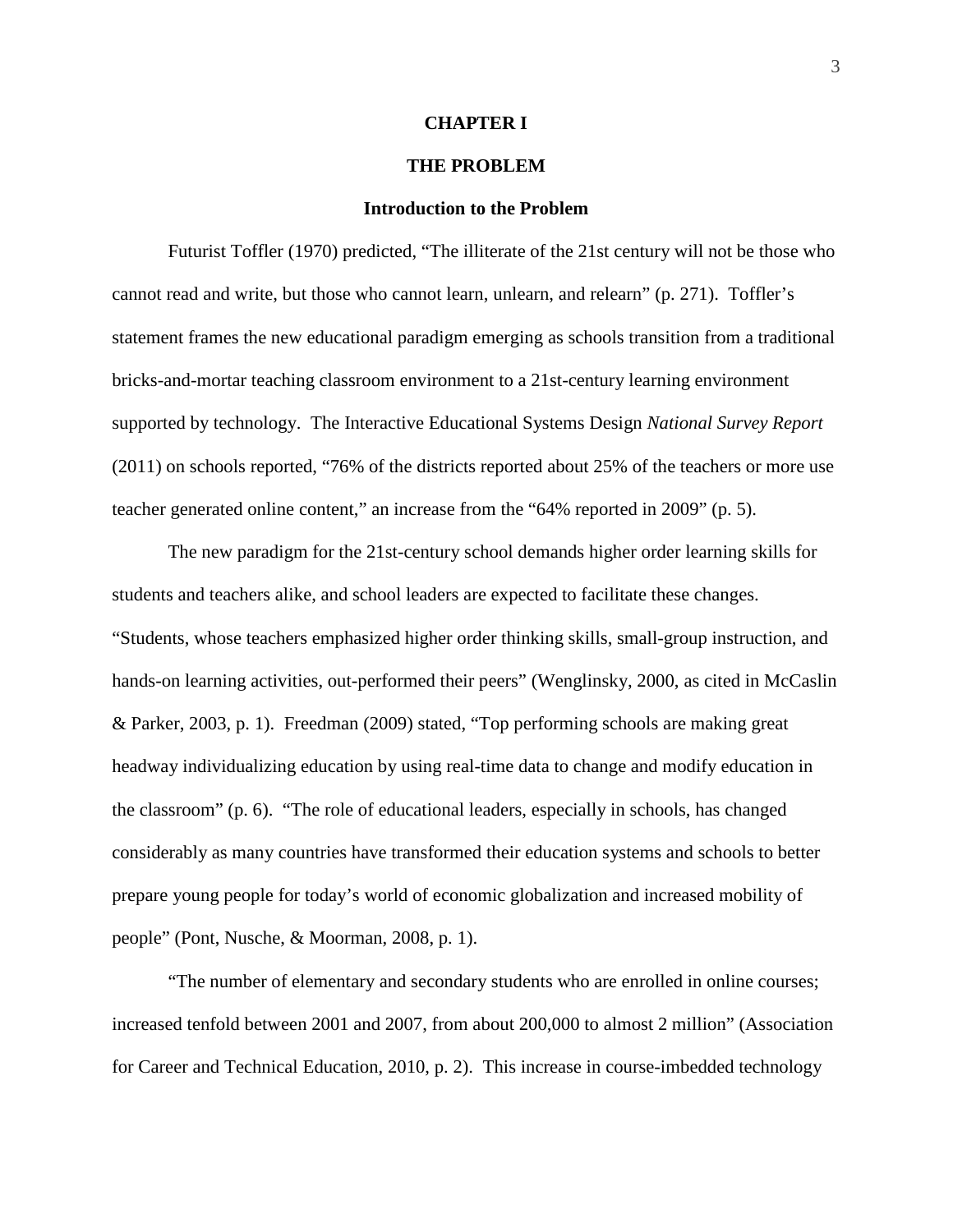#### **CHAPTER I**

#### **THE PROBLEM**

#### **Introduction to the Problem**

Futurist Toffler (1970) predicted, "The illiterate of the 21st century will not be those who cannot read and write, but those who cannot learn, unlearn, and relearn" (p. 271). Toffler's statement frames the new educational paradigm emerging as schools transition from a traditional bricks-and-mortar teaching classroom environment to a 21st-century learning environment supported by technology. The Interactive Educational Systems Design *National Survey Report* (2011) on schools reported, "76% of the districts reported about 25% of the teachers or more use teacher generated online content," an increase from the "64% reported in 2009" (p. 5).

The new paradigm for the 21st-century school demands higher order learning skills for students and teachers alike, and school leaders are expected to facilitate these changes. "Students, whose teachers emphasized higher order thinking skills, small-group instruction, and hands-on learning activities, out-performed their peers" (Wenglinsky, 2000, as cited in McCaslin & Parker, 2003, p. 1). Freedman (2009) stated, "Top performing schools are making great headway individualizing education by using real-time data to change and modify education in the classroom" (p. 6). "The role of educational leaders, especially in schools, has changed considerably as many countries have transformed their education systems and schools to better prepare young people for today's world of economic globalization and increased mobility of people" (Pont, Nusche, & Moorman, 2008, p. 1).

"The number of elementary and secondary students who are enrolled in online courses; increased tenfold between 2001 and 2007, from about 200,000 to almost 2 million" (Association for Career and Technical Education, 2010, p. 2). This increase in course-imbedded technology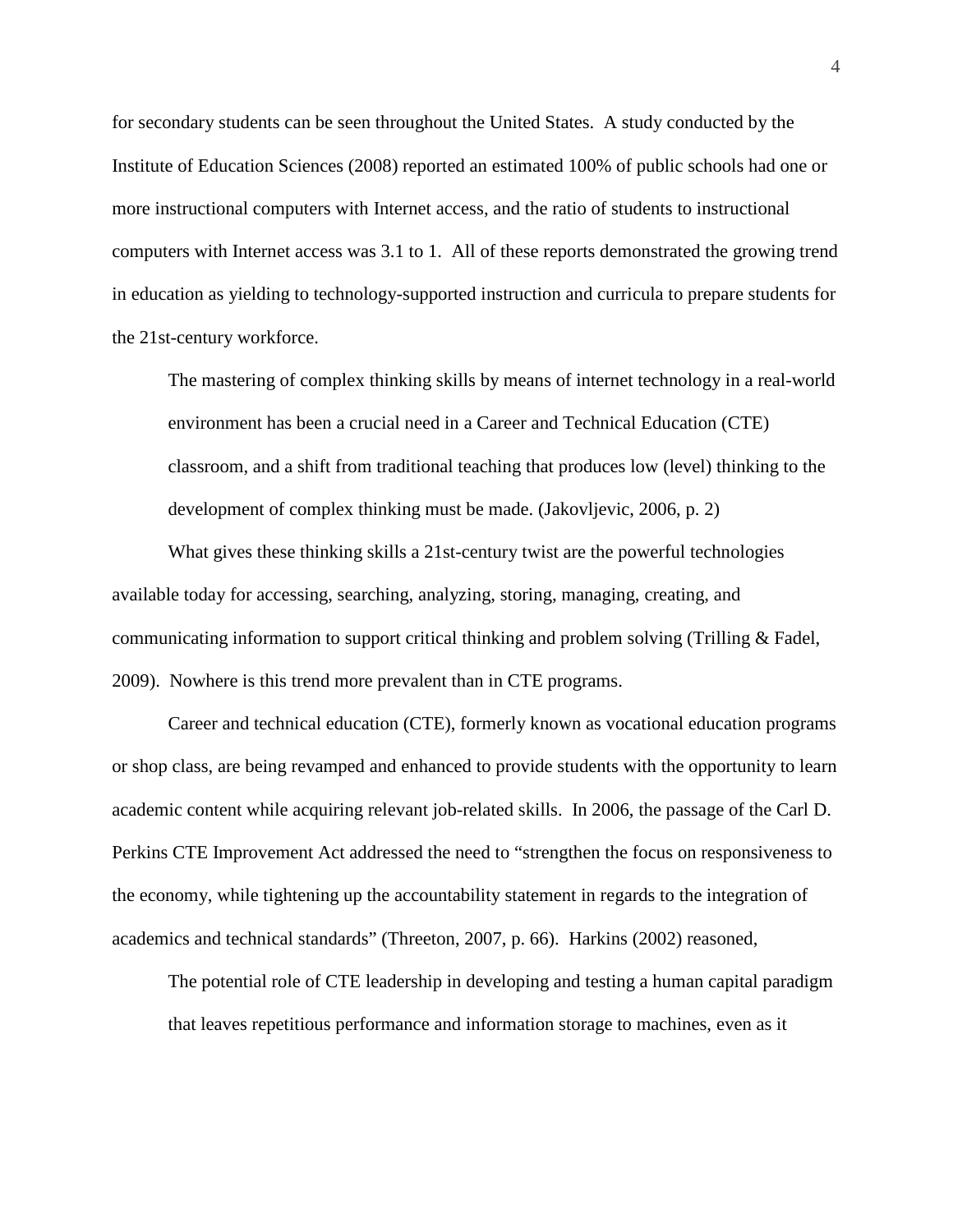for secondary students can be seen throughout the United States. A study conducted by the Institute of Education Sciences (2008) reported an estimated 100% of public schools had one or more instructional computers with Internet access, and the ratio of students to instructional computers with Internet access was 3.1 to 1. All of these reports demonstrated the growing trend in education as yielding to technology-supported instruction and curricula to prepare students for the 21st-century workforce.

The mastering of complex thinking skills by means of internet technology in a real-world environment has been a crucial need in a Career and Technical Education (CTE) classroom, and a shift from traditional teaching that produces low (level) thinking to the development of complex thinking must be made. (Jakovljevic, 2006, p. 2)

What gives these thinking skills a 21st-century twist are the powerful technologies available today for accessing, searching, analyzing, storing, managing, creating, and communicating information to support critical thinking and problem solving (Trilling & Fadel, 2009). Nowhere is this trend more prevalent than in CTE programs.

Career and technical education (CTE), formerly known as vocational education programs or shop class, are being revamped and enhanced to provide students with the opportunity to learn academic content while acquiring relevant job-related skills. In 2006, the passage of the Carl D. Perkins CTE Improvement Act addressed the need to "strengthen the focus on responsiveness to the economy, while tightening up the accountability statement in regards to the integration of academics and technical standards" (Threeton, 2007, p. 66). Harkins (2002) reasoned,

The potential role of CTE leadership in developing and testing a human capital paradigm that leaves repetitious performance and information storage to machines, even as it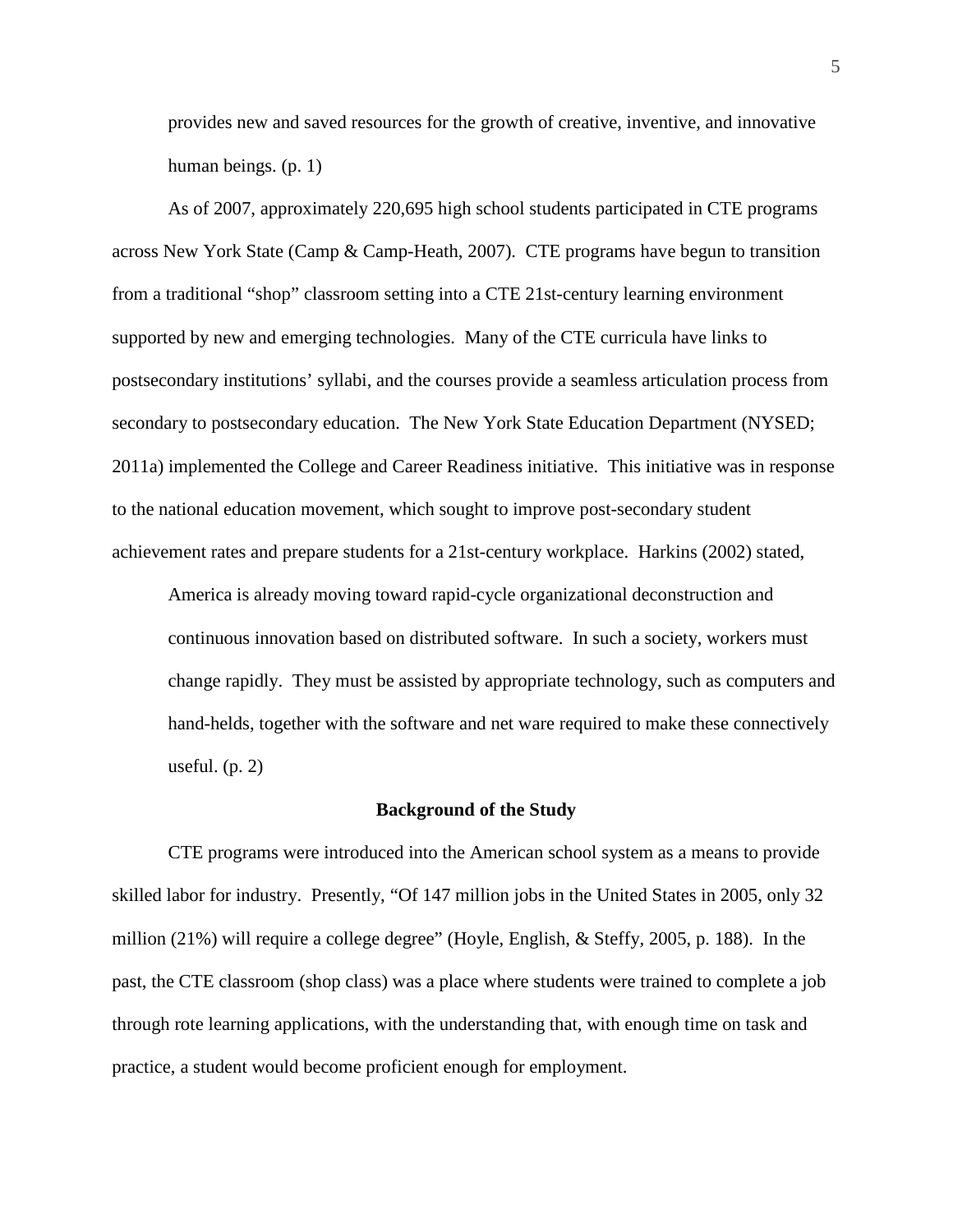provides new and saved resources for the growth of creative, inventive, and innovative human beings. (p. 1)

As of 2007, approximately 220,695 high school students participated in CTE programs across New York State (Camp & Camp-Heath, 2007). CTE programs have begun to transition from a traditional "shop" classroom setting into a CTE 21st-century learning environment supported by new and emerging technologies. Many of the CTE curricula have links to postsecondary institutions' syllabi, and the courses provide a seamless articulation process from secondary to postsecondary education. The New York State Education Department (NYSED; 2011a) implemented the College and Career Readiness initiative. This initiative was in response to the national education movement, which sought to improve post-secondary student achievement rates and prepare students for a 21st-century workplace. Harkins (2002) stated,

America is already moving toward rapid-cycle organizational deconstruction and continuous innovation based on distributed software. In such a society, workers must change rapidly. They must be assisted by appropriate technology, such as computers and hand-helds, together with the software and net ware required to make these connectively useful. (p. 2)

#### **Background of the Study**

CTE programs were introduced into the American school system as a means to provide skilled labor for industry. Presently, "Of 147 million jobs in the United States in 2005, only 32 million (21%) will require a college degree" (Hoyle, English, & Steffy, 2005, p. 188). In the past, the CTE classroom (shop class) was a place where students were trained to complete a job through rote learning applications, with the understanding that, with enough time on task and practice, a student would become proficient enough for employment.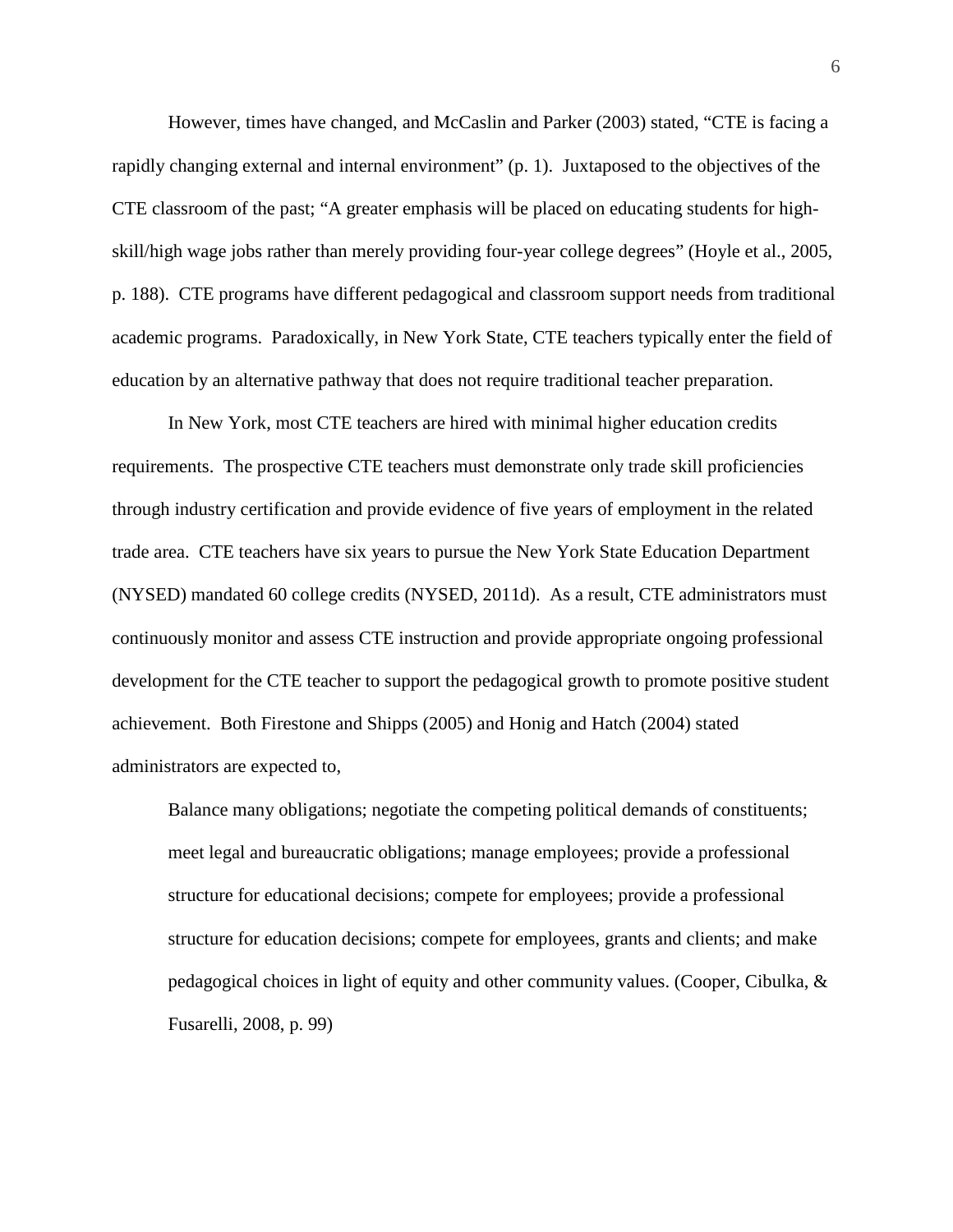However, times have changed, and McCaslin and Parker (2003) stated, "CTE is facing a rapidly changing external and internal environment" (p. 1). Juxtaposed to the objectives of the CTE classroom of the past; "A greater emphasis will be placed on educating students for highskill/high wage jobs rather than merely providing four-year college degrees" (Hoyle et al., 2005, p. 188). CTE programs have different pedagogical and classroom support needs from traditional academic programs. Paradoxically, in New York State, CTE teachers typically enter the field of education by an alternative pathway that does not require traditional teacher preparation.

In New York, most CTE teachers are hired with minimal higher education credits requirements. The prospective CTE teachers must demonstrate only trade skill proficiencies through industry certification and provide evidence of five years of employment in the related trade area. CTE teachers have six years to pursue the New York State Education Department (NYSED) mandated 60 college credits (NYSED, 2011d). As a result, CTE administrators must continuously monitor and assess CTE instruction and provide appropriate ongoing professional development for the CTE teacher to support the pedagogical growth to promote positive student achievement. Both Firestone and Shipps (2005) and Honig and Hatch (2004) stated administrators are expected to,

Balance many obligations; negotiate the competing political demands of constituents; meet legal and bureaucratic obligations; manage employees; provide a professional structure for educational decisions; compete for employees; provide a professional structure for education decisions; compete for employees, grants and clients; and make pedagogical choices in light of equity and other community values. (Cooper, Cibulka, & Fusarelli, 2008, p. 99)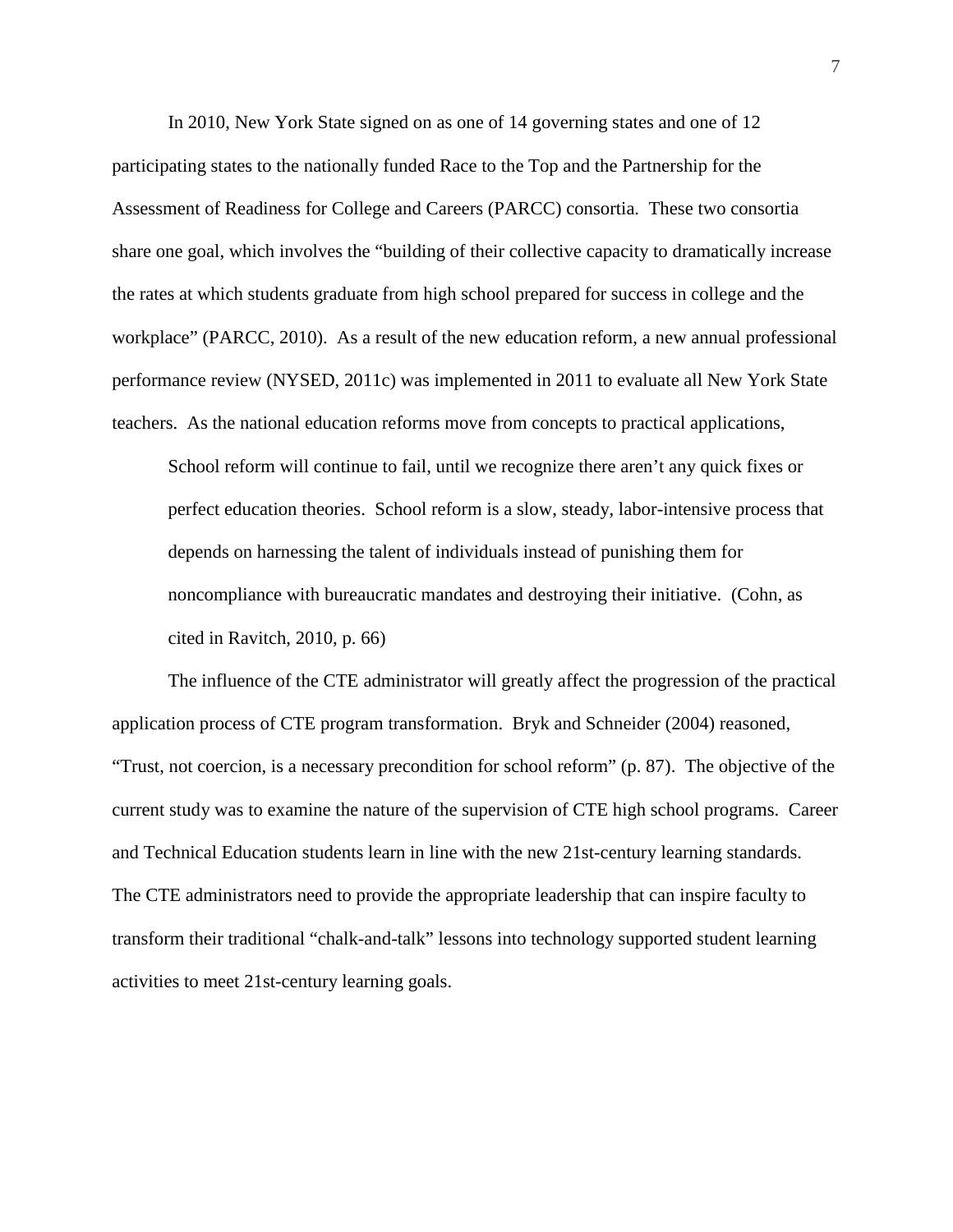In 2010, New York State signed on as one of 14 governing states and one of 12 participating states to the nationally funded Race to the Top and the Partnership for the Assessment of Readiness for College and Careers (PARCC) consortia. These two consortia share one goal, which involves the "building of their collective capacity to dramatically increase the rates at which students graduate from high school prepared for success in college and the workplace" (PARCC, 2010). As a result of the new education reform, a new annual professional performance review (NYSED, 2011c) was implemented in 2011 to evaluate all New York State teachers. As the national education reforms move from concepts to practical applications,

School reform will continue to fail, until we recognize there aren't any quick fixes or perfect education theories. School reform is a slow, steady, labor-intensive process that depends on harnessing the talent of individuals instead of punishing them for noncompliance with bureaucratic mandates and destroying their initiative. (Cohn, as cited in Ravitch, 2010, p. 66)

The influence of the CTE administrator will greatly affect the progression of the practical application process of CTE program transformation. Bryk and Schneider (2004) reasoned, "Trust, not coercion, is a necessary precondition for school reform" (p. 87). The objective of the current study was to examine the nature of the supervision of CTE high school programs. Career and Technical Education students learn in line with the new 21st-century learning standards. The CTE administrators need to provide the appropriate leadership that can inspire faculty to transform their traditional "chalk-and-talk" lessons into technology supported student learning activities to meet 21st-century learning goals.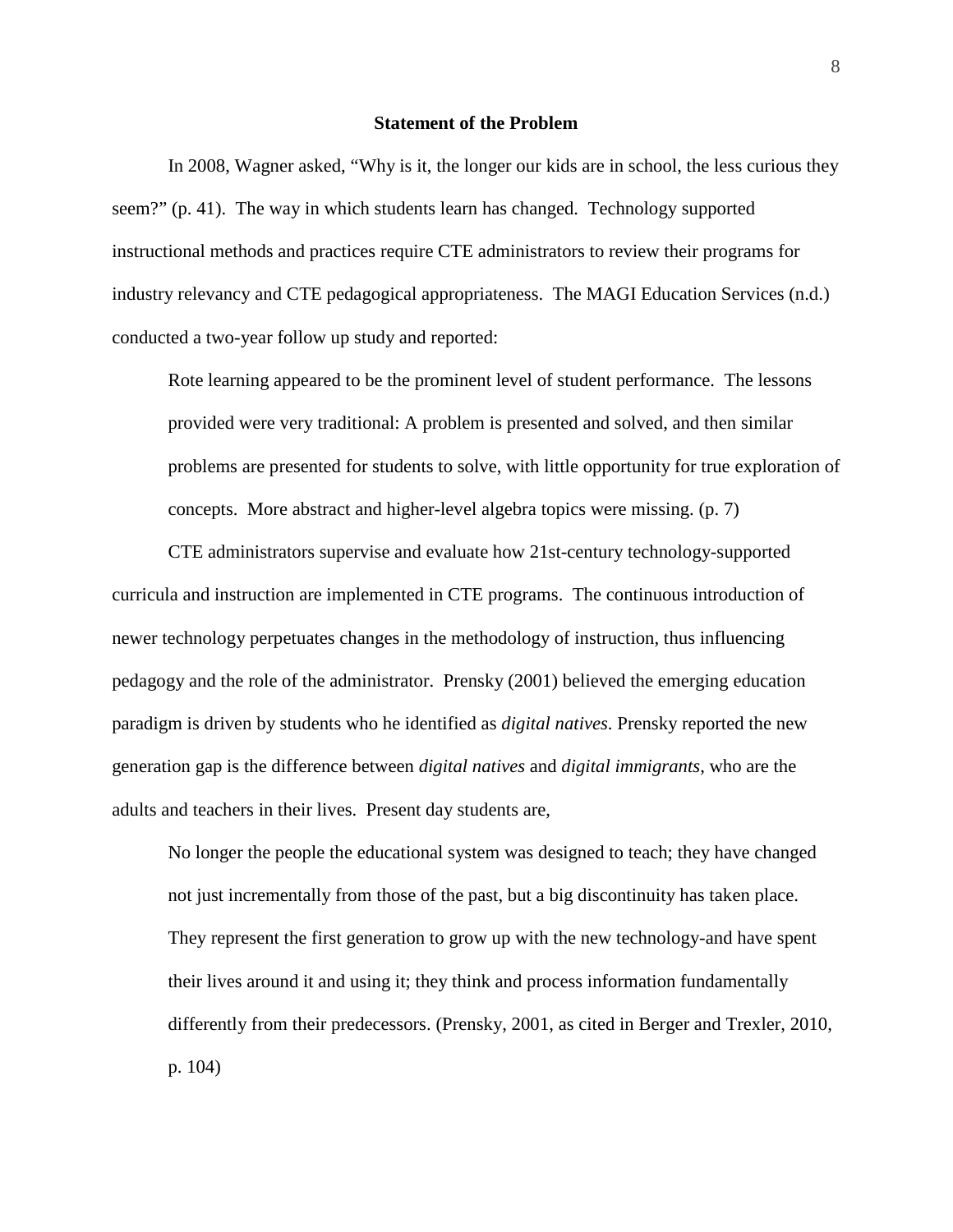#### **Statement of the Problem**

In 2008, Wagner asked, "Why is it, the longer our kids are in school, the less curious they seem?" (p. 41). The way in which students learn has changed. Technology supported instructional methods and practices require CTE administrators to review their programs for industry relevancy and CTE pedagogical appropriateness. The MAGI Education Services (n.d.) conducted a two-year follow up study and reported:

Rote learning appeared to be the prominent level of student performance. The lessons provided were very traditional: A problem is presented and solved, and then similar problems are presented for students to solve, with little opportunity for true exploration of concepts. More abstract and higher-level algebra topics were missing. (p. 7)

CTE administrators supervise and evaluate how 21st-century technology-supported curricula and instruction are implemented in CTE programs. The continuous introduction of newer technology perpetuates changes in the methodology of instruction, thus influencing pedagogy and the role of the administrator. Prensky (2001) believed the emerging education paradigm is driven by students who he identified as *digital natives*. Prensky reported the new generation gap is the difference between *digital natives* and *digital immigrants*, who are the adults and teachers in their lives. Present day students are,

No longer the people the educational system was designed to teach; they have changed not just incrementally from those of the past, but a big discontinuity has taken place. They represent the first generation to grow up with the new technology-and have spent their lives around it and using it; they think and process information fundamentally differently from their predecessors. (Prensky, 2001, as cited in Berger and Trexler, 2010, p. 104)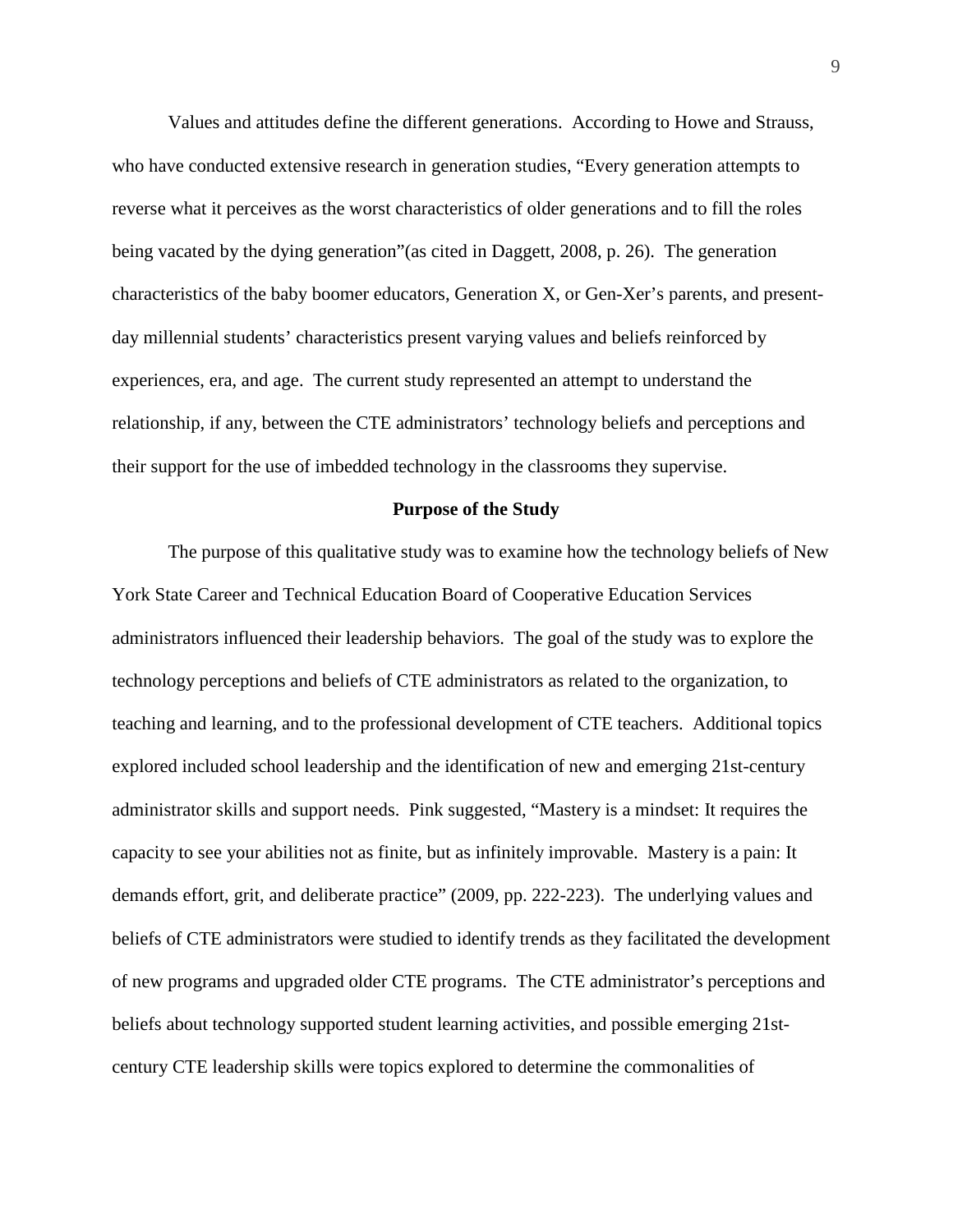Values and attitudes define the different generations. According to Howe and Strauss, who have conducted extensive research in generation studies, "Every generation attempts to reverse what it perceives as the worst characteristics of older generations and to fill the roles being vacated by the dying generation"(as cited in Daggett, 2008, p. 26). The generation characteristics of the baby boomer educators, Generation X, or Gen-Xer's parents, and presentday millennial students' characteristics present varying values and beliefs reinforced by experiences, era, and age. The current study represented an attempt to understand the relationship, if any, between the CTE administrators' technology beliefs and perceptions and their support for the use of imbedded technology in the classrooms they supervise.

#### **Purpose of the Study**

The purpose of this qualitative study was to examine how the technology beliefs of New York State Career and Technical Education Board of Cooperative Education Services administrators influenced their leadership behaviors. The goal of the study was to explore the technology perceptions and beliefs of CTE administrators as related to the organization, to teaching and learning, and to the professional development of CTE teachers. Additional topics explored included school leadership and the identification of new and emerging 21st-century administrator skills and support needs. Pink suggested, "Mastery is a mindset: It requires the capacity to see your abilities not as finite, but as infinitely improvable. Mastery is a pain: It demands effort, grit, and deliberate practice" (2009, pp. 222-223). The underlying values and beliefs of CTE administrators were studied to identify trends as they facilitated the development of new programs and upgraded older CTE programs. The CTE administrator's perceptions and beliefs about technology supported student learning activities, and possible emerging 21stcentury CTE leadership skills were topics explored to determine the commonalities of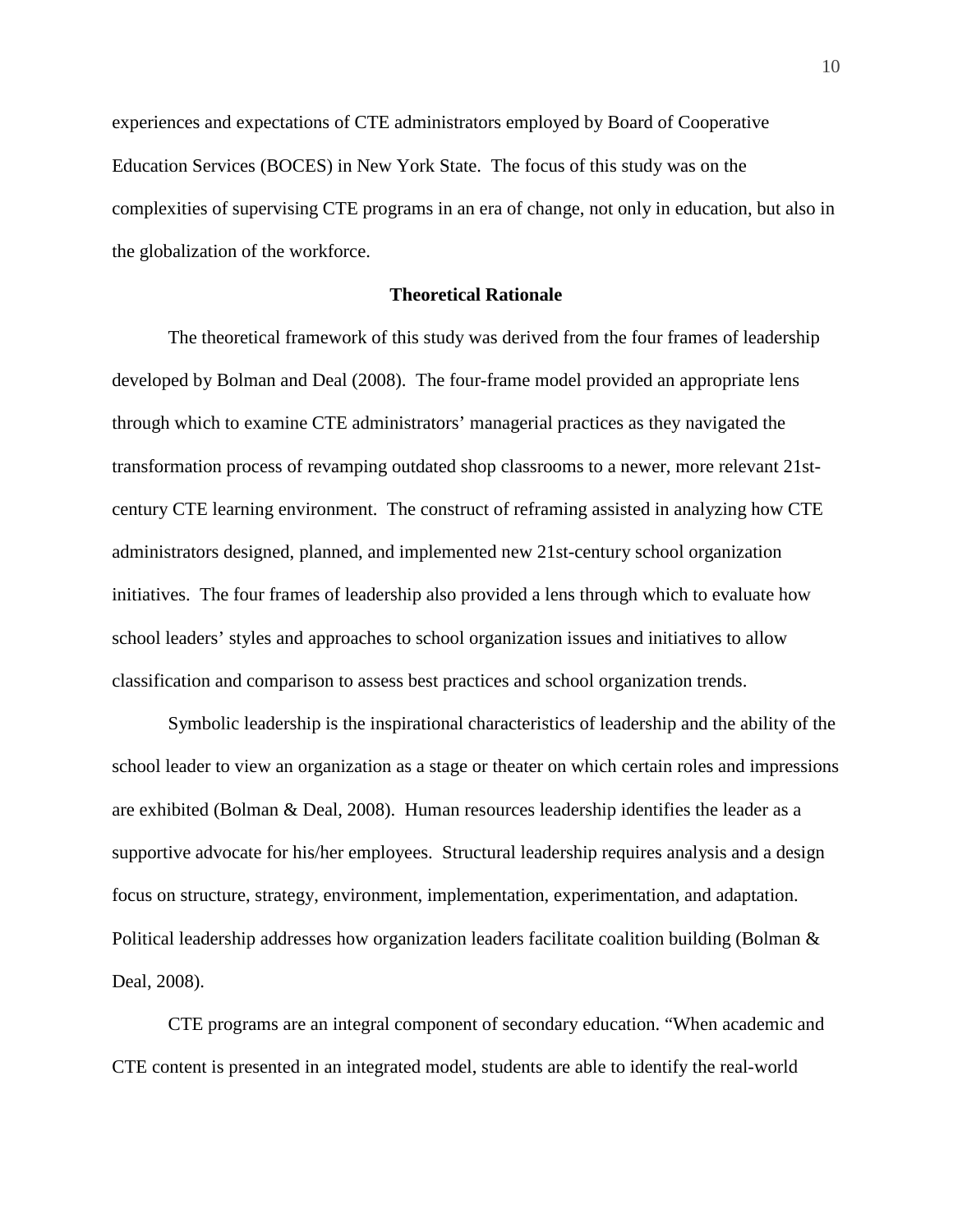experiences and expectations of CTE administrators employed by Board of Cooperative Education Services (BOCES) in New York State. The focus of this study was on the complexities of supervising CTE programs in an era of change, not only in education, but also in the globalization of the workforce.

### **Theoretical Rationale**

The theoretical framework of this study was derived from the four frames of leadership developed by Bolman and Deal (2008). The four-frame model provided an appropriate lens through which to examine CTE administrators' managerial practices as they navigated the transformation process of revamping outdated shop classrooms to a newer, more relevant 21stcentury CTE learning environment. The construct of reframing assisted in analyzing how CTE administrators designed, planned, and implemented new 21st-century school organization initiatives. The four frames of leadership also provided a lens through which to evaluate how school leaders' styles and approaches to school organization issues and initiatives to allow classification and comparison to assess best practices and school organization trends.

Symbolic leadership is the inspirational characteristics of leadership and the ability of the school leader to view an organization as a stage or theater on which certain roles and impressions are exhibited (Bolman & Deal, 2008). Human resources leadership identifies the leader as a supportive advocate for his/her employees. Structural leadership requires analysis and a design focus on structure, strategy, environment, implementation, experimentation, and adaptation. Political leadership addresses how organization leaders facilitate coalition building (Bolman & Deal, 2008).

CTE programs are an integral component of secondary education. "When academic and CTE content is presented in an integrated model, students are able to identify the real-world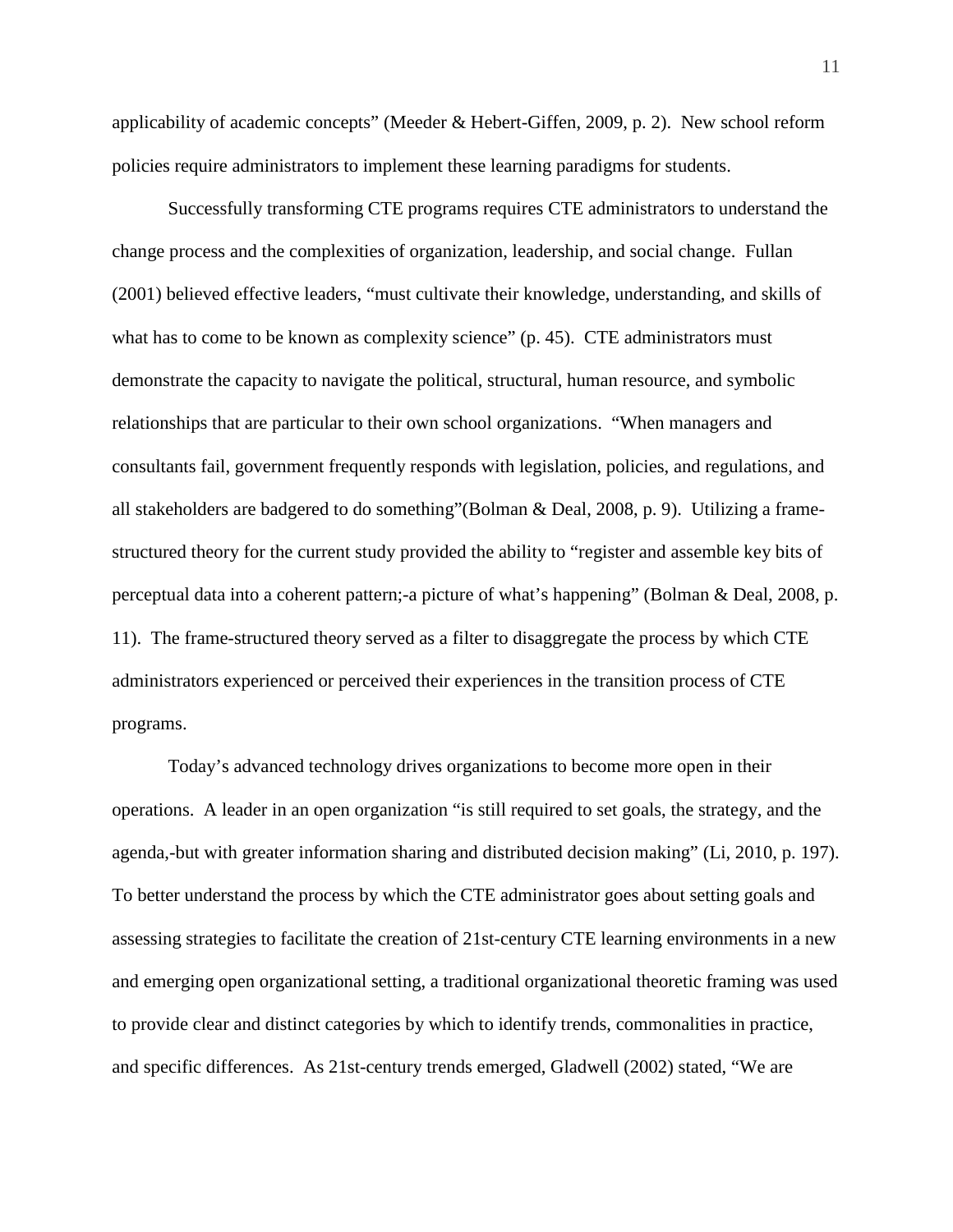applicability of academic concepts" (Meeder & Hebert-Giffen, 2009, p. 2). New school reform policies require administrators to implement these learning paradigms for students.

Successfully transforming CTE programs requires CTE administrators to understand the change process and the complexities of organization, leadership, and social change. Fullan (2001) believed effective leaders, "must cultivate their knowledge, understanding, and skills of what has to come to be known as complexity science" (p. 45). CTE administrators must demonstrate the capacity to navigate the political, structural, human resource, and symbolic relationships that are particular to their own school organizations. "When managers and consultants fail, government frequently responds with legislation, policies, and regulations, and all stakeholders are badgered to do something"(Bolman & Deal, 2008, p. 9). Utilizing a framestructured theory for the current study provided the ability to "register and assemble key bits of perceptual data into a coherent pattern;-a picture of what's happening" (Bolman & Deal, 2008, p. 11). The frame-structured theory served as a filter to disaggregate the process by which CTE administrators experienced or perceived their experiences in the transition process of CTE programs.

Today's advanced technology drives organizations to become more open in their operations. A leader in an open organization "is still required to set goals, the strategy, and the agenda,-but with greater information sharing and distributed decision making" (Li, 2010, p. 197). To better understand the process by which the CTE administrator goes about setting goals and assessing strategies to facilitate the creation of 21st-century CTE learning environments in a new and emerging open organizational setting, a traditional organizational theoretic framing was used to provide clear and distinct categories by which to identify trends, commonalities in practice, and specific differences. As 21st-century trends emerged, Gladwell (2002) stated, "We are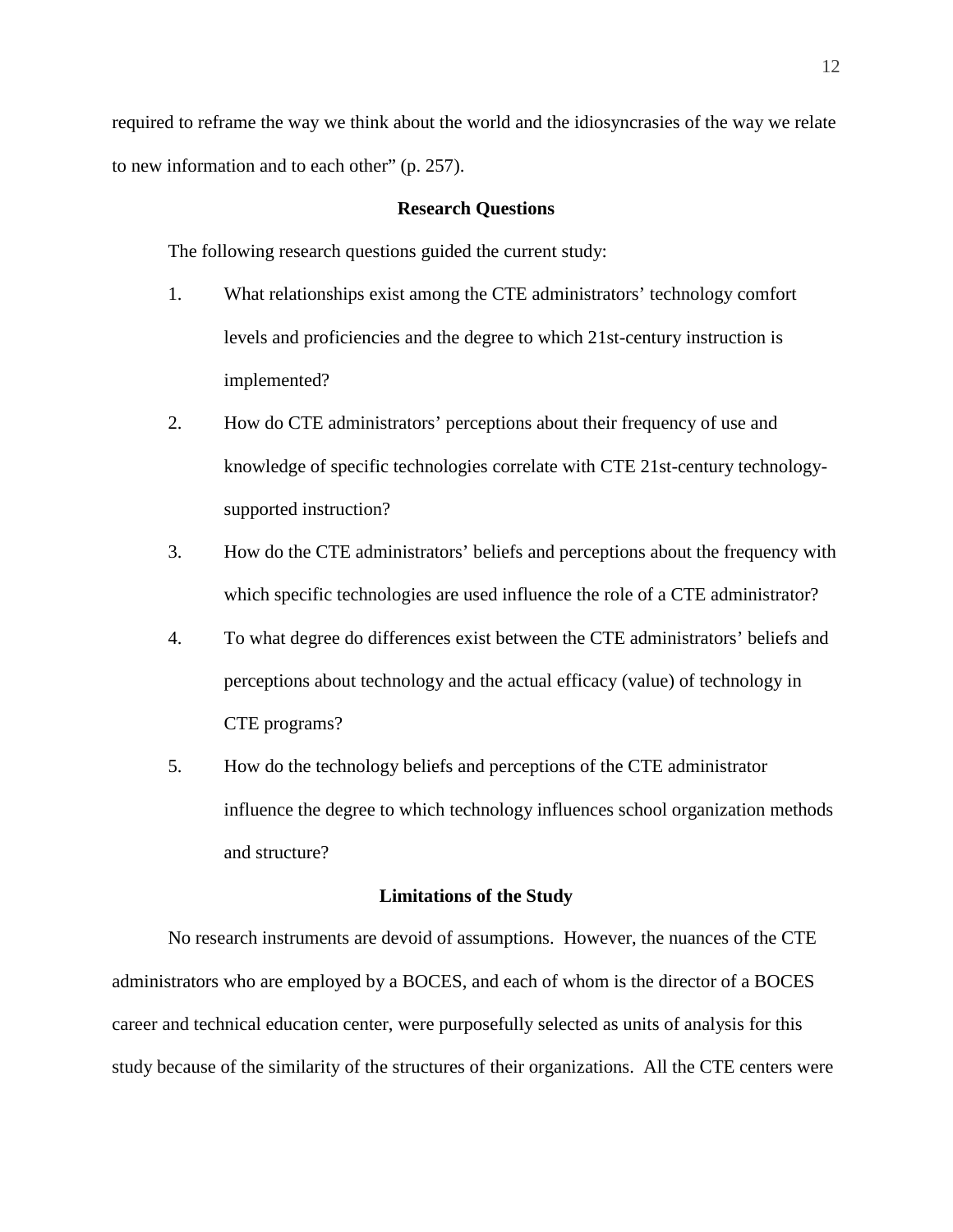required to reframe the way we think about the world and the idiosyncrasies of the way we relate to new information and to each other" (p. 257).

#### **Research Questions**

The following research questions guided the current study:

- 1. What relationships exist among the CTE administrators' technology comfort levels and proficiencies and the degree to which 21st-century instruction is implemented?
- 2. How do CTE administrators' perceptions about their frequency of use and knowledge of specific technologies correlate with CTE 21st-century technologysupported instruction?
- 3. How do the CTE administrators' beliefs and perceptions about the frequency with which specific technologies are used influence the role of a CTE administrator?
- 4. To what degree do differences exist between the CTE administrators' beliefs and perceptions about technology and the actual efficacy (value) of technology in CTE programs?
- 5. How do the technology beliefs and perceptions of the CTE administrator influence the degree to which technology influences school organization methods and structure?

#### **Limitations of the Study**

No research instruments are devoid of assumptions. However, the nuances of the CTE administrators who are employed by a BOCES, and each of whom is the director of a BOCES career and technical education center, were purposefully selected as units of analysis for this study because of the similarity of the structures of their organizations. All the CTE centers were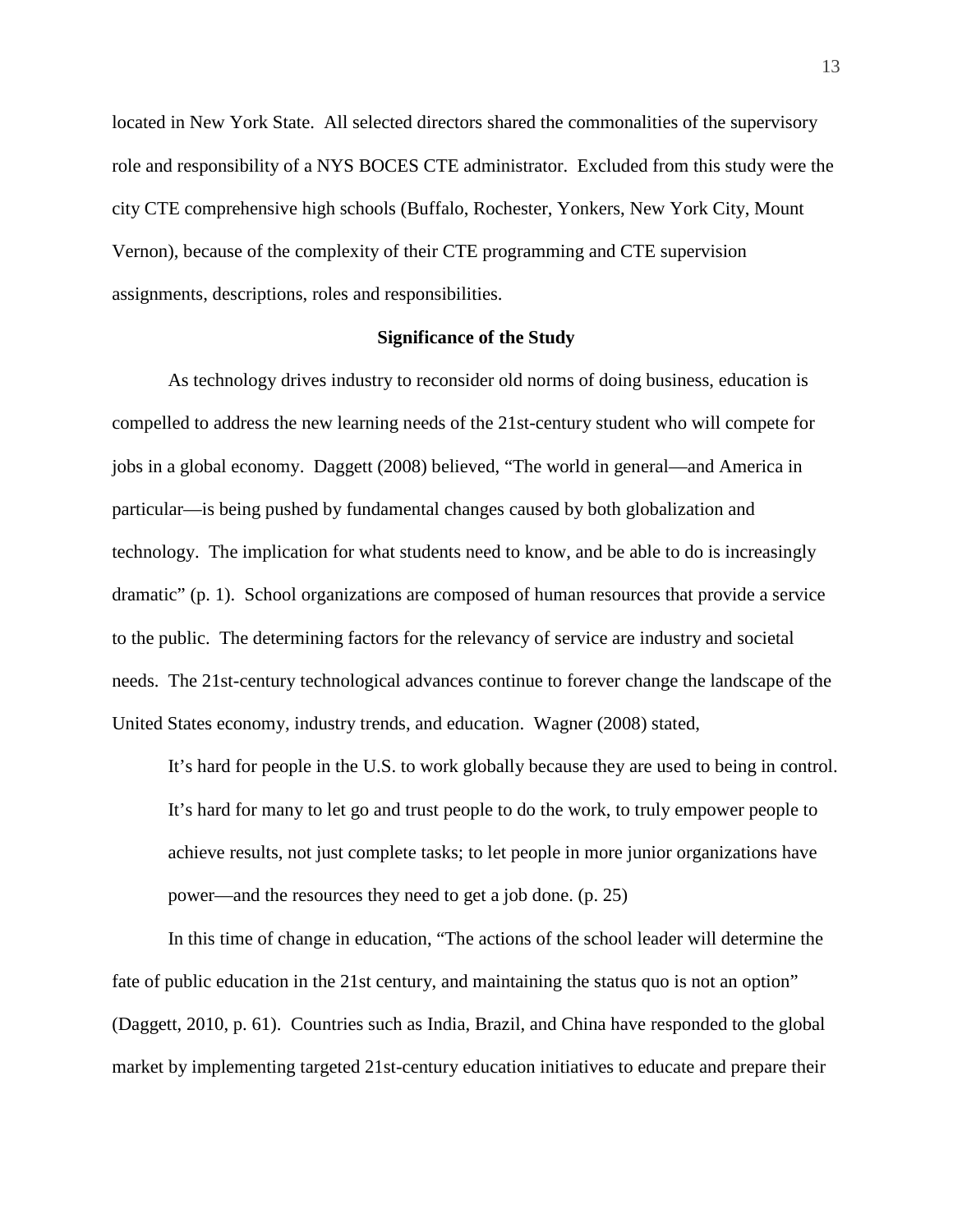located in New York State. All selected directors shared the commonalities of the supervisory role and responsibility of a NYS BOCES CTE administrator. Excluded from this study were the city CTE comprehensive high schools (Buffalo, Rochester, Yonkers, New York City, Mount Vernon), because of the complexity of their CTE programming and CTE supervision assignments, descriptions, roles and responsibilities.

#### **Significance of the Study**

As technology drives industry to reconsider old norms of doing business, education is compelled to address the new learning needs of the 21st-century student who will compete for jobs in a global economy. Daggett (2008) believed, "The world in general—and America in particular—is being pushed by fundamental changes caused by both globalization and technology. The implication for what students need to know, and be able to do is increasingly dramatic" (p. 1). School organizations are composed of human resources that provide a service to the public. The determining factors for the relevancy of service are industry and societal needs. The 21st-century technological advances continue to forever change the landscape of the United States economy, industry trends, and education. Wagner (2008) stated,

It's hard for people in the U.S. to work globally because they are used to being in control. It's hard for many to let go and trust people to do the work, to truly empower people to achieve results, not just complete tasks; to let people in more junior organizations have power—and the resources they need to get a job done. (p. 25)

In this time of change in education, "The actions of the school leader will determine the fate of public education in the 21st century, and maintaining the status quo is not an option" (Daggett, 2010, p. 61). Countries such as India, Brazil, and China have responded to the global market by implementing targeted 21st-century education initiatives to educate and prepare their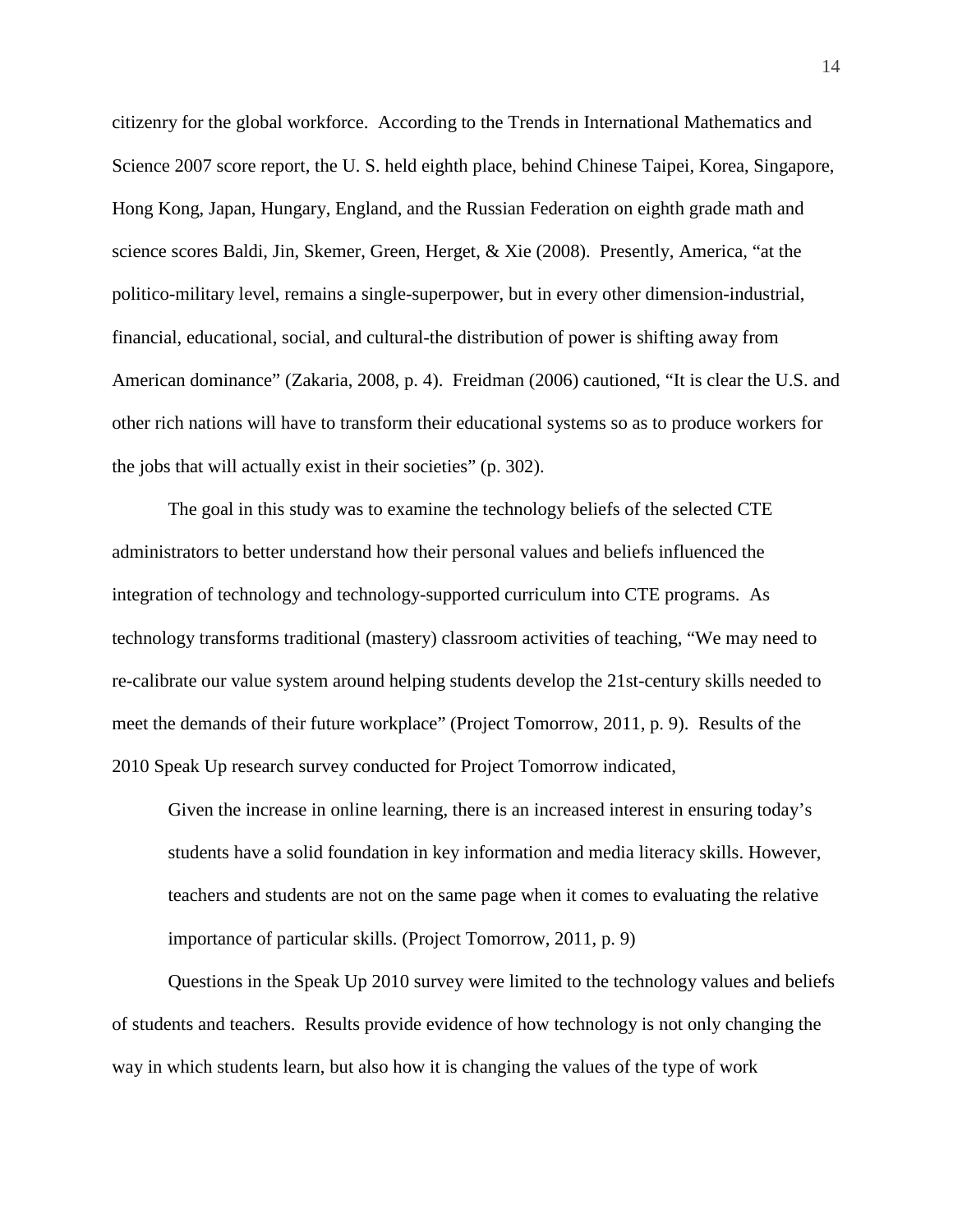citizenry for the global workforce. According to the Trends in International Mathematics and Science 2007 score report, the U. S. held eighth place, behind Chinese Taipei, Korea, Singapore, Hong Kong, Japan, Hungary, England, and the Russian Federation on eighth grade math and science scores Baldi, Jin, Skemer, Green, Herget, & Xie (2008). Presently, America, "at the politico-military level, remains a single-superpower, but in every other dimension-industrial, financial, educational, social, and cultural-the distribution of power is shifting away from American dominance" (Zakaria, 2008, p. 4). Freidman (2006) cautioned, "It is clear the U.S. and other rich nations will have to transform their educational systems so as to produce workers for the jobs that will actually exist in their societies" (p. 302).

The goal in this study was to examine the technology beliefs of the selected CTE administrators to better understand how their personal values and beliefs influenced the integration of technology and technology-supported curriculum into CTE programs. As technology transforms traditional (mastery) classroom activities of teaching, "We may need to re-calibrate our value system around helping students develop the 21st-century skills needed to meet the demands of their future workplace" (Project Tomorrow, 2011, p. 9). Results of the 2010 Speak Up research survey conducted for Project Tomorrow indicated,

Given the increase in online learning, there is an increased interest in ensuring today's students have a solid foundation in key information and media literacy skills. However, teachers and students are not on the same page when it comes to evaluating the relative importance of particular skills. (Project Tomorrow, 2011, p. 9)

Questions in the Speak Up 2010 survey were limited to the technology values and beliefs of students and teachers. Results provide evidence of how technology is not only changing the way in which students learn, but also how it is changing the values of the type of work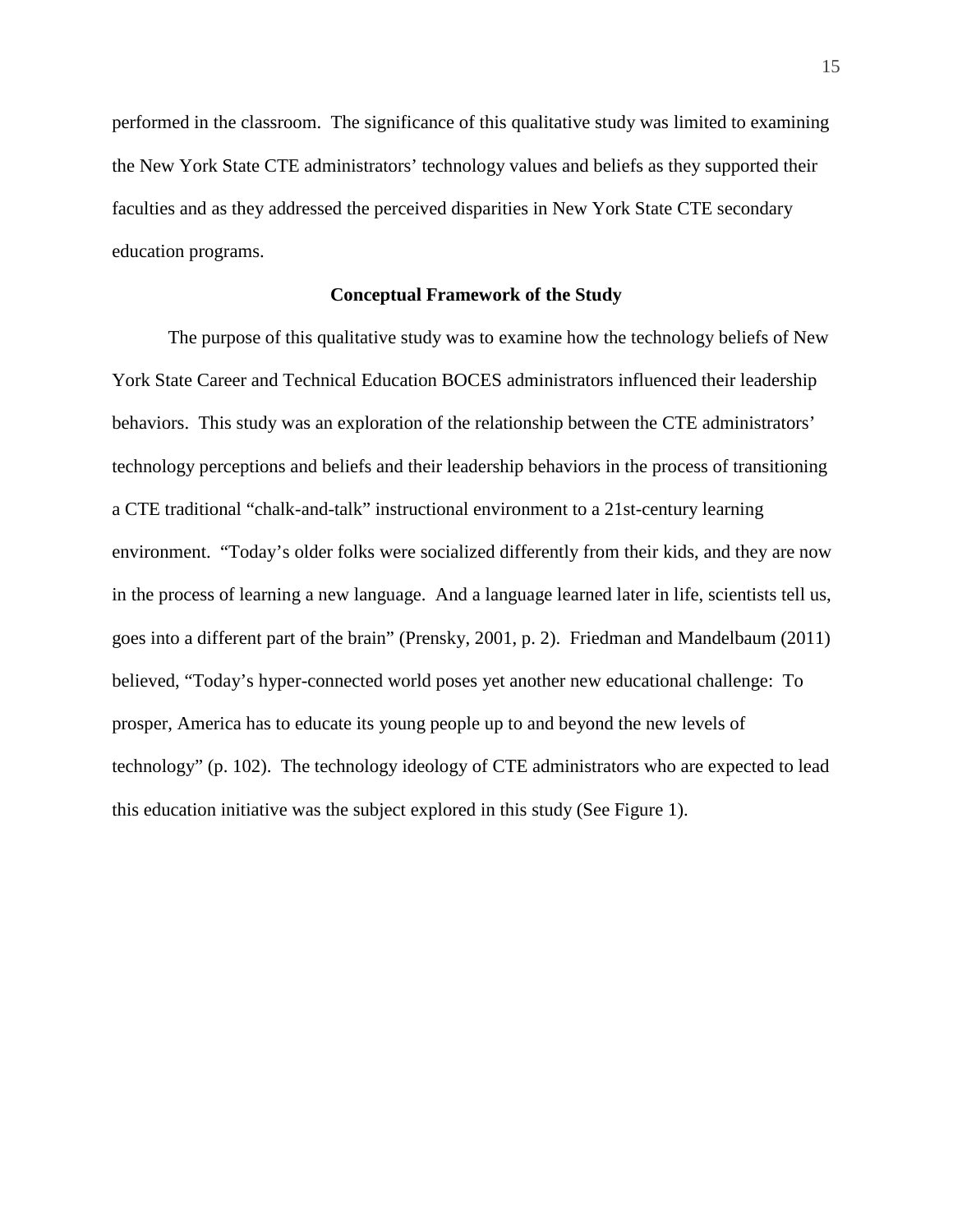performed in the classroom. The significance of this qualitative study was limited to examining the New York State CTE administrators' technology values and beliefs as they supported their faculties and as they addressed the perceived disparities in New York State CTE secondary education programs.

#### **Conceptual Framework of the Study**

The purpose of this qualitative study was to examine how the technology beliefs of New York State Career and Technical Education BOCES administrators influenced their leadership behaviors. This study was an exploration of the relationship between the CTE administrators' technology perceptions and beliefs and their leadership behaviors in the process of transitioning a CTE traditional "chalk-and-talk" instructional environment to a 21st-century learning environment. "Today's older folks were socialized differently from their kids, and they are now in the process of learning a new language. And a language learned later in life, scientists tell us, goes into a different part of the brain" (Prensky, 2001, p. 2). Friedman and Mandelbaum (2011) believed, "Today's hyper-connected world poses yet another new educational challenge: To prosper, America has to educate its young people up to and beyond the new levels of technology" (p. 102). The technology ideology of CTE administrators who are expected to lead this education initiative was the subject explored in this study (See Figure 1).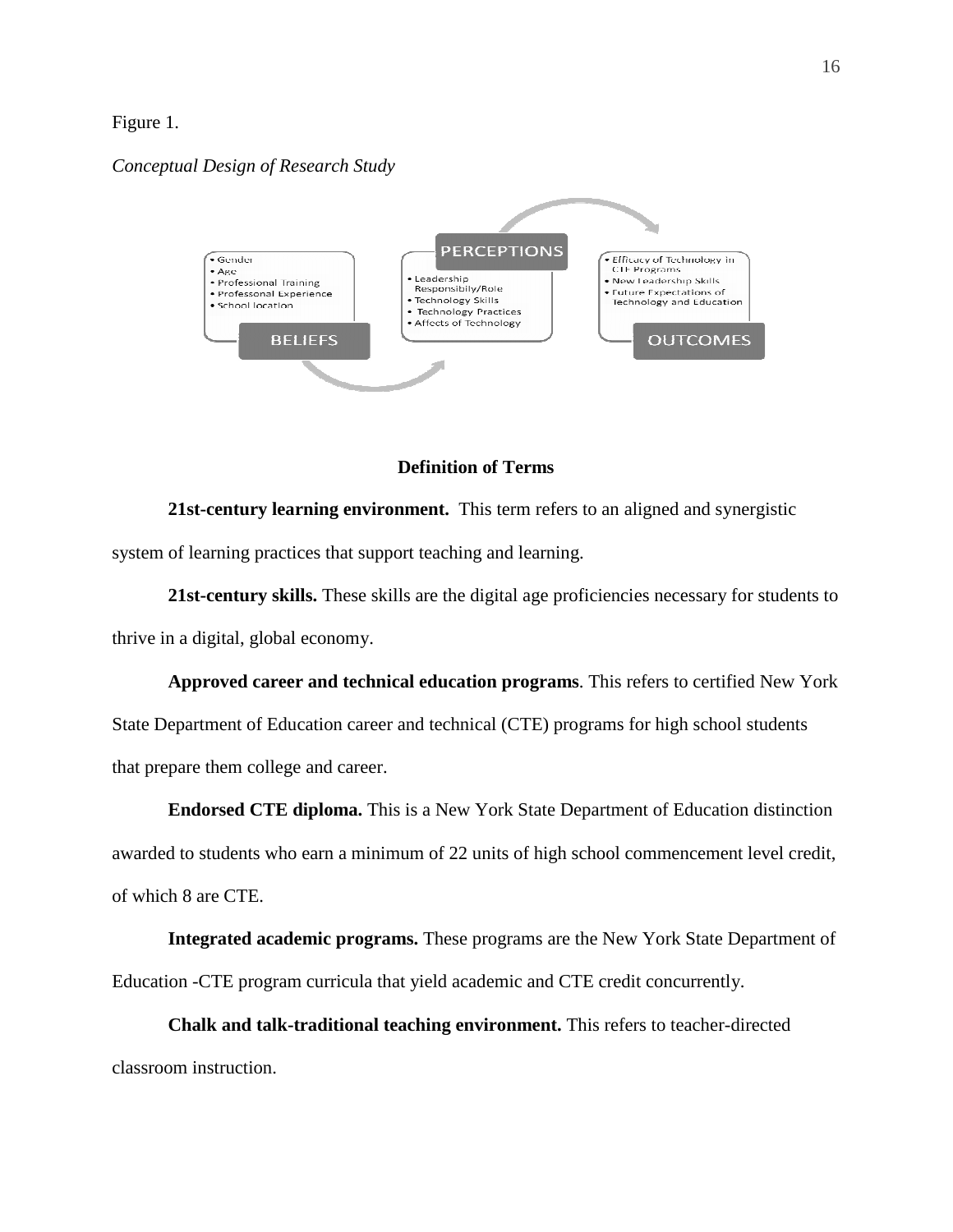#### Figure 1.

#### *Conceptual Design of Research Study*



#### **Definition of Terms**

**21st-century learning environment.** This term refers to an aligned and synergistic system of learning practices that support teaching and learning.

**21st-century skills.** These skills are the digital age proficiencies necessary for students to thrive in a digital, global economy.

**Approved career and technical education programs**. This refers to certified New York State Department of Education career and technical (CTE) programs for high school students that prepare them college and career.

**Endorsed CTE diploma.** This is a New York State Department of Education distinction awarded to students who earn a minimum of 22 units of high school commencement level credit, of which 8 are CTE.

**Integrated academic programs.** These programs are the New York State Department of Education -CTE program curricula that yield academic and CTE credit concurrently.

**Chalk and talk-traditional teaching environment.** This refers to teacher-directed classroom instruction.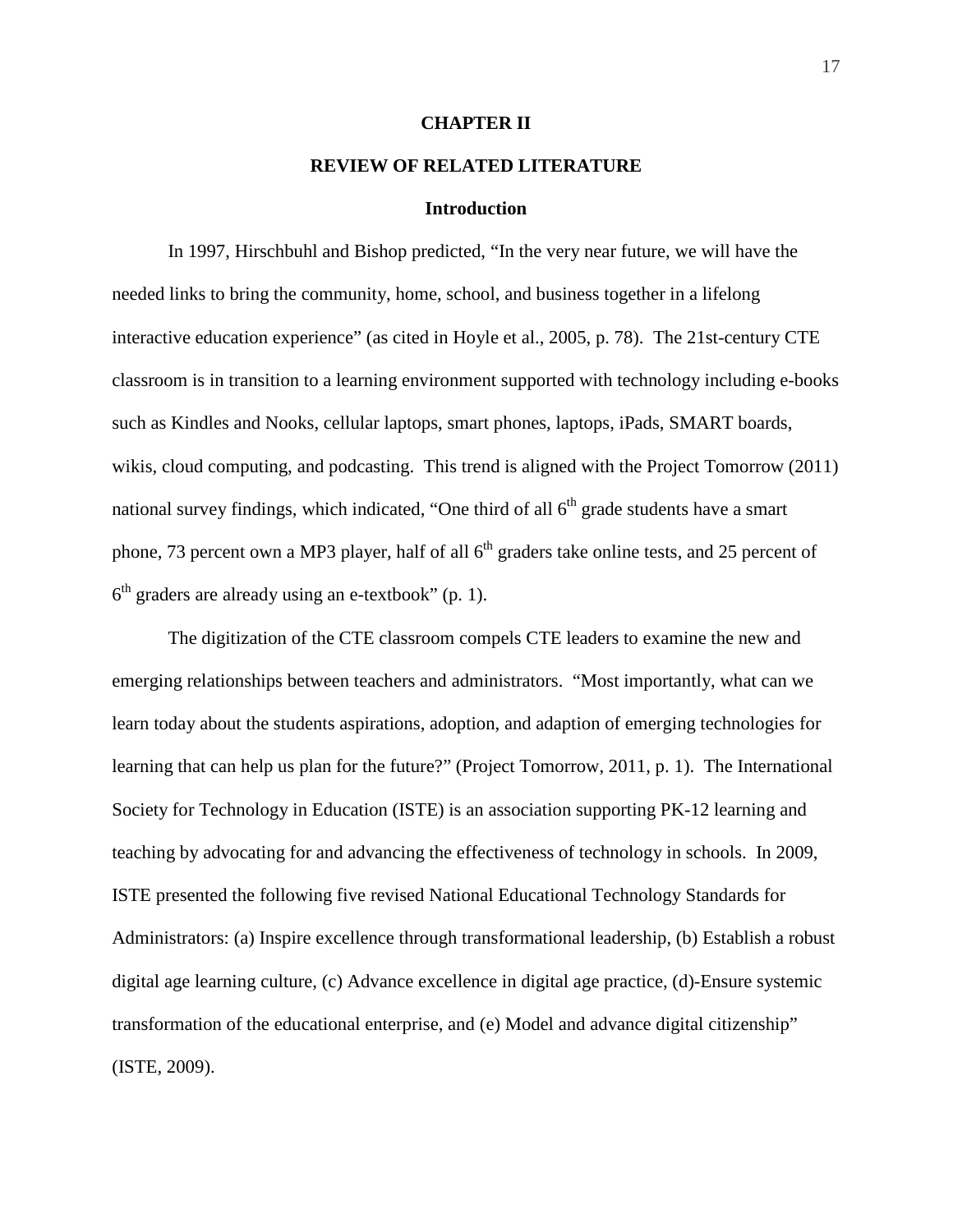#### **CHAPTER II**

### **REVIEW OF RELATED LITERATURE**

#### **Introduction**

In 1997, Hirschbuhl and Bishop predicted, "In the very near future, we will have the needed links to bring the community, home, school, and business together in a lifelong interactive education experience" (as cited in Hoyle et al., 2005, p. 78). The 21st-century CTE classroom is in transition to a learning environment supported with technology including e-books such as Kindles and Nooks, cellular laptops, smart phones, laptops, iPads, SMART boards, wikis, cloud computing, and podcasting. This trend is aligned with the Project Tomorrow (2011) national survey findings, which indicated, "One third of all  $6<sup>th</sup>$  grade students have a smart phone, 73 percent own a MP3 player, half of all  $6<sup>th</sup>$  graders take online tests, and 25 percent of  $6<sup>th</sup>$  graders are already using an e-textbook" (p. 1).

The digitization of the CTE classroom compels CTE leaders to examine the new and emerging relationships between teachers and administrators. "Most importantly, what can we learn today about the students aspirations, adoption, and adaption of emerging technologies for learning that can help us plan for the future?" (Project Tomorrow, 2011, p. 1). The International Society for Technology in Education (ISTE) is an association supporting PK-12 learning and teaching by advocating for and advancing the effectiveness of technology in schools. In 2009, ISTE presented the following five revised National Educational Technology Standards for Administrators: (a) Inspire excellence through transformational leadership, (b) Establish a robust digital age learning culture, (c) Advance excellence in digital age practice, (d)-Ensure systemic transformation of the educational enterprise, and (e) Model and advance digital citizenship" (ISTE, 2009).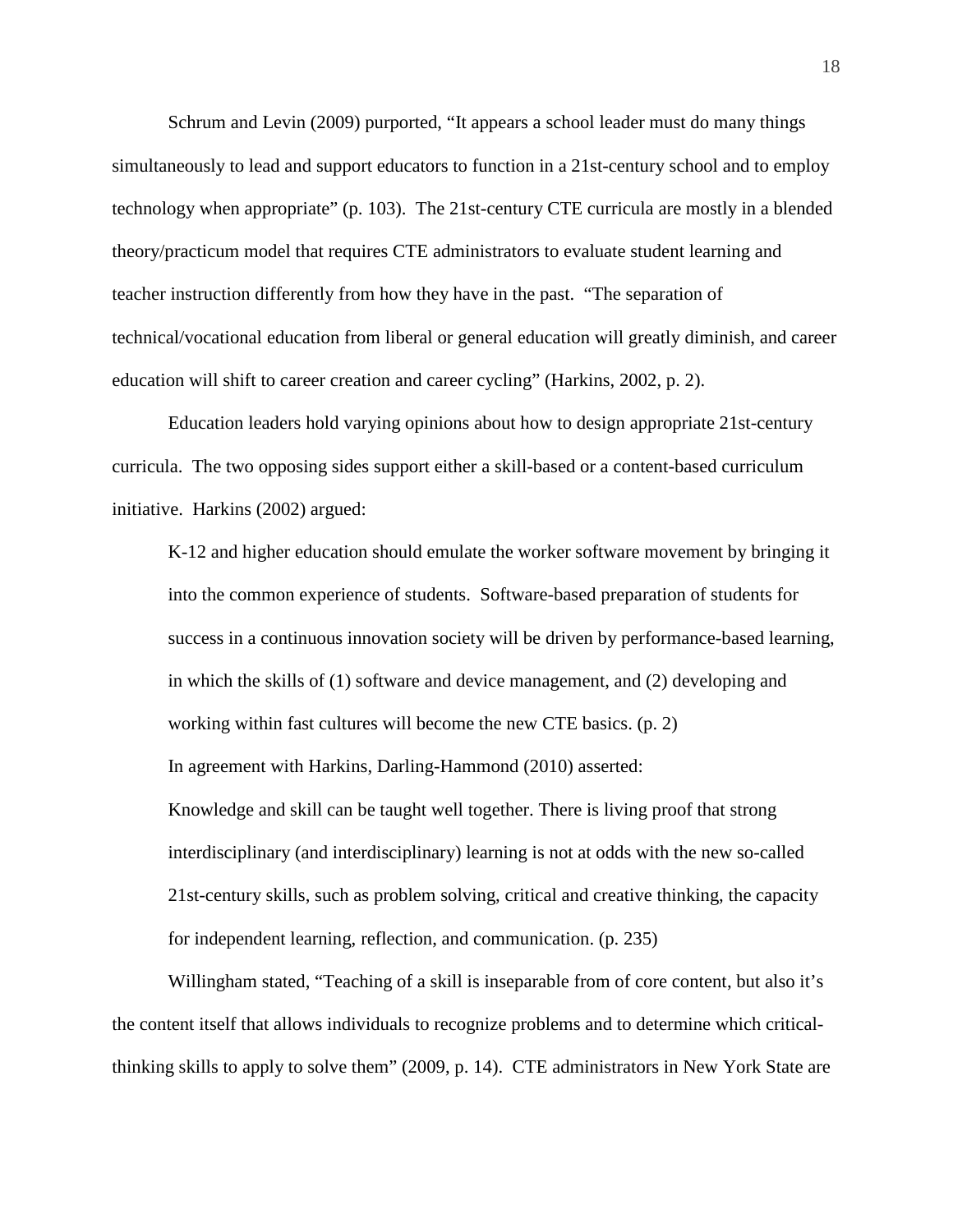Schrum and Levin (2009) purported, "It appears a school leader must do many things simultaneously to lead and support educators to function in a 21st-century school and to employ technology when appropriate" (p. 103). The 21st-century CTE curricula are mostly in a blended theory/practicum model that requires CTE administrators to evaluate student learning and teacher instruction differently from how they have in the past. "The separation of technical/vocational education from liberal or general education will greatly diminish, and career education will shift to career creation and career cycling" (Harkins, 2002, p. 2).

Education leaders hold varying opinions about how to design appropriate 21st-century curricula. The two opposing sides support either a skill-based or a content-based curriculum initiative. Harkins (2002) argued:

K-12 and higher education should emulate the worker software movement by bringing it into the common experience of students. Software-based preparation of students for success in a continuous innovation society will be driven by performance-based learning, in which the skills of (1) software and device management, and (2) developing and working within fast cultures will become the new CTE basics. (p. 2) In agreement with Harkins, Darling-Hammond (2010) asserted: Knowledge and skill can be taught well together. There is living proof that strong interdisciplinary (and interdisciplinary) learning is not at odds with the new so-called 21st-century skills, such as problem solving, critical and creative thinking, the capacity for independent learning, reflection, and communication. (p. 235)

Willingham stated, "Teaching of a skill is inseparable from of core content, but also it's the content itself that allows individuals to recognize problems and to determine which criticalthinking skills to apply to solve them" (2009, p. 14). CTE administrators in New York State are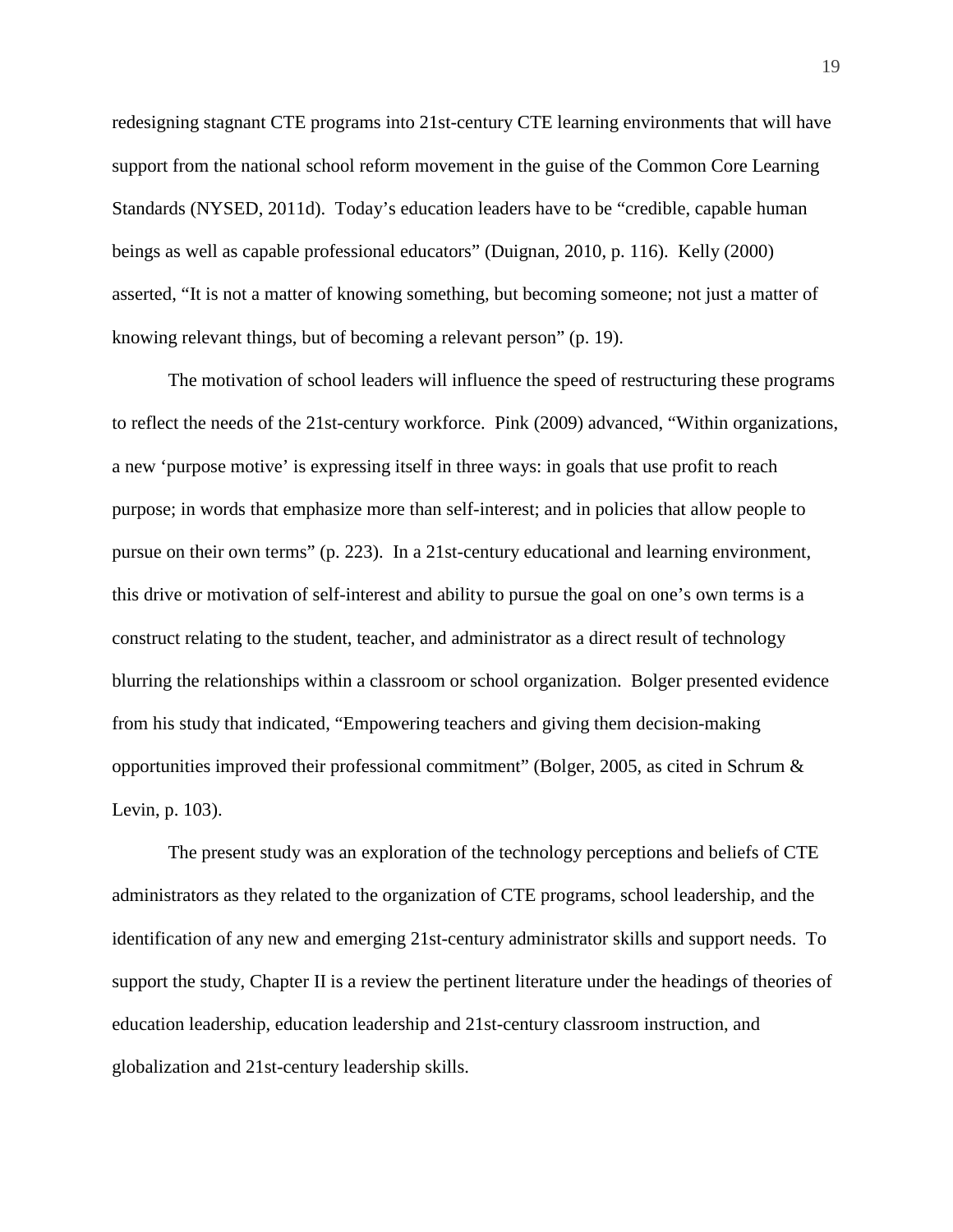redesigning stagnant CTE programs into 21st-century CTE learning environments that will have support from the national school reform movement in the guise of the Common Core Learning Standards (NYSED, 2011d). Today's education leaders have to be "credible, capable human beings as well as capable professional educators" (Duignan, 2010, p. 116). Kelly (2000) asserted, "It is not a matter of knowing something, but becoming someone; not just a matter of knowing relevant things, but of becoming a relevant person" (p. 19).

The motivation of school leaders will influence the speed of restructuring these programs to reflect the needs of the 21st-century workforce. Pink (2009) advanced, "Within organizations, a new 'purpose motive' is expressing itself in three ways: in goals that use profit to reach purpose; in words that emphasize more than self-interest; and in policies that allow people to pursue on their own terms" (p. 223). In a 21st-century educational and learning environment, this drive or motivation of self-interest and ability to pursue the goal on one's own terms is a construct relating to the student, teacher, and administrator as a direct result of technology blurring the relationships within a classroom or school organization. Bolger presented evidence from his study that indicated, "Empowering teachers and giving them decision-making opportunities improved their professional commitment" (Bolger, 2005, as cited in Schrum & Levin, p. 103).

The present study was an exploration of the technology perceptions and beliefs of CTE administrators as they related to the organization of CTE programs, school leadership, and the identification of any new and emerging 21st-century administrator skills and support needs. To support the study, Chapter II is a review the pertinent literature under the headings of theories of education leadership, education leadership and 21st-century classroom instruction, and globalization and 21st-century leadership skills.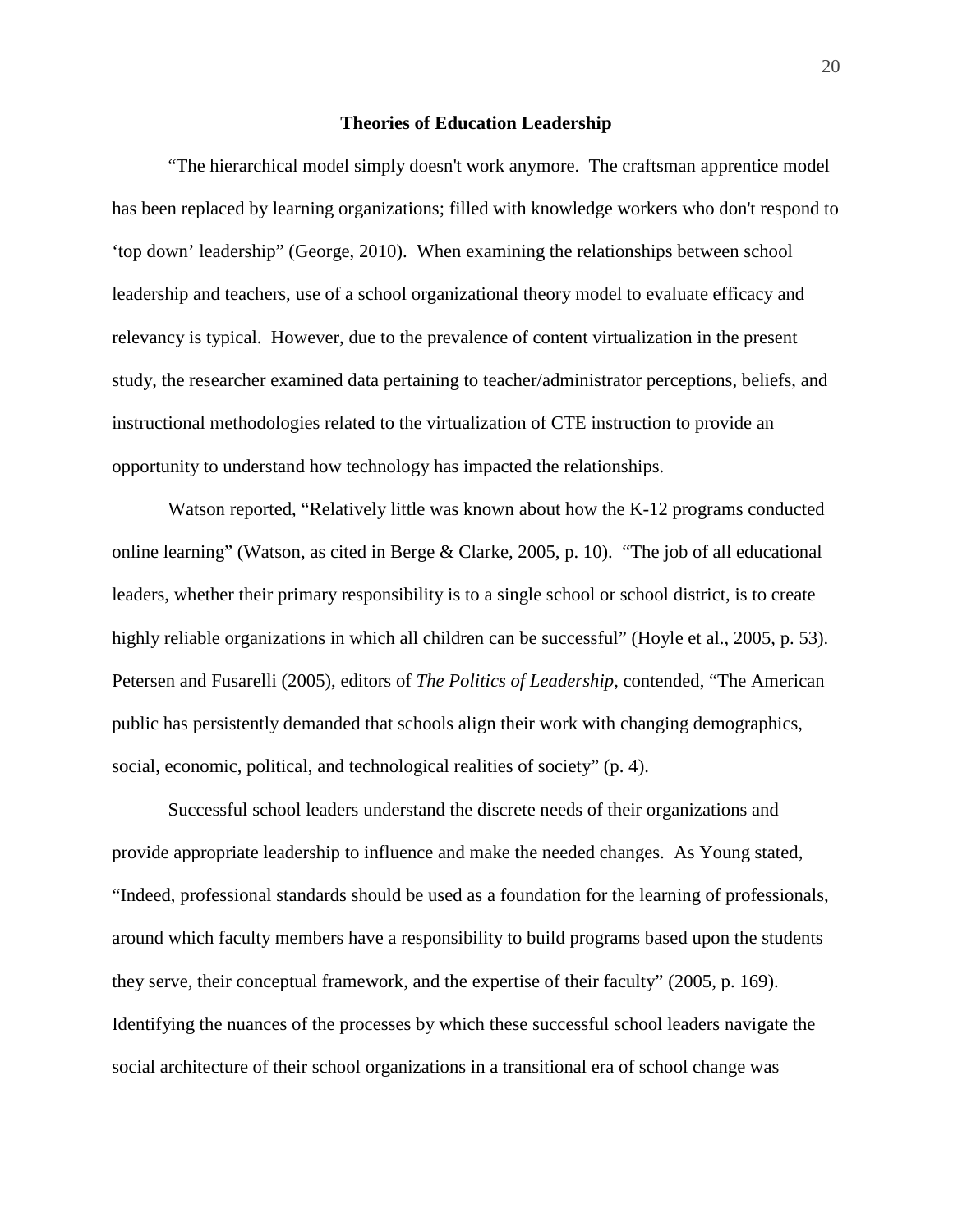#### **Theories of Education Leadership**

"The hierarchical model simply doesn't work anymore. The craftsman apprentice model has been replaced by learning organizations; filled with knowledge workers who don't respond to 'top down' leadership" (George, 2010). When examining the relationships between school leadership and teachers, use of a school organizational theory model to evaluate efficacy and relevancy is typical. However, due to the prevalence of content virtualization in the present study, the researcher examined data pertaining to teacher/administrator perceptions, beliefs, and instructional methodologies related to the virtualization of CTE instruction to provide an opportunity to understand how technology has impacted the relationships.

Watson reported, "Relatively little was known about how the K-12 programs conducted online learning" (Watson, as cited in Berge & Clarke, 2005, p. 10). "The job of all educational leaders, whether their primary responsibility is to a single school or school district, is to create highly reliable organizations in which all children can be successful" (Hoyle et al., 2005, p. 53). Petersen and Fusarelli (2005), editors of *The Politics of Leadership*, contended, "The American public has persistently demanded that schools align their work with changing demographics, social, economic, political, and technological realities of society" (p. 4).

Successful school leaders understand the discrete needs of their organizations and provide appropriate leadership to influence and make the needed changes. As Young stated, "Indeed, professional standards should be used as a foundation for the learning of professionals, around which faculty members have a responsibility to build programs based upon the students they serve, their conceptual framework, and the expertise of their faculty" (2005, p. 169). Identifying the nuances of the processes by which these successful school leaders navigate the social architecture of their school organizations in a transitional era of school change was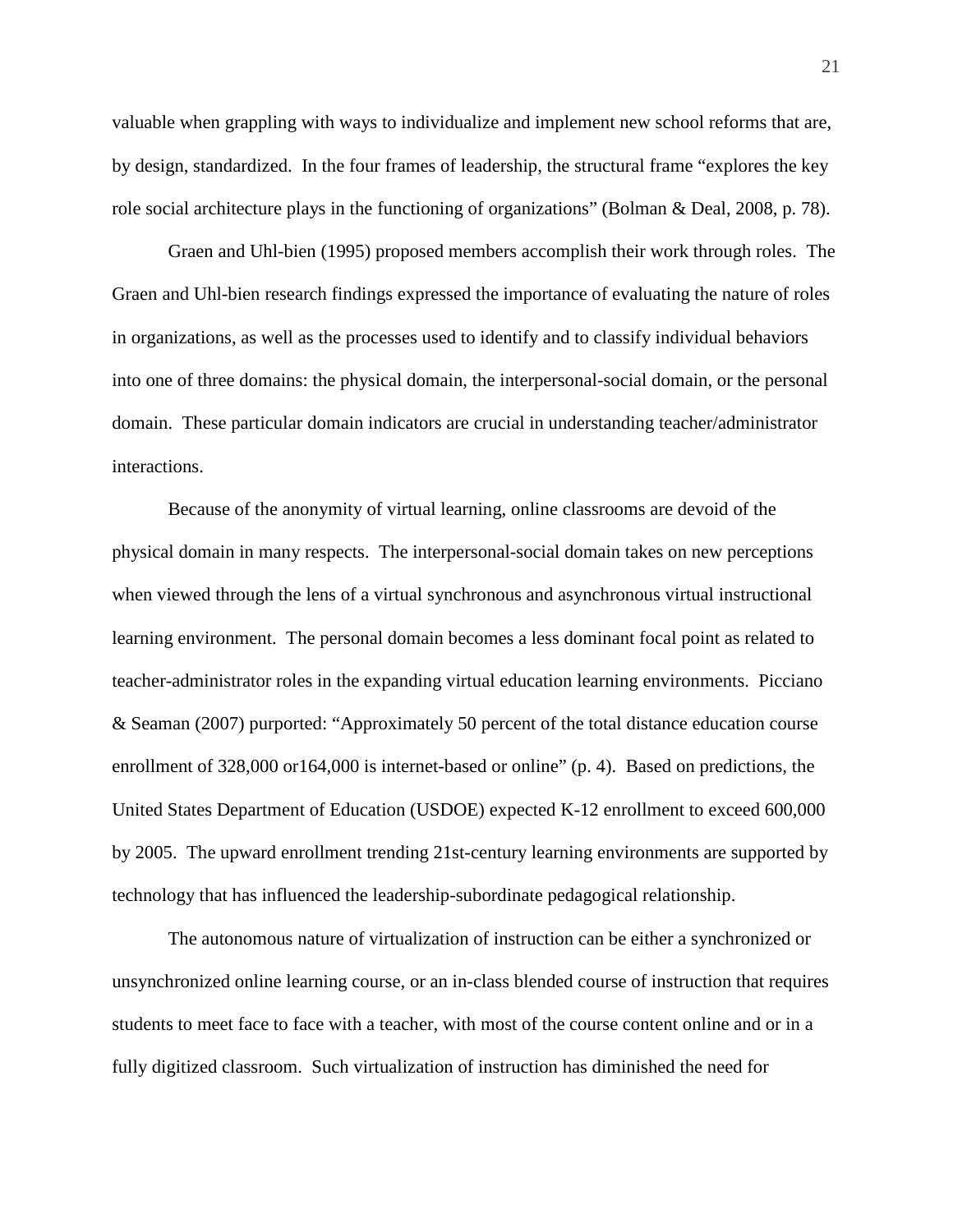valuable when grappling with ways to individualize and implement new school reforms that are, by design, standardized. In the four frames of leadership, the structural frame "explores the key role social architecture plays in the functioning of organizations" (Bolman & Deal, 2008, p. 78).

Graen and Uhl-bien (1995) proposed members accomplish their work through roles. The Graen and Uhl-bien research findings expressed the importance of evaluating the nature of roles in organizations, as well as the processes used to identify and to classify individual behaviors into one of three domains: the physical domain, the interpersonal-social domain, or the personal domain. These particular domain indicators are crucial in understanding teacher/administrator interactions.

Because of the anonymity of virtual learning, online classrooms are devoid of the physical domain in many respects. The interpersonal-social domain takes on new perceptions when viewed through the lens of a virtual synchronous and asynchronous virtual instructional learning environment. The personal domain becomes a less dominant focal point as related to teacher-administrator roles in the expanding virtual education learning environments. Picciano & Seaman (2007) purported: "Approximately 50 percent of the total distance education course enrollment of 328,000 or 164,000 is internet-based or online" (p. 4). Based on predictions, the United States Department of Education (USDOE) expected K-12 enrollment to exceed 600,000 by 2005. The upward enrollment trending 21st-century learning environments are supported by technology that has influenced the leadership-subordinate pedagogical relationship.

The autonomous nature of virtualization of instruction can be either a synchronized or unsynchronized online learning course, or an in-class blended course of instruction that requires students to meet face to face with a teacher, with most of the course content online and or in a fully digitized classroom. Such virtualization of instruction has diminished the need for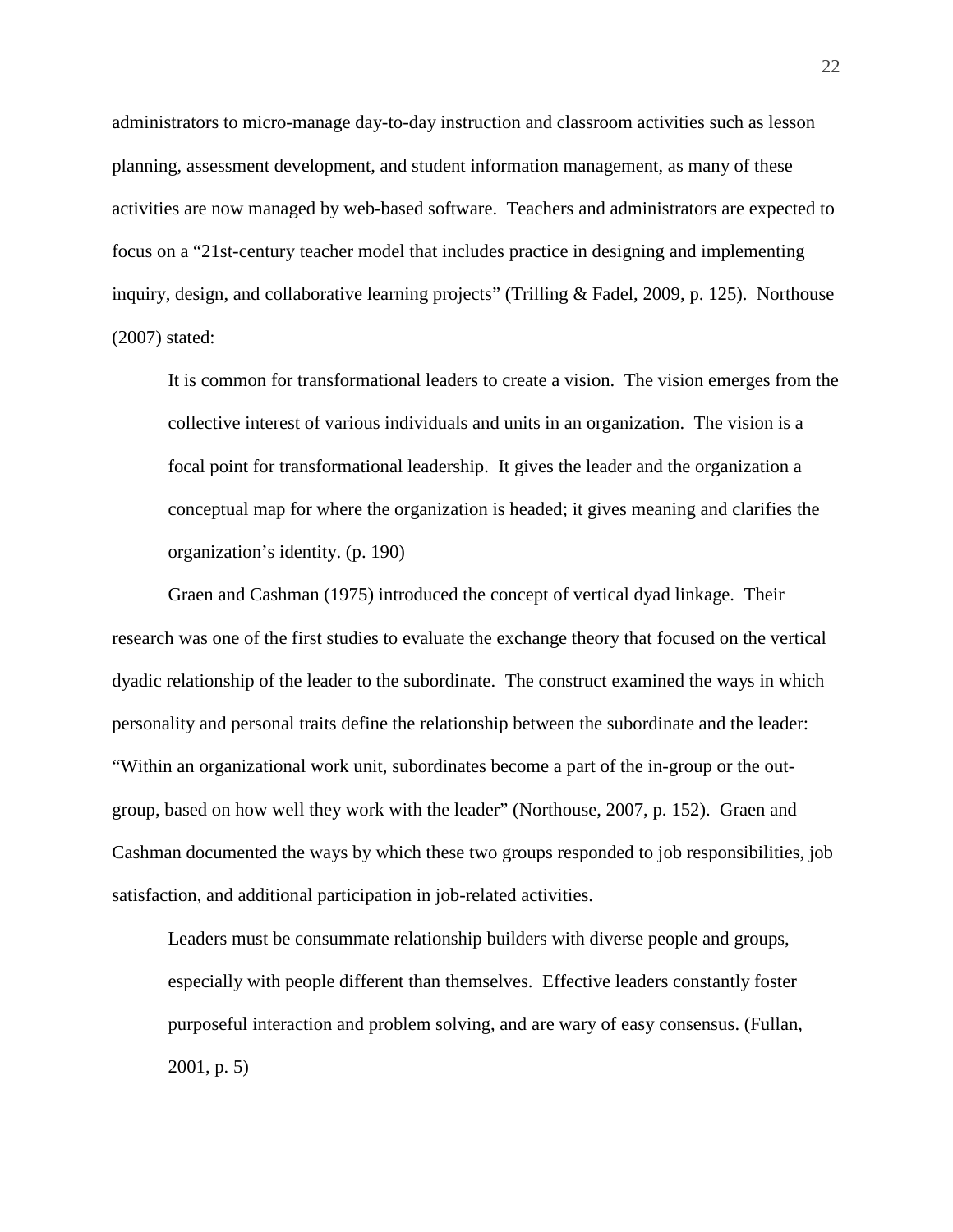administrators to micro-manage day-to-day instruction and classroom activities such as lesson planning, assessment development, and student information management, as many of these activities are now managed by web-based software. Teachers and administrators are expected to focus on a "21st-century teacher model that includes practice in designing and implementing inquiry, design, and collaborative learning projects" (Trilling & Fadel, 2009, p. 125). Northouse (2007) stated:

It is common for transformational leaders to create a vision. The vision emerges from the collective interest of various individuals and units in an organization. The vision is a focal point for transformational leadership. It gives the leader and the organization a conceptual map for where the organization is headed; it gives meaning and clarifies the organization's identity. (p. 190)

Graen and Cashman (1975) introduced the concept of vertical dyad linkage. Their research was one of the first studies to evaluate the exchange theory that focused on the vertical dyadic relationship of the leader to the subordinate. The construct examined the ways in which personality and personal traits define the relationship between the subordinate and the leader: "Within an organizational work unit, subordinates become a part of the in-group or the outgroup, based on how well they work with the leader" (Northouse, 2007, p. 152). Graen and Cashman documented the ways by which these two groups responded to job responsibilities, job satisfaction, and additional participation in job-related activities.

Leaders must be consummate relationship builders with diverse people and groups, especially with people different than themselves. Effective leaders constantly foster purposeful interaction and problem solving, and are wary of easy consensus. (Fullan, 2001, p. 5)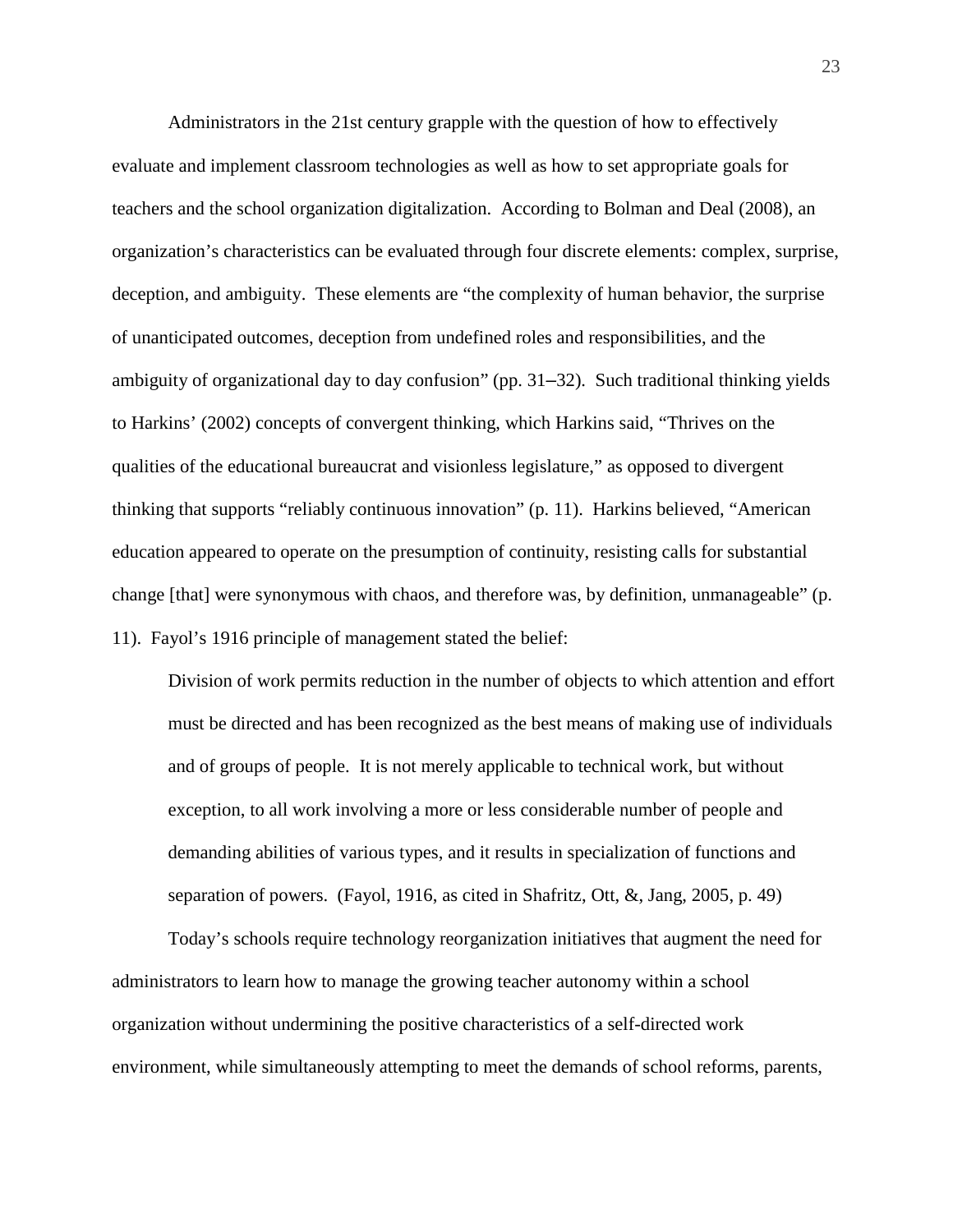Administrators in the 21st century grapple with the question of how to effectively evaluate and implement classroom technologies as well as how to set appropriate goals for teachers and the school organization digitalization. According to Bolman and Deal (2008), an organization's characteristics can be evaluated through four discrete elements: complex, surprise, deception, and ambiguity. These elements are "the complexity of human behavior, the surprise of unanticipated outcomes, deception from undefined roles and responsibilities, and the ambiguity of organizational day to day confusion" (pp. 31–32). Such traditional thinking yields to Harkins' (2002) concepts of convergent thinking, which Harkins said, "Thrives on the qualities of the educational bureaucrat and visionless legislature," as opposed to divergent thinking that supports "reliably continuous innovation" (p. 11). Harkins believed, "American education appeared to operate on the presumption of continuity, resisting calls for substantial change [that] were synonymous with chaos, and therefore was, by definition, unmanageable" (p. 11). Fayol's 1916 principle of management stated the belief:

Division of work permits reduction in the number of objects to which attention and effort must be directed and has been recognized as the best means of making use of individuals and of groups of people. It is not merely applicable to technical work, but without exception, to all work involving a more or less considerable number of people and demanding abilities of various types, and it results in specialization of functions and separation of powers. (Fayol, 1916, as cited in Shafritz, Ott, &, Jang, 2005, p. 49)

Today's schools require technology reorganization initiatives that augment the need for administrators to learn how to manage the growing teacher autonomy within a school organization without undermining the positive characteristics of a self-directed work environment, while simultaneously attempting to meet the demands of school reforms, parents,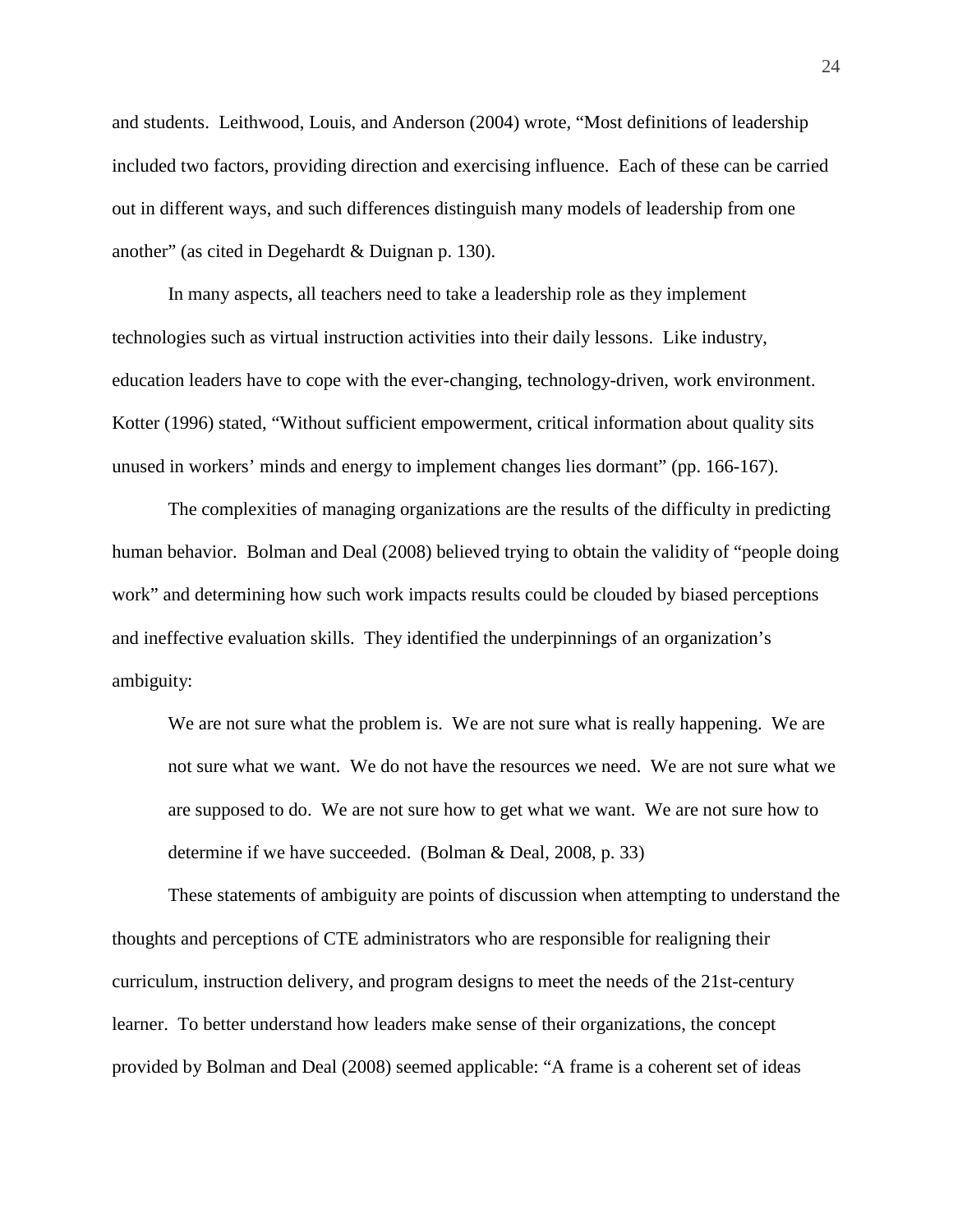and students. Leithwood, Louis, and Anderson (2004) wrote, "Most definitions of leadership included two factors, providing direction and exercising influence. Each of these can be carried out in different ways, and such differences distinguish many models of leadership from one another" (as cited in Degehardt & Duignan p. 130).

In many aspects, all teachers need to take a leadership role as they implement technologies such as virtual instruction activities into their daily lessons. Like industry, education leaders have to cope with the ever-changing, technology-driven, work environment. Kotter (1996) stated, "Without sufficient empowerment, critical information about quality sits unused in workers' minds and energy to implement changes lies dormant" (pp. 166-167).

The complexities of managing organizations are the results of the difficulty in predicting human behavior. Bolman and Deal (2008) believed trying to obtain the validity of "people doing work" and determining how such work impacts results could be clouded by biased perceptions and ineffective evaluation skills. They identified the underpinnings of an organization's ambiguity:

We are not sure what the problem is. We are not sure what is really happening. We are not sure what we want. We do not have the resources we need. We are not sure what we are supposed to do. We are not sure how to get what we want. We are not sure how to determine if we have succeeded. (Bolman & Deal, 2008, p. 33)

These statements of ambiguity are points of discussion when attempting to understand the thoughts and perceptions of CTE administrators who are responsible for realigning their curriculum, instruction delivery, and program designs to meet the needs of the 21st-century learner. To better understand how leaders make sense of their organizations, the concept provided by Bolman and Deal (2008) seemed applicable: "A frame is a coherent set of ideas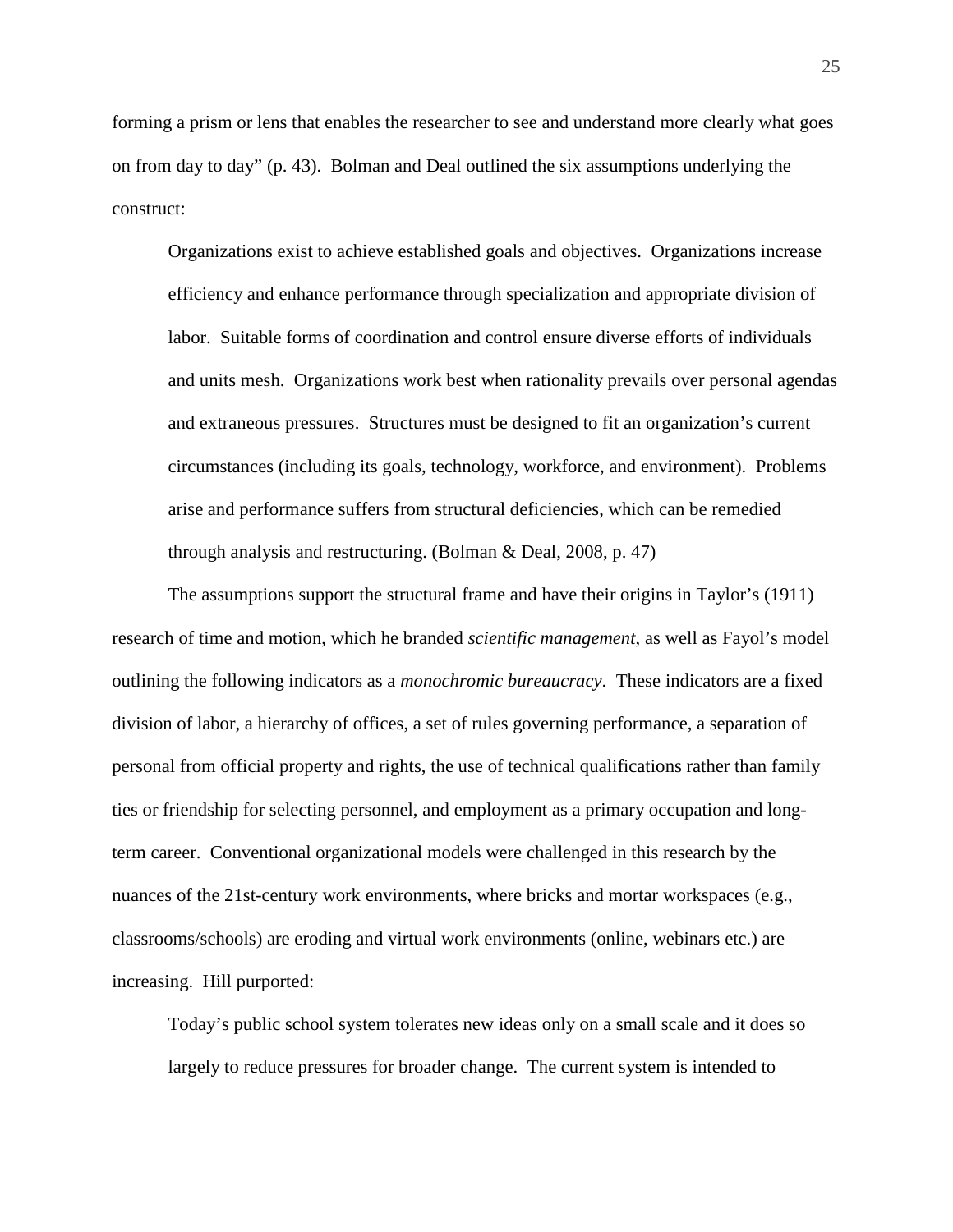forming a prism or lens that enables the researcher to see and understand more clearly what goes on from day to day" (p. 43). Bolman and Deal outlined the six assumptions underlying the construct:

Organizations exist to achieve established goals and objectives. Organizations increase efficiency and enhance performance through specialization and appropriate division of labor. Suitable forms of coordination and control ensure diverse efforts of individuals and units mesh. Organizations work best when rationality prevails over personal agendas and extraneous pressures. Structures must be designed to fit an organization's current circumstances (including its goals, technology, workforce, and environment). Problems arise and performance suffers from structural deficiencies, which can be remedied through analysis and restructuring. (Bolman & Deal, 2008, p. 47)

The assumptions support the structural frame and have their origins in Taylor's (1911) research of time and motion, which he branded *scientific management*, as well as Fayol's model outlining the following indicators as a *monochromic bureaucracy*. These indicators are a fixed division of labor, a hierarchy of offices, a set of rules governing performance, a separation of personal from official property and rights, the use of technical qualifications rather than family ties or friendship for selecting personnel, and employment as a primary occupation and longterm career. Conventional organizational models were challenged in this research by the nuances of the 21st-century work environments, where bricks and mortar workspaces (e.g., classrooms/schools) are eroding and virtual work environments (online, webinars etc.) are increasing. Hill purported:

Today's public school system tolerates new ideas only on a small scale and it does so largely to reduce pressures for broader change. The current system is intended to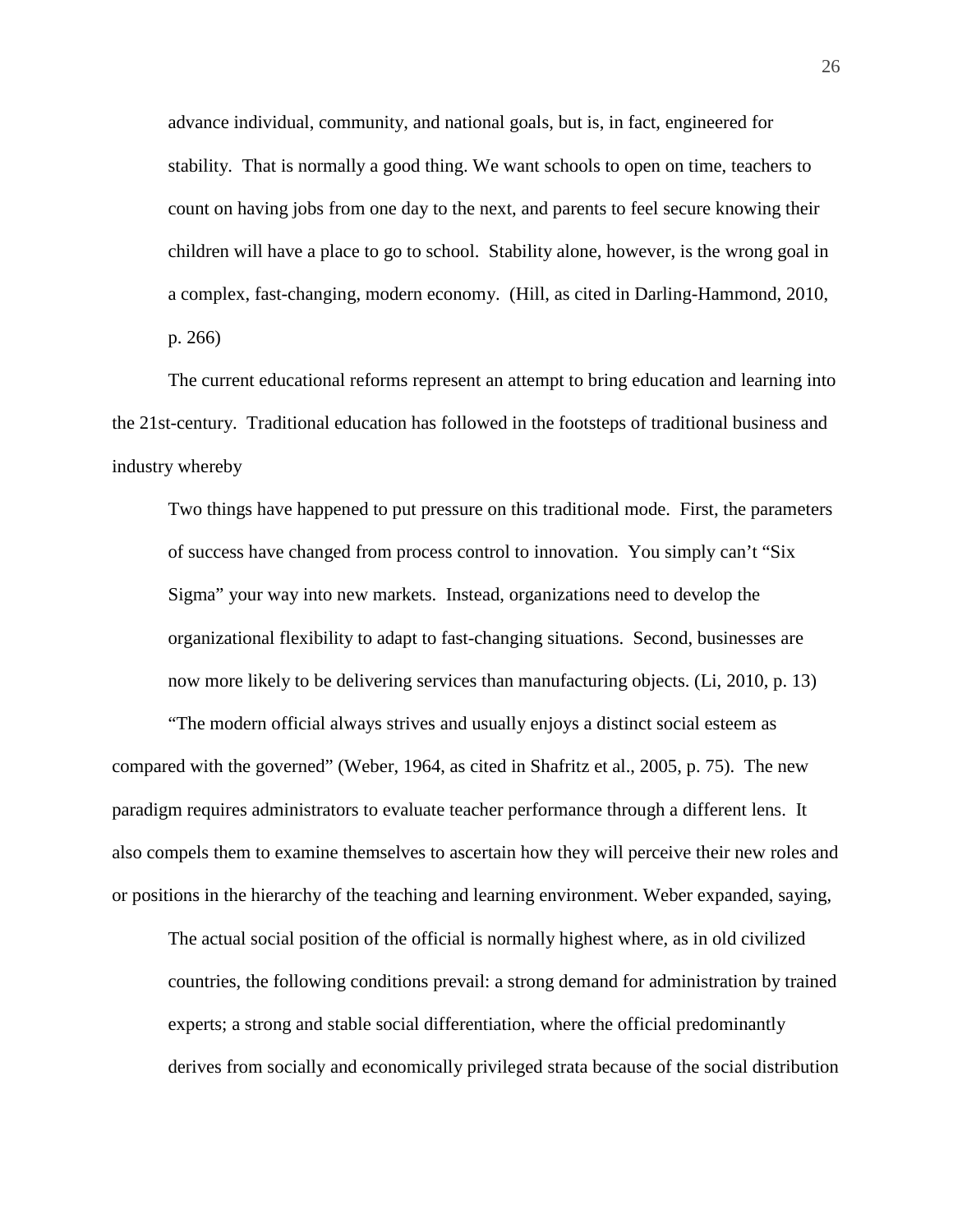advance individual, community, and national goals, but is, in fact, engineered for stability. That is normally a good thing. We want schools to open on time, teachers to count on having jobs from one day to the next, and parents to feel secure knowing their children will have a place to go to school. Stability alone, however, is the wrong goal in a complex, fast-changing, modern economy. (Hill, as cited in Darling-Hammond, 2010, p. 266)

The current educational reforms represent an attempt to bring education and learning into the 21st-century. Traditional education has followed in the footsteps of traditional business and industry whereby

Two things have happened to put pressure on this traditional mode. First, the parameters of success have changed from process control to innovation. You simply can't "Six Sigma" your way into new markets. Instead, organizations need to develop the organizational flexibility to adapt to fast-changing situations. Second, businesses are now more likely to be delivering services than manufacturing objects. (Li, 2010, p. 13)

"The modern official always strives and usually enjoys a distinct social esteem as compared with the governed" (Weber, 1964, as cited in Shafritz et al., 2005, p. 75). The new paradigm requires administrators to evaluate teacher performance through a different lens. It also compels them to examine themselves to ascertain how they will perceive their new roles and or positions in the hierarchy of the teaching and learning environment. Weber expanded, saying,

The actual social position of the official is normally highest where, as in old civilized countries, the following conditions prevail: a strong demand for administration by trained experts; a strong and stable social differentiation, where the official predominantly derives from socially and economically privileged strata because of the social distribution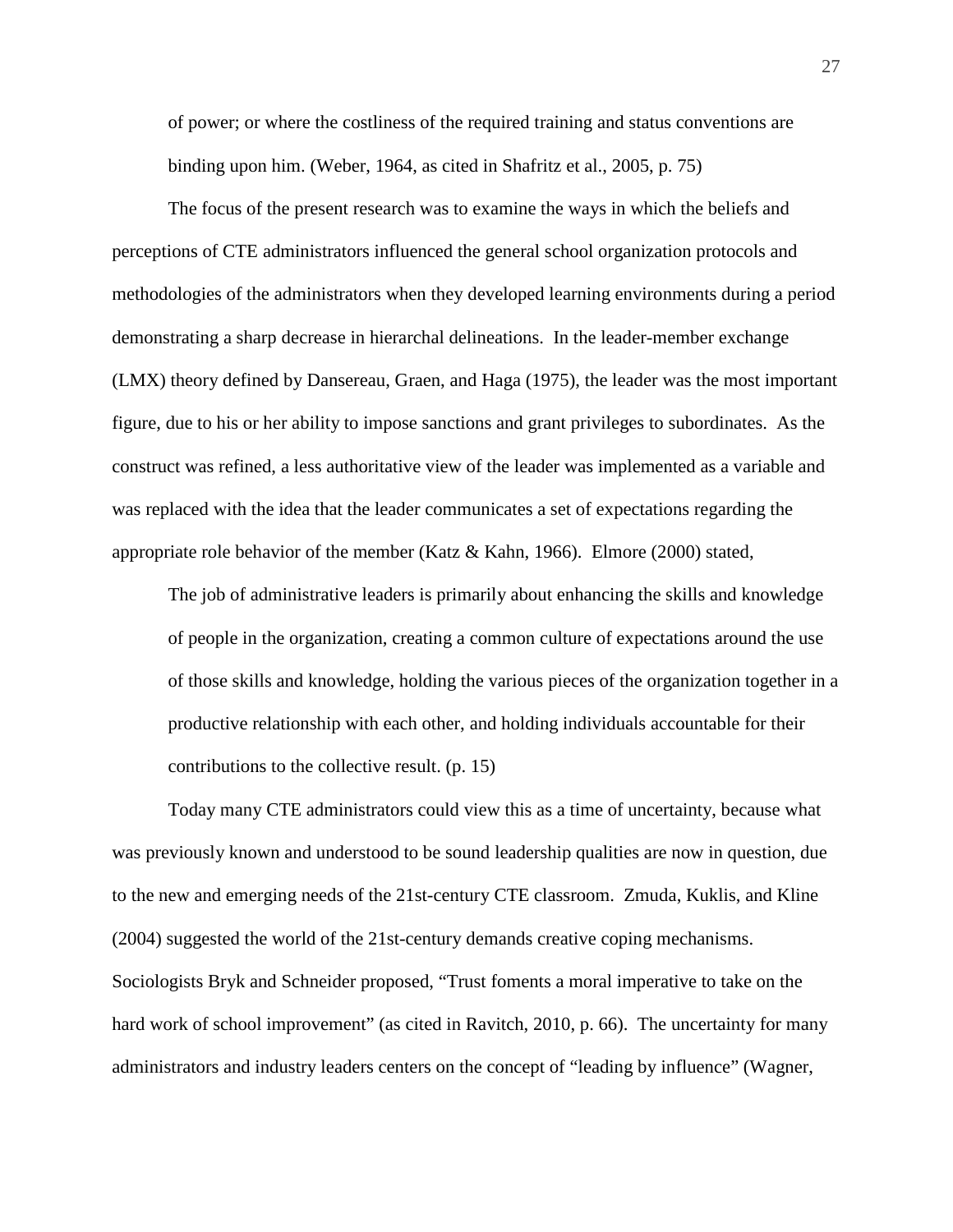of power; or where the costliness of the required training and status conventions are binding upon him. (Weber, 1964, as cited in Shafritz et al., 2005, p. 75)

The focus of the present research was to examine the ways in which the beliefs and perceptions of CTE administrators influenced the general school organization protocols and methodologies of the administrators when they developed learning environments during a period demonstrating a sharp decrease in hierarchal delineations. In the leader-member exchange (LMX) theory defined by Dansereau, Graen, and Haga (1975), the leader was the most important figure, due to his or her ability to impose sanctions and grant privileges to subordinates. As the construct was refined, a less authoritative view of the leader was implemented as a variable and was replaced with the idea that the leader communicates a set of expectations regarding the appropriate role behavior of the member (Katz & Kahn, 1966). Elmore (2000) stated,

The job of administrative leaders is primarily about enhancing the skills and knowledge of people in the organization, creating a common culture of expectations around the use of those skills and knowledge, holding the various pieces of the organization together in a productive relationship with each other, and holding individuals accountable for their contributions to the collective result. (p. 15)

Today many CTE administrators could view this as a time of uncertainty, because what was previously known and understood to be sound leadership qualities are now in question, due to the new and emerging needs of the 21st-century CTE classroom. Zmuda, Kuklis, and Kline (2004) suggested the world of the 21st-century demands creative coping mechanisms. Sociologists Bryk and Schneider proposed, "Trust foments a moral imperative to take on the hard work of school improvement" (as cited in Ravitch, 2010, p. 66). The uncertainty for many administrators and industry leaders centers on the concept of "leading by influence" (Wagner,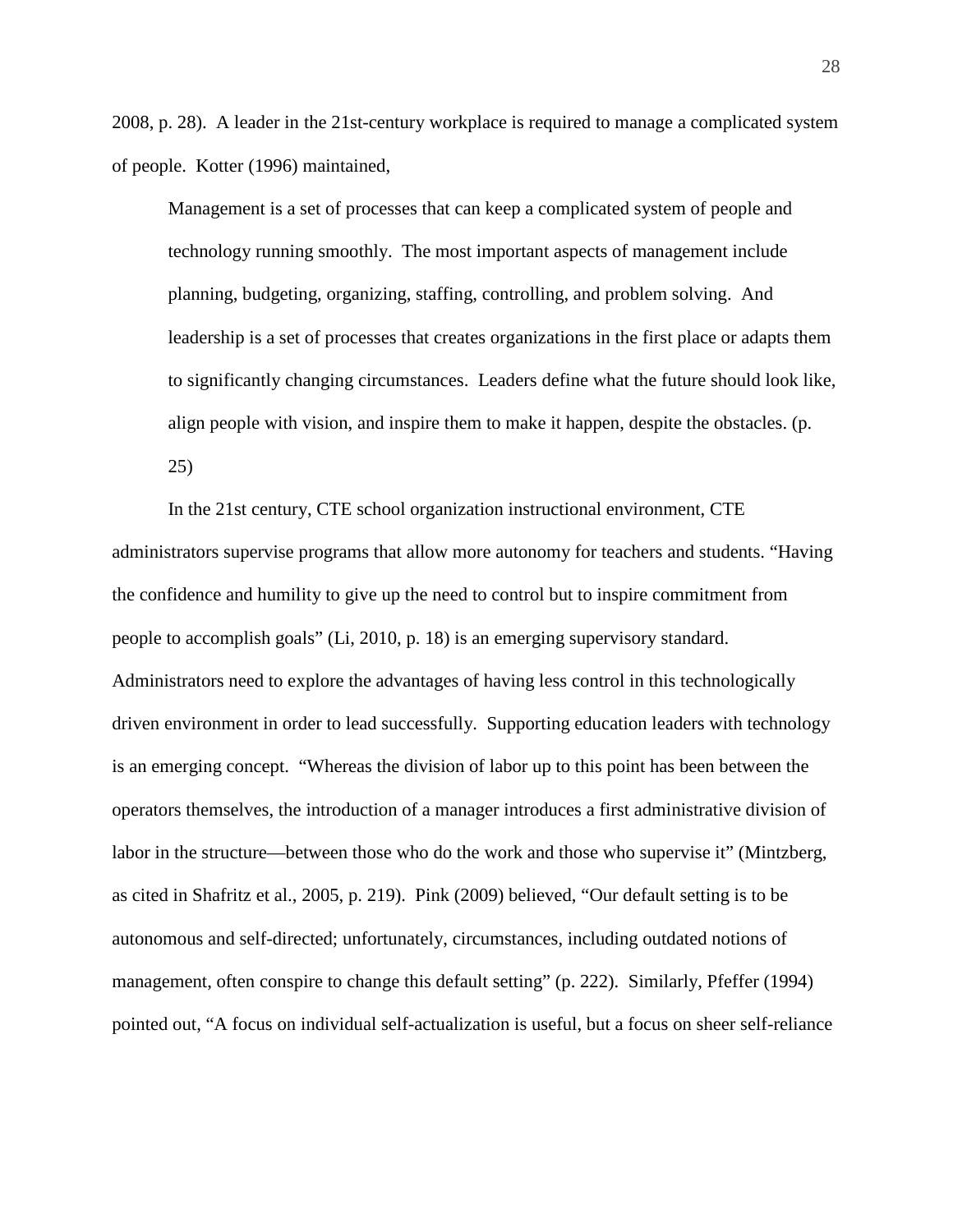2008, p. 28). A leader in the 21st-century workplace is required to manage a complicated system of people. Kotter (1996) maintained,

Management is a set of processes that can keep a complicated system of people and technology running smoothly. The most important aspects of management include planning, budgeting, organizing, staffing, controlling, and problem solving. And leadership is a set of processes that creates organizations in the first place or adapts them to significantly changing circumstances. Leaders define what the future should look like, align people with vision, and inspire them to make it happen, despite the obstacles. (p. 25)

In the 21st century, CTE school organization instructional environment, CTE administrators supervise programs that allow more autonomy for teachers and students. "Having the confidence and humility to give up the need to control but to inspire commitment from people to accomplish goals" (Li, 2010, p. 18) is an emerging supervisory standard. Administrators need to explore the advantages of having less control in this technologically driven environment in order to lead successfully. Supporting education leaders with technology is an emerging concept. "Whereas the division of labor up to this point has been between the operators themselves, the introduction of a manager introduces a first administrative division of labor in the structure—between those who do the work and those who supervise it" (Mintzberg, as cited in Shafritz et al., 2005, p. 219). Pink (2009) believed, "Our default setting is to be autonomous and self-directed; unfortunately, circumstances, including outdated notions of management, often conspire to change this default setting" (p. 222). Similarly, Pfeffer (1994) pointed out, "A focus on individual self-actualization is useful, but a focus on sheer self-reliance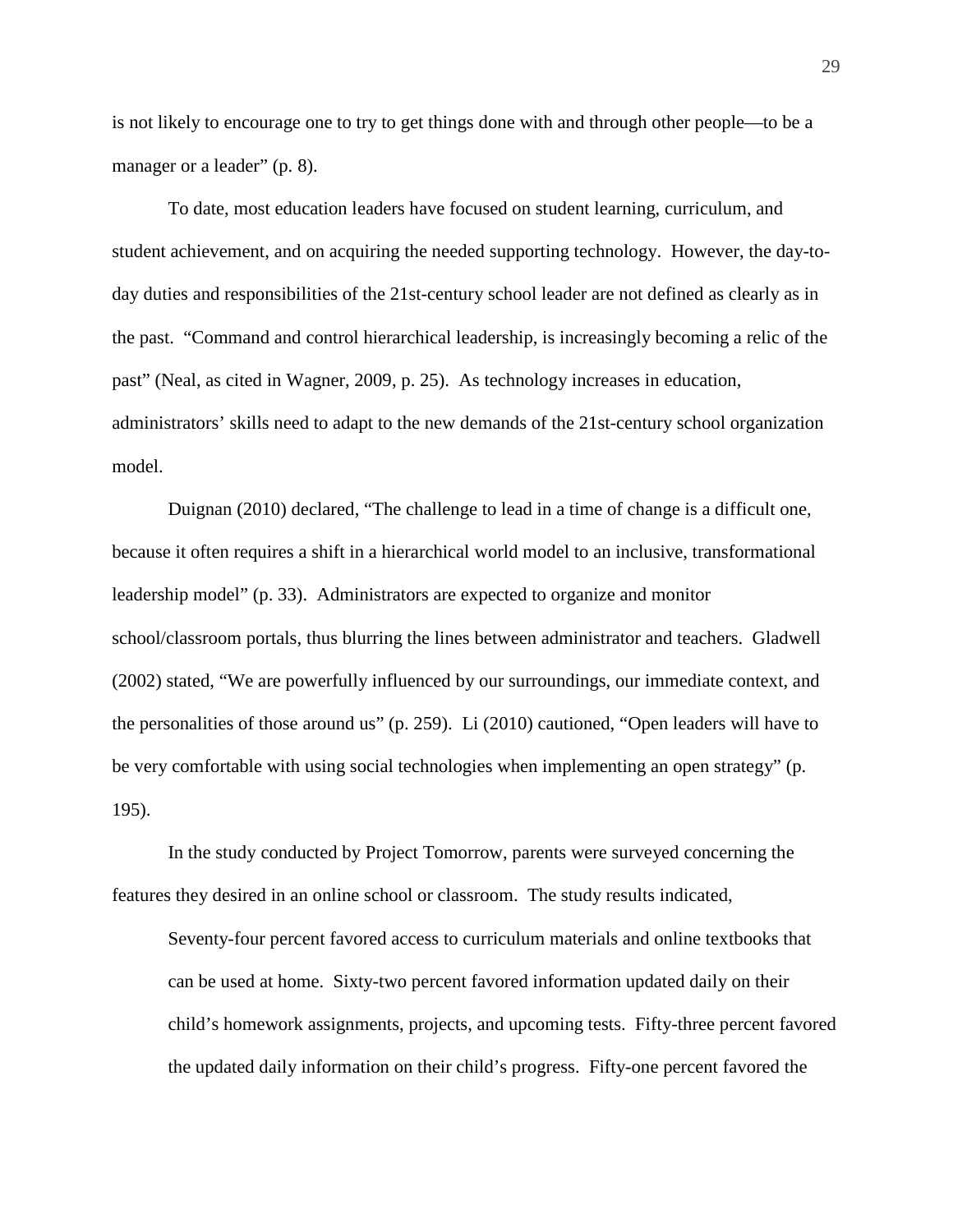is not likely to encourage one to try to get things done with and through other people—to be a manager or a leader" (p. 8).

To date, most education leaders have focused on student learning, curriculum, and student achievement, and on acquiring the needed supporting technology. However, the day-today duties and responsibilities of the 21st-century school leader are not defined as clearly as in the past. "Command and control hierarchical leadership, is increasingly becoming a relic of the past" (Neal, as cited in Wagner, 2009, p. 25). As technology increases in education, administrators' skills need to adapt to the new demands of the 21st-century school organization model.

Duignan (2010) declared, "The challenge to lead in a time of change is a difficult one, because it often requires a shift in a hierarchical world model to an inclusive, transformational leadership model" (p. 33). Administrators are expected to organize and monitor school/classroom portals, thus blurring the lines between administrator and teachers. Gladwell (2002) stated, "We are powerfully influenced by our surroundings, our immediate context, and the personalities of those around us" (p. 259). Li (2010) cautioned, "Open leaders will have to be very comfortable with using social technologies when implementing an open strategy" (p. 195).

In the study conducted by Project Tomorrow, parents were surveyed concerning the features they desired in an online school or classroom. The study results indicated,

Seventy-four percent favored access to curriculum materials and online textbooks that can be used at home. Sixty-two percent favored information updated daily on their child's homework assignments, projects, and upcoming tests. Fifty-three percent favored the updated daily information on their child's progress. Fifty-one percent favored the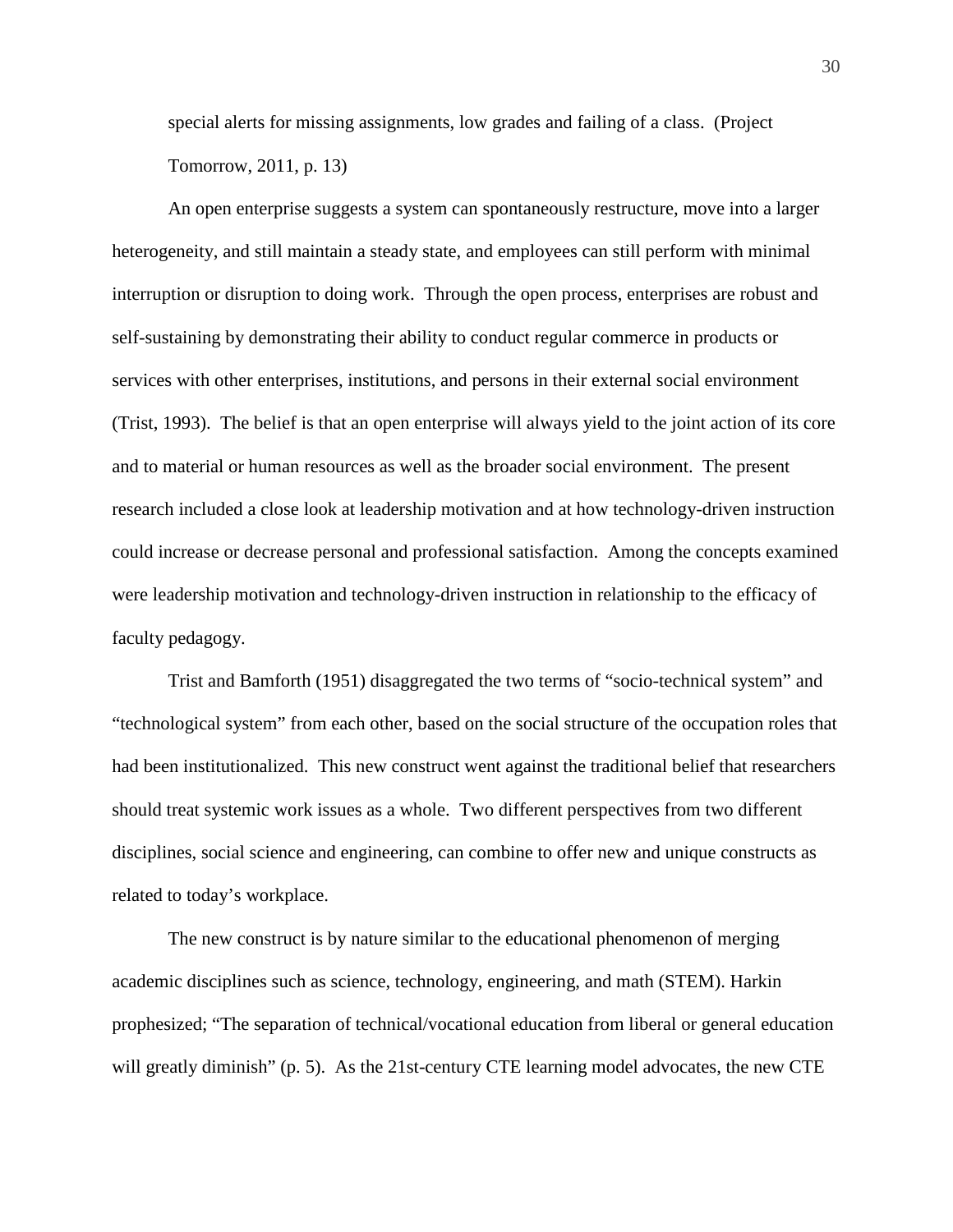special alerts for missing assignments, low grades and failing of a class. (Project Tomorrow, 2011, p. 13)

An open enterprise suggests a system can spontaneously restructure, move into a larger heterogeneity, and still maintain a steady state, and employees can still perform with minimal interruption or disruption to doing work. Through the open process, enterprises are robust and self-sustaining by demonstrating their ability to conduct regular commerce in products or services with other enterprises, institutions, and persons in their external social environment (Trist, 1993). The belief is that an open enterprise will always yield to the joint action of its core and to material or human resources as well as the broader social environment. The present research included a close look at leadership motivation and at how technology-driven instruction could increase or decrease personal and professional satisfaction. Among the concepts examined were leadership motivation and technology-driven instruction in relationship to the efficacy of faculty pedagogy.

Trist and Bamforth (1951) disaggregated the two terms of "socio-technical system" and "technological system" from each other, based on the social structure of the occupation roles that had been institutionalized. This new construct went against the traditional belief that researchers should treat systemic work issues as a whole. Two different perspectives from two different disciplines, social science and engineering, can combine to offer new and unique constructs as related to today's workplace.

The new construct is by nature similar to the educational phenomenon of merging academic disciplines such as science, technology, engineering, and math (STEM). Harkin prophesized; "The separation of technical/vocational education from liberal or general education will greatly diminish" (p. 5). As the 21st-century CTE learning model advocates, the new CTE

30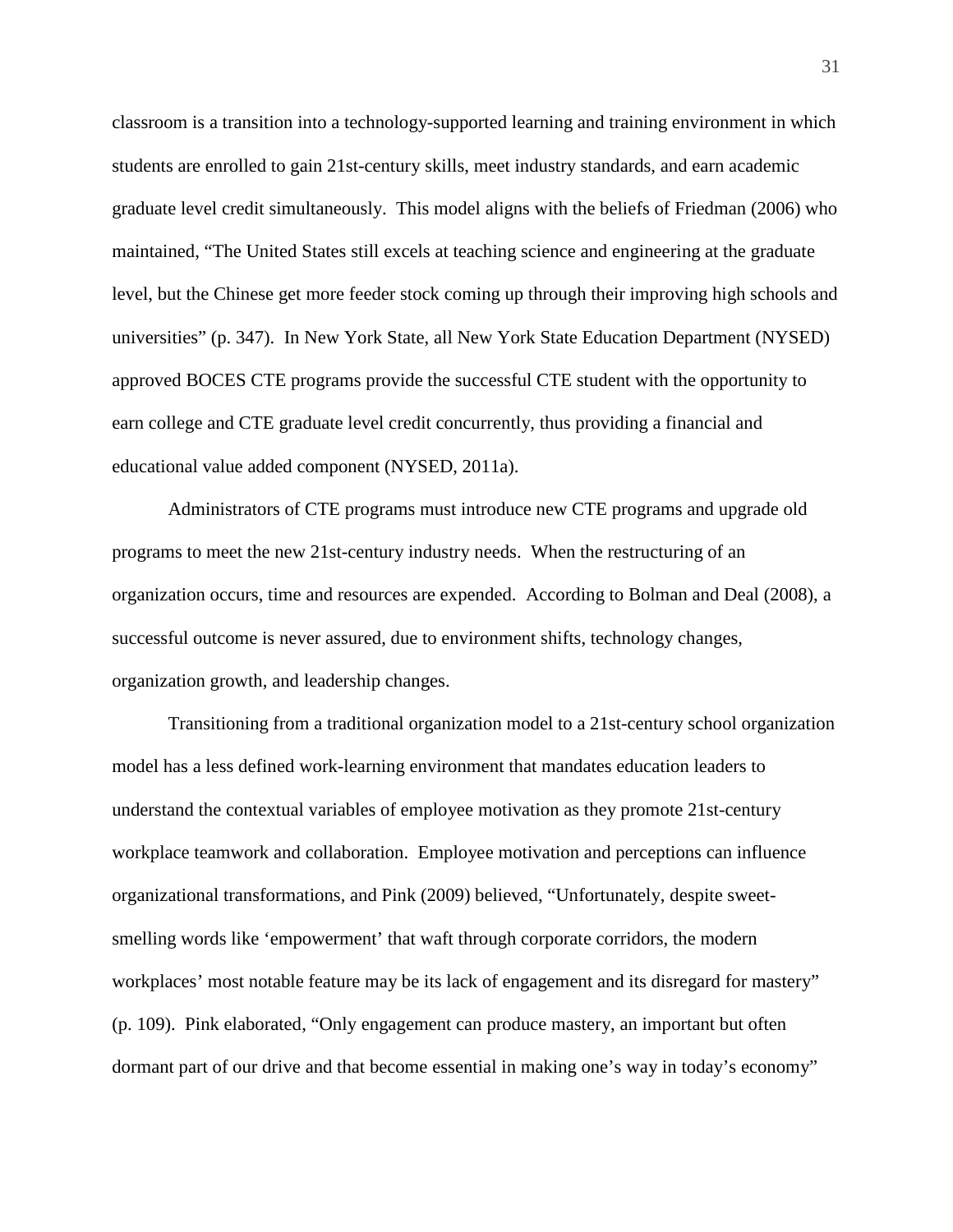classroom is a transition into a technology-supported learning and training environment in which students are enrolled to gain 21st-century skills, meet industry standards, and earn academic graduate level credit simultaneously. This model aligns with the beliefs of Friedman (2006) who maintained, "The United States still excels at teaching science and engineering at the graduate level, but the Chinese get more feeder stock coming up through their improving high schools and universities" (p. 347). In New York State, all New York State Education Department (NYSED) approved BOCES CTE programs provide the successful CTE student with the opportunity to earn college and CTE graduate level credit concurrently, thus providing a financial and educational value added component (NYSED, 2011a).

Administrators of CTE programs must introduce new CTE programs and upgrade old programs to meet the new 21st-century industry needs. When the restructuring of an organization occurs, time and resources are expended. According to Bolman and Deal (2008), a successful outcome is never assured, due to environment shifts, technology changes, organization growth, and leadership changes.

Transitioning from a traditional organization model to a 21st-century school organization model has a less defined work-learning environment that mandates education leaders to understand the contextual variables of employee motivation as they promote 21st-century workplace teamwork and collaboration. Employee motivation and perceptions can influence organizational transformations, and Pink (2009) believed, "Unfortunately, despite sweetsmelling words like 'empowerment' that waft through corporate corridors, the modern workplaces' most notable feature may be its lack of engagement and its disregard for mastery" (p. 109). Pink elaborated, "Only engagement can produce mastery, an important but often dormant part of our drive and that become essential in making one's way in today's economy"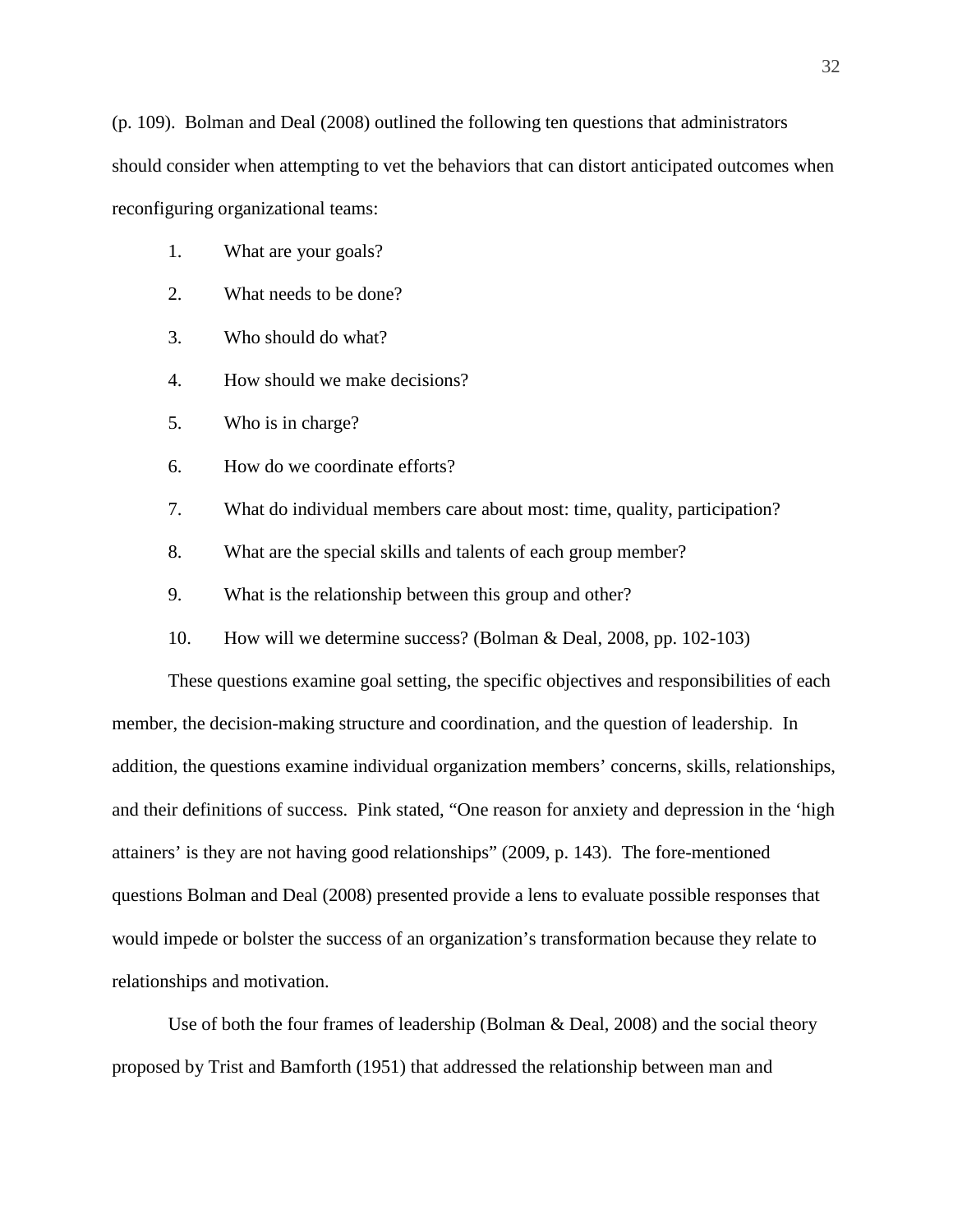(p. 109). Bolman and Deal (2008) outlined the following ten questions that administrators should consider when attempting to vet the behaviors that can distort anticipated outcomes when reconfiguring organizational teams:

- 1. What are your goals?
- 2. What needs to be done?
- 3. Who should do what?
- 4. How should we make decisions?
- 5. Who is in charge?
- 6. How do we coordinate efforts?
- 7. What do individual members care about most: time, quality, participation?
- 8. What are the special skills and talents of each group member?
- 9. What is the relationship between this group and other?
- 10. How will we determine success? (Bolman & Deal, 2008, pp. 102-103)

These questions examine goal setting, the specific objectives and responsibilities of each member, the decision-making structure and coordination, and the question of leadership. In addition, the questions examine individual organization members' concerns, skills, relationships, and their definitions of success. Pink stated, "One reason for anxiety and depression in the 'high attainers' is they are not having good relationships" (2009, p. 143). The fore-mentioned questions Bolman and Deal (2008) presented provide a lens to evaluate possible responses that would impede or bolster the success of an organization's transformation because they relate to relationships and motivation.

Use of both the four frames of leadership (Bolman & Deal, 2008) and the social theory proposed by Trist and Bamforth (1951) that addressed the relationship between man and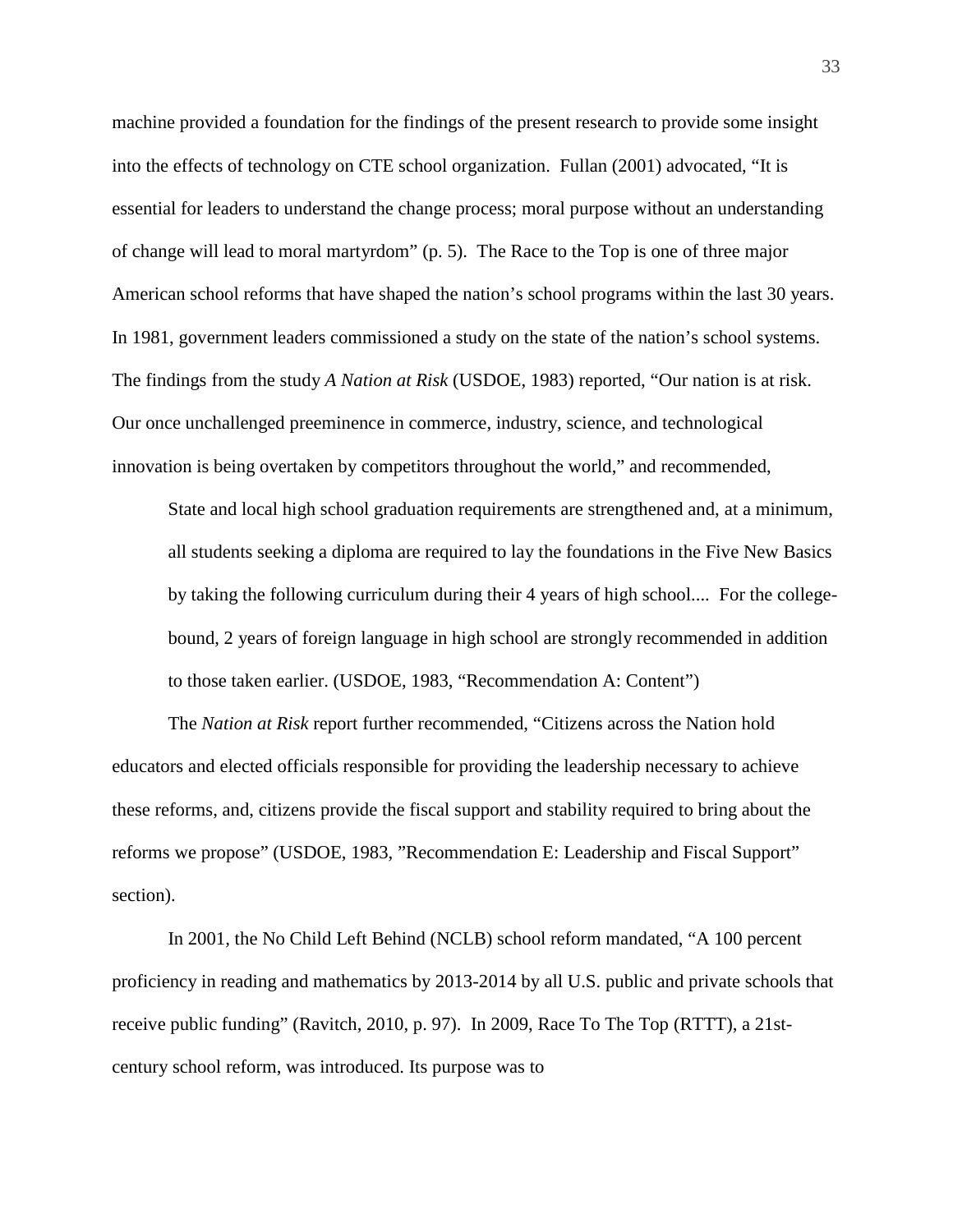machine provided a foundation for the findings of the present research to provide some insight into the effects of technology on CTE school organization. Fullan (2001) advocated, "It is essential for leaders to understand the change process; moral purpose without an understanding of change will lead to moral martyrdom" (p. 5). The Race to the Top is one of three major American school reforms that have shaped the nation's school programs within the last 30 years. In 1981, government leaders commissioned a study on the state of the nation's school systems. The findings from the study *A Nation at Risk* (USDOE, 1983) reported, "Our nation is at risk. Our once unchallenged preeminence in commerce, industry, science, and technological innovation is being overtaken by competitors throughout the world," and recommended,

State and local high school graduation requirements are strengthened and, at a minimum, all students seeking a diploma are required to lay the foundations in the Five New Basics by taking the following curriculum during their 4 years of high school.... For the collegebound, 2 years of foreign language in high school are strongly recommended in addition to those taken earlier. (USDOE, 1983, "Recommendation A: Content")

The *Nation at Risk* report further recommended, "Citizens across the Nation hold educators and elected officials responsible for providing the leadership necessary to achieve these reforms, and, citizens provide the fiscal support and stability required to bring about the reforms we propose" (USDOE, 1983, "Recommendation E: Leadership and Fiscal Support" section).

In 2001*,* the No Child Left Behind (NCLB) school reform mandated, "A 100 percent proficiency in reading and mathematics by 2013-2014 by all U.S. public and private schools that receive public funding" (Ravitch, 2010, p. 97). In 2009, Race To The Top (RTTT), a 21stcentury school reform, was introduced. Its purpose was to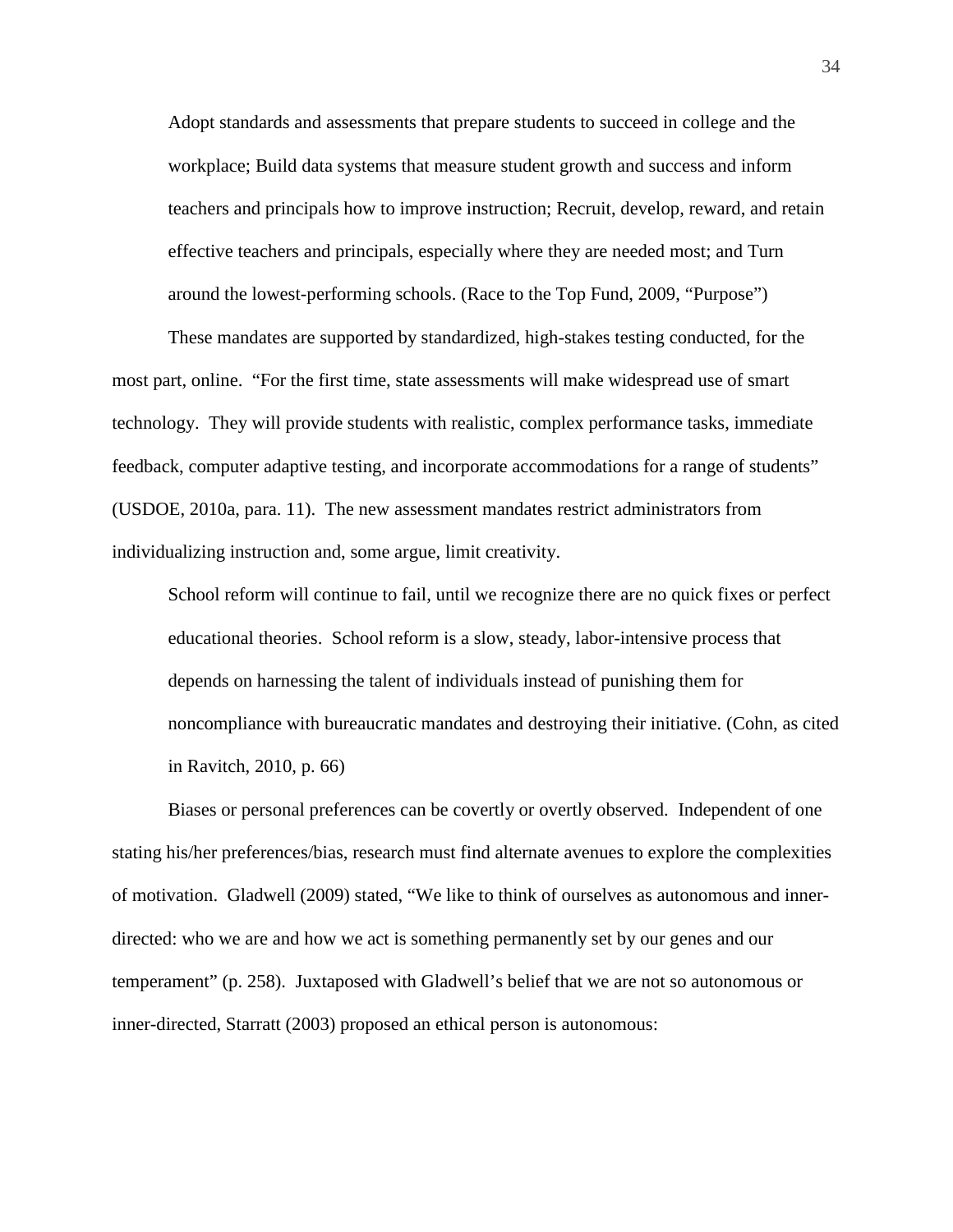Adopt standards and assessments that prepare students to succeed in college and the workplace; Build data systems that measure student growth and success and inform teachers and principals how to improve instruction; Recruit, develop, reward, and retain effective teachers and principals, especially where they are needed most; and Turn around the lowest-performing schools. (Race to the Top Fund, 2009, "Purpose")

These mandates are supported by standardized, high-stakes testing conducted, for the most part, online. "For the first time, state assessments will make widespread use of smart technology. They will provide students with realistic, complex performance tasks, immediate feedback, computer adaptive testing, and incorporate accommodations for a range of students" (USDOE, 2010a, para. 11). The new assessment mandates restrict administrators from individualizing instruction and, some argue, limit creativity.

School reform will continue to fail, until we recognize there are no quick fixes or perfect educational theories. School reform is a slow, steady, labor-intensive process that depends on harnessing the talent of individuals instead of punishing them for noncompliance with bureaucratic mandates and destroying their initiative. (Cohn, as cited in Ravitch, 2010, p. 66)

Biases or personal preferences can be covertly or overtly observed. Independent of one stating his/her preferences/bias, research must find alternate avenues to explore the complexities of motivation. Gladwell (2009) stated, "We like to think of ourselves as autonomous and innerdirected: who we are and how we act is something permanently set by our genes and our temperament" (p. 258). Juxtaposed with Gladwell's belief that we are not so autonomous or inner-directed, Starratt (2003) proposed an ethical person is autonomous: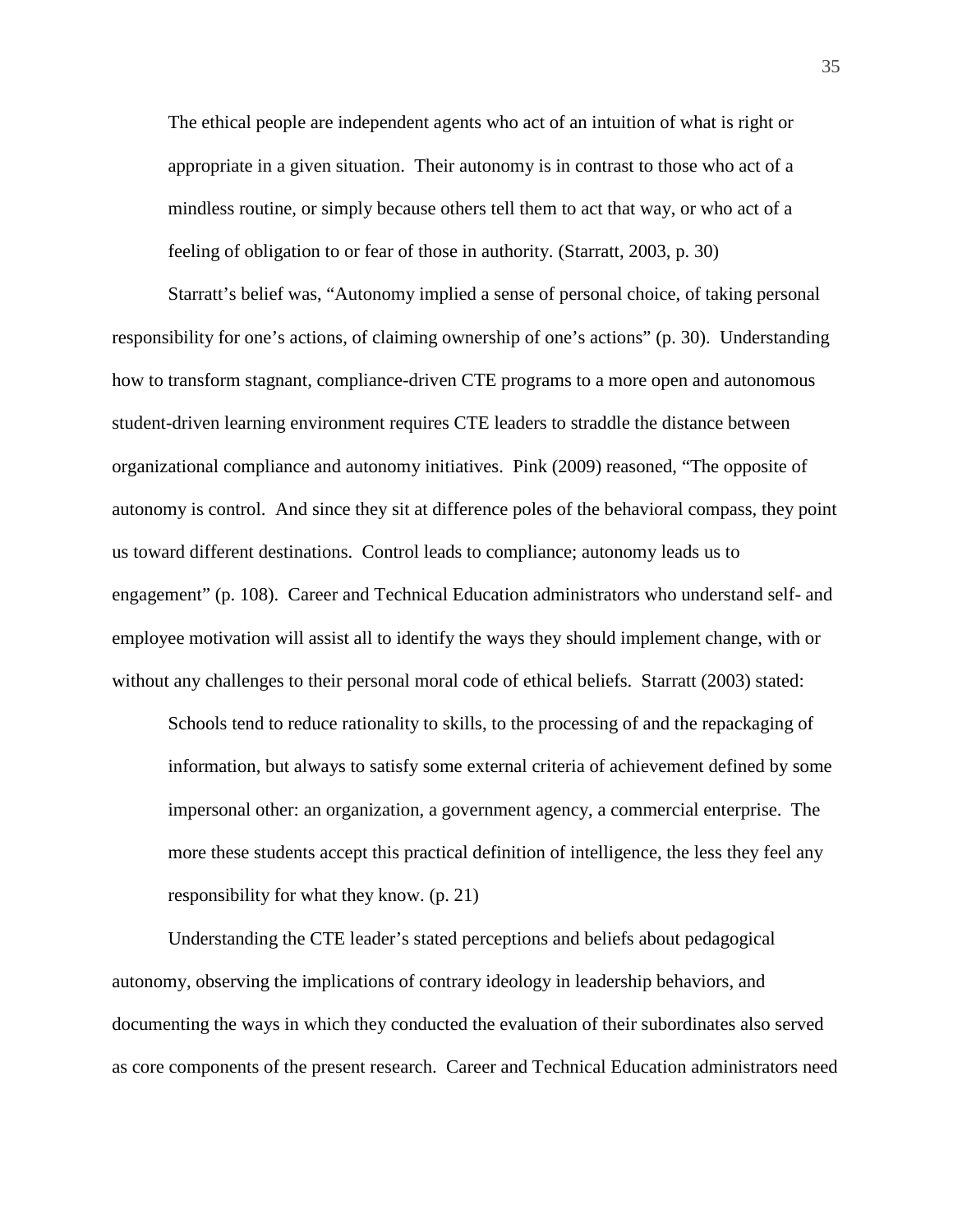The ethical people are independent agents who act of an intuition of what is right or appropriate in a given situation. Their autonomy is in contrast to those who act of a mindless routine, or simply because others tell them to act that way, or who act of a feeling of obligation to or fear of those in authority. (Starratt, 2003, p. 30)

Starratt's belief was, "Autonomy implied a sense of personal choice, of taking personal responsibility for one's actions, of claiming ownership of one's actions" (p. 30). Understanding how to transform stagnant, compliance-driven CTE programs to a more open and autonomous student-driven learning environment requires CTE leaders to straddle the distance between organizational compliance and autonomy initiatives. Pink (2009) reasoned, "The opposite of autonomy is control. And since they sit at difference poles of the behavioral compass, they point us toward different destinations. Control leads to compliance; autonomy leads us to engagement" (p. 108). Career and Technical Education administrators who understand self- and employee motivation will assist all to identify the ways they should implement change, with or without any challenges to their personal moral code of ethical beliefs. Starratt (2003) stated:

Schools tend to reduce rationality to skills, to the processing of and the repackaging of information, but always to satisfy some external criteria of achievement defined by some impersonal other: an organization, a government agency, a commercial enterprise. The more these students accept this practical definition of intelligence, the less they feel any responsibility for what they know. (p. 21)

Understanding the CTE leader's stated perceptions and beliefs about pedagogical autonomy, observing the implications of contrary ideology in leadership behaviors, and documenting the ways in which they conducted the evaluation of their subordinates also served as core components of the present research. Career and Technical Education administrators need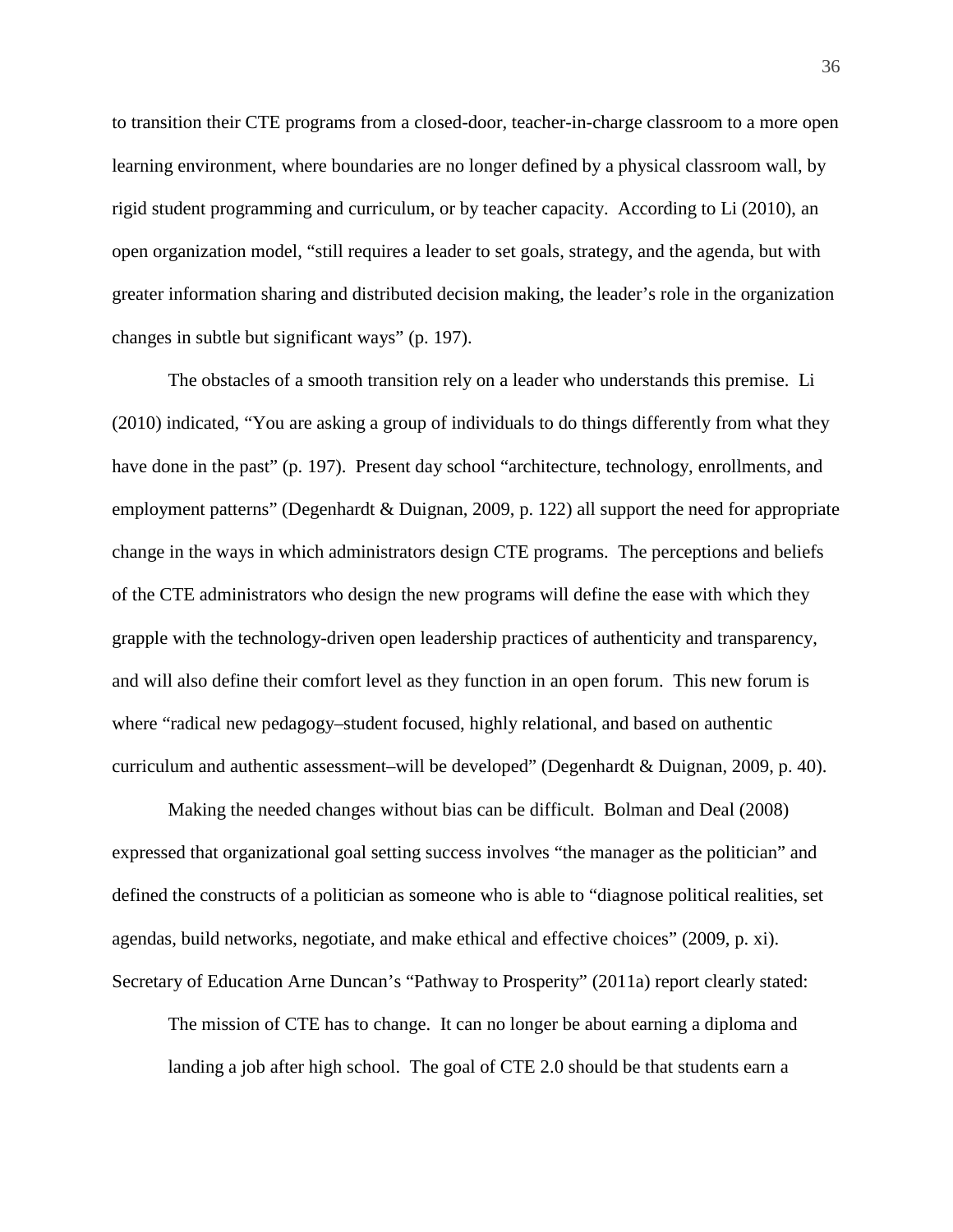to transition their CTE programs from a closed-door, teacher-in-charge classroom to a more open learning environment, where boundaries are no longer defined by a physical classroom wall, by rigid student programming and curriculum, or by teacher capacity. According to Li (2010), an open organization model, "still requires a leader to set goals, strategy, and the agenda, but with greater information sharing and distributed decision making, the leader's role in the organization changes in subtle but significant ways" (p. 197).

The obstacles of a smooth transition rely on a leader who understands this premise. Li (2010) indicated, "You are asking a group of individuals to do things differently from what they have done in the past" (p. 197). Present day school "architecture, technology, enrollments, and employment patterns" (Degenhardt & Duignan, 2009, p. 122) all support the need for appropriate change in the ways in which administrators design CTE programs. The perceptions and beliefs of the CTE administrators who design the new programs will define the ease with which they grapple with the technology-driven open leadership practices of authenticity and transparency, and will also define their comfort level as they function in an open forum. This new forum is where "radical new pedagogy–student focused, highly relational, and based on authentic curriculum and authentic assessment–will be developed" (Degenhardt & Duignan, 2009, p. 40).

Making the needed changes without bias can be difficult. Bolman and Deal (2008) expressed that organizational goal setting success involves "the manager as the politician" and defined the constructs of a politician as someone who is able to "diagnose political realities, set agendas, build networks, negotiate, and make ethical and effective choices" (2009, p. xi). Secretary of Education Arne Duncan's "Pathway to Prosperity" (2011a) report clearly stated:

The mission of CTE has to change. It can no longer be about earning a diploma and landing a job after high school. The goal of CTE 2.0 should be that students earn a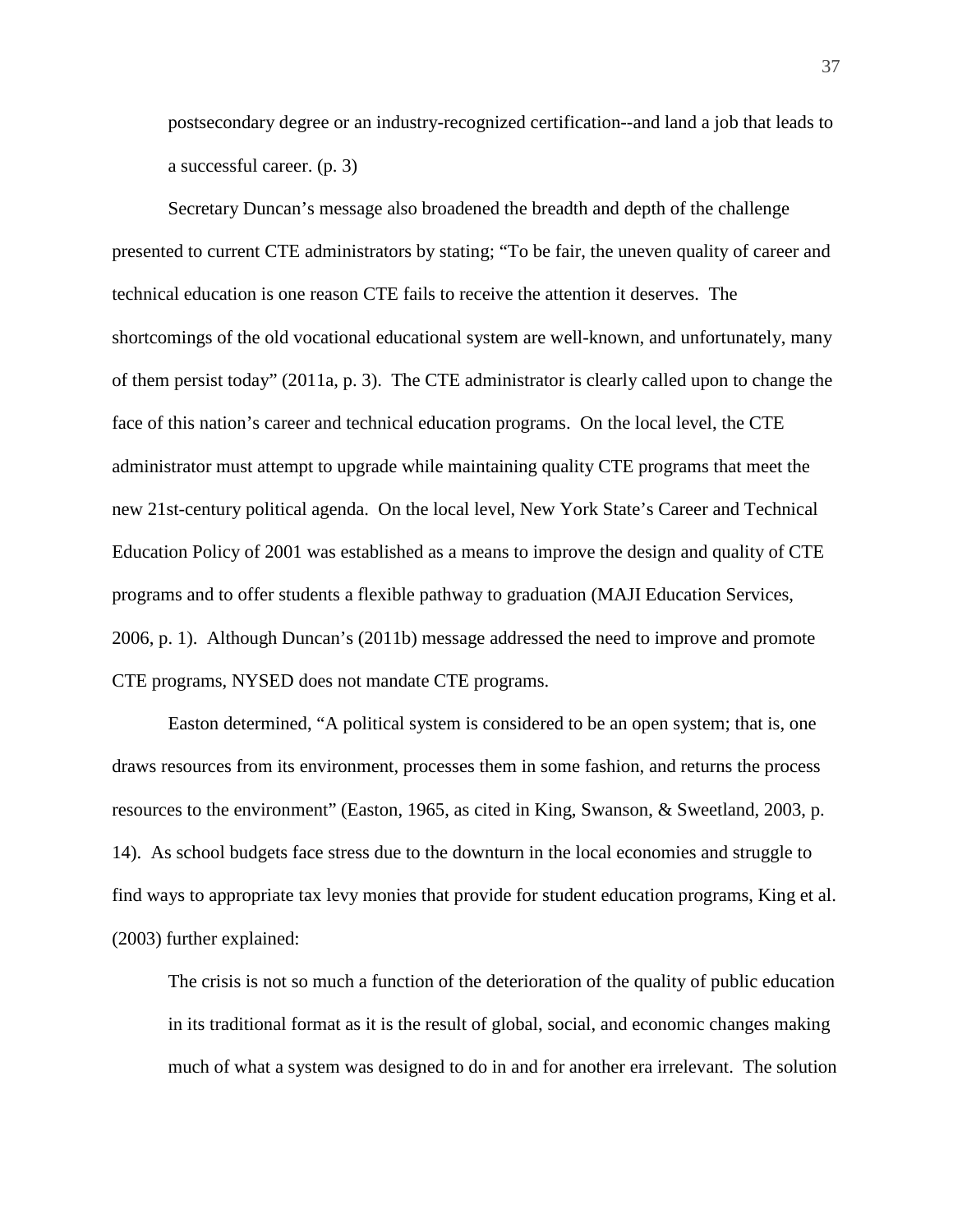postsecondary degree or an industry-recognized certification--and land a job that leads to a successful career. (p. 3)

Secretary Duncan's message also broadened the breadth and depth of the challenge presented to current CTE administrators by stating; "To be fair, the uneven quality of career and technical education is one reason CTE fails to receive the attention it deserves. The shortcomings of the old vocational educational system are well-known, and unfortunately, many of them persist today" (2011a, p. 3). The CTE administrator is clearly called upon to change the face of this nation's career and technical education programs. On the local level, the CTE administrator must attempt to upgrade while maintaining quality CTE programs that meet the new 21st-century political agenda. On the local level, New York State's Career and Technical Education Policy of 2001 was established as a means to improve the design and quality of CTE programs and to offer students a flexible pathway to graduation (MAJI Education Services, 2006, p. 1). Although Duncan's (2011b) message addressed the need to improve and promote CTE programs, NYSED does not mandate CTE programs.

Easton determined, "A political system is considered to be an open system; that is, one draws resources from its environment, processes them in some fashion, and returns the process resources to the environment" (Easton, 1965, as cited in King, Swanson, & Sweetland, 2003, p. 14). As school budgets face stress due to the downturn in the local economies and struggle to find ways to appropriate tax levy monies that provide for student education programs, King et al. (2003) further explained:

The crisis is not so much a function of the deterioration of the quality of public education in its traditional format as it is the result of global, social, and economic changes making much of what a system was designed to do in and for another era irrelevant. The solution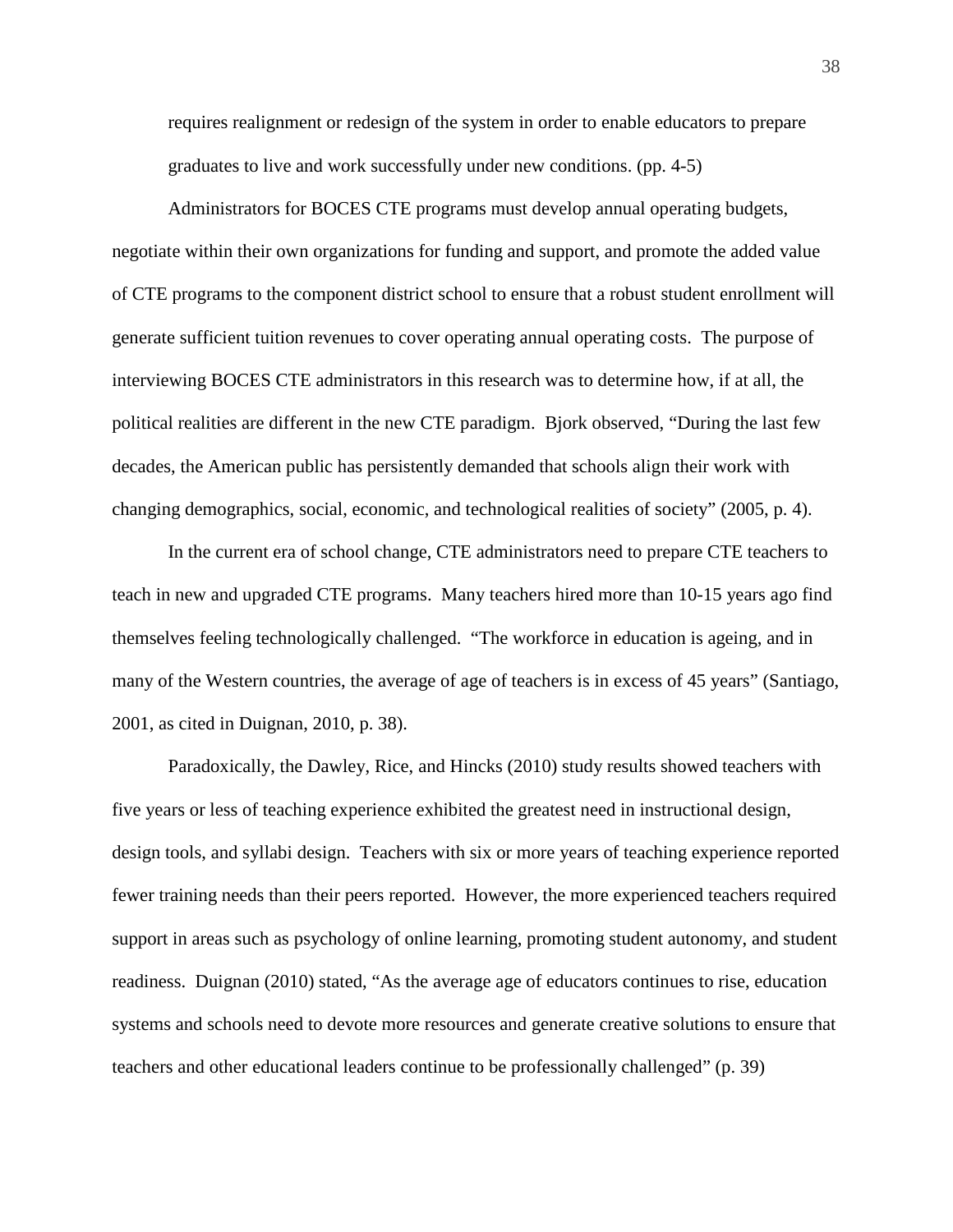requires realignment or redesign of the system in order to enable educators to prepare graduates to live and work successfully under new conditions. (pp. 4-5)

Administrators for BOCES CTE programs must develop annual operating budgets, negotiate within their own organizations for funding and support, and promote the added value of CTE programs to the component district school to ensure that a robust student enrollment will generate sufficient tuition revenues to cover operating annual operating costs. The purpose of interviewing BOCES CTE administrators in this research was to determine how, if at all, the political realities are different in the new CTE paradigm. Bjork observed, "During the last few decades, the American public has persistently demanded that schools align their work with changing demographics, social, economic, and technological realities of society" (2005, p. 4).

In the current era of school change, CTE administrators need to prepare CTE teachers to teach in new and upgraded CTE programs. Many teachers hired more than 10-15 years ago find themselves feeling technologically challenged. "The workforce in education is ageing, and in many of the Western countries, the average of age of teachers is in excess of 45 years" (Santiago, 2001, as cited in Duignan, 2010, p. 38).

Paradoxically, the Dawley, Rice, and Hincks (2010) study results showed teachers with five years or less of teaching experience exhibited the greatest need in instructional design, design tools, and syllabi design. Teachers with six or more years of teaching experience reported fewer training needs than their peers reported. However, the more experienced teachers required support in areas such as psychology of online learning, promoting student autonomy, and student readiness. Duignan (2010) stated, "As the average age of educators continues to rise, education systems and schools need to devote more resources and generate creative solutions to ensure that teachers and other educational leaders continue to be professionally challenged" (p. 39)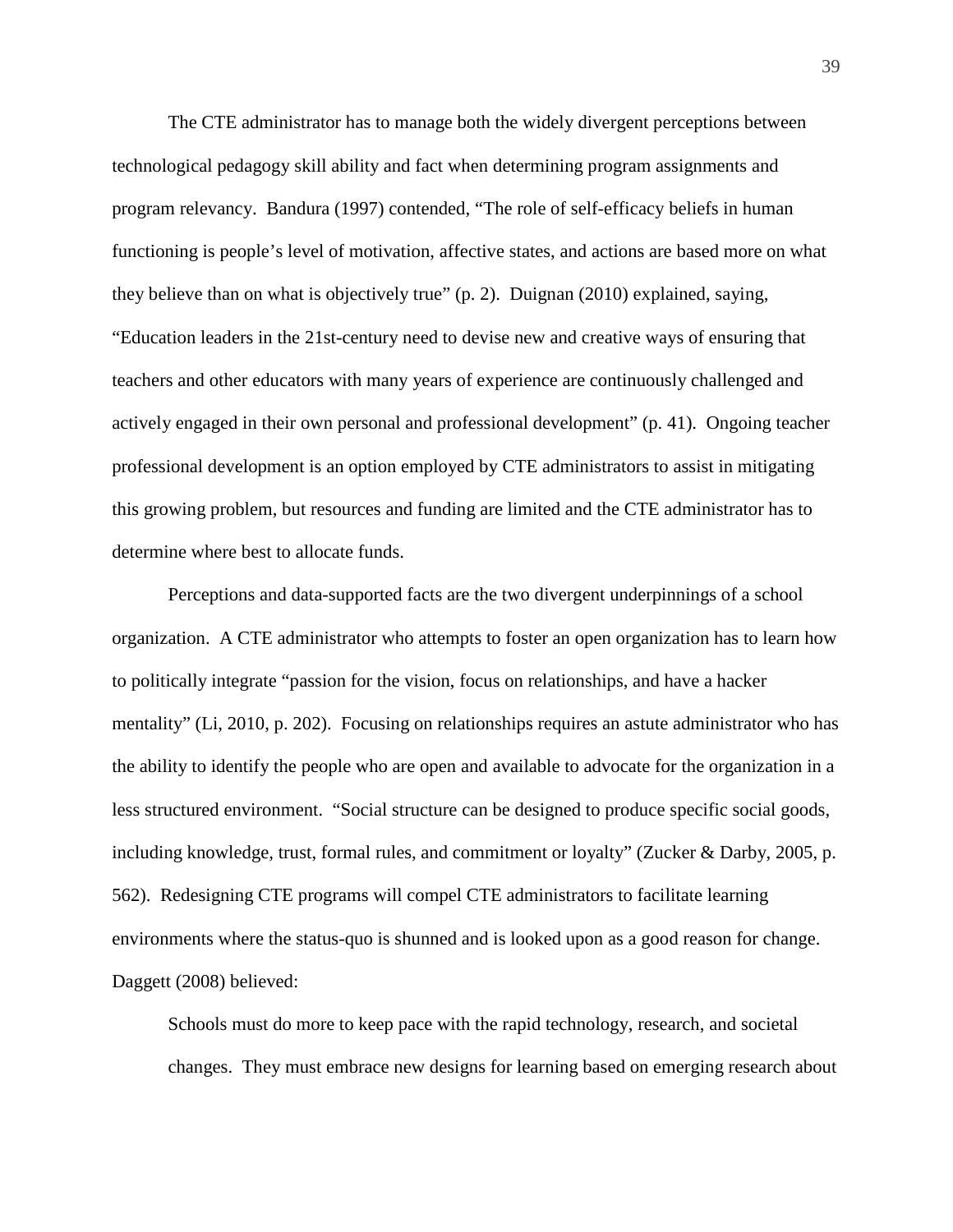The CTE administrator has to manage both the widely divergent perceptions between technological pedagogy skill ability and fact when determining program assignments and program relevancy. Bandura (1997) contended, "The role of self-efficacy beliefs in human functioning is people's level of motivation, affective states, and actions are based more on what they believe than on what is objectively true" (p. 2). Duignan (2010) explained, saying, "Education leaders in the 21st-century need to devise new and creative ways of ensuring that teachers and other educators with many years of experience are continuously challenged and actively engaged in their own personal and professional development" (p. 41). Ongoing teacher professional development is an option employed by CTE administrators to assist in mitigating this growing problem, but resources and funding are limited and the CTE administrator has to determine where best to allocate funds.

Perceptions and data-supported facts are the two divergent underpinnings of a school organization. A CTE administrator who attempts to foster an open organization has to learn how to politically integrate "passion for the vision, focus on relationships, and have a hacker mentality" (Li, 2010, p. 202). Focusing on relationships requires an astute administrator who has the ability to identify the people who are open and available to advocate for the organization in a less structured environment. "Social structure can be designed to produce specific social goods, including knowledge, trust, formal rules, and commitment or loyalty" (Zucker & Darby, 2005, p. 562). Redesigning CTE programs will compel CTE administrators to facilitate learning environments where the status-quo is shunned and is looked upon as a good reason for change. Daggett (2008) believed:

Schools must do more to keep pace with the rapid technology, research, and societal changes. They must embrace new designs for learning based on emerging research about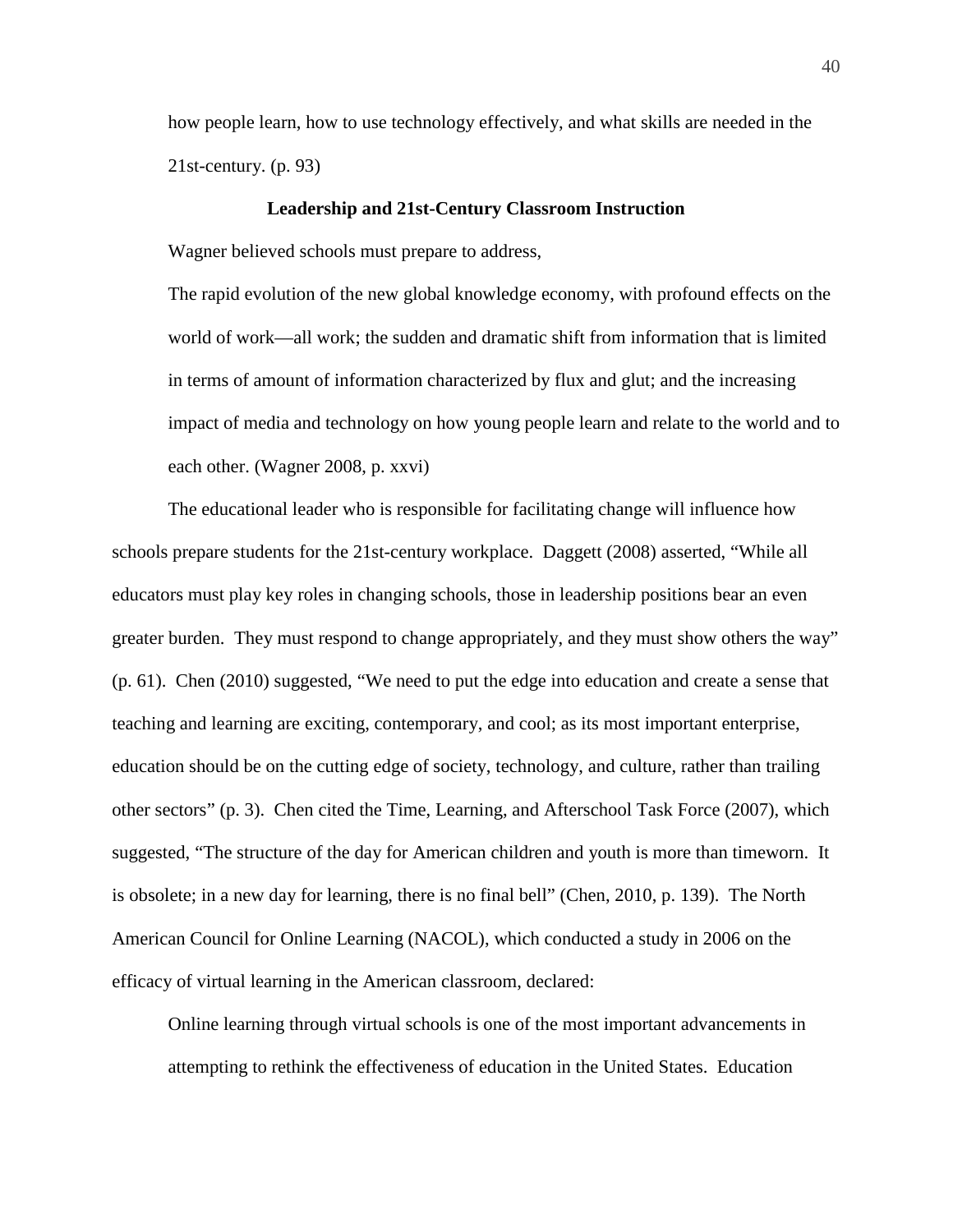how people learn, how to use technology effectively, and what skills are needed in the 21st-century. (p. 93)

## **Leadership and 21st-Century Classroom Instruction**

Wagner believed schools must prepare to address,

The rapid evolution of the new global knowledge economy, with profound effects on the world of work—all work; the sudden and dramatic shift from information that is limited in terms of amount of information characterized by flux and glut; and the increasing impact of media and technology on how young people learn and relate to the world and to each other. (Wagner 2008, p. xxvi)

The educational leader who is responsible for facilitating change will influence how schools prepare students for the 21st-century workplace. Daggett (2008) asserted, "While all educators must play key roles in changing schools, those in leadership positions bear an even greater burden. They must respond to change appropriately, and they must show others the way" (p. 61). Chen (2010) suggested, "We need to put the edge into education and create a sense that teaching and learning are exciting, contemporary, and cool; as its most important enterprise, education should be on the cutting edge of society, technology, and culture, rather than trailing other sectors" (p. 3). Chen cited the Time, Learning, and Afterschool Task Force (2007), which suggested, "The structure of the day for American children and youth is more than timeworn. It is obsolete; in a new day for learning, there is no final bell" (Chen, 2010, p. 139). The North American Council for Online Learning (NACOL), which conducted a study in 2006 on the efficacy of virtual learning in the American classroom, declared:

Online learning through virtual schools is one of the most important advancements in attempting to rethink the effectiveness of education in the United States. Education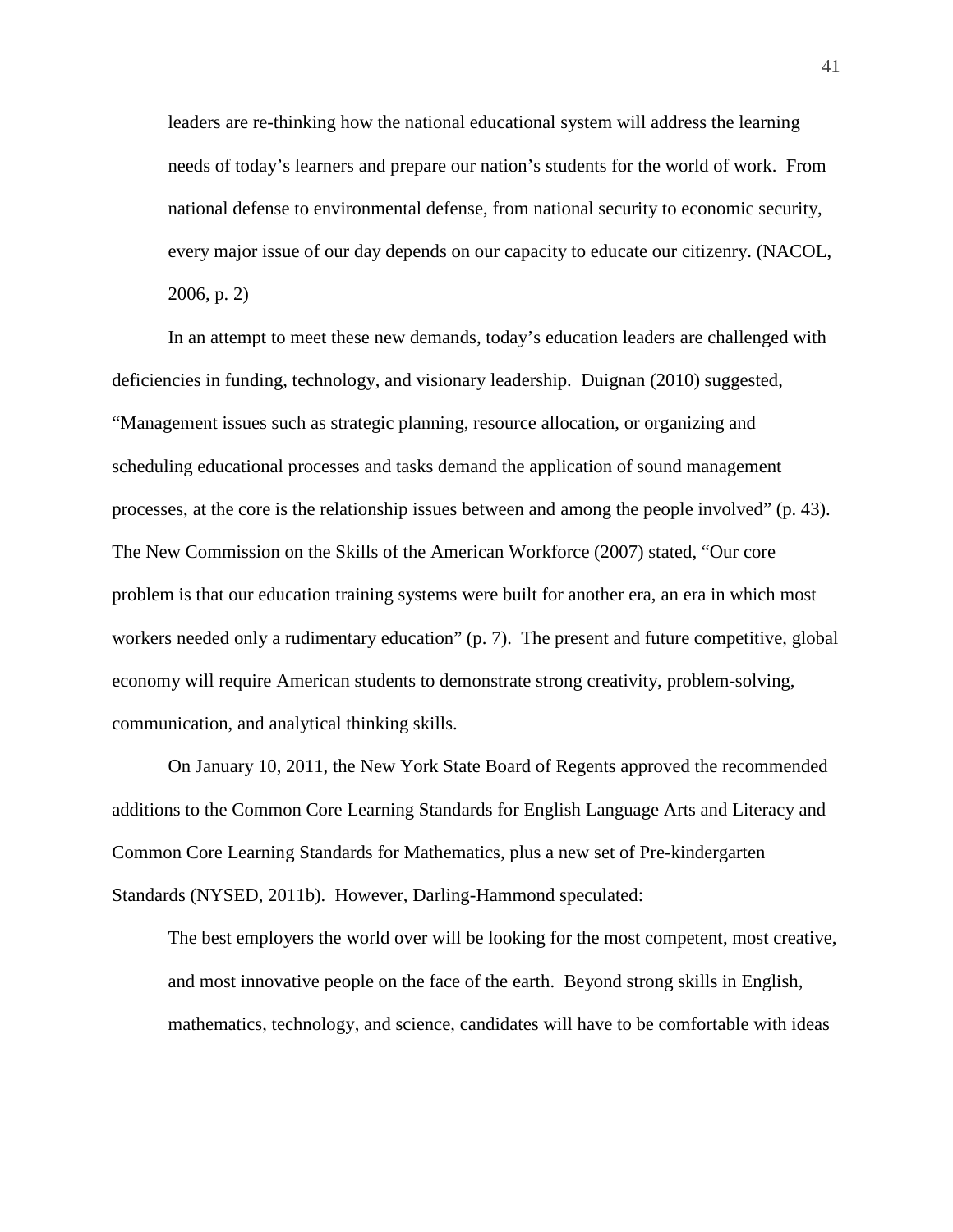leaders are re-thinking how the national educational system will address the learning needs of today's learners and prepare our nation's students for the world of work. From national defense to environmental defense, from national security to economic security, every major issue of our day depends on our capacity to educate our citizenry. (NACOL, 2006, p. 2)

In an attempt to meet these new demands, today's education leaders are challenged with deficiencies in funding, technology, and visionary leadership. Duignan (2010) suggested, "Management issues such as strategic planning, resource allocation, or organizing and scheduling educational processes and tasks demand the application of sound management processes, at the core is the relationship issues between and among the people involved" (p. 43). The New Commission on the Skills of the American Workforce (2007) stated, "Our core problem is that our education training systems were built for another era, an era in which most workers needed only a rudimentary education" (p. 7). The present and future competitive, global economy will require American students to demonstrate strong creativity, problem-solving, communication, and analytical thinking skills.

On January 10, 2011, the New York State Board of Regents approved the recommended additions to the Common Core Learning Standards for English Language Arts and Literacy and Common Core Learning Standards for Mathematics, plus a new set of Pre-kindergarten Standards (NYSED, 2011b). However, Darling-Hammond speculated:

The best employers the world over will be looking for the most competent, most creative, and most innovative people on the face of the earth. Beyond strong skills in English, mathematics, technology, and science, candidates will have to be comfortable with ideas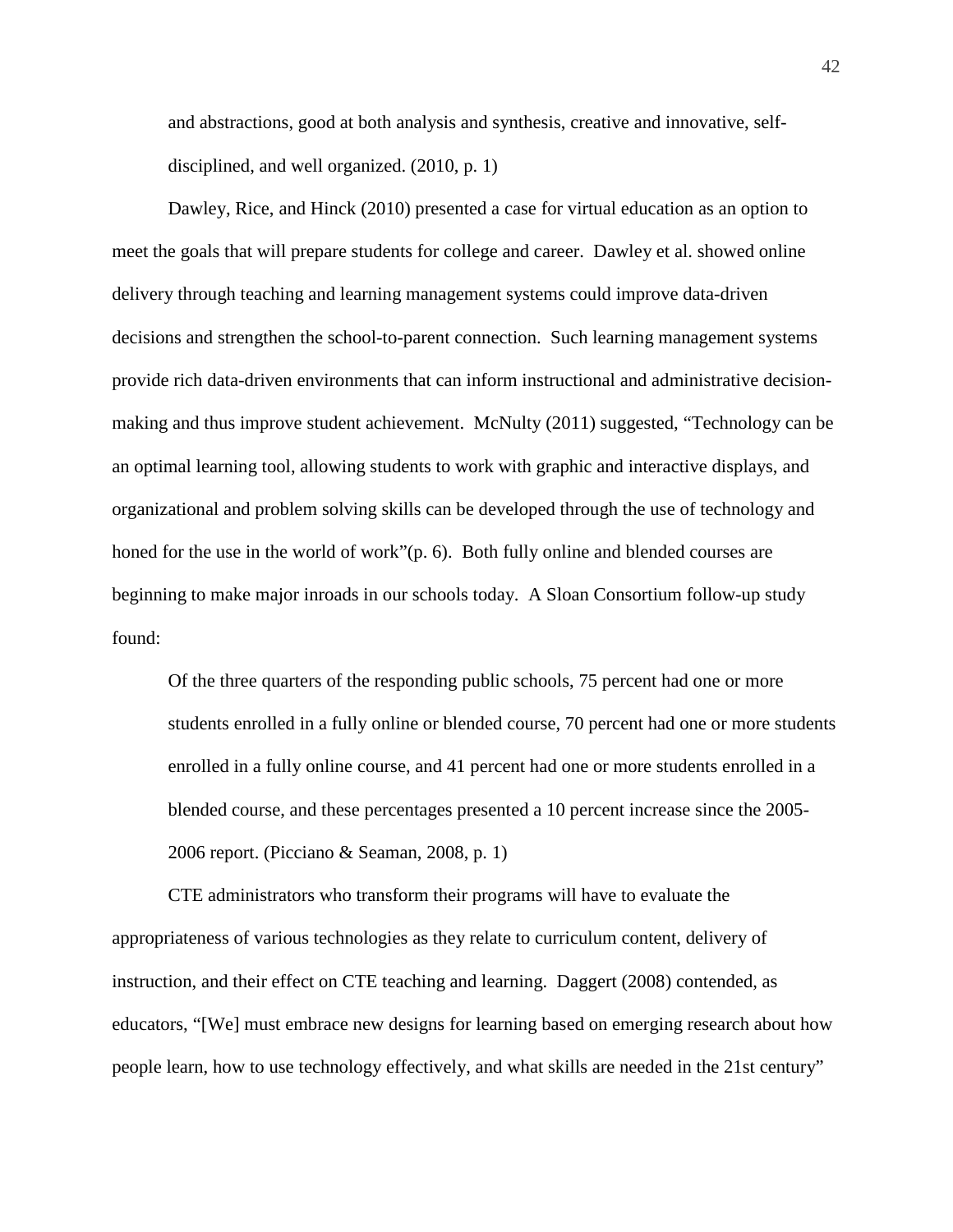and abstractions, good at both analysis and synthesis, creative and innovative, selfdisciplined, and well organized. (2010, p. 1)

Dawley, Rice, and Hinck (2010) presented a case for virtual education as an option to meet the goals that will prepare students for college and career. Dawley et al. showed online delivery through teaching and learning management systems could improve data-driven decisions and strengthen the school-to-parent connection. Such learning management systems provide rich data-driven environments that can inform instructional and administrative decisionmaking and thus improve student achievement. McNulty (2011) suggested, "Technology can be an optimal learning tool, allowing students to work with graphic and interactive displays, and organizational and problem solving skills can be developed through the use of technology and honed for the use in the world of work"(p. 6). Both fully online and blended courses are beginning to make major inroads in our schools today. A Sloan Consortium follow-up study found:

Of the three quarters of the responding public schools, 75 percent had one or more students enrolled in a fully online or blended course, 70 percent had one or more students enrolled in a fully online course, and 41 percent had one or more students enrolled in a blended course, and these percentages presented a 10 percent increase since the 2005- 2006 report. (Picciano & Seaman, 2008, p. 1)

CTE administrators who transform their programs will have to evaluate the appropriateness of various technologies as they relate to curriculum content, delivery of instruction, and their effect on CTE teaching and learning. Daggert (2008) contended, as educators, "[We] must embrace new designs for learning based on emerging research about how people learn, how to use technology effectively, and what skills are needed in the 21st century"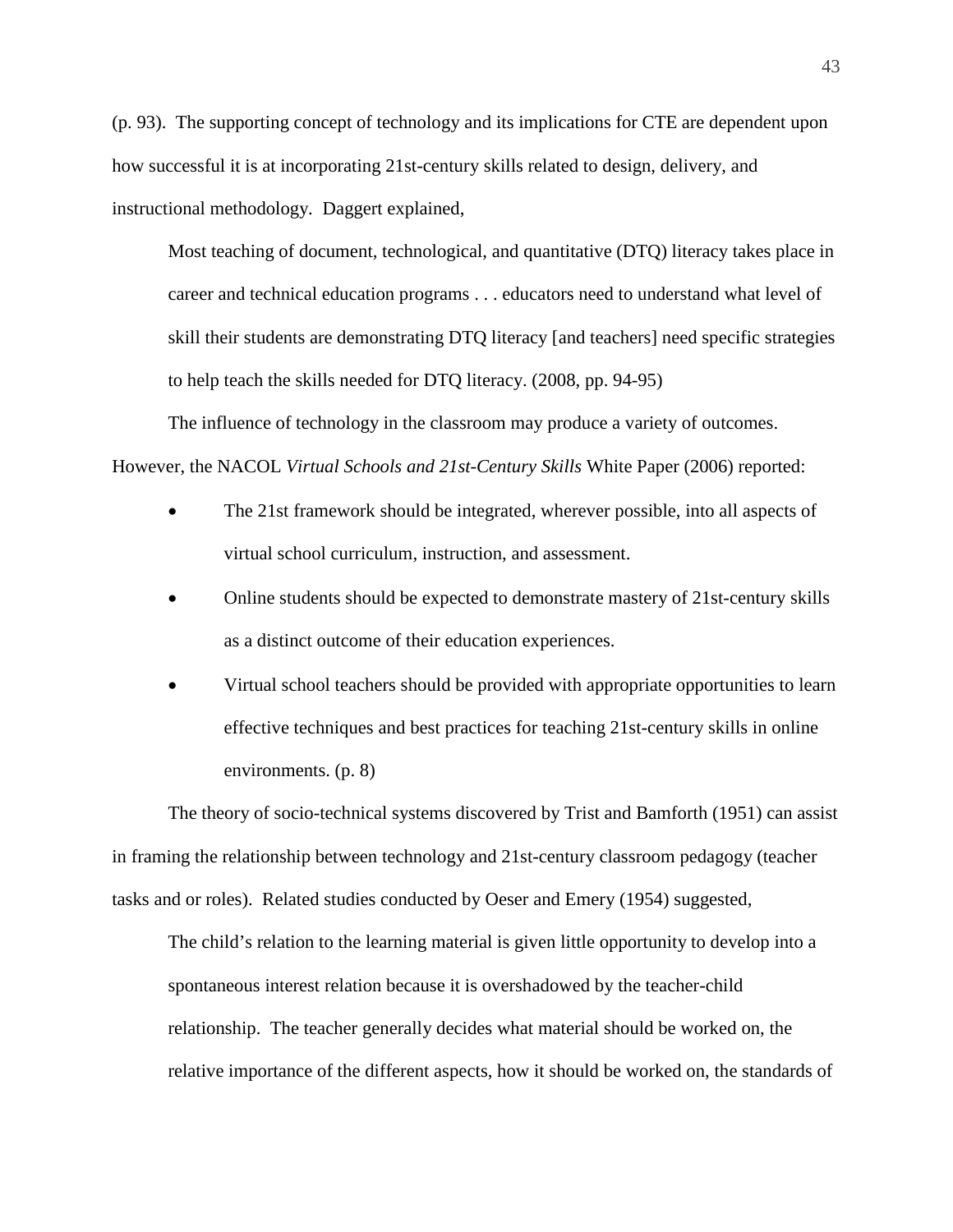(p. 93). The supporting concept of technology and its implications for CTE are dependent upon how successful it is at incorporating 21st-century skills related to design, delivery, and instructional methodology. Daggert explained,

Most teaching of document*,* technological, and quantitative (DTQ) literacy takes place in career and technical education programs . . . educators need to understand what level of skill their students are demonstrating DTQ literacy [and teachers] need specific strategies to help teach the skills needed for DTQ literacy. (2008, pp. 94-95)

The influence of technology in the classroom may produce a variety of outcomes. However, the NACOL *Virtual Schools and 21st-Century Skills* White Paper (2006) reported:

- The 21st framework should be integrated, wherever possible, into all aspects of virtual school curriculum, instruction, and assessment.
- Online students should be expected to demonstrate mastery of 21st-century skills as a distinct outcome of their education experiences.
- Virtual school teachers should be provided with appropriate opportunities to learn effective techniques and best practices for teaching 21st-century skills in online environments. (p. 8)

The theory of socio-technical systems discovered by Trist and Bamforth (1951) can assist in framing the relationship between technology and 21st-century classroom pedagogy (teacher tasks and or roles). Related studies conducted by Oeser and Emery (1954) suggested,

The child's relation to the learning material is given little opportunity to develop into a spontaneous interest relation because it is overshadowed by the teacher-child relationship. The teacher generally decides what material should be worked on, the relative importance of the different aspects, how it should be worked on, the standards of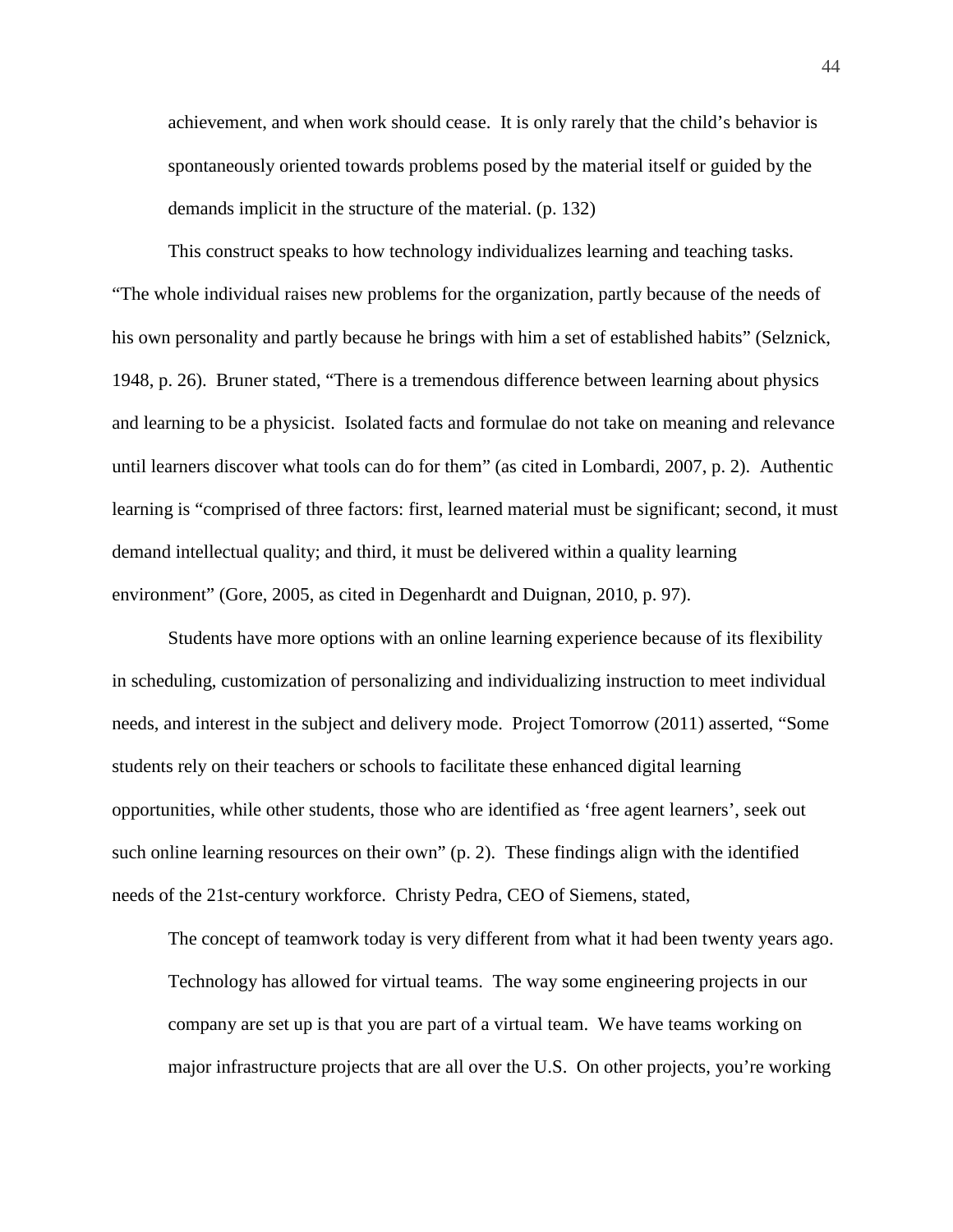achievement, and when work should cease. It is only rarely that the child's behavior is spontaneously oriented towards problems posed by the material itself or guided by the demands implicit in the structure of the material. (p. 132)

This construct speaks to how technology individualizes learning and teaching tasks. "The whole individual raises new problems for the organization, partly because of the needs of his own personality and partly because he brings with him a set of established habits" (Selznick, 1948, p. 26). Bruner stated, "There is a tremendous difference between learning about physics and learning to be a physicist. Isolated facts and formulae do not take on meaning and relevance until learners discover what tools can do for them" (as cited in Lombardi, 2007, p. 2). Authentic learning is "comprised of three factors: first, learned material must be significant; second, it must demand intellectual quality; and third, it must be delivered within a quality learning environment" (Gore, 2005, as cited in Degenhardt and Duignan, 2010, p. 97).

Students have more options with an online learning experience because of its flexibility in scheduling, customization of personalizing and individualizing instruction to meet individual needs, and interest in the subject and delivery mode. Project Tomorrow (2011) asserted, "Some students rely on their teachers or schools to facilitate these enhanced digital learning opportunities, while other students, those who are identified as 'free agent learners', seek out such online learning resources on their own" (p. 2). These findings align with the identified needs of the 21st-century workforce. Christy Pedra, CEO of Siemens, stated,

The concept of teamwork today is very different from what it had been twenty years ago. Technology has allowed for virtual teams. The way some engineering projects in our company are set up is that you are part of a virtual team. We have teams working on major infrastructure projects that are all over the U.S. On other projects, you're working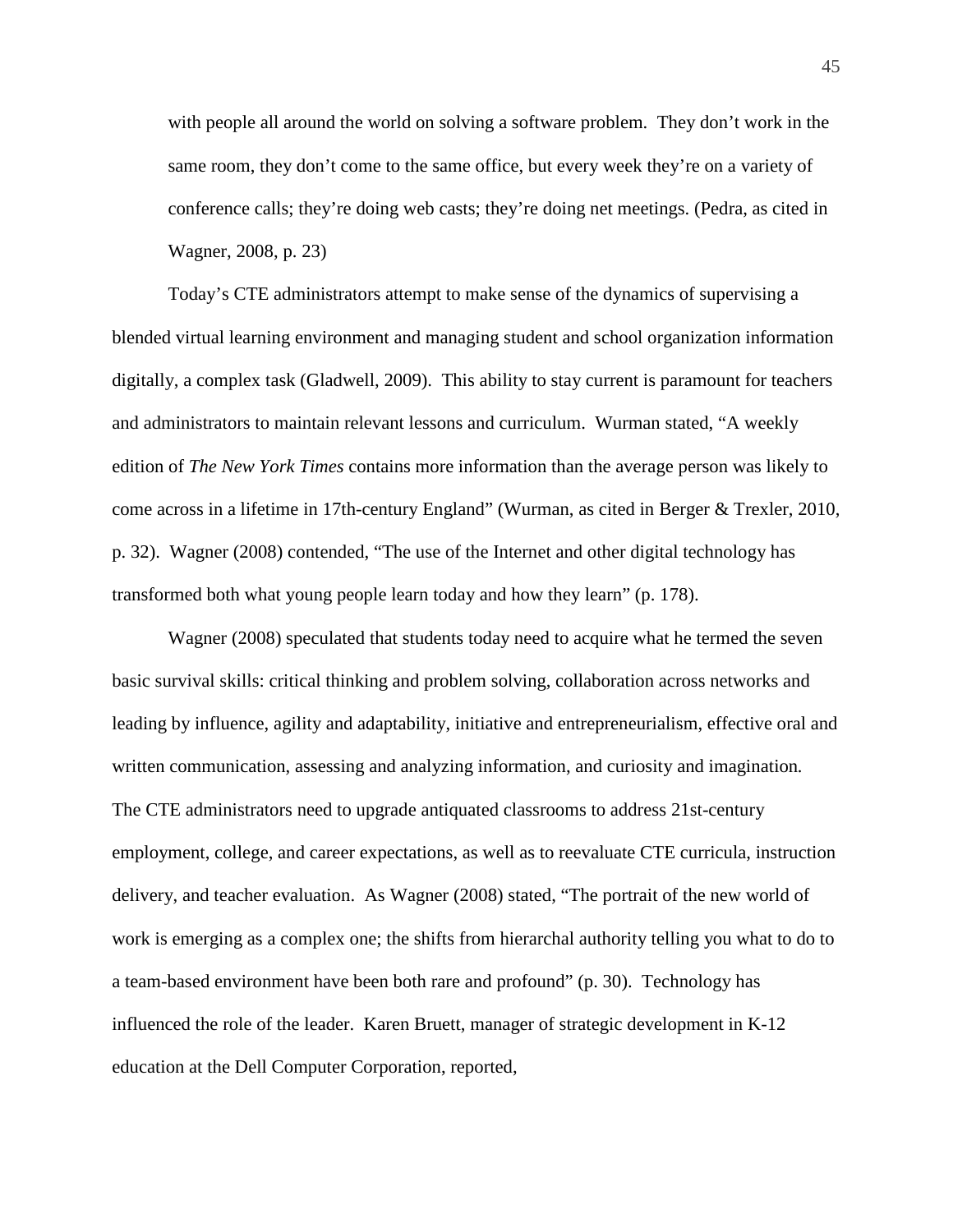with people all around the world on solving a software problem. They don't work in the same room, they don't come to the same office, but every week they're on a variety of conference calls; they're doing web casts; they're doing net meetings. (Pedra, as cited in Wagner, 2008, p. 23)

Today's CTE administrators attempt to make sense of the dynamics of supervising a blended virtual learning environment and managing student and school organization information digitally, a complex task (Gladwell, 2009). This ability to stay current is paramount for teachers and administrators to maintain relevant lessons and curriculum. Wurman stated, "A weekly edition of *The New York Times* contains more information than the average person was likely to come across in a lifetime in 17th-century England" (Wurman, as cited in Berger & Trexler, 2010, p. 32). Wagner (2008) contended, "The use of the Internet and other digital technology has transformed both what young people learn today and how they learn" (p. 178).

Wagner (2008) speculated that students today need to acquire what he termed the seven basic survival skills: critical thinking and problem solving, collaboration across networks and leading by influence, agility and adaptability, initiative and entrepreneurialism, effective oral and written communication, assessing and analyzing information, and curiosity and imagination*.* The CTE administrators need to upgrade antiquated classrooms to address 21st-century employment, college, and career expectations, as well as to reevaluate CTE curricula, instruction delivery, and teacher evaluation. As Wagner (2008) stated, "The portrait of the new world of work is emerging as a complex one; the shifts from hierarchal authority telling you what to do to a team-based environment have been both rare and profound" (p. 30). Technology has influenced the role of the leader. Karen Bruett, manager of strategic development in K-12 education at the Dell Computer Corporation, reported,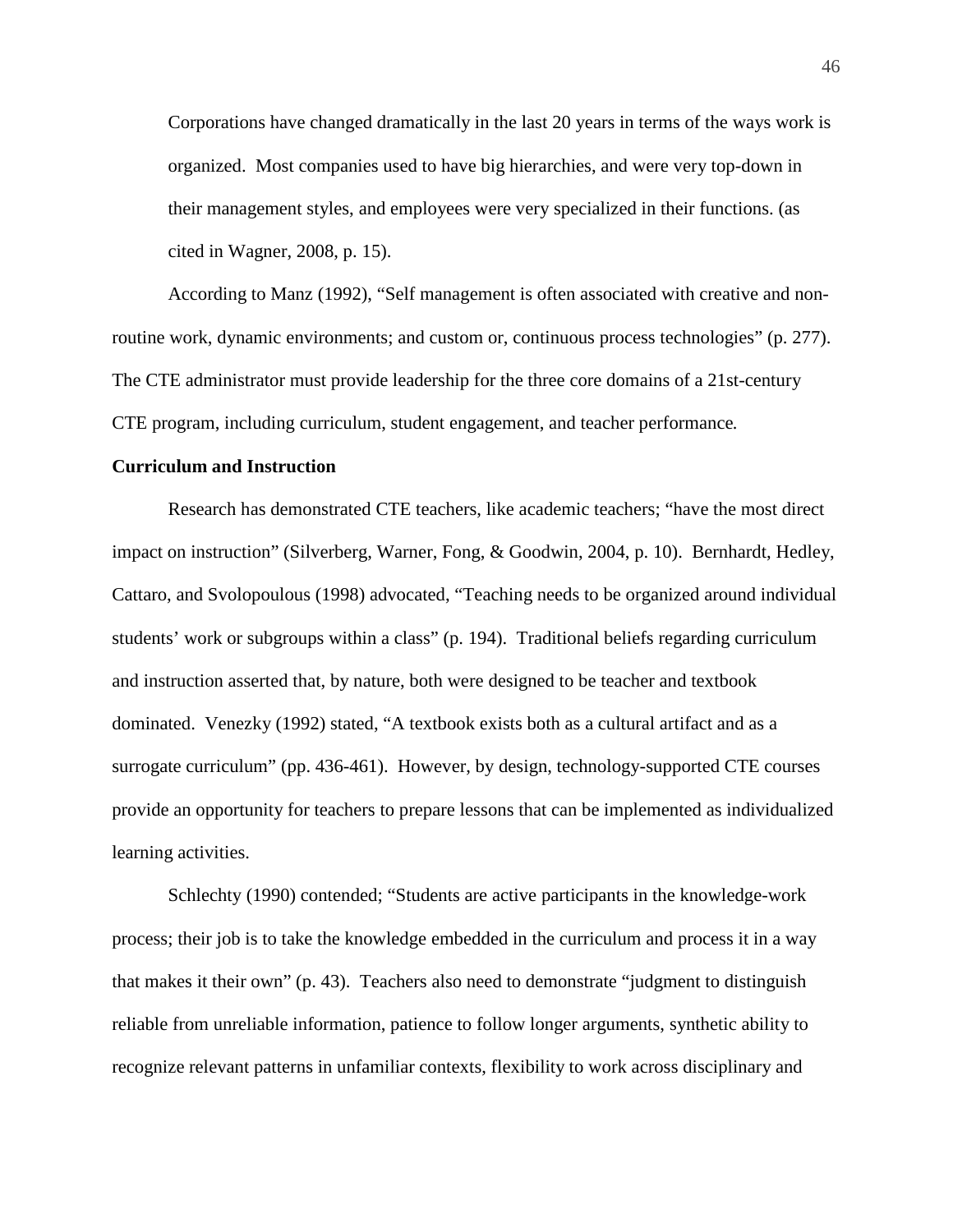Corporations have changed dramatically in the last 20 years in terms of the ways work is organized. Most companies used to have big hierarchies, and were very top-down in their management styles, and employees were very specialized in their functions. (as cited in Wagner, 2008, p. 15).

According to Manz (1992), "Self management is often associated with creative and nonroutine work, dynamic environments; and custom or, continuous process technologies" (p. 277). The CTE administrator must provide leadership for the three core domains of a 21st-century CTE program, including curriculum, student engagement, and teacher performance*.*

# **Curriculum and Instruction**

Research has demonstrated CTE teachers, like academic teachers; "have the most direct impact on instruction" (Silverberg, Warner, Fong, & Goodwin, 2004, p. 10). Bernhardt, Hedley, Cattaro, and Svolopoulous (1998) advocated, "Teaching needs to be organized around individual students' work or subgroups within a class" (p. 194). Traditional beliefs regarding curriculum and instruction asserted that, by nature, both were designed to be teacher and textbook dominated. Venezky (1992) stated, "A textbook exists both as a cultural artifact and as a surrogate curriculum" (pp. 436-461). However, by design, technology-supported CTE courses provide an opportunity for teachers to prepare lessons that can be implemented as individualized learning activities.

Schlechty (1990) contended; "Students are active participants in the knowledge-work process; their job is to take the knowledge embedded in the curriculum and process it in a way that makes it their own" (p. 43). Teachers also need to demonstrate "judgment to distinguish reliable from unreliable information, patience to follow longer arguments, synthetic ability to recognize relevant patterns in unfamiliar contexts, flexibility to work across disciplinary and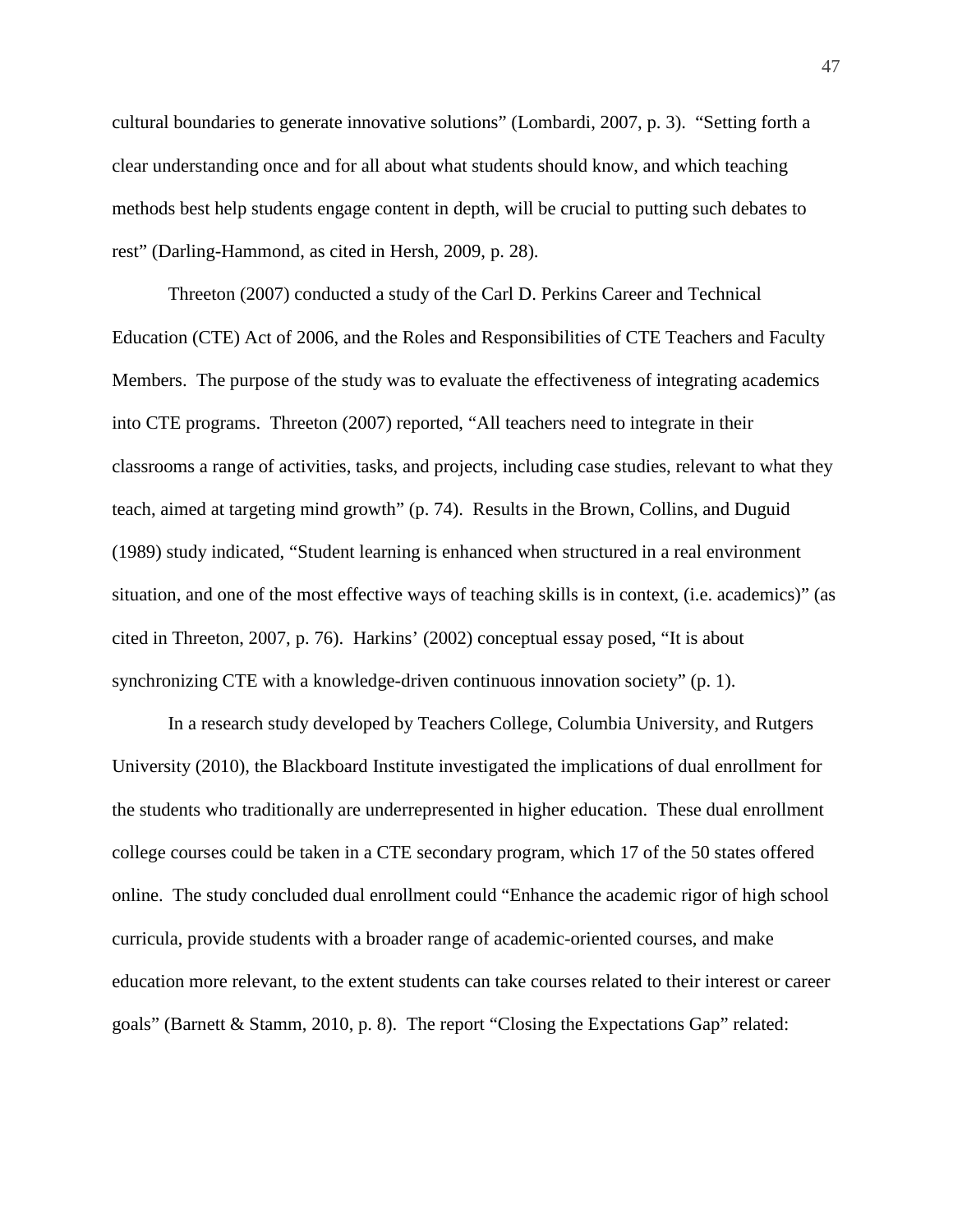cultural boundaries to generate innovative solutions" (Lombardi, 2007, p. 3). "Setting forth a clear understanding once and for all about what students should know, and which teaching methods best help students engage content in depth, will be crucial to putting such debates to rest" (Darling-Hammond, as cited in Hersh, 2009, p. 28).

Threeton (2007) conducted a study of the Carl D. Perkins Career and Technical Education (CTE) Act of 2006, and the Roles and Responsibilities of CTE Teachers and Faculty Members. The purpose of the study was to evaluate the effectiveness of integrating academics into CTE programs. Threeton (2007) reported, "All teachers need to integrate in their classrooms a range of activities, tasks, and projects, including case studies, relevant to what they teach, aimed at targeting mind growth" (p. 74). Results in the Brown, Collins, and Duguid (1989) study indicated, "Student learning is enhanced when structured in a real environment situation, and one of the most effective ways of teaching skills is in context, (i.e. academics)" (as cited in Threeton, 2007, p. 76). Harkins' (2002) conceptual essay posed, "It is about synchronizing CTE with a knowledge-driven continuous innovation society" (p. 1).

In a research study developed by Teachers College, Columbia University, and Rutgers University (2010), the Blackboard Institute investigated the implications of dual enrollment for the students who traditionally are underrepresented in higher education. These dual enrollment college courses could be taken in a CTE secondary program, which 17 of the 50 states offered online. The study concluded dual enrollment could "Enhance the academic rigor of high school curricula, provide students with a broader range of academic-oriented courses, and make education more relevant, to the extent students can take courses related to their interest or career goals" (Barnett & Stamm, 2010, p. 8). The report "Closing the Expectations Gap" related: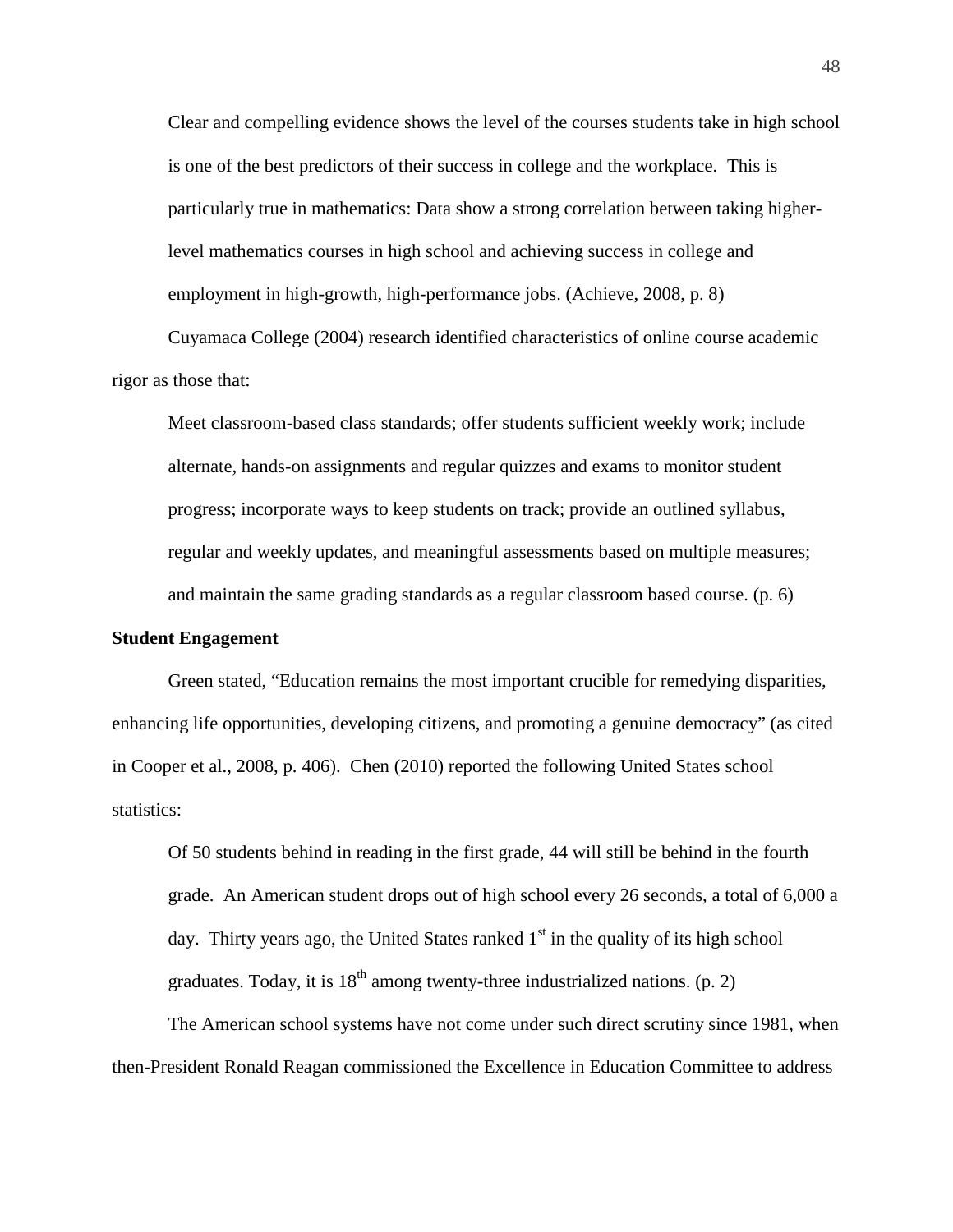Clear and compelling evidence shows the level of the courses students take in high school is one of the best predictors of their success in college and the workplace. This is particularly true in mathematics: Data show a strong correlation between taking higherlevel mathematics courses in high school and achieving success in college and employment in high-growth, high-performance jobs. (Achieve, 2008, p. 8)

Cuyamaca College (2004) research identified characteristics of online course academic rigor as those that:

Meet classroom-based class standards; offer students sufficient weekly work; include alternate, hands-on assignments and regular quizzes and exams to monitor student progress; incorporate ways to keep students on track; provide an outlined syllabus, regular and weekly updates, and meaningful assessments based on multiple measures; and maintain the same grading standards as a regular classroom based course. (p. 6)

# **Student Engagement**

Green stated, "Education remains the most important crucible for remedying disparities, enhancing life opportunities, developing citizens, and promoting a genuine democracy" (as cited in Cooper et al., 2008, p. 406). Chen (2010) reported the following United States school statistics:

Of 50 students behind in reading in the first grade, 44 will still be behind in the fourth grade. An American student drops out of high school every 26 seconds, a total of 6,000 a day. Thirty years ago, the United States ranked  $1<sup>st</sup>$  in the quality of its high school graduates. Today, it is  $18<sup>th</sup>$  among twenty-three industrialized nations. (p. 2)

The American school systems have not come under such direct scrutiny since 1981, when then-President Ronald Reagan commissioned the Excellence in Education Committee to address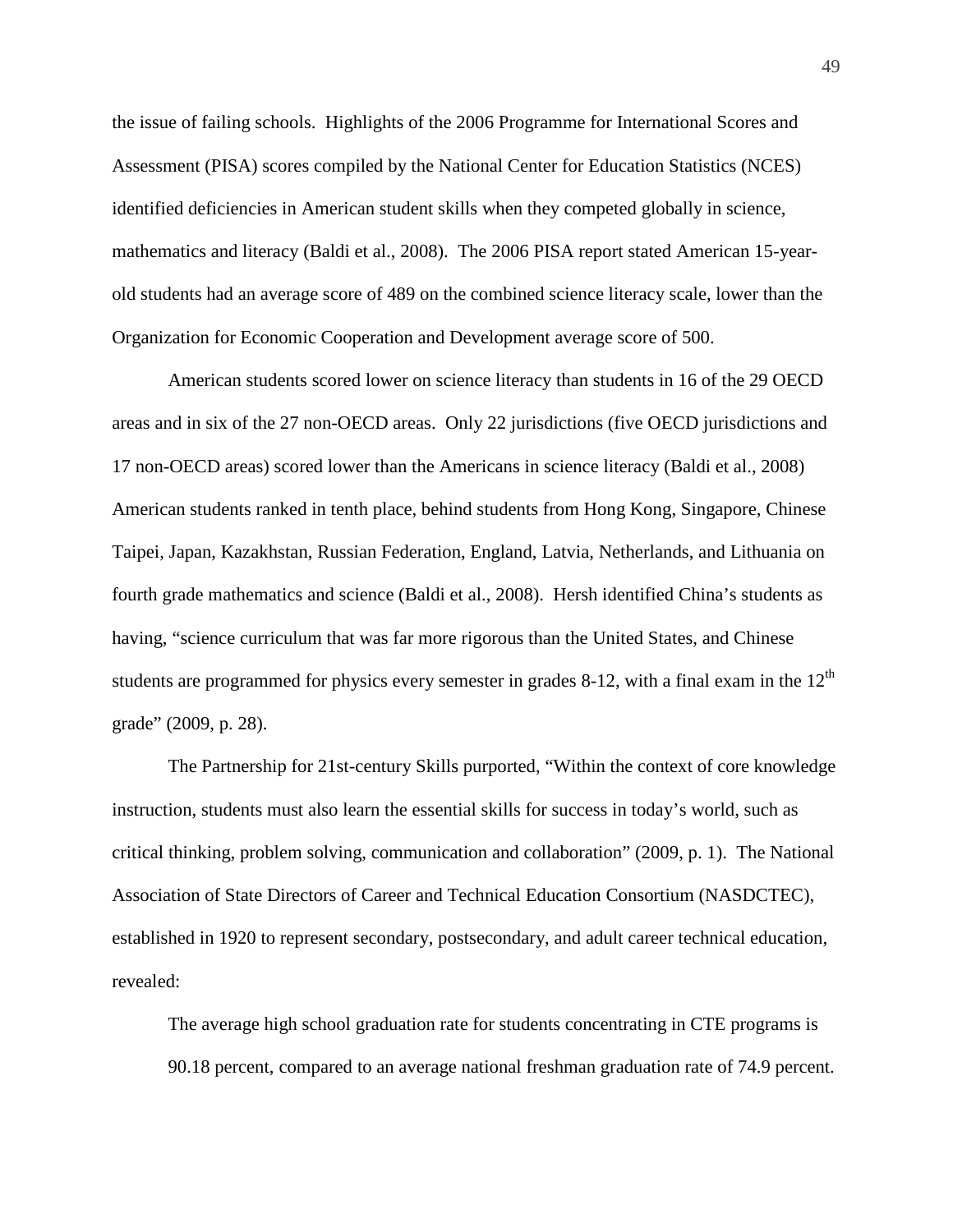the issue of failing schools. Highlights of the 2006 Programme for International Scores and Assessment (PISA) scores compiled by the National Center for Education Statistics (NCES) identified deficiencies in American student skills when they competed globally in science, mathematics and literacy (Baldi et al., 2008). The 2006 PISA report stated American 15-yearold students had an average score of 489 on the combined science literacy scale, lower than the Organization for Economic Cooperation and Development average score of 500.

American students scored lower on science literacy than students in 16 of the 29 OECD areas and in six of the 27 non-OECD areas. Only 22 jurisdictions (five OECD jurisdictions and 17 non-OECD areas) scored lower than the Americans in science literacy (Baldi et al., 2008) American students ranked in tenth place, behind students from Hong Kong, Singapore, Chinese Taipei, Japan, Kazakhstan, Russian Federation, England, Latvia, Netherlands, and Lithuania on fourth grade mathematics and science (Baldi et al., 2008). Hersh identified China's students as having, "science curriculum that was far more rigorous than the United States, and Chinese students are programmed for physics every semester in grades 8-12, with a final exam in the  $12<sup>th</sup>$ grade" (2009, p. 28).

The Partnership for 21st-century Skills purported, "Within the context of core knowledge instruction, students must also learn the essential skills for success in today's world, such as critical thinking, problem solving, communication and collaboration" (2009, p. 1). The National Association of State Directors of Career and Technical Education Consortium (NASDCTEC), established in 1920 to represent secondary, postsecondary, and adult career technical education, revealed:

The average high school graduation rate for students concentrating in CTE programs is 90.18 percent, compared to an average national freshman graduation rate of 74.9 percent.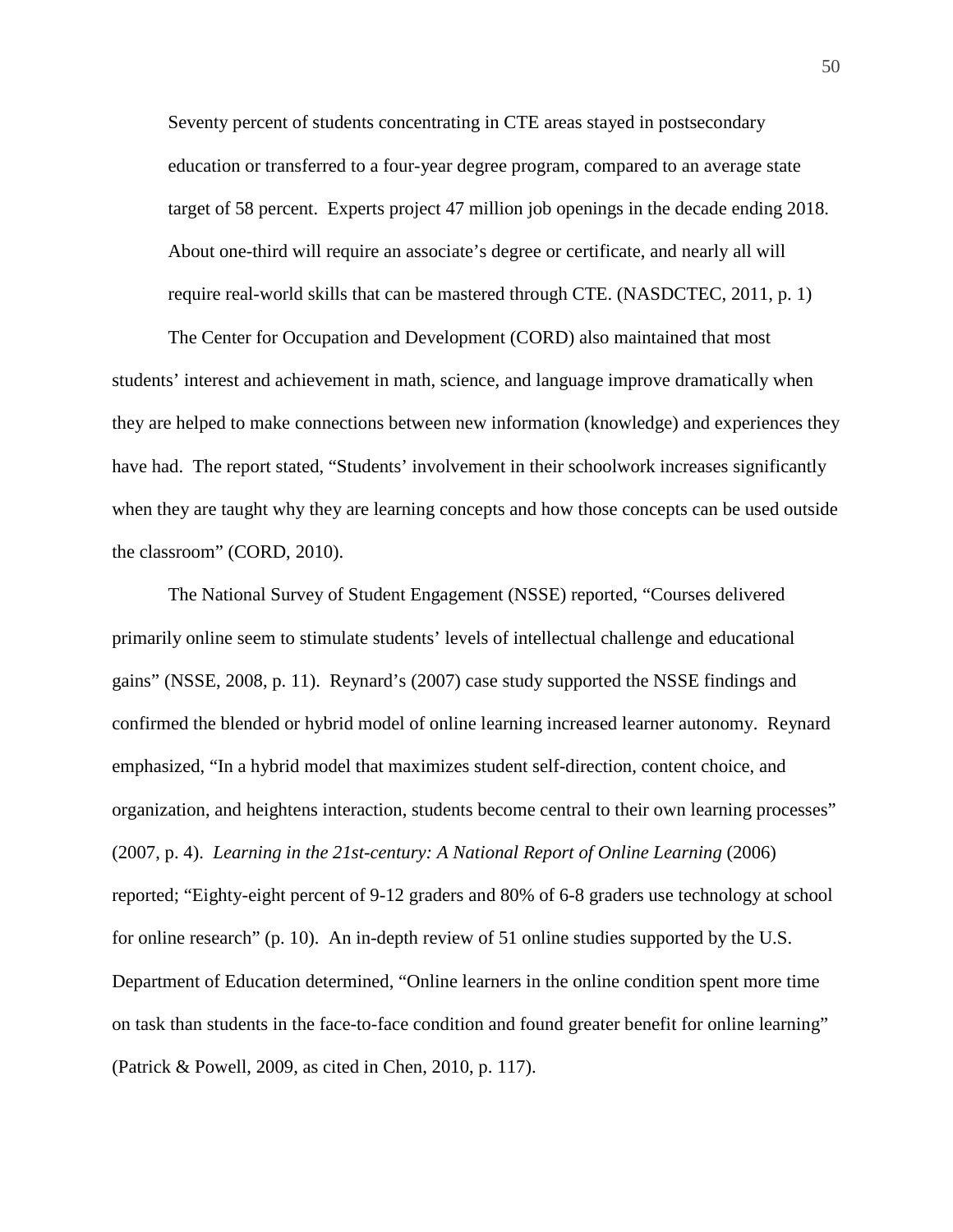Seventy percent of students concentrating in CTE areas stayed in postsecondary education or transferred to a four-year degree program, compared to an average state target of 58 percent. Experts project 47 million job openings in the decade ending 2018. About one-third will require an associate's degree or certificate, and nearly all will require real-world skills that can be mastered through CTE. (NASDCTEC, 2011, p. 1)

The Center for Occupation and Development (CORD) also maintained that most students' interest and achievement in math, science, and language improve dramatically when they are helped to make connections between new information (knowledge) and experiences they have had. The report stated, "Students' involvement in their schoolwork increases significantly when they are taught why they are learning concepts and how those concepts can be used outside the classroom" (CORD, 2010).

The National Survey of Student Engagement (NSSE) reported, "Courses delivered primarily online seem to stimulate students' levels of intellectual challenge and educational gains" (NSSE, 2008, p. 11). Reynard's (2007) case study supported the NSSE findings and confirmed the blended or hybrid model of online learning increased learner autonomy. Reynard emphasized, "In a hybrid model that maximizes student self-direction, content choice, and organization, and heightens interaction, students become central to their own learning processes" (2007, p. 4). *Learning in the 21st-century: A National Report of Online Learning* (2006) reported; "Eighty-eight percent of 9-12 graders and 80% of 6-8 graders use technology at school for online research" (p. 10). An in-depth review of 51 online studies supported by the U.S. Department of Education determined, "Online learners in the online condition spent more time on task than students in the face-to-face condition and found greater benefit for online learning" (Patrick & Powell, 2009, as cited in Chen, 2010, p. 117).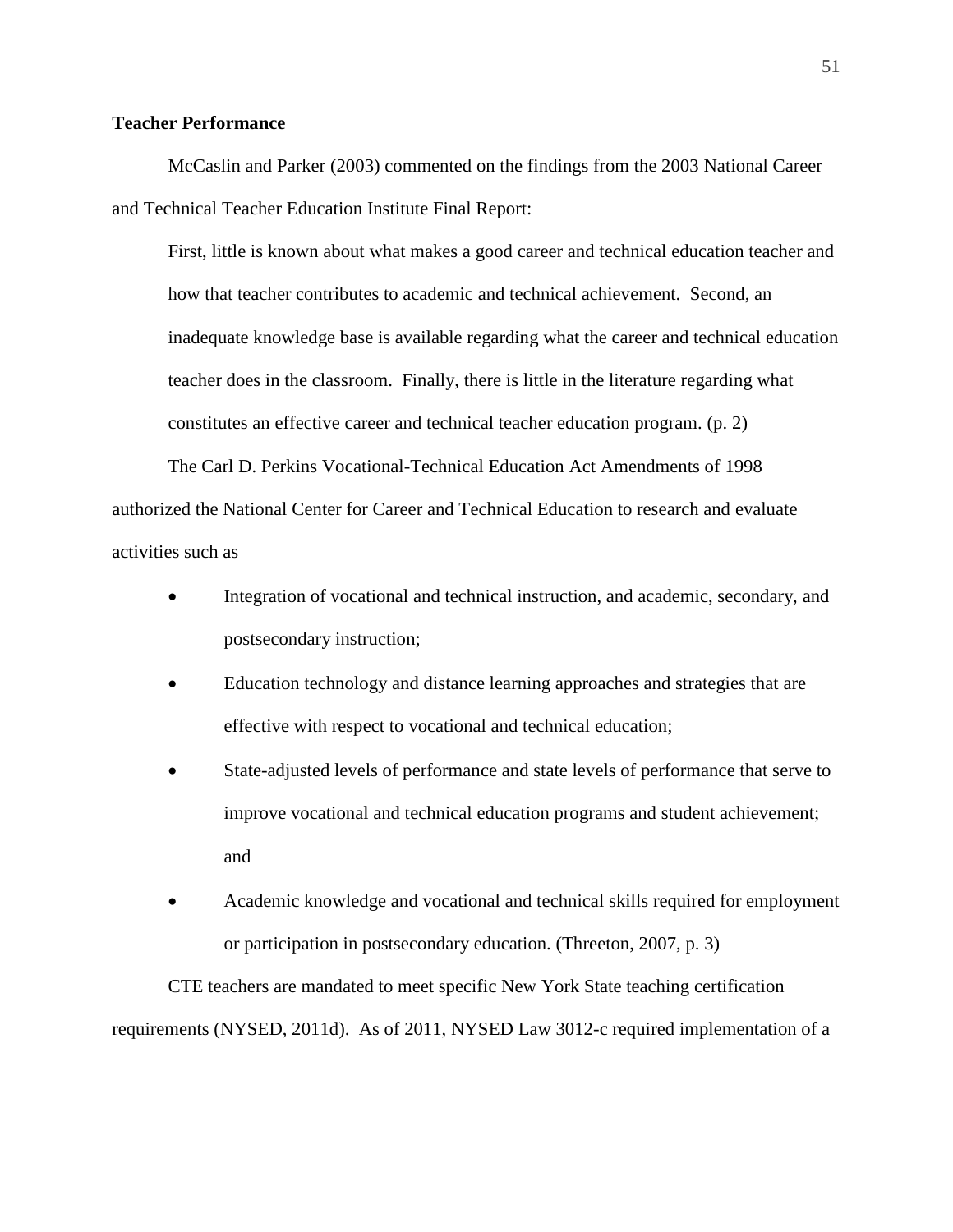# **Teacher Performance**

McCaslin and Parker (2003) commented on the findings from the 2003 National Career and Technical Teacher Education Institute Final Report:

First, little is known about what makes a good career and technical education teacher and how that teacher contributes to academic and technical achievement. Second, an inadequate knowledge base is available regarding what the career and technical education teacher does in the classroom. Finally, there is little in the literature regarding what constitutes an effective career and technical teacher education program. (p. 2)

The Carl D. Perkins Vocational-Technical Education Act Amendments of 1998 authorized the National Center for Career and Technical Education to research and evaluate activities such as

- Integration of vocational and technical instruction, and academic, secondary, and postsecondary instruction;
- Education technology and distance learning approaches and strategies that are effective with respect to vocational and technical education;
- State-adjusted levels of performance and state levels of performance that serve to improve vocational and technical education programs and student achievement; and
- Academic knowledge and vocational and technical skills required for employment or participation in postsecondary education. (Threeton, 2007, p. 3)

CTE teachers are mandated to meet specific New York State teaching certification requirements (NYSED, 2011d). As of 2011, NYSED Law 3012-c required implementation of a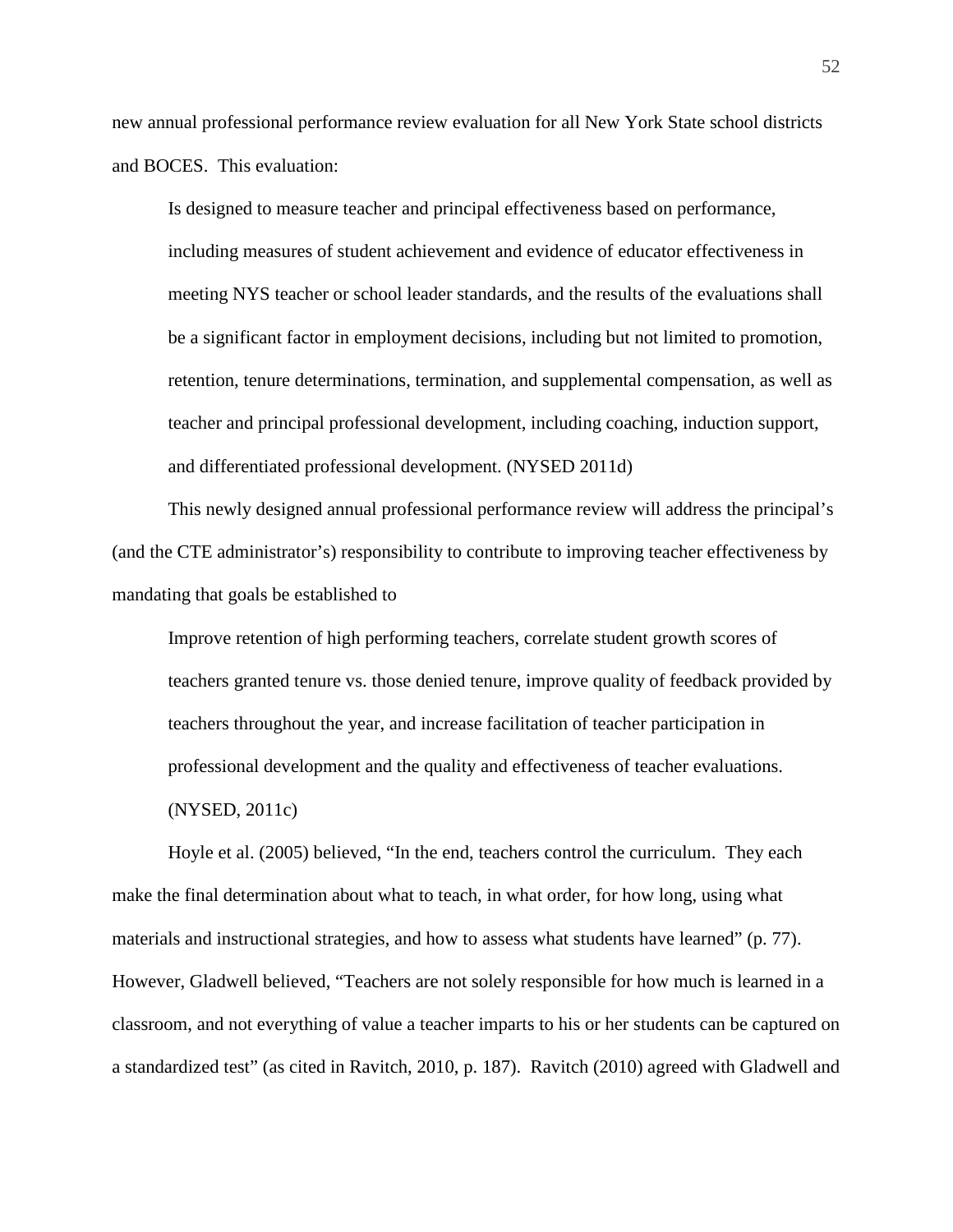new annual professional performance review evaluation for all New York State school districts and BOCES. This evaluation:

Is designed to measure teacher and principal effectiveness based on performance, including measures of student achievement and evidence of educator effectiveness in meeting NYS teacher or school leader standards, and the results of the evaluations shall be a significant factor in employment decisions, including but not limited to promotion, retention, tenure determinations, termination, and supplemental compensation, as well as teacher and principal professional development, including coaching, induction support, and differentiated professional development. (NYSED 2011d)

This newly designed annual professional performance review will address the principal's (and the CTE administrator's) responsibility to contribute to improving teacher effectiveness by mandating that goals be established to

Improve retention of high performing teachers, correlate student growth scores of teachers granted tenure vs. those denied tenure, improve quality of feedback provided by teachers throughout the year, and increase facilitation of teacher participation in professional development and the quality and effectiveness of teacher evaluations. (NYSED, 2011c)

Hoyle et al. (2005) believed, "In the end, teachers control the curriculum. They each make the final determination about what to teach, in what order, for how long, using what materials and instructional strategies, and how to assess what students have learned" (p. 77). However, Gladwell believed, "Teachers are not solely responsible for how much is learned in a classroom, and not everything of value a teacher imparts to his or her students can be captured on a standardized test" (as cited in Ravitch, 2010, p. 187). Ravitch (2010) agreed with Gladwell and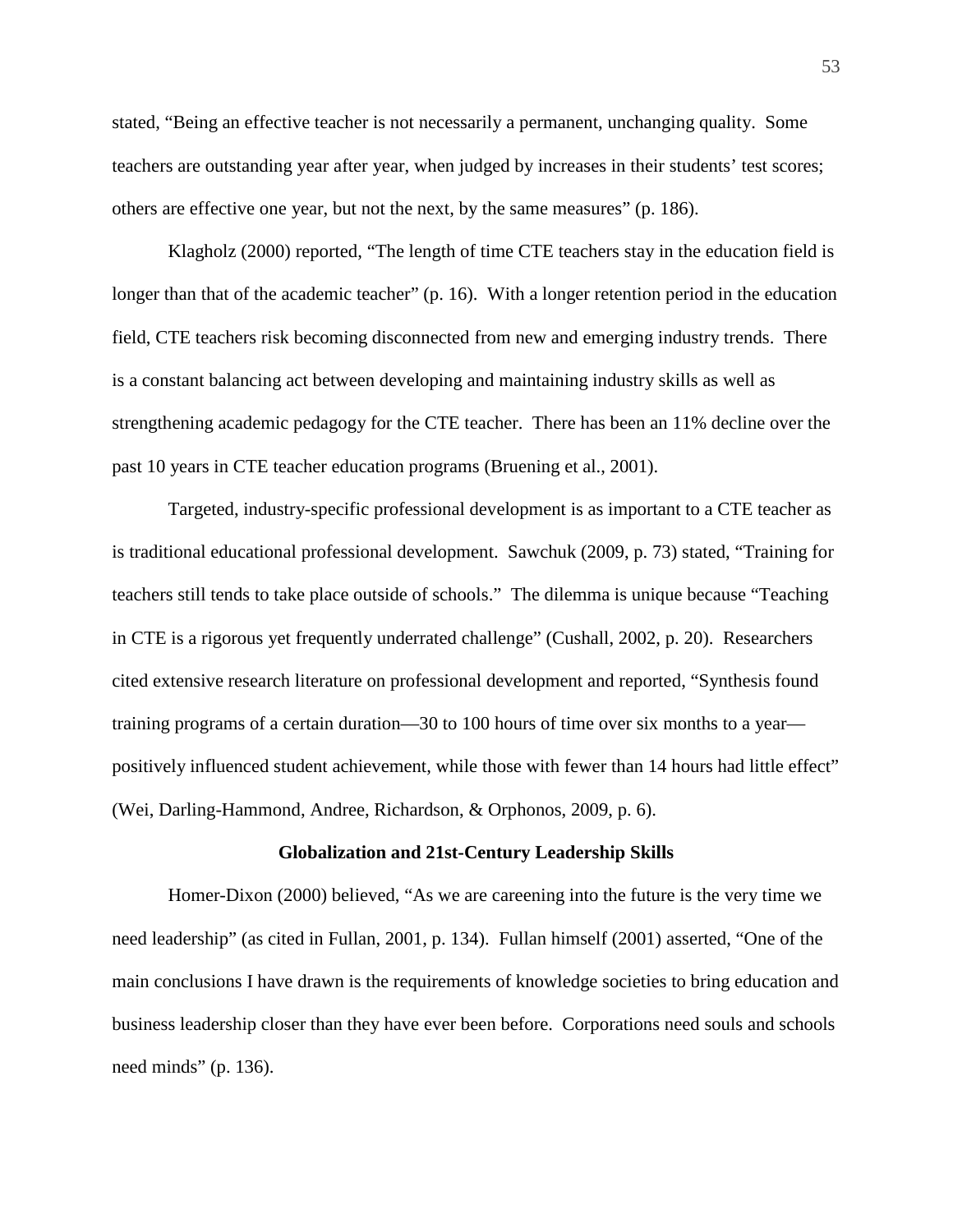stated, "Being an effective teacher is not necessarily a permanent, unchanging quality. Some teachers are outstanding year after year, when judged by increases in their students' test scores; others are effective one year, but not the next, by the same measures" (p. 186).

Klagholz (2000) reported, "The length of time CTE teachers stay in the education field is longer than that of the academic teacher" (p. 16). With a longer retention period in the education field, CTE teachers risk becoming disconnected from new and emerging industry trends. There is a constant balancing act between developing and maintaining industry skills as well as strengthening academic pedagogy for the CTE teacher. There has been an 11% decline over the past 10 years in CTE teacher education programs (Bruening et al., 2001).

Targeted, industry-specific professional development is as important to a CTE teacher as is traditional educational professional development. Sawchuk (2009, p. 73) stated, "Training for teachers still tends to take place outside of schools." The dilemma is unique because "Teaching in CTE is a rigorous yet frequently underrated challenge" (Cushall, 2002, p. 20). Researchers cited extensive research literature on professional development and reported, "Synthesis found training programs of a certain duration—30 to 100 hours of time over six months to a year positively influenced student achievement, while those with fewer than 14 hours had little effect" (Wei, Darling-Hammond, Andree, Richardson, & Orphonos, 2009, p. 6).

#### **Globalization and 21st-Century Leadership Skills**

Homer-Dixon (2000) believed, "As we are careening into the future is the very time we need leadership" (as cited in Fullan, 2001, p. 134). Fullan himself (2001) asserted, "One of the main conclusions I have drawn is the requirements of knowledge societies to bring education and business leadership closer than they have ever been before. Corporations need souls and schools need minds" (p. 136).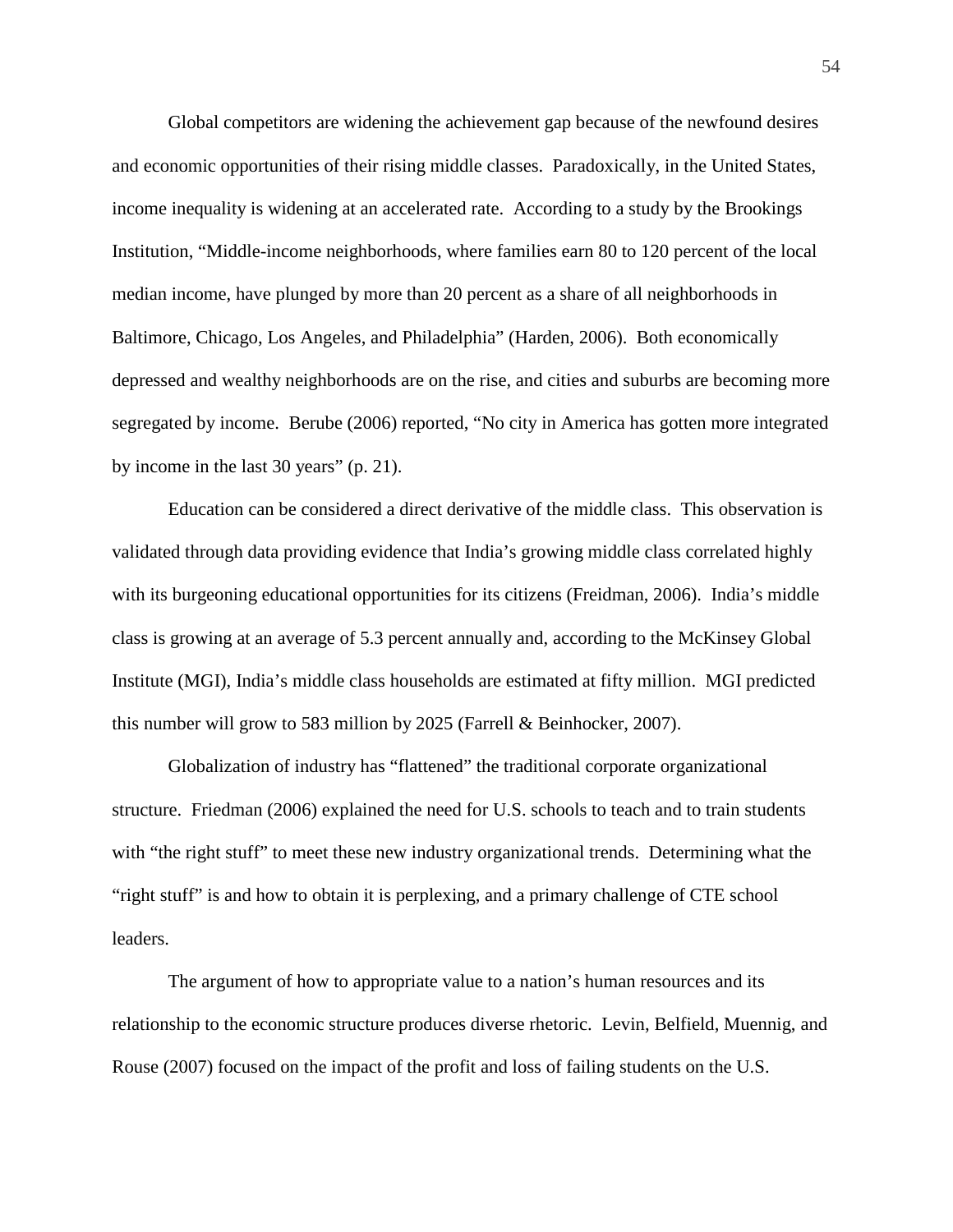Global competitors are widening the achievement gap because of the newfound desires and economic opportunities of their rising middle classes. Paradoxically, in the United States, income inequality is widening at an accelerated rate. According to a study by the Brookings Institution, "Middle-income neighborhoods, where families earn 80 to 120 percent of the local median income, have plunged by more than 20 percent as a share of all neighborhoods in Baltimore, Chicago, Los Angeles, and Philadelphia" (Harden, 2006). Both economically depressed and wealthy neighborhoods are on the rise, and cities and suburbs are becoming more segregated by income. Berube (2006) reported, "No city in America has gotten more integrated by income in the last 30 years" (p. 21).

Education can be considered a direct derivative of the middle class. This observation is validated through data providing evidence that India's growing middle class correlated highly with its burgeoning educational opportunities for its citizens (Freidman, 2006). India's middle class is growing at an average of 5.3 percent annually and, according to the McKinsey Global Institute (MGI), India's middle class households are estimated at fifty million. MGI predicted this number will grow to 583 million by 2025 (Farrell & Beinhocker, 2007).

Globalization of industry has "flattened" the traditional corporate organizational structure. Friedman (2006) explained the need for U.S. schools to teach and to train students with "the right stuff" to meet these new industry organizational trends. Determining what the "right stuff" is and how to obtain it is perplexing, and a primary challenge of CTE school leaders.

The argument of how to appropriate value to a nation's human resources and its relationship to the economic structure produces diverse rhetoric. Levin, Belfield, Muennig, and Rouse (2007) focused on the impact of the profit and loss of failing students on the U.S.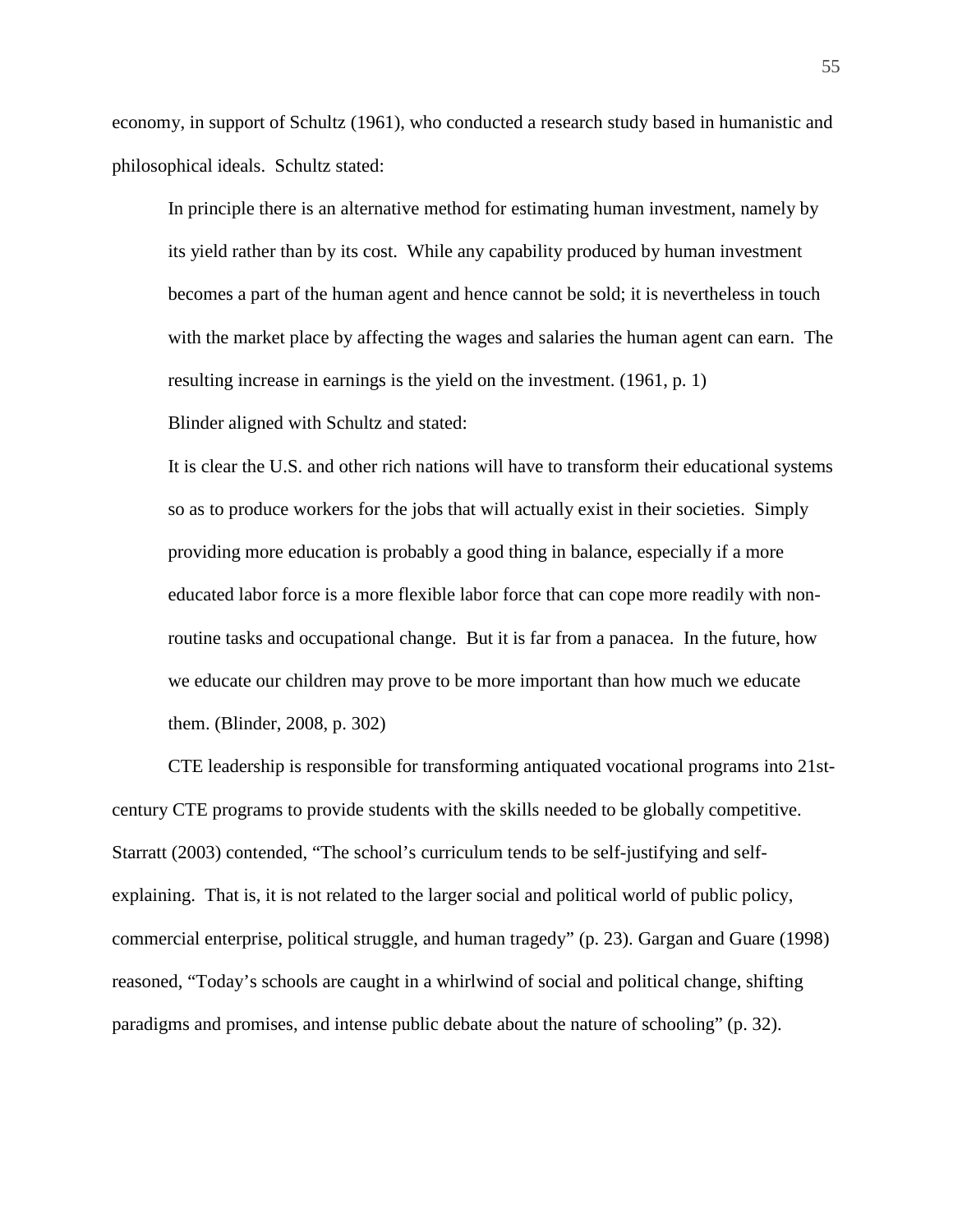economy, in support of Schultz (1961), who conducted a research study based in humanistic and philosophical ideals. Schultz stated:

In principle there is an alternative method for estimating human investment, namely by its yield rather than by its cost. While any capability produced by human investment becomes a part of the human agent and hence cannot be sold; it is nevertheless in touch with the market place by affecting the wages and salaries the human agent can earn. The resulting increase in earnings is the yield on the investment. (1961, p. 1)

Blinder aligned with Schultz and stated:

It is clear the U.S. and other rich nations will have to transform their educational systems so as to produce workers for the jobs that will actually exist in their societies. Simply providing more education is probably a good thing in balance, especially if a more educated labor force is a more flexible labor force that can cope more readily with nonroutine tasks and occupational change. But it is far from a panacea. In the future, how we educate our children may prove to be more important than how much we educate them. (Blinder, 2008, p. 302)

CTE leadership is responsible for transforming antiquated vocational programs into 21stcentury CTE programs to provide students with the skills needed to be globally competitive. Starratt (2003) contended, "The school's curriculum tends to be self-justifying and selfexplaining. That is, it is not related to the larger social and political world of public policy, commercial enterprise, political struggle, and human tragedy" (p. 23). Gargan and Guare (1998) reasoned, "Today's schools are caught in a whirlwind of social and political change, shifting paradigms and promises, and intense public debate about the nature of schooling" (p. 32).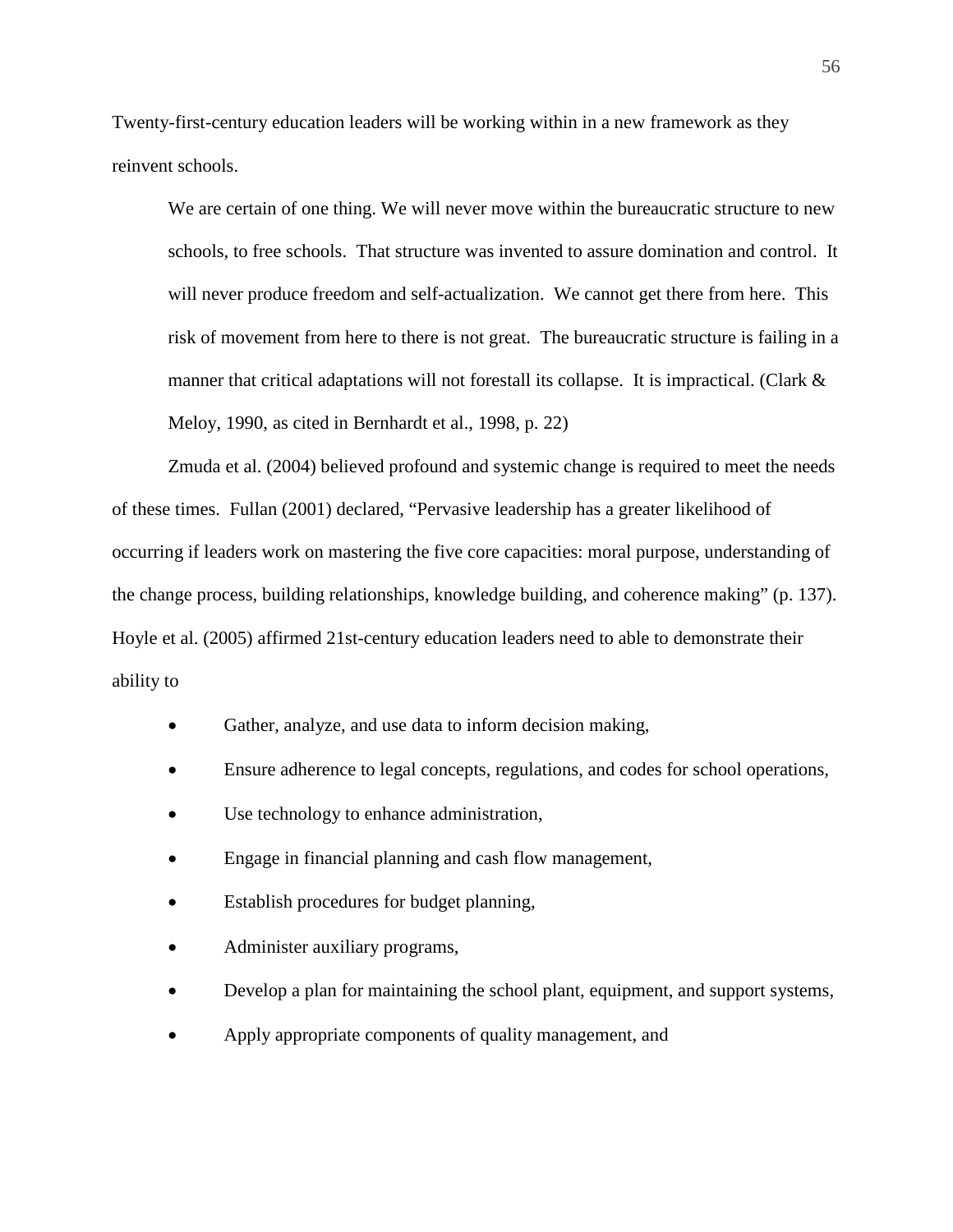Twenty-first-century education leaders will be working within in a new framework as they reinvent schools.

We are certain of one thing. We will never move within the bureaucratic structure to new schools, to free schools. That structure was invented to assure domination and control. It will never produce freedom and self-actualization. We cannot get there from here. This risk of movement from here to there is not great. The bureaucratic structure is failing in a manner that critical adaptations will not forestall its collapse. It is impractical. (Clark & Meloy, 1990, as cited in Bernhardt et al., 1998, p. 22)

Zmuda et al. (2004) believed profound and systemic change is required to meet the needs of these times. Fullan (2001) declared, "Pervasive leadership has a greater likelihood of occurring if leaders work on mastering the five core capacities: moral purpose, understanding of the change process, building relationships, knowledge building, and coherence making" (p. 137). Hoyle et al. (2005) affirmed 21st-century education leaders need to able to demonstrate their ability to

- Gather, analyze, and use data to inform decision making,
- Ensure adherence to legal concepts, regulations, and codes for school operations,
- Use technology to enhance administration,
- Engage in financial planning and cash flow management,
- Establish procedures for budget planning,
- Administer auxiliary programs,
- Develop a plan for maintaining the school plant, equipment, and support systems,
- Apply appropriate components of quality management, and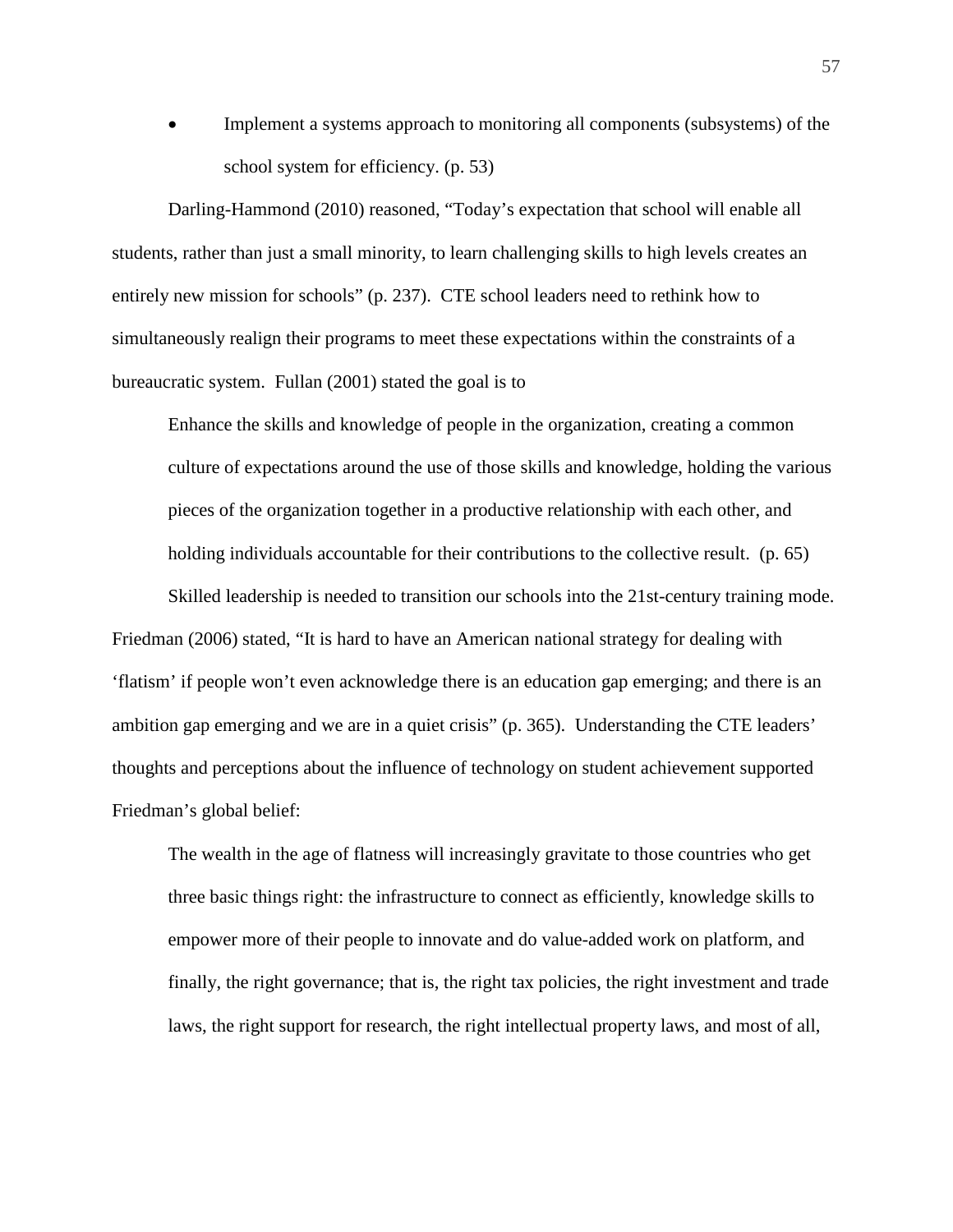• Implement a systems approach to monitoring all components (subsystems) of the school system for efficiency. (p. 53)

Darling-Hammond (2010) reasoned, "Today's expectation that school will enable all students, rather than just a small minority, to learn challenging skills to high levels creates an entirely new mission for schools" (p. 237). CTE school leaders need to rethink how to simultaneously realign their programs to meet these expectations within the constraints of a bureaucratic system. Fullan (2001) stated the goal is to

Enhance the skills and knowledge of people in the organization, creating a common culture of expectations around the use of those skills and knowledge, holding the various pieces of the organization together in a productive relationship with each other, and holding individuals accountable for their contributions to the collective result. (p. 65)

Skilled leadership is needed to transition our schools into the 21st-century training mode. Friedman (2006) stated, "It is hard to have an American national strategy for dealing with 'flatism' if people won't even acknowledge there is an education gap emerging; and there is an ambition gap emerging and we are in a quiet crisis" (p. 365). Understanding the CTE leaders' thoughts and perceptions about the influence of technology on student achievement supported Friedman's global belief:

The wealth in the age of flatness will increasingly gravitate to those countries who get three basic things right: the infrastructure to connect as efficiently, knowledge skills to empower more of their people to innovate and do value-added work on platform, and finally, the right governance; that is, the right tax policies, the right investment and trade laws, the right support for research, the right intellectual property laws, and most of all,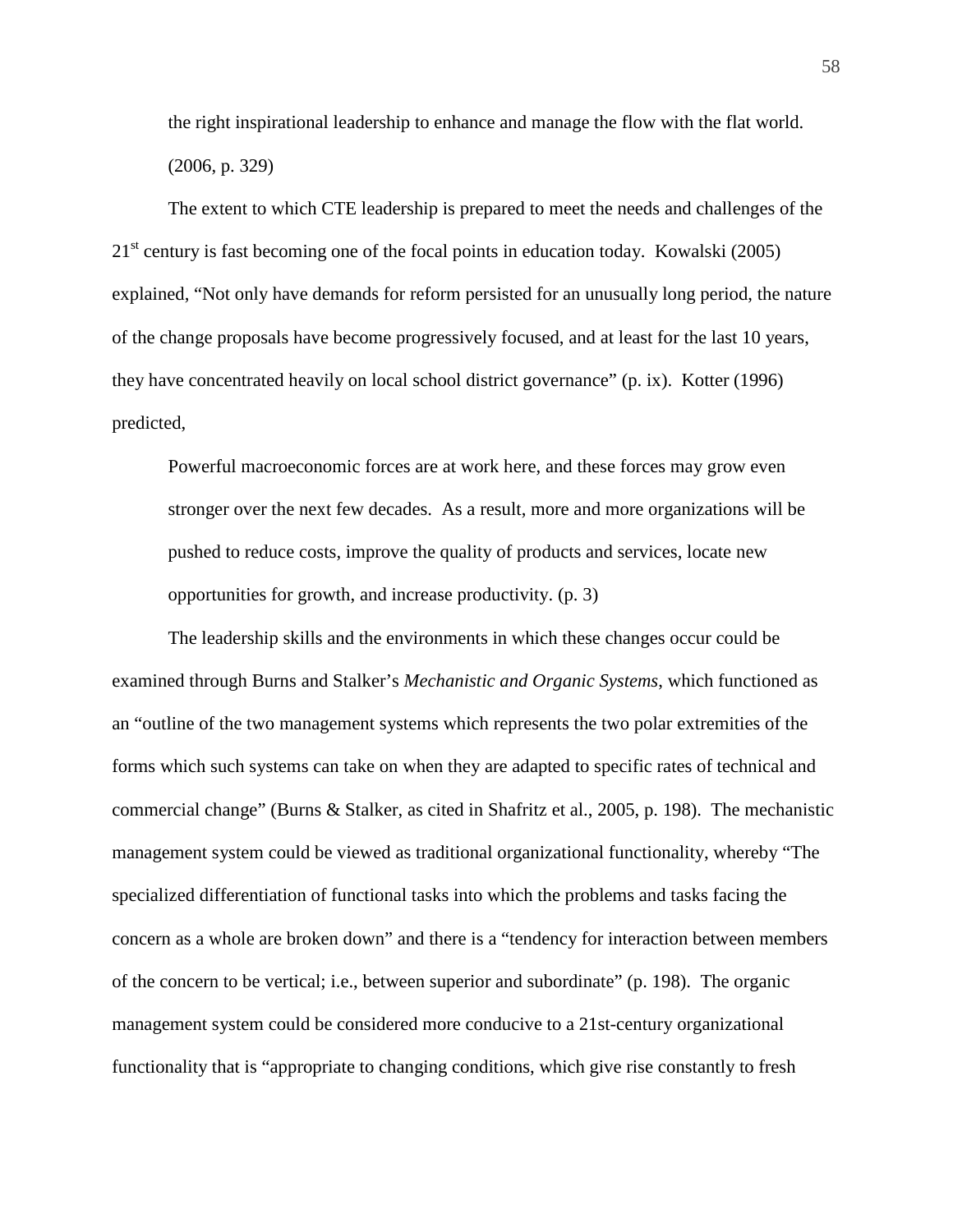the right inspirational leadership to enhance and manage the flow with the flat world. (2006, p. 329)

The extent to which CTE leadership is prepared to meet the needs and challenges of the  $21<sup>st</sup>$  century is fast becoming one of the focal points in education today. Kowalski (2005) explained, "Not only have demands for reform persisted for an unusually long period, the nature of the change proposals have become progressively focused, and at least for the last 10 years, they have concentrated heavily on local school district governance" (p. ix). Kotter (1996) predicted,

Powerful macroeconomic forces are at work here, and these forces may grow even stronger over the next few decades. As a result, more and more organizations will be pushed to reduce costs, improve the quality of products and services, locate new opportunities for growth, and increase productivity. (p. 3)

The leadership skills and the environments in which these changes occur could be examined through Burns and Stalker's *Mechanistic and Organic Systems*, which functioned as an "outline of the two management systems which represents the two polar extremities of the forms which such systems can take on when they are adapted to specific rates of technical and commercial change" (Burns & Stalker, as cited in Shafritz et al., 2005, p. 198). The mechanistic management system could be viewed as traditional organizational functionality, whereby "The specialized differentiation of functional tasks into which the problems and tasks facing the concern as a whole are broken down" and there is a "tendency for interaction between members of the concern to be vertical; i.e., between superior and subordinate" (p. 198). The organic management system could be considered more conducive to a 21st-century organizational functionality that is "appropriate to changing conditions, which give rise constantly to fresh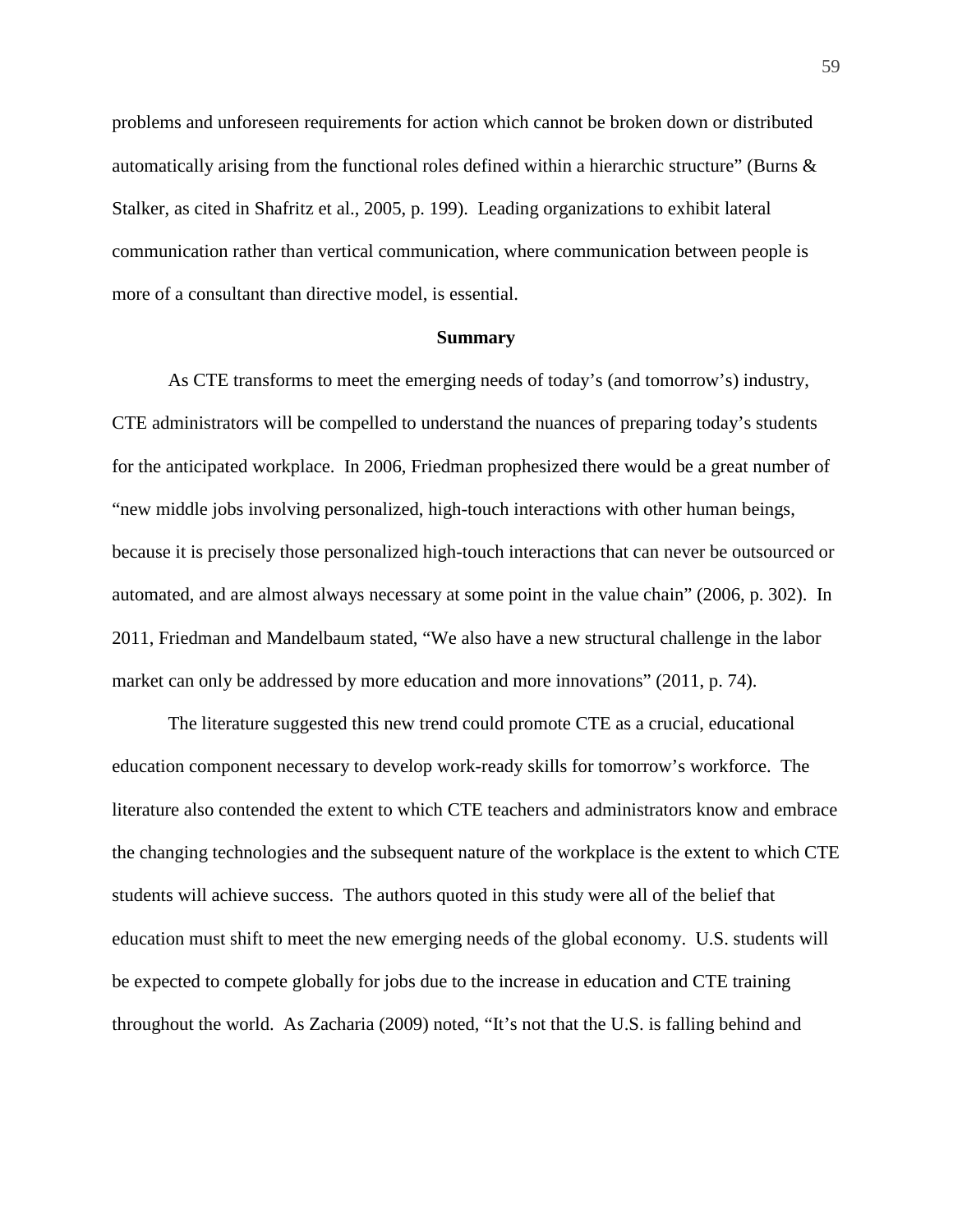problems and unforeseen requirements for action which cannot be broken down or distributed automatically arising from the functional roles defined within a hierarchic structure" (Burns & Stalker, as cited in Shafritz et al., 2005, p. 199). Leading organizations to exhibit lateral communication rather than vertical communication, where communication between people is more of a consultant than directive model, is essential.

#### **Summary**

As CTE transforms to meet the emerging needs of today's (and tomorrow's) industry, CTE administrators will be compelled to understand the nuances of preparing today's students for the anticipated workplace. In 2006, Friedman prophesized there would be a great number of "new middle jobs involving personalized, high-touch interactions with other human beings, because it is precisely those personalized high-touch interactions that can never be outsourced or automated, and are almost always necessary at some point in the value chain" (2006, p. 302). In 2011, Friedman and Mandelbaum stated, "We also have a new structural challenge in the labor market can only be addressed by more education and more innovations" (2011, p. 74).

The literature suggested this new trend could promote CTE as a crucial, educational education component necessary to develop work-ready skills for tomorrow's workforce. The literature also contended the extent to which CTE teachers and administrators know and embrace the changing technologies and the subsequent nature of the workplace is the extent to which CTE students will achieve success. The authors quoted in this study were all of the belief that education must shift to meet the new emerging needs of the global economy. U.S. students will be expected to compete globally for jobs due to the increase in education and CTE training throughout the world. As Zacharia (2009) noted, "It's not that the U.S. is falling behind and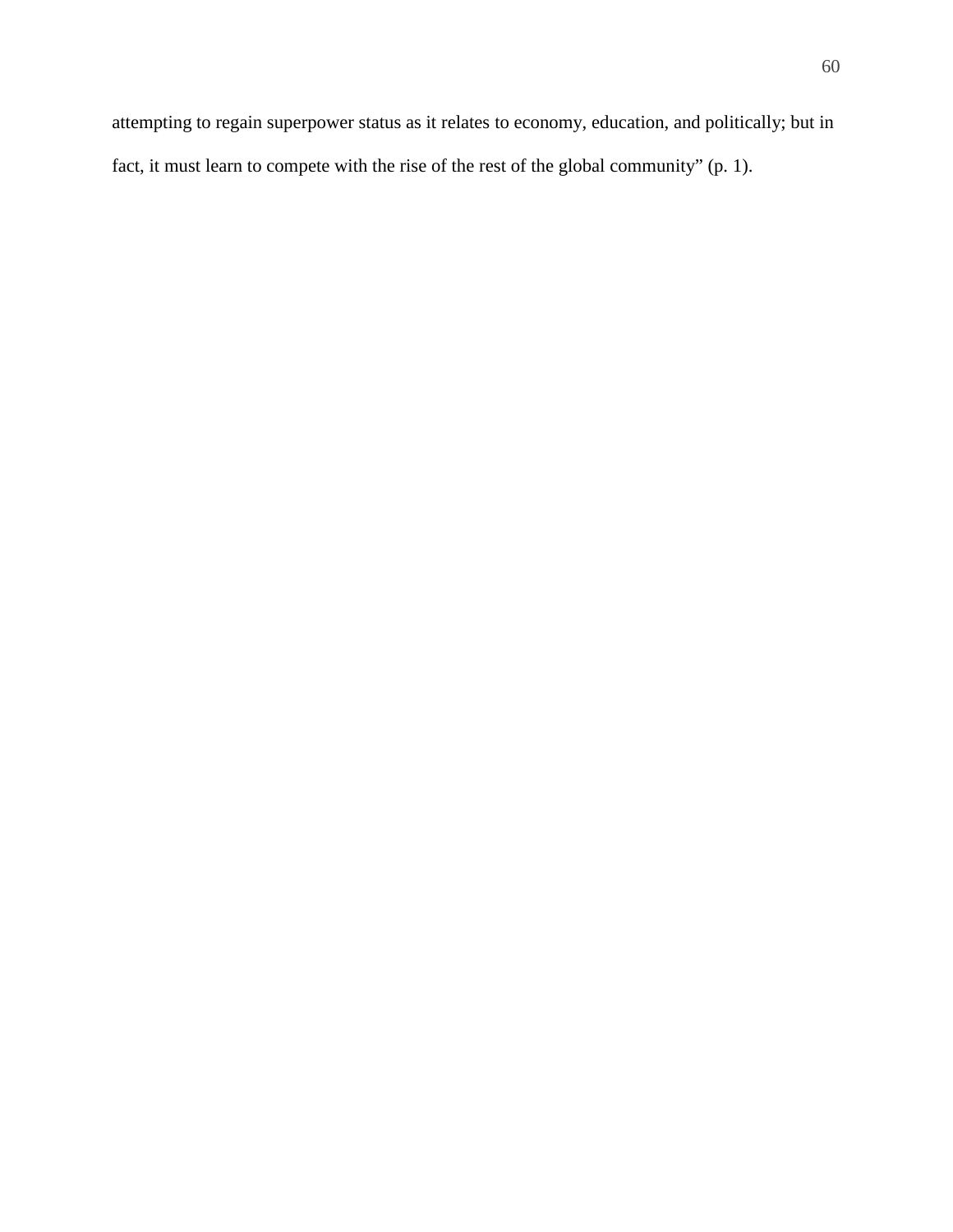attempting to regain superpower status as it relates to economy, education, and politically; but in fact, it must learn to compete with the rise of the rest of the global community" (p. 1).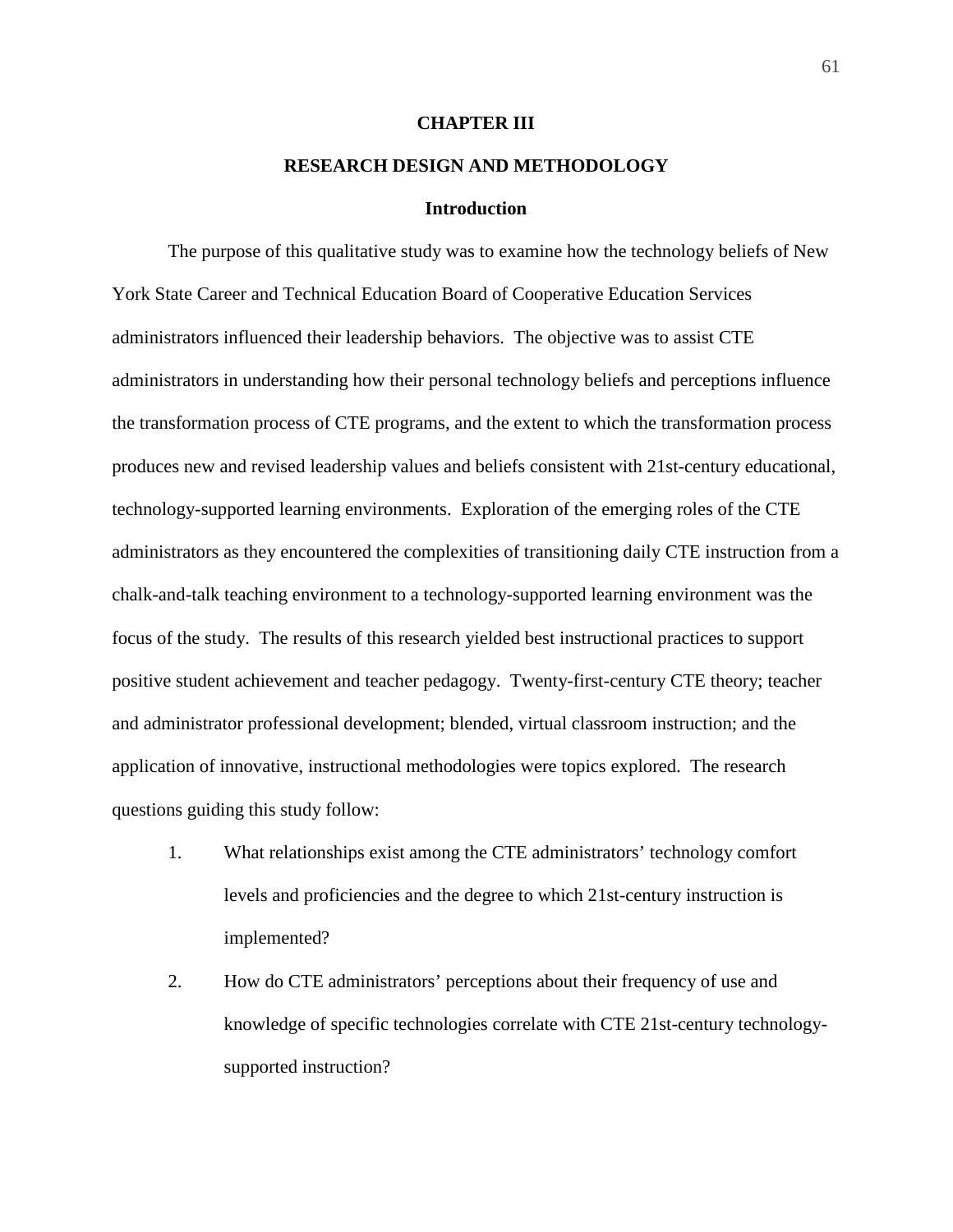## **CHAPTER III**

# **RESEARCH DESIGN AND METHODOLOGY**

## **Introduction**

The purpose of this qualitative study was to examine how the technology beliefs of New York State Career and Technical Education Board of Cooperative Education Services administrators influenced their leadership behaviors. The objective was to assist CTE administrators in understanding how their personal technology beliefs and perceptions influence the transformation process of CTE programs, and the extent to which the transformation process produces new and revised leadership values and beliefs consistent with 21st-century educational, technology-supported learning environments. Exploration of the emerging roles of the CTE administrators as they encountered the complexities of transitioning daily CTE instruction from a chalk-and-talk teaching environment to a technology-supported learning environment was the focus of the study. The results of this research yielded best instructional practices to support positive student achievement and teacher pedagogy. Twenty-first-century CTE theory; teacher and administrator professional development; blended, virtual classroom instruction; and the application of innovative, instructional methodologies were topics explored. The research questions guiding this study follow:

- 1. What relationships exist among the CTE administrators' technology comfort levels and proficiencies and the degree to which 21st-century instruction is implemented?
- 2. How do CTE administrators' perceptions about their frequency of use and knowledge of specific technologies correlate with CTE 21st-century technologysupported instruction?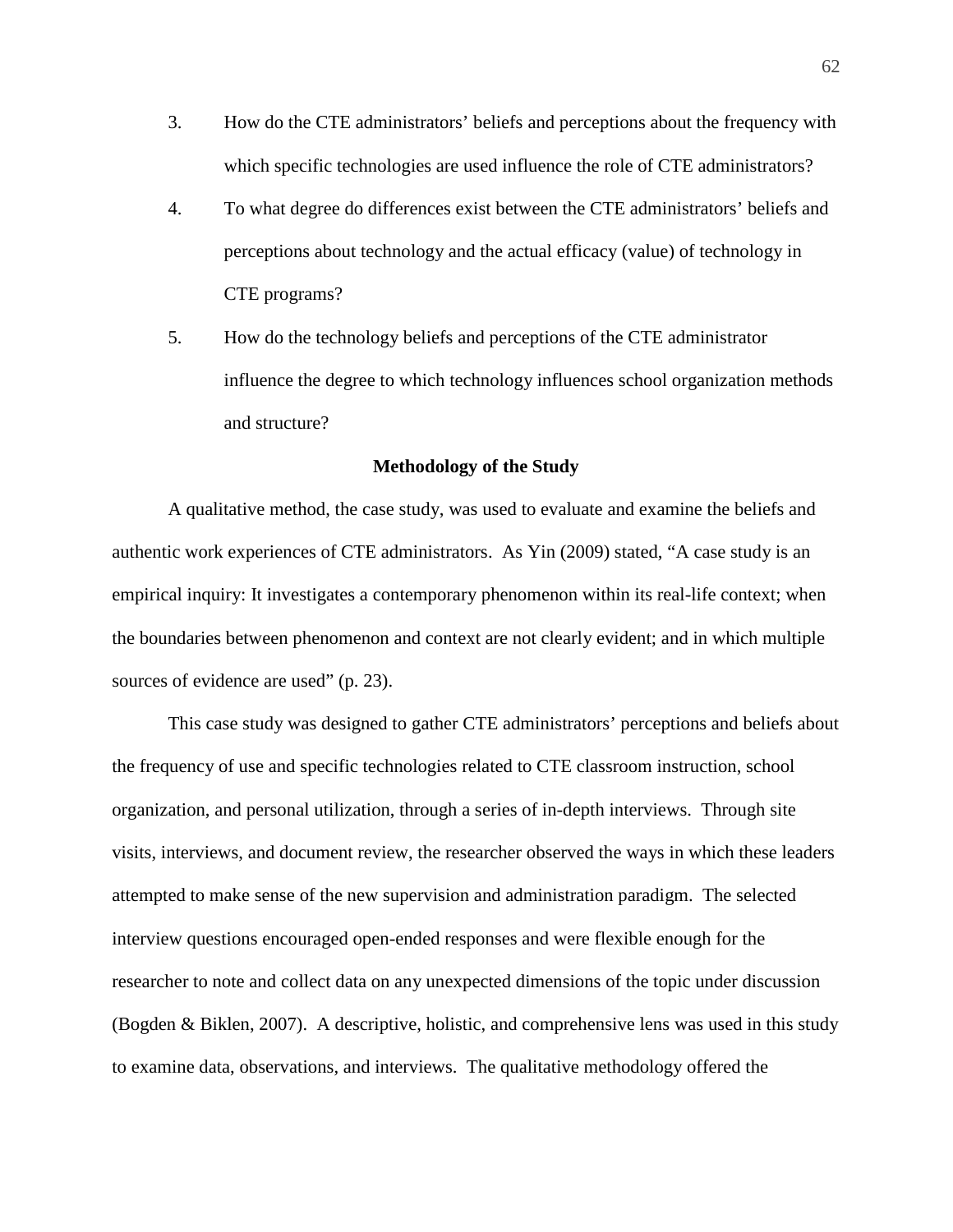- 3. How do the CTE administrators' beliefs and perceptions about the frequency with which specific technologies are used influence the role of CTE administrators?
- 4. To what degree do differences exist between the CTE administrators' beliefs and perceptions about technology and the actual efficacy (value) of technology in CTE programs?
- 5. How do the technology beliefs and perceptions of the CTE administrator influence the degree to which technology influences school organization methods and structure?

# **Methodology of the Study**

A qualitative method, the case study, was used to evaluate and examine the beliefs and authentic work experiences of CTE administrators. As Yin (2009) stated, "A case study is an empirical inquiry: It investigates a contemporary phenomenon within its real-life context; when the boundaries between phenomenon and context are not clearly evident; and in which multiple sources of evidence are used" (p. 23).

This case study was designed to gather CTE administrators' perceptions and beliefs about the frequency of use and specific technologies related to CTE classroom instruction, school organization, and personal utilization, through a series of in-depth interviews. Through site visits, interviews, and document review, the researcher observed the ways in which these leaders attempted to make sense of the new supervision and administration paradigm. The selected interview questions encouraged open-ended responses and were flexible enough for the researcher to note and collect data on any unexpected dimensions of the topic under discussion (Bogden & Biklen, 2007). A descriptive, holistic, and comprehensive lens was used in this study to examine data, observations, and interviews. The qualitative methodology offered the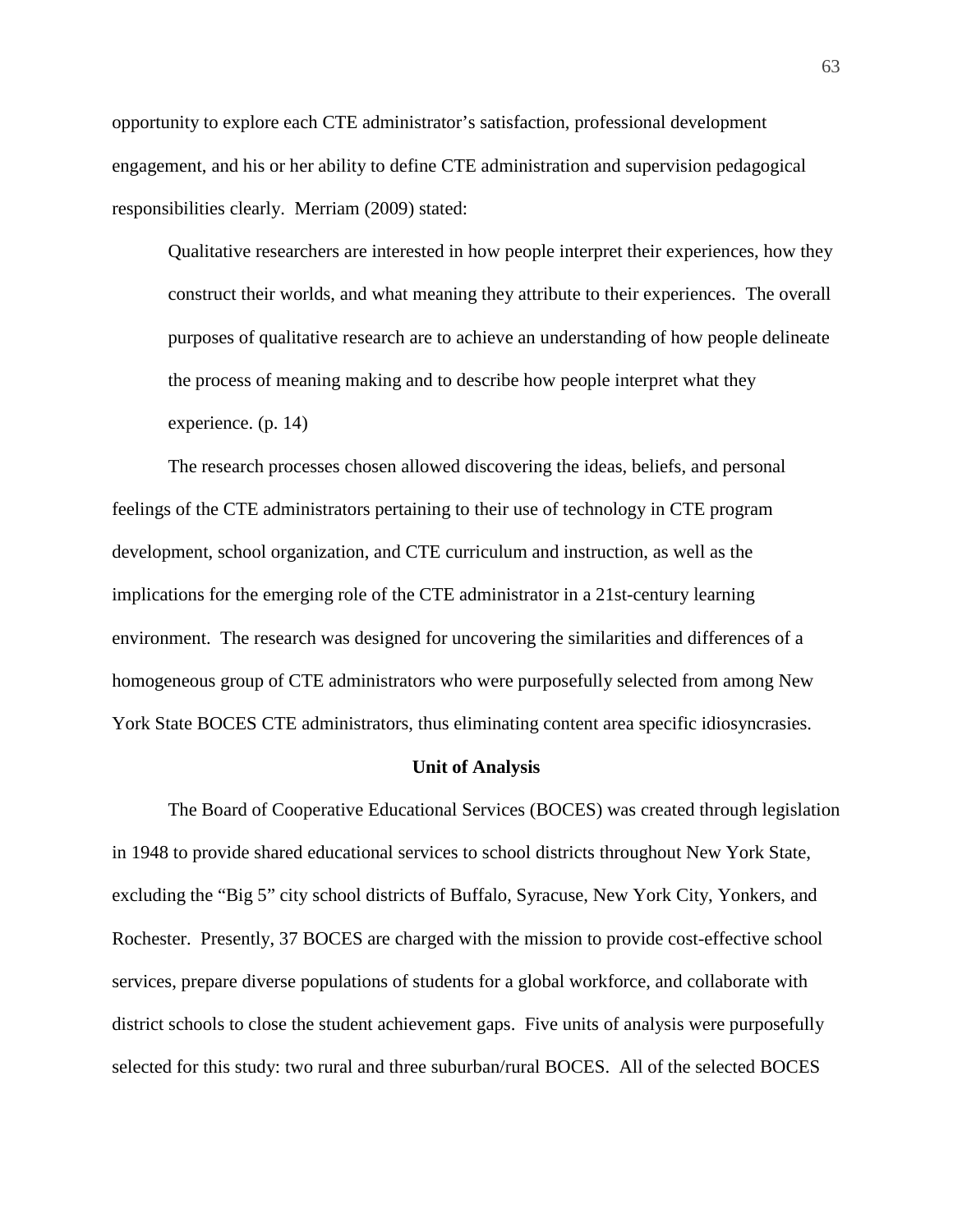opportunity to explore each CTE administrator's satisfaction, professional development engagement, and his or her ability to define CTE administration and supervision pedagogical responsibilities clearly. Merriam (2009) stated:

Qualitative researchers are interested in how people interpret their experiences, how they construct their worlds, and what meaning they attribute to their experiences. The overall purposes of qualitative research are to achieve an understanding of how people delineate the process of meaning making and to describe how people interpret what they experience. (p. 14)

The research processes chosen allowed discovering the ideas, beliefs, and personal feelings of the CTE administrators pertaining to their use of technology in CTE program development, school organization, and CTE curriculum and instruction, as well as the implications for the emerging role of the CTE administrator in a 21st-century learning environment. The research was designed for uncovering the similarities and differences of a homogeneous group of CTE administrators who were purposefully selected from among New York State BOCES CTE administrators, thus eliminating content area specific idiosyncrasies.

# **Unit of Analysis**

The Board of Cooperative Educational Services (BOCES) was created through legislation in 1948 to provide shared educational services to school districts throughout New York State, excluding the "Big 5" city school districts of Buffalo, Syracuse, New York City, Yonkers, and Rochester. Presently, 37 BOCES are charged with the mission to provide cost-effective school services, prepare diverse populations of students for a global workforce, and collaborate with district schools to close the student achievement gaps. Five units of analysis were purposefully selected for this study: two rural and three suburban/rural BOCES. All of the selected BOCES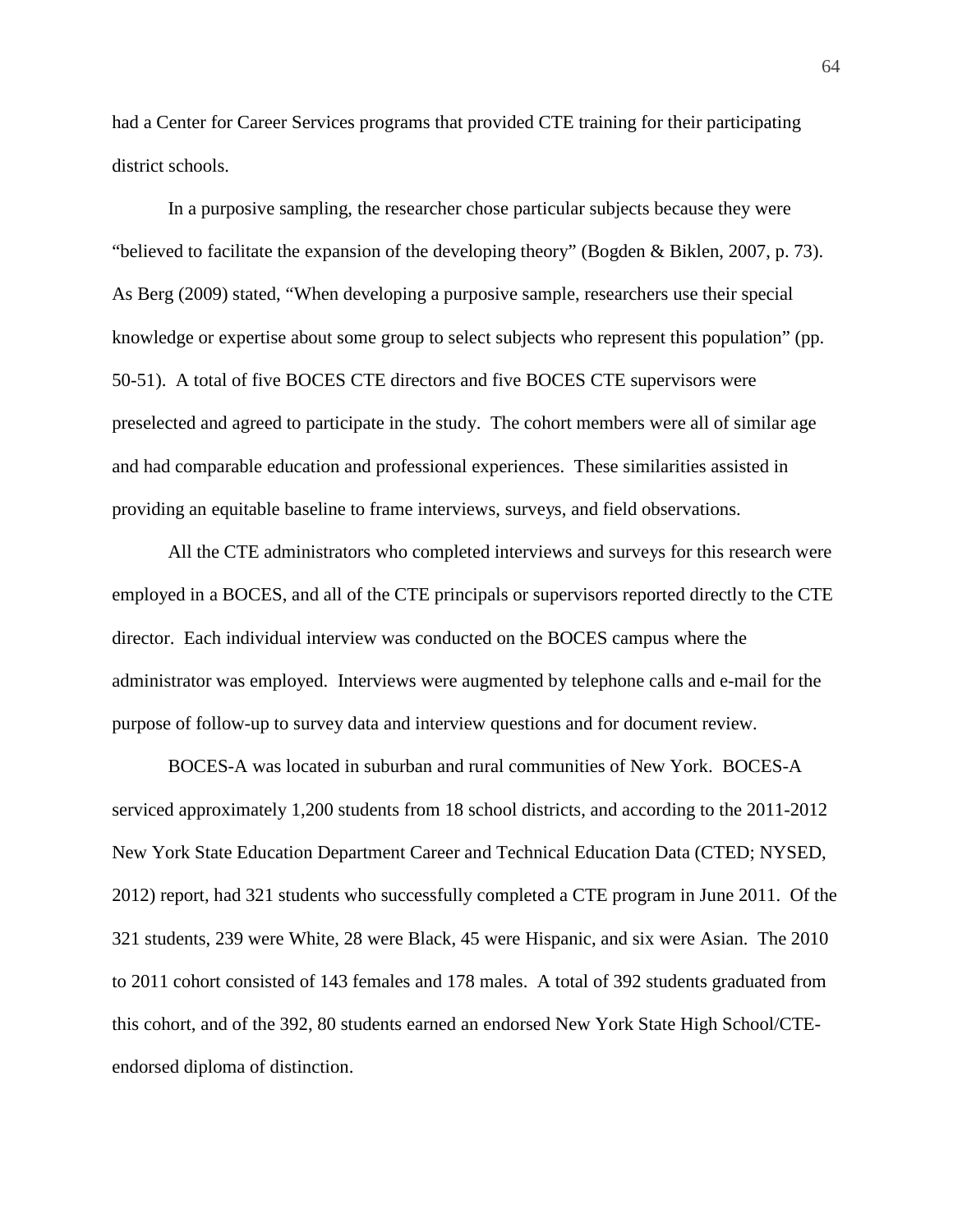had a Center for Career Services programs that provided CTE training for their participating district schools.

In a purposive sampling, the researcher chose particular subjects because they were "believed to facilitate the expansion of the developing theory" (Bogden & Biklen, 2007, p. 73). As Berg (2009) stated, "When developing a purposive sample, researchers use their special knowledge or expertise about some group to select subjects who represent this population" (pp. 50-51). A total of five BOCES CTE directors and five BOCES CTE supervisors were preselected and agreed to participate in the study. The cohort members were all of similar age and had comparable education and professional experiences. These similarities assisted in providing an equitable baseline to frame interviews, surveys, and field observations.

All the CTE administrators who completed interviews and surveys for this research were employed in a BOCES, and all of the CTE principals or supervisors reported directly to the CTE director. Each individual interview was conducted on the BOCES campus where the administrator was employed. Interviews were augmented by telephone calls and e-mail for the purpose of follow-up to survey data and interview questions and for document review.

BOCES-A was located in suburban and rural communities of New York. BOCES-A serviced approximately 1,200 students from 18 school districts, and according to the 2011-2012 New York State Education Department Career and Technical Education Data (CTED; NYSED, 2012) report, had 321 students who successfully completed a CTE program in June 2011. Of the 321 students, 239 were White, 28 were Black, 45 were Hispanic, and six were Asian. The 2010 to 2011 cohort consisted of 143 females and 178 males. A total of 392 students graduated from this cohort, and of the 392, 80 students earned an endorsed New York State High School/CTEendorsed diploma of distinction.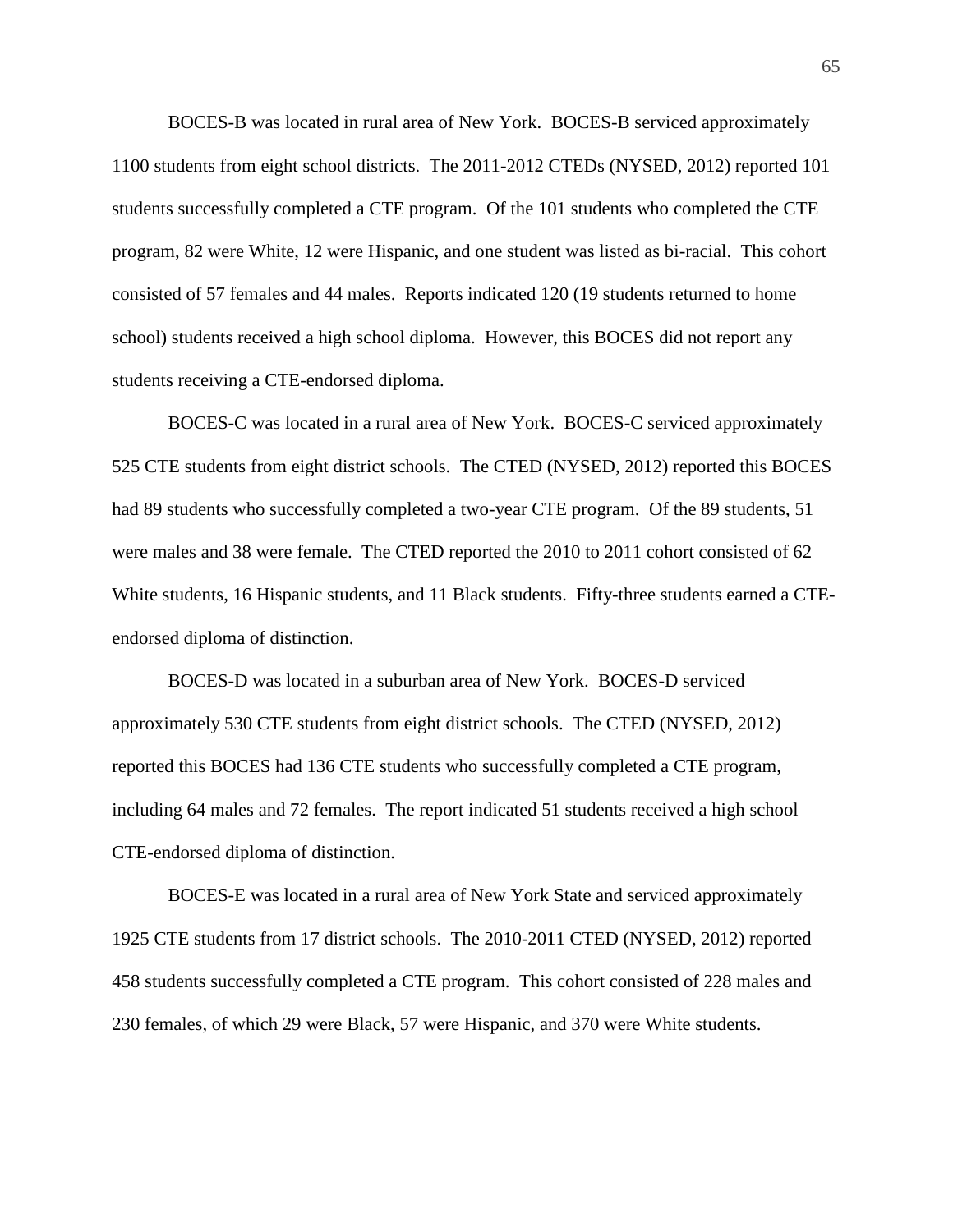BOCES-B was located in rural area of New York. BOCES-B serviced approximately 1100 students from eight school districts. The 2011-2012 CTEDs (NYSED, 2012) reported 101 students successfully completed a CTE program. Of the 101 students who completed the CTE program, 82 were White, 12 were Hispanic, and one student was listed as bi-racial. This cohort consisted of 57 females and 44 males. Reports indicated 120 (19 students returned to home school) students received a high school diploma. However, this BOCES did not report any students receiving a CTE-endorsed diploma.

BOCES-C was located in a rural area of New York. BOCES-C serviced approximately 525 CTE students from eight district schools. The CTED (NYSED, 2012) reported this BOCES had 89 students who successfully completed a two-year CTE program. Of the 89 students, 51 were males and 38 were female. The CTED reported the 2010 to 2011 cohort consisted of 62 White students, 16 Hispanic students, and 11 Black students. Fifty-three students earned a CTEendorsed diploma of distinction.

BOCES-D was located in a suburban area of New York. BOCES-D serviced approximately 530 CTE students from eight district schools. The CTED (NYSED, 2012) reported this BOCES had 136 CTE students who successfully completed a CTE program, including 64 males and 72 females. The report indicated 51 students received a high school CTE-endorsed diploma of distinction.

BOCES-E was located in a rural area of New York State and serviced approximately 1925 CTE students from 17 district schools. The 2010-2011 CTED (NYSED, 2012) reported 458 students successfully completed a CTE program. This cohort consisted of 228 males and 230 females, of which 29 were Black, 57 were Hispanic, and 370 were White students.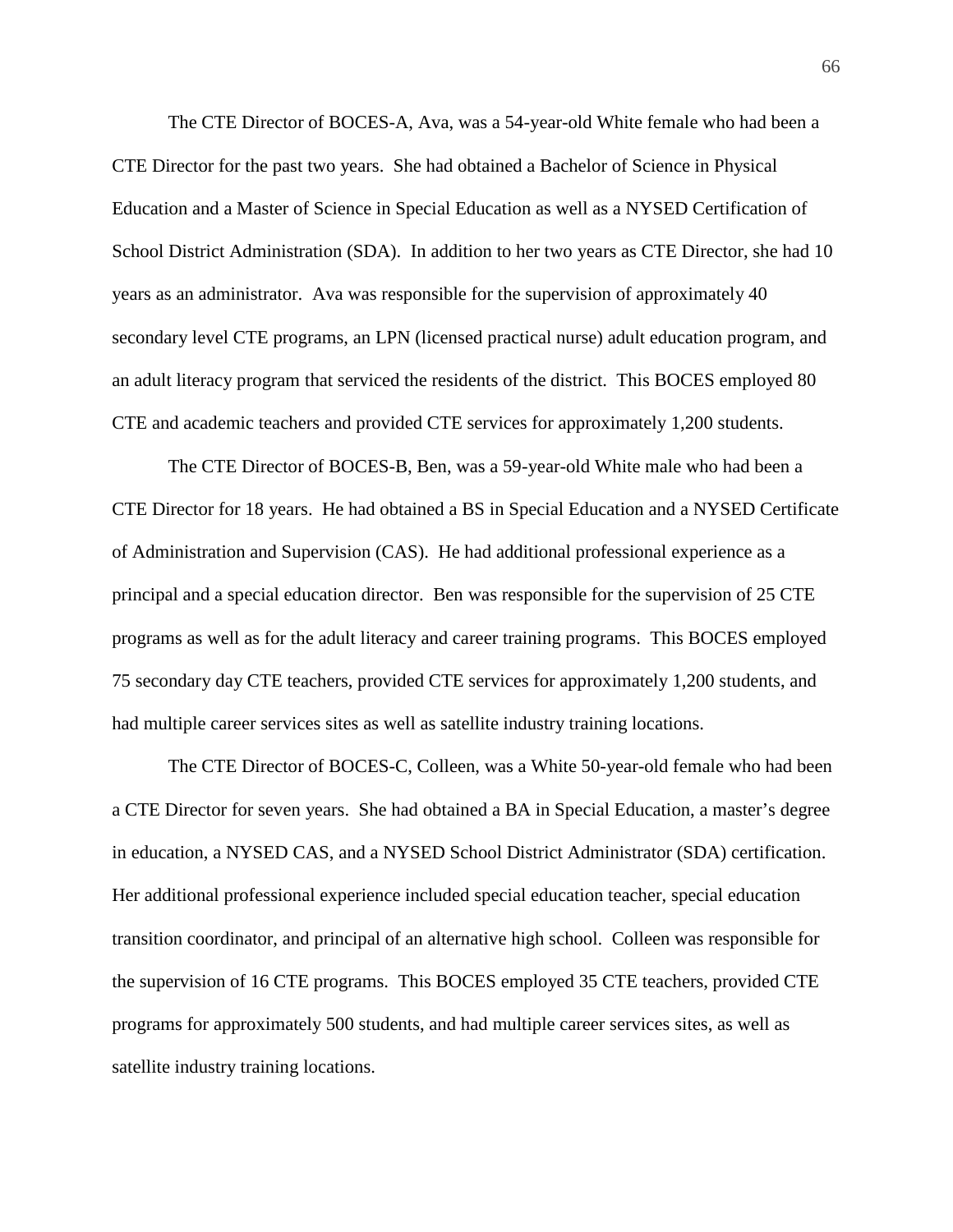The CTE Director of BOCES-A, Ava, was a 54-year-old White female who had been a CTE Director for the past two years. She had obtained a Bachelor of Science in Physical Education and a Master of Science in Special Education as well as a NYSED Certification of School District Administration (SDA). In addition to her two years as CTE Director, she had 10 years as an administrator. Ava was responsible for the supervision of approximately 40 secondary level CTE programs, an LPN (licensed practical nurse) adult education program, and an adult literacy program that serviced the residents of the district. This BOCES employed 80 CTE and academic teachers and provided CTE services for approximately 1,200 students.

The CTE Director of BOCES-B, Ben, was a 59-year-old White male who had been a CTE Director for 18 years. He had obtained a BS in Special Education and a NYSED Certificate of Administration and Supervision (CAS). He had additional professional experience as a principal and a special education director. Ben was responsible for the supervision of 25 CTE programs as well as for the adult literacy and career training programs. This BOCES employed 75 secondary day CTE teachers, provided CTE services for approximately 1,200 students, and had multiple career services sites as well as satellite industry training locations.

The CTE Director of BOCES-C, Colleen, was a White 50-year-old female who had been a CTE Director for seven years. She had obtained a BA in Special Education, a master's degree in education, a NYSED CAS, and a NYSED School District Administrator (SDA) certification. Her additional professional experience included special education teacher, special education transition coordinator, and principal of an alternative high school. Colleen was responsible for the supervision of 16 CTE programs. This BOCES employed 35 CTE teachers, provided CTE programs for approximately 500 students, and had multiple career services sites, as well as satellite industry training locations.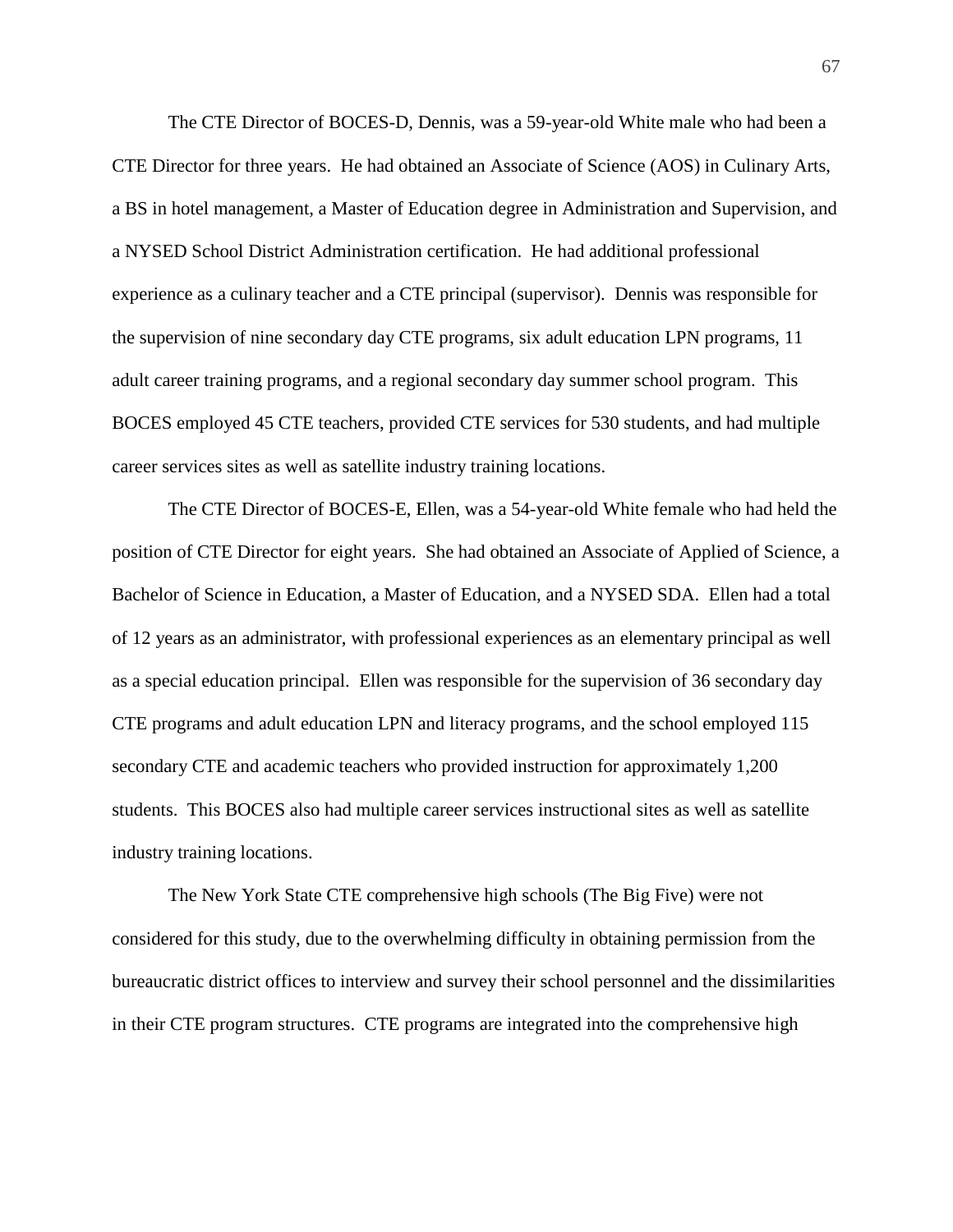The CTE Director of BOCES-D, Dennis, was a 59-year-old White male who had been a CTE Director for three years. He had obtained an Associate of Science (AOS) in Culinary Arts, a BS in hotel management, a Master of Education degree in Administration and Supervision, and a NYSED School District Administration certification. He had additional professional experience as a culinary teacher and a CTE principal (supervisor). Dennis was responsible for the supervision of nine secondary day CTE programs, six adult education LPN programs, 11 adult career training programs, and a regional secondary day summer school program. This BOCES employed 45 CTE teachers, provided CTE services for 530 students, and had multiple career services sites as well as satellite industry training locations.

The CTE Director of BOCES-E, Ellen, was a 54-year-old White female who had held the position of CTE Director for eight years. She had obtained an Associate of Applied of Science, a Bachelor of Science in Education, a Master of Education, and a NYSED SDA. Ellen had a total of 12 years as an administrator, with professional experiences as an elementary principal as well as a special education principal. Ellen was responsible for the supervision of 36 secondary day CTE programs and adult education LPN and literacy programs, and the school employed 115 secondary CTE and academic teachers who provided instruction for approximately 1,200 students. This BOCES also had multiple career services instructional sites as well as satellite industry training locations.

The New York State CTE comprehensive high schools (The Big Five) were not considered for this study, due to the overwhelming difficulty in obtaining permission from the bureaucratic district offices to interview and survey their school personnel and the dissimilarities in their CTE program structures. CTE programs are integrated into the comprehensive high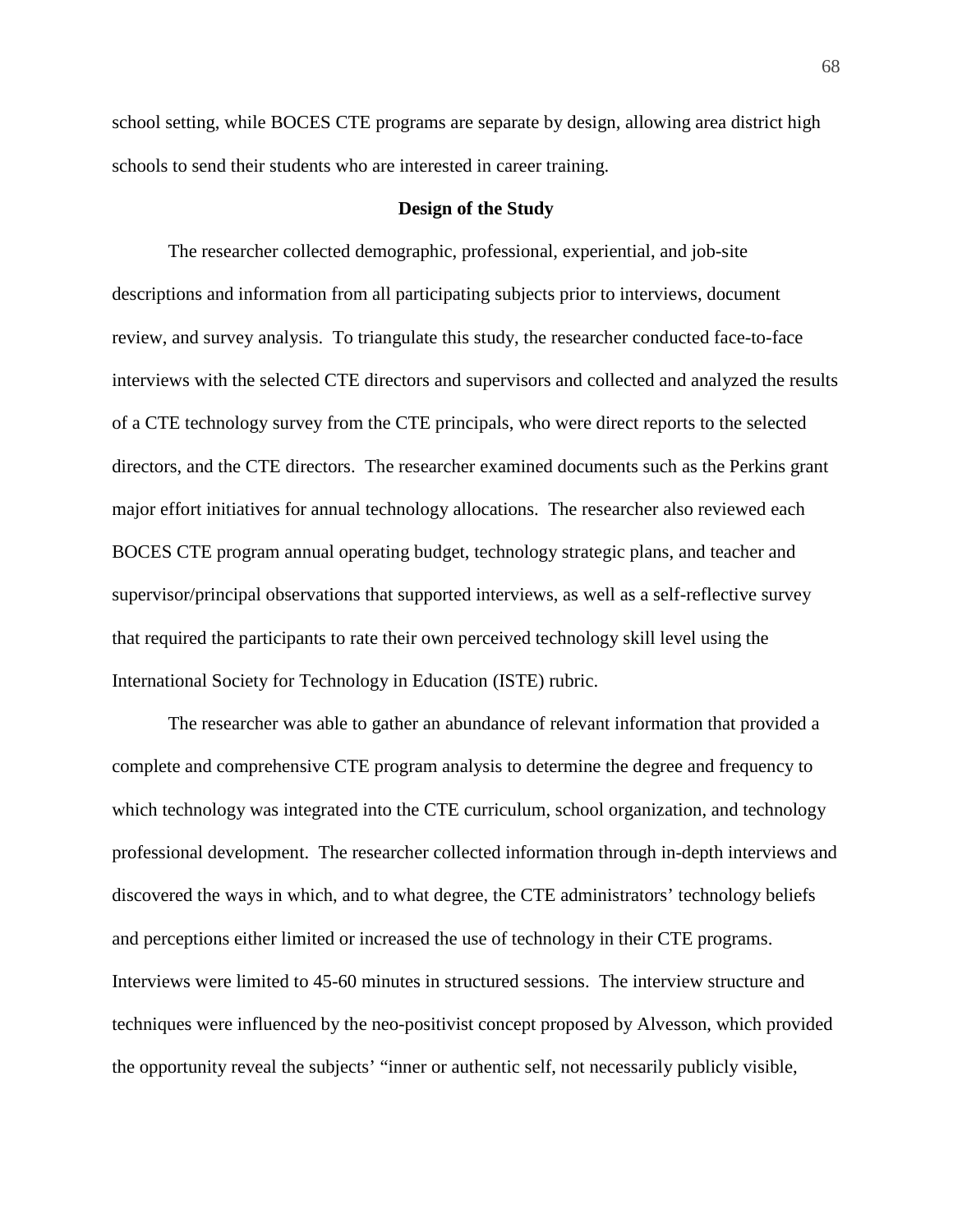school setting, while BOCES CTE programs are separate by design, allowing area district high schools to send their students who are interested in career training.

# **Design of the Study**

The researcher collected demographic, professional, experiential, and job-site descriptions and information from all participating subjects prior to interviews, document review, and survey analysis. To triangulate this study, the researcher conducted face-to-face interviews with the selected CTE directors and supervisors and collected and analyzed the results of a CTE technology survey from the CTE principals, who were direct reports to the selected directors, and the CTE directors. The researcher examined documents such as the Perkins grant major effort initiatives for annual technology allocations. The researcher also reviewed each BOCES CTE program annual operating budget, technology strategic plans, and teacher and supervisor/principal observations that supported interviews, as well as a self-reflective survey that required the participants to rate their own perceived technology skill level using the International Society for Technology in Education (ISTE) rubric.

The researcher was able to gather an abundance of relevant information that provided a complete and comprehensive CTE program analysis to determine the degree and frequency to which technology was integrated into the CTE curriculum, school organization, and technology professional development. The researcher collected information through in-depth interviews and discovered the ways in which, and to what degree, the CTE administrators' technology beliefs and perceptions either limited or increased the use of technology in their CTE programs. Interviews were limited to 45-60 minutes in structured sessions. The interview structure and techniques were influenced by the neo-positivist concept proposed by Alvesson, which provided the opportunity reveal the subjects' "inner or authentic self, not necessarily publicly visible,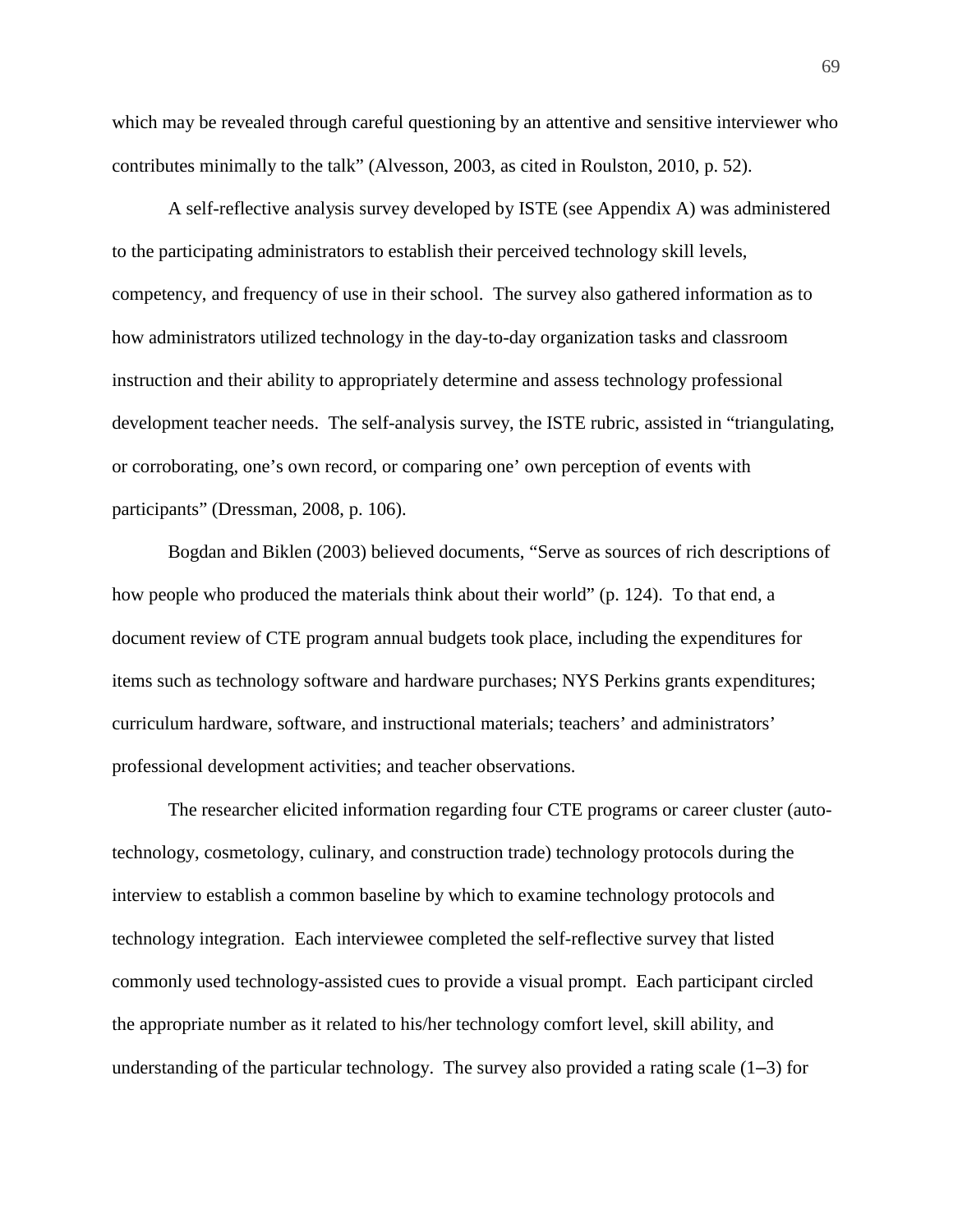which may be revealed through careful questioning by an attentive and sensitive interviewer who contributes minimally to the talk" (Alvesson, 2003, as cited in Roulston, 2010, p. 52).

A self-reflective analysis survey developed by ISTE (see Appendix A) was administered to the participating administrators to establish their perceived technology skill levels, competency, and frequency of use in their school. The survey also gathered information as to how administrators utilized technology in the day-to-day organization tasks and classroom instruction and their ability to appropriately determine and assess technology professional development teacher needs. The self-analysis survey, the ISTE rubric, assisted in "triangulating, or corroborating, one's own record, or comparing one' own perception of events with participants" (Dressman, 2008, p. 106).

Bogdan and Biklen (2003) believed documents, "Serve as sources of rich descriptions of how people who produced the materials think about their world" (p. 124). To that end, a document review of CTE program annual budgets took place, including the expenditures for items such as technology software and hardware purchases; NYS Perkins grants expenditures; curriculum hardware, software, and instructional materials; teachers' and administrators' professional development activities; and teacher observations.

The researcher elicited information regarding four CTE programs or career cluster (autotechnology, cosmetology, culinary, and construction trade) technology protocols during the interview to establish a common baseline by which to examine technology protocols and technology integration. Each interviewee completed the self-reflective survey that listed commonly used technology-assisted cues to provide a visual prompt. Each participant circled the appropriate number as it related to his/her technology comfort level, skill ability, and understanding of the particular technology. The survey also provided a rating scale  $(1-3)$  for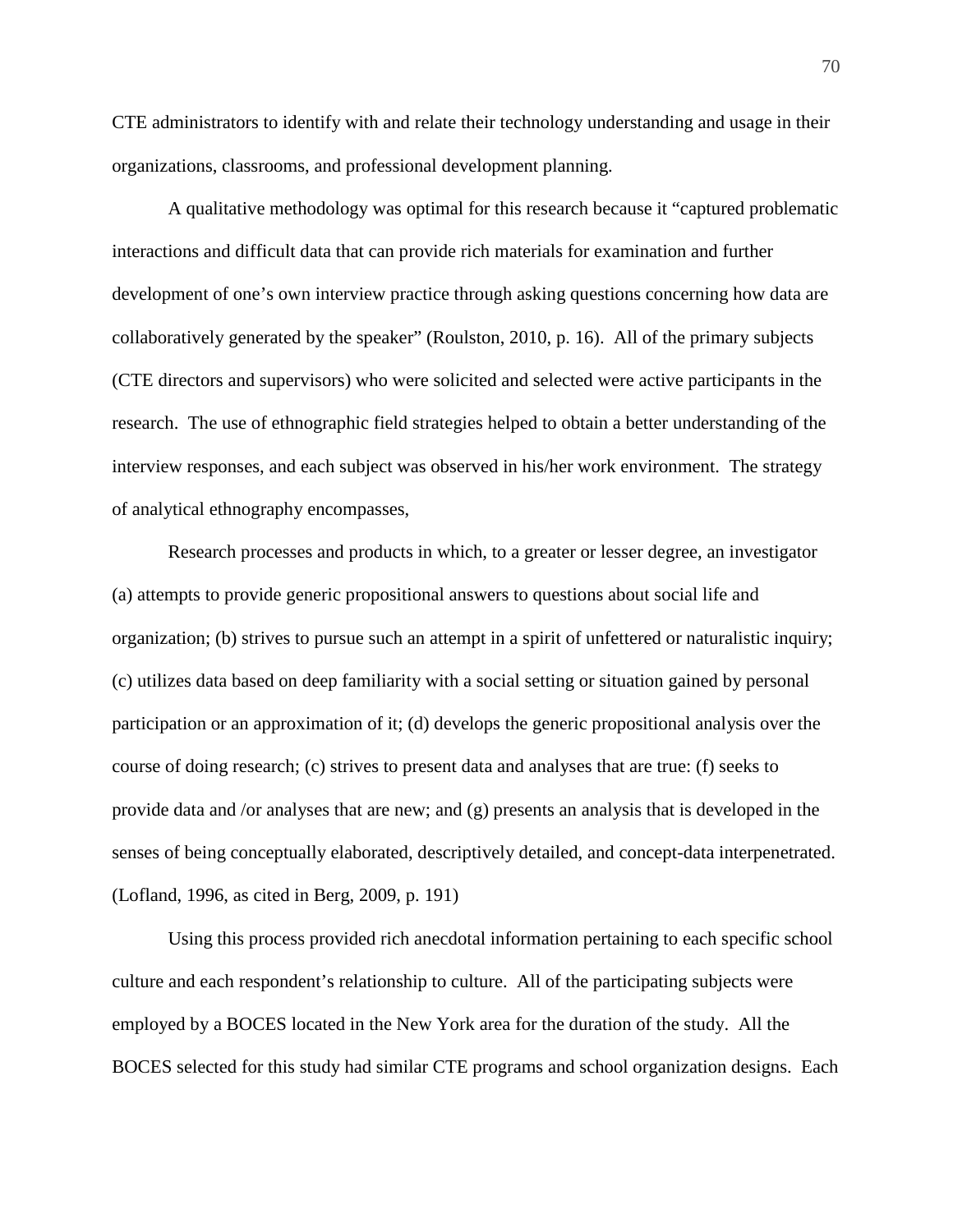CTE administrators to identify with and relate their technology understanding and usage in their organizations, classrooms, and professional development planning.

A qualitative methodology was optimal for this research because it "captured problematic interactions and difficult data that can provide rich materials for examination and further development of one's own interview practice through asking questions concerning how data are collaboratively generated by the speaker" (Roulston, 2010, p. 16). All of the primary subjects (CTE directors and supervisors) who were solicited and selected were active participants in the research. The use of ethnographic field strategies helped to obtain a better understanding of the interview responses, and each subject was observed in his/her work environment. The strategy of analytical ethnography encompasses,

Research processes and products in which, to a greater or lesser degree, an investigator (a) attempts to provide generic propositional answers to questions about social life and organization; (b) strives to pursue such an attempt in a spirit of unfettered or naturalistic inquiry; (c) utilizes data based on deep familiarity with a social setting or situation gained by personal participation or an approximation of it; (d) develops the generic propositional analysis over the course of doing research; (c) strives to present data and analyses that are true: (f) seeks to provide data and /or analyses that are new; and (g) presents an analysis that is developed in the senses of being conceptually elaborated, descriptively detailed, and concept-data interpenetrated. (Lofland, 1996, as cited in Berg, 2009, p. 191)

Using this process provided rich anecdotal information pertaining to each specific school culture and each respondent's relationship to culture. All of the participating subjects were employed by a BOCES located in the New York area for the duration of the study. All the BOCES selected for this study had similar CTE programs and school organization designs. Each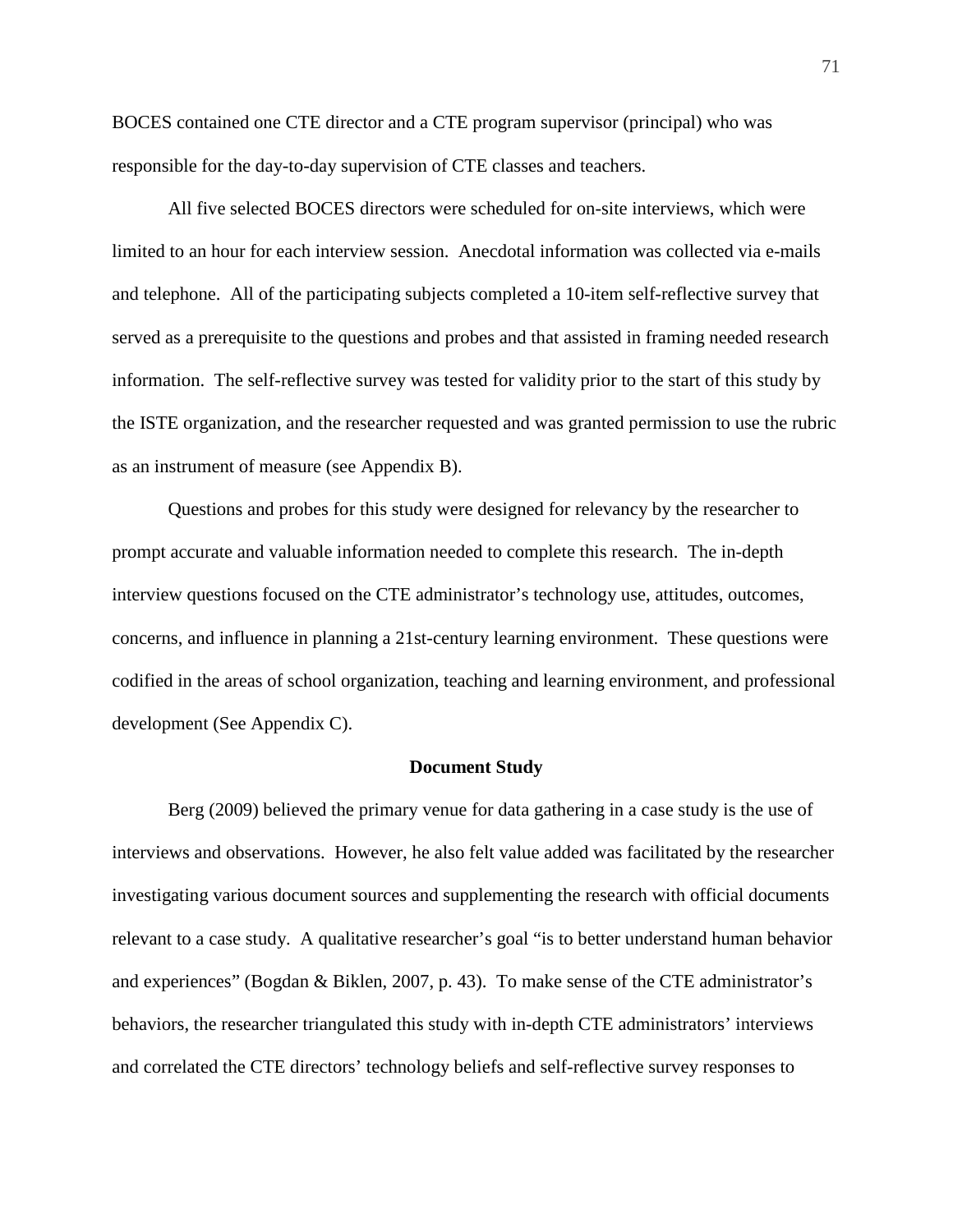BOCES contained one CTE director and a CTE program supervisor (principal) who was responsible for the day-to-day supervision of CTE classes and teachers.

All five selected BOCES directors were scheduled for on-site interviews, which were limited to an hour for each interview session. Anecdotal information was collected via e-mails and telephone. All of the participating subjects completed a 10-item self-reflective survey that served as a prerequisite to the questions and probes and that assisted in framing needed research information. The self-reflective survey was tested for validity prior to the start of this study by the ISTE organization, and the researcher requested and was granted permission to use the rubric as an instrument of measure (see Appendix B).

Questions and probes for this study were designed for relevancy by the researcher to prompt accurate and valuable information needed to complete this research. The in-depth interview questions focused on the CTE administrator's technology use, attitudes, outcomes, concerns, and influence in planning a 21st-century learning environment. These questions were codified in the areas of school organization, teaching and learning environment, and professional development (See Appendix C).

#### **Document Study**

Berg (2009) believed the primary venue for data gathering in a case study is the use of interviews and observations. However, he also felt value added was facilitated by the researcher investigating various document sources and supplementing the research with official documents relevant to a case study. A qualitative researcher's goal "is to better understand human behavior and experiences" (Bogdan & Biklen, 2007, p. 43). To make sense of the CTE administrator's behaviors, the researcher triangulated this study with in-depth CTE administrators' interviews and correlated the CTE directors' technology beliefs and self-reflective survey responses to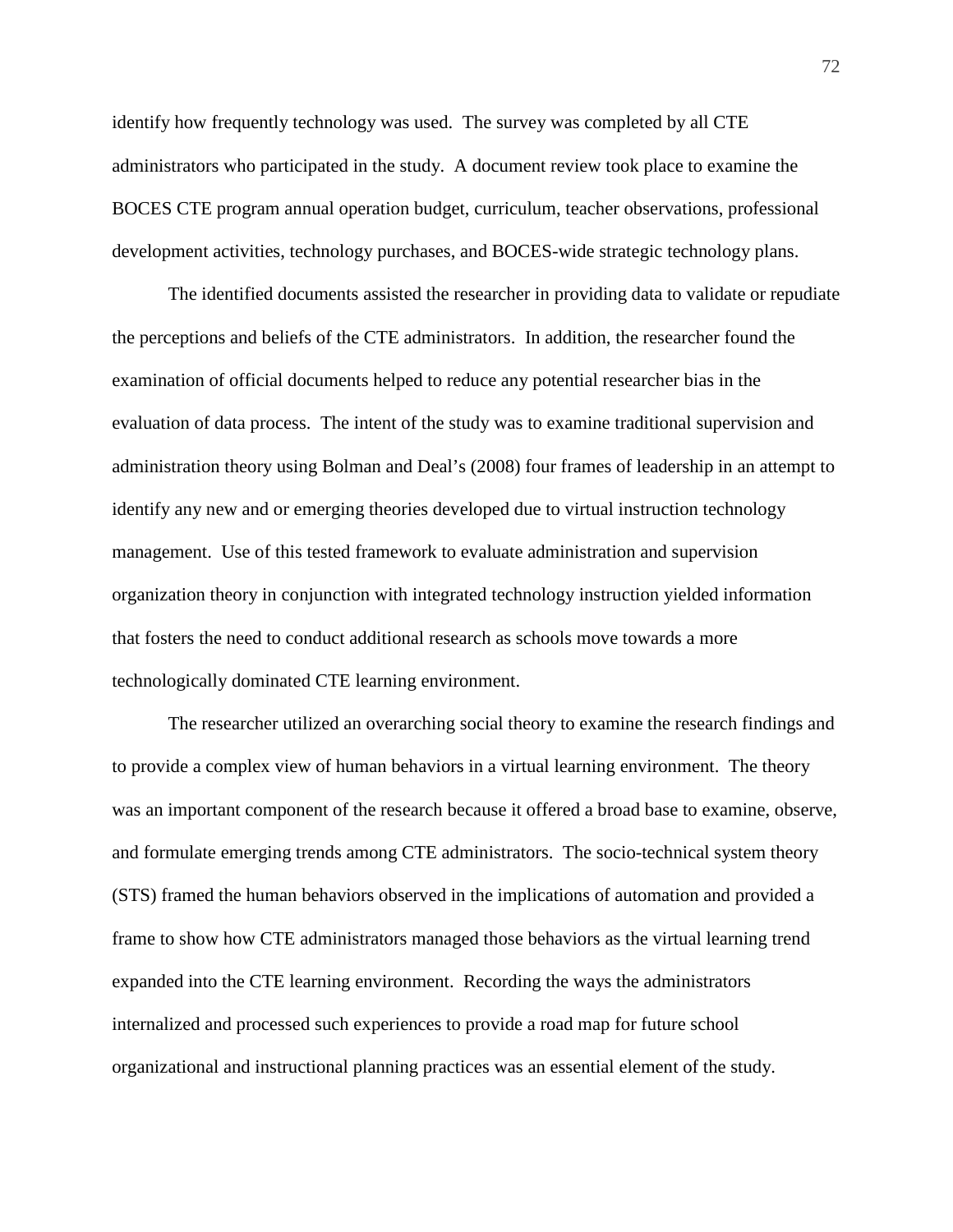identify how frequently technology was used. The survey was completed by all CTE administrators who participated in the study. A document review took place to examine the BOCES CTE program annual operation budget, curriculum, teacher observations, professional development activities, technology purchases, and BOCES-wide strategic technology plans.

The identified documents assisted the researcher in providing data to validate or repudiate the perceptions and beliefs of the CTE administrators. In addition, the researcher found the examination of official documents helped to reduce any potential researcher bias in the evaluation of data process. The intent of the study was to examine traditional supervision and administration theory using Bolman and Deal's (2008) four frames of leadership in an attempt to identify any new and or emerging theories developed due to virtual instruction technology management. Use of this tested framework to evaluate administration and supervision organization theory in conjunction with integrated technology instruction yielded information that fosters the need to conduct additional research as schools move towards a more technologically dominated CTE learning environment.

The researcher utilized an overarching social theory to examine the research findings and to provide a complex view of human behaviors in a virtual learning environment. The theory was an important component of the research because it offered a broad base to examine, observe, and formulate emerging trends among CTE administrators. The socio-technical system theory (STS) framed the human behaviors observed in the implications of automation and provided a frame to show how CTE administrators managed those behaviors as the virtual learning trend expanded into the CTE learning environment. Recording the ways the administrators internalized and processed such experiences to provide a road map for future school organizational and instructional planning practices was an essential element of the study.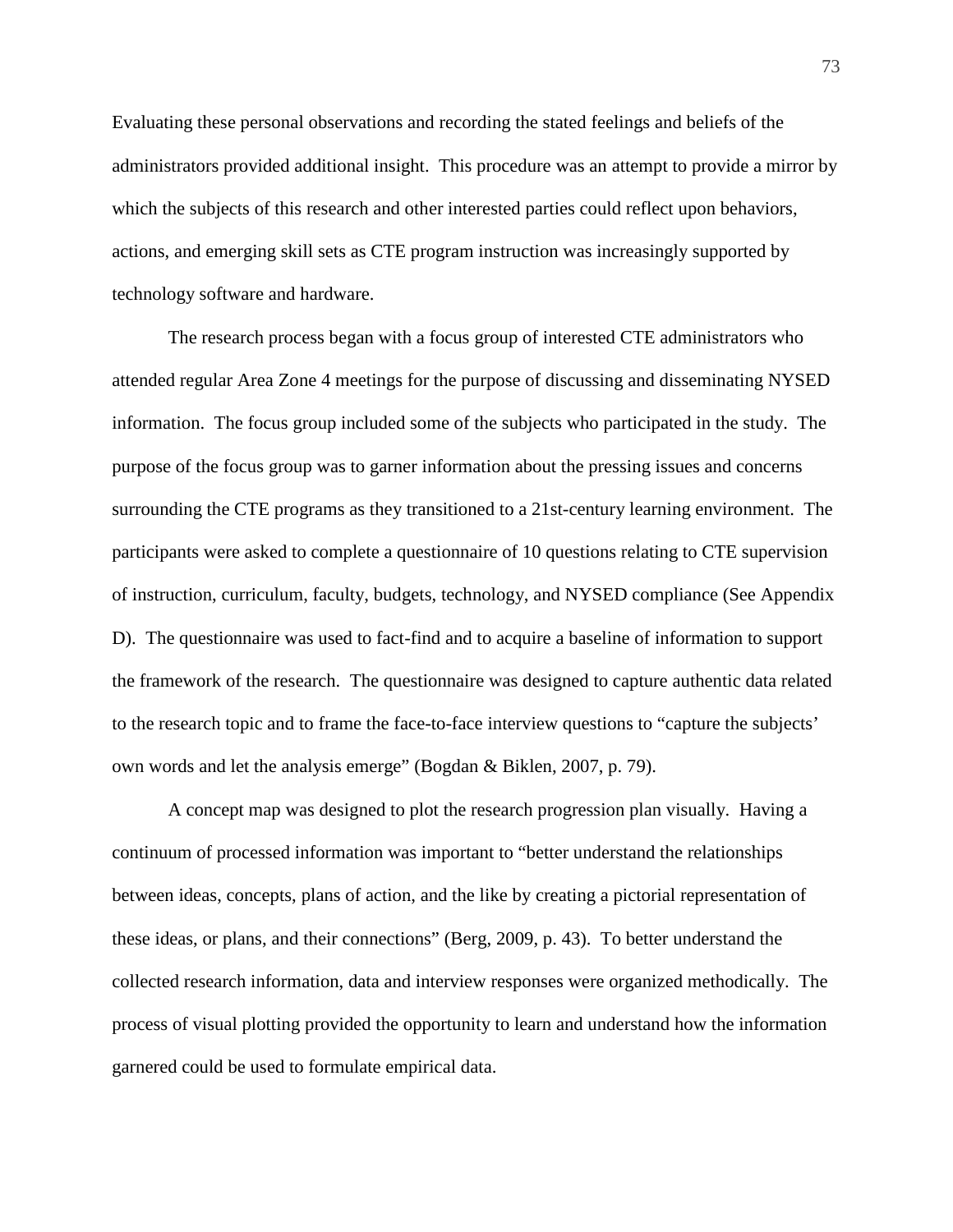Evaluating these personal observations and recording the stated feelings and beliefs of the administrators provided additional insight. This procedure was an attempt to provide a mirror by which the subjects of this research and other interested parties could reflect upon behaviors, actions, and emerging skill sets as CTE program instruction was increasingly supported by technology software and hardware.

The research process began with a focus group of interested CTE administrators who attended regular Area Zone 4 meetings for the purpose of discussing and disseminating NYSED information. The focus group included some of the subjects who participated in the study. The purpose of the focus group was to garner information about the pressing issues and concerns surrounding the CTE programs as they transitioned to a 21st-century learning environment. The participants were asked to complete a questionnaire of 10 questions relating to CTE supervision of instruction, curriculum, faculty, budgets, technology, and NYSED compliance (See Appendix D). The questionnaire was used to fact-find and to acquire a baseline of information to support the framework of the research. The questionnaire was designed to capture authentic data related to the research topic and to frame the face-to-face interview questions to "capture the subjects' own words and let the analysis emerge" (Bogdan & Biklen, 2007, p. 79).

A concept map was designed to plot the research progression plan visually. Having a continuum of processed information was important to "better understand the relationships between ideas, concepts, plans of action, and the like by creating a pictorial representation of these ideas, or plans, and their connections" (Berg, 2009, p. 43). To better understand the collected research information, data and interview responses were organized methodically. The process of visual plotting provided the opportunity to learn and understand how the information garnered could be used to formulate empirical data.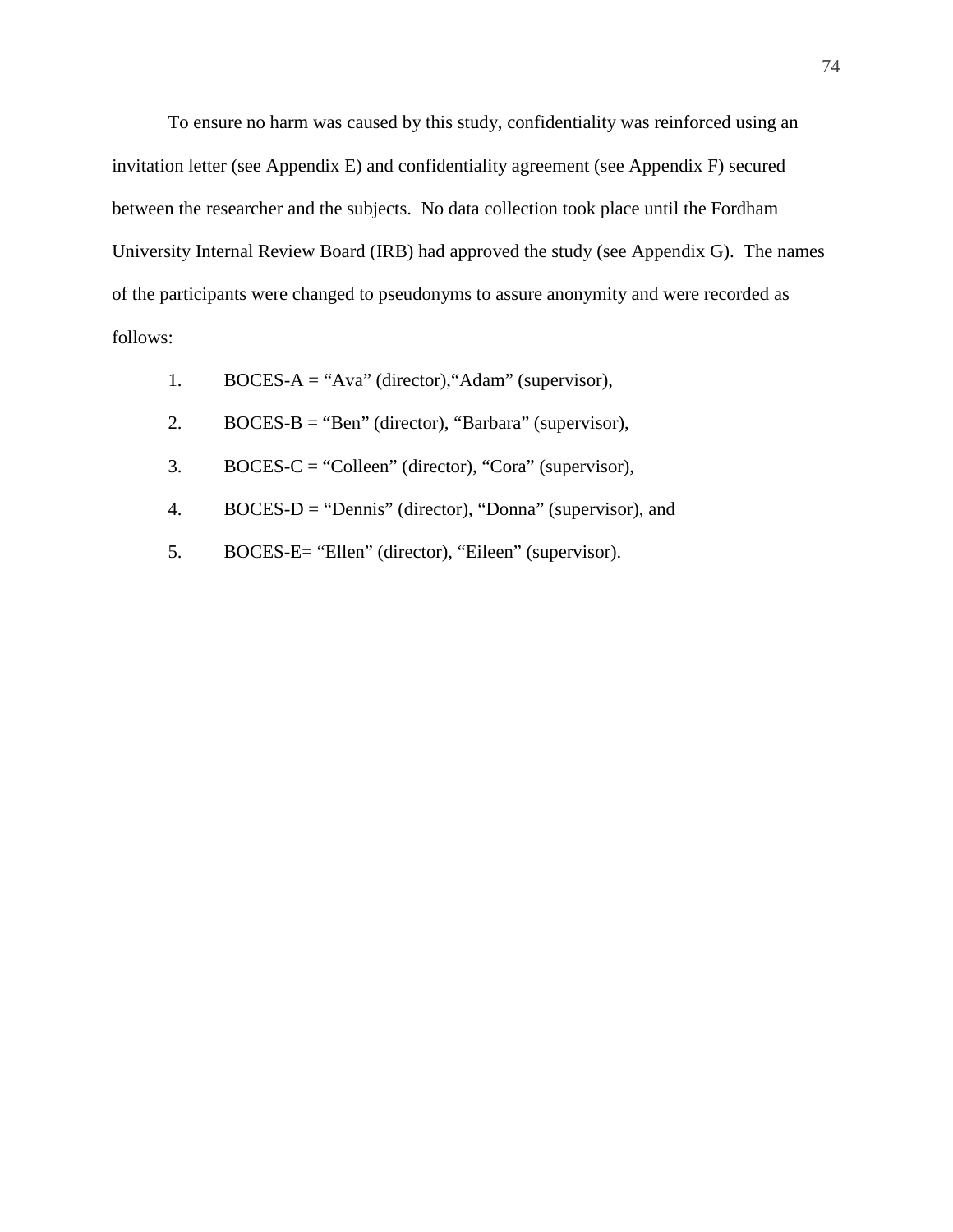To ensure no harm was caused by this study, confidentiality was reinforced using an invitation letter (see Appendix E) and confidentiality agreement (see Appendix F) secured between the researcher and the subjects. No data collection took place until the Fordham University Internal Review Board (IRB) had approved the study (see Appendix G). The names of the participants were changed to pseudonyms to assure anonymity and were recorded as follows:

- 1. BOCES-A = "Ava" (director),"Adam" (supervisor),
- 2. BOCES-B = "Ben" (director), "Barbara" (supervisor),
- 3. BOCES-C = "Colleen" (director), "Cora" (supervisor),
- 4. BOCES-D = "Dennis" (director), "Donna" (supervisor), and
- 5. BOCES-E= "Ellen" (director), "Eileen" (supervisor).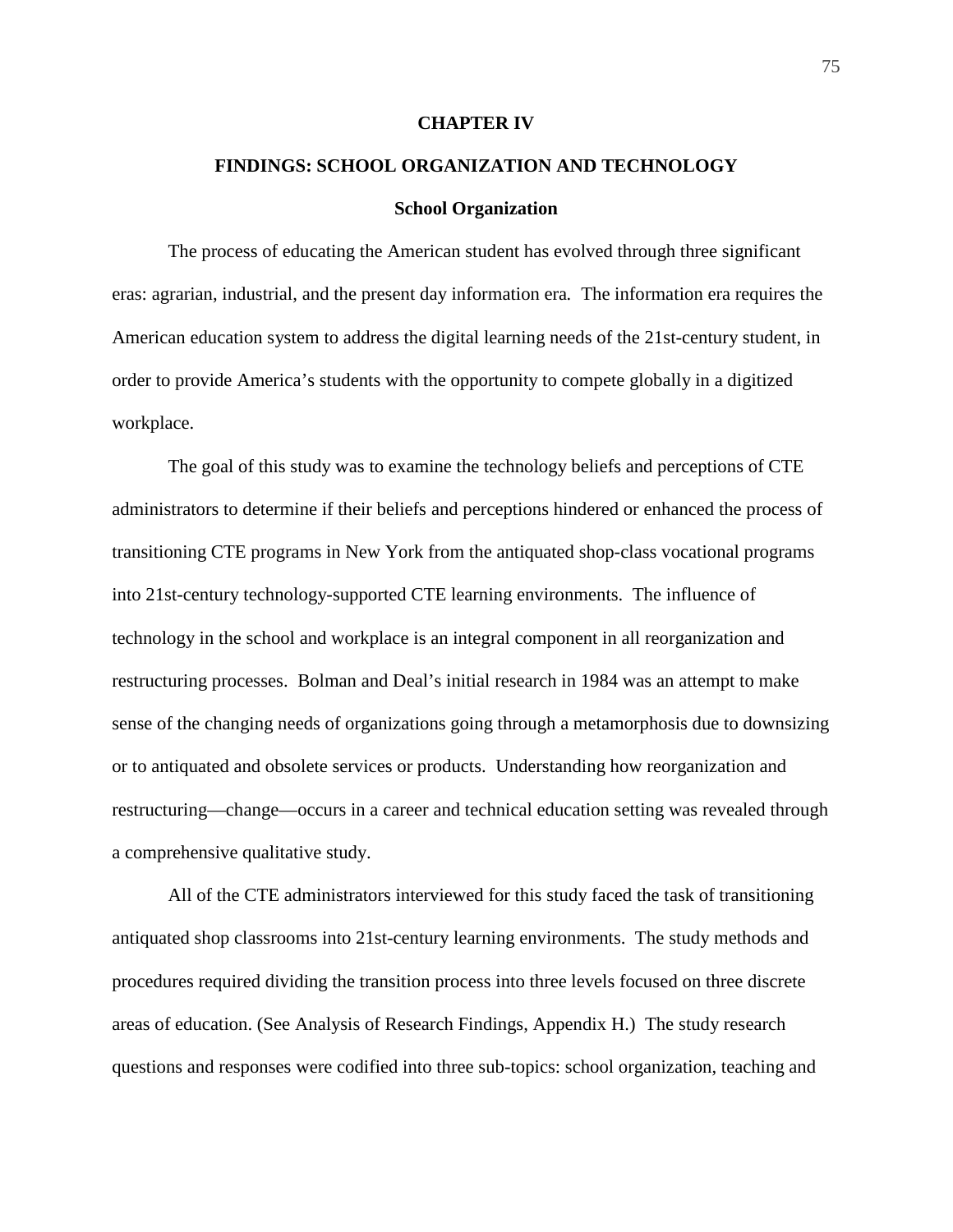#### **CHAPTER IV**

# **FINDINGS: SCHOOL ORGANIZATION AND TECHNOLOGY School Organization**

The process of educating the American student has evolved through three significant eras: agrarian, industrial, and the present day information era*.* The information era requires the American education system to address the digital learning needs of the 21st-century student, in order to provide America's students with the opportunity to compete globally in a digitized workplace.

The goal of this study was to examine the technology beliefs and perceptions of CTE administrators to determine if their beliefs and perceptions hindered or enhanced the process of transitioning CTE programs in New York from the antiquated shop-class vocational programs into 21st-century technology-supported CTE learning environments. The influence of technology in the school and workplace is an integral component in all reorganization and restructuring processes. Bolman and Deal's initial research in 1984 was an attempt to make sense of the changing needs of organizations going through a metamorphosis due to downsizing or to antiquated and obsolete services or products. Understanding how reorganization and restructuring—change—occurs in a career and technical education setting was revealed through a comprehensive qualitative study.

All of the CTE administrators interviewed for this study faced the task of transitioning antiquated shop classrooms into 21st-century learning environments. The study methods and procedures required dividing the transition process into three levels focused on three discrete areas of education. (See Analysis of Research Findings, Appendix H.) The study research questions and responses were codified into three sub-topics: school organization, teaching and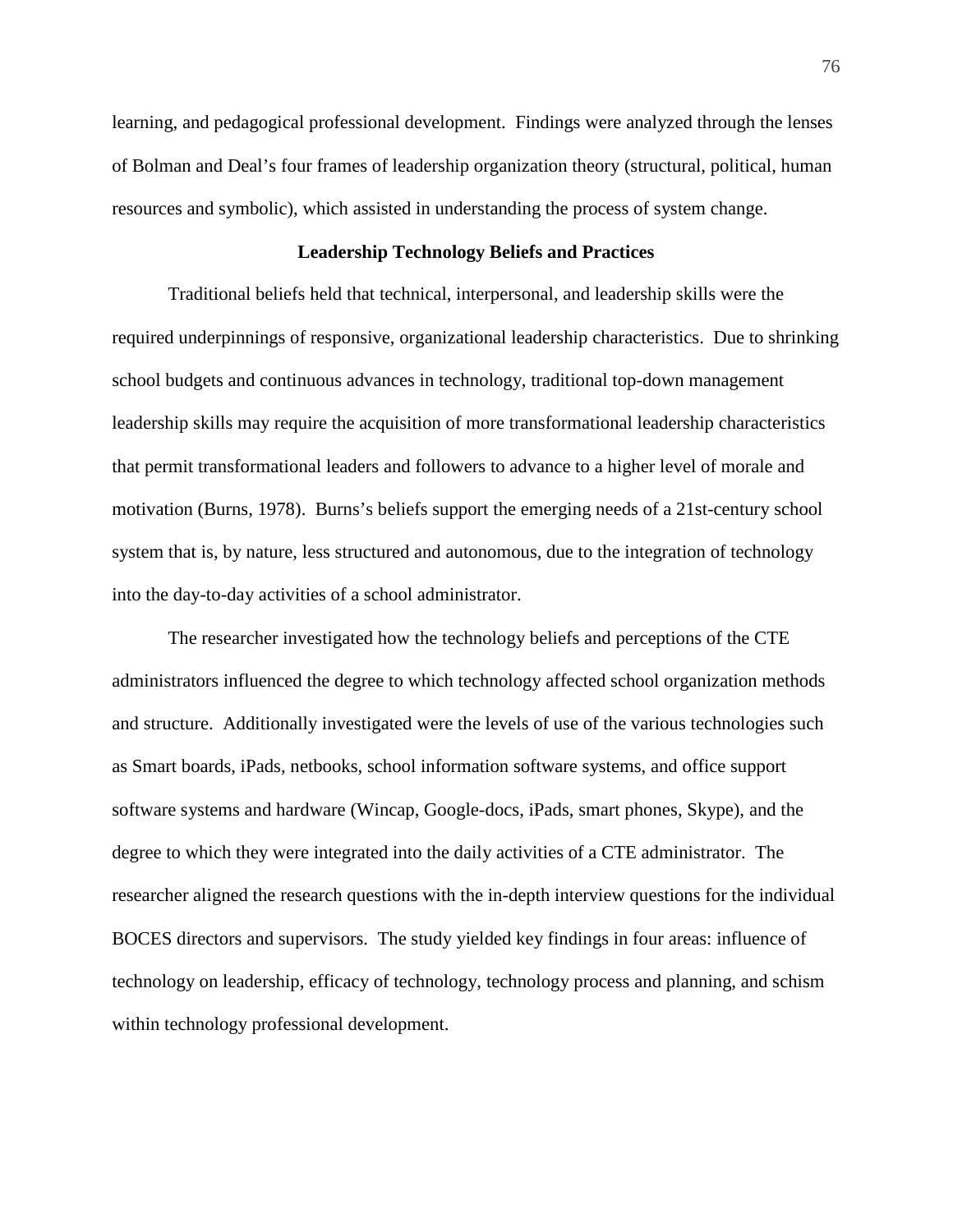learning, and pedagogical professional development. Findings were analyzed through the lenses of Bolman and Deal's four frames of leadership organization theory (structural, political, human resources and symbolic), which assisted in understanding the process of system change.

# **Leadership Technology Beliefs and Practices**

Traditional beliefs held that technical, interpersonal, and leadership skills were the required underpinnings of responsive, organizational leadership characteristics. Due to shrinking school budgets and continuous advances in technology, traditional top-down management leadership skills may require the acquisition of more transformational leadership characteristics that permit transformational leaders and followers to advance to a higher level of morale and motivation (Burns, 1978). Burns's beliefs support the emerging needs of a 21st-century school system that is, by nature, less structured and autonomous, due to the integration of technology into the day-to-day activities of a school administrator.

The researcher investigated how the technology beliefs and perceptions of the CTE administrators influenced the degree to which technology affected school organization methods and structure. Additionally investigated were the levels of use of the various technologies such as Smart boards, iPads, netbooks, school information software systems, and office support software systems and hardware (Wincap, Google-docs, iPads, smart phones, Skype), and the degree to which they were integrated into the daily activities of a CTE administrator. The researcher aligned the research questions with the in-depth interview questions for the individual BOCES directors and supervisors. The study yielded key findings in four areas: influence of technology on leadership, efficacy of technology, technology process and planning, and schism within technology professional development.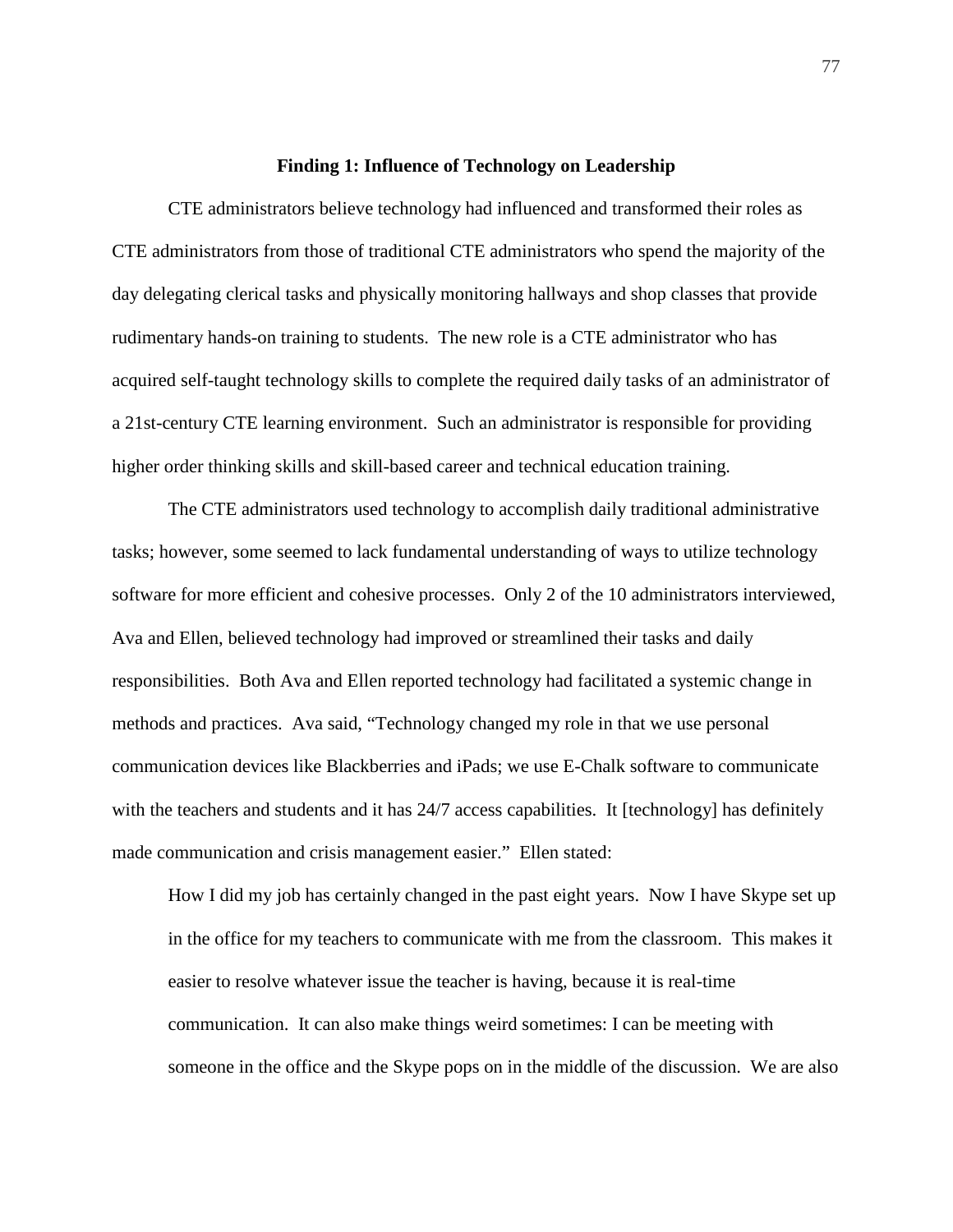#### **Finding 1: Influence of Technology on Leadership**

CTE administrators believe technology had influenced and transformed their roles as CTE administrators from those of traditional CTE administrators who spend the majority of the day delegating clerical tasks and physically monitoring hallways and shop classes that provide rudimentary hands-on training to students. The new role is a CTE administrator who has acquired self-taught technology skills to complete the required daily tasks of an administrator of a 21st-century CTE learning environment. Such an administrator is responsible for providing higher order thinking skills and skill-based career and technical education training.

The CTE administrators used technology to accomplish daily traditional administrative tasks; however, some seemed to lack fundamental understanding of ways to utilize technology software for more efficient and cohesive processes. Only 2 of the 10 administrators interviewed, Ava and Ellen, believed technology had improved or streamlined their tasks and daily responsibilities. Both Ava and Ellen reported technology had facilitated a systemic change in methods and practices. Ava said, "Technology changed my role in that we use personal communication devices like Blackberries and iPads; we use E-Chalk software to communicate with the teachers and students and it has 24/7 access capabilities. It [technology] has definitely made communication and crisis management easier." Ellen stated:

How I did my job has certainly changed in the past eight years. Now I have Skype set up in the office for my teachers to communicate with me from the classroom. This makes it easier to resolve whatever issue the teacher is having, because it is real-time communication. It can also make things weird sometimes: I can be meeting with someone in the office and the Skype pops on in the middle of the discussion. We are also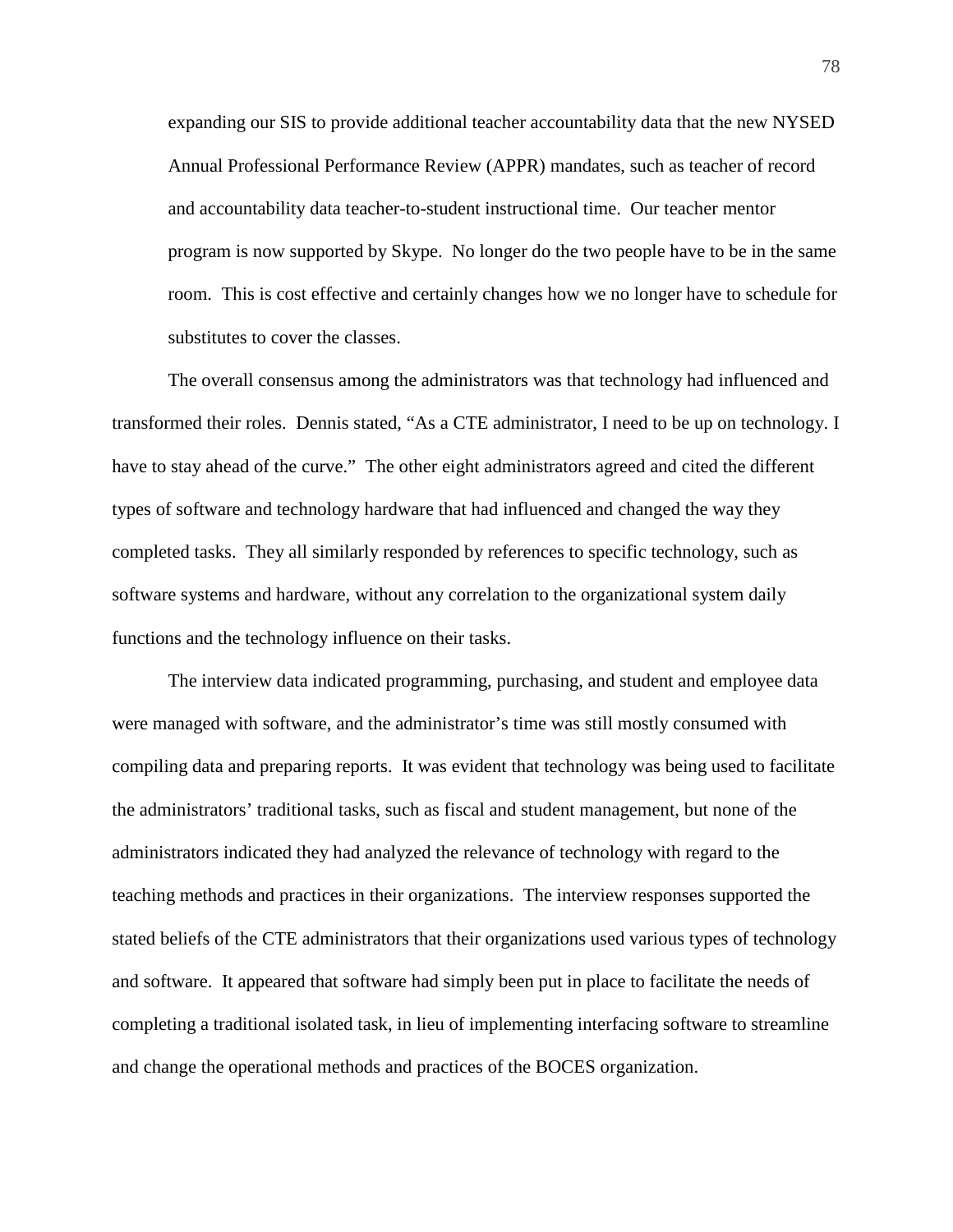expanding our SIS to provide additional teacher accountability data that the new NYSED Annual Professional Performance Review (APPR) mandates, such as teacher of record and accountability data teacher-to-student instructional time. Our teacher mentor program is now supported by Skype. No longer do the two people have to be in the same room. This is cost effective and certainly changes how we no longer have to schedule for substitutes to cover the classes.

The overall consensus among the administrators was that technology had influenced and transformed their roles. Dennis stated, "As a CTE administrator, I need to be up on technology. I have to stay ahead of the curve." The other eight administrators agreed and cited the different types of software and technology hardware that had influenced and changed the way they completed tasks. They all similarly responded by references to specific technology, such as software systems and hardware, without any correlation to the organizational system daily functions and the technology influence on their tasks.

The interview data indicated programming, purchasing, and student and employee data were managed with software, and the administrator's time was still mostly consumed with compiling data and preparing reports. It was evident that technology was being used to facilitate the administrators' traditional tasks, such as fiscal and student management, but none of the administrators indicated they had analyzed the relevance of technology with regard to the teaching methods and practices in their organizations. The interview responses supported the stated beliefs of the CTE administrators that their organizations used various types of technology and software. It appeared that software had simply been put in place to facilitate the needs of completing a traditional isolated task, in lieu of implementing interfacing software to streamline and change the operational methods and practices of the BOCES organization.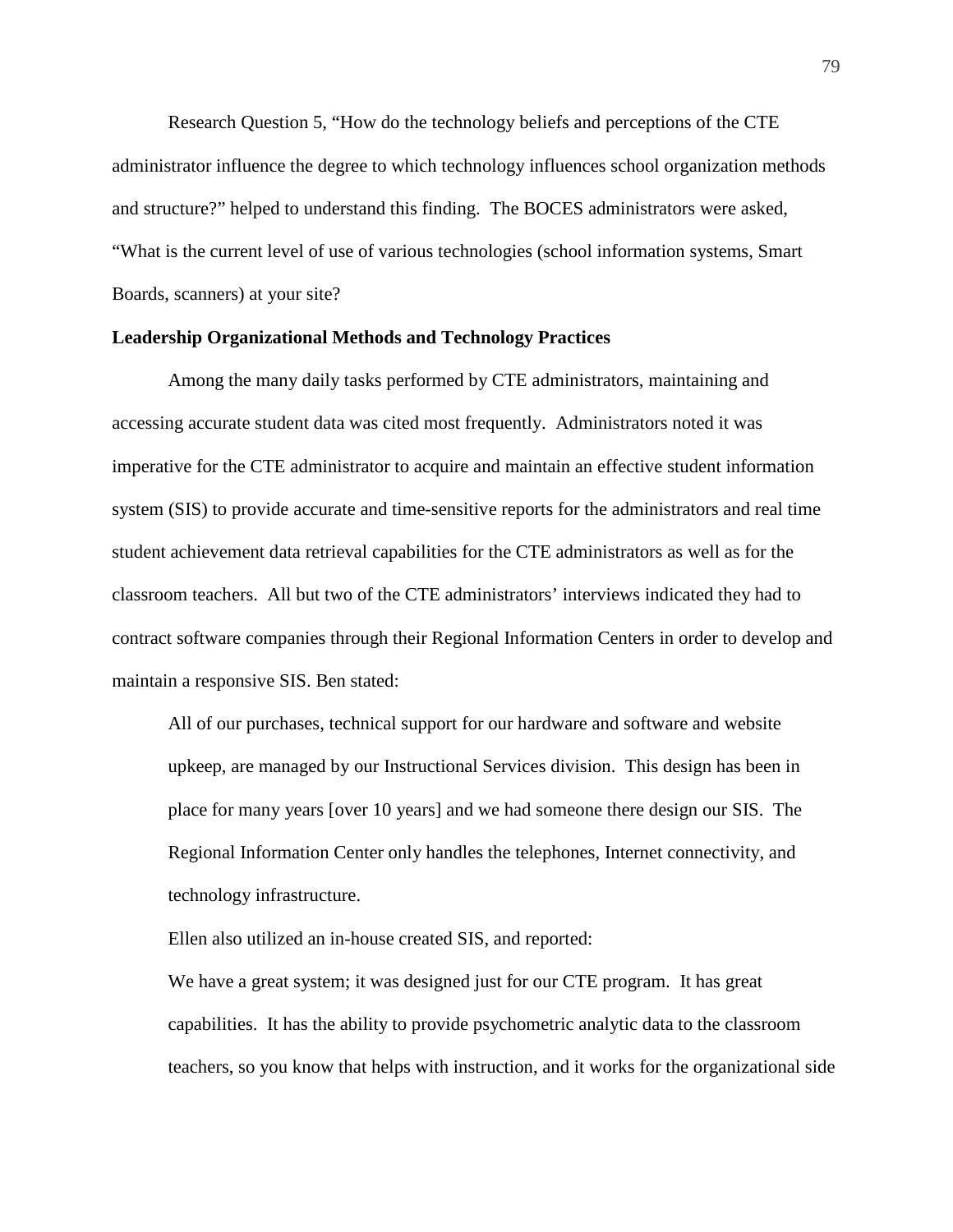Research Question 5, "How do the technology beliefs and perceptions of the CTE administrator influence the degree to which technology influences school organization methods and structure?" helped to understand this finding. The BOCES administrators were asked, "What is the current level of use of various technologies (school information systems, Smart Boards, scanners) at your site?

# **Leadership Organizational Methods and Technology Practices**

Among the many daily tasks performed by CTE administrators, maintaining and accessing accurate student data was cited most frequently. Administrators noted it was imperative for the CTE administrator to acquire and maintain an effective student information system (SIS) to provide accurate and time-sensitive reports for the administrators and real time student achievement data retrieval capabilities for the CTE administrators as well as for the classroom teachers. All but two of the CTE administrators' interviews indicated they had to contract software companies through their Regional Information Centers in order to develop and maintain a responsive SIS. Ben stated:

All of our purchases, technical support for our hardware and software and website upkeep, are managed by our Instructional Services division. This design has been in place for many years [over 10 years] and we had someone there design our SIS. The Regional Information Center only handles the telephones, Internet connectivity, and technology infrastructure.

Ellen also utilized an in-house created SIS, and reported:

We have a great system; it was designed just for our CTE program. It has great capabilities. It has the ability to provide psychometric analytic data to the classroom teachers, so you know that helps with instruction, and it works for the organizational side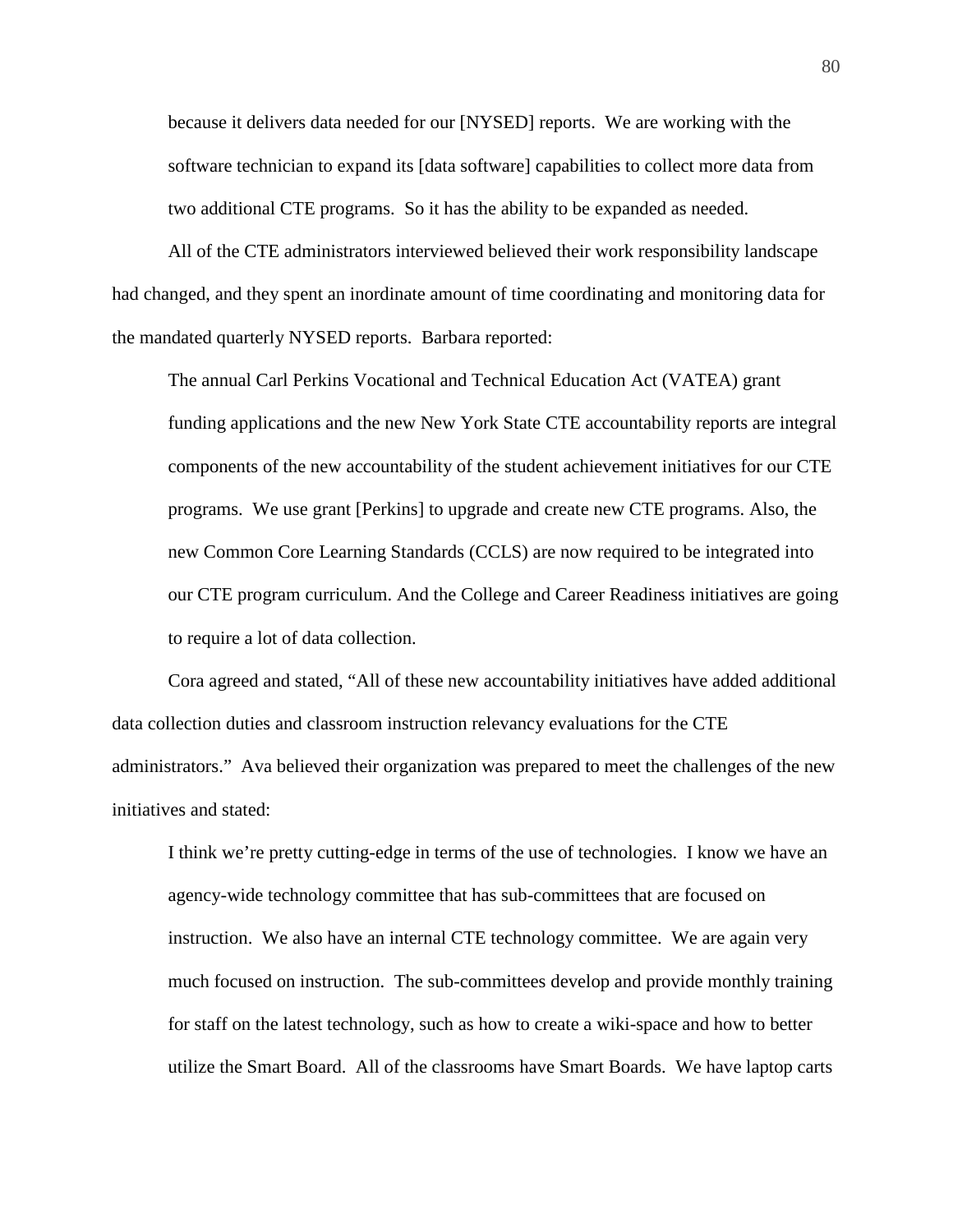because it delivers data needed for our [NYSED] reports. We are working with the software technician to expand its [data software] capabilities to collect more data from two additional CTE programs. So it has the ability to be expanded as needed.

All of the CTE administrators interviewed believed their work responsibility landscape had changed, and they spent an inordinate amount of time coordinating and monitoring data for the mandated quarterly NYSED reports. Barbara reported:

The annual Carl Perkins Vocational and Technical Education Act (VATEA) grant funding applications and the new New York State CTE accountability reports are integral components of the new accountability of the student achievement initiatives for our CTE programs. We use grant [Perkins] to upgrade and create new CTE programs. Also, the new Common Core Learning Standards (CCLS) are now required to be integrated into our CTE program curriculum. And the College and Career Readiness initiatives are going to require a lot of data collection.

Cora agreed and stated, "All of these new accountability initiatives have added additional data collection duties and classroom instruction relevancy evaluations for the CTE administrators." Ava believed their organization was prepared to meet the challenges of the new initiatives and stated:

I think we're pretty cutting-edge in terms of the use of technologies. I know we have an agency-wide technology committee that has sub-committees that are focused on instruction. We also have an internal CTE technology committee. We are again very much focused on instruction. The sub-committees develop and provide monthly training for staff on the latest technology, such as how to create a wiki-space and how to better utilize the Smart Board. All of the classrooms have Smart Boards. We have laptop carts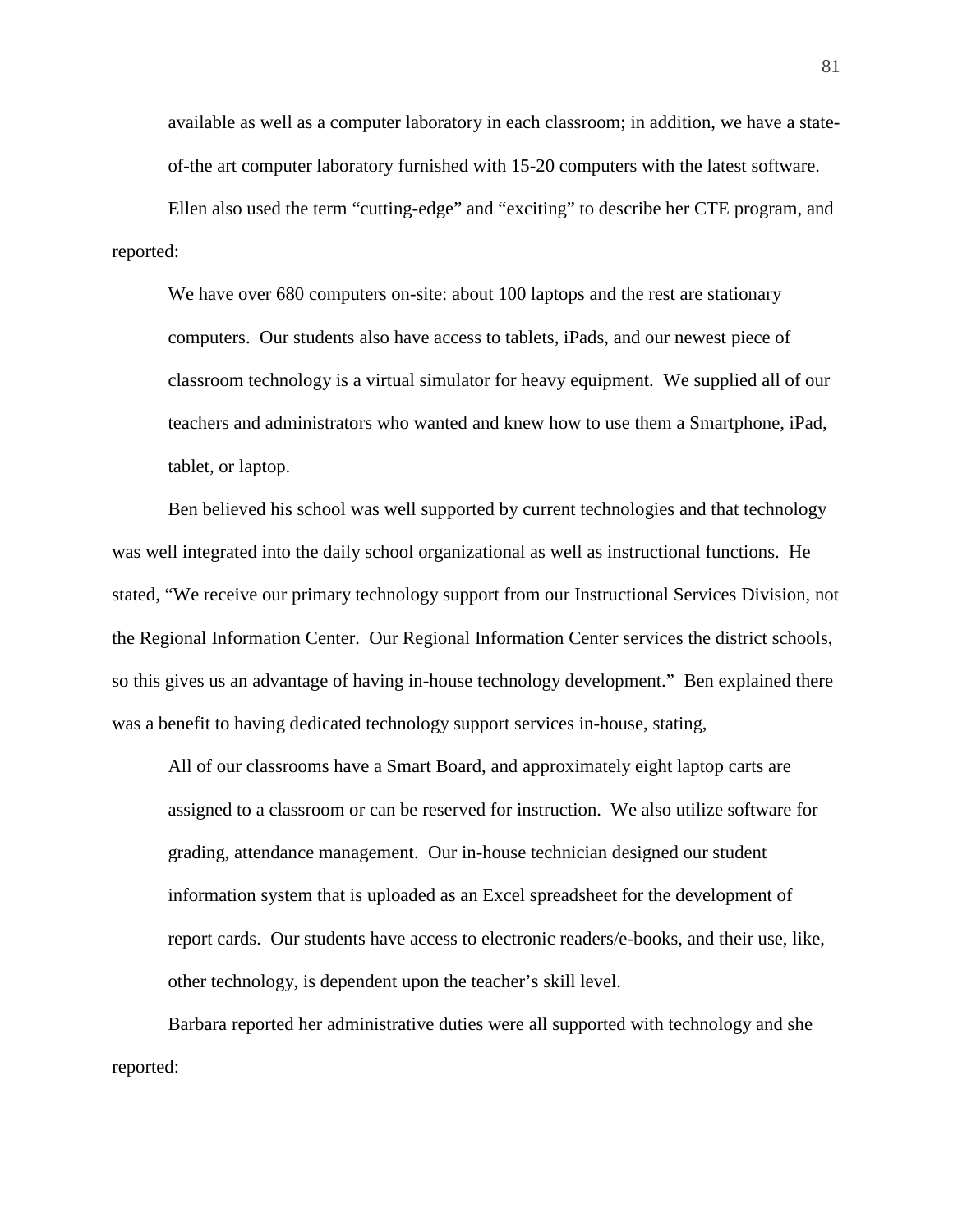available as well as a computer laboratory in each classroom; in addition, we have a stateof-the art computer laboratory furnished with 15-20 computers with the latest software.

Ellen also used the term "cutting-edge" and "exciting" to describe her CTE program, and reported:

We have over 680 computers on-site: about 100 laptops and the rest are stationary computers. Our students also have access to tablets, iPads, and our newest piece of classroom technology is a virtual simulator for heavy equipment. We supplied all of our teachers and administrators who wanted and knew how to use them a Smartphone, iPad, tablet, or laptop.

Ben believed his school was well supported by current technologies and that technology was well integrated into the daily school organizational as well as instructional functions. He stated, "We receive our primary technology support from our Instructional Services Division, not the Regional Information Center. Our Regional Information Center services the district schools, so this gives us an advantage of having in-house technology development." Ben explained there was a benefit to having dedicated technology support services in-house, stating,

All of our classrooms have a Smart Board, and approximately eight laptop carts are assigned to a classroom or can be reserved for instruction. We also utilize software for grading, attendance management. Our in-house technician designed our student information system that is uploaded as an Excel spreadsheet for the development of report cards. Our students have access to electronic readers/e-books, and their use, like, other technology, is dependent upon the teacher's skill level.

Barbara reported her administrative duties were all supported with technology and she reported: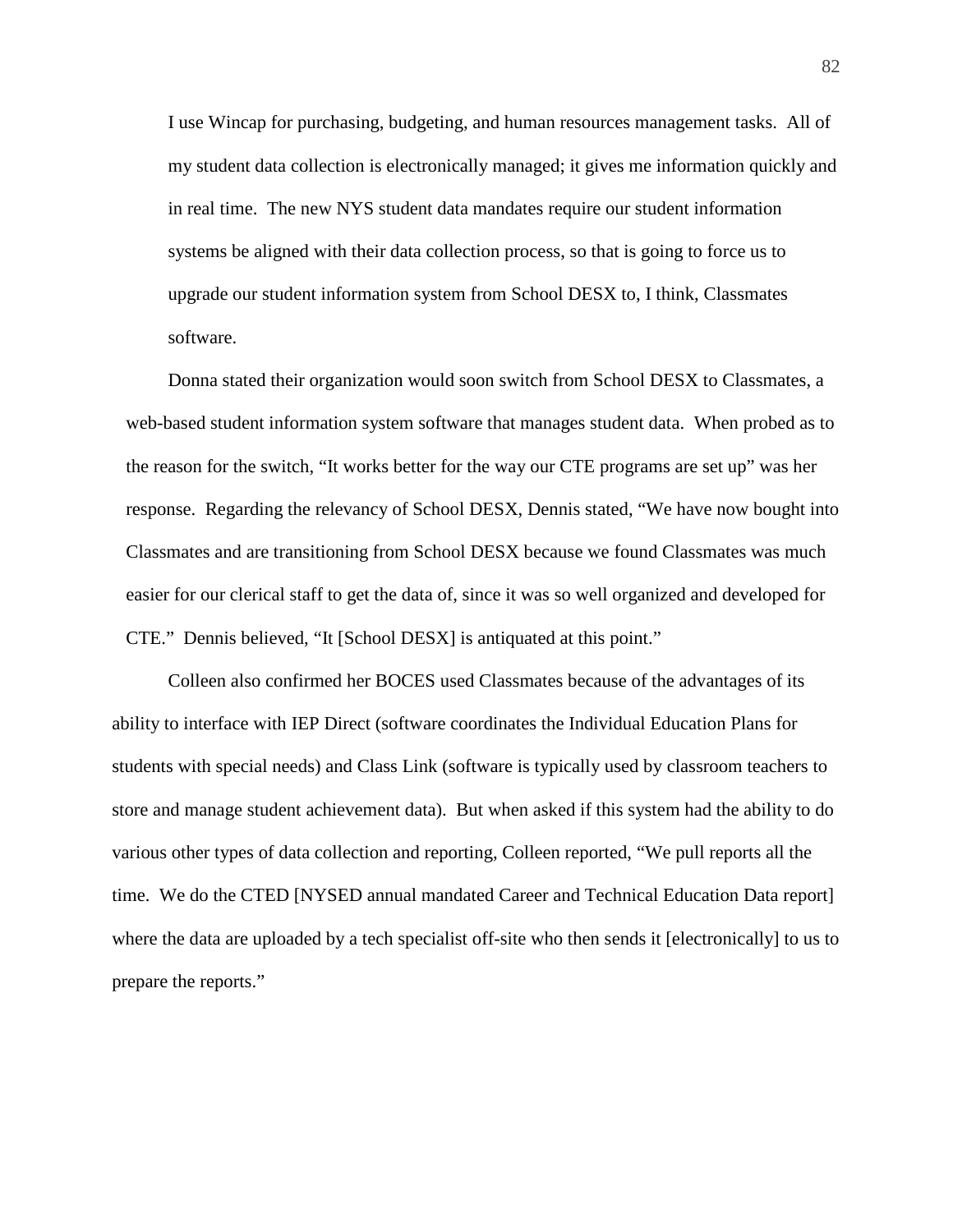I use Wincap for purchasing, budgeting, and human resources management tasks. All of my student data collection is electronically managed; it gives me information quickly and in real time. The new NYS student data mandates require our student information systems be aligned with their data collection process, so that is going to force us to upgrade our student information system from School DESX to, I think, Classmates software.

Donna stated their organization would soon switch from School DESX to Classmates, a web-based student information system software that manages student data. When probed as to the reason for the switch, "It works better for the way our CTE programs are set up" was her response. Regarding the relevancy of School DESX, Dennis stated, "We have now bought into Classmates and are transitioning from School DESX because we found Classmates was much easier for our clerical staff to get the data of, since it was so well organized and developed for CTE." Dennis believed, "It [School DESX] is antiquated at this point."

Colleen also confirmed her BOCES used Classmates because of the advantages of its ability to interface with IEP Direct (software coordinates the Individual Education Plans for students with special needs) and Class Link (software is typically used by classroom teachers to store and manage student achievement data). But when asked if this system had the ability to do various other types of data collection and reporting, Colleen reported, "We pull reports all the time. We do the CTED [NYSED annual mandated Career and Technical Education Data report] where the data are uploaded by a tech specialist off-site who then sends it [electronically] to us to prepare the reports."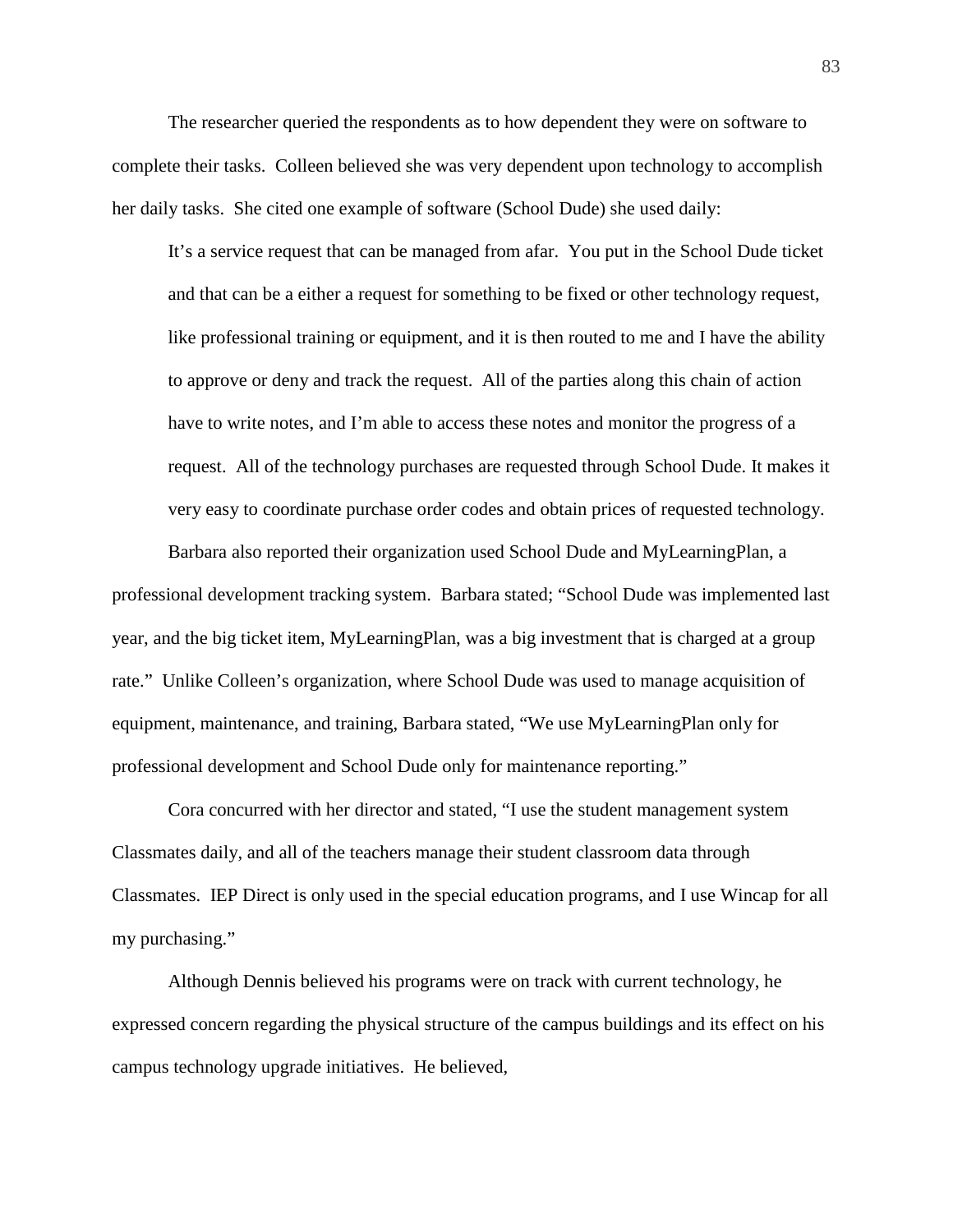The researcher queried the respondents as to how dependent they were on software to complete their tasks. Colleen believed she was very dependent upon technology to accomplish her daily tasks. She cited one example of software (School Dude) she used daily:

It's a service request that can be managed from afar. You put in the School Dude ticket and that can be a either a request for something to be fixed or other technology request, like professional training or equipment, and it is then routed to me and I have the ability to approve or deny and track the request. All of the parties along this chain of action have to write notes, and I'm able to access these notes and monitor the progress of a request. All of the technology purchases are requested through School Dude. It makes it very easy to coordinate purchase order codes and obtain prices of requested technology.

Barbara also reported their organization used School Dude and MyLearningPlan, a professional development tracking system. Barbara stated; "School Dude was implemented last year, and the big ticket item, MyLearningPlan, was a big investment that is charged at a group rate." Unlike Colleen's organization, where School Dude was used to manage acquisition of equipment, maintenance, and training, Barbara stated, "We use MyLearningPlan only for professional development and School Dude only for maintenance reporting."

Cora concurred with her director and stated, "I use the student management system Classmates daily, and all of the teachers manage their student classroom data through Classmates. IEP Direct is only used in the special education programs, and I use Wincap for all my purchasing."

Although Dennis believed his programs were on track with current technology, he expressed concern regarding the physical structure of the campus buildings and its effect on his campus technology upgrade initiatives. He believed,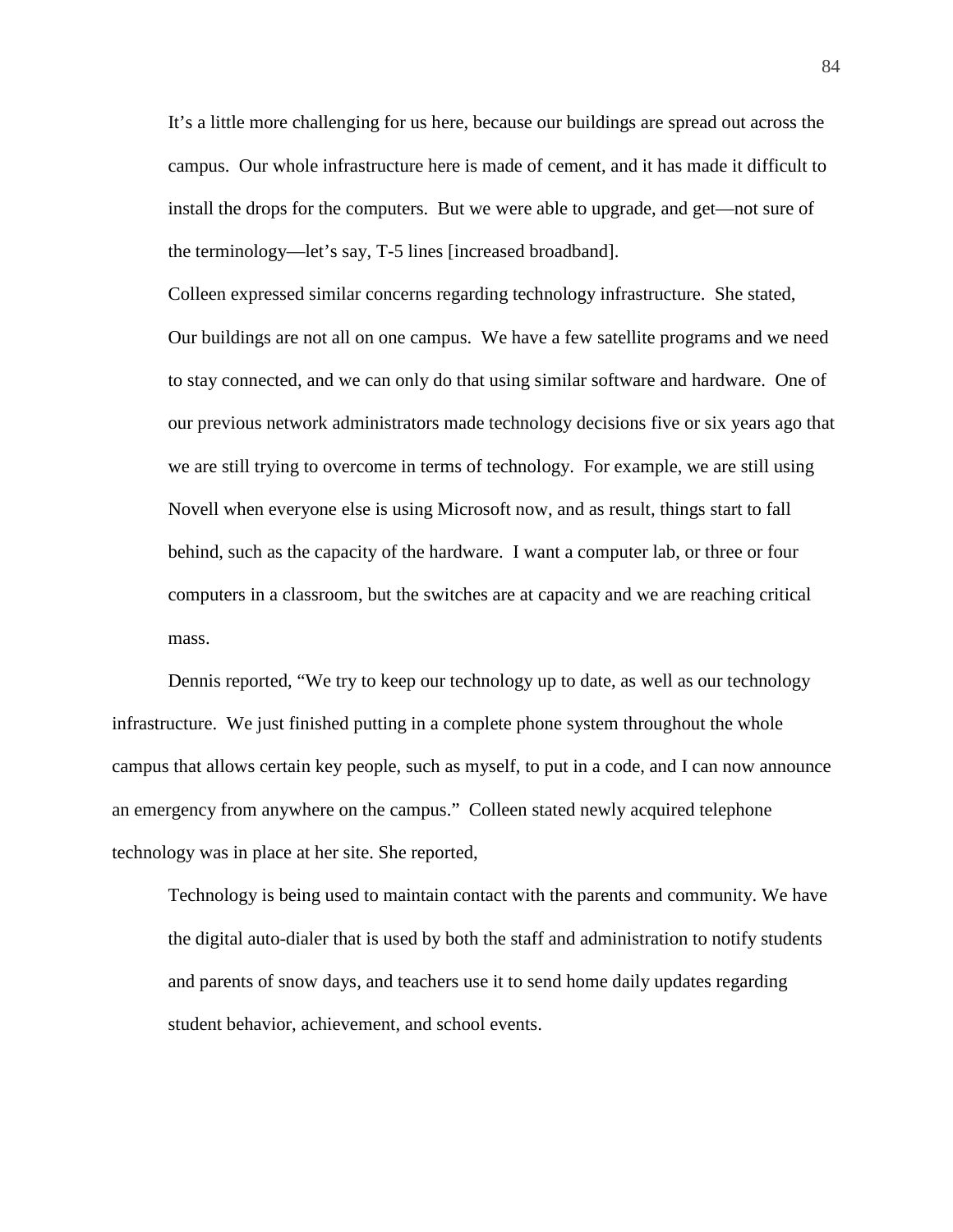It's a little more challenging for us here, because our buildings are spread out across the campus. Our whole infrastructure here is made of cement, and it has made it difficult to install the drops for the computers. But we were able to upgrade, and get—not sure of the terminology—let's say, T-5 lines [increased broadband].

Colleen expressed similar concerns regarding technology infrastructure. She stated, Our buildings are not all on one campus. We have a few satellite programs and we need to stay connected, and we can only do that using similar software and hardware. One of our previous network administrators made technology decisions five or six years ago that we are still trying to overcome in terms of technology. For example, we are still using Novell when everyone else is using Microsoft now, and as result, things start to fall behind, such as the capacity of the hardware. I want a computer lab, or three or four computers in a classroom, but the switches are at capacity and we are reaching critical mass.

Dennis reported, "We try to keep our technology up to date, as well as our technology infrastructure. We just finished putting in a complete phone system throughout the whole campus that allows certain key people, such as myself, to put in a code, and I can now announce an emergency from anywhere on the campus." Colleen stated newly acquired telephone technology was in place at her site. She reported,

Technology is being used to maintain contact with the parents and community. We have the digital auto-dialer that is used by both the staff and administration to notify students and parents of snow days, and teachers use it to send home daily updates regarding student behavior, achievement, and school events.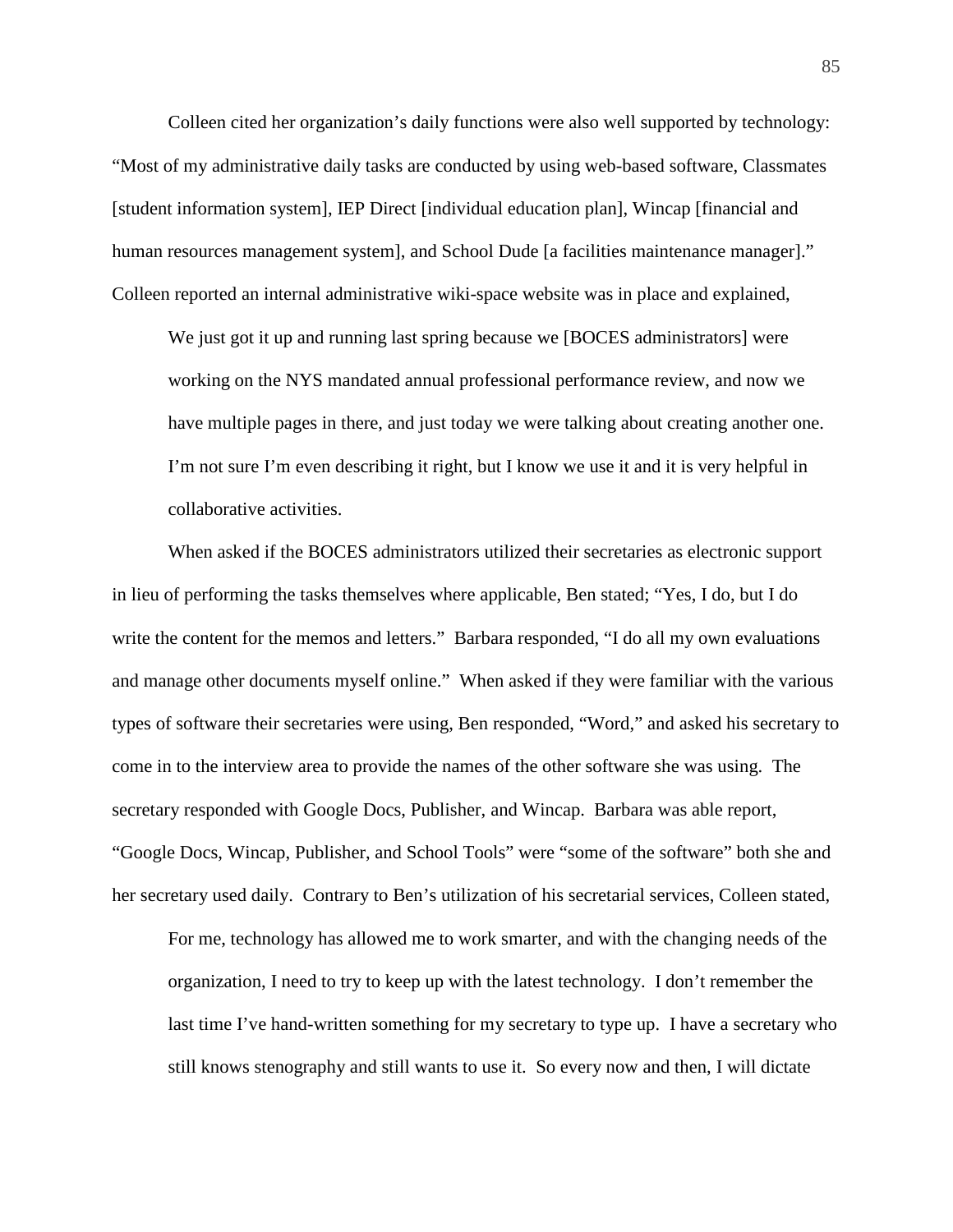Colleen cited her organization's daily functions were also well supported by technology: "Most of my administrative daily tasks are conducted by using web-based software, Classmates [student information system], IEP Direct [individual education plan], Wincap [financial and human resources management system], and School Dude [a facilities maintenance manager]." Colleen reported an internal administrative wiki-space website was in place and explained,

We just got it up and running last spring because we [BOCES administrators] were working on the NYS mandated annual professional performance review, and now we have multiple pages in there, and just today we were talking about creating another one. I'm not sure I'm even describing it right, but I know we use it and it is very helpful in collaborative activities.

When asked if the BOCES administrators utilized their secretaries as electronic support in lieu of performing the tasks themselves where applicable, Ben stated; "Yes, I do, but I do write the content for the memos and letters." Barbara responded, "I do all my own evaluations and manage other documents myself online." When asked if they were familiar with the various types of software their secretaries were using, Ben responded, "Word," and asked his secretary to come in to the interview area to provide the names of the other software she was using. The secretary responded with Google Docs, Publisher, and Wincap. Barbara was able report, "Google Docs, Wincap, Publisher, and School Tools" were "some of the software" both she and her secretary used daily. Contrary to Ben's utilization of his secretarial services, Colleen stated,

For me, technology has allowed me to work smarter, and with the changing needs of the organization, I need to try to keep up with the latest technology. I don't remember the last time I've hand-written something for my secretary to type up. I have a secretary who still knows stenography and still wants to use it. So every now and then, I will dictate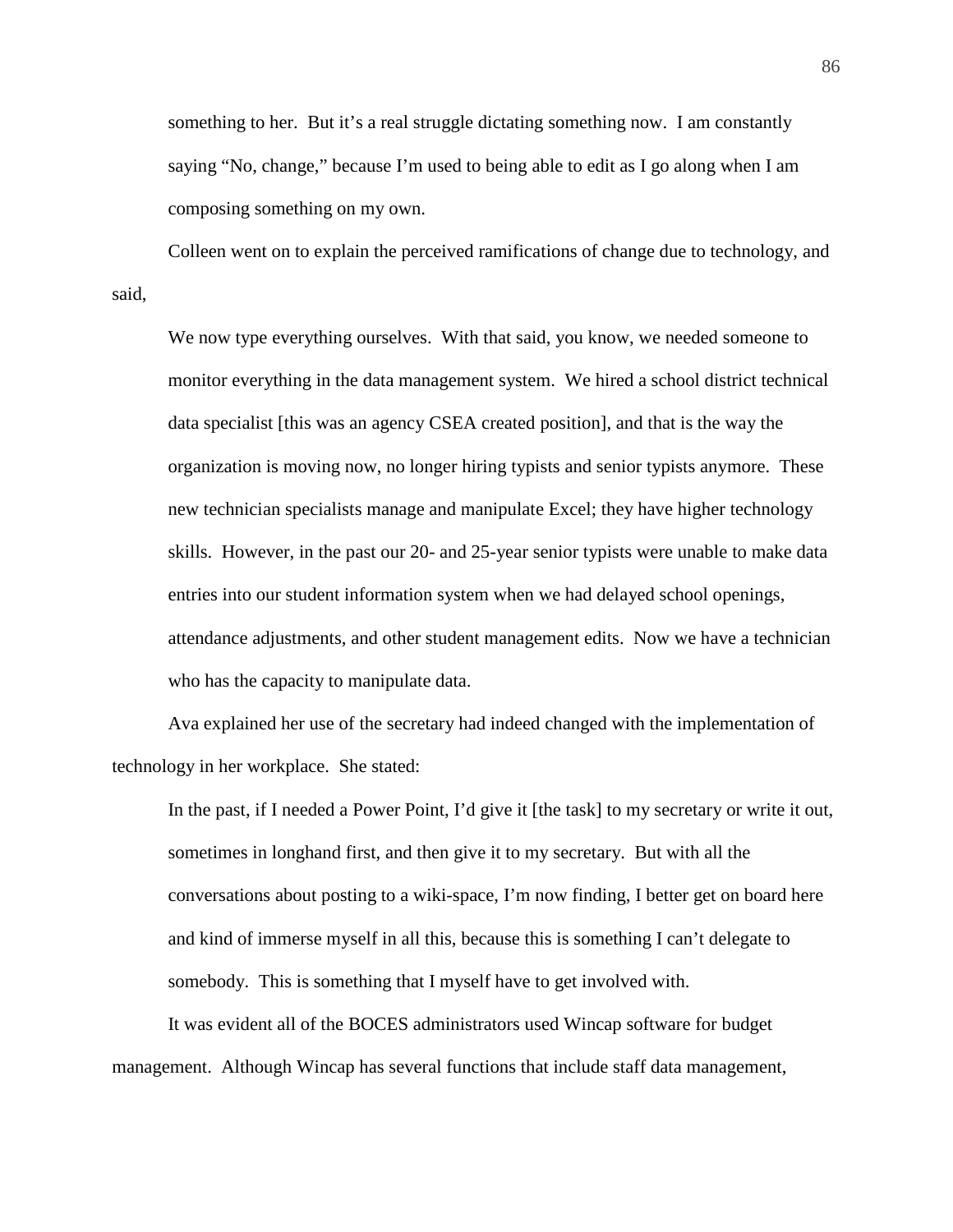something to her. But it's a real struggle dictating something now. I am constantly saying "No, change," because I'm used to being able to edit as I go along when I am composing something on my own.

Colleen went on to explain the perceived ramifications of change due to technology, and said,

We now type everything ourselves. With that said, you know, we needed someone to monitor everything in the data management system. We hired a school district technical data specialist [this was an agency CSEA created position], and that is the way the organization is moving now, no longer hiring typists and senior typists anymore. These new technician specialists manage and manipulate Excel; they have higher technology skills. However, in the past our 20- and 25-year senior typists were unable to make data entries into our student information system when we had delayed school openings, attendance adjustments, and other student management edits. Now we have a technician who has the capacity to manipulate data.

Ava explained her use of the secretary had indeed changed with the implementation of technology in her workplace. She stated:

In the past, if I needed a Power Point, I'd give it [the task] to my secretary or write it out, sometimes in longhand first, and then give it to my secretary. But with all the conversations about posting to a wiki-space, I'm now finding, I better get on board here and kind of immerse myself in all this, because this is something I can't delegate to somebody. This is something that I myself have to get involved with.

It was evident all of the BOCES administrators used Wincap software for budget management. Although Wincap has several functions that include staff data management,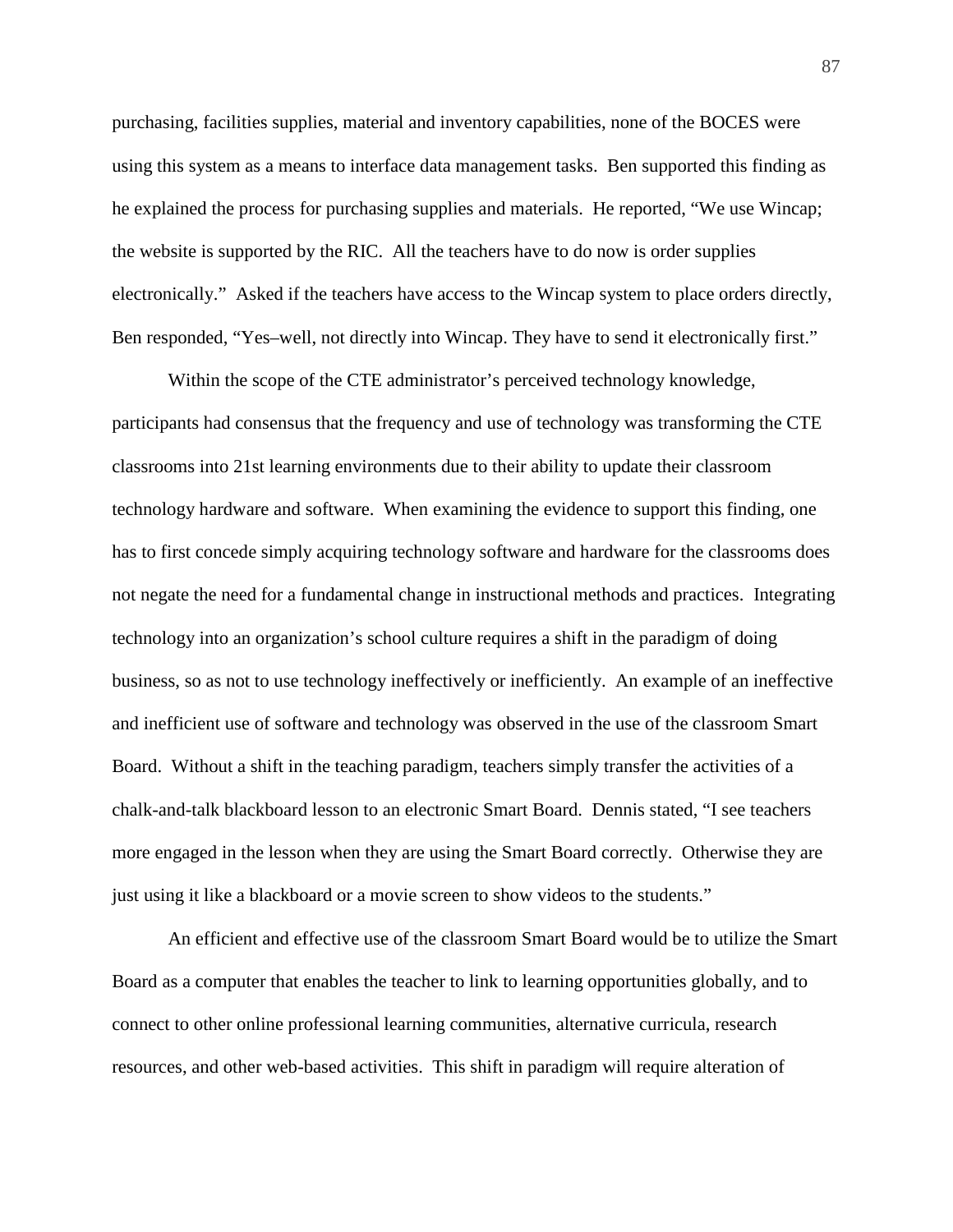purchasing, facilities supplies, material and inventory capabilities, none of the BOCES were using this system as a means to interface data management tasks. Ben supported this finding as he explained the process for purchasing supplies and materials. He reported, "We use Wincap; the website is supported by the RIC. All the teachers have to do now is order supplies electronically." Asked if the teachers have access to the Wincap system to place orders directly, Ben responded, "Yes–well, not directly into Wincap. They have to send it electronically first."

Within the scope of the CTE administrator's perceived technology knowledge, participants had consensus that the frequency and use of technology was transforming the CTE classrooms into 21st learning environments due to their ability to update their classroom technology hardware and software. When examining the evidence to support this finding, one has to first concede simply acquiring technology software and hardware for the classrooms does not negate the need for a fundamental change in instructional methods and practices. Integrating technology into an organization's school culture requires a shift in the paradigm of doing business, so as not to use technology ineffectively or inefficiently. An example of an ineffective and inefficient use of software and technology was observed in the use of the classroom Smart Board. Without a shift in the teaching paradigm, teachers simply transfer the activities of a chalk-and-talk blackboard lesson to an electronic Smart Board. Dennis stated, "I see teachers more engaged in the lesson when they are using the Smart Board correctly. Otherwise they are just using it like a blackboard or a movie screen to show videos to the students."

An efficient and effective use of the classroom Smart Board would be to utilize the Smart Board as a computer that enables the teacher to link to learning opportunities globally, and to connect to other online professional learning communities, alternative curricula, research resources, and other web-based activities. This shift in paradigm will require alteration of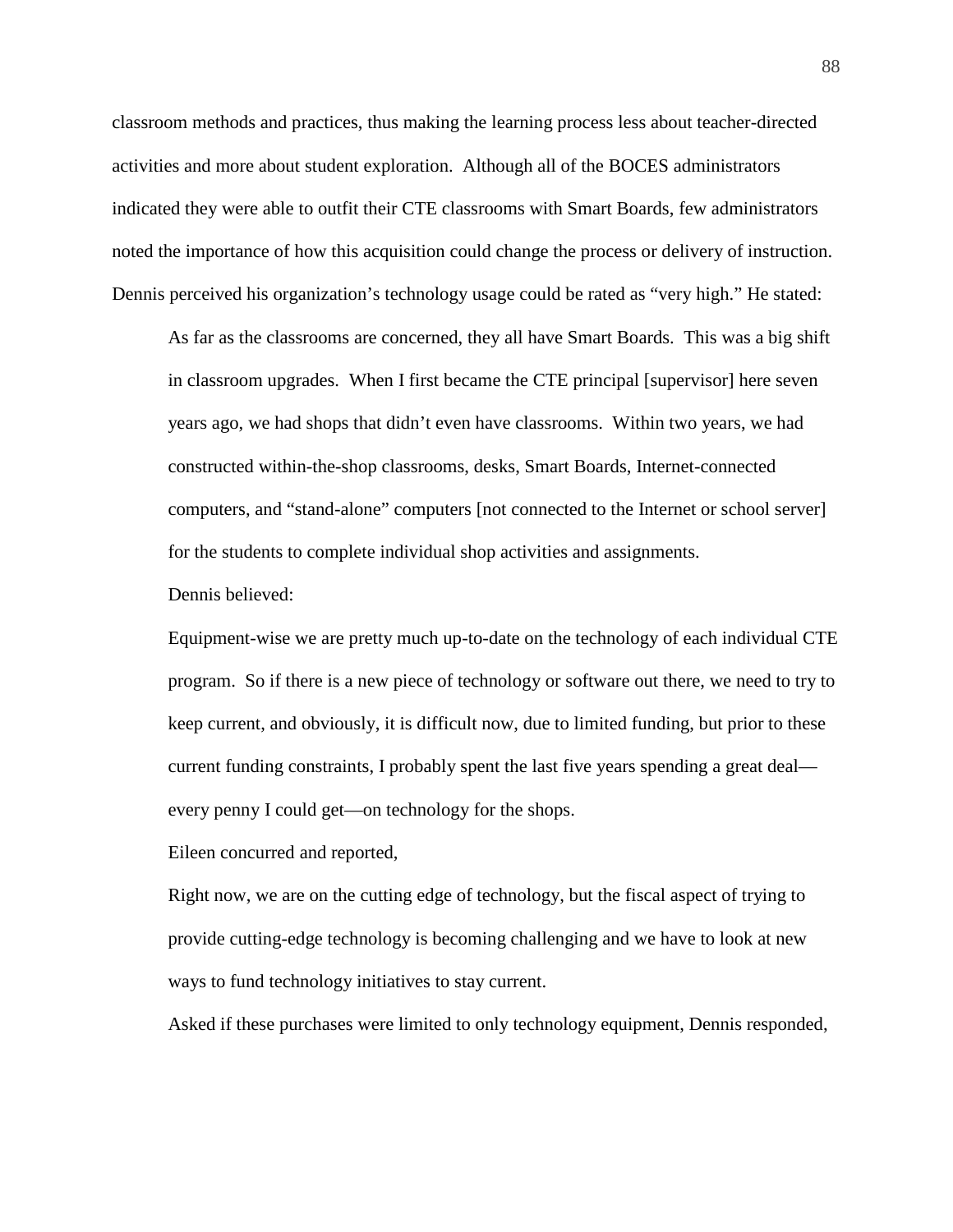classroom methods and practices, thus making the learning process less about teacher-directed activities and more about student exploration. Although all of the BOCES administrators indicated they were able to outfit their CTE classrooms with Smart Boards, few administrators noted the importance of how this acquisition could change the process or delivery of instruction. Dennis perceived his organization's technology usage could be rated as "very high." He stated:

As far as the classrooms are concerned, they all have Smart Boards. This was a big shift in classroom upgrades. When I first became the CTE principal [supervisor] here seven years ago, we had shops that didn't even have classrooms. Within two years, we had constructed within-the-shop classrooms, desks, Smart Boards, Internet-connected computers, and "stand-alone" computers [not connected to the Internet or school server] for the students to complete individual shop activities and assignments.

Dennis believed:

Equipment-wise we are pretty much up-to-date on the technology of each individual CTE program. So if there is a new piece of technology or software out there, we need to try to keep current, and obviously, it is difficult now, due to limited funding, but prior to these current funding constraints, I probably spent the last five years spending a great deal every penny I could get—on technology for the shops.

Eileen concurred and reported,

Right now, we are on the cutting edge of technology, but the fiscal aspect of trying to provide cutting-edge technology is becoming challenging and we have to look at new ways to fund technology initiatives to stay current.

Asked if these purchases were limited to only technology equipment, Dennis responded,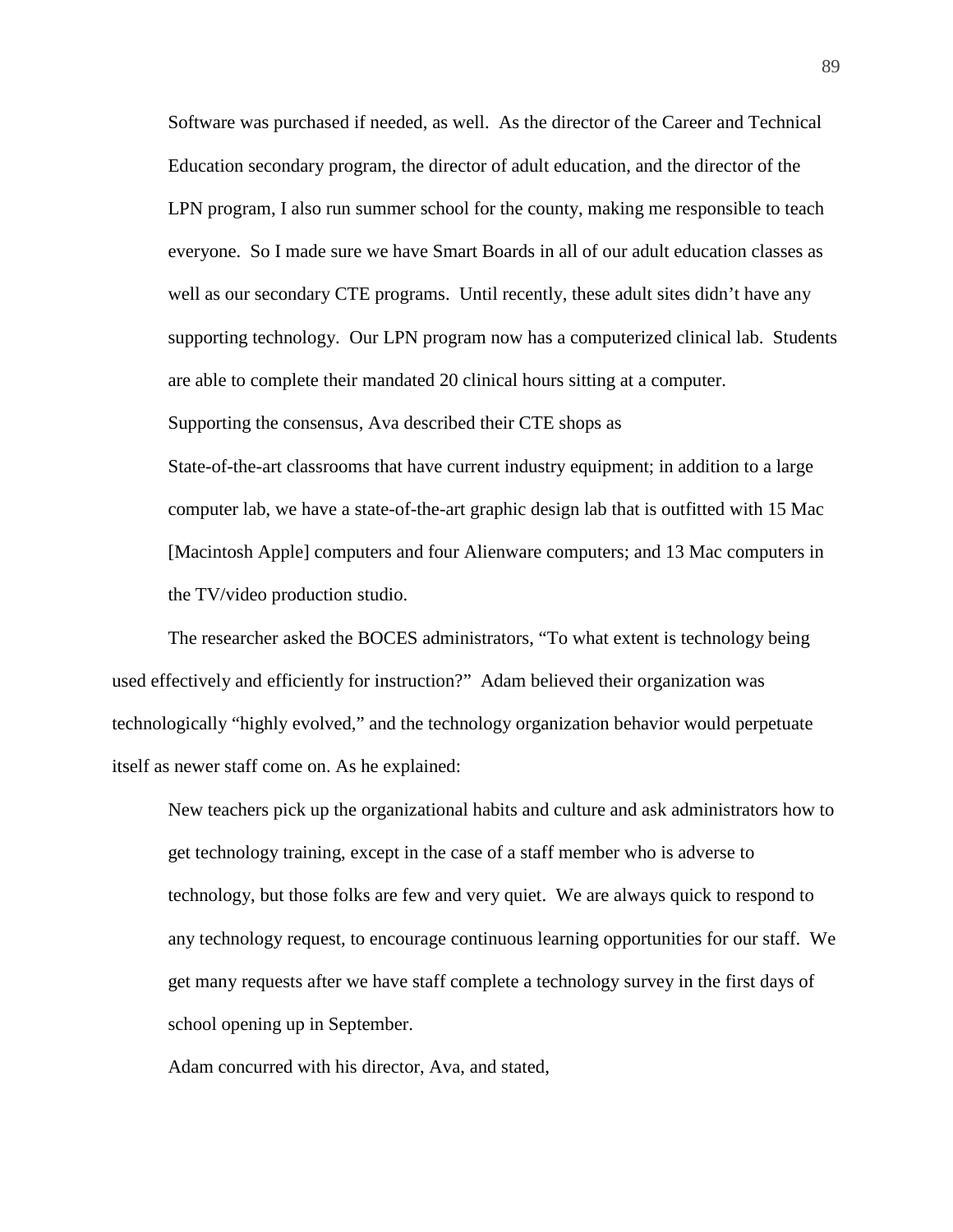Software was purchased if needed, as well. As the director of the Career and Technical Education secondary program, the director of adult education, and the director of the LPN program, I also run summer school for the county, making me responsible to teach everyone. So I made sure we have Smart Boards in all of our adult education classes as well as our secondary CTE programs. Until recently, these adult sites didn't have any supporting technology. Our LPN program now has a computerized clinical lab. Students are able to complete their mandated 20 clinical hours sitting at a computer.

Supporting the consensus, Ava described their CTE shops as

State-of-the-art classrooms that have current industry equipment; in addition to a large computer lab, we have a state-of-the-art graphic design lab that is outfitted with 15 Mac [Macintosh Apple] computers and four Alienware computers; and 13 Mac computers in the TV/video production studio.

The researcher asked the BOCES administrators, "To what extent is technology being used effectively and efficiently for instruction?" Adam believed their organization was technologically "highly evolved," and the technology organization behavior would perpetuate itself as newer staff come on. As he explained:

New teachers pick up the organizational habits and culture and ask administrators how to get technology training, except in the case of a staff member who is adverse to technology, but those folks are few and very quiet. We are always quick to respond to any technology request, to encourage continuous learning opportunities for our staff. We get many requests after we have staff complete a technology survey in the first days of school opening up in September.

Adam concurred with his director, Ava, and stated,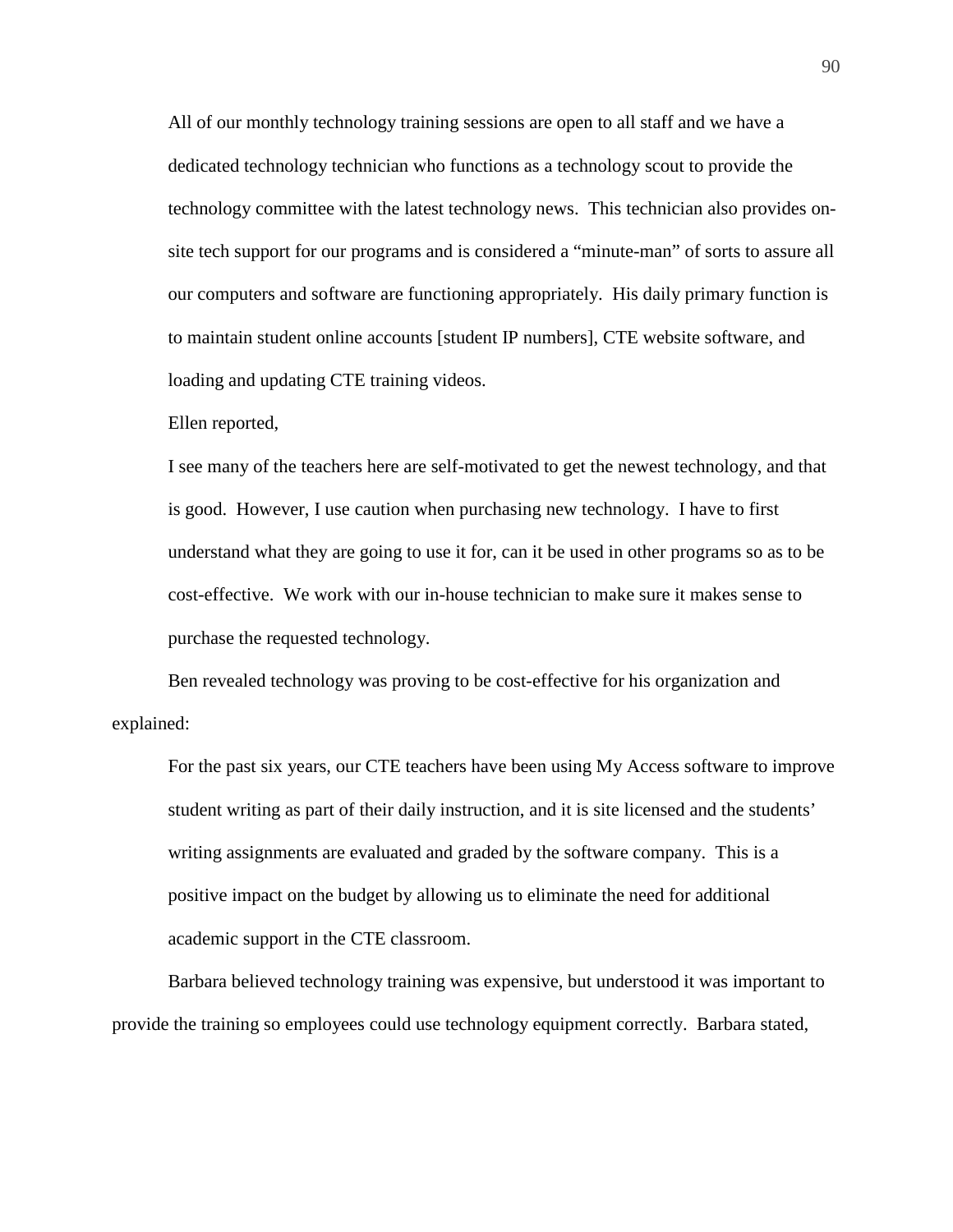All of our monthly technology training sessions are open to all staff and we have a dedicated technology technician who functions as a technology scout to provide the technology committee with the latest technology news. This technician also provides onsite tech support for our programs and is considered a "minute-man" of sorts to assure all our computers and software are functioning appropriately. His daily primary function is to maintain student online accounts [student IP numbers], CTE website software, and loading and updating CTE training videos.

Ellen reported,

I see many of the teachers here are self-motivated to get the newest technology, and that is good. However, I use caution when purchasing new technology. I have to first understand what they are going to use it for, can it be used in other programs so as to be cost-effective. We work with our in-house technician to make sure it makes sense to purchase the requested technology.

Ben revealed technology was proving to be cost-effective for his organization and explained:

For the past six years, our CTE teachers have been using My Access software to improve student writing as part of their daily instruction, and it is site licensed and the students' writing assignments are evaluated and graded by the software company. This is a positive impact on the budget by allowing us to eliminate the need for additional academic support in the CTE classroom.

Barbara believed technology training was expensive, but understood it was important to provide the training so employees could use technology equipment correctly. Barbara stated,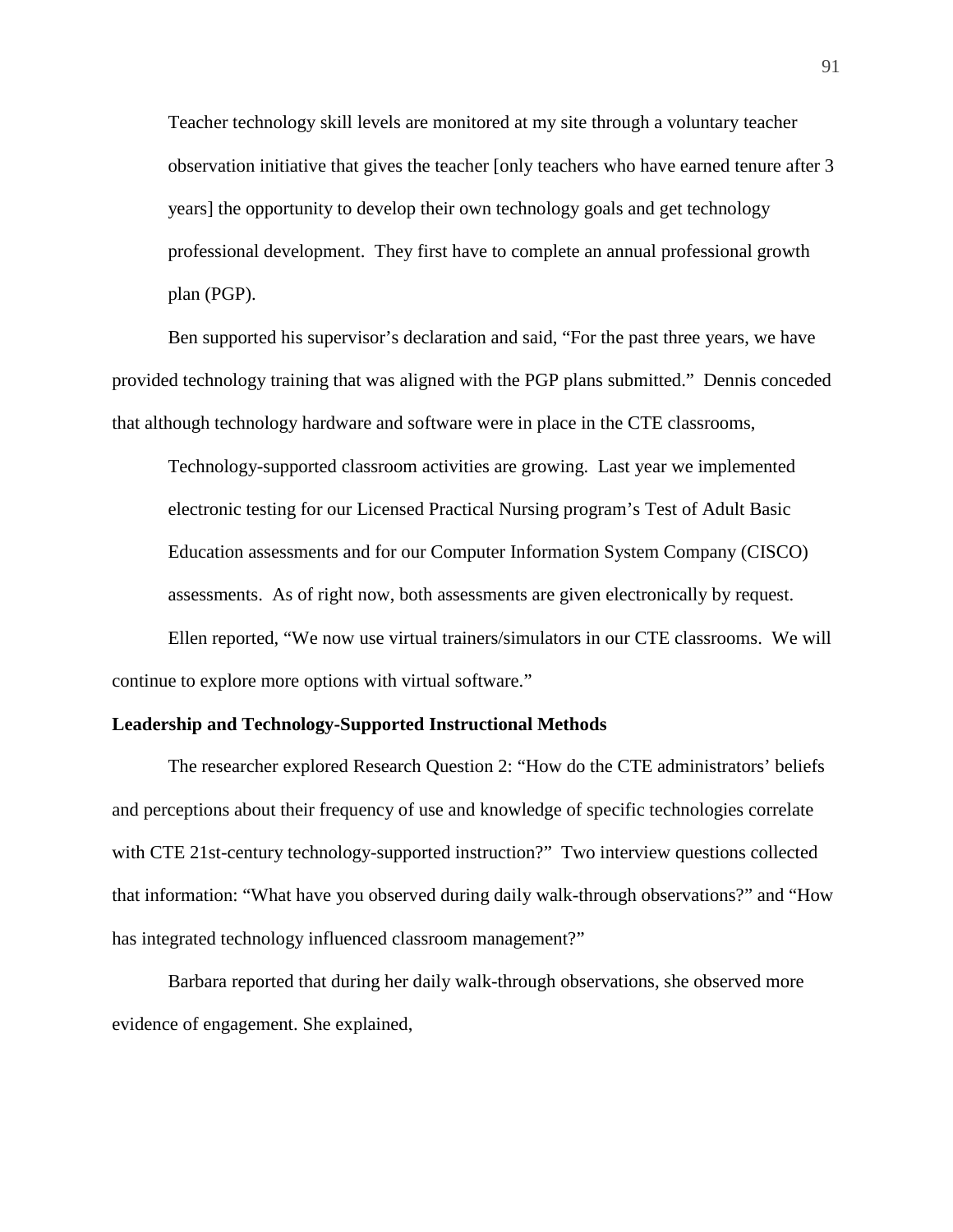Teacher technology skill levels are monitored at my site through a voluntary teacher observation initiative that gives the teacher [only teachers who have earned tenure after 3 years] the opportunity to develop their own technology goals and get technology professional development. They first have to complete an annual professional growth plan (PGP).

Ben supported his supervisor's declaration and said, "For the past three years, we have provided technology training that was aligned with the PGP plans submitted." Dennis conceded that although technology hardware and software were in place in the CTE classrooms,

Technology-supported classroom activities are growing. Last year we implemented electronic testing for our Licensed Practical Nursing program's Test of Adult Basic Education assessments and for our Computer Information System Company (CISCO) assessments. As of right now, both assessments are given electronically by request.

Ellen reported, "We now use virtual trainers/simulators in our CTE classrooms. We will continue to explore more options with virtual software."

#### **Leadership and Technology-Supported Instructional Methods**

The researcher explored Research Question 2: "How do the CTE administrators' beliefs and perceptions about their frequency of use and knowledge of specific technologies correlate with CTE 21st-century technology-supported instruction?" Two interview questions collected that information: "What have you observed during daily walk-through observations?" and "How has integrated technology influenced classroom management?"

Barbara reported that during her daily walk-through observations, she observed more evidence of engagement. She explained,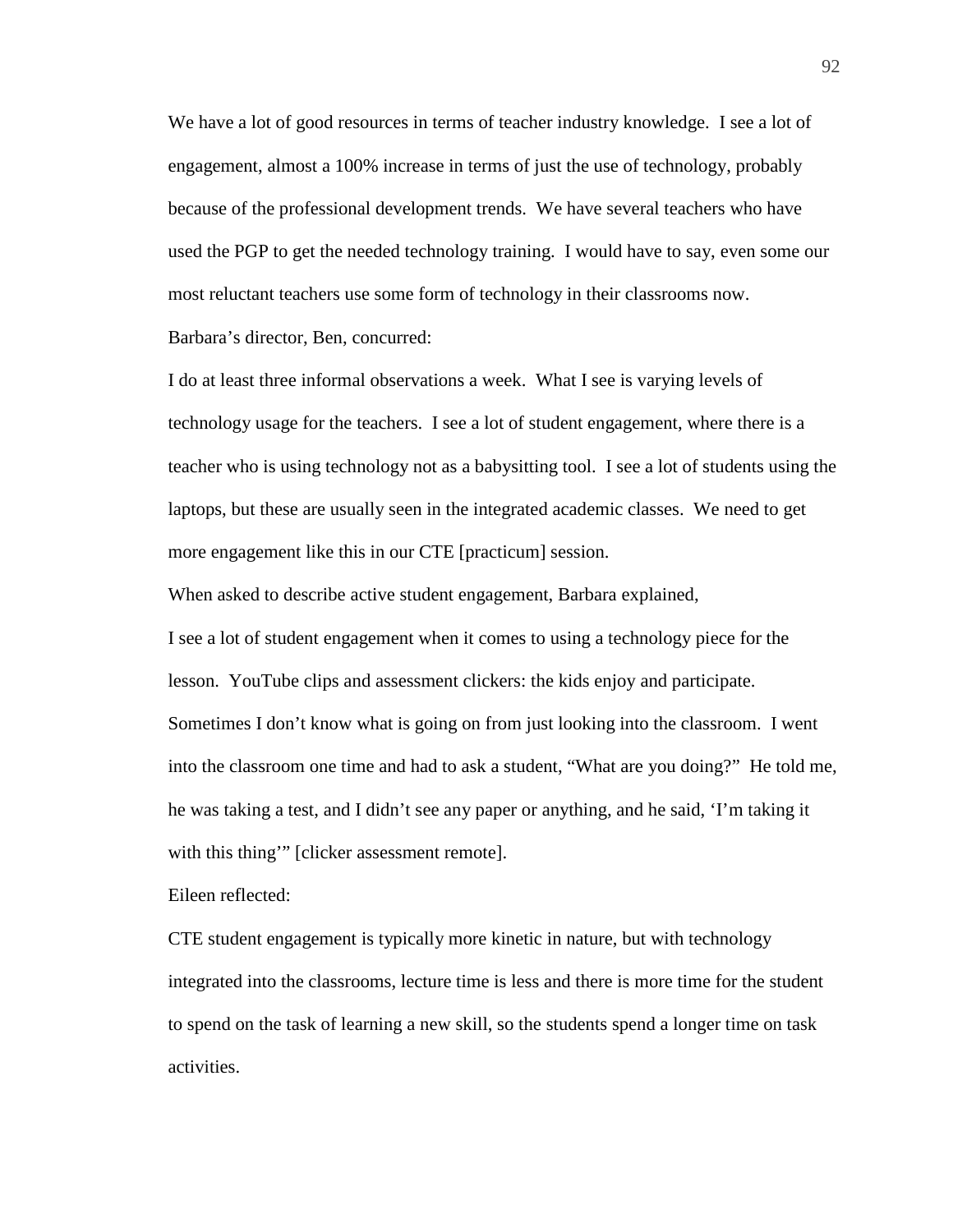We have a lot of good resources in terms of teacher industry knowledge. I see a lot of engagement, almost a 100% increase in terms of just the use of technology, probably because of the professional development trends. We have several teachers who have used the PGP to get the needed technology training. I would have to say, even some our most reluctant teachers use some form of technology in their classrooms now. Barbara's director, Ben, concurred:

I do at least three informal observations a week. What I see is varying levels of technology usage for the teachers. I see a lot of student engagement, where there is a teacher who is using technology not as a babysitting tool. I see a lot of students using the laptops, but these are usually seen in the integrated academic classes. We need to get more engagement like this in our CTE [practicum] session.

When asked to describe active student engagement, Barbara explained,

I see a lot of student engagement when it comes to using a technology piece for the lesson. YouTube clips and assessment clickers: the kids enjoy and participate. Sometimes I don't know what is going on from just looking into the classroom. I went into the classroom one time and had to ask a student, "What are you doing?" He told me, he was taking a test, and I didn't see any paper or anything, and he said, 'I'm taking it with this thing'" [clicker assessment remote].

Eileen reflected:

CTE student engagement is typically more kinetic in nature, but with technology integrated into the classrooms, lecture time is less and there is more time for the student to spend on the task of learning a new skill, so the students spend a longer time on task activities.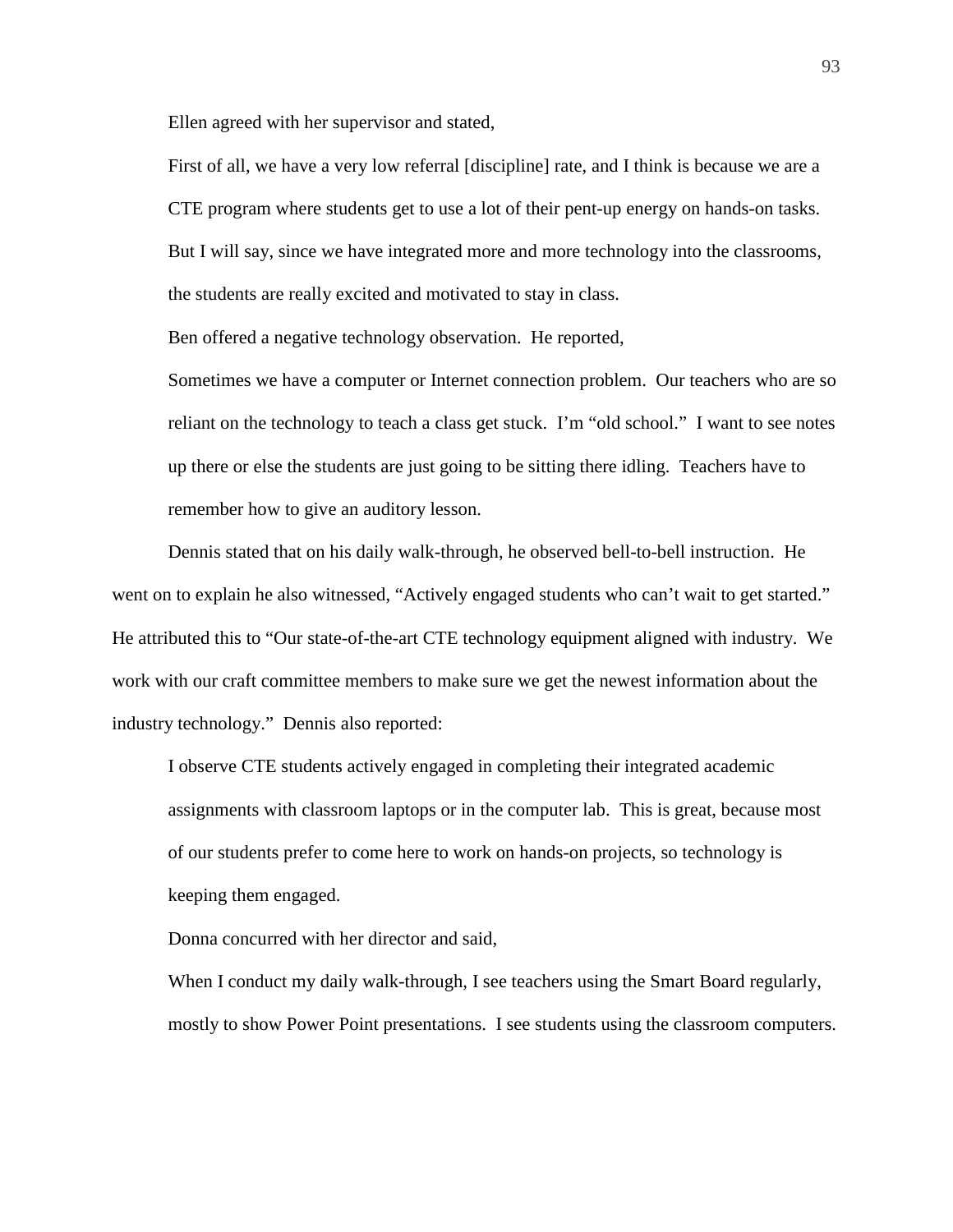Ellen agreed with her supervisor and stated,

First of all, we have a very low referral [discipline] rate, and I think is because we are a CTE program where students get to use a lot of their pent-up energy on hands-on tasks. But I will say, since we have integrated more and more technology into the classrooms, the students are really excited and motivated to stay in class.

Ben offered a negative technology observation. He reported,

Sometimes we have a computer or Internet connection problem. Our teachers who are so reliant on the technology to teach a class get stuck. I'm "old school." I want to see notes up there or else the students are just going to be sitting there idling. Teachers have to remember how to give an auditory lesson.

Dennis stated that on his daily walk-through, he observed bell-to-bell instruction. He went on to explain he also witnessed, "Actively engaged students who can't wait to get started." He attributed this to "Our state-of-the-art CTE technology equipment aligned with industry. We work with our craft committee members to make sure we get the newest information about the industry technology." Dennis also reported:

I observe CTE students actively engaged in completing their integrated academic assignments with classroom laptops or in the computer lab. This is great, because most of our students prefer to come here to work on hands-on projects, so technology is keeping them engaged.

Donna concurred with her director and said,

When I conduct my daily walk-through, I see teachers using the Smart Board regularly, mostly to show Power Point presentations. I see students using the classroom computers.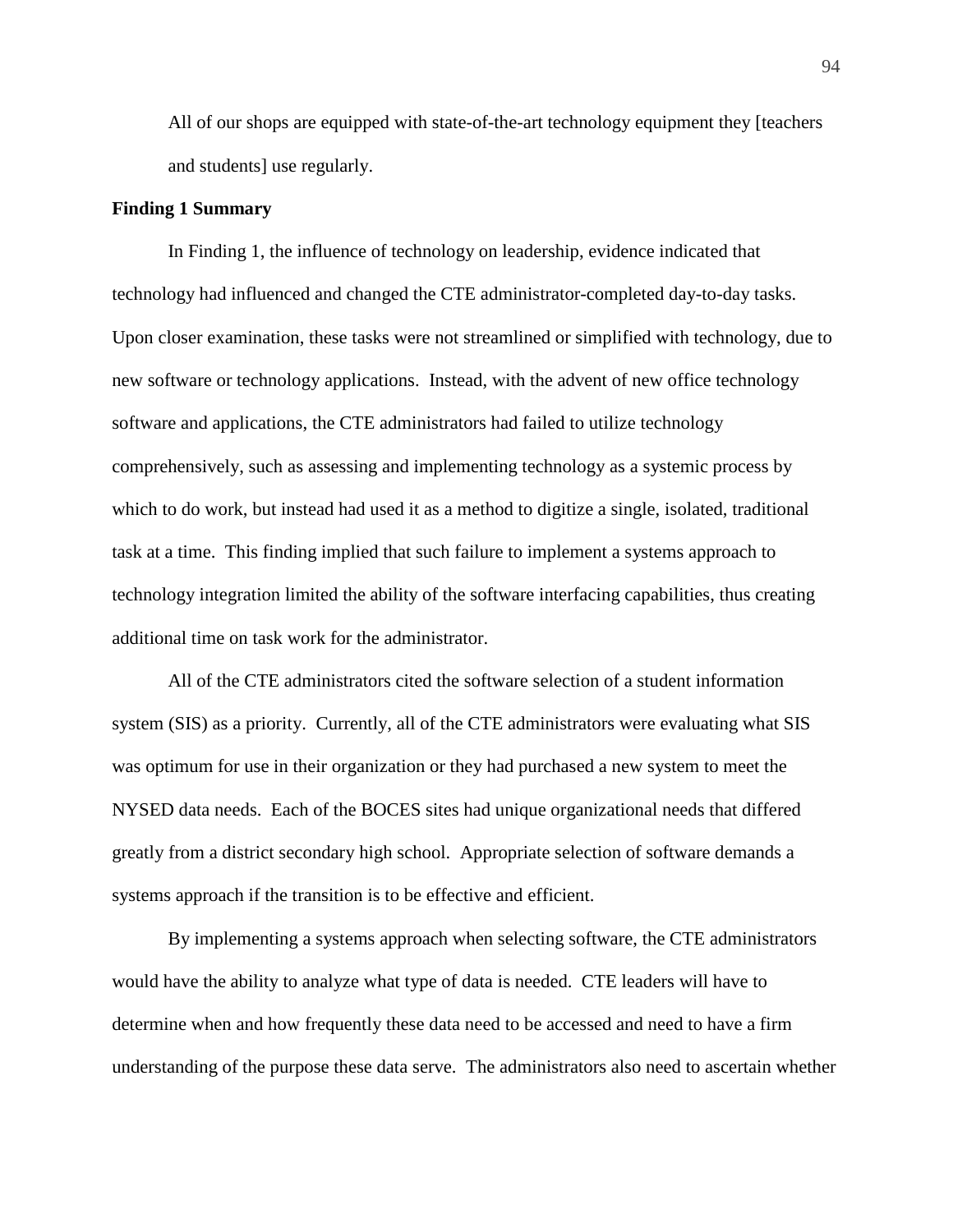All of our shops are equipped with state-of-the-art technology equipment they [teachers and students] use regularly.

# **Finding 1 Summary**

In Finding 1, the influence of technology on leadership, evidence indicated that technology had influenced and changed the CTE administrator-completed day-to-day tasks. Upon closer examination, these tasks were not streamlined or simplified with technology, due to new software or technology applications. Instead, with the advent of new office technology software and applications, the CTE administrators had failed to utilize technology comprehensively, such as assessing and implementing technology as a systemic process by which to do work, but instead had used it as a method to digitize a single, isolated, traditional task at a time. This finding implied that such failure to implement a systems approach to technology integration limited the ability of the software interfacing capabilities, thus creating additional time on task work for the administrator.

All of the CTE administrators cited the software selection of a student information system (SIS) as a priority. Currently, all of the CTE administrators were evaluating what SIS was optimum for use in their organization or they had purchased a new system to meet the NYSED data needs. Each of the BOCES sites had unique organizational needs that differed greatly from a district secondary high school. Appropriate selection of software demands a systems approach if the transition is to be effective and efficient.

By implementing a systems approach when selecting software, the CTE administrators would have the ability to analyze what type of data is needed. CTE leaders will have to determine when and how frequently these data need to be accessed and need to have a firm understanding of the purpose these data serve. The administrators also need to ascertain whether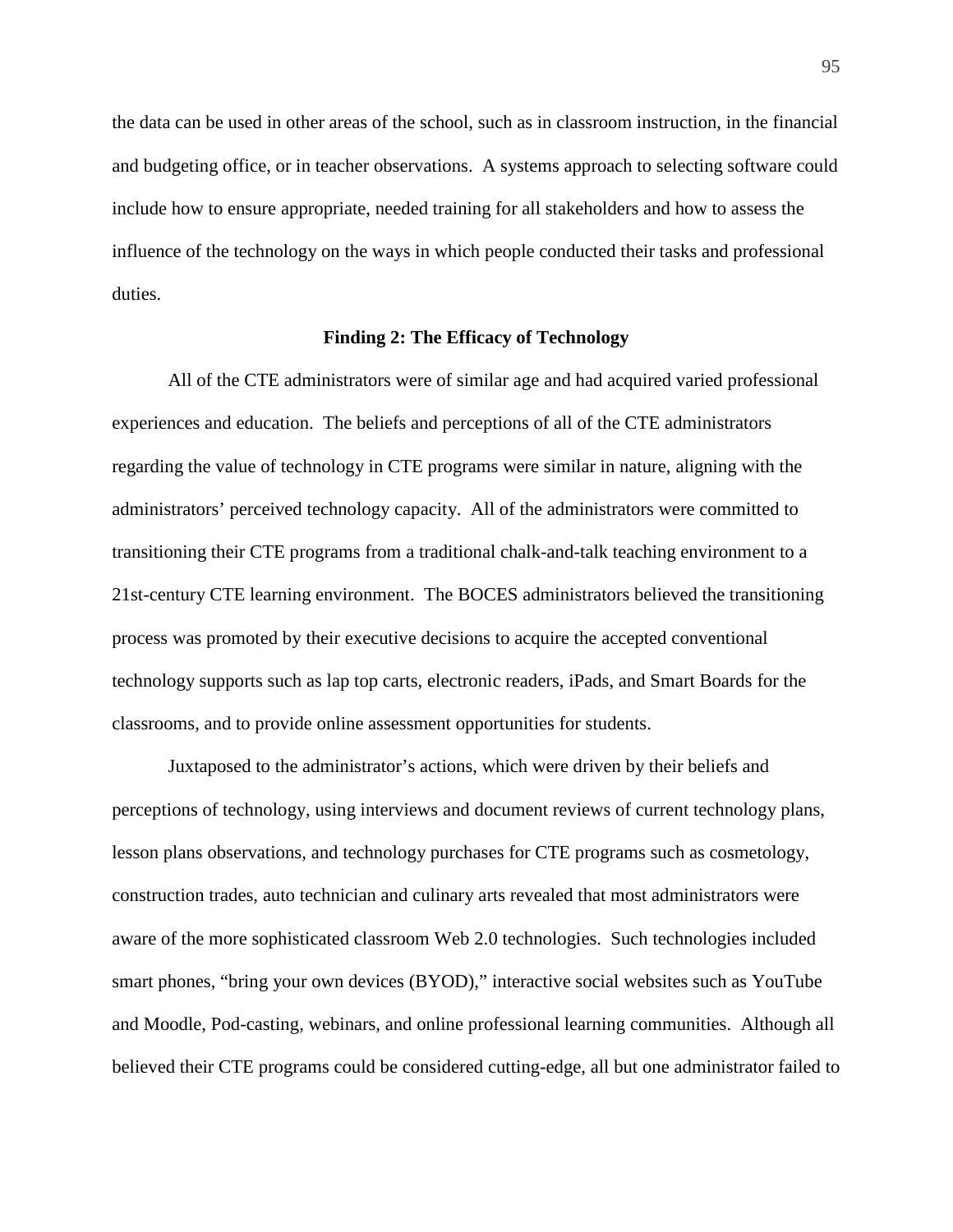the data can be used in other areas of the school, such as in classroom instruction, in the financial and budgeting office, or in teacher observations. A systems approach to selecting software could include how to ensure appropriate, needed training for all stakeholders and how to assess the influence of the technology on the ways in which people conducted their tasks and professional duties.

# **Finding 2: The Efficacy of Technology**

All of the CTE administrators were of similar age and had acquired varied professional experiences and education. The beliefs and perceptions of all of the CTE administrators regarding the value of technology in CTE programs were similar in nature, aligning with the administrators' perceived technology capacity. All of the administrators were committed to transitioning their CTE programs from a traditional chalk-and-talk teaching environment to a 21st-century CTE learning environment. The BOCES administrators believed the transitioning process was promoted by their executive decisions to acquire the accepted conventional technology supports such as lap top carts, electronic readers, iPads, and Smart Boards for the classrooms, and to provide online assessment opportunities for students.

Juxtaposed to the administrator's actions, which were driven by their beliefs and perceptions of technology, using interviews and document reviews of current technology plans, lesson plans observations, and technology purchases for CTE programs such as cosmetology, construction trades, auto technician and culinary arts revealed that most administrators were aware of the more sophisticated classroom Web 2.0 technologies. Such technologies included smart phones, "bring your own devices (BYOD)," interactive social websites such as YouTube and Moodle, Pod-casting, webinars, and online professional learning communities. Although all believed their CTE programs could be considered cutting-edge, all but one administrator failed to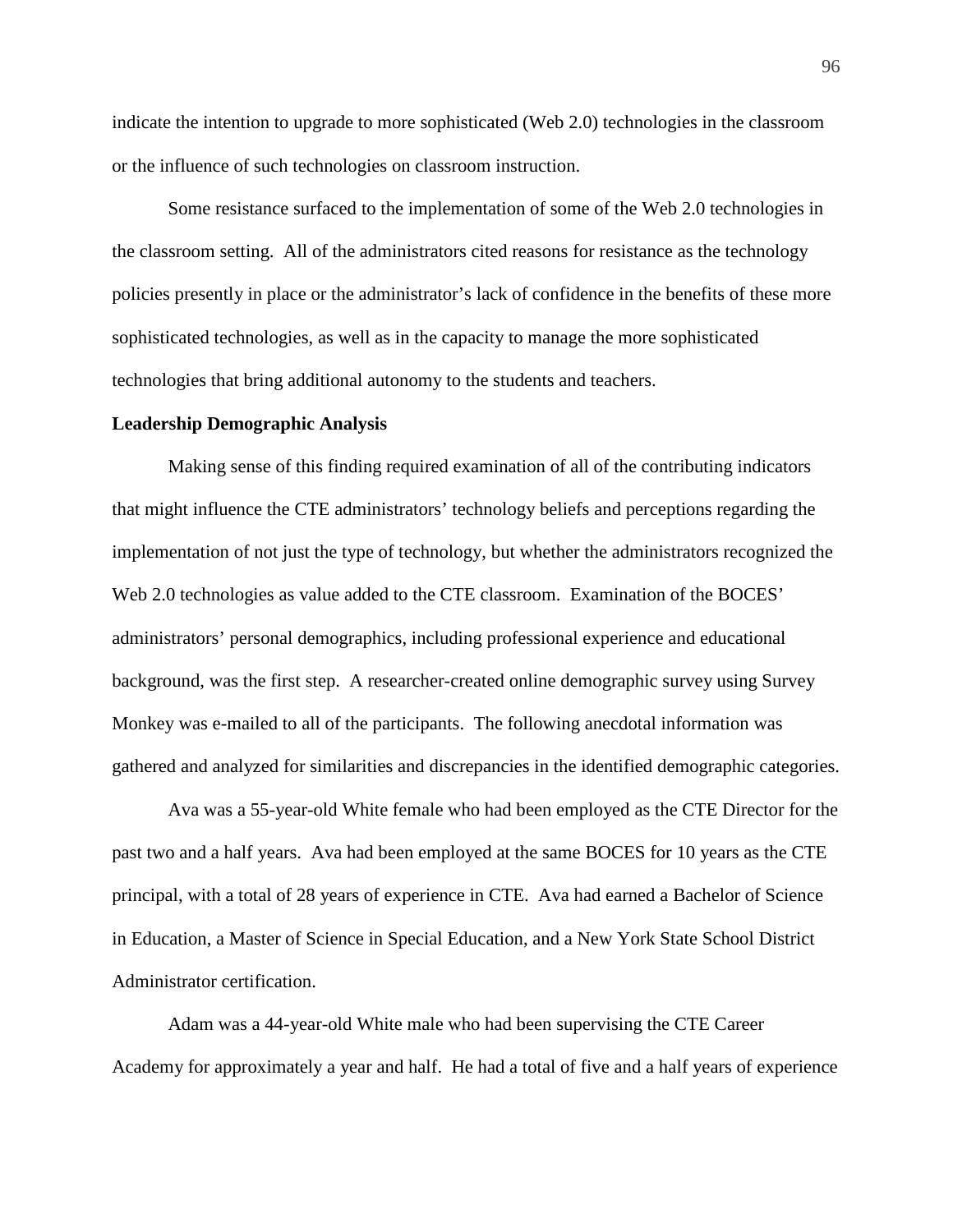indicate the intention to upgrade to more sophisticated (Web 2.0) technologies in the classroom or the influence of such technologies on classroom instruction.

Some resistance surfaced to the implementation of some of the Web 2.0 technologies in the classroom setting. All of the administrators cited reasons for resistance as the technology policies presently in place or the administrator's lack of confidence in the benefits of these more sophisticated technologies, as well as in the capacity to manage the more sophisticated technologies that bring additional autonomy to the students and teachers.

### **Leadership Demographic Analysis**

Making sense of this finding required examination of all of the contributing indicators that might influence the CTE administrators' technology beliefs and perceptions regarding the implementation of not just the type of technology, but whether the administrators recognized the Web 2.0 technologies as value added to the CTE classroom. Examination of the BOCES' administrators' personal demographics, including professional experience and educational background, was the first step. A researcher-created online demographic survey using Survey Monkey was e-mailed to all of the participants. The following anecdotal information was gathered and analyzed for similarities and discrepancies in the identified demographic categories.

Ava was a 55-year-old White female who had been employed as the CTE Director for the past two and a half years. Ava had been employed at the same BOCES for 10 years as the CTE principal, with a total of 28 years of experience in CTE. Ava had earned a Bachelor of Science in Education, a Master of Science in Special Education, and a New York State School District Administrator certification.

Adam was a 44-year-old White male who had been supervising the CTE Career Academy for approximately a year and half. He had a total of five and a half years of experience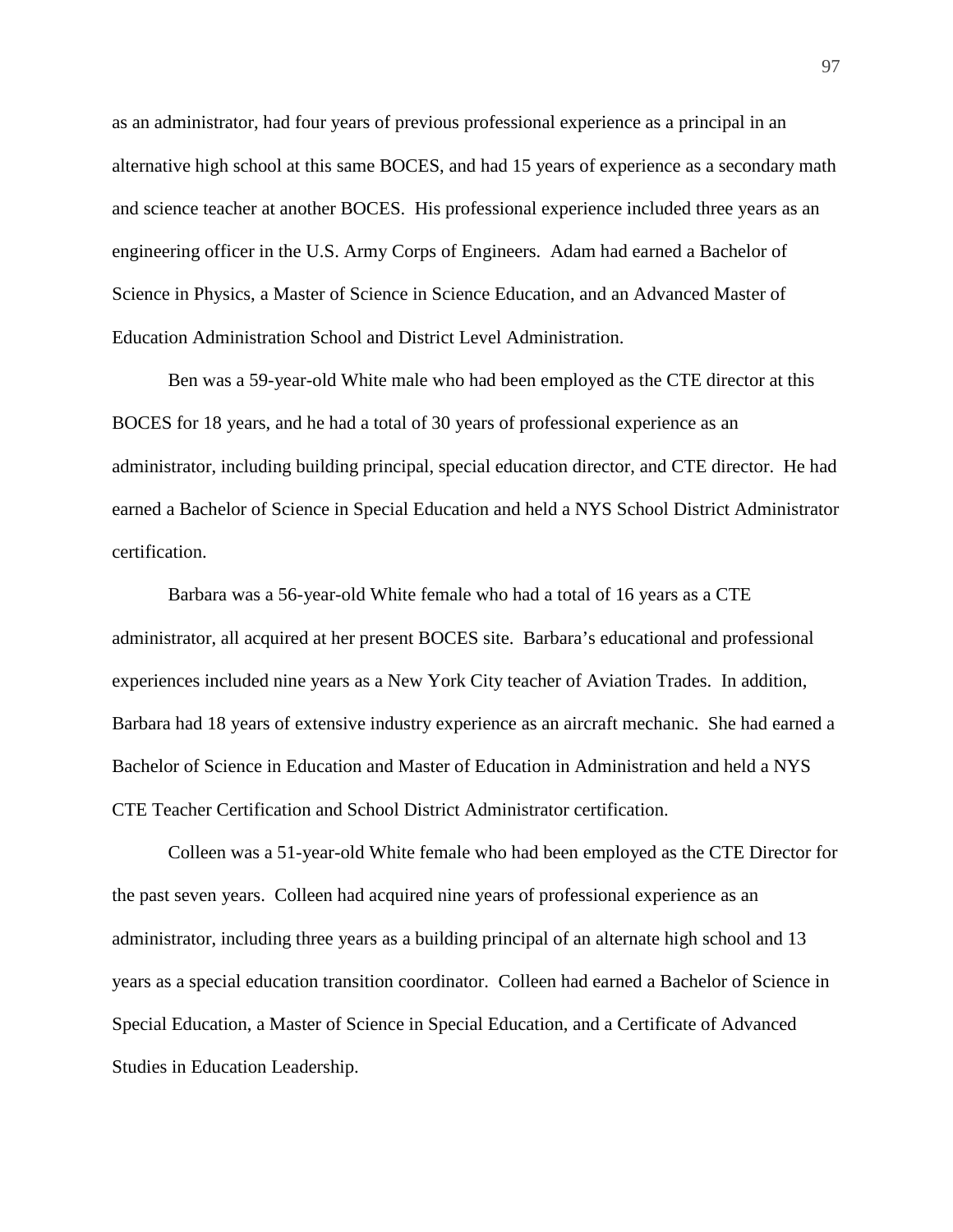as an administrator, had four years of previous professional experience as a principal in an alternative high school at this same BOCES, and had 15 years of experience as a secondary math and science teacher at another BOCES. His professional experience included three years as an engineering officer in the U.S. Army Corps of Engineers. Adam had earned a Bachelor of Science in Physics, a Master of Science in Science Education, and an Advanced Master of Education Administration School and District Level Administration.

Ben was a 59-year-old White male who had been employed as the CTE director at this BOCES for 18 years, and he had a total of 30 years of professional experience as an administrator, including building principal, special education director, and CTE director. He had earned a Bachelor of Science in Special Education and held a NYS School District Administrator certification.

Barbara was a 56-year-old White female who had a total of 16 years as a CTE administrator, all acquired at her present BOCES site. Barbara's educational and professional experiences included nine years as a New York City teacher of Aviation Trades. In addition, Barbara had 18 years of extensive industry experience as an aircraft mechanic. She had earned a Bachelor of Science in Education and Master of Education in Administration and held a NYS CTE Teacher Certification and School District Administrator certification.

Colleen was a 51-year-old White female who had been employed as the CTE Director for the past seven years. Colleen had acquired nine years of professional experience as an administrator, including three years as a building principal of an alternate high school and 13 years as a special education transition coordinator. Colleen had earned a Bachelor of Science in Special Education, a Master of Science in Special Education, and a Certificate of Advanced Studies in Education Leadership.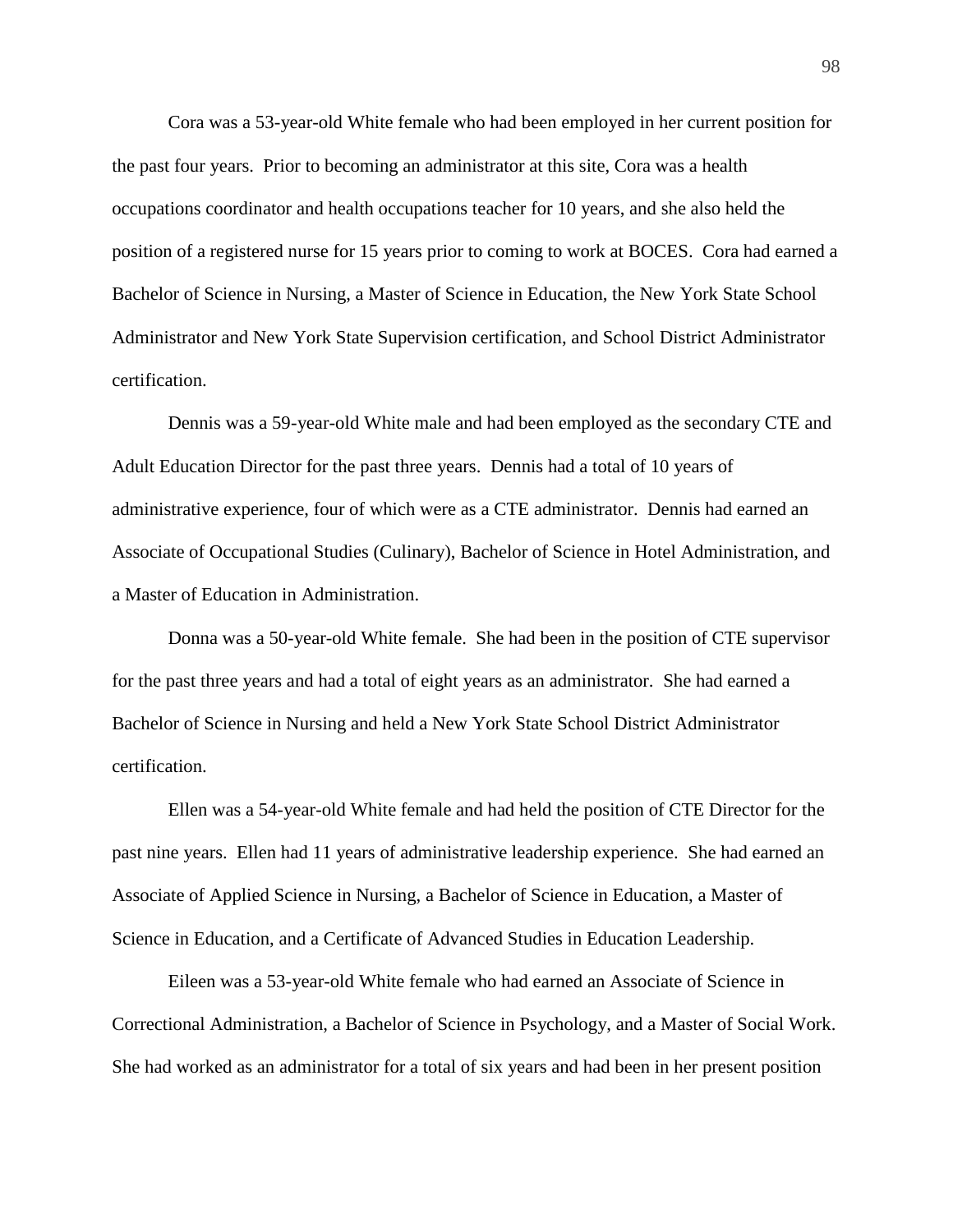Cora was a 53-year-old White female who had been employed in her current position for the past four years. Prior to becoming an administrator at this site, Cora was a health occupations coordinator and health occupations teacher for 10 years, and she also held the position of a registered nurse for 15 years prior to coming to work at BOCES. Cora had earned a Bachelor of Science in Nursing, a Master of Science in Education, the New York State School Administrator and New York State Supervision certification, and School District Administrator certification.

Dennis was a 59-year-old White male and had been employed as the secondary CTE and Adult Education Director for the past three years. Dennis had a total of 10 years of administrative experience, four of which were as a CTE administrator. Dennis had earned an Associate of Occupational Studies (Culinary), Bachelor of Science in Hotel Administration, and a Master of Education in Administration.

Donna was a 50-year-old White female. She had been in the position of CTE supervisor for the past three years and had a total of eight years as an administrator. She had earned a Bachelor of Science in Nursing and held a New York State School District Administrator certification.

Ellen was a 54-year-old White female and had held the position of CTE Director for the past nine years. Ellen had 11 years of administrative leadership experience. She had earned an Associate of Applied Science in Nursing, a Bachelor of Science in Education, a Master of Science in Education, and a Certificate of Advanced Studies in Education Leadership.

Eileen was a 53-year-old White female who had earned an Associate of Science in Correctional Administration, a Bachelor of Science in Psychology, and a Master of Social Work. She had worked as an administrator for a total of six years and had been in her present position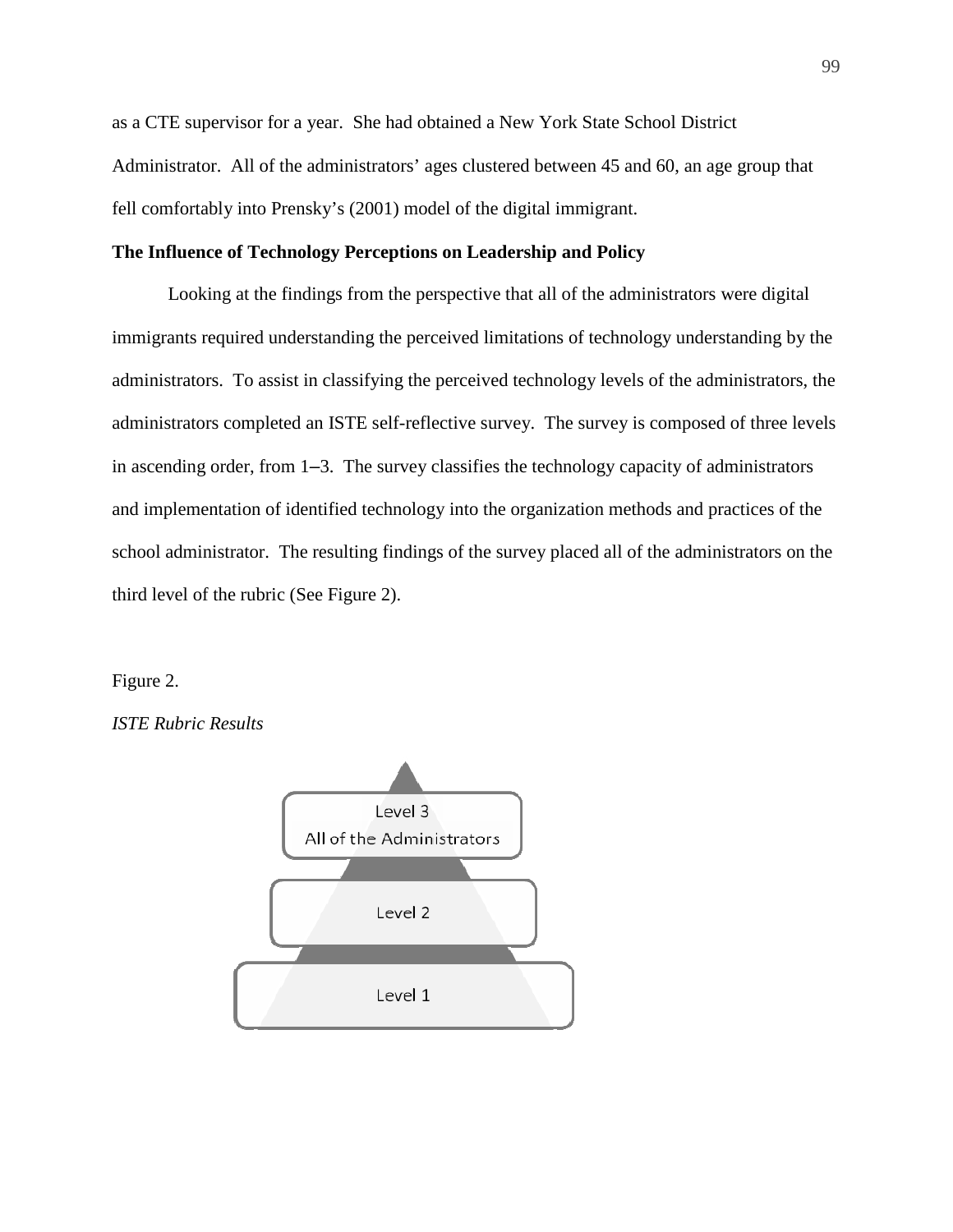as a CTE supervisor for a year. She had obtained a New York State School District Administrator. All of the administrators' ages clustered between 45 and 60, an age group that fell comfortably into Prensky's (2001) model of the digital immigrant.

# **The Influence of Technology Perceptions on Leadership and Policy**

Looking at the findings from the perspective that all of the administrators were digital immigrants required understanding the perceived limitations of technology understanding by the administrators. To assist in classifying the perceived technology levels of the administrators, the administrators completed an ISTE self-reflective survey. The survey is composed of three levels in ascending order, from 1–3. The survey classifies the technology capacity of administrators and implementation of identified technology into the organization methods and practices of the school administrator. The resulting findings of the survey placed all of the administrators on the third level of the rubric (See Figure 2).

#### Figure 2.

*ISTE Rubric Results* 

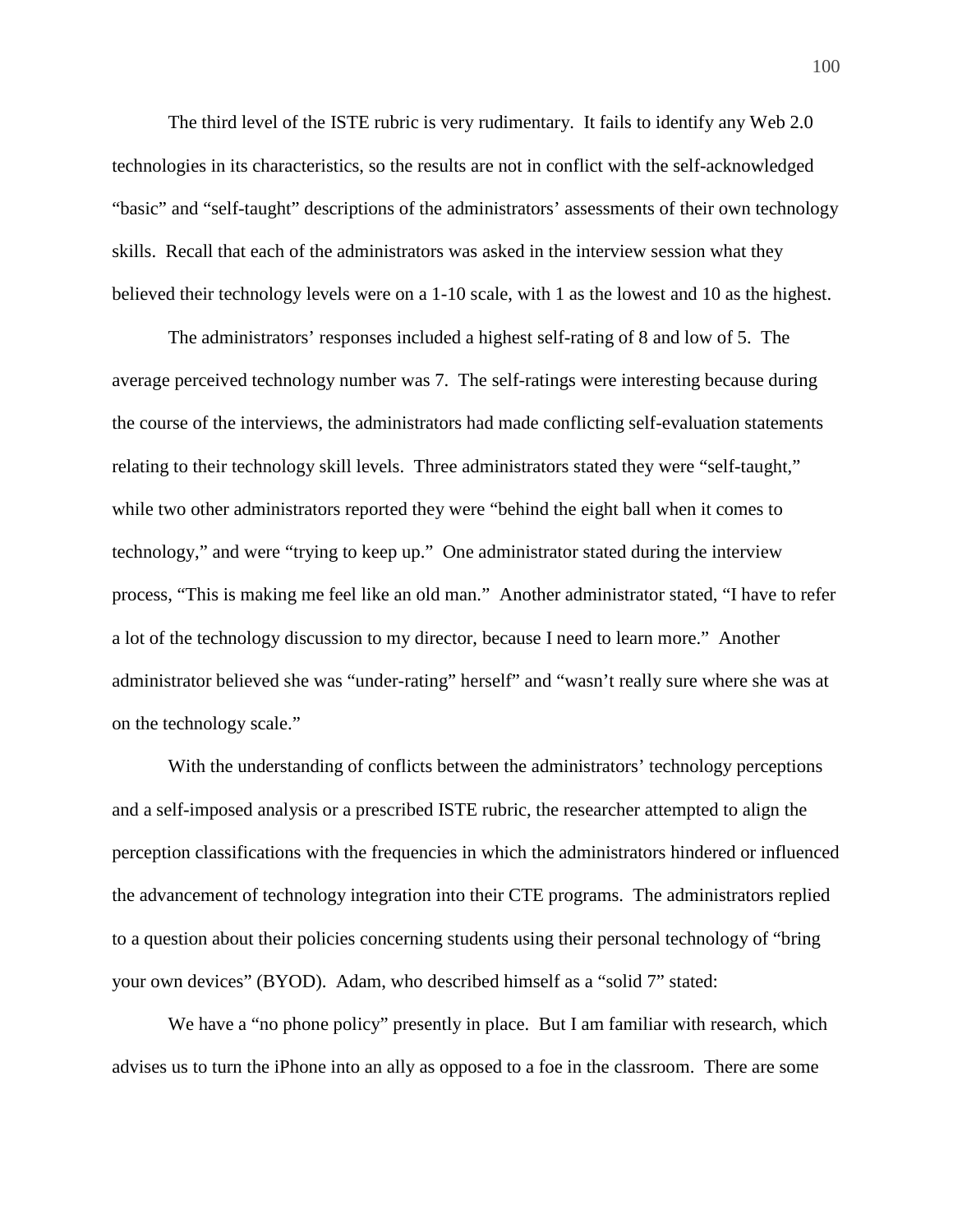The third level of the ISTE rubric is very rudimentary. It fails to identify any Web 2.0 technologies in its characteristics, so the results are not in conflict with the self-acknowledged "basic" and "self-taught" descriptions of the administrators' assessments of their own technology skills. Recall that each of the administrators was asked in the interview session what they believed their technology levels were on a 1-10 scale, with 1 as the lowest and 10 as the highest.

The administrators' responses included a highest self-rating of 8 and low of 5. The average perceived technology number was 7. The self-ratings were interesting because during the course of the interviews, the administrators had made conflicting self-evaluation statements relating to their technology skill levels. Three administrators stated they were "self-taught," while two other administrators reported they were "behind the eight ball when it comes to technology," and were "trying to keep up." One administrator stated during the interview process, "This is making me feel like an old man." Another administrator stated, "I have to refer a lot of the technology discussion to my director, because I need to learn more." Another administrator believed she was "under-rating" herself" and "wasn't really sure where she was at on the technology scale."

With the understanding of conflicts between the administrators' technology perceptions and a self-imposed analysis or a prescribed ISTE rubric, the researcher attempted to align the perception classifications with the frequencies in which the administrators hindered or influenced the advancement of technology integration into their CTE programs. The administrators replied to a question about their policies concerning students using their personal technology of "bring your own devices" (BYOD). Adam, who described himself as a "solid 7" stated:

We have a "no phone policy" presently in place. But I am familiar with research, which advises us to turn the iPhone into an ally as opposed to a foe in the classroom. There are some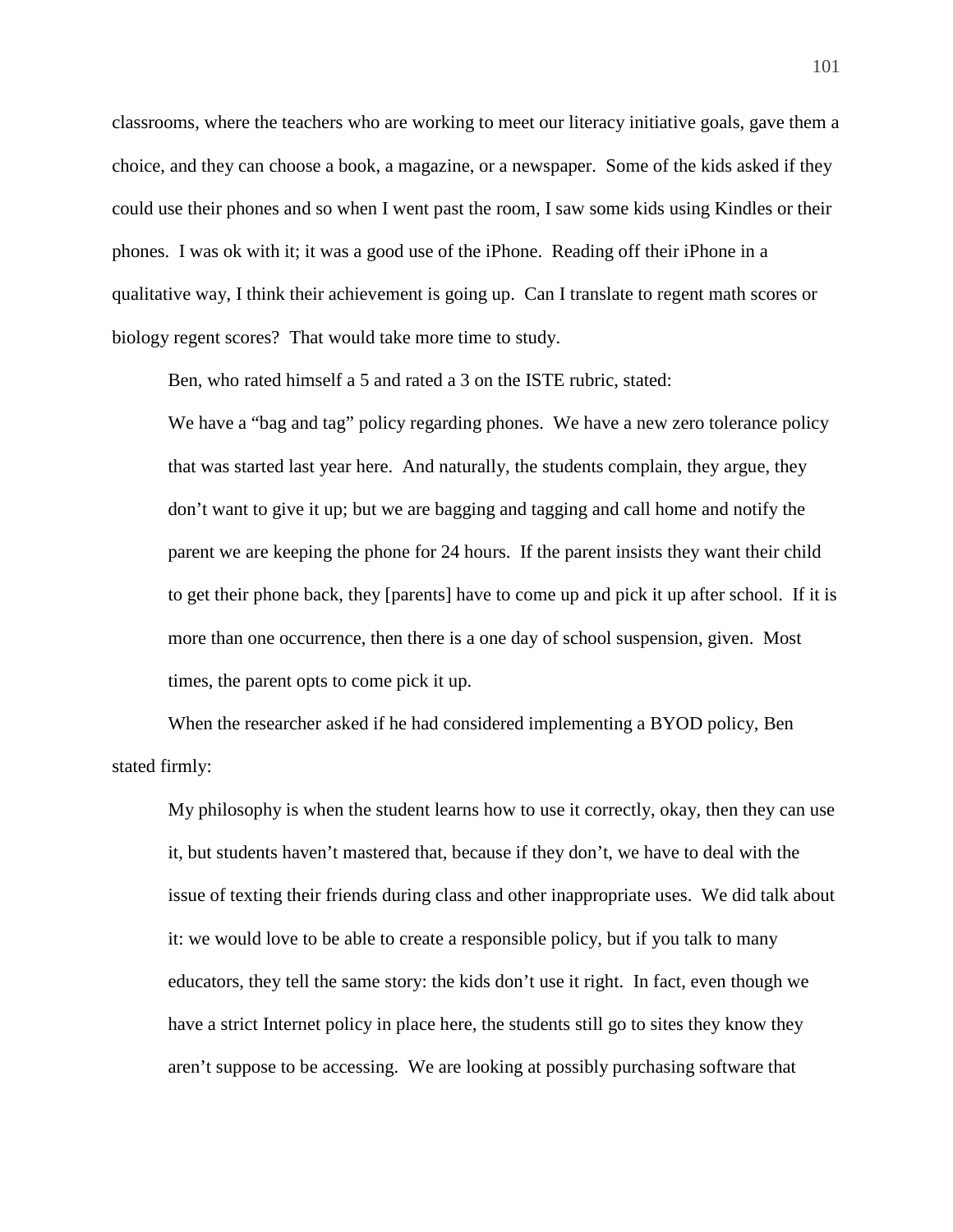classrooms, where the teachers who are working to meet our literacy initiative goals, gave them a choice, and they can choose a book, a magazine, or a newspaper. Some of the kids asked if they could use their phones and so when I went past the room, I saw some kids using Kindles or their phones. I was ok with it; it was a good use of the iPhone. Reading off their iPhone in a qualitative way, I think their achievement is going up. Can I translate to regent math scores or biology regent scores? That would take more time to study.

Ben, who rated himself a 5 and rated a 3 on the ISTE rubric, stated:

We have a "bag and tag" policy regarding phones. We have a new zero tolerance policy that was started last year here. And naturally, the students complain, they argue, they don't want to give it up; but we are bagging and tagging and call home and notify the parent we are keeping the phone for 24 hours. If the parent insists they want their child to get their phone back, they [parents] have to come up and pick it up after school. If it is more than one occurrence, then there is a one day of school suspension, given. Most times, the parent opts to come pick it up.

When the researcher asked if he had considered implementing a BYOD policy, Ben stated firmly:

My philosophy is when the student learns how to use it correctly, okay, then they can use it, but students haven't mastered that, because if they don't, we have to deal with the issue of texting their friends during class and other inappropriate uses. We did talk about it: we would love to be able to create a responsible policy, but if you talk to many educators, they tell the same story: the kids don't use it right. In fact, even though we have a strict Internet policy in place here, the students still go to sites they know they aren't suppose to be accessing. We are looking at possibly purchasing software that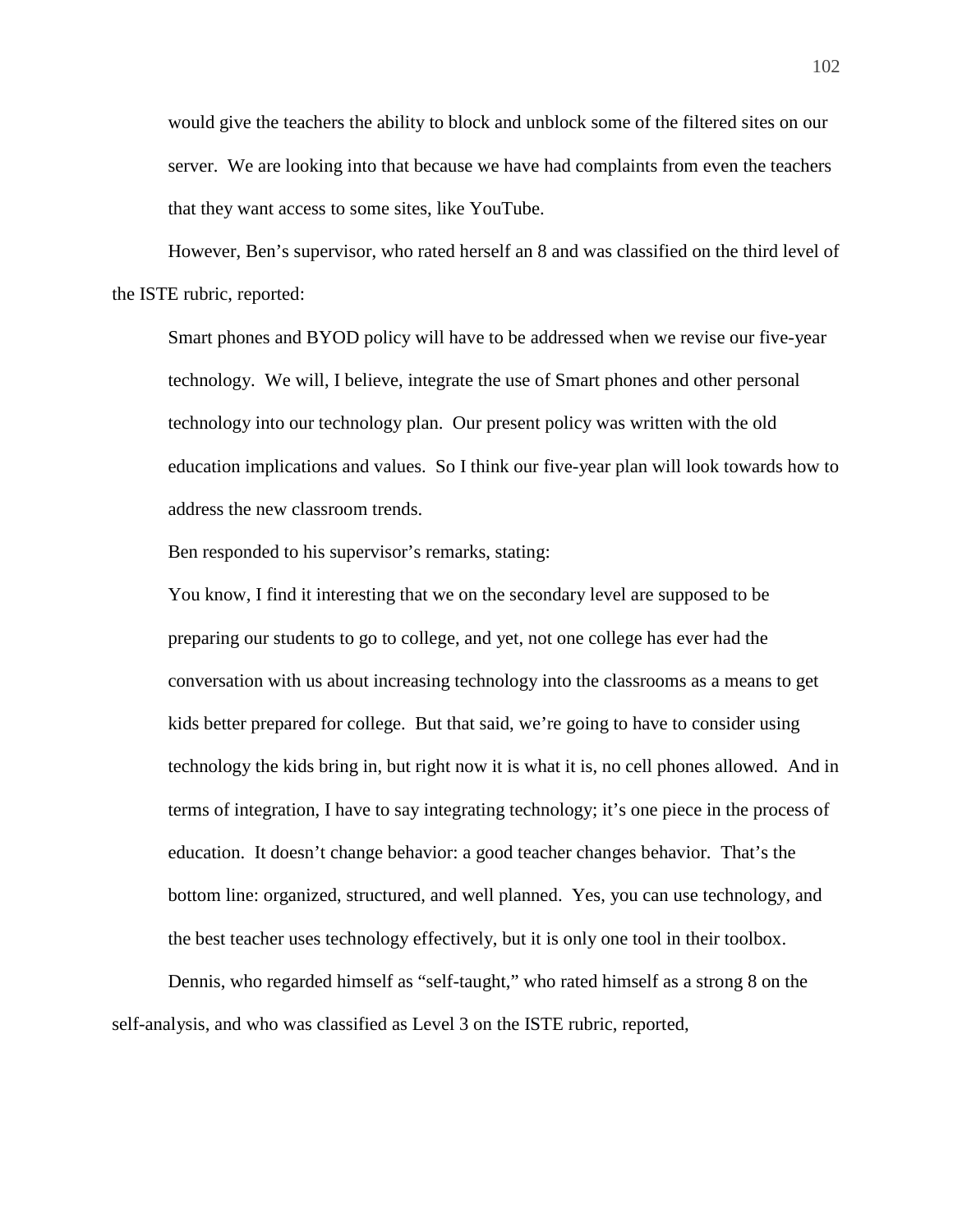would give the teachers the ability to block and unblock some of the filtered sites on our server. We are looking into that because we have had complaints from even the teachers that they want access to some sites, like YouTube.

However, Ben's supervisor, who rated herself an 8 and was classified on the third level of the ISTE rubric, reported:

Smart phones and BYOD policy will have to be addressed when we revise our five-year technology. We will, I believe, integrate the use of Smart phones and other personal technology into our technology plan. Our present policy was written with the old education implications and values. So I think our five-year plan will look towards how to address the new classroom trends.

Ben responded to his supervisor's remarks, stating:

You know, I find it interesting that we on the secondary level are supposed to be preparing our students to go to college, and yet, not one college has ever had the conversation with us about increasing technology into the classrooms as a means to get kids better prepared for college. But that said, we're going to have to consider using technology the kids bring in, but right now it is what it is, no cell phones allowed. And in terms of integration, I have to say integrating technology; it's one piece in the process of education. It doesn't change behavior: a good teacher changes behavior. That's the bottom line: organized, structured, and well planned. Yes, you can use technology, and the best teacher uses technology effectively, but it is only one tool in their toolbox.

Dennis, who regarded himself as "self-taught," who rated himself as a strong 8 on the self-analysis, and who was classified as Level 3 on the ISTE rubric, reported,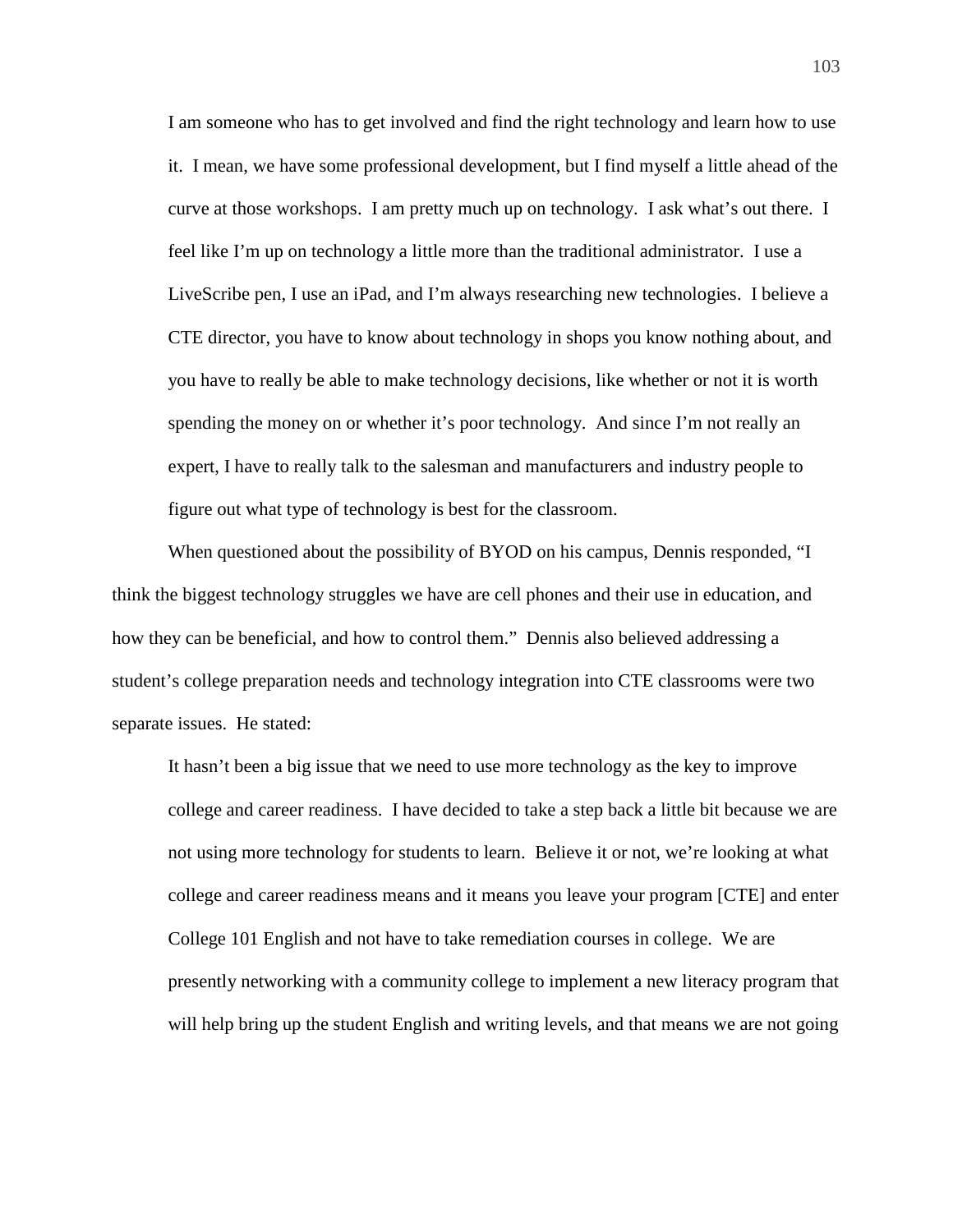I am someone who has to get involved and find the right technology and learn how to use it. I mean, we have some professional development, but I find myself a little ahead of the curve at those workshops. I am pretty much up on technology. I ask what's out there. I feel like I'm up on technology a little more than the traditional administrator. I use a LiveScribe pen, I use an iPad, and I'm always researching new technologies. I believe a CTE director, you have to know about technology in shops you know nothing about, and you have to really be able to make technology decisions, like whether or not it is worth spending the money on or whether it's poor technology. And since I'm not really an expert, I have to really talk to the salesman and manufacturers and industry people to figure out what type of technology is best for the classroom.

When questioned about the possibility of BYOD on his campus, Dennis responded, "I think the biggest technology struggles we have are cell phones and their use in education, and how they can be beneficial, and how to control them." Dennis also believed addressing a student's college preparation needs and technology integration into CTE classrooms were two separate issues. He stated:

It hasn't been a big issue that we need to use more technology as the key to improve college and career readiness. I have decided to take a step back a little bit because we are not using more technology for students to learn. Believe it or not, we're looking at what college and career readiness means and it means you leave your program [CTE] and enter College 101 English and not have to take remediation courses in college. We are presently networking with a community college to implement a new literacy program that will help bring up the student English and writing levels, and that means we are not going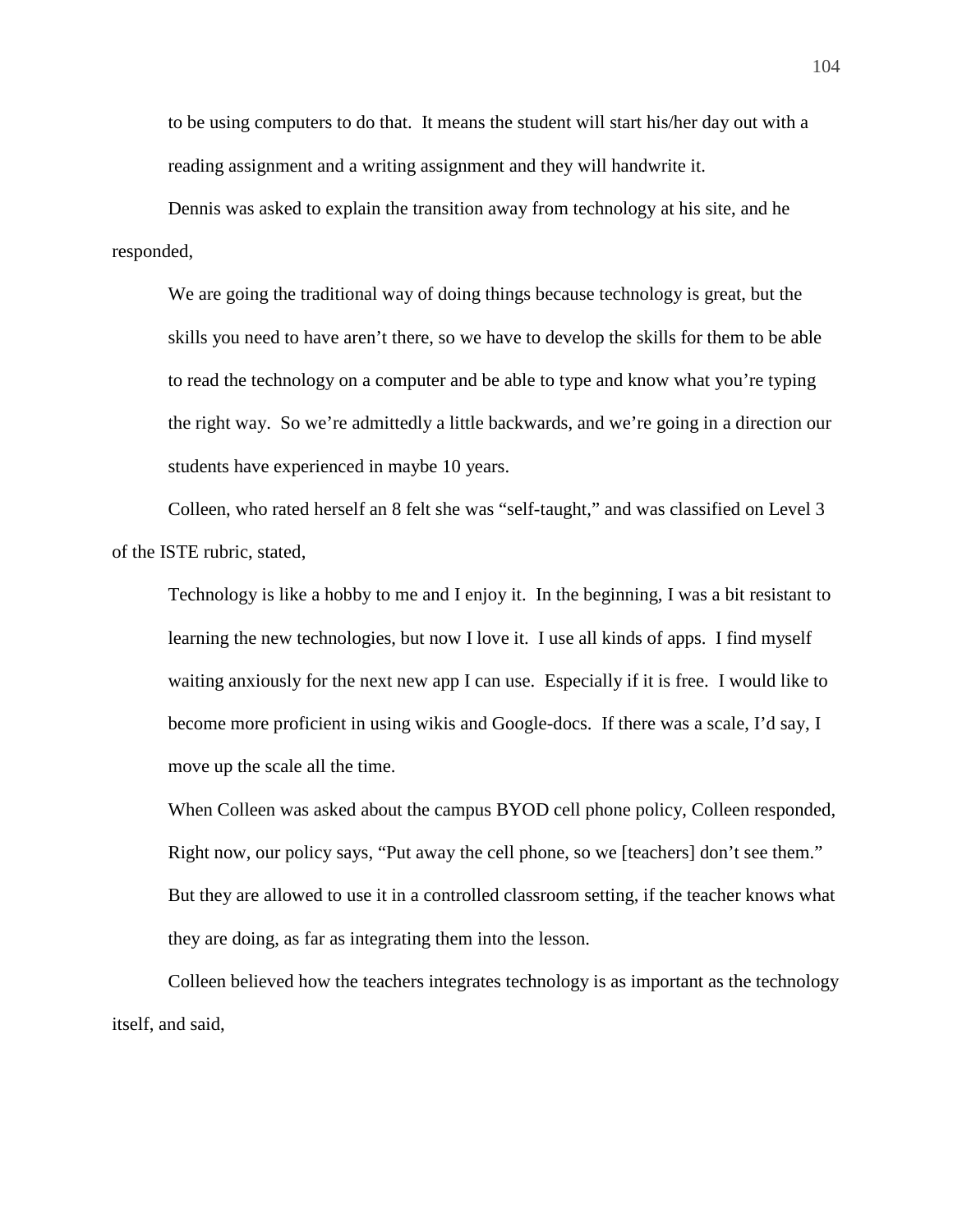to be using computers to do that. It means the student will start his/her day out with a reading assignment and a writing assignment and they will handwrite it.

Dennis was asked to explain the transition away from technology at his site, and he responded,

We are going the traditional way of doing things because technology is great, but the skills you need to have aren't there, so we have to develop the skills for them to be able to read the technology on a computer and be able to type and know what you're typing the right way. So we're admittedly a little backwards, and we're going in a direction our students have experienced in maybe 10 years.

Colleen, who rated herself an 8 felt she was "self-taught," and was classified on Level 3 of the ISTE rubric, stated,

Technology is like a hobby to me and I enjoy it. In the beginning, I was a bit resistant to learning the new technologies, but now I love it. I use all kinds of apps. I find myself waiting anxiously for the next new app I can use. Especially if it is free. I would like to become more proficient in using wikis and Google-docs. If there was a scale, I'd say, I move up the scale all the time.

When Colleen was asked about the campus BYOD cell phone policy, Colleen responded, Right now, our policy says, "Put away the cell phone, so we [teachers] don't see them." But they are allowed to use it in a controlled classroom setting, if the teacher knows what they are doing, as far as integrating them into the lesson.

Colleen believed how the teachers integrates technology is as important as the technology itself, and said,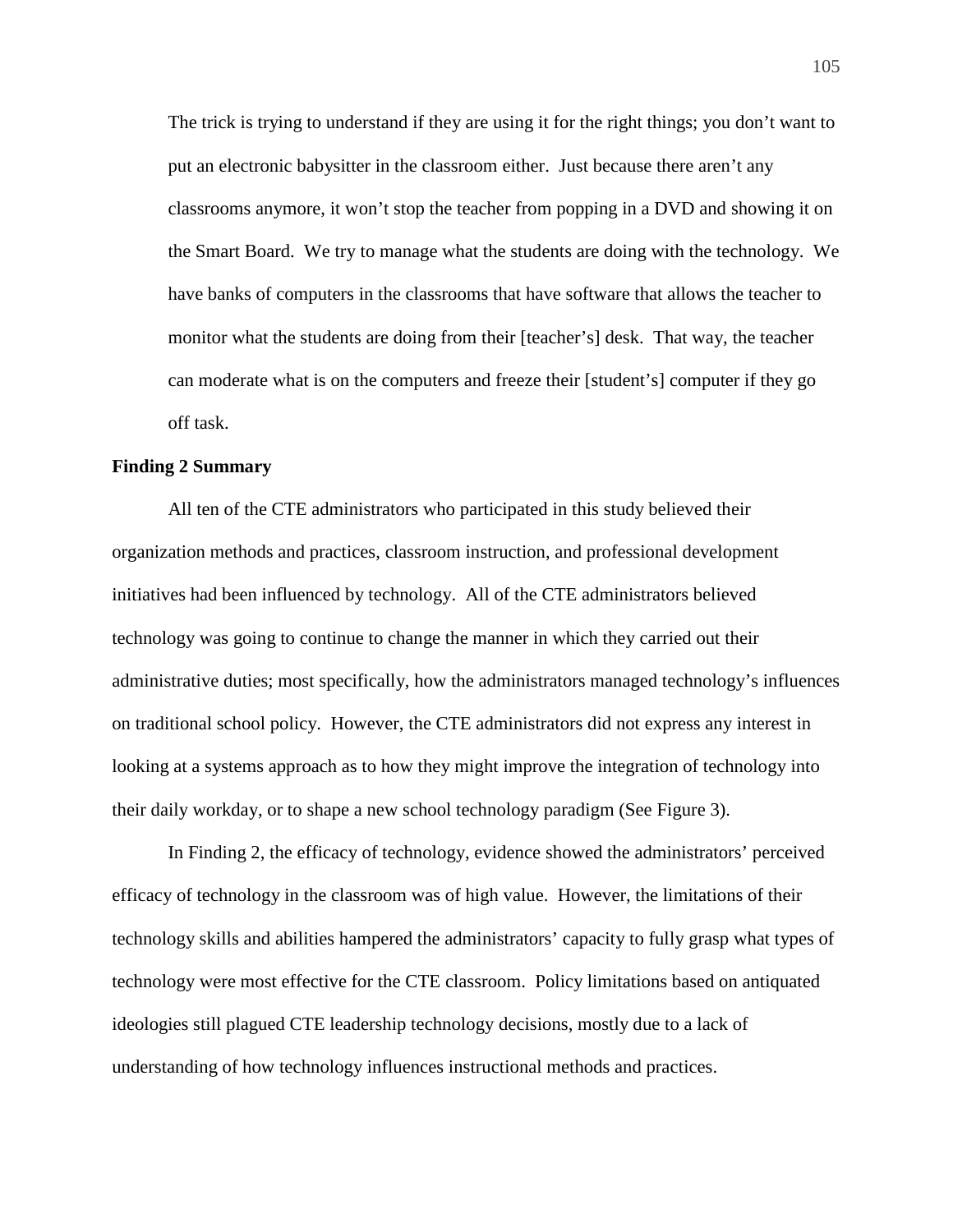The trick is trying to understand if they are using it for the right things; you don't want to put an electronic babysitter in the classroom either. Just because there aren't any classrooms anymore, it won't stop the teacher from popping in a DVD and showing it on the Smart Board. We try to manage what the students are doing with the technology. We have banks of computers in the classrooms that have software that allows the teacher to monitor what the students are doing from their [teacher's] desk. That way, the teacher can moderate what is on the computers and freeze their [student's] computer if they go off task.

# **Finding 2 Summary**

All ten of the CTE administrators who participated in this study believed their organization methods and practices, classroom instruction, and professional development initiatives had been influenced by technology. All of the CTE administrators believed technology was going to continue to change the manner in which they carried out their administrative duties; most specifically, how the administrators managed technology's influences on traditional school policy. However, the CTE administrators did not express any interest in looking at a systems approach as to how they might improve the integration of technology into their daily workday, or to shape a new school technology paradigm (See Figure 3).

In Finding 2, the efficacy of technology, evidence showed the administrators' perceived efficacy of technology in the classroom was of high value. However, the limitations of their technology skills and abilities hampered the administrators' capacity to fully grasp what types of technology were most effective for the CTE classroom. Policy limitations based on antiquated ideologies still plagued CTE leadership technology decisions, mostly due to a lack of understanding of how technology influences instructional methods and practices.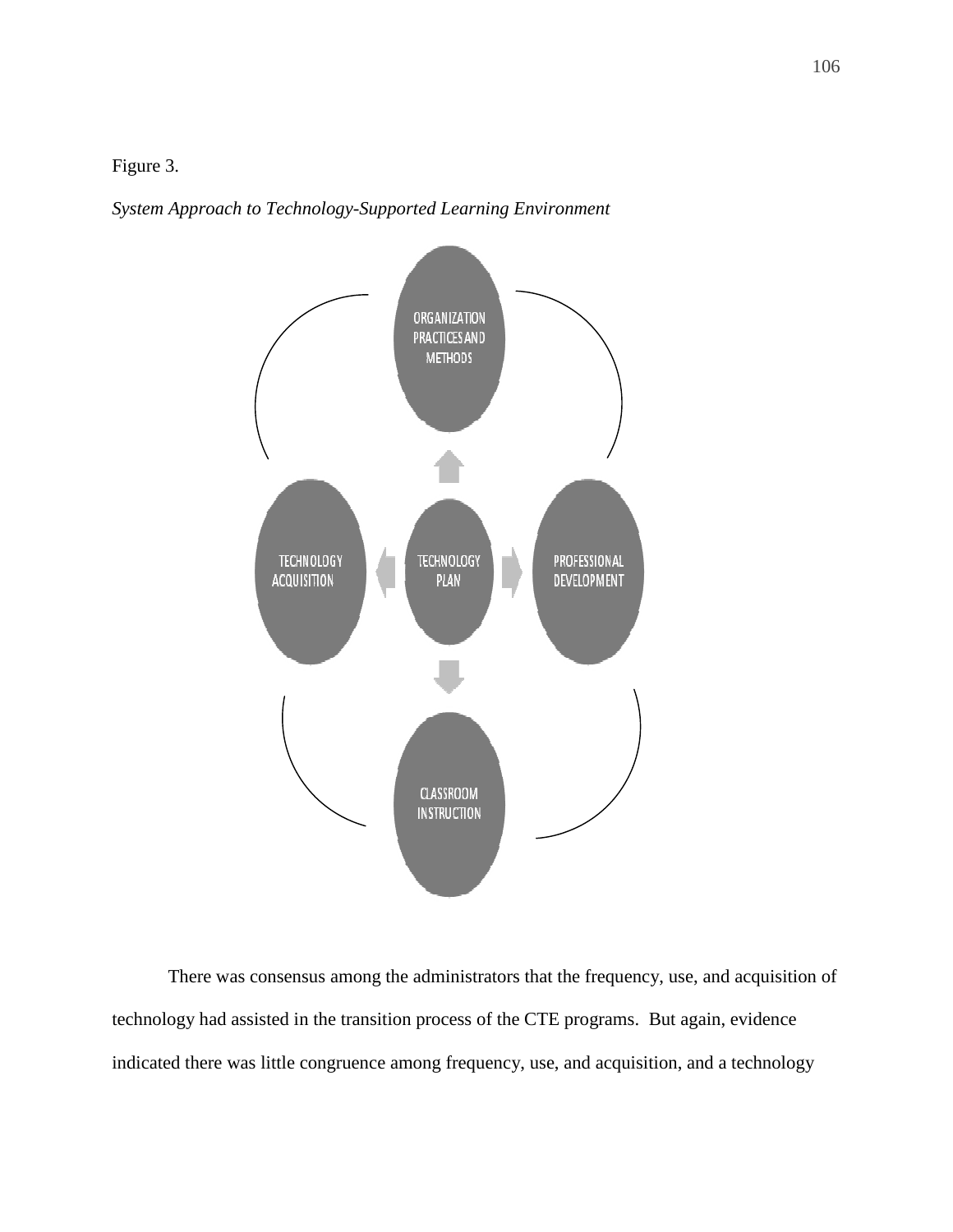Figure 3.

*System Approach to Technology-Supported Learning Environment* 



There was consensus among the administrators that the frequency, use, and acquisition of technology had assisted in the transition process of the CTE programs. But again, evidence indicated there was little congruence among frequency, use, and acquisition, and a technology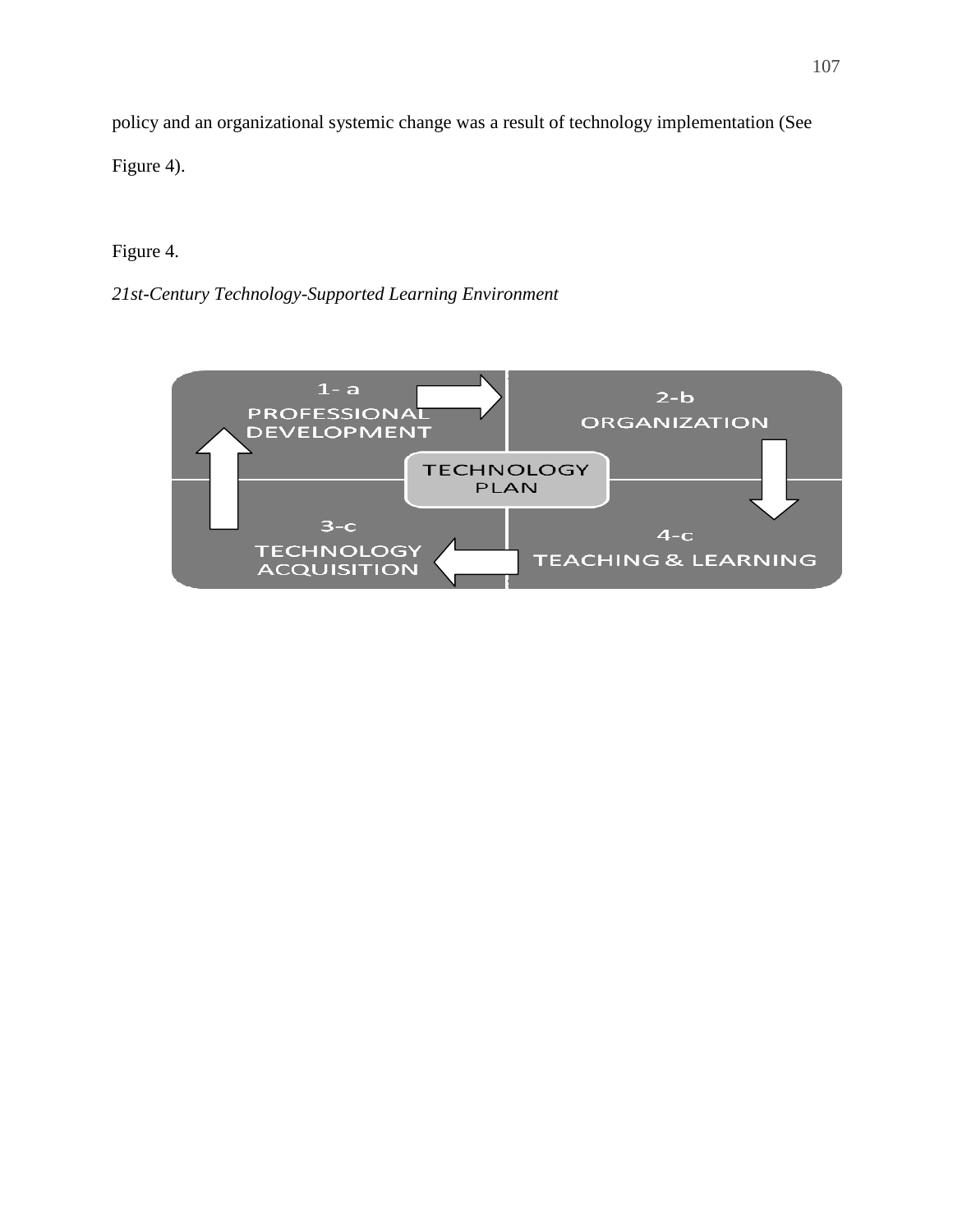policy and an organizational systemic change was a result of technology implementation (See Figure 4).

# Figure 4.

*21st-Century Technology-Supported Learning Environment* 

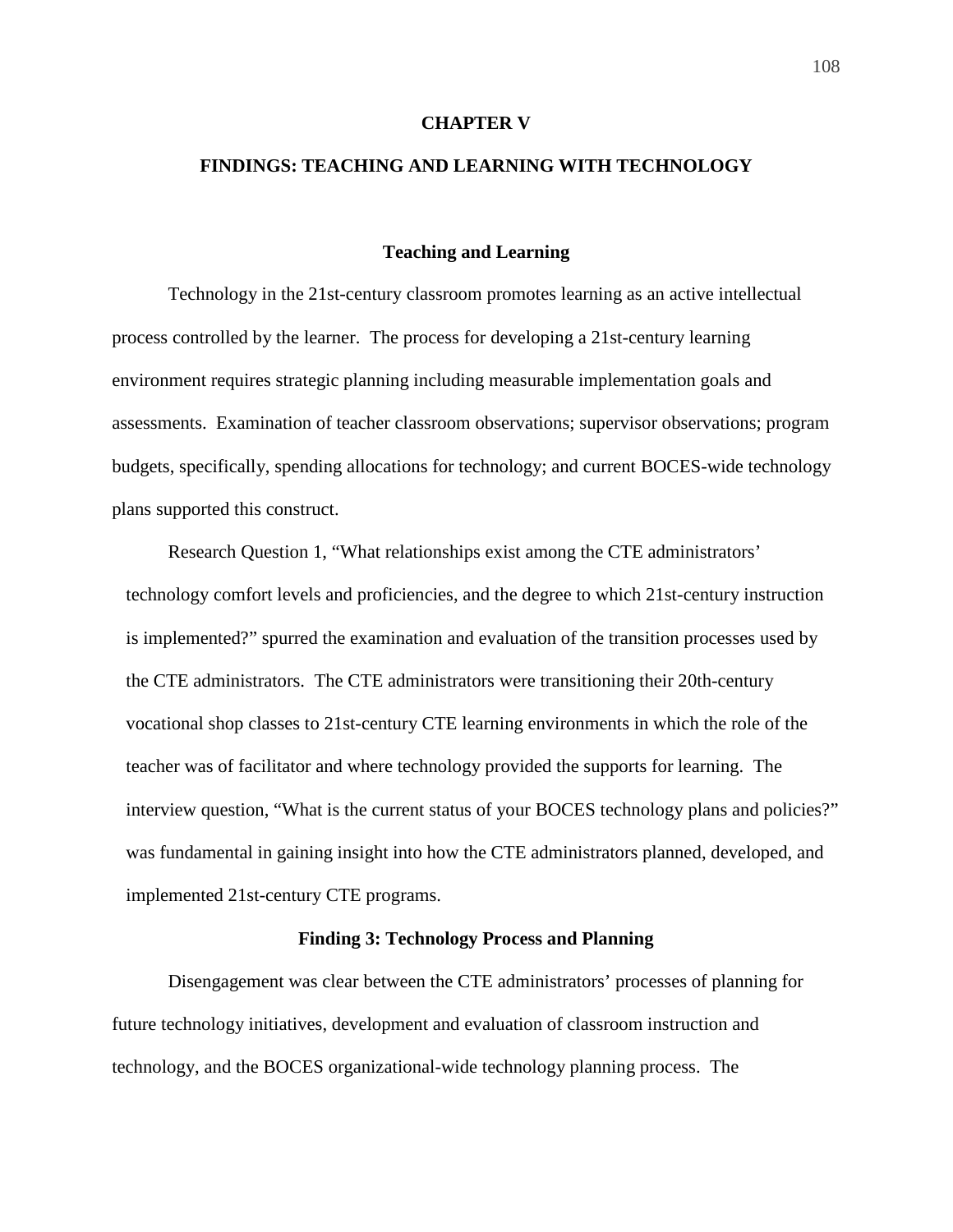#### **CHAPTER V**

# **FINDINGS: TEACHING AND LEARNING WITH TECHNOLOGY**

## **Teaching and Learning**

Technology in the 21st-century classroom promotes learning as an active intellectual process controlled by the learner. The process for developing a 21st-century learning environment requires strategic planning including measurable implementation goals and assessments. Examination of teacher classroom observations; supervisor observations; program budgets, specifically, spending allocations for technology; and current BOCES-wide technology plans supported this construct.

Research Question 1, "What relationships exist among the CTE administrators' technology comfort levels and proficiencies, and the degree to which 21st-century instruction is implemented?" spurred the examination and evaluation of the transition processes used by the CTE administrators. The CTE administrators were transitioning their 20th-century vocational shop classes to 21st-century CTE learning environments in which the role of the teacher was of facilitator and where technology provided the supports for learning. The interview question, "What is the current status of your BOCES technology plans and policies?" was fundamental in gaining insight into how the CTE administrators planned, developed, and implemented 21st-century CTE programs.

#### **Finding 3: Technology Process and Planning**

 Disengagement was clear between the CTE administrators' processes of planning for future technology initiatives, development and evaluation of classroom instruction and technology, and the BOCES organizational-wide technology planning process. The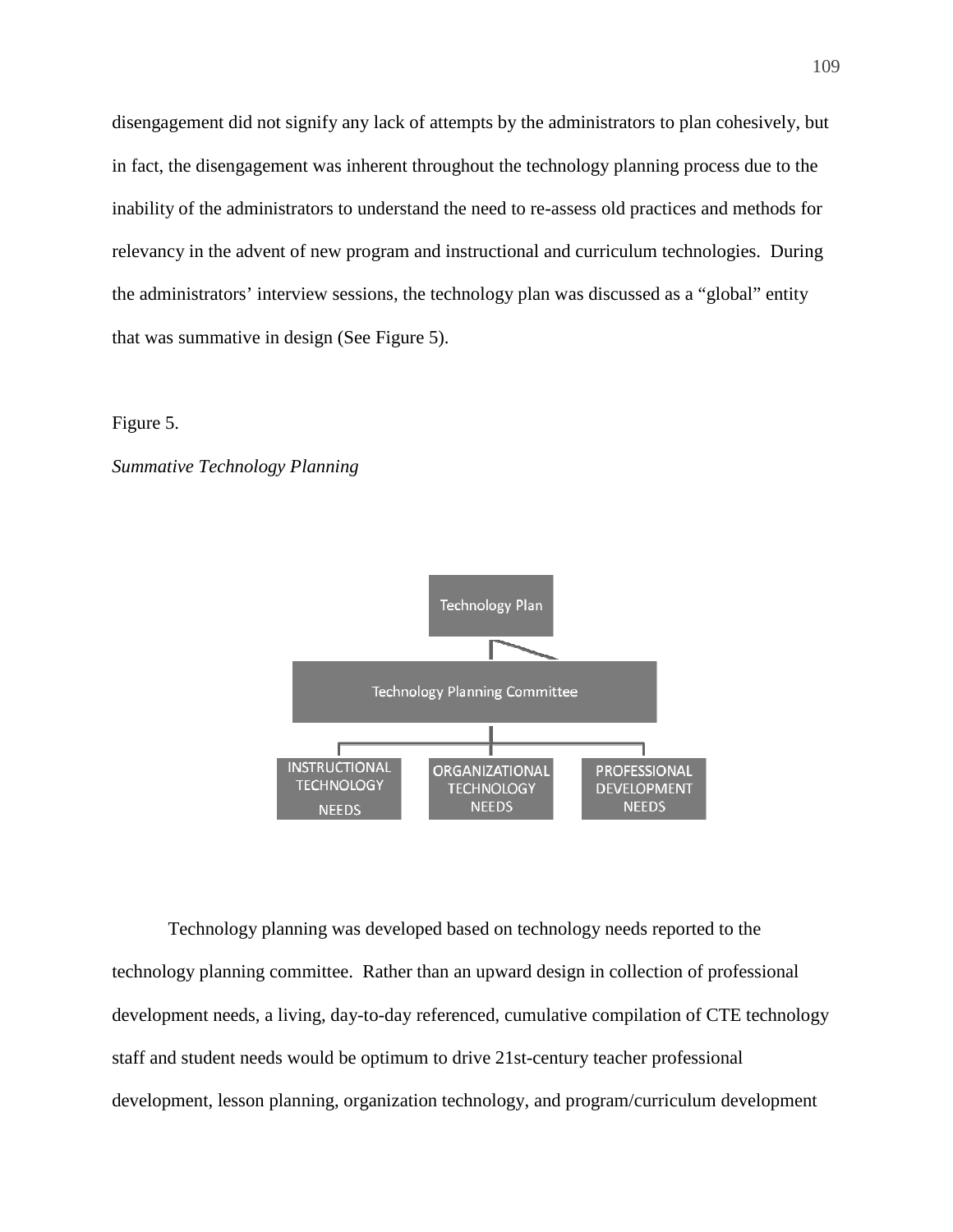disengagement did not signify any lack of attempts by the administrators to plan cohesively, but in fact, the disengagement was inherent throughout the technology planning process due to the inability of the administrators to understand the need to re-assess old practices and methods for relevancy in the advent of new program and instructional and curriculum technologies. During the administrators' interview sessions, the technology plan was discussed as a "global" entity that was summative in design (See Figure 5).

# Figure 5.

#### *Summative Technology Planning*



Technology planning was developed based on technology needs reported to the technology planning committee. Rather than an upward design in collection of professional development needs, a living, day-to-day referenced, cumulative compilation of CTE technology staff and student needs would be optimum to drive 21st-century teacher professional development, lesson planning, organization technology, and program/curriculum development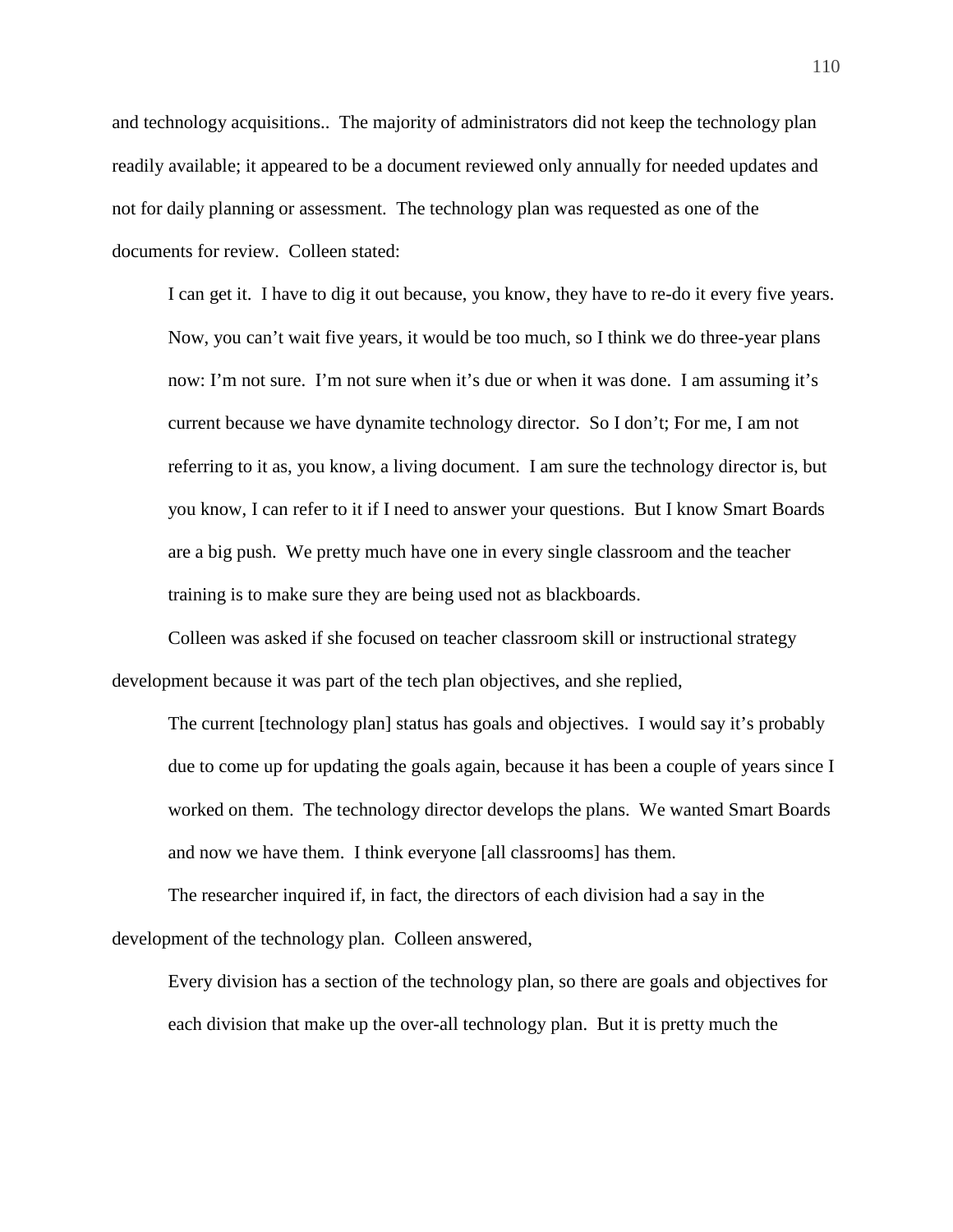and technology acquisitions.. The majority of administrators did not keep the technology plan readily available; it appeared to be a document reviewed only annually for needed updates and not for daily planning or assessment. The technology plan was requested as one of the documents for review. Colleen stated:

I can get it. I have to dig it out because, you know, they have to re-do it every five years. Now, you can't wait five years, it would be too much, so I think we do three-year plans now: I'm not sure. I'm not sure when it's due or when it was done. I am assuming it's current because we have dynamite technology director. So I don't; For me, I am not referring to it as, you know, a living document. I am sure the technology director is, but you know, I can refer to it if I need to answer your questions. But I know Smart Boards are a big push. We pretty much have one in every single classroom and the teacher training is to make sure they are being used not as blackboards.

Colleen was asked if she focused on teacher classroom skill or instructional strategy development because it was part of the tech plan objectives, and she replied,

The current [technology plan] status has goals and objectives. I would say it's probably due to come up for updating the goals again, because it has been a couple of years since I worked on them. The technology director develops the plans. We wanted Smart Boards and now we have them. I think everyone [all classrooms] has them.

The researcher inquired if, in fact, the directors of each division had a say in the development of the technology plan. Colleen answered,

Every division has a section of the technology plan, so there are goals and objectives for each division that make up the over-all technology plan. But it is pretty much the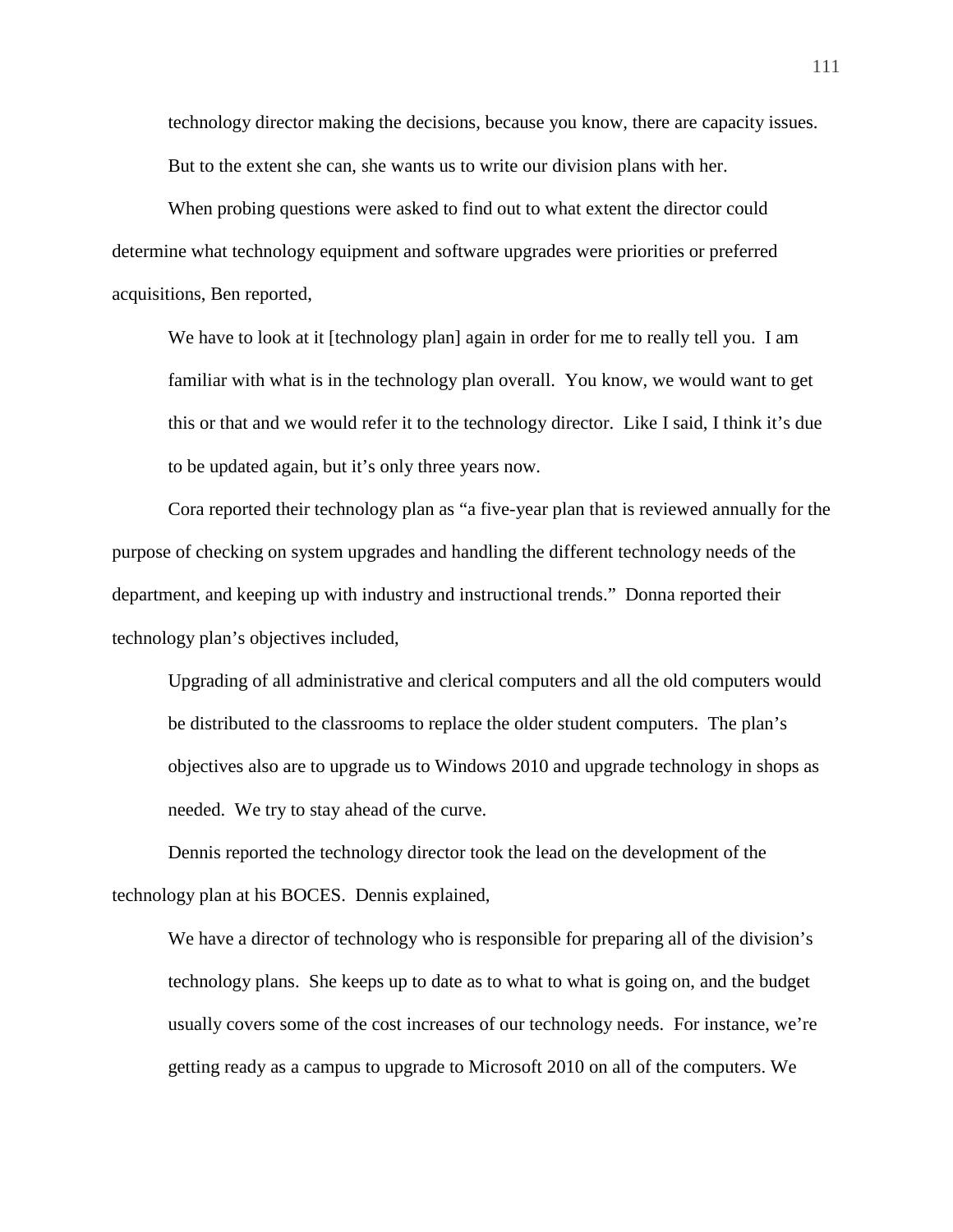technology director making the decisions, because you know, there are capacity issues. But to the extent she can, she wants us to write our division plans with her.

When probing questions were asked to find out to what extent the director could determine what technology equipment and software upgrades were priorities or preferred acquisitions, Ben reported,

We have to look at it [technology plan] again in order for me to really tell you. I am familiar with what is in the technology plan overall. You know, we would want to get this or that and we would refer it to the technology director. Like I said, I think it's due to be updated again, but it's only three years now.

Cora reported their technology plan as "a five-year plan that is reviewed annually for the purpose of checking on system upgrades and handling the different technology needs of the department, and keeping up with industry and instructional trends." Donna reported their technology plan's objectives included,

Upgrading of all administrative and clerical computers and all the old computers would be distributed to the classrooms to replace the older student computers. The plan's objectives also are to upgrade us to Windows 2010 and upgrade technology in shops as needed. We try to stay ahead of the curve.

Dennis reported the technology director took the lead on the development of the technology plan at his BOCES. Dennis explained,

We have a director of technology who is responsible for preparing all of the division's technology plans. She keeps up to date as to what to what is going on, and the budget usually covers some of the cost increases of our technology needs. For instance, we're getting ready as a campus to upgrade to Microsoft 2010 on all of the computers. We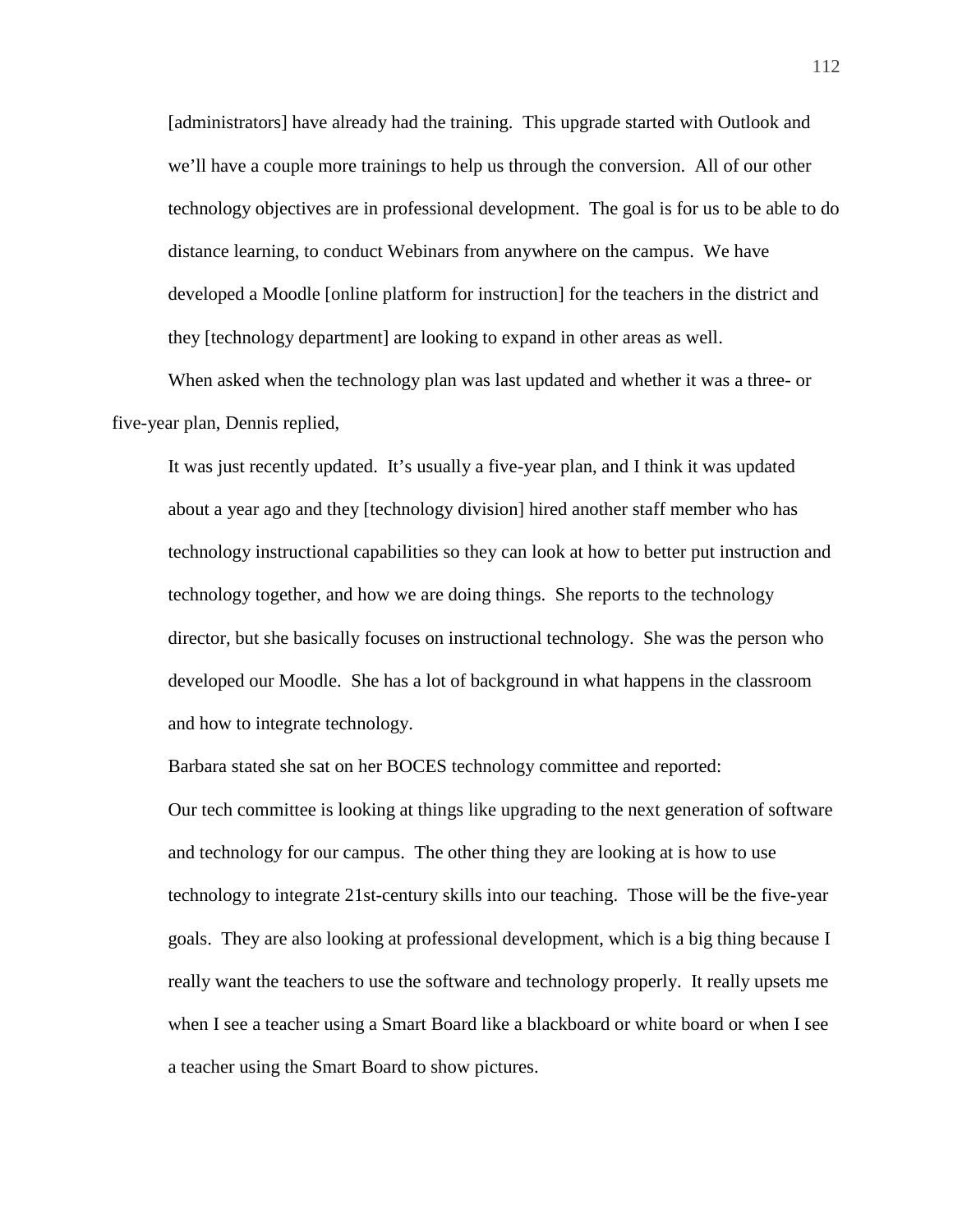[administrators] have already had the training. This upgrade started with Outlook and we'll have a couple more trainings to help us through the conversion. All of our other technology objectives are in professional development. The goal is for us to be able to do distance learning, to conduct Webinars from anywhere on the campus. We have developed a Moodle [online platform for instruction] for the teachers in the district and they [technology department] are looking to expand in other areas as well.

When asked when the technology plan was last updated and whether it was a three- or five-year plan, Dennis replied,

It was just recently updated. It's usually a five-year plan, and I think it was updated about a year ago and they [technology division] hired another staff member who has technology instructional capabilities so they can look at how to better put instruction and technology together, and how we are doing things. She reports to the technology director, but she basically focuses on instructional technology. She was the person who developed our Moodle. She has a lot of background in what happens in the classroom and how to integrate technology.

Barbara stated she sat on her BOCES technology committee and reported:

Our tech committee is looking at things like upgrading to the next generation of software and technology for our campus. The other thing they are looking at is how to use technology to integrate 21st-century skills into our teaching. Those will be the five-year goals. They are also looking at professional development, which is a big thing because I really want the teachers to use the software and technology properly. It really upsets me when I see a teacher using a Smart Board like a blackboard or white board or when I see a teacher using the Smart Board to show pictures.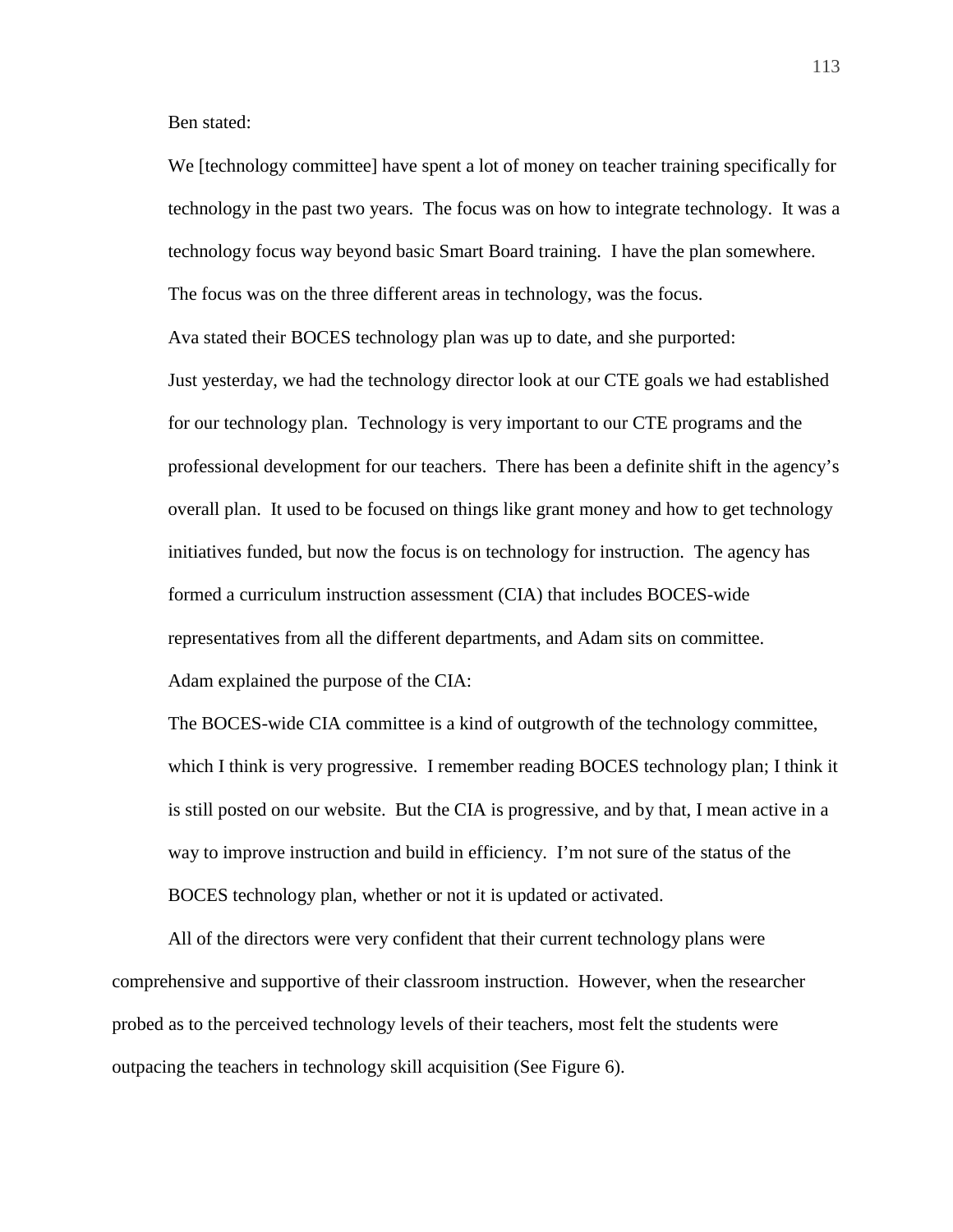Ben stated:

We [technology committee] have spent a lot of money on teacher training specifically for technology in the past two years. The focus was on how to integrate technology. It was a technology focus way beyond basic Smart Board training. I have the plan somewhere. The focus was on the three different areas in technology, was the focus.

Ava stated their BOCES technology plan was up to date, and she purported: Just yesterday, we had the technology director look at our CTE goals we had established for our technology plan. Technology is very important to our CTE programs and the professional development for our teachers. There has been a definite shift in the agency's overall plan. It used to be focused on things like grant money and how to get technology initiatives funded, but now the focus is on technology for instruction. The agency has formed a curriculum instruction assessment (CIA) that includes BOCES-wide representatives from all the different departments, and Adam sits on committee. Adam explained the purpose of the CIA:

The BOCES-wide CIA committee is a kind of outgrowth of the technology committee, which I think is very progressive. I remember reading BOCES technology plan; I think it is still posted on our website. But the CIA is progressive, and by that, I mean active in a way to improve instruction and build in efficiency. I'm not sure of the status of the BOCES technology plan, whether or not it is updated or activated.

All of the directors were very confident that their current technology plans were comprehensive and supportive of their classroom instruction. However, when the researcher probed as to the perceived technology levels of their teachers, most felt the students were outpacing the teachers in technology skill acquisition (See Figure 6).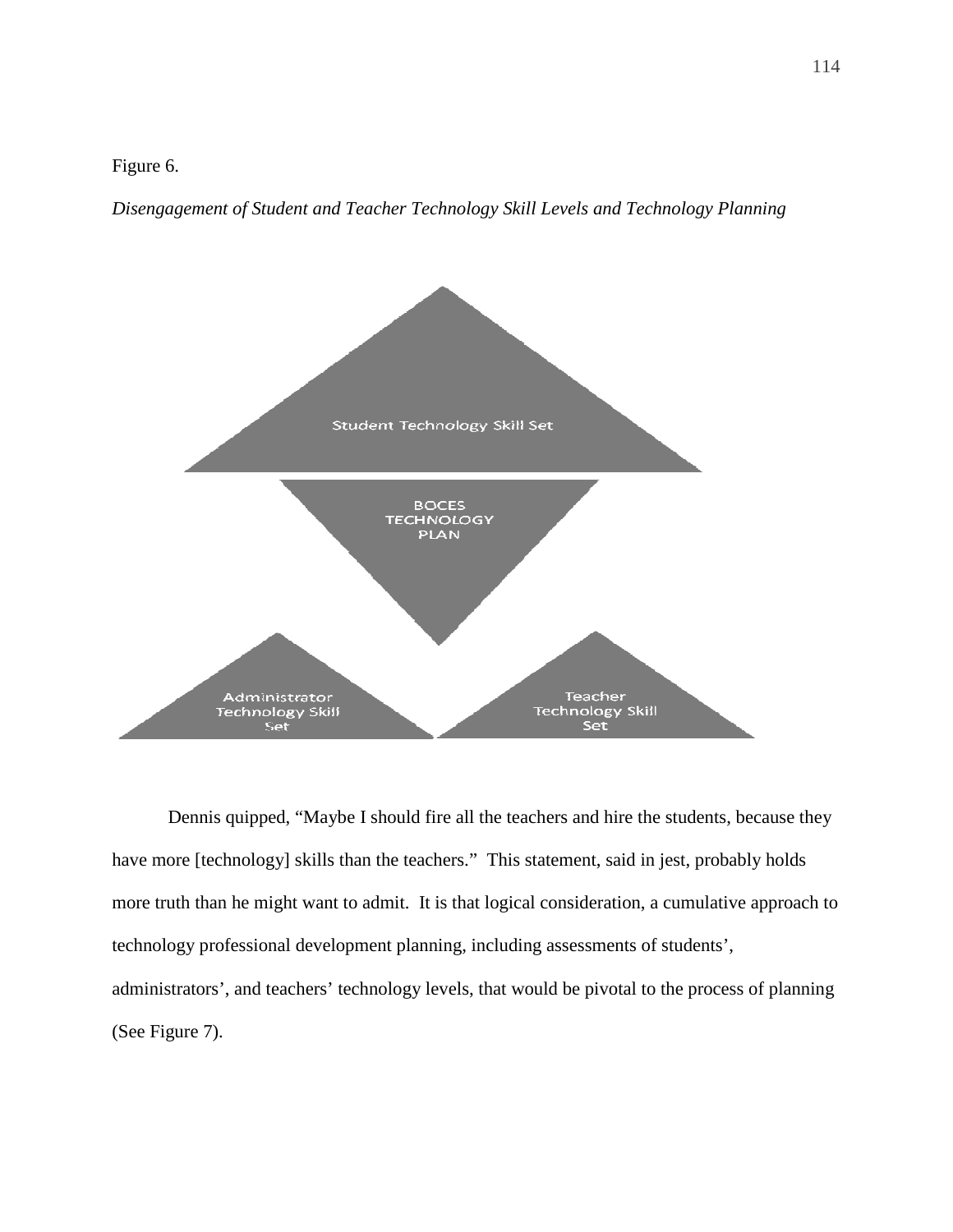Figure 6.

*Disengagement of Student and Teacher Technology Skill Levels and Technology Planning* 



Dennis quipped, "Maybe I should fire all the teachers and hire the students, because they have more [technology] skills than the teachers." This statement, said in jest, probably holds more truth than he might want to admit. It is that logical consideration, a cumulative approach to technology professional development planning, including assessments of students', administrators', and teachers' technology levels, that would be pivotal to the process of planning (See Figure 7).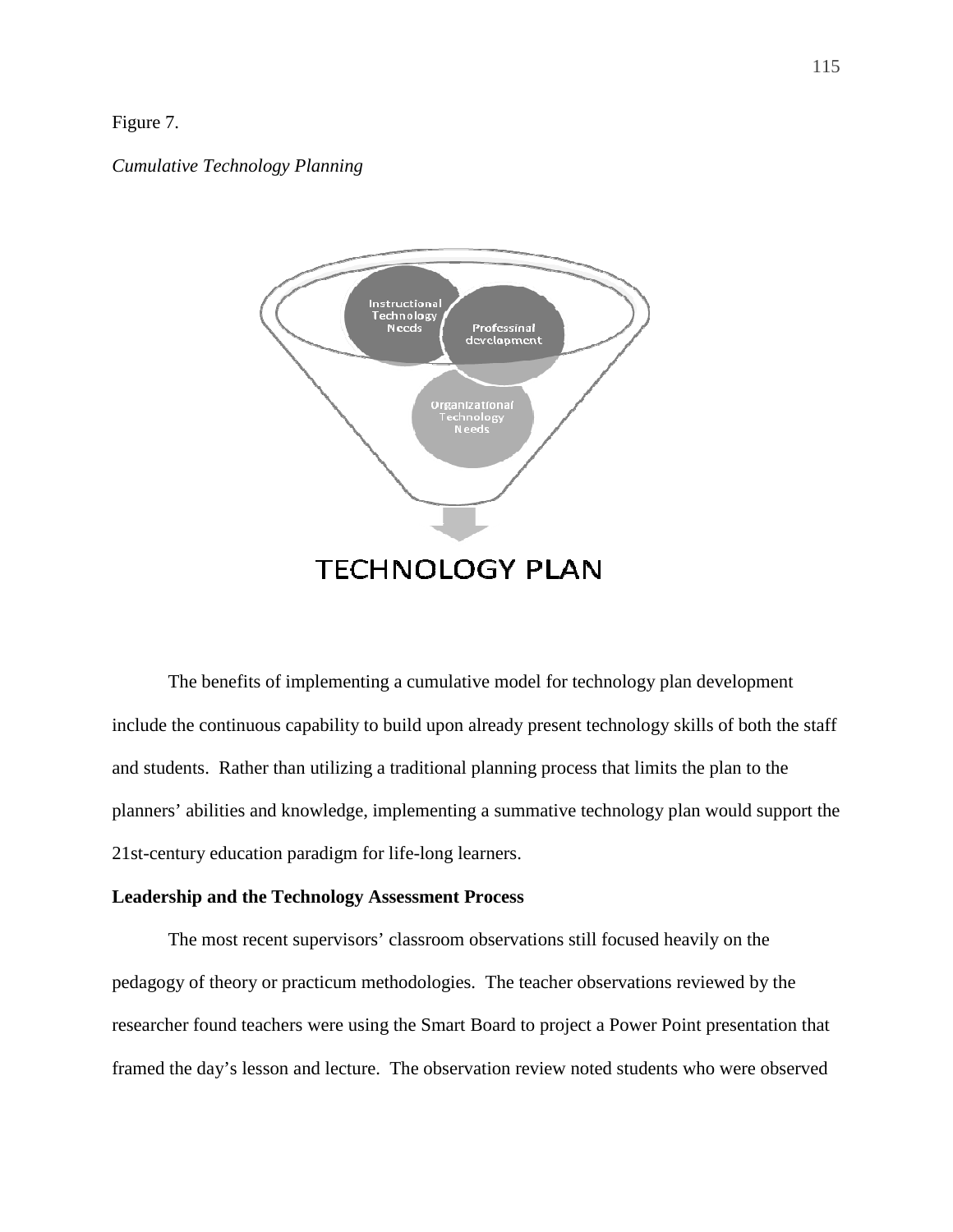# Figure 7.

*Cumulative Technology Planning* 



The benefits of implementing a cumulative model for technology plan development include the continuous capability to build upon already present technology skills of both the staff and students. Rather than utilizing a traditional planning process that limits the plan to the planners' abilities and knowledge, implementing a summative technology plan would support the 21st-century education paradigm for life-long learners.

## **Leadership and the Technology Assessment Process**

 The most recent supervisors' classroom observations still focused heavily on the pedagogy of theory or practicum methodologies. The teacher observations reviewed by the researcher found teachers were using the Smart Board to project a Power Point presentation that framed the day's lesson and lecture. The observation review noted students who were observed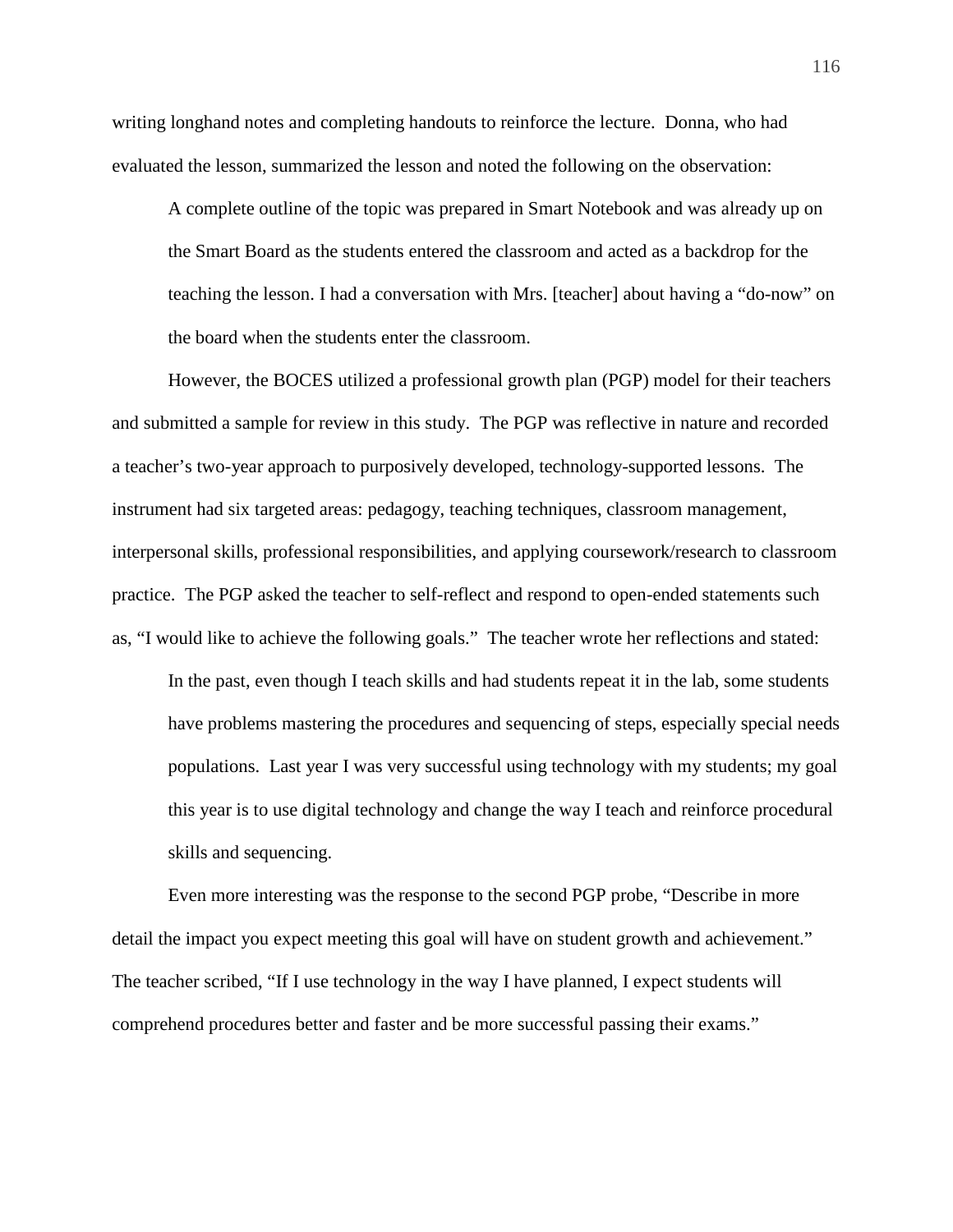writing longhand notes and completing handouts to reinforce the lecture. Donna, who had evaluated the lesson, summarized the lesson and noted the following on the observation:

A complete outline of the topic was prepared in Smart Notebook and was already up on the Smart Board as the students entered the classroom and acted as a backdrop for the teaching the lesson. I had a conversation with Mrs. [teacher] about having a "do-now" on the board when the students enter the classroom.

However, the BOCES utilized a professional growth plan (PGP) model for their teachers and submitted a sample for review in this study. The PGP was reflective in nature and recorded a teacher's two-year approach to purposively developed, technology-supported lessons. The instrument had six targeted areas: pedagogy, teaching techniques, classroom management, interpersonal skills, professional responsibilities, and applying coursework/research to classroom practice. The PGP asked the teacher to self-reflect and respond to open-ended statements such as, "I would like to achieve the following goals." The teacher wrote her reflections and stated:

In the past, even though I teach skills and had students repeat it in the lab, some students have problems mastering the procedures and sequencing of steps, especially special needs populations. Last year I was very successful using technology with my students; my goal this year is to use digital technology and change the way I teach and reinforce procedural skills and sequencing.

Even more interesting was the response to the second PGP probe, "Describe in more detail the impact you expect meeting this goal will have on student growth and achievement." The teacher scribed, "If I use technology in the way I have planned, I expect students will comprehend procedures better and faster and be more successful passing their exams."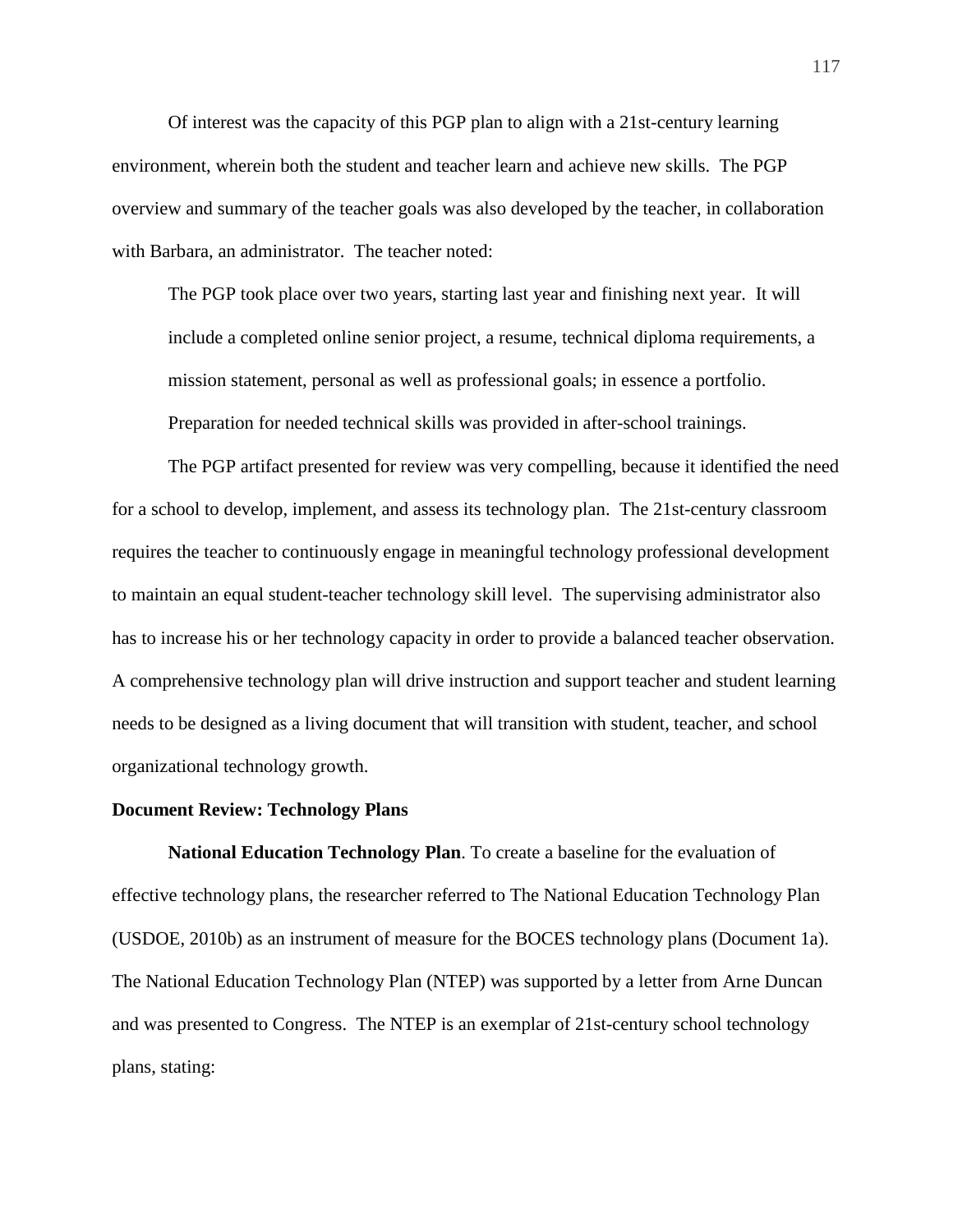Of interest was the capacity of this PGP plan to align with a 21st-century learning environment, wherein both the student and teacher learn and achieve new skills. The PGP overview and summary of the teacher goals was also developed by the teacher, in collaboration with Barbara, an administrator. The teacher noted:

The PGP took place over two years, starting last year and finishing next year. It will include a completed online senior project, a resume, technical diploma requirements, a mission statement, personal as well as professional goals; in essence a portfolio. Preparation for needed technical skills was provided in after-school trainings.

The PGP artifact presented for review was very compelling, because it identified the need for a school to develop, implement, and assess its technology plan. The 21st-century classroom requires the teacher to continuously engage in meaningful technology professional development to maintain an equal student-teacher technology skill level. The supervising administrator also has to increase his or her technology capacity in order to provide a balanced teacher observation. A comprehensive technology plan will drive instruction and support teacher and student learning needs to be designed as a living document that will transition with student, teacher, and school organizational technology growth.

#### **Document Review: Technology Plans**

**National Education Technology Plan**. To create a baseline for the evaluation of effective technology plans, the researcher referred to The National Education Technology Plan (USDOE, 2010b) as an instrument of measure for the BOCES technology plans (Document 1a). The National Education Technology Plan (NTEP) was supported by a letter from Arne Duncan and was presented to Congress. The NTEP is an exemplar of 21st-century school technology plans, stating: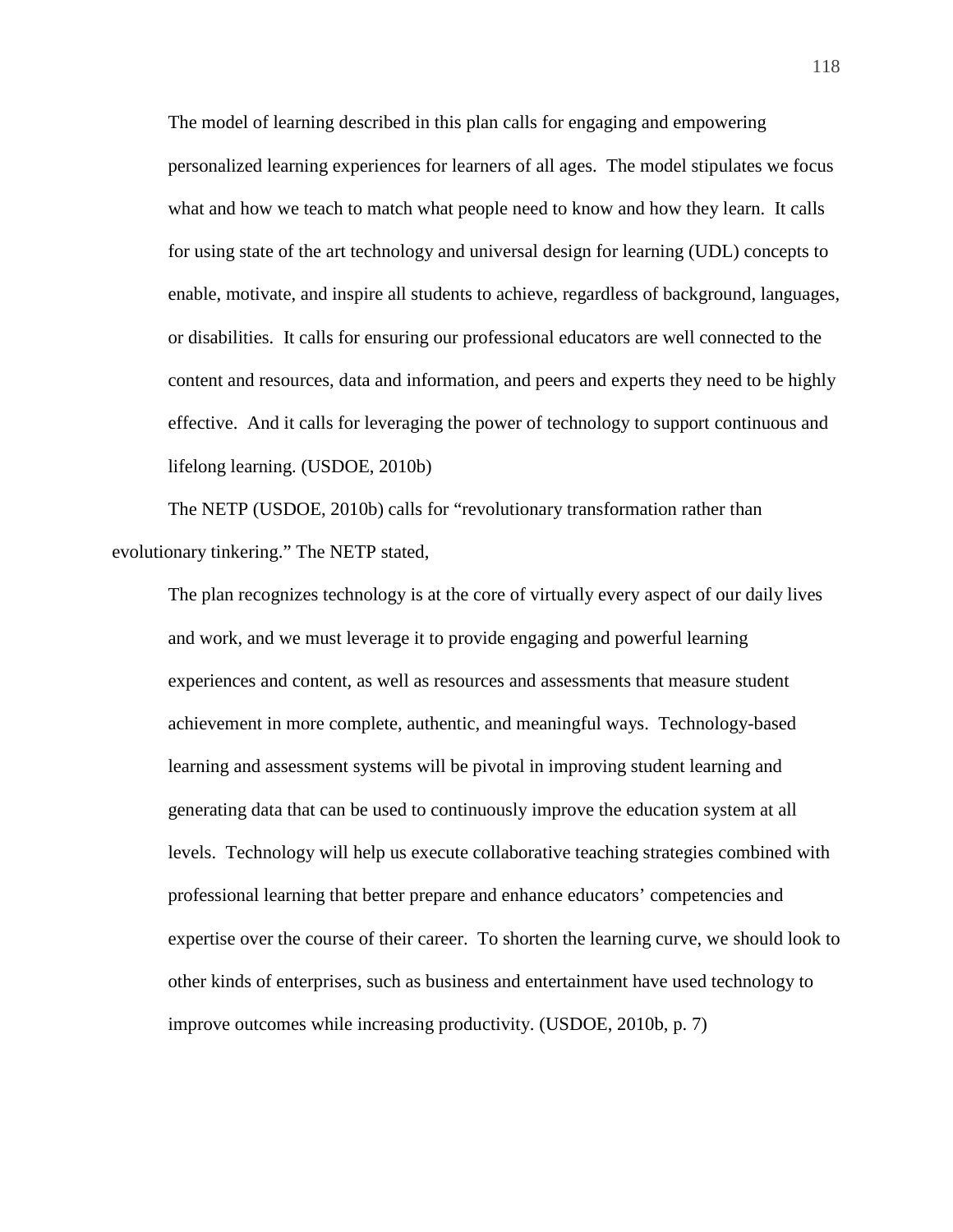The model of learning described in this plan calls for engaging and empowering personalized learning experiences for learners of all ages. The model stipulates we focus what and how we teach to match what people need to know and how they learn. It calls for using state of the art technology and universal design for learning (UDL) concepts to enable, motivate, and inspire all students to achieve, regardless of background, languages, or disabilities. It calls for ensuring our professional educators are well connected to the content and resources, data and information, and peers and experts they need to be highly effective. And it calls for leveraging the power of technology to support continuous and lifelong learning. (USDOE, 2010b)

The NETP (USDOE, 2010b) calls for "revolutionary transformation rather than evolutionary tinkering." The NETP stated,

The plan recognizes technology is at the core of virtually every aspect of our daily lives and work, and we must leverage it to provide engaging and powerful learning experiences and content, as well as resources and assessments that measure student achievement in more complete, authentic, and meaningful ways. Technology-based learning and assessment systems will be pivotal in improving student learning and generating data that can be used to continuously improve the education system at all levels. Technology will help us execute collaborative teaching strategies combined with professional learning that better prepare and enhance educators' competencies and expertise over the course of their career. To shorten the learning curve, we should look to other kinds of enterprises, such as business and entertainment have used technology to improve outcomes while increasing productivity. (USDOE, 2010b, p. 7)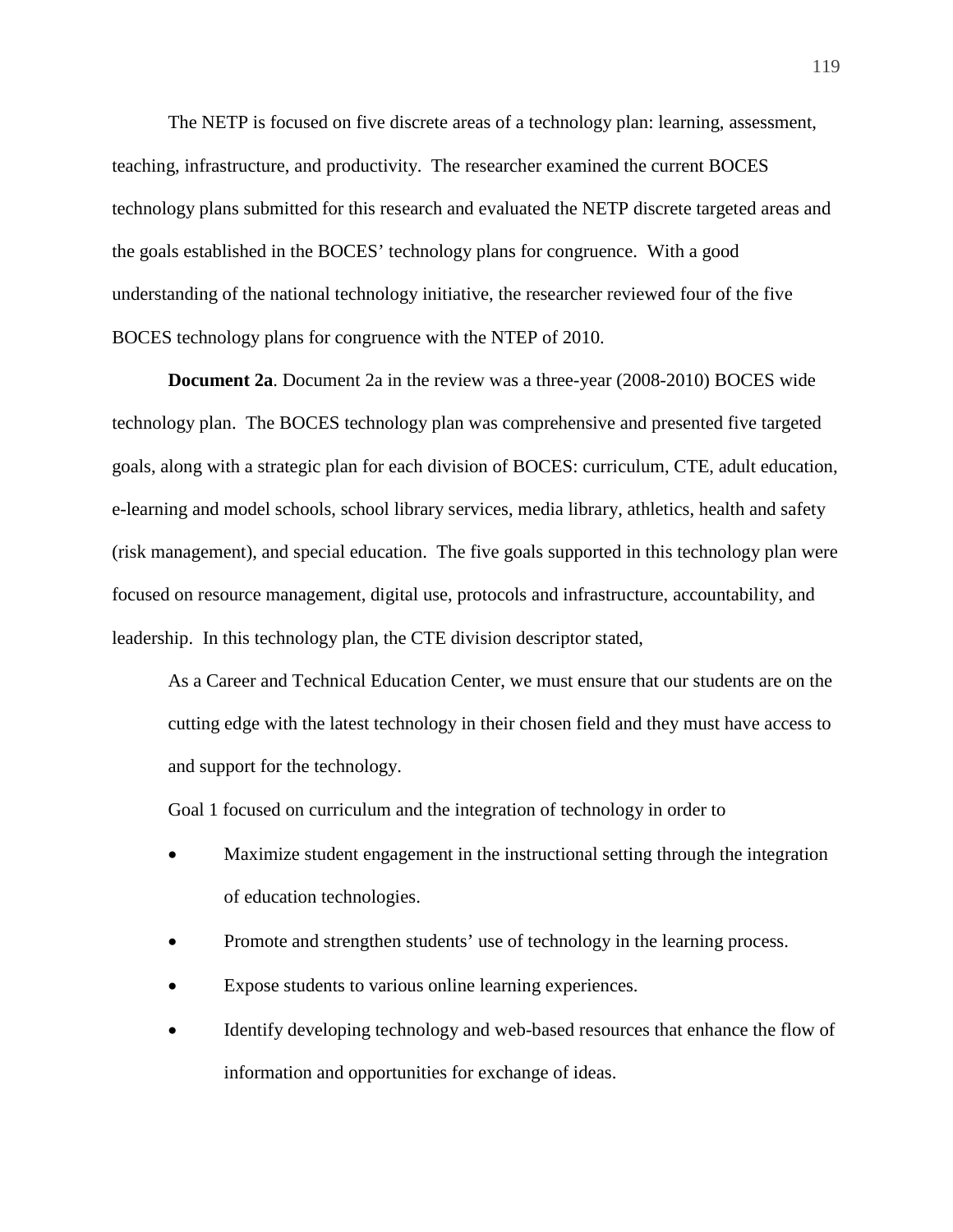The NETP is focused on five discrete areas of a technology plan: learning, assessment, teaching, infrastructure, and productivity. The researcher examined the current BOCES technology plans submitted for this research and evaluated the NETP discrete targeted areas and the goals established in the BOCES' technology plans for congruence. With a good understanding of the national technology initiative, the researcher reviewed four of the five BOCES technology plans for congruence with the NTEP of 2010.

**Document 2a**. Document 2a in the review was a three-year (2008-2010) BOCES wide technology plan. The BOCES technology plan was comprehensive and presented five targeted goals, along with a strategic plan for each division of BOCES: curriculum, CTE, adult education, e-learning and model schools, school library services, media library, athletics, health and safety (risk management), and special education. The five goals supported in this technology plan were focused on resource management, digital use, protocols and infrastructure, accountability, and leadership. In this technology plan, the CTE division descriptor stated,

As a Career and Technical Education Center, we must ensure that our students are on the cutting edge with the latest technology in their chosen field and they must have access to and support for the technology.

Goal 1 focused on curriculum and the integration of technology in order to

- Maximize student engagement in the instructional setting through the integration of education technologies.
- Promote and strengthen students' use of technology in the learning process.
- Expose students to various online learning experiences.
- Identify developing technology and web-based resources that enhance the flow of information and opportunities for exchange of ideas.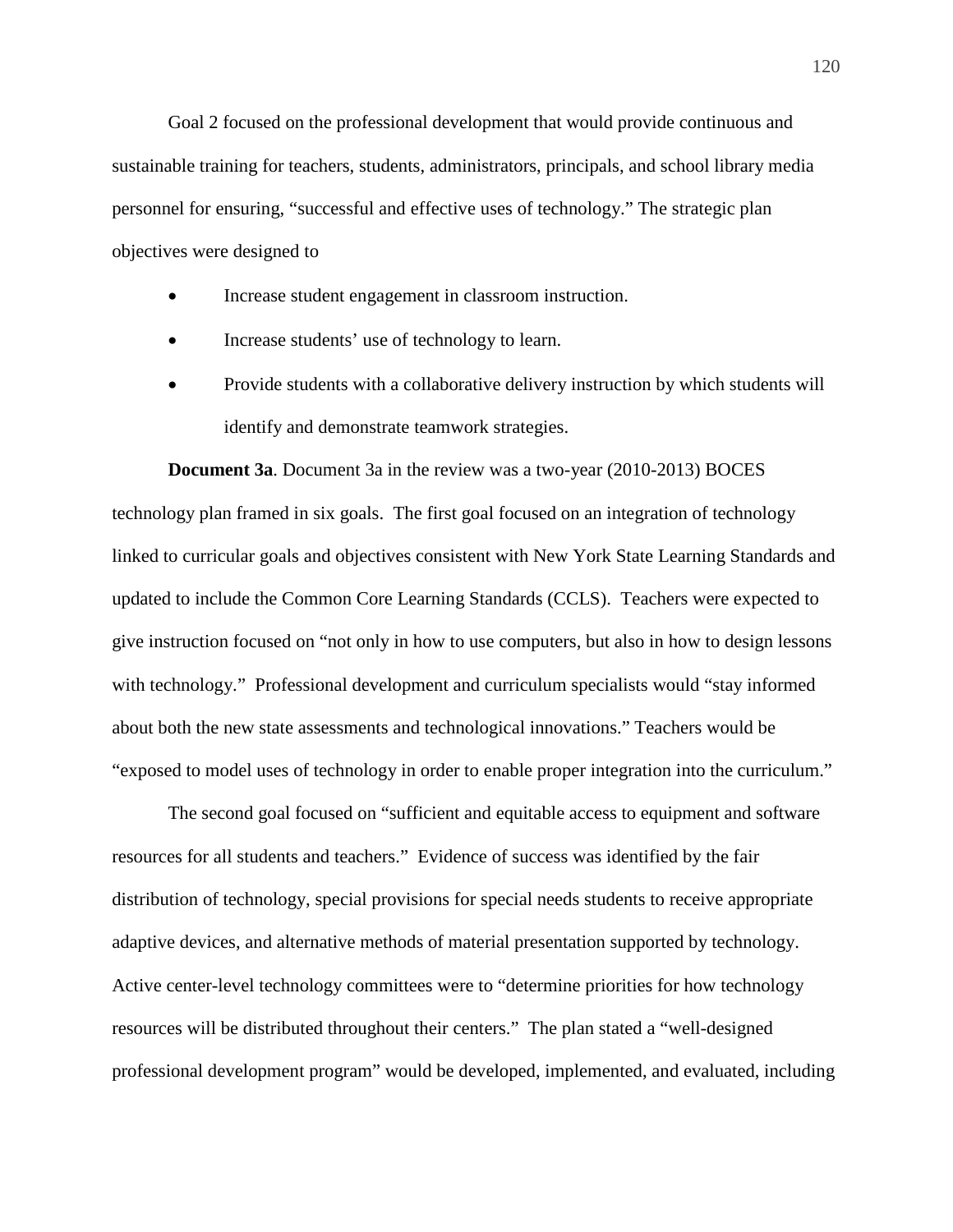Goal 2 focused on the professional development that would provide continuous and sustainable training for teachers, students, administrators, principals, and school library media personnel for ensuring, "successful and effective uses of technology." The strategic plan objectives were designed to

- Increase student engagement in classroom instruction.
- Increase students' use of technology to learn.
- Provide students with a collaborative delivery instruction by which students will identify and demonstrate teamwork strategies.

**Document 3a**. Document 3a in the review was a two-year (2010-2013) BOCES technology plan framed in six goals. The first goal focused on an integration of technology linked to curricular goals and objectives consistent with New York State Learning Standards and updated to include the Common Core Learning Standards (CCLS). Teachers were expected to give instruction focused on "not only in how to use computers, but also in how to design lessons with technology." Professional development and curriculum specialists would "stay informed about both the new state assessments and technological innovations." Teachers would be "exposed to model uses of technology in order to enable proper integration into the curriculum."

The second goal focused on "sufficient and equitable access to equipment and software resources for all students and teachers." Evidence of success was identified by the fair distribution of technology, special provisions for special needs students to receive appropriate adaptive devices, and alternative methods of material presentation supported by technology. Active center-level technology committees were to "determine priorities for how technology resources will be distributed throughout their centers." The plan stated a "well-designed professional development program" would be developed, implemented, and evaluated, including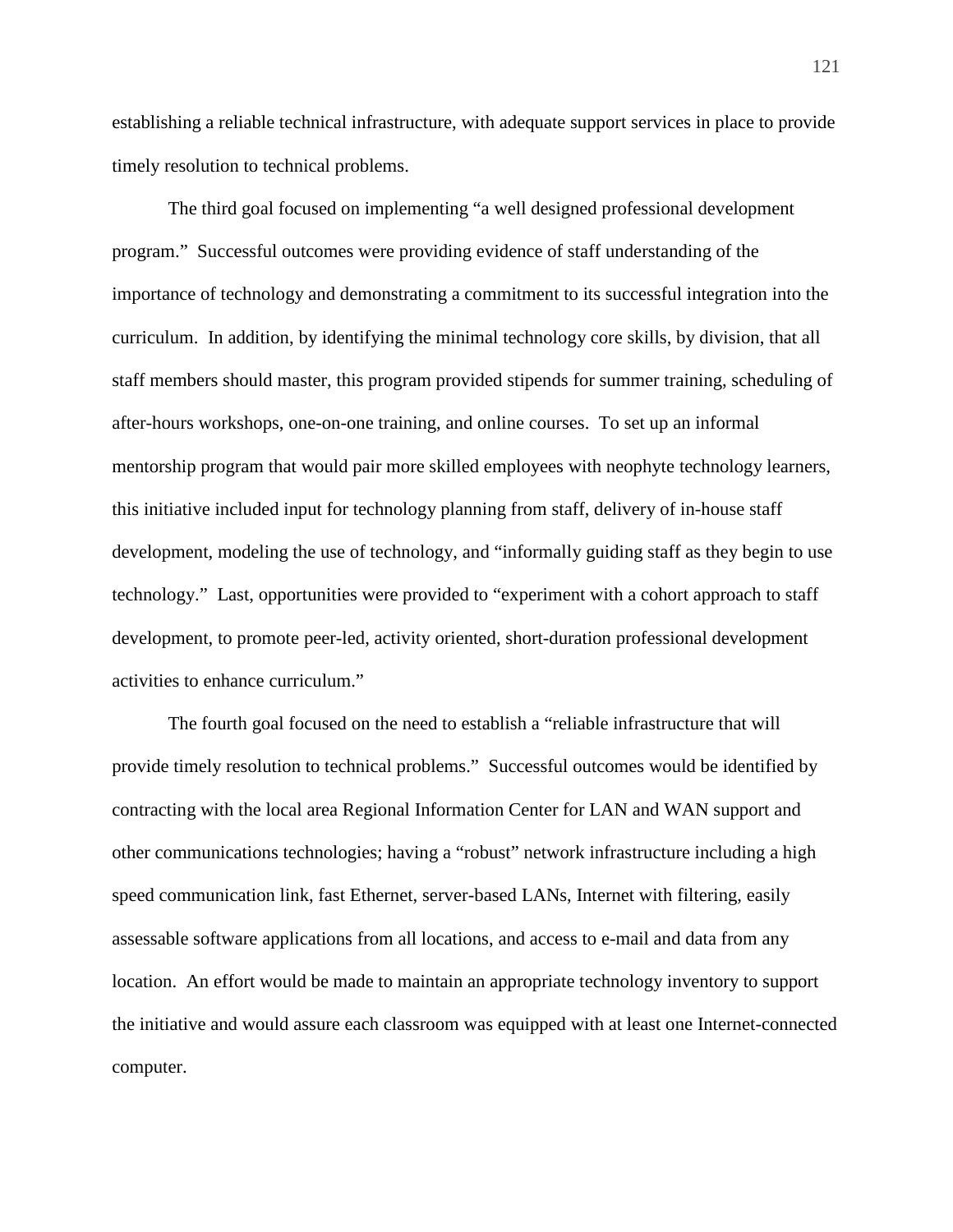establishing a reliable technical infrastructure, with adequate support services in place to provide timely resolution to technical problems.

The third goal focused on implementing "a well designed professional development program." Successful outcomes were providing evidence of staff understanding of the importance of technology and demonstrating a commitment to its successful integration into the curriculum. In addition, by identifying the minimal technology core skills, by division, that all staff members should master, this program provided stipends for summer training, scheduling of after-hours workshops, one-on-one training, and online courses. To set up an informal mentorship program that would pair more skilled employees with neophyte technology learners, this initiative included input for technology planning from staff, delivery of in-house staff development, modeling the use of technology, and "informally guiding staff as they begin to use technology." Last, opportunities were provided to "experiment with a cohort approach to staff development, to promote peer-led, activity oriented, short-duration professional development activities to enhance curriculum."

The fourth goal focused on the need to establish a "reliable infrastructure that will provide timely resolution to technical problems." Successful outcomes would be identified by contracting with the local area Regional Information Center for LAN and WAN support and other communications technologies; having a "robust" network infrastructure including a high speed communication link, fast Ethernet, server-based LANs, Internet with filtering, easily assessable software applications from all locations, and access to e-mail and data from any location. An effort would be made to maintain an appropriate technology inventory to support the initiative and would assure each classroom was equipped with at least one Internet-connected computer.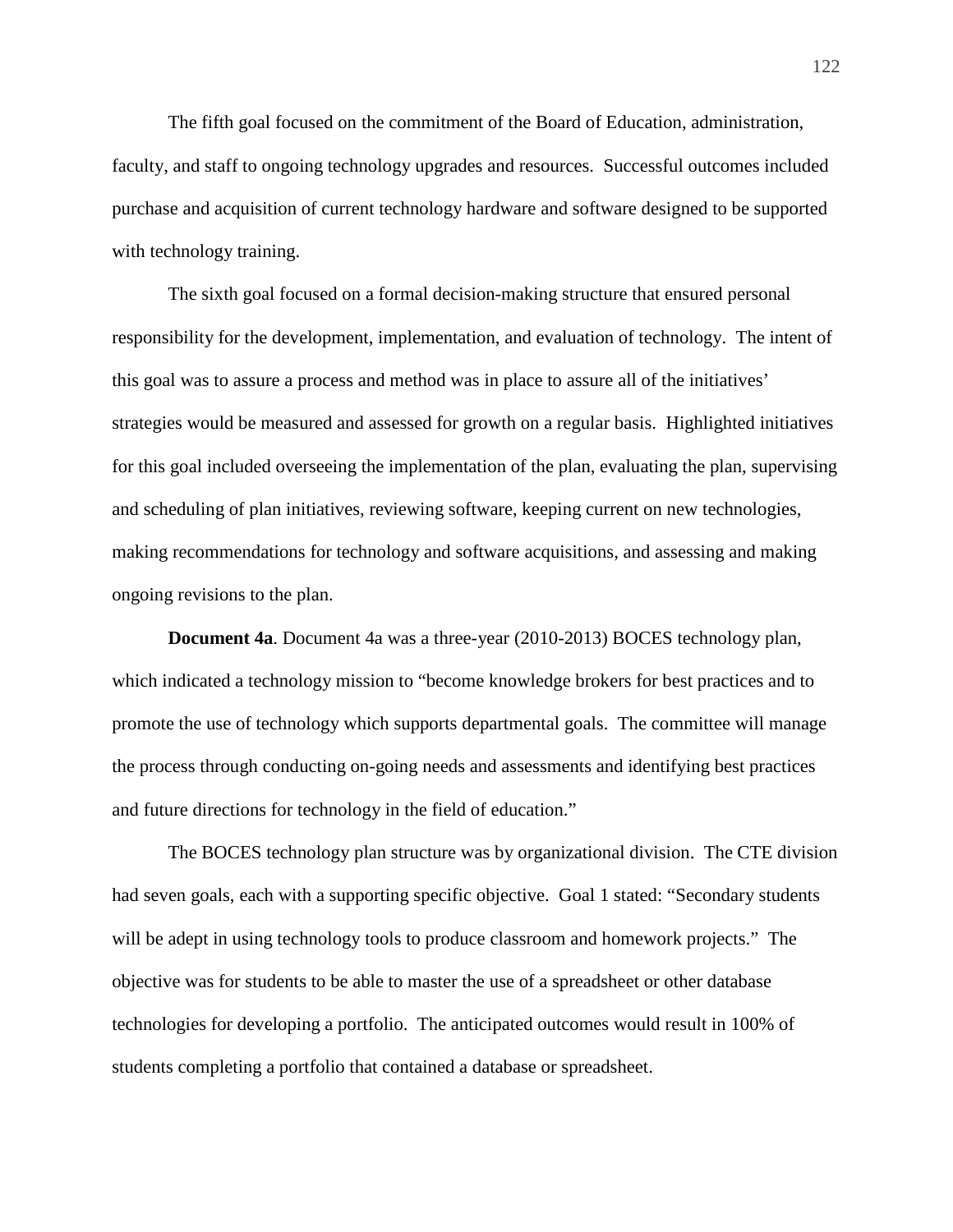The fifth goal focused on the commitment of the Board of Education, administration, faculty, and staff to ongoing technology upgrades and resources. Successful outcomes included purchase and acquisition of current technology hardware and software designed to be supported with technology training.

The sixth goal focused on a formal decision-making structure that ensured personal responsibility for the development, implementation, and evaluation of technology. The intent of this goal was to assure a process and method was in place to assure all of the initiatives' strategies would be measured and assessed for growth on a regular basis. Highlighted initiatives for this goal included overseeing the implementation of the plan, evaluating the plan, supervising and scheduling of plan initiatives, reviewing software, keeping current on new technologies, making recommendations for technology and software acquisitions, and assessing and making ongoing revisions to the plan.

**Document 4a**. Document 4a was a three-year (2010-2013) BOCES technology plan, which indicated a technology mission to "become knowledge brokers for best practices and to promote the use of technology which supports departmental goals. The committee will manage the process through conducting on-going needs and assessments and identifying best practices and future directions for technology in the field of education."

The BOCES technology plan structure was by organizational division. The CTE division had seven goals, each with a supporting specific objective. Goal 1 stated: "Secondary students will be adept in using technology tools to produce classroom and homework projects." The objective was for students to be able to master the use of a spreadsheet or other database technologies for developing a portfolio. The anticipated outcomes would result in 100% of students completing a portfolio that contained a database or spreadsheet.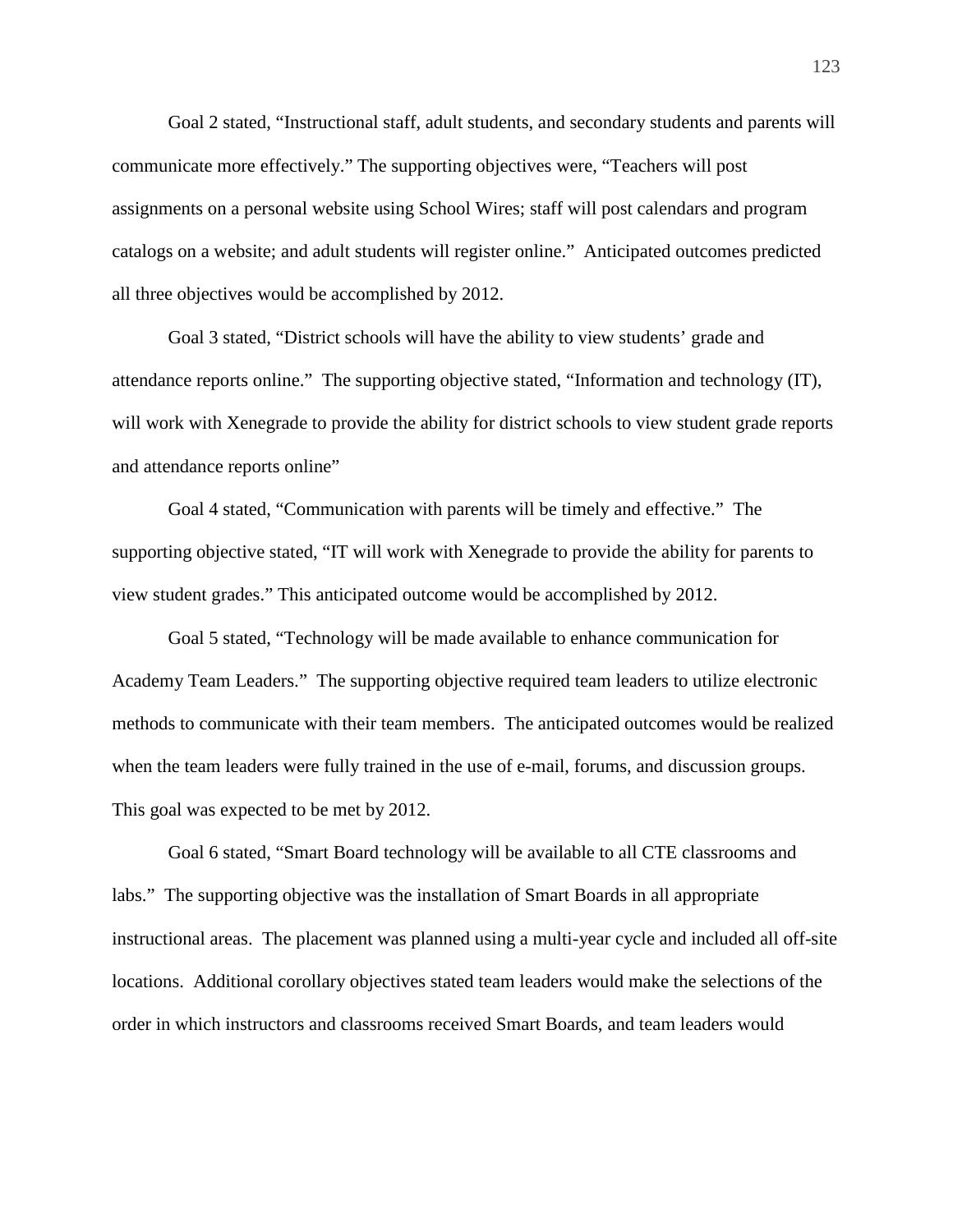Goal 2 stated, "Instructional staff, adult students, and secondary students and parents will communicate more effectively." The supporting objectives were, "Teachers will post assignments on a personal website using School Wires; staff will post calendars and program catalogs on a website; and adult students will register online." Anticipated outcomes predicted all three objectives would be accomplished by 2012.

Goal 3 stated, "District schools will have the ability to view students' grade and attendance reports online." The supporting objective stated, "Information and technology (IT), will work with Xenegrade to provide the ability for district schools to view student grade reports and attendance reports online"

Goal 4 stated, "Communication with parents will be timely and effective." The supporting objective stated, "IT will work with Xenegrade to provide the ability for parents to view student grades." This anticipated outcome would be accomplished by 2012.

Goal 5 stated, "Technology will be made available to enhance communication for Academy Team Leaders." The supporting objective required team leaders to utilize electronic methods to communicate with their team members. The anticipated outcomes would be realized when the team leaders were fully trained in the use of e-mail, forums, and discussion groups. This goal was expected to be met by 2012.

Goal 6 stated, "Smart Board technology will be available to all CTE classrooms and labs." The supporting objective was the installation of Smart Boards in all appropriate instructional areas. The placement was planned using a multi-year cycle and included all off-site locations. Additional corollary objectives stated team leaders would make the selections of the order in which instructors and classrooms received Smart Boards, and team leaders would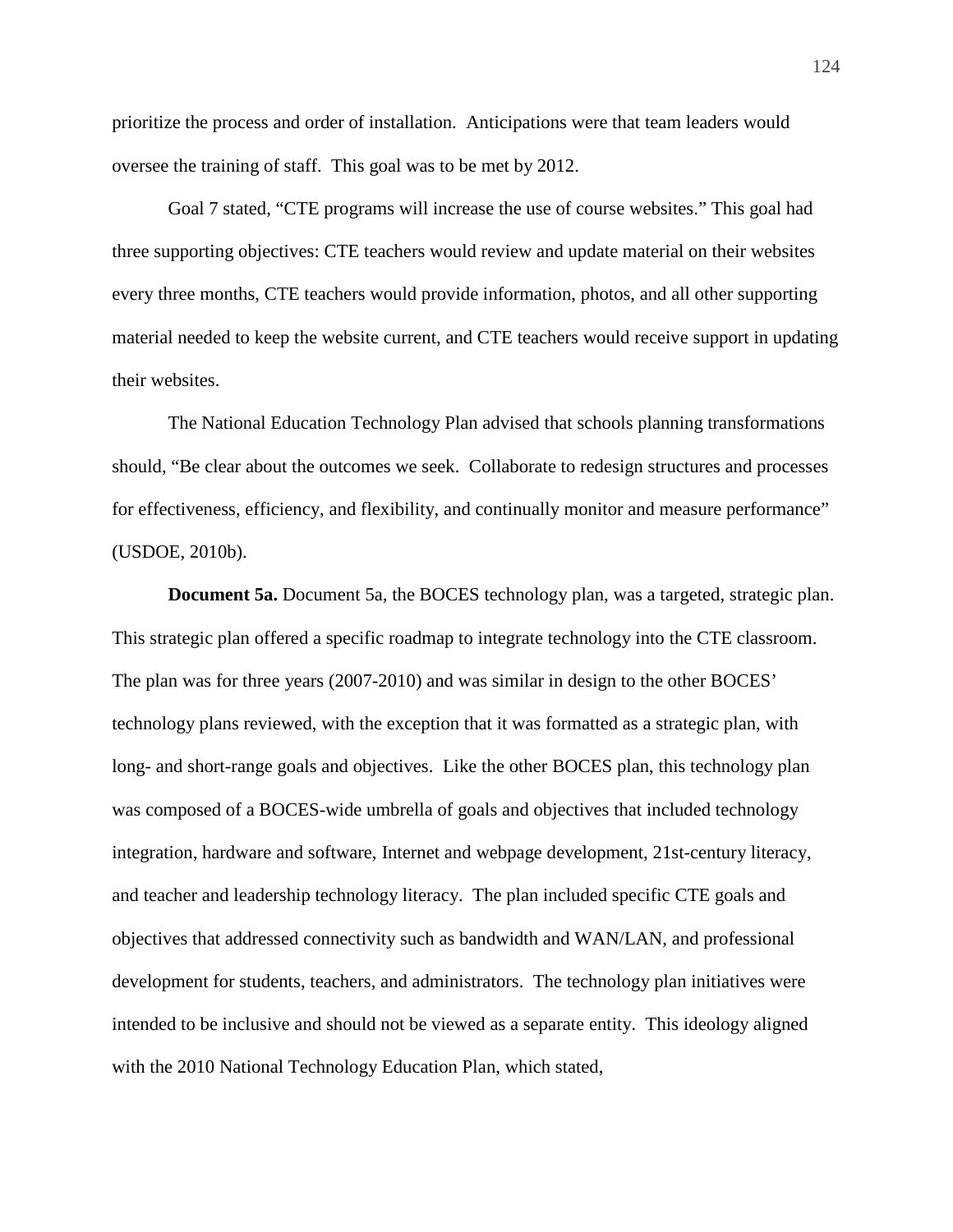prioritize the process and order of installation. Anticipations were that team leaders would oversee the training of staff. This goal was to be met by 2012.

Goal 7 stated, "CTE programs will increase the use of course websites." This goal had three supporting objectives: CTE teachers would review and update material on their websites every three months, CTE teachers would provide information, photos, and all other supporting material needed to keep the website current, and CTE teachers would receive support in updating their websites.

The National Education Technology Plan advised that schools planning transformations should, "Be clear about the outcomes we seek. Collaborate to redesign structures and processes for effectiveness, efficiency, and flexibility, and continually monitor and measure performance" (USDOE, 2010b).

**Document 5a.** Document 5a, the BOCES technology plan, was a targeted, strategic plan. This strategic plan offered a specific roadmap to integrate technology into the CTE classroom. The plan was for three years (2007-2010) and was similar in design to the other BOCES' technology plans reviewed, with the exception that it was formatted as a strategic plan, with long- and short-range goals and objectives. Like the other BOCES plan, this technology plan was composed of a BOCES-wide umbrella of goals and objectives that included technology integration, hardware and software, Internet and webpage development, 21st-century literacy, and teacher and leadership technology literacy. The plan included specific CTE goals and objectives that addressed connectivity such as bandwidth and WAN/LAN, and professional development for students, teachers, and administrators. The technology plan initiatives were intended to be inclusive and should not be viewed as a separate entity. This ideology aligned with the 2010 National Technology Education Plan, which stated,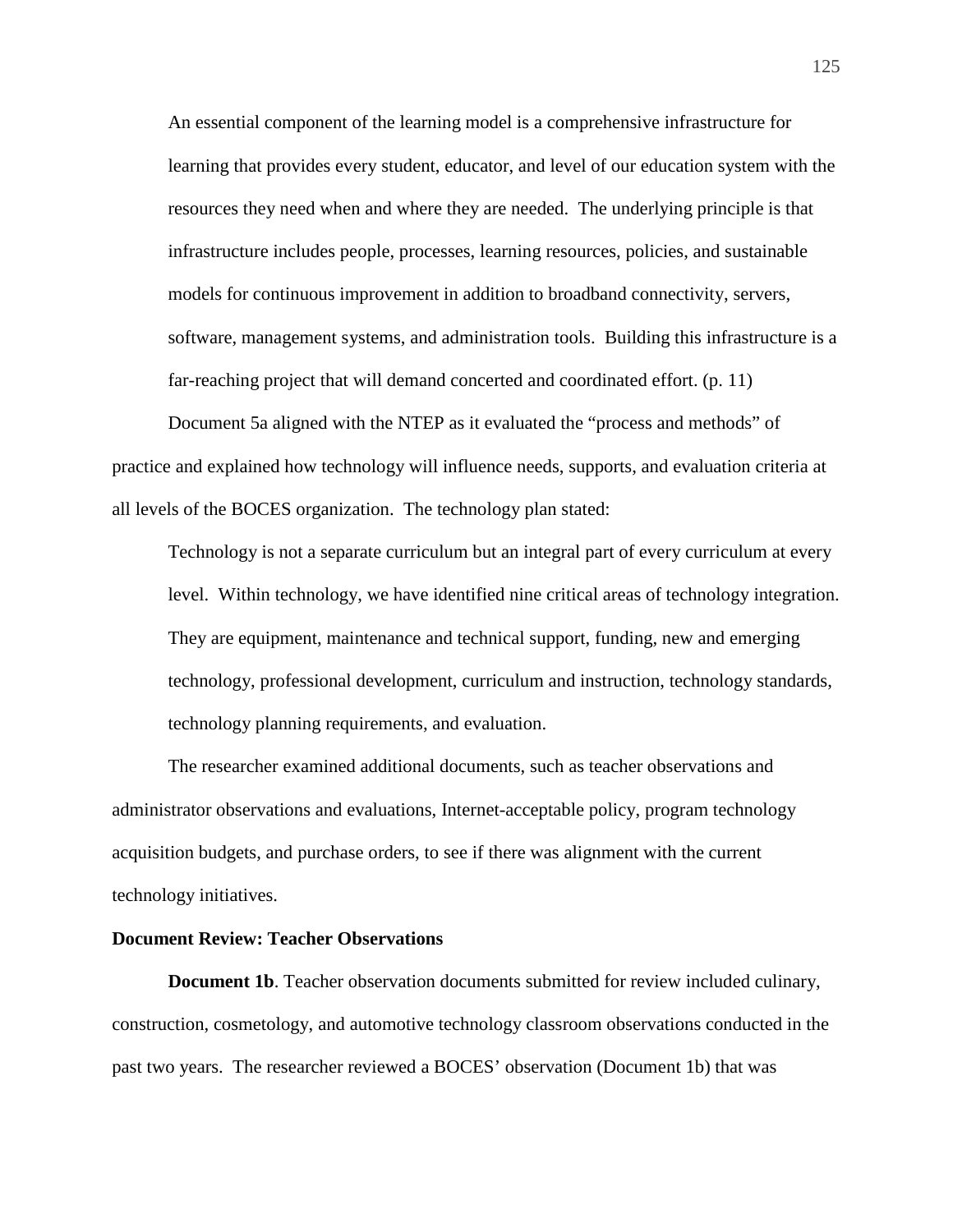An essential component of the learning model is a comprehensive infrastructure for learning that provides every student, educator, and level of our education system with the resources they need when and where they are needed. The underlying principle is that infrastructure includes people, processes, learning resources, policies, and sustainable models for continuous improvement in addition to broadband connectivity, servers, software, management systems, and administration tools. Building this infrastructure is a far-reaching project that will demand concerted and coordinated effort. (p. 11)

Document 5a aligned with the NTEP as it evaluated the "process and methods" of practice and explained how technology will influence needs, supports, and evaluation criteria at all levels of the BOCES organization. The technology plan stated:

Technology is not a separate curriculum but an integral part of every curriculum at every level. Within technology, we have identified nine critical areas of technology integration. They are equipment, maintenance and technical support, funding, new and emerging technology, professional development, curriculum and instruction, technology standards, technology planning requirements, and evaluation.

The researcher examined additional documents, such as teacher observations and administrator observations and evaluations, Internet-acceptable policy, program technology acquisition budgets, and purchase orders, to see if there was alignment with the current technology initiatives.

#### **Document Review: Teacher Observations**

**Document 1b**. Teacher observation documents submitted for review included culinary, construction, cosmetology, and automotive technology classroom observations conducted in the past two years. The researcher reviewed a BOCES' observation (Document 1b) that was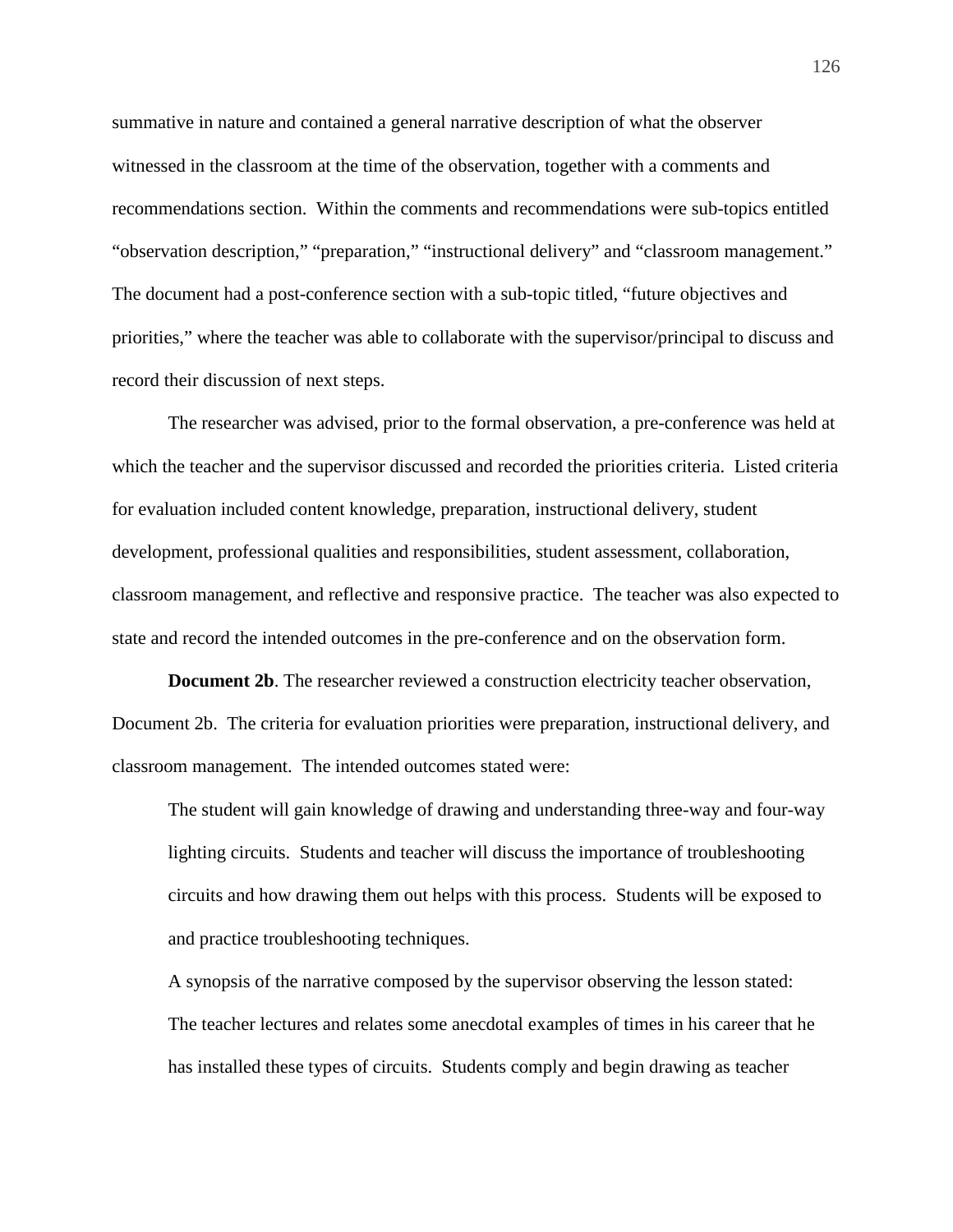summative in nature and contained a general narrative description of what the observer witnessed in the classroom at the time of the observation, together with a comments and recommendations section. Within the comments and recommendations were sub-topics entitled "observation description," "preparation," "instructional delivery" and "classroom management." The document had a post-conference section with a sub-topic titled, "future objectives and priorities," where the teacher was able to collaborate with the supervisor/principal to discuss and record their discussion of next steps.

The researcher was advised, prior to the formal observation, a pre-conference was held at which the teacher and the supervisor discussed and recorded the priorities criteria. Listed criteria for evaluation included content knowledge, preparation, instructional delivery, student development, professional qualities and responsibilities, student assessment, collaboration, classroom management, and reflective and responsive practice. The teacher was also expected to state and record the intended outcomes in the pre-conference and on the observation form.

**Document 2b.** The researcher reviewed a construction electricity teacher observation, Document 2b. The criteria for evaluation priorities were preparation, instructional delivery, and classroom management. The intended outcomes stated were:

The student will gain knowledge of drawing and understanding three-way and four-way lighting circuits. Students and teacher will discuss the importance of troubleshooting circuits and how drawing them out helps with this process. Students will be exposed to and practice troubleshooting techniques.

A synopsis of the narrative composed by the supervisor observing the lesson stated: The teacher lectures and relates some anecdotal examples of times in his career that he has installed these types of circuits. Students comply and begin drawing as teacher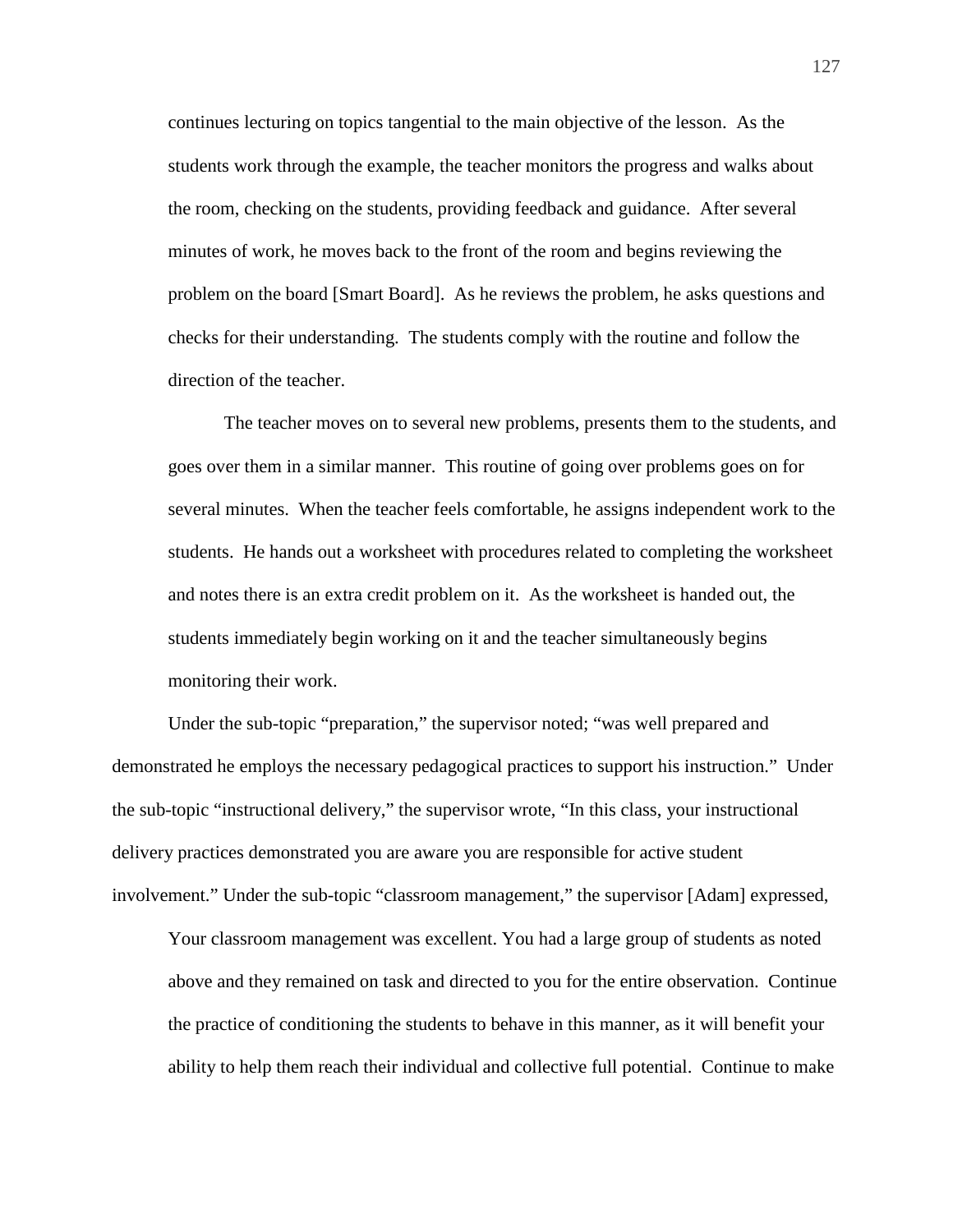continues lecturing on topics tangential to the main objective of the lesson. As the students work through the example, the teacher monitors the progress and walks about the room, checking on the students, providing feedback and guidance. After several minutes of work, he moves back to the front of the room and begins reviewing the problem on the board [Smart Board]. As he reviews the problem, he asks questions and checks for their understanding. The students comply with the routine and follow the direction of the teacher.

The teacher moves on to several new problems, presents them to the students, and goes over them in a similar manner. This routine of going over problems goes on for several minutes. When the teacher feels comfortable, he assigns independent work to the students. He hands out a worksheet with procedures related to completing the worksheet and notes there is an extra credit problem on it. As the worksheet is handed out, the students immediately begin working on it and the teacher simultaneously begins monitoring their work.

Under the sub-topic "preparation," the supervisor noted; "was well prepared and demonstrated he employs the necessary pedagogical practices to support his instruction." Under the sub-topic "instructional delivery," the supervisor wrote, "In this class, your instructional delivery practices demonstrated you are aware you are responsible for active student involvement." Under the sub-topic "classroom management," the supervisor [Adam] expressed,

Your classroom management was excellent. You had a large group of students as noted above and they remained on task and directed to you for the entire observation. Continue the practice of conditioning the students to behave in this manner, as it will benefit your ability to help them reach their individual and collective full potential. Continue to make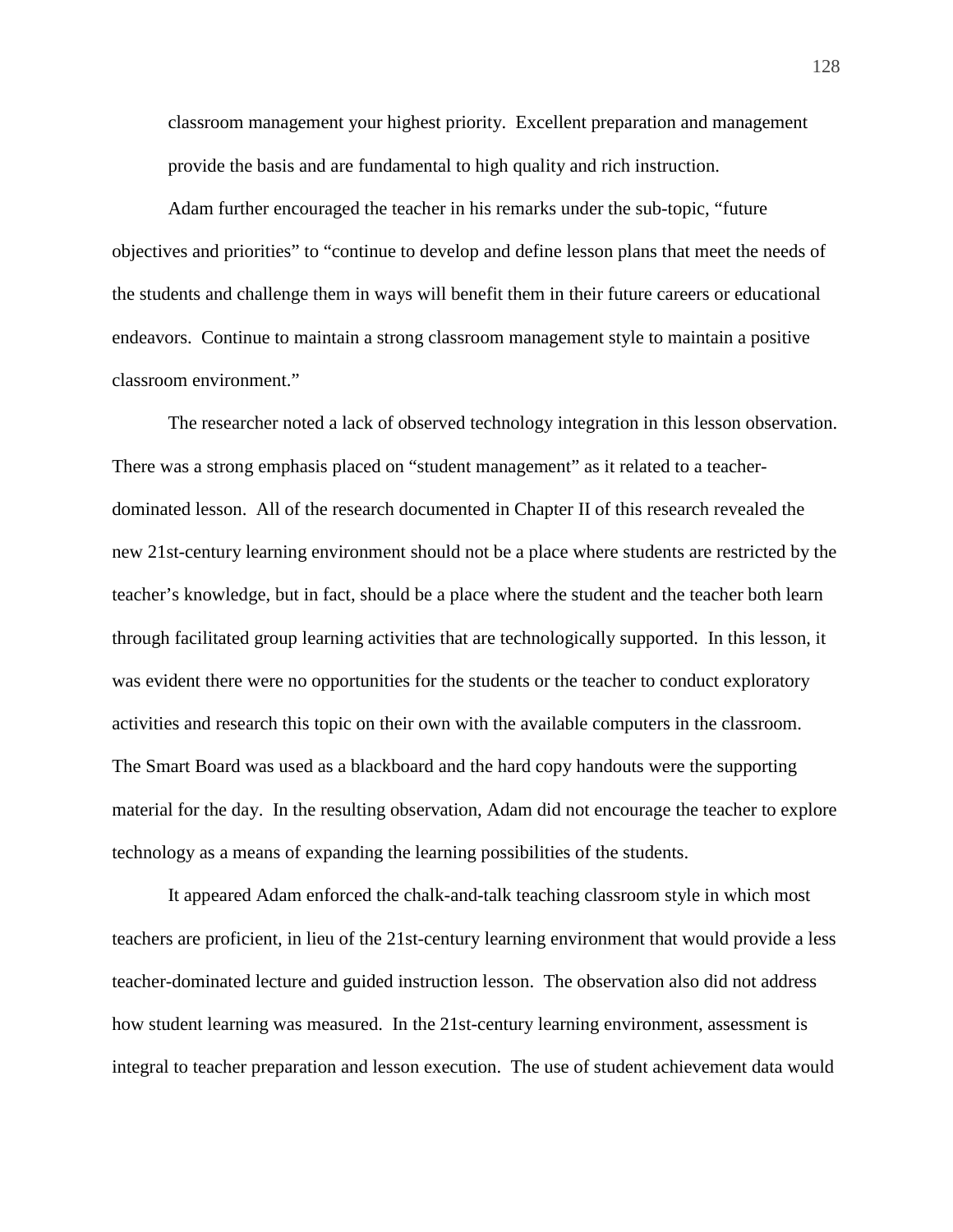classroom management your highest priority. Excellent preparation and management provide the basis and are fundamental to high quality and rich instruction.

Adam further encouraged the teacher in his remarks under the sub-topic, "future objectives and priorities" to "continue to develop and define lesson plans that meet the needs of the students and challenge them in ways will benefit them in their future careers or educational endeavors. Continue to maintain a strong classroom management style to maintain a positive classroom environment."

The researcher noted a lack of observed technology integration in this lesson observation. There was a strong emphasis placed on "student management" as it related to a teacherdominated lesson. All of the research documented in Chapter II of this research revealed the new 21st-century learning environment should not be a place where students are restricted by the teacher's knowledge, but in fact, should be a place where the student and the teacher both learn through facilitated group learning activities that are technologically supported. In this lesson, it was evident there were no opportunities for the students or the teacher to conduct exploratory activities and research this topic on their own with the available computers in the classroom. The Smart Board was used as a blackboard and the hard copy handouts were the supporting material for the day. In the resulting observation, Adam did not encourage the teacher to explore technology as a means of expanding the learning possibilities of the students.

It appeared Adam enforced the chalk-and-talk teaching classroom style in which most teachers are proficient, in lieu of the 21st-century learning environment that would provide a less teacher-dominated lecture and guided instruction lesson. The observation also did not address how student learning was measured. In the 21st-century learning environment, assessment is integral to teacher preparation and lesson execution. The use of student achievement data would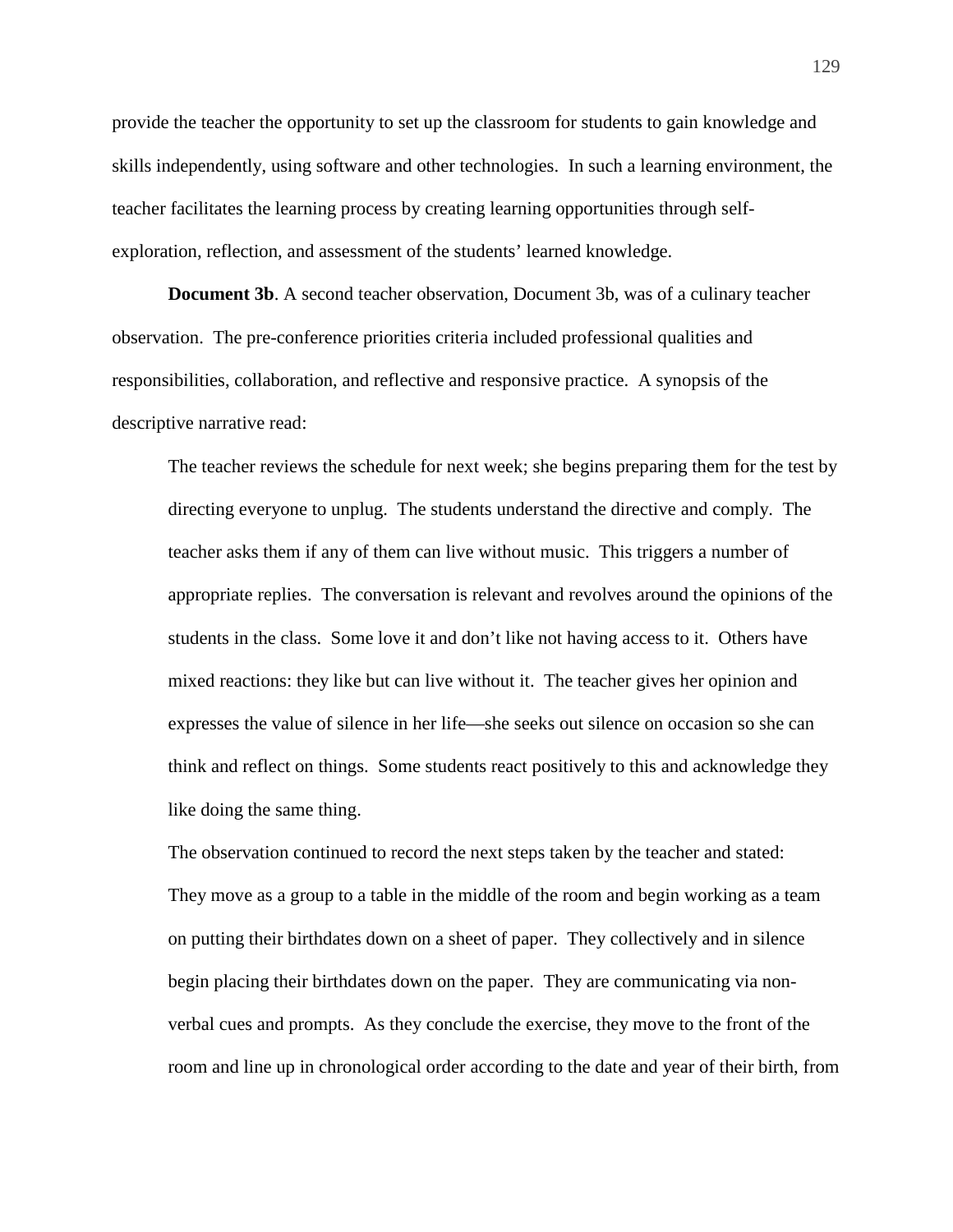provide the teacher the opportunity to set up the classroom for students to gain knowledge and skills independently, using software and other technologies. In such a learning environment, the teacher facilitates the learning process by creating learning opportunities through selfexploration, reflection, and assessment of the students' learned knowledge.

**Document 3b**. A second teacher observation, Document 3b, was of a culinary teacher observation. The pre-conference priorities criteria included professional qualities and responsibilities, collaboration, and reflective and responsive practice. A synopsis of the descriptive narrative read:

The teacher reviews the schedule for next week; she begins preparing them for the test by directing everyone to unplug. The students understand the directive and comply. The teacher asks them if any of them can live without music. This triggers a number of appropriate replies. The conversation is relevant and revolves around the opinions of the students in the class. Some love it and don't like not having access to it. Others have mixed reactions: they like but can live without it. The teacher gives her opinion and expresses the value of silence in her life—she seeks out silence on occasion so she can think and reflect on things. Some students react positively to this and acknowledge they like doing the same thing.

The observation continued to record the next steps taken by the teacher and stated: They move as a group to a table in the middle of the room and begin working as a team on putting their birthdates down on a sheet of paper. They collectively and in silence begin placing their birthdates down on the paper. They are communicating via nonverbal cues and prompts. As they conclude the exercise, they move to the front of the room and line up in chronological order according to the date and year of their birth, from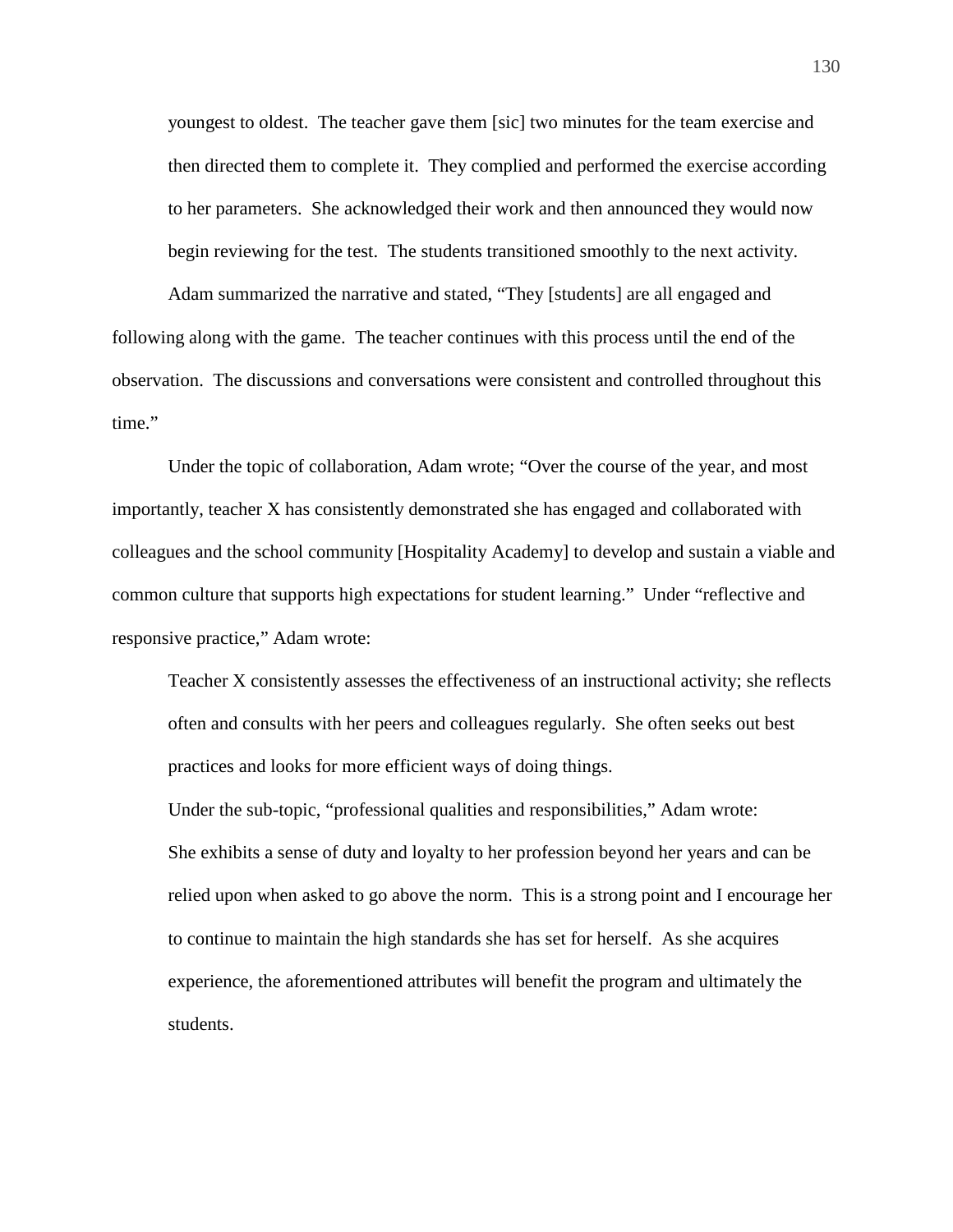youngest to oldest. The teacher gave them [sic] two minutes for the team exercise and then directed them to complete it. They complied and performed the exercise according to her parameters. She acknowledged their work and then announced they would now begin reviewing for the test. The students transitioned smoothly to the next activity.

Adam summarized the narrative and stated, "They [students] are all engaged and following along with the game. The teacher continues with this process until the end of the observation. The discussions and conversations were consistent and controlled throughout this time."

Under the topic of collaboration, Adam wrote; "Over the course of the year, and most importantly, teacher X has consistently demonstrated she has engaged and collaborated with colleagues and the school community [Hospitality Academy] to develop and sustain a viable and common culture that supports high expectations for student learning." Under "reflective and responsive practice," Adam wrote:

Teacher X consistently assesses the effectiveness of an instructional activity; she reflects often and consults with her peers and colleagues regularly. She often seeks out best practices and looks for more efficient ways of doing things.

Under the sub-topic, "professional qualities and responsibilities," Adam wrote: She exhibits a sense of duty and loyalty to her profession beyond her years and can be relied upon when asked to go above the norm. This is a strong point and I encourage her to continue to maintain the high standards she has set for herself. As she acquires experience, the aforementioned attributes will benefit the program and ultimately the students.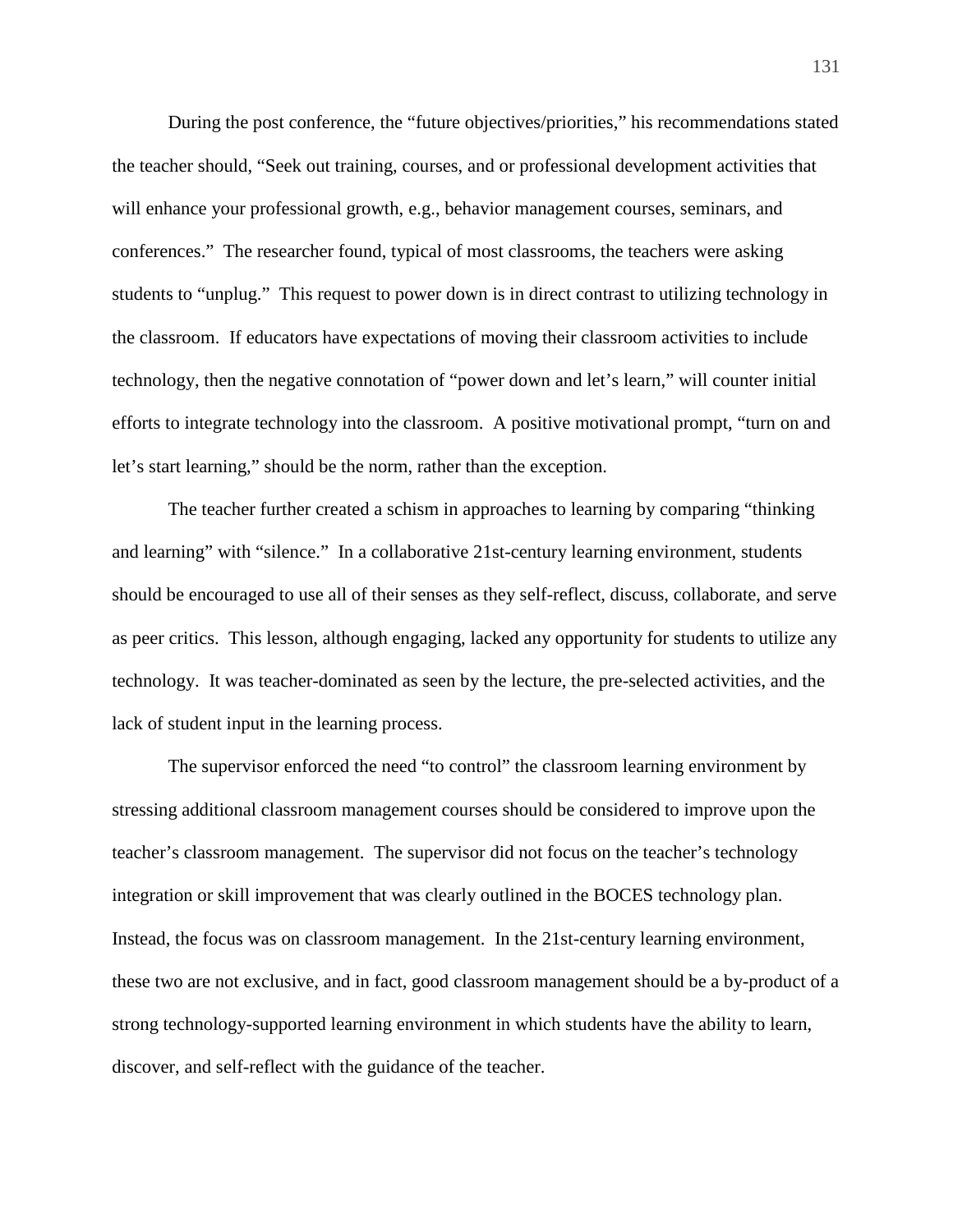During the post conference, the "future objectives/priorities," his recommendations stated the teacher should, "Seek out training, courses, and or professional development activities that will enhance your professional growth, e.g., behavior management courses, seminars, and conferences." The researcher found, typical of most classrooms, the teachers were asking students to "unplug." This request to power down is in direct contrast to utilizing technology in the classroom. If educators have expectations of moving their classroom activities to include technology, then the negative connotation of "power down and let's learn," will counter initial efforts to integrate technology into the classroom. A positive motivational prompt, "turn on and let's start learning," should be the norm, rather than the exception.

The teacher further created a schism in approaches to learning by comparing "thinking and learning" with "silence." In a collaborative 21st-century learning environment, students should be encouraged to use all of their senses as they self-reflect, discuss, collaborate, and serve as peer critics. This lesson, although engaging, lacked any opportunity for students to utilize any technology. It was teacher-dominated as seen by the lecture, the pre-selected activities, and the lack of student input in the learning process.

The supervisor enforced the need "to control" the classroom learning environment by stressing additional classroom management courses should be considered to improve upon the teacher's classroom management. The supervisor did not focus on the teacher's technology integration or skill improvement that was clearly outlined in the BOCES technology plan. Instead, the focus was on classroom management. In the 21st-century learning environment, these two are not exclusive, and in fact, good classroom management should be a by-product of a strong technology-supported learning environment in which students have the ability to learn, discover, and self-reflect with the guidance of the teacher.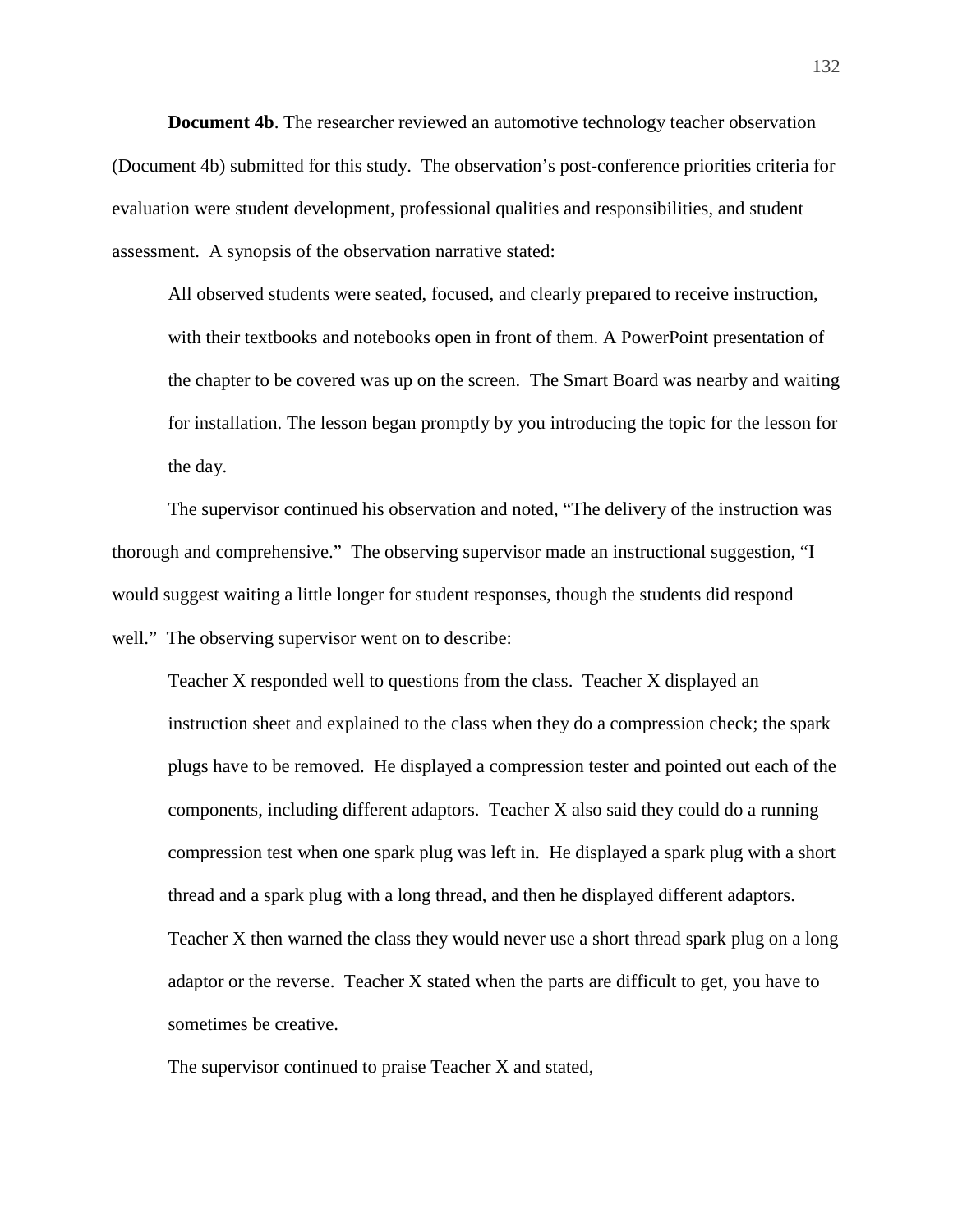**Document 4b**. The researcher reviewed an automotive technology teacher observation (Document 4b) submitted for this study. The observation's post-conference priorities criteria for evaluation were student development, professional qualities and responsibilities, and student assessment. A synopsis of the observation narrative stated:

All observed students were seated, focused, and clearly prepared to receive instruction, with their textbooks and notebooks open in front of them. A PowerPoint presentation of the chapter to be covered was up on the screen. The Smart Board was nearby and waiting for installation. The lesson began promptly by you introducing the topic for the lesson for the day.

The supervisor continued his observation and noted, "The delivery of the instruction was thorough and comprehensive." The observing supervisor made an instructional suggestion, "I would suggest waiting a little longer for student responses, though the students did respond well." The observing supervisor went on to describe:

Teacher X responded well to questions from the class. Teacher X displayed an instruction sheet and explained to the class when they do a compression check; the spark plugs have to be removed. He displayed a compression tester and pointed out each of the components, including different adaptors. Teacher X also said they could do a running compression test when one spark plug was left in. He displayed a spark plug with a short thread and a spark plug with a long thread, and then he displayed different adaptors. Teacher X then warned the class they would never use a short thread spark plug on a long adaptor or the reverse. Teacher X stated when the parts are difficult to get, you have to sometimes be creative.

The supervisor continued to praise Teacher X and stated,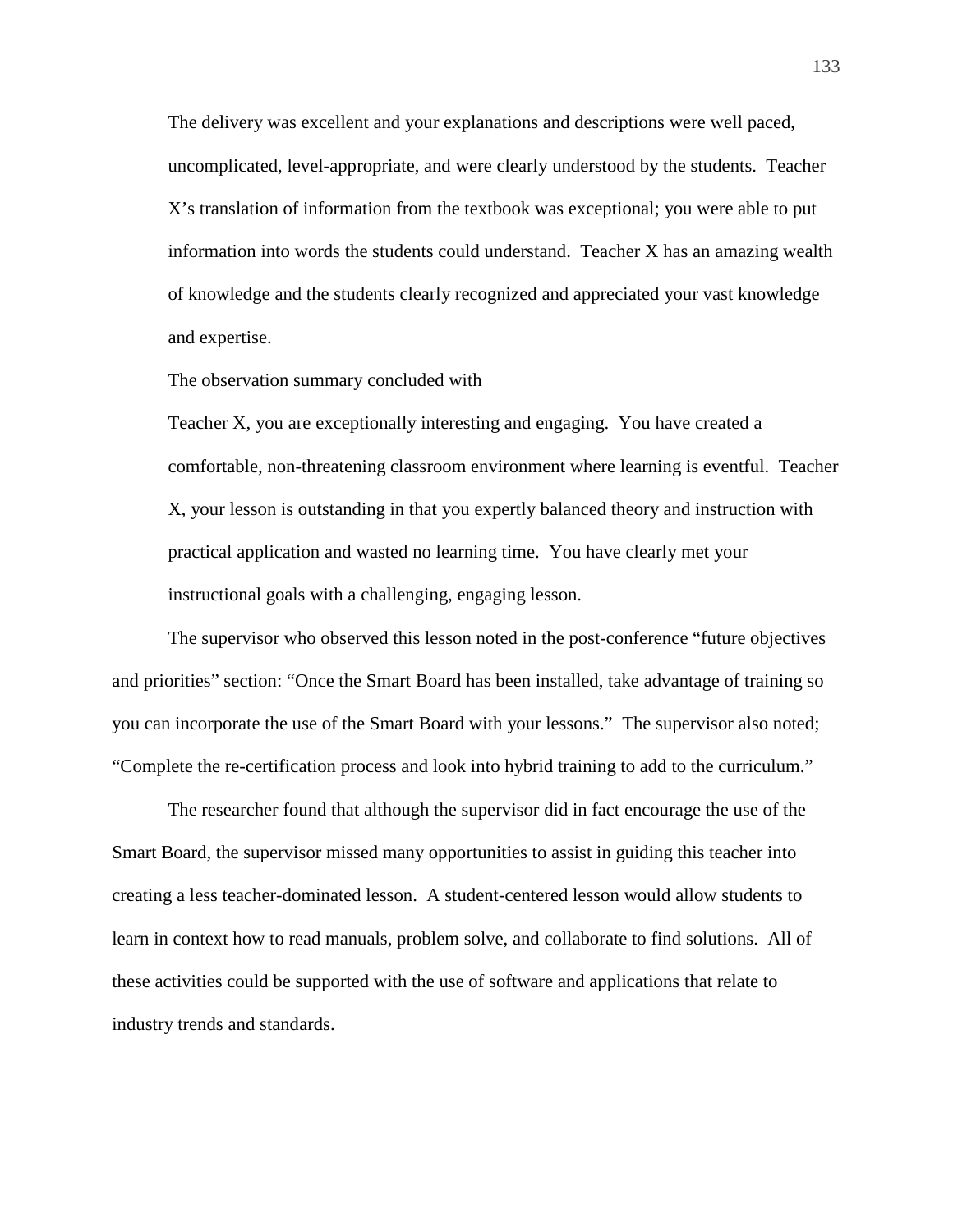The delivery was excellent and your explanations and descriptions were well paced, uncomplicated, level-appropriate, and were clearly understood by the students. Teacher X's translation of information from the textbook was exceptional; you were able to put information into words the students could understand. Teacher X has an amazing wealth of knowledge and the students clearly recognized and appreciated your vast knowledge and expertise.

The observation summary concluded with

Teacher X, you are exceptionally interesting and engaging. You have created a comfortable, non-threatening classroom environment where learning is eventful. Teacher X, your lesson is outstanding in that you expertly balanced theory and instruction with practical application and wasted no learning time. You have clearly met your instructional goals with a challenging, engaging lesson.

The supervisor who observed this lesson noted in the post-conference "future objectives and priorities" section: "Once the Smart Board has been installed, take advantage of training so you can incorporate the use of the Smart Board with your lessons." The supervisor also noted; "Complete the re-certification process and look into hybrid training to add to the curriculum."

The researcher found that although the supervisor did in fact encourage the use of the Smart Board, the supervisor missed many opportunities to assist in guiding this teacher into creating a less teacher-dominated lesson. A student-centered lesson would allow students to learn in context how to read manuals, problem solve, and collaborate to find solutions. All of these activities could be supported with the use of software and applications that relate to industry trends and standards.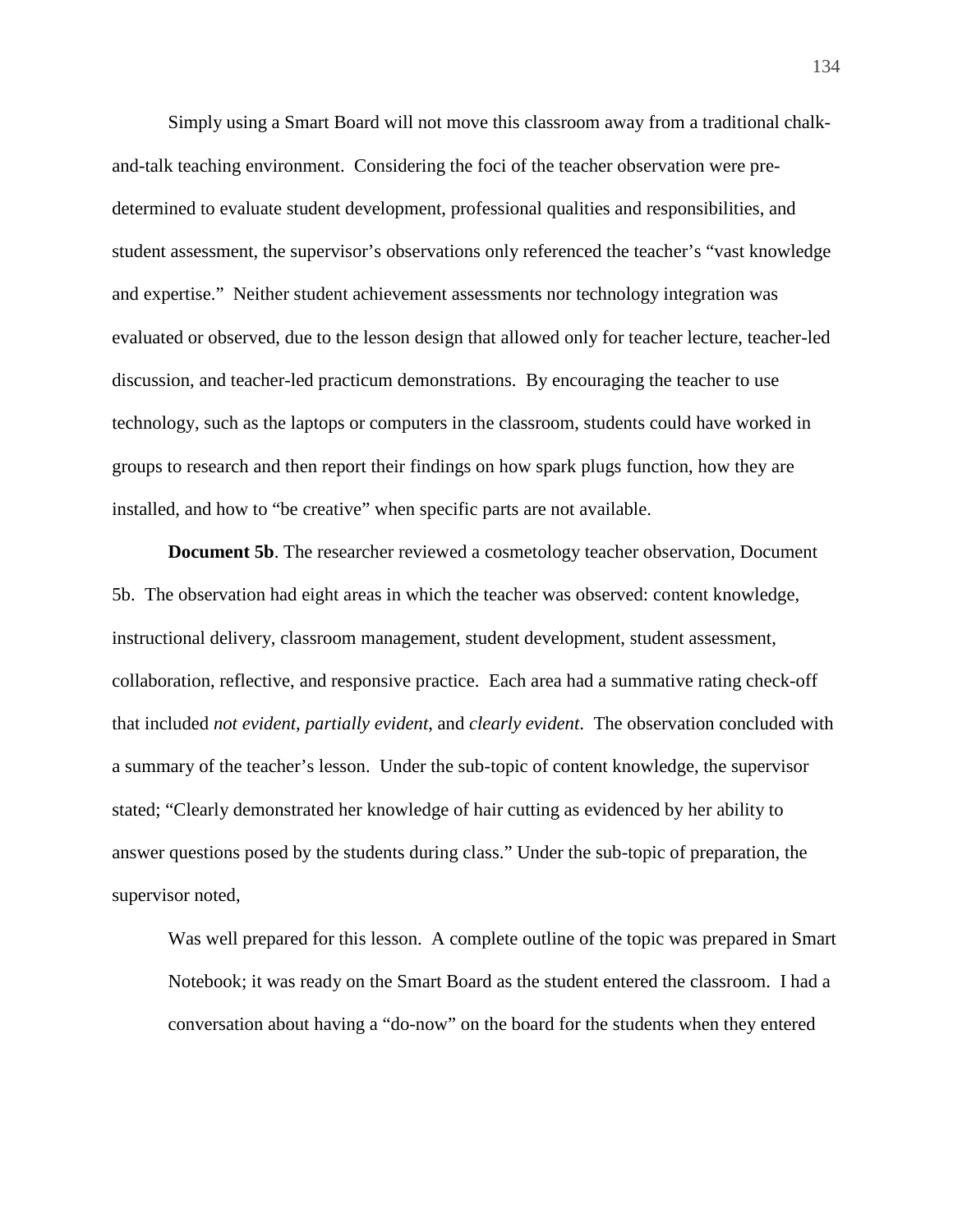Simply using a Smart Board will not move this classroom away from a traditional chalkand-talk teaching environment. Considering the foci of the teacher observation were predetermined to evaluate student development, professional qualities and responsibilities, and student assessment, the supervisor's observations only referenced the teacher's "vast knowledge and expertise." Neither student achievement assessments nor technology integration was evaluated or observed, due to the lesson design that allowed only for teacher lecture, teacher-led discussion, and teacher-led practicum demonstrations. By encouraging the teacher to use technology, such as the laptops or computers in the classroom, students could have worked in groups to research and then report their findings on how spark plugs function, how they are installed, and how to "be creative" when specific parts are not available.

**Document 5b.** The researcher reviewed a cosmetology teacher observation, Document 5b. The observation had eight areas in which the teacher was observed: content knowledge, instructional delivery, classroom management, student development, student assessment, collaboration, reflective, and responsive practice. Each area had a summative rating check-off that included *not evident, partially evident*, and *clearly evident*. The observation concluded with a summary of the teacher's lesson. Under the sub-topic of content knowledge, the supervisor stated; "Clearly demonstrated her knowledge of hair cutting as evidenced by her ability to answer questions posed by the students during class." Under the sub-topic of preparation, the supervisor noted,

Was well prepared for this lesson. A complete outline of the topic was prepared in Smart Notebook; it was ready on the Smart Board as the student entered the classroom. I had a conversation about having a "do-now" on the board for the students when they entered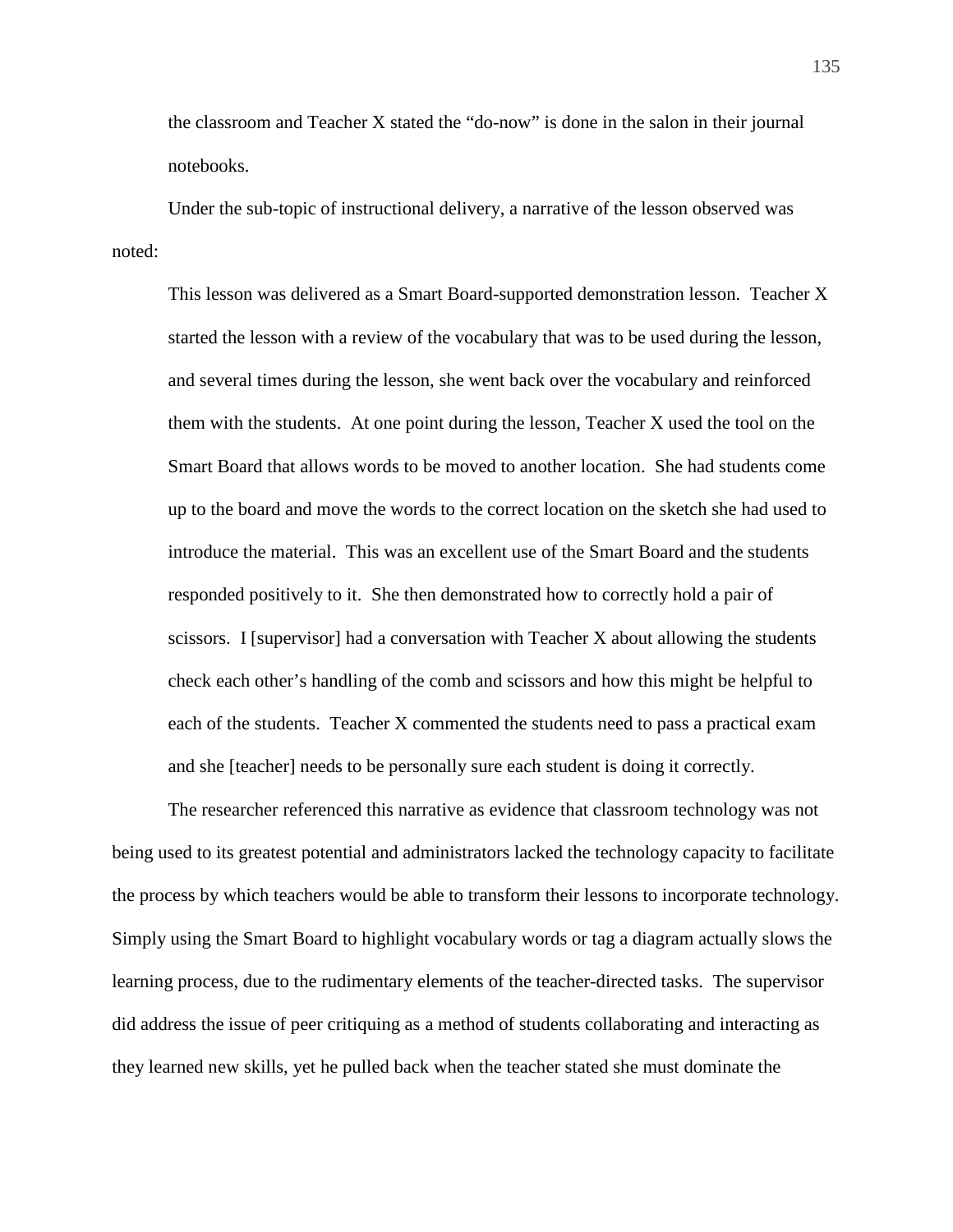the classroom and Teacher X stated the "do-now" is done in the salon in their journal notebooks.

Under the sub-topic of instructional delivery, a narrative of the lesson observed was noted:

This lesson was delivered as a Smart Board-supported demonstration lesson. Teacher X started the lesson with a review of the vocabulary that was to be used during the lesson, and several times during the lesson, she went back over the vocabulary and reinforced them with the students. At one point during the lesson, Teacher X used the tool on the Smart Board that allows words to be moved to another location. She had students come up to the board and move the words to the correct location on the sketch she had used to introduce the material. This was an excellent use of the Smart Board and the students responded positively to it. She then demonstrated how to correctly hold a pair of scissors. I [supervisor] had a conversation with Teacher X about allowing the students check each other's handling of the comb and scissors and how this might be helpful to each of the students. Teacher X commented the students need to pass a practical exam and she [teacher] needs to be personally sure each student is doing it correctly.

The researcher referenced this narrative as evidence that classroom technology was not being used to its greatest potential and administrators lacked the technology capacity to facilitate the process by which teachers would be able to transform their lessons to incorporate technology. Simply using the Smart Board to highlight vocabulary words or tag a diagram actually slows the learning process, due to the rudimentary elements of the teacher-directed tasks. The supervisor did address the issue of peer critiquing as a method of students collaborating and interacting as they learned new skills, yet he pulled back when the teacher stated she must dominate the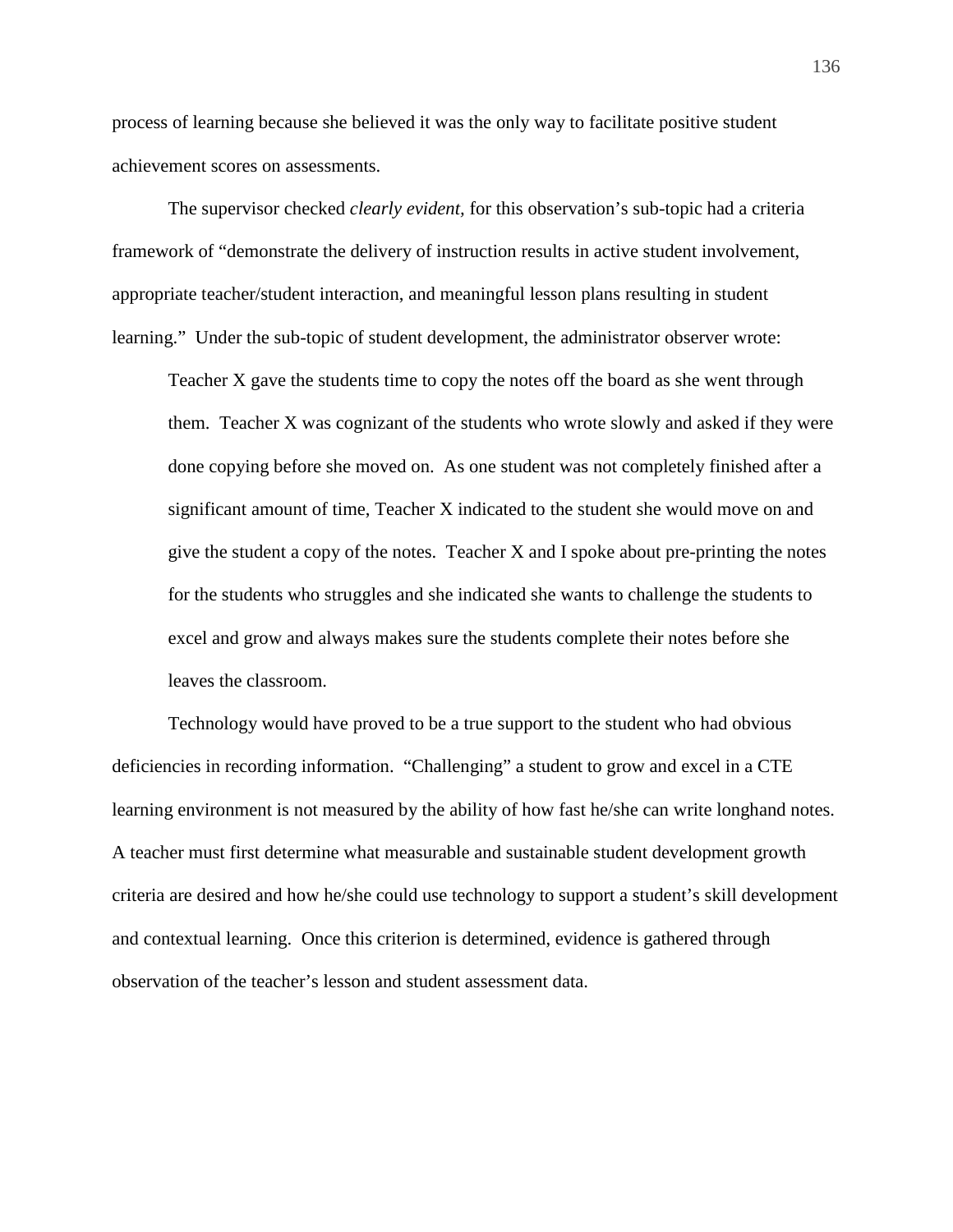process of learning because she believed it was the only way to facilitate positive student achievement scores on assessments.

The supervisor checked *clearly evident,* for this observation's sub-topic had a criteria framework of "demonstrate the delivery of instruction results in active student involvement, appropriate teacher/student interaction, and meaningful lesson plans resulting in student learning." Under the sub-topic of student development, the administrator observer wrote:

Teacher X gave the students time to copy the notes off the board as she went through them. Teacher X was cognizant of the students who wrote slowly and asked if they were done copying before she moved on. As one student was not completely finished after a significant amount of time, Teacher X indicated to the student she would move on and give the student a copy of the notes. Teacher X and I spoke about pre-printing the notes for the students who struggles and she indicated she wants to challenge the students to excel and grow and always makes sure the students complete their notes before she leaves the classroom.

Technology would have proved to be a true support to the student who had obvious deficiencies in recording information. "Challenging" a student to grow and excel in a CTE learning environment is not measured by the ability of how fast he/she can write longhand notes. A teacher must first determine what measurable and sustainable student development growth criteria are desired and how he/she could use technology to support a student's skill development and contextual learning. Once this criterion is determined, evidence is gathered through observation of the teacher's lesson and student assessment data.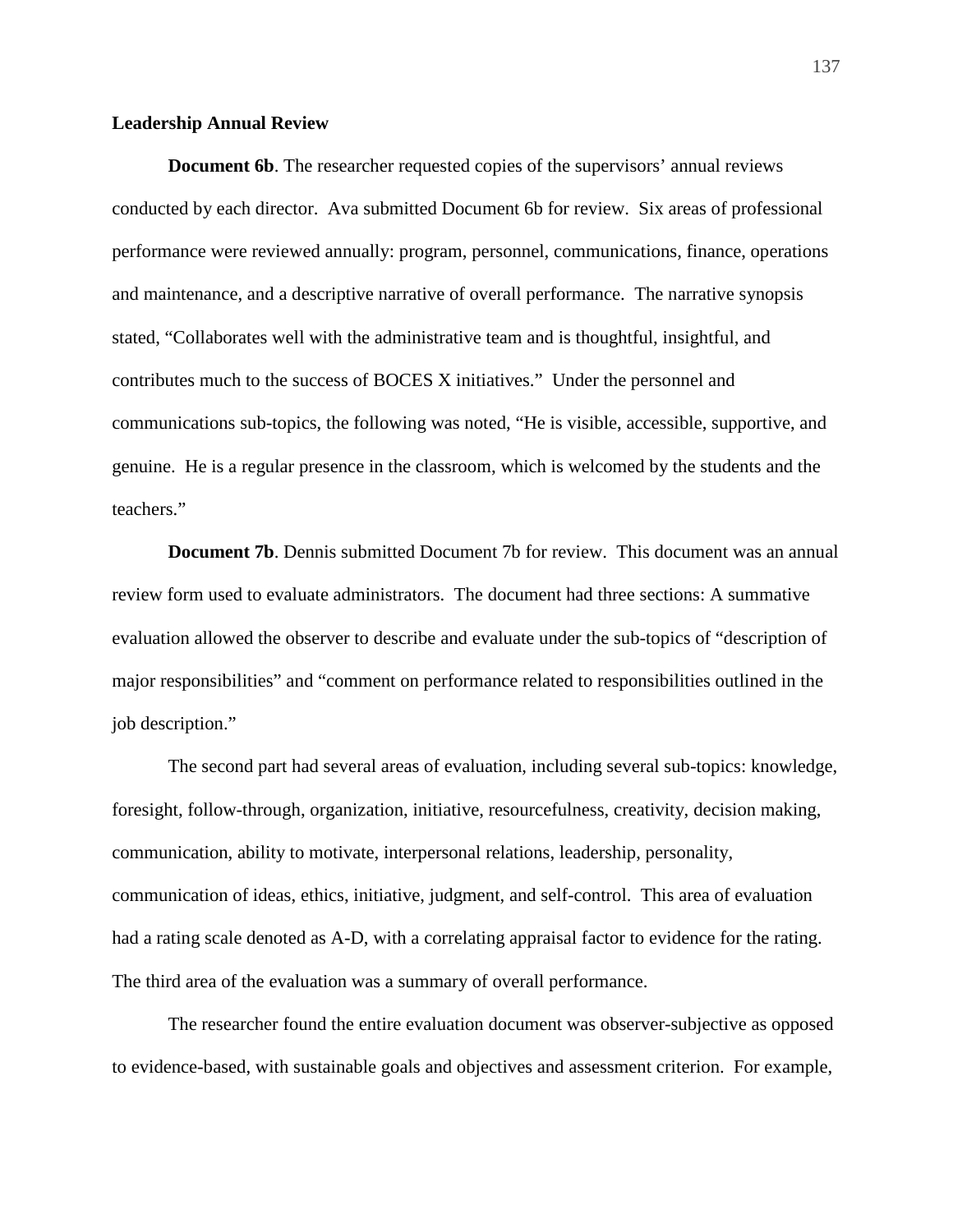## **Leadership Annual Review**

**Document 6b**. The researcher requested copies of the supervisors' annual reviews conducted by each director. Ava submitted Document 6b for review. Six areas of professional performance were reviewed annually: program, personnel, communications, finance, operations and maintenance, and a descriptive narrative of overall performance. The narrative synopsis stated, "Collaborates well with the administrative team and is thoughtful, insightful, and contributes much to the success of BOCES X initiatives." Under the personnel and communications sub-topics, the following was noted, "He is visible, accessible, supportive, and genuine. He is a regular presence in the classroom, which is welcomed by the students and the teachers."

**Document 7b**. Dennis submitted Document 7b for review. This document was an annual review form used to evaluate administrators. The document had three sections: A summative evaluation allowed the observer to describe and evaluate under the sub-topics of "description of major responsibilities" and "comment on performance related to responsibilities outlined in the job description."

The second part had several areas of evaluation, including several sub-topics: knowledge, foresight, follow-through, organization, initiative, resourcefulness, creativity, decision making, communication, ability to motivate, interpersonal relations, leadership, personality, communication of ideas, ethics, initiative, judgment, and self-control. This area of evaluation had a rating scale denoted as A-D, with a correlating appraisal factor to evidence for the rating. The third area of the evaluation was a summary of overall performance.

The researcher found the entire evaluation document was observer-subjective as opposed to evidence-based, with sustainable goals and objectives and assessment criterion. For example,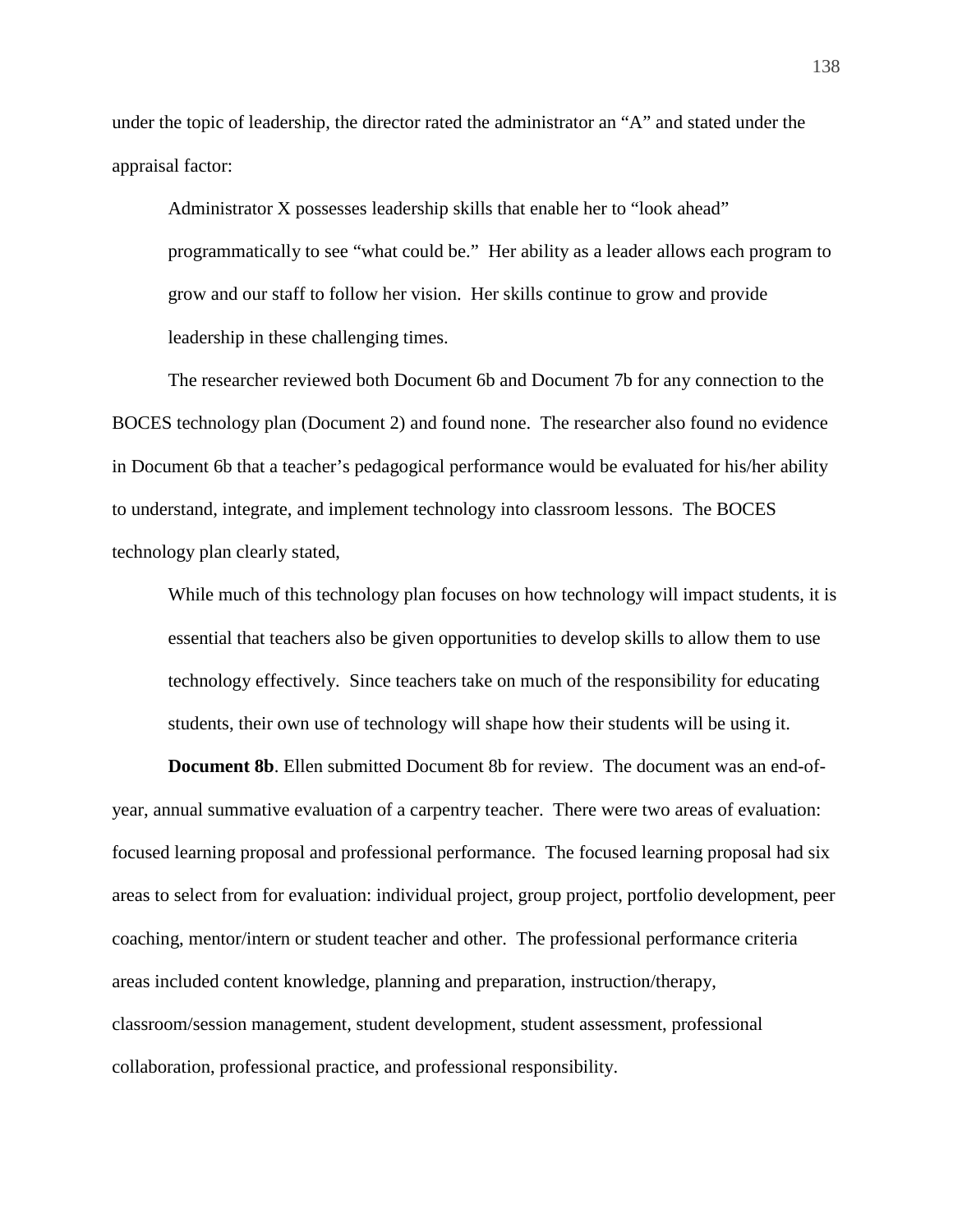under the topic of leadership, the director rated the administrator an "A" and stated under the appraisal factor:

Administrator X possesses leadership skills that enable her to "look ahead" programmatically to see "what could be." Her ability as a leader allows each program to grow and our staff to follow her vision. Her skills continue to grow and provide leadership in these challenging times.

The researcher reviewed both Document 6b and Document 7b for any connection to the BOCES technology plan (Document 2) and found none. The researcher also found no evidence in Document 6b that a teacher's pedagogical performance would be evaluated for his/her ability to understand, integrate, and implement technology into classroom lessons. The BOCES technology plan clearly stated,

While much of this technology plan focuses on how technology will impact students, it is essential that teachers also be given opportunities to develop skills to allow them to use technology effectively. Since teachers take on much of the responsibility for educating students, their own use of technology will shape how their students will be using it.

**Document 8b**. Ellen submitted Document 8b for review. The document was an end-ofyear, annual summative evaluation of a carpentry teacher. There were two areas of evaluation: focused learning proposal and professional performance. The focused learning proposal had six areas to select from for evaluation: individual project, group project, portfolio development, peer coaching, mentor/intern or student teacher and other. The professional performance criteria areas included content knowledge, planning and preparation, instruction/therapy, classroom/session management, student development, student assessment, professional collaboration, professional practice, and professional responsibility.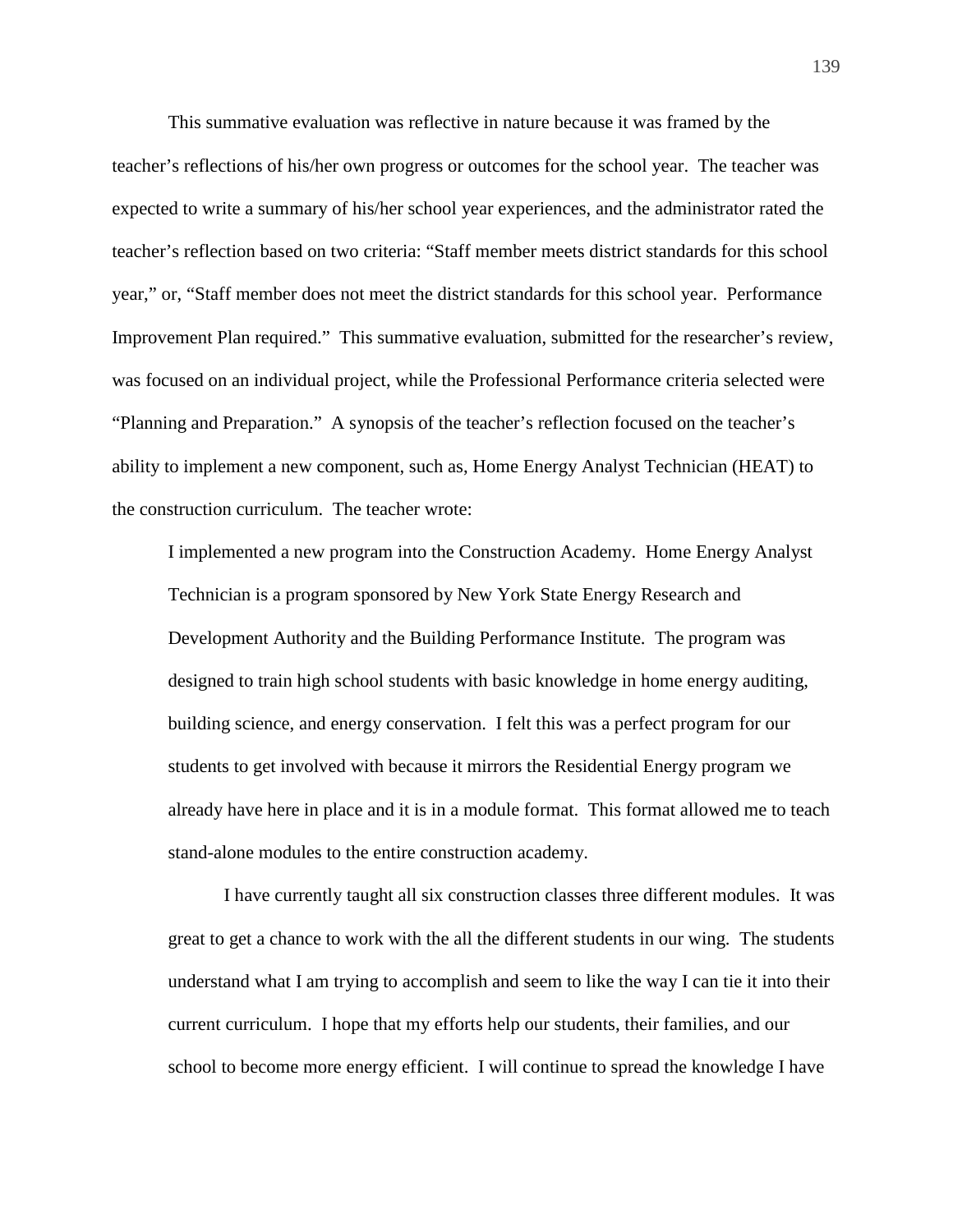This summative evaluation was reflective in nature because it was framed by the teacher's reflections of his/her own progress or outcomes for the school year. The teacher was expected to write a summary of his/her school year experiences, and the administrator rated the teacher's reflection based on two criteria: "Staff member meets district standards for this school year," or, "Staff member does not meet the district standards for this school year. Performance Improvement Plan required." This summative evaluation, submitted for the researcher's review, was focused on an individual project, while the Professional Performance criteria selected were "Planning and Preparation." A synopsis of the teacher's reflection focused on the teacher's ability to implement a new component, such as, Home Energy Analyst Technician (HEAT) to the construction curriculum. The teacher wrote:

I implemented a new program into the Construction Academy. Home Energy Analyst Technician is a program sponsored by New York State Energy Research and Development Authority and the Building Performance Institute. The program was designed to train high school students with basic knowledge in home energy auditing, building science, and energy conservation. I felt this was a perfect program for our students to get involved with because it mirrors the Residential Energy program we already have here in place and it is in a module format. This format allowed me to teach stand-alone modules to the entire construction academy.

I have currently taught all six construction classes three different modules. It was great to get a chance to work with the all the different students in our wing. The students understand what I am trying to accomplish and seem to like the way I can tie it into their current curriculum. I hope that my efforts help our students, their families, and our school to become more energy efficient. I will continue to spread the knowledge I have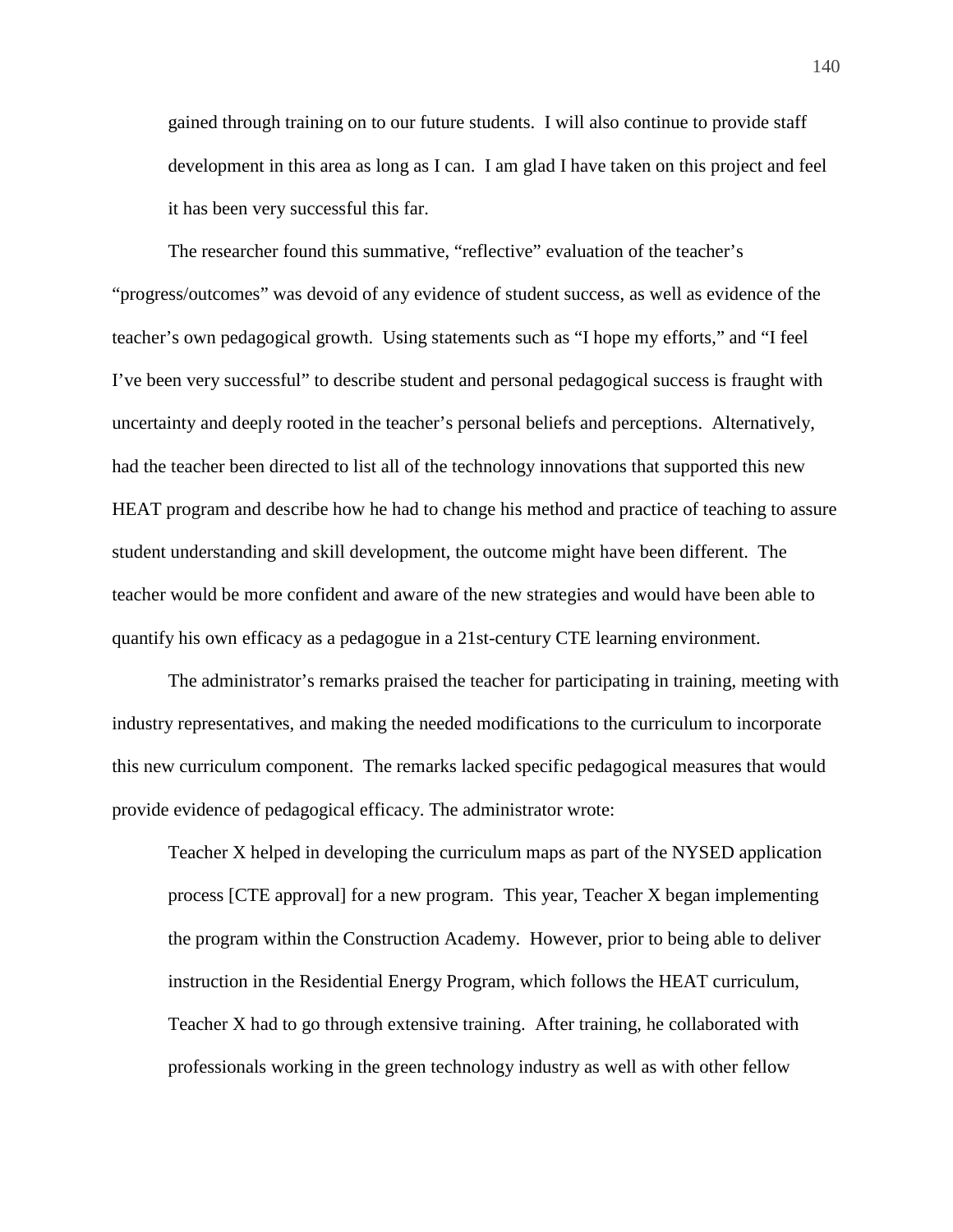gained through training on to our future students. I will also continue to provide staff development in this area as long as I can. I am glad I have taken on this project and feel it has been very successful this far.

The researcher found this summative, "reflective" evaluation of the teacher's "progress/outcomes" was devoid of any evidence of student success, as well as evidence of the teacher's own pedagogical growth. Using statements such as "I hope my efforts," and "I feel I've been very successful" to describe student and personal pedagogical success is fraught with uncertainty and deeply rooted in the teacher's personal beliefs and perceptions. Alternatively, had the teacher been directed to list all of the technology innovations that supported this new HEAT program and describe how he had to change his method and practice of teaching to assure student understanding and skill development, the outcome might have been different. The teacher would be more confident and aware of the new strategies and would have been able to quantify his own efficacy as a pedagogue in a 21st-century CTE learning environment.

The administrator's remarks praised the teacher for participating in training, meeting with industry representatives, and making the needed modifications to the curriculum to incorporate this new curriculum component. The remarks lacked specific pedagogical measures that would provide evidence of pedagogical efficacy. The administrator wrote:

Teacher X helped in developing the curriculum maps as part of the NYSED application process [CTE approval] for a new program. This year, Teacher X began implementing the program within the Construction Academy. However, prior to being able to deliver instruction in the Residential Energy Program, which follows the HEAT curriculum, Teacher X had to go through extensive training. After training, he collaborated with professionals working in the green technology industry as well as with other fellow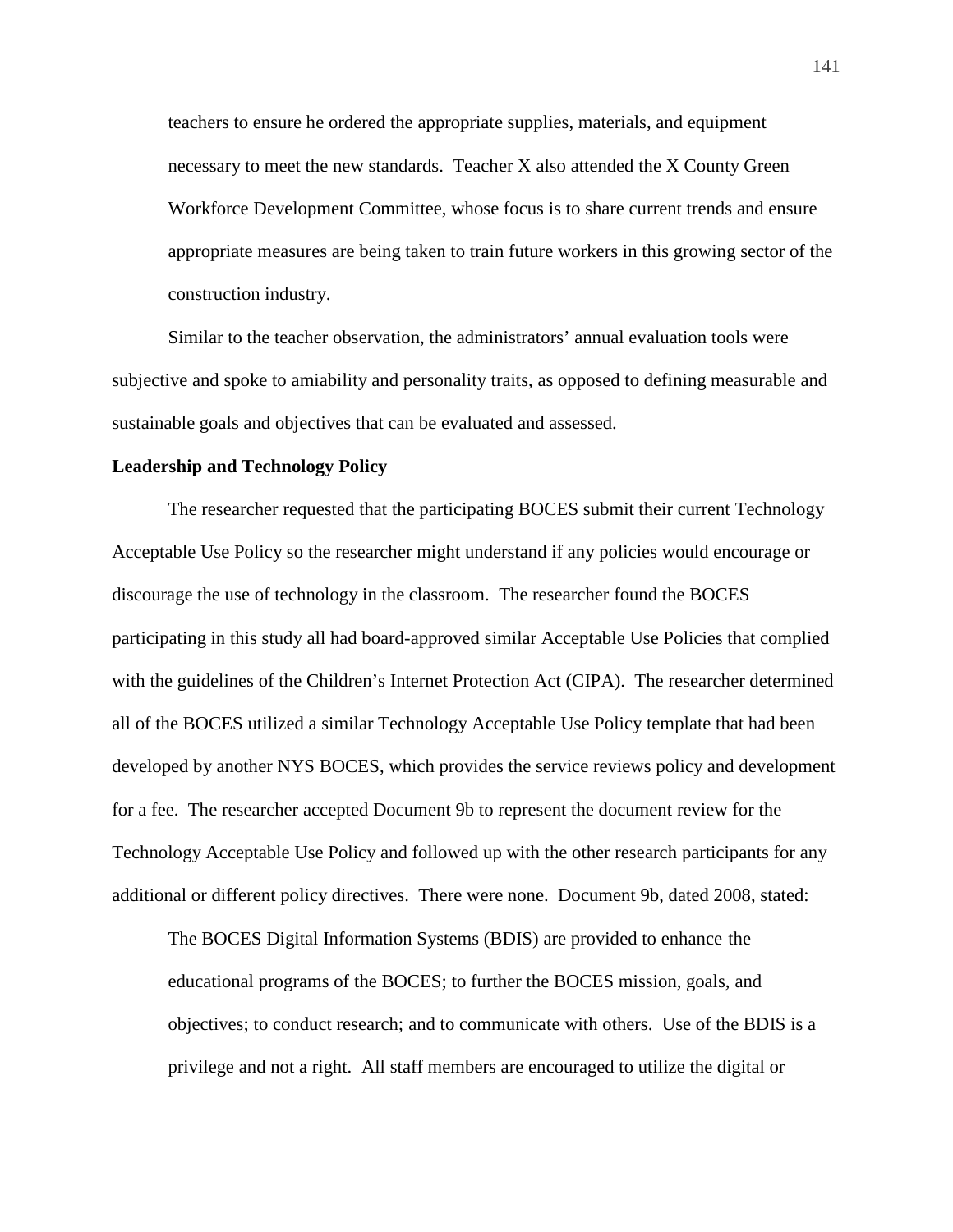teachers to ensure he ordered the appropriate supplies, materials, and equipment necessary to meet the new standards. Teacher X also attended the X County Green Workforce Development Committee, whose focus is to share current trends and ensure appropriate measures are being taken to train future workers in this growing sector of the construction industry.

Similar to the teacher observation, the administrators' annual evaluation tools were subjective and spoke to amiability and personality traits, as opposed to defining measurable and sustainable goals and objectives that can be evaluated and assessed.

## **Leadership and Technology Policy**

The researcher requested that the participating BOCES submit their current Technology Acceptable Use Policy so the researcher might understand if any policies would encourage or discourage the use of technology in the classroom. The researcher found the BOCES participating in this study all had board-approved similar Acceptable Use Policies that complied with the guidelines of the Children's Internet Protection Act (CIPA). The researcher determined all of the BOCES utilized a similar Technology Acceptable Use Policy template that had been developed by another NYS BOCES, which provides the service reviews policy and development for a fee. The researcher accepted Document 9b to represent the document review for the Technology Acceptable Use Policy and followed up with the other research participants for any additional or different policy directives. There were none. Document 9b, dated 2008, stated:

The BOCES Digital Information Systems (BDIS) are provided to enhance the educational programs of the BOCES; to further the BOCES mission, goals, and objectives; to conduct research; and to communicate with others. Use of the BDIS is a privilege and not a right. All staff members are encouraged to utilize the digital or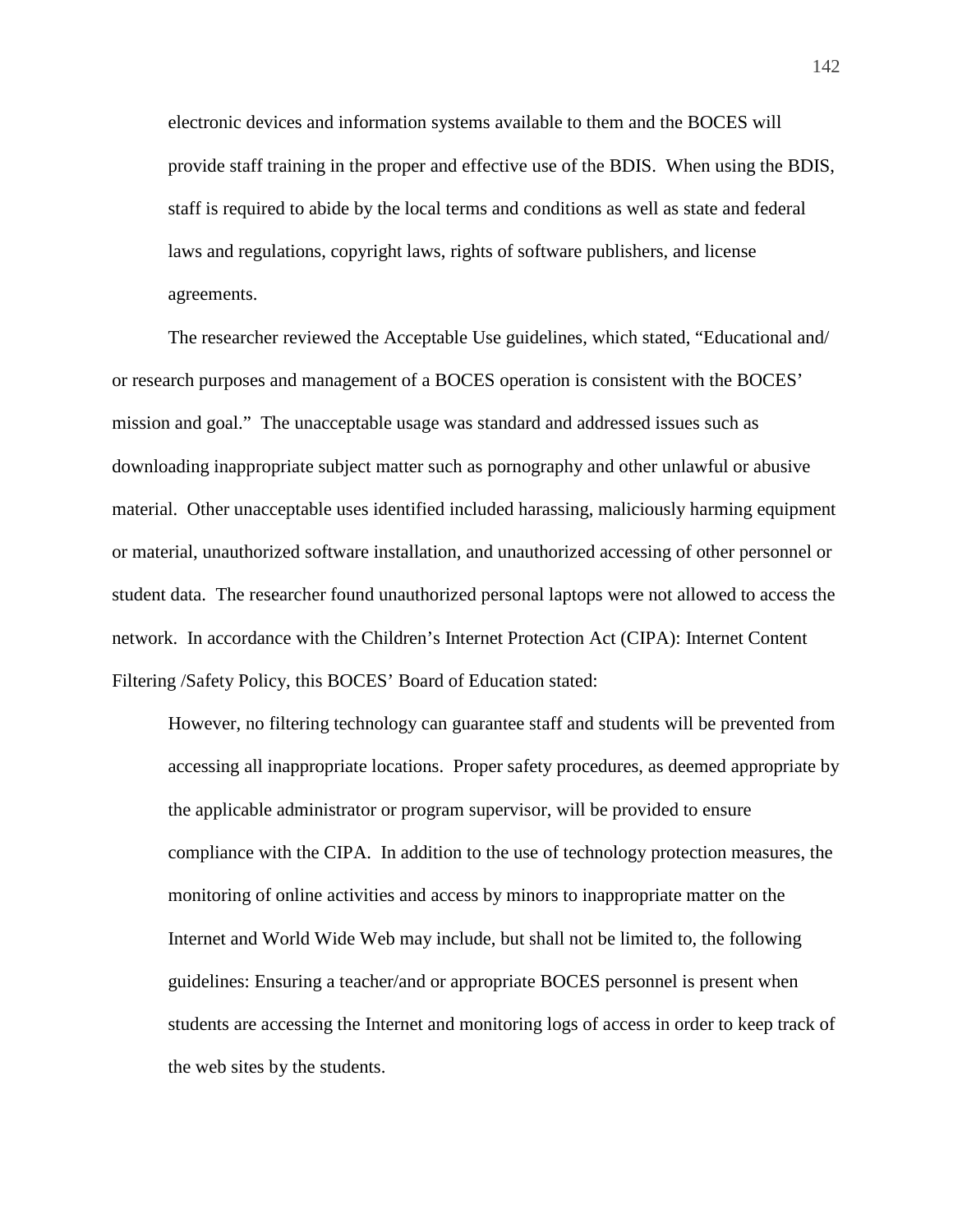electronic devices and information systems available to them and the BOCES will provide staff training in the proper and effective use of the BDIS. When using the BDIS, staff is required to abide by the local terms and conditions as well as state and federal laws and regulations, copyright laws, rights of software publishers, and license agreements.

The researcher reviewed the Acceptable Use guidelines, which stated, "Educational and/ or research purposes and management of a BOCES operation is consistent with the BOCES' mission and goal." The unacceptable usage was standard and addressed issues such as downloading inappropriate subject matter such as pornography and other unlawful or abusive material. Other unacceptable uses identified included harassing, maliciously harming equipment or material, unauthorized software installation, and unauthorized accessing of other personnel or student data. The researcher found unauthorized personal laptops were not allowed to access the network. In accordance with the Children's Internet Protection Act (CIPA): Internet Content Filtering /Safety Policy, this BOCES' Board of Education stated:

However, no filtering technology can guarantee staff and students will be prevented from accessing all inappropriate locations. Proper safety procedures, as deemed appropriate by the applicable administrator or program supervisor, will be provided to ensure compliance with the CIPA. In addition to the use of technology protection measures, the monitoring of online activities and access by minors to inappropriate matter on the Internet and World Wide Web may include, but shall not be limited to, the following guidelines: Ensuring a teacher/and or appropriate BOCES personnel is present when students are accessing the Internet and monitoring logs of access in order to keep track of the web sites by the students.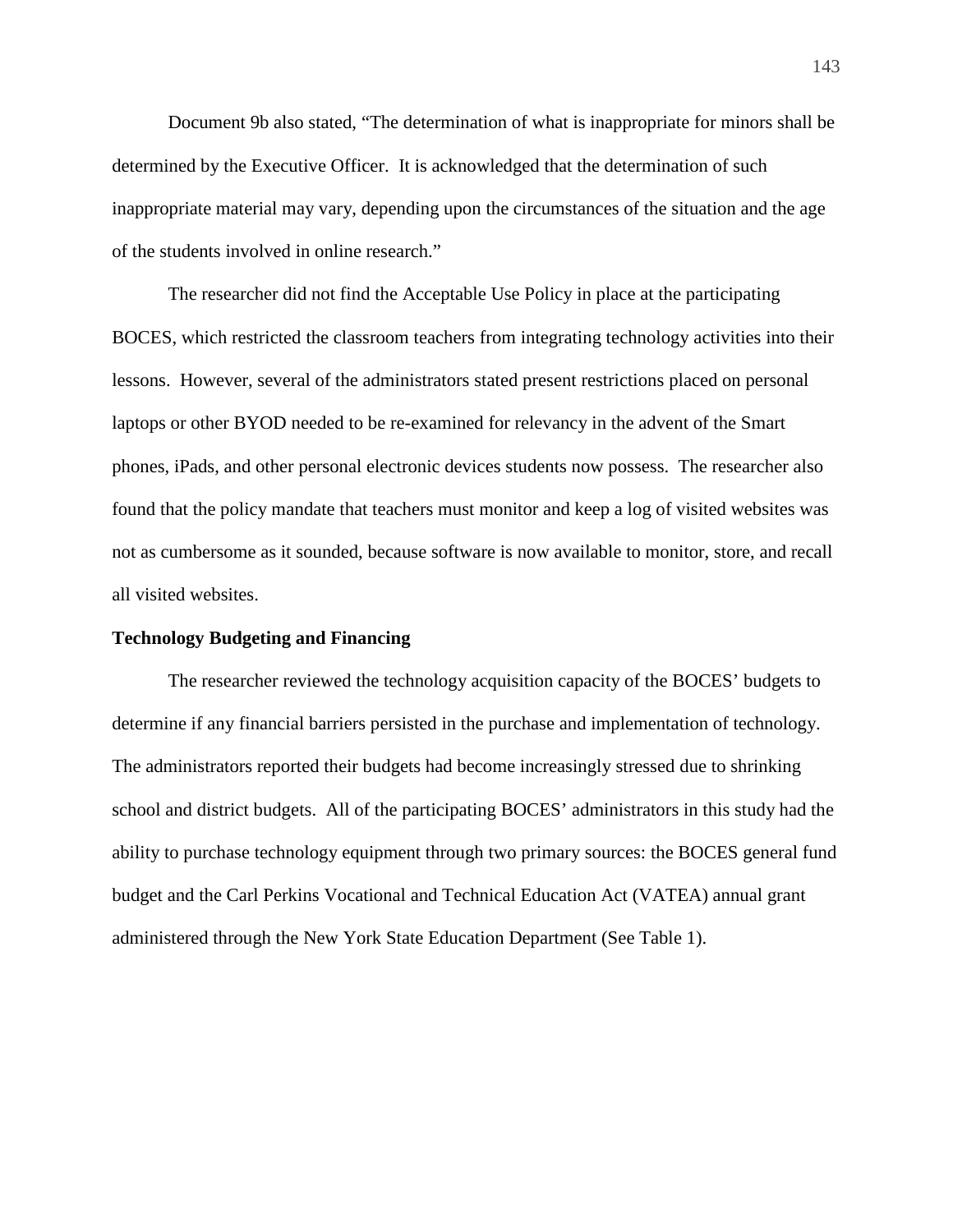Document 9b also stated, "The determination of what is inappropriate for minors shall be determined by the Executive Officer. It is acknowledged that the determination of such inappropriate material may vary, depending upon the circumstances of the situation and the age of the students involved in online research."

The researcher did not find the Acceptable Use Policy in place at the participating BOCES, which restricted the classroom teachers from integrating technology activities into their lessons. However, several of the administrators stated present restrictions placed on personal laptops or other BYOD needed to be re-examined for relevancy in the advent of the Smart phones, iPads, and other personal electronic devices students now possess. The researcher also found that the policy mandate that teachers must monitor and keep a log of visited websites was not as cumbersome as it sounded, because software is now available to monitor, store, and recall all visited websites.

# **Technology Budgeting and Financing**

 The researcher reviewed the technology acquisition capacity of the BOCES' budgets to determine if any financial barriers persisted in the purchase and implementation of technology. The administrators reported their budgets had become increasingly stressed due to shrinking school and district budgets. All of the participating BOCES' administrators in this study had the ability to purchase technology equipment through two primary sources: the BOCES general fund budget and the Carl Perkins Vocational and Technical Education Act (VATEA) annual grant administered through the New York State Education Department (See Table 1).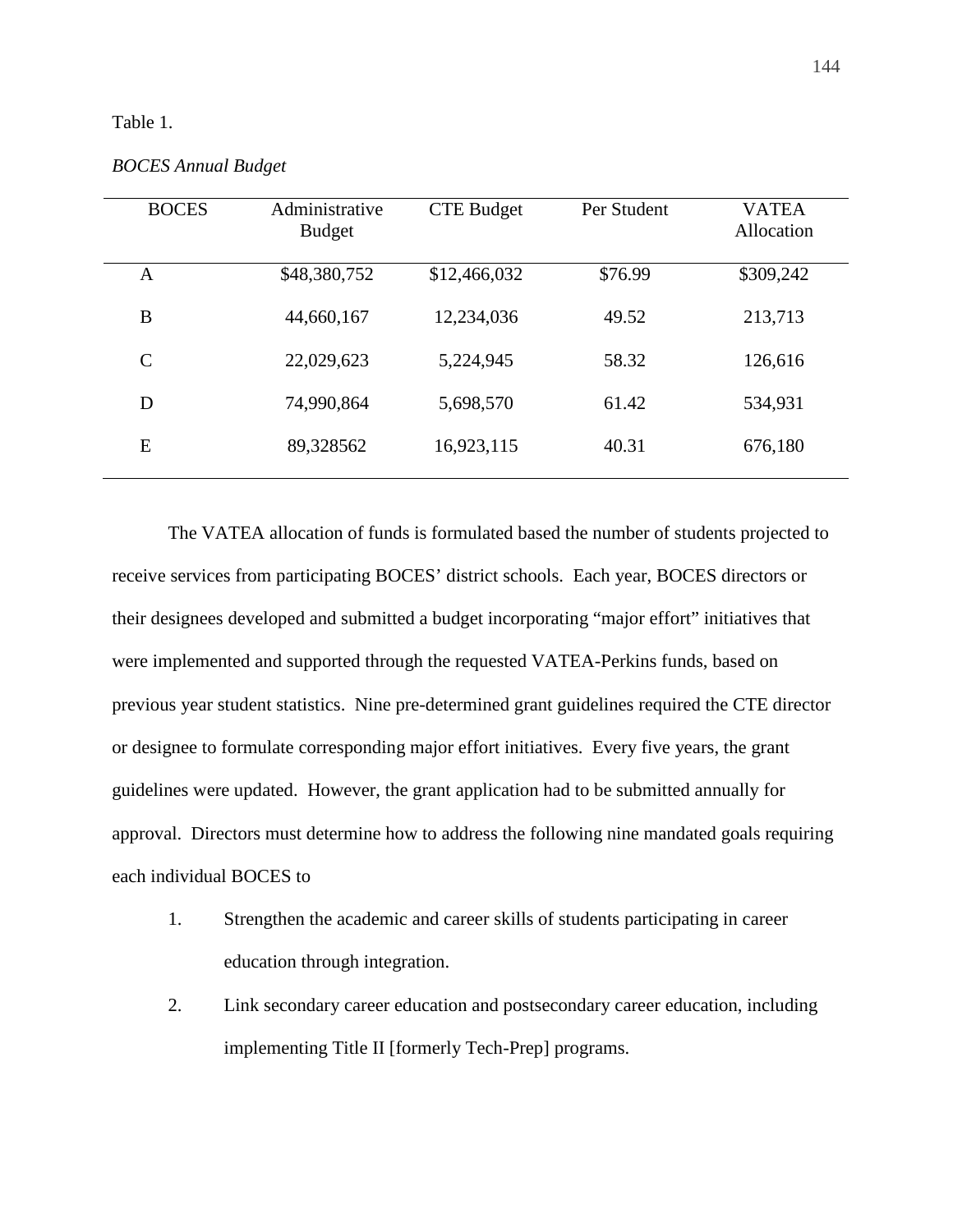# Table 1.

| <b>BOCES</b>  | Administrative<br><b>Budget</b> | <b>CTE Budget</b> | Per Student | <b>VATEA</b><br>Allocation |
|---------------|---------------------------------|-------------------|-------------|----------------------------|
| A             | \$48,380,752                    | \$12,466,032      | \$76.99     | \$309,242                  |
| B             | 44,660,167                      | 12,234,036        | 49.52       | 213,713                    |
| $\mathcal{C}$ | 22,029,623                      | 5,224,945         | 58.32       | 126,616                    |
| D             | 74,990,864                      | 5,698,570         | 61.42       | 534,931                    |
| E             | 89,328562                       | 16,923,115        | 40.31       | 676,180                    |

*BOCES Annual Budget*

The VATEA allocation of funds is formulated based the number of students projected to receive services from participating BOCES' district schools. Each year, BOCES directors or their designees developed and submitted a budget incorporating "major effort" initiatives that were implemented and supported through the requested VATEA-Perkins funds, based on previous year student statistics. Nine pre-determined grant guidelines required the CTE director or designee to formulate corresponding major effort initiatives. Every five years, the grant guidelines were updated. However, the grant application had to be submitted annually for approval. Directors must determine how to address the following nine mandated goals requiring each individual BOCES to

- 1. Strengthen the academic and career skills of students participating in career education through integration.
- 2. Link secondary career education and postsecondary career education, including implementing Title II [formerly Tech-Prep] programs.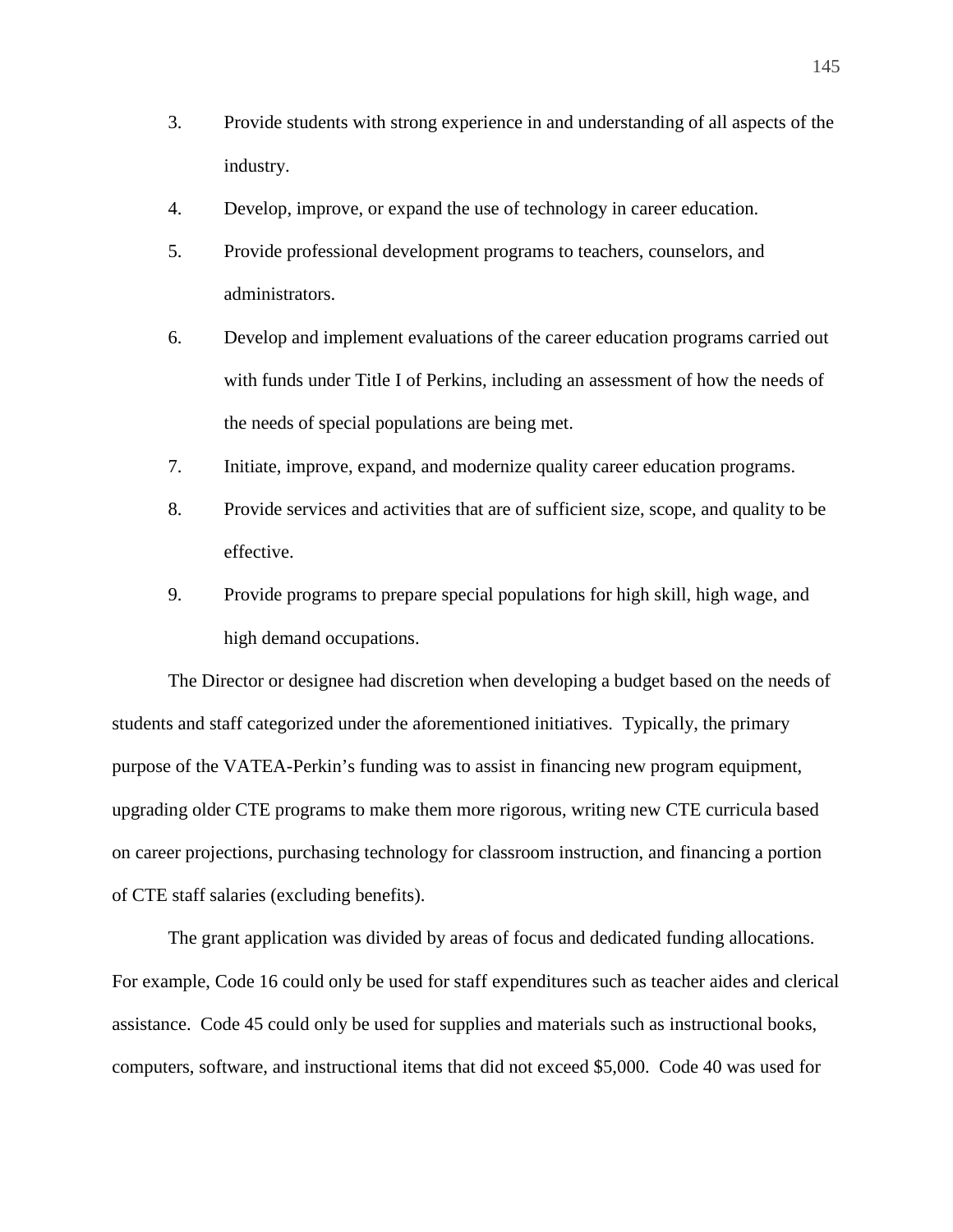- 3. Provide students with strong experience in and understanding of all aspects of the industry.
- 4. Develop, improve, or expand the use of technology in career education.
- 5. Provide professional development programs to teachers, counselors, and administrators.
- 6. Develop and implement evaluations of the career education programs carried out with funds under Title I of Perkins, including an assessment of how the needs of the needs of special populations are being met.
- 7. Initiate, improve, expand, and modernize quality career education programs.
- 8. Provide services and activities that are of sufficient size, scope, and quality to be effective.
- 9. Provide programs to prepare special populations for high skill, high wage, and high demand occupations.

The Director or designee had discretion when developing a budget based on the needs of students and staff categorized under the aforementioned initiatives. Typically, the primary purpose of the VATEA-Perkin's funding was to assist in financing new program equipment, upgrading older CTE programs to make them more rigorous, writing new CTE curricula based on career projections, purchasing technology for classroom instruction, and financing a portion of CTE staff salaries (excluding benefits).

The grant application was divided by areas of focus and dedicated funding allocations. For example, Code 16 could only be used for staff expenditures such as teacher aides and clerical assistance. Code 45 could only be used for supplies and materials such as instructional books, computers, software, and instructional items that did not exceed \$5,000. Code 40 was used for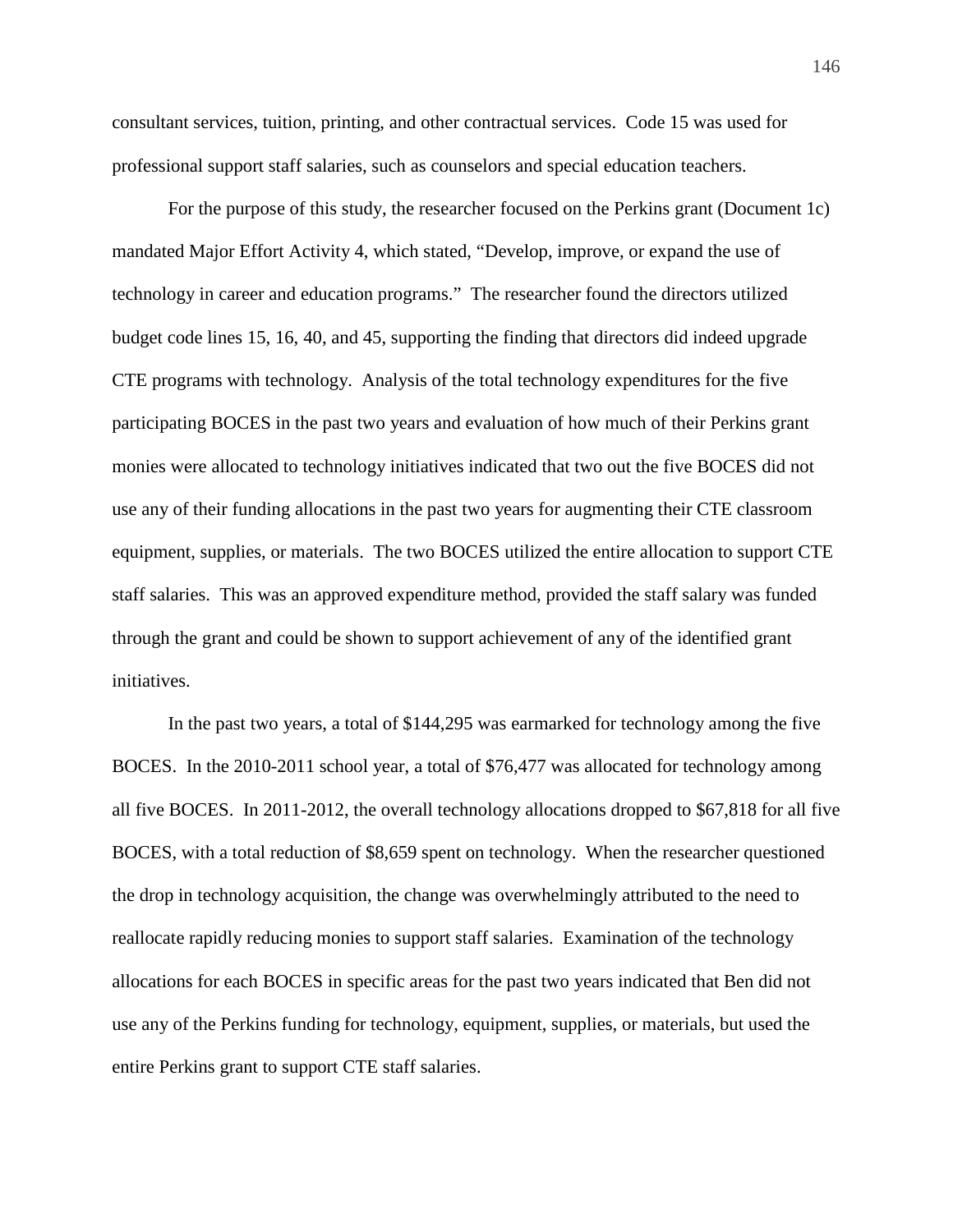consultant services, tuition, printing, and other contractual services. Code 15 was used for professional support staff salaries, such as counselors and special education teachers.

For the purpose of this study, the researcher focused on the Perkins grant (Document 1c) mandated Major Effort Activity 4, which stated, "Develop, improve, or expand the use of technology in career and education programs." The researcher found the directors utilized budget code lines 15, 16, 40, and 45, supporting the finding that directors did indeed upgrade CTE programs with technology. Analysis of the total technology expenditures for the five participating BOCES in the past two years and evaluation of how much of their Perkins grant monies were allocated to technology initiatives indicated that two out the five BOCES did not use any of their funding allocations in the past two years for augmenting their CTE classroom equipment, supplies, or materials. The two BOCES utilized the entire allocation to support CTE staff salaries. This was an approved expenditure method, provided the staff salary was funded through the grant and could be shown to support achievement of any of the identified grant initiatives.

In the past two years, a total of \$144,295 was earmarked for technology among the five BOCES. In the 2010-2011 school year, a total of \$76,477 was allocated for technology among all five BOCES. In 2011-2012, the overall technology allocations dropped to \$67,818 for all five BOCES, with a total reduction of \$8,659 spent on technology. When the researcher questioned the drop in technology acquisition, the change was overwhelmingly attributed to the need to reallocate rapidly reducing monies to support staff salaries. Examination of the technology allocations for each BOCES in specific areas for the past two years indicated that Ben did not use any of the Perkins funding for technology, equipment, supplies, or materials, but used the entire Perkins grant to support CTE staff salaries.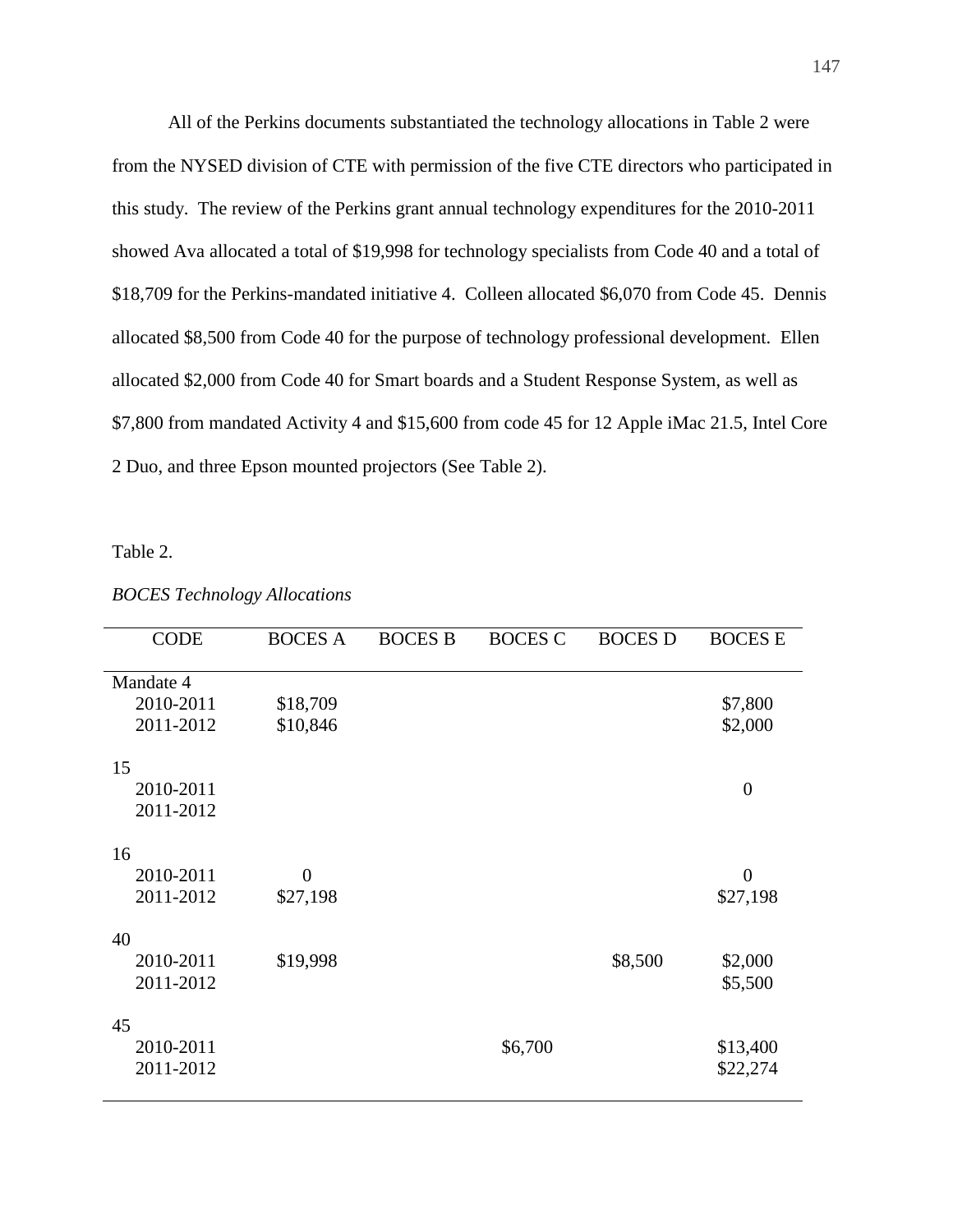All of the Perkins documents substantiated the technology allocations in Table 2 were from the NYSED division of CTE with permission of the five CTE directors who participated in this study. The review of the Perkins grant annual technology expenditures for the 2010-2011 showed Ava allocated a total of \$19,998 for technology specialists from Code 40 and a total of \$18,709 for the Perkins-mandated initiative 4. Colleen allocated \$6,070 from Code 45. Dennis allocated \$8,500 from Code 40 for the purpose of technology professional development. Ellen allocated \$2,000 from Code 40 for Smart boards and a Student Response System, as well as \$7,800 from mandated Activity 4 and \$15,600 from code 45 for 12 Apple iMac 21.5, Intel Core 2 Duo, and three Epson mounted projectors (See Table 2).

Table 2.

| <b>CODE</b> | <b>BOCES A</b>   | <b>BOCES B</b> | <b>BOCES C</b> | <b>BOCES D</b> | <b>BOCES E</b> |
|-------------|------------------|----------------|----------------|----------------|----------------|
|             |                  |                |                |                |                |
| Mandate 4   |                  |                |                |                |                |
| 2010-2011   | \$18,709         |                |                |                | \$7,800        |
| 2011-2012   | \$10,846         |                |                |                | \$2,000        |
|             |                  |                |                |                |                |
| 15          |                  |                |                |                |                |
| 2010-2011   |                  |                |                |                | $\overline{0}$ |
| 2011-2012   |                  |                |                |                |                |
|             |                  |                |                |                |                |
| 16          |                  |                |                |                |                |
| 2010-2011   | $\boldsymbol{0}$ |                |                |                | $\overline{0}$ |
| 2011-2012   | \$27,198         |                |                |                | \$27,198       |
|             |                  |                |                |                |                |
| 40          |                  |                |                |                |                |
| 2010-2011   | \$19,998         |                |                | \$8,500        | \$2,000        |
| 2011-2012   |                  |                |                |                | \$5,500        |
|             |                  |                |                |                |                |
| 45          |                  |                |                |                |                |
| 2010-2011   |                  |                | \$6,700        |                | \$13,400       |
| 2011-2012   |                  |                |                |                | \$22,274       |
|             |                  |                |                |                |                |

*BOCES Technology Allocations*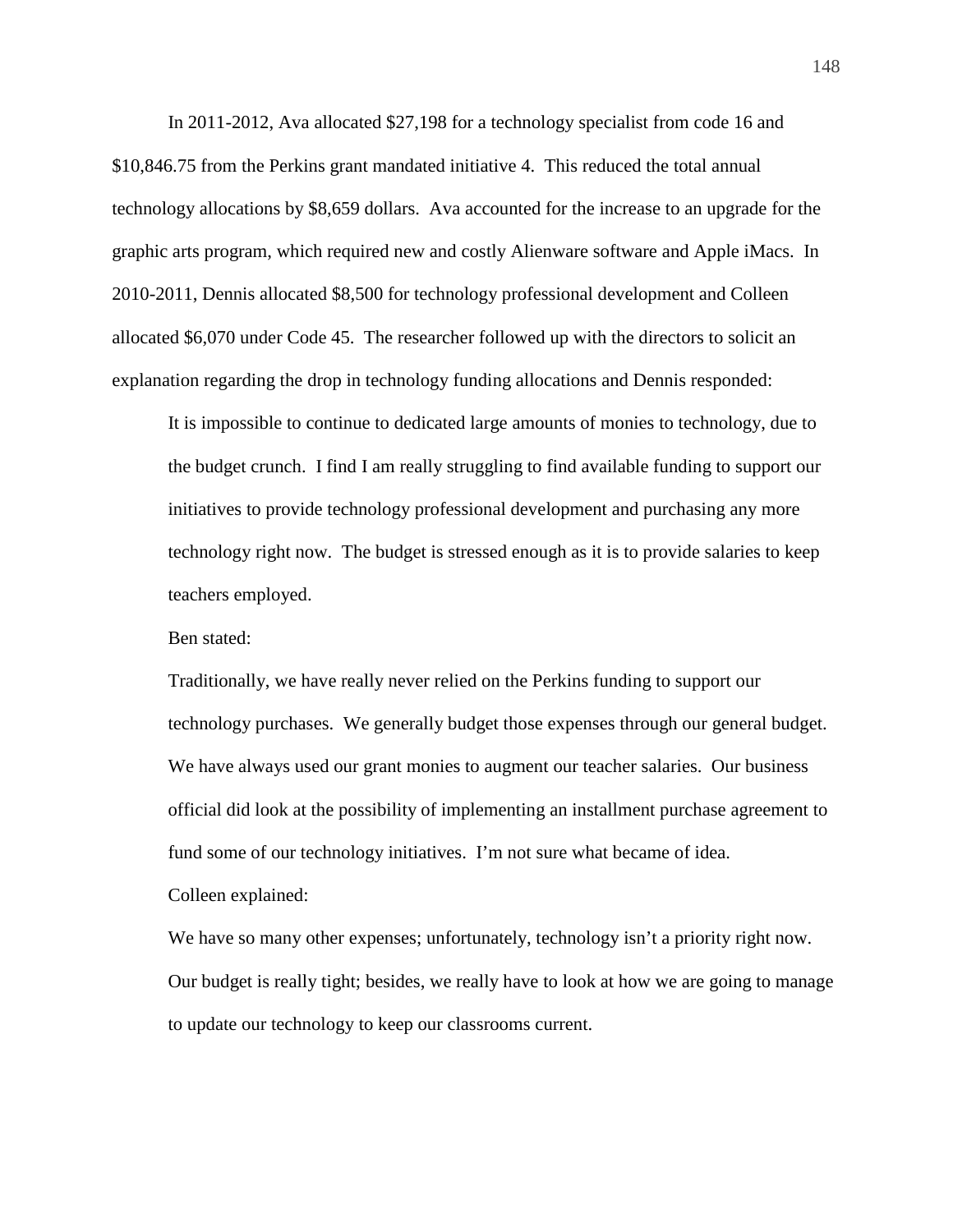In 2011-2012, Ava allocated \$27,198 for a technology specialist from code 16 and \$10,846.75 from the Perkins grant mandated initiative 4. This reduced the total annual technology allocations by \$8,659 dollars. Ava accounted for the increase to an upgrade for the graphic arts program, which required new and costly Alienware software and Apple iMacs. In 2010-2011, Dennis allocated \$8,500 for technology professional development and Colleen allocated \$6,070 under Code 45. The researcher followed up with the directors to solicit an explanation regarding the drop in technology funding allocations and Dennis responded:

It is impossible to continue to dedicated large amounts of monies to technology, due to the budget crunch. I find I am really struggling to find available funding to support our initiatives to provide technology professional development and purchasing any more technology right now. The budget is stressed enough as it is to provide salaries to keep teachers employed.

Ben stated:

Traditionally, we have really never relied on the Perkins funding to support our technology purchases. We generally budget those expenses through our general budget. We have always used our grant monies to augment our teacher salaries. Our business official did look at the possibility of implementing an installment purchase agreement to fund some of our technology initiatives. I'm not sure what became of idea.

Colleen explained:

We have so many other expenses; unfortunately, technology isn't a priority right now. Our budget is really tight; besides, we really have to look at how we are going to manage to update our technology to keep our classrooms current.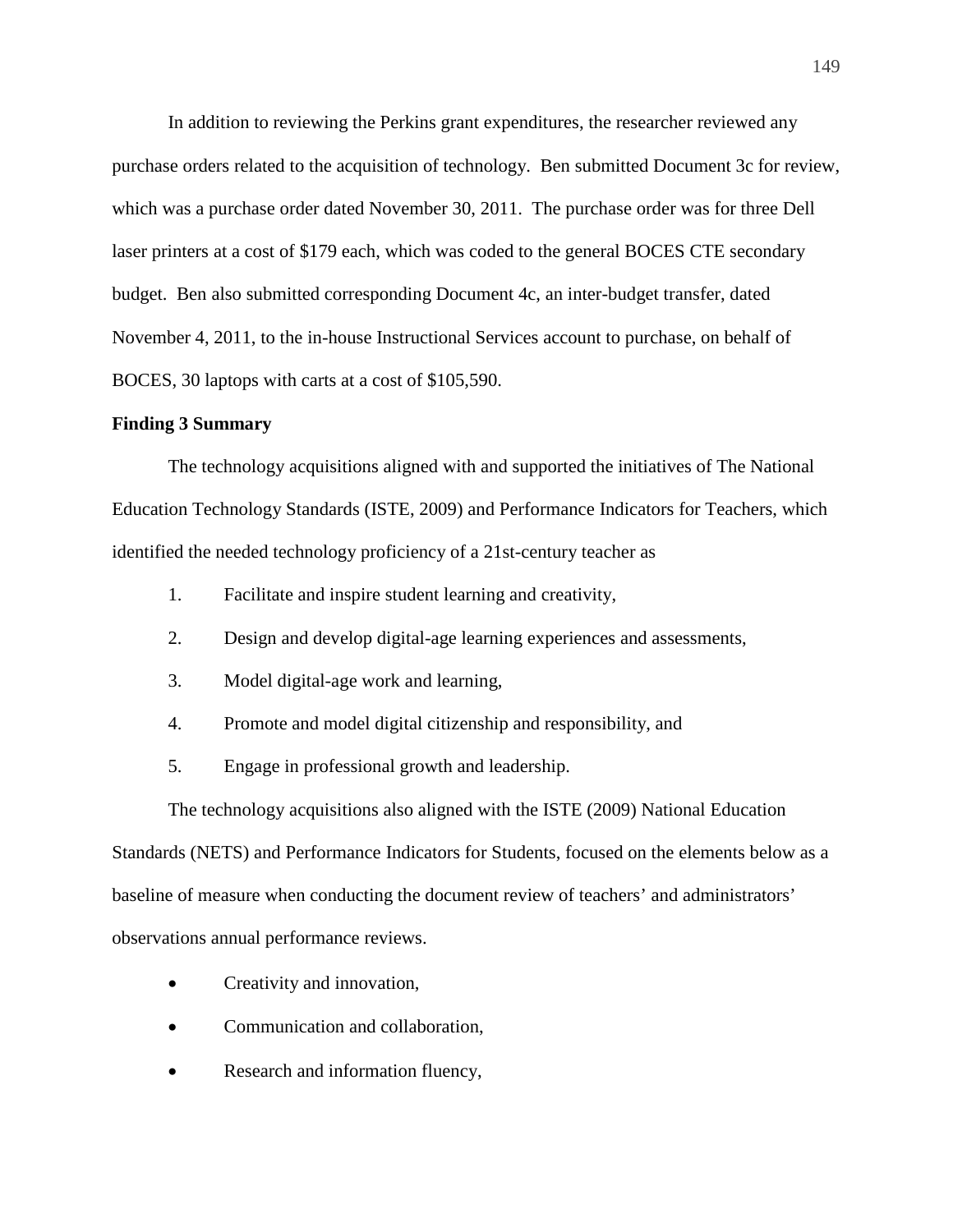In addition to reviewing the Perkins grant expenditures, the researcher reviewed any purchase orders related to the acquisition of technology. Ben submitted Document 3c for review, which was a purchase order dated November 30, 2011. The purchase order was for three Dell laser printers at a cost of \$179 each, which was coded to the general BOCES CTE secondary budget. Ben also submitted corresponding Document 4c, an inter-budget transfer, dated November 4, 2011, to the in-house Instructional Services account to purchase, on behalf of BOCES, 30 laptops with carts at a cost of \$105,590.

## **Finding 3 Summary**

 The technology acquisitions aligned with and supported the initiatives of The National Education Technology Standards (ISTE, 2009) and Performance Indicators for Teachers, which identified the needed technology proficiency of a 21st-century teacher as

- 1. Facilitate and inspire student learning and creativity,
- 2. Design and develop digital-age learning experiences and assessments,
- 3. Model digital-age work and learning,
- 4. Promote and model digital citizenship and responsibility, and
- 5. Engage in professional growth and leadership.

The technology acquisitions also aligned with the ISTE (2009) National Education Standards (NETS) and Performance Indicators for Students, focused on the elements below as a baseline of measure when conducting the document review of teachers' and administrators' observations annual performance reviews.

- Creativity and innovation,
- Communication and collaboration,
- Research and information fluency,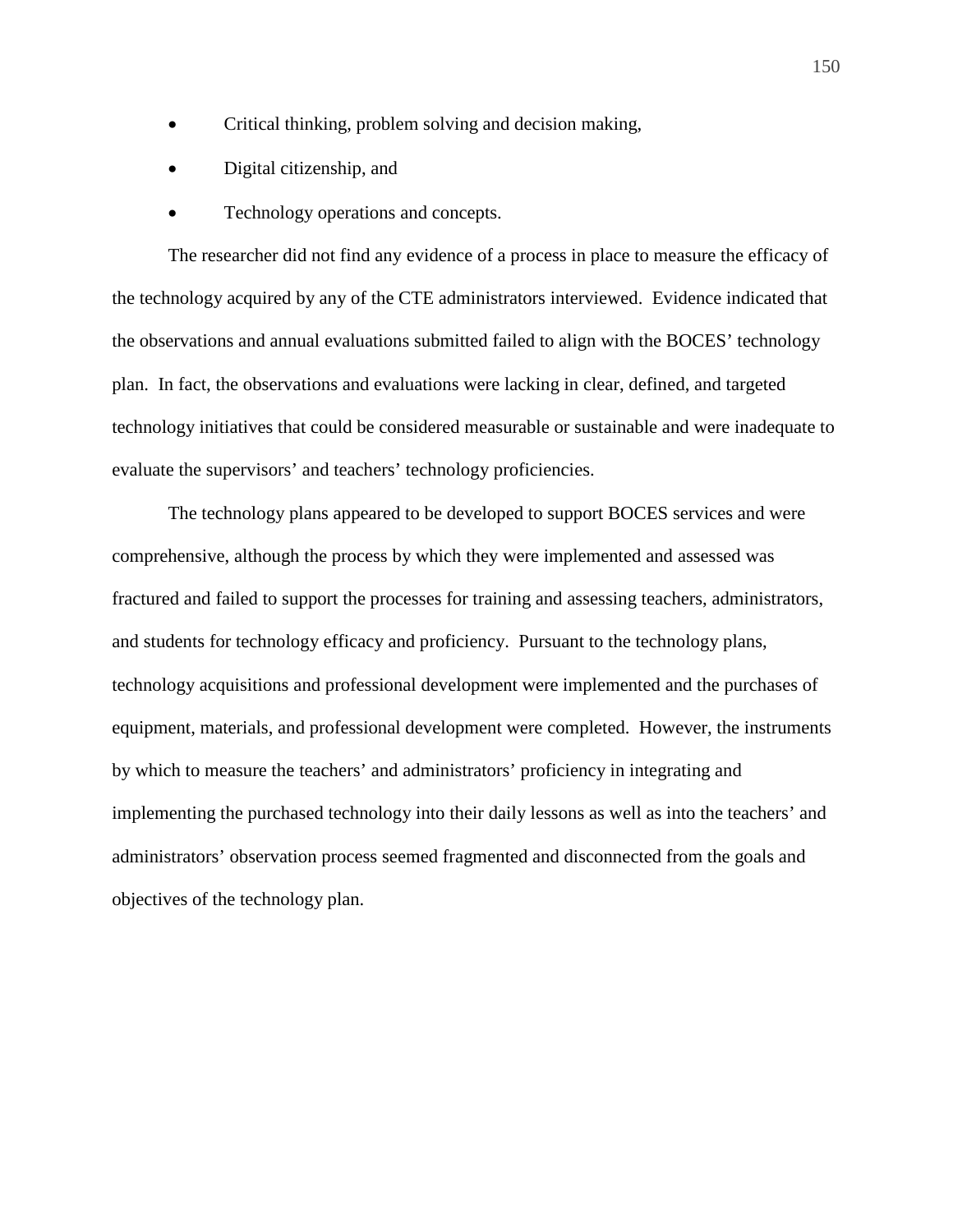- Critical thinking, problem solving and decision making,
- Digital citizenship, and
- Technology operations and concepts.

The researcher did not find any evidence of a process in place to measure the efficacy of the technology acquired by any of the CTE administrators interviewed. Evidence indicated that the observations and annual evaluations submitted failed to align with the BOCES' technology plan. In fact, the observations and evaluations were lacking in clear, defined, and targeted technology initiatives that could be considered measurable or sustainable and were inadequate to evaluate the supervisors' and teachers' technology proficiencies.

The technology plans appeared to be developed to support BOCES services and were comprehensive, although the process by which they were implemented and assessed was fractured and failed to support the processes for training and assessing teachers, administrators, and students for technology efficacy and proficiency. Pursuant to the technology plans, technology acquisitions and professional development were implemented and the purchases of equipment, materials, and professional development were completed. However, the instruments by which to measure the teachers' and administrators' proficiency in integrating and implementing the purchased technology into their daily lessons as well as into the teachers' and administrators' observation process seemed fragmented and disconnected from the goals and objectives of the technology plan.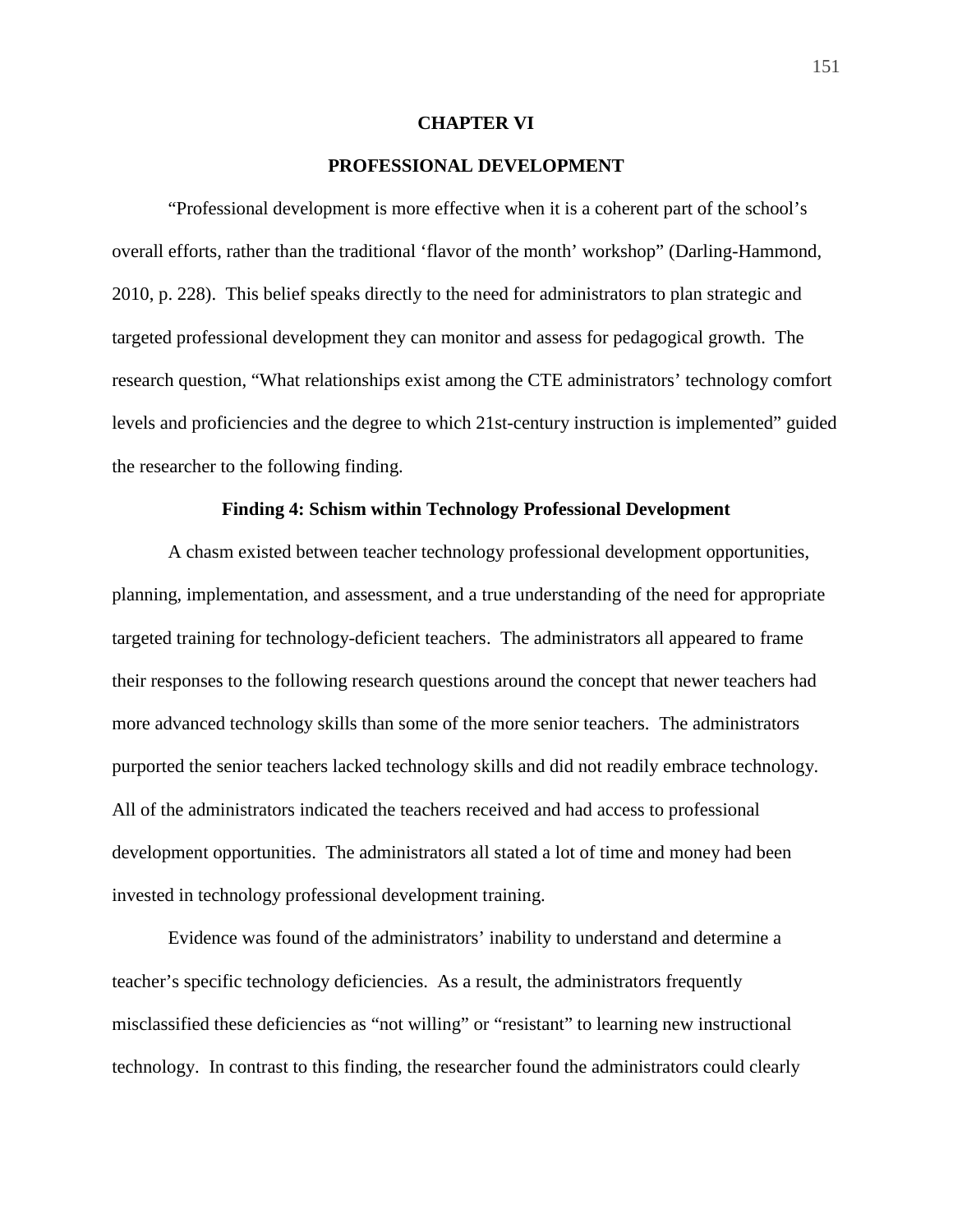### **CHAPTER VI**

# **PROFESSIONAL DEVELOPMENT**

 "Professional development is more effective when it is a coherent part of the school's overall efforts, rather than the traditional 'flavor of the month' workshop" (Darling-Hammond, 2010, p. 228). This belief speaks directly to the need for administrators to plan strategic and targeted professional development they can monitor and assess for pedagogical growth. The research question, "What relationships exist among the CTE administrators' technology comfort levels and proficiencies and the degree to which 21st-century instruction is implemented" guided the researcher to the following finding.

## **Finding 4: Schism within Technology Professional Development**

 A chasm existed between teacher technology professional development opportunities, planning, implementation, and assessment, and a true understanding of the need for appropriate targeted training for technology-deficient teachers. The administrators all appeared to frame their responses to the following research questions around the concept that newer teachers had more advanced technology skills than some of the more senior teachers. The administrators purported the senior teachers lacked technology skills and did not readily embrace technology. All of the administrators indicated the teachers received and had access to professional development opportunities. The administrators all stated a lot of time and money had been invested in technology professional development training.

 Evidence was found of the administrators' inability to understand and determine a teacher's specific technology deficiencies. As a result, the administrators frequently misclassified these deficiencies as "not willing" or "resistant" to learning new instructional technology. In contrast to this finding, the researcher found the administrators could clearly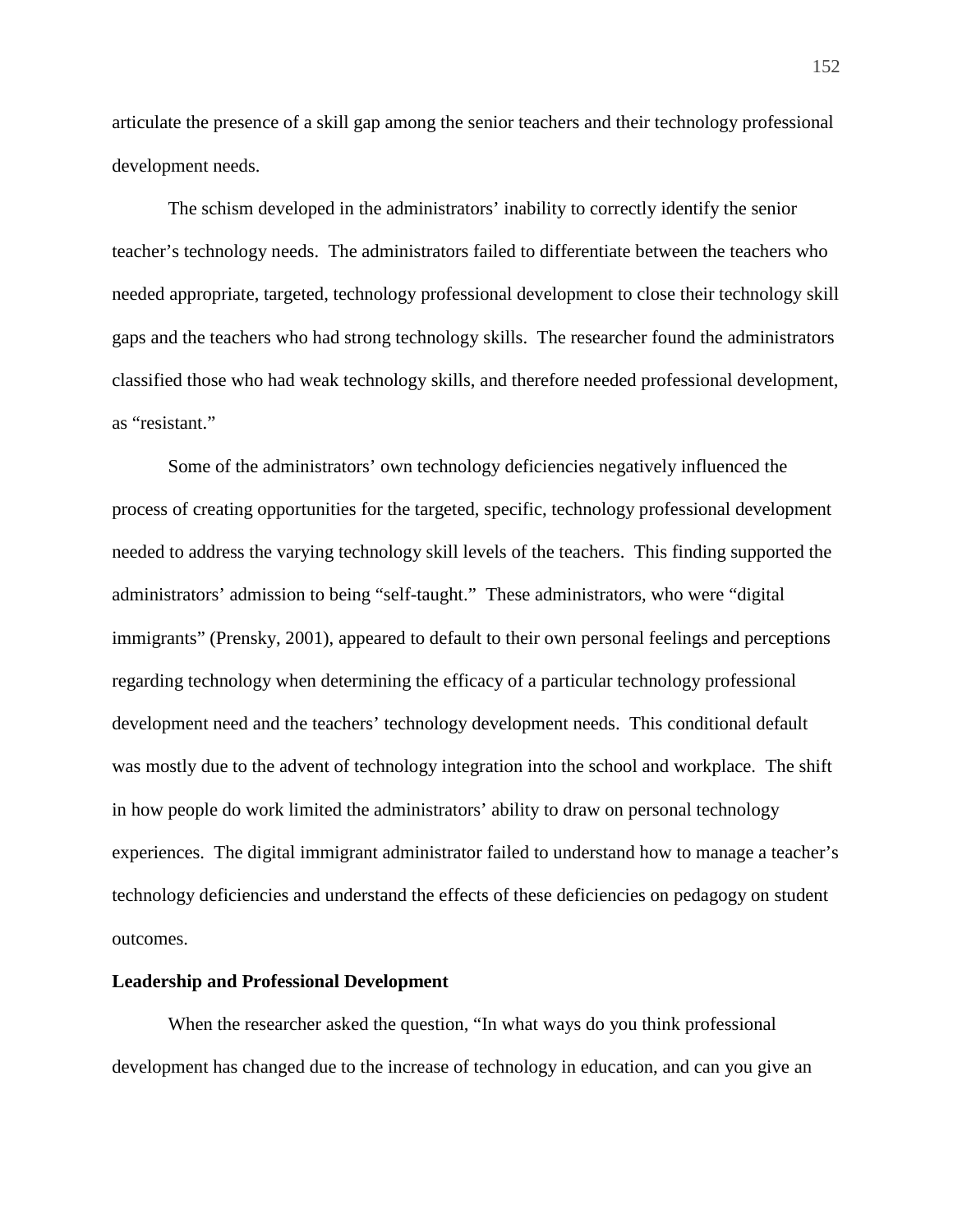articulate the presence of a skill gap among the senior teachers and their technology professional development needs.

 The schism developed in the administrators' inability to correctly identify the senior teacher's technology needs. The administrators failed to differentiate between the teachers who needed appropriate, targeted, technology professional development to close their technology skill gaps and the teachers who had strong technology skills. The researcher found the administrators classified those who had weak technology skills, and therefore needed professional development, as "resistant."

 Some of the administrators' own technology deficiencies negatively influenced the process of creating opportunities for the targeted, specific, technology professional development needed to address the varying technology skill levels of the teachers. This finding supported the administrators' admission to being "self-taught." These administrators, who were "digital immigrants" (Prensky, 2001), appeared to default to their own personal feelings and perceptions regarding technology when determining the efficacy of a particular technology professional development need and the teachers' technology development needs. This conditional default was mostly due to the advent of technology integration into the school and workplace. The shift in how people do work limited the administrators' ability to draw on personal technology experiences. The digital immigrant administrator failed to understand how to manage a teacher's technology deficiencies and understand the effects of these deficiencies on pedagogy on student outcomes.

#### **Leadership and Professional Development**

 When the researcher asked the question, "In what ways do you think professional development has changed due to the increase of technology in education, and can you give an

152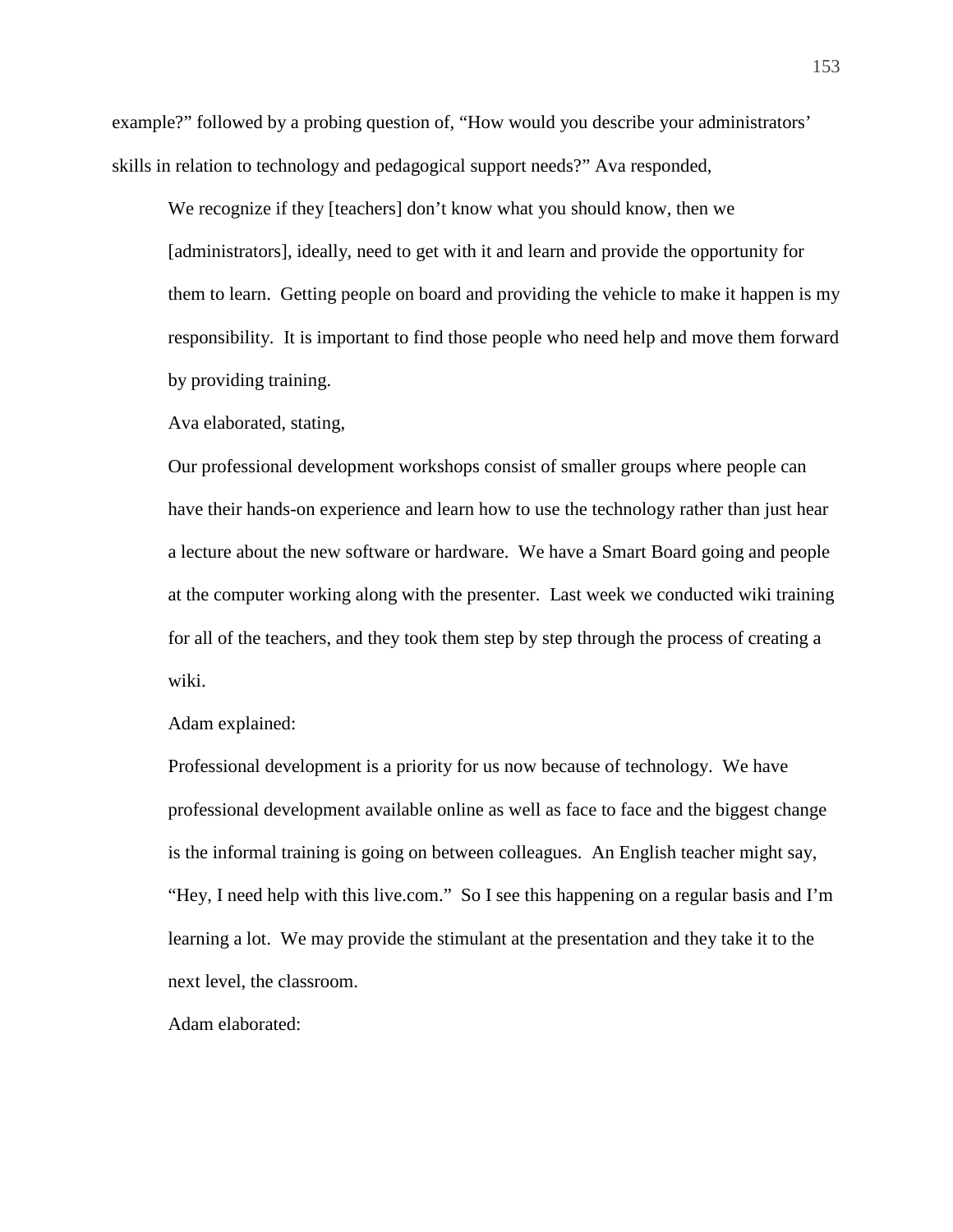example?" followed by a probing question of, "How would you describe your administrators' skills in relation to technology and pedagogical support needs?" Ava responded,

We recognize if they [teachers] don't know what you should know, then we [administrators], ideally, need to get with it and learn and provide the opportunity for them to learn. Getting people on board and providing the vehicle to make it happen is my responsibility. It is important to find those people who need help and move them forward by providing training.

Ava elaborated, stating,

Our professional development workshops consist of smaller groups where people can have their hands-on experience and learn how to use the technology rather than just hear a lecture about the new software or hardware. We have a Smart Board going and people at the computer working along with the presenter. Last week we conducted wiki training for all of the teachers, and they took them step by step through the process of creating a wiki.

Adam explained:

Professional development is a priority for us now because of technology. We have professional development available online as well as face to face and the biggest change is the informal training is going on between colleagues. An English teacher might say, "Hey, I need help with this live.com." So I see this happening on a regular basis and I'm learning a lot. We may provide the stimulant at the presentation and they take it to the next level, the classroom.

Adam elaborated: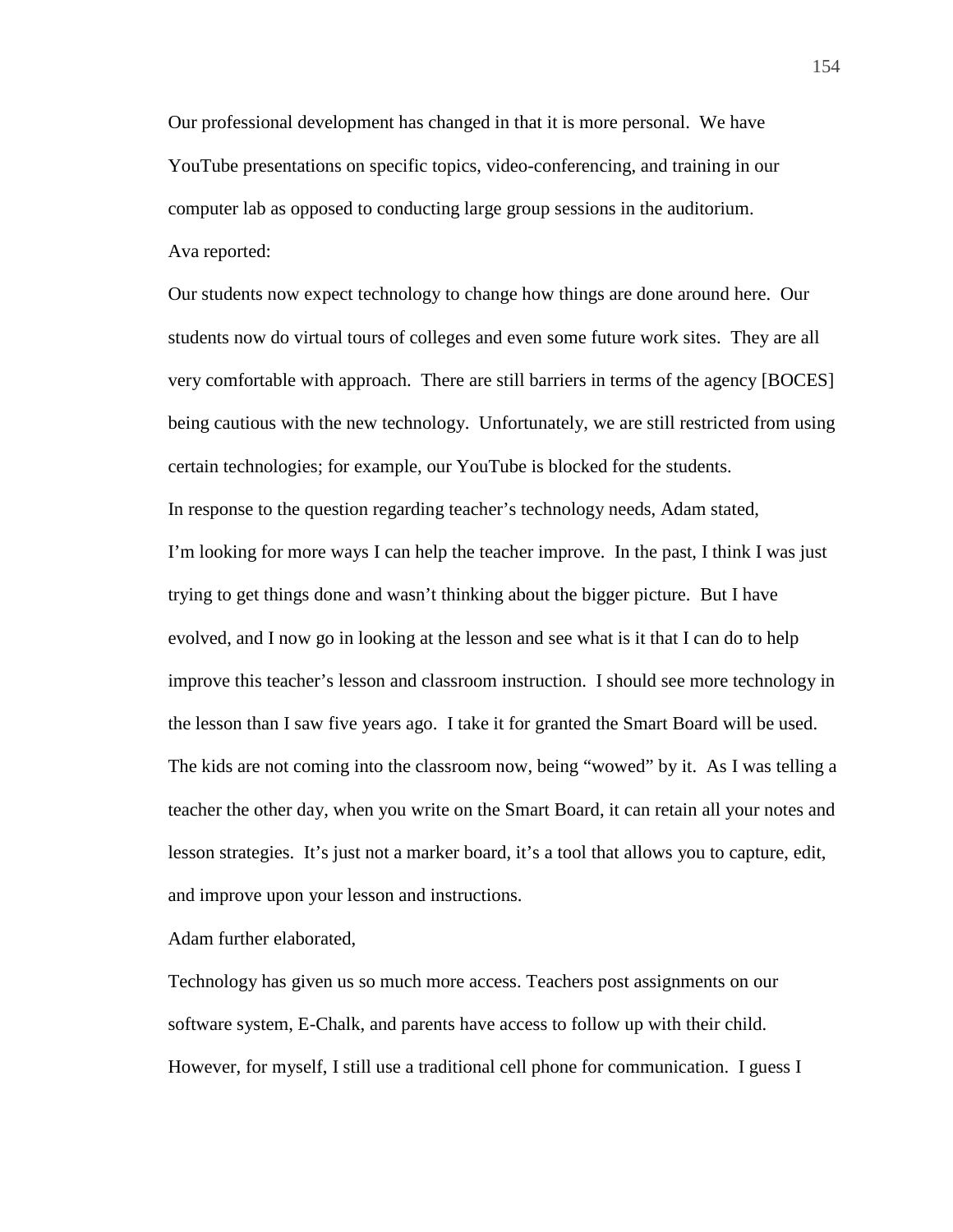Our professional development has changed in that it is more personal. We have YouTube presentations on specific topics, video-conferencing, and training in our computer lab as opposed to conducting large group sessions in the auditorium. Ava reported:

Our students now expect technology to change how things are done around here. Our students now do virtual tours of colleges and even some future work sites. They are all very comfortable with approach. There are still barriers in terms of the agency [BOCES] being cautious with the new technology. Unfortunately, we are still restricted from using certain technologies; for example, our YouTube is blocked for the students. In response to the question regarding teacher's technology needs, Adam stated, I'm looking for more ways I can help the teacher improve. In the past, I think I was just trying to get things done and wasn't thinking about the bigger picture. But I have evolved, and I now go in looking at the lesson and see what is it that I can do to help improve this teacher's lesson and classroom instruction. I should see more technology in the lesson than I saw five years ago. I take it for granted the Smart Board will be used. The kids are not coming into the classroom now, being "wowed" by it. As I was telling a teacher the other day, when you write on the Smart Board, it can retain all your notes and lesson strategies. It's just not a marker board, it's a tool that allows you to capture, edit, and improve upon your lesson and instructions.

Adam further elaborated,

Technology has given us so much more access. Teachers post assignments on our software system, E-Chalk, and parents have access to follow up with their child. However, for myself, I still use a traditional cell phone for communication. I guess I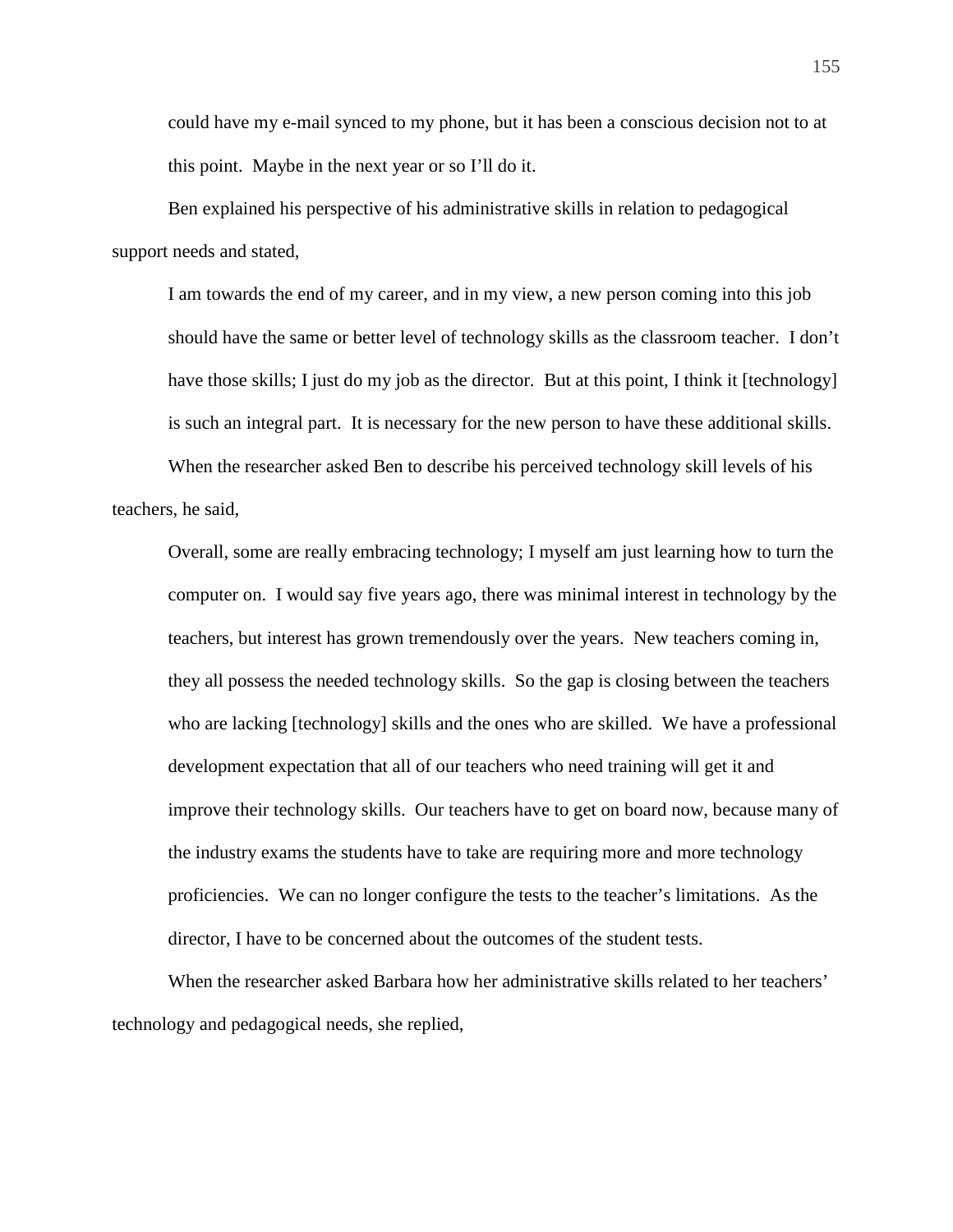could have my e-mail synced to my phone, but it has been a conscious decision not to at this point. Maybe in the next year or so I'll do it.

Ben explained his perspective of his administrative skills in relation to pedagogical support needs and stated,

I am towards the end of my career, and in my view, a new person coming into this job should have the same or better level of technology skills as the classroom teacher. I don't have those skills; I just do my job as the director. But at this point, I think it [technology] is such an integral part. It is necessary for the new person to have these additional skills.

When the researcher asked Ben to describe his perceived technology skill levels of his teachers, he said,

Overall, some are really embracing technology; I myself am just learning how to turn the computer on. I would say five years ago, there was minimal interest in technology by the teachers, but interest has grown tremendously over the years. New teachers coming in, they all possess the needed technology skills. So the gap is closing between the teachers who are lacking [technology] skills and the ones who are skilled. We have a professional development expectation that all of our teachers who need training will get it and improve their technology skills. Our teachers have to get on board now, because many of the industry exams the students have to take are requiring more and more technology proficiencies. We can no longer configure the tests to the teacher's limitations. As the director, I have to be concerned about the outcomes of the student tests.

When the researcher asked Barbara how her administrative skills related to her teachers' technology and pedagogical needs, she replied,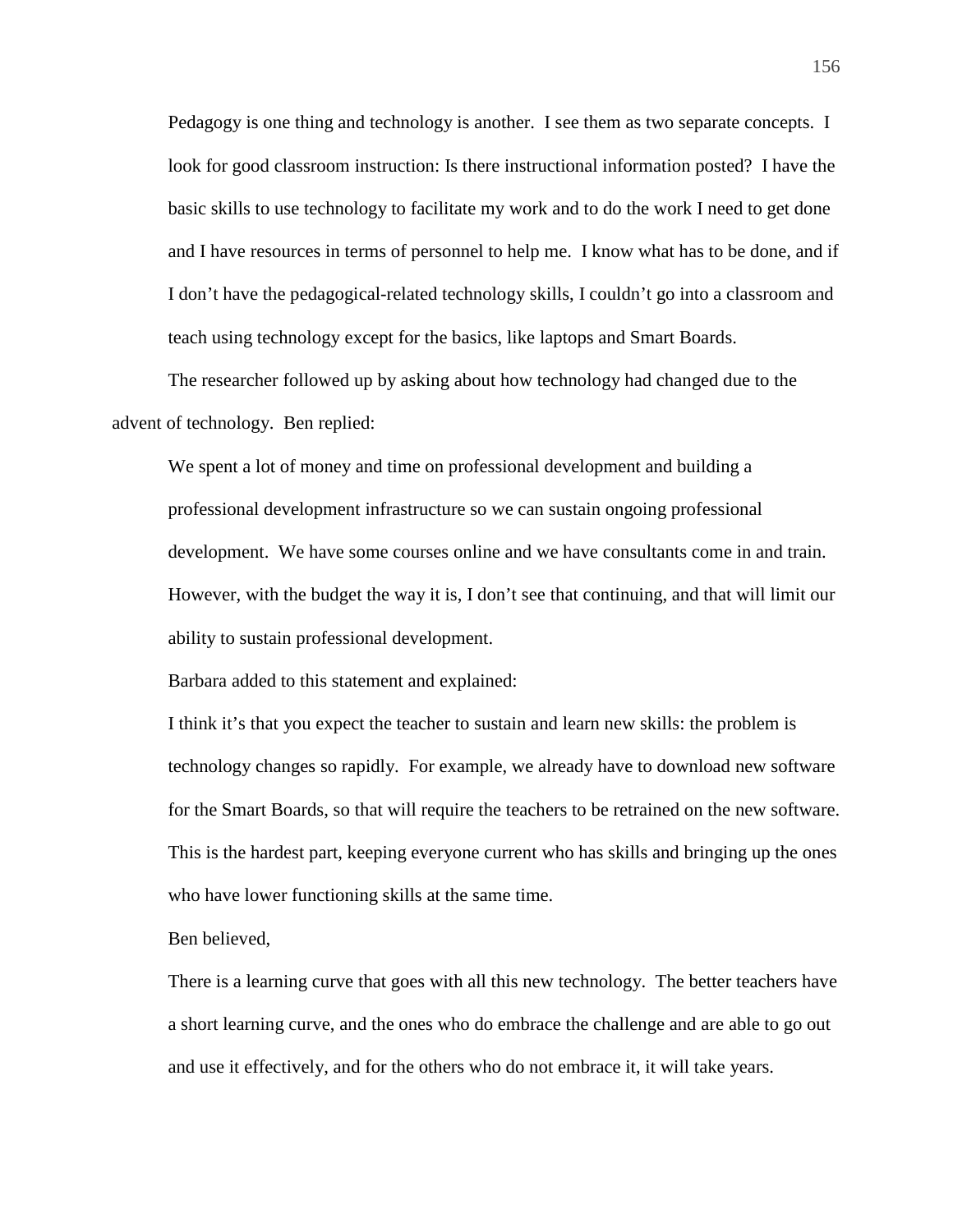Pedagogy is one thing and technology is another. I see them as two separate concepts. I look for good classroom instruction: Is there instructional information posted? I have the basic skills to use technology to facilitate my work and to do the work I need to get done and I have resources in terms of personnel to help me. I know what has to be done, and if I don't have the pedagogical-related technology skills, I couldn't go into a classroom and teach using technology except for the basics, like laptops and Smart Boards.

The researcher followed up by asking about how technology had changed due to the advent of technology. Ben replied:

We spent a lot of money and time on professional development and building a professional development infrastructure so we can sustain ongoing professional development. We have some courses online and we have consultants come in and train. However, with the budget the way it is, I don't see that continuing, and that will limit our ability to sustain professional development.

Barbara added to this statement and explained:

I think it's that you expect the teacher to sustain and learn new skills: the problem is technology changes so rapidly. For example, we already have to download new software for the Smart Boards, so that will require the teachers to be retrained on the new software. This is the hardest part, keeping everyone current who has skills and bringing up the ones who have lower functioning skills at the same time.

Ben believed,

There is a learning curve that goes with all this new technology. The better teachers have a short learning curve, and the ones who do embrace the challenge and are able to go out and use it effectively, and for the others who do not embrace it, it will take years.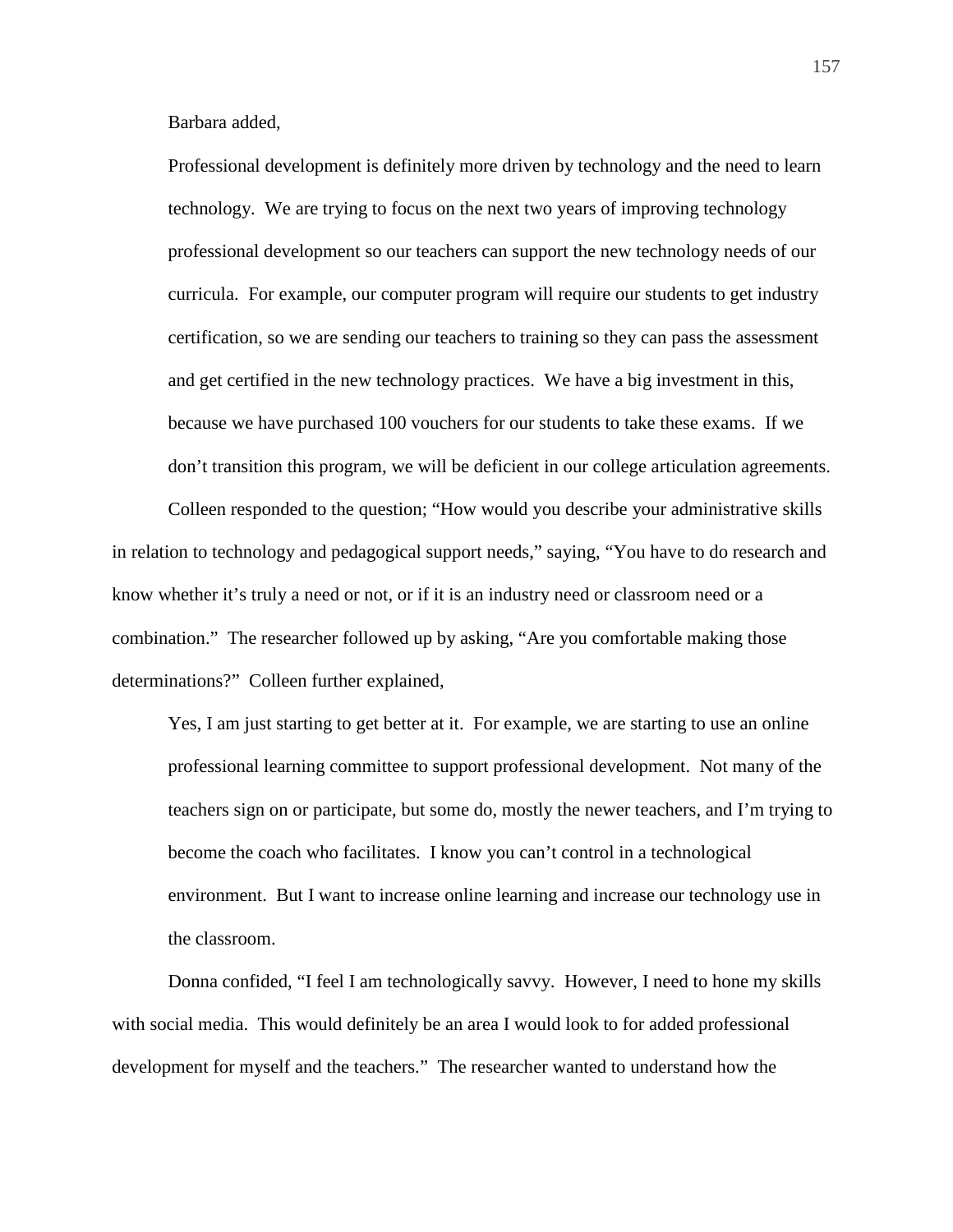Barbara added,

Professional development is definitely more driven by technology and the need to learn technology. We are trying to focus on the next two years of improving technology professional development so our teachers can support the new technology needs of our curricula. For example, our computer program will require our students to get industry certification, so we are sending our teachers to training so they can pass the assessment and get certified in the new technology practices. We have a big investment in this, because we have purchased 100 vouchers for our students to take these exams. If we don't transition this program, we will be deficient in our college articulation agreements.

Colleen responded to the question; "How would you describe your administrative skills in relation to technology and pedagogical support needs," saying, "You have to do research and know whether it's truly a need or not, or if it is an industry need or classroom need or a combination." The researcher followed up by asking, "Are you comfortable making those determinations?" Colleen further explained,

Yes, I am just starting to get better at it. For example, we are starting to use an online professional learning committee to support professional development. Not many of the teachers sign on or participate, but some do, mostly the newer teachers, and I'm trying to become the coach who facilitates. I know you can't control in a technological environment. But I want to increase online learning and increase our technology use in the classroom.

Donna confided, "I feel I am technologically savvy. However, I need to hone my skills with social media. This would definitely be an area I would look to for added professional development for myself and the teachers." The researcher wanted to understand how the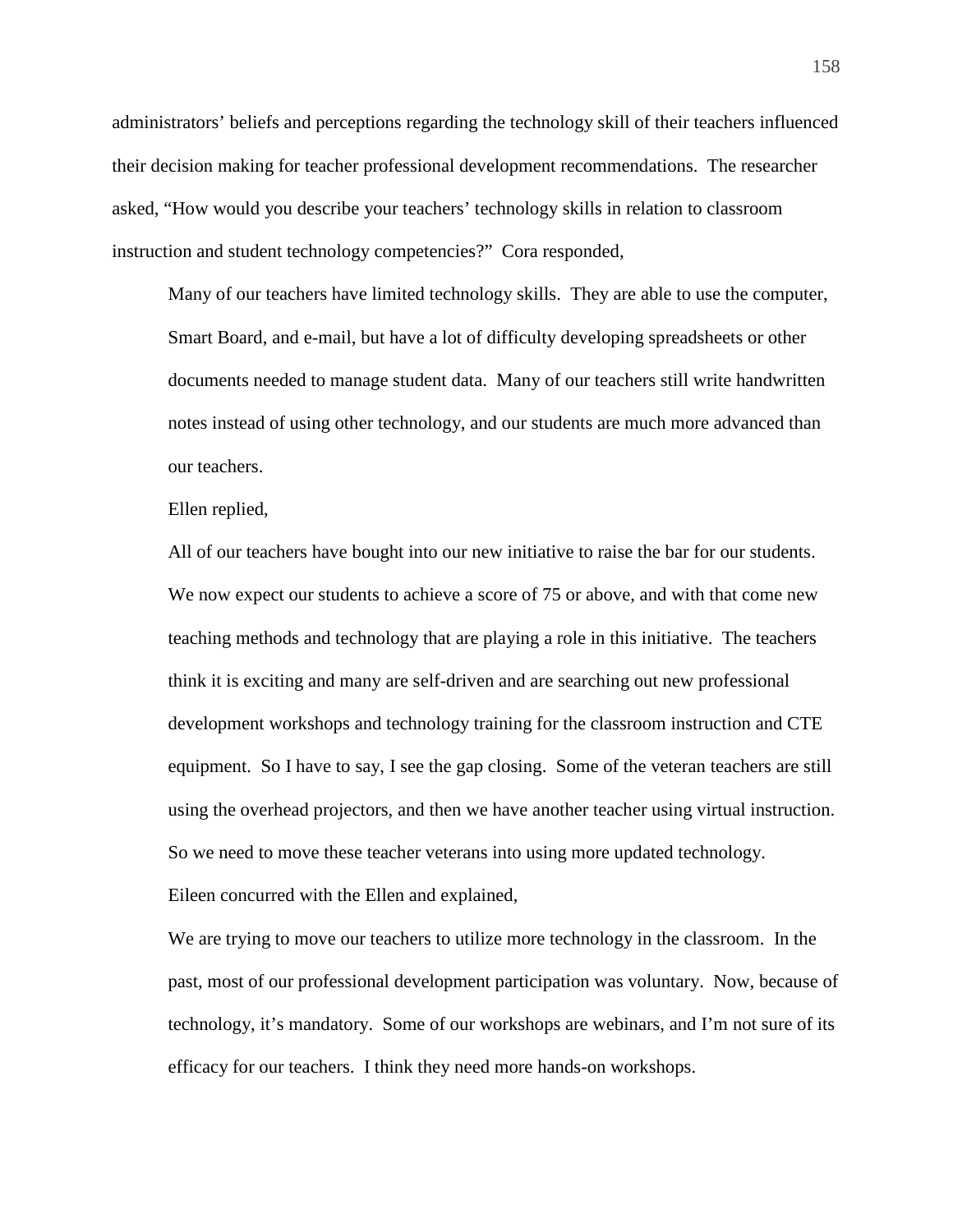administrators' beliefs and perceptions regarding the technology skill of their teachers influenced their decision making for teacher professional development recommendations. The researcher asked, "How would you describe your teachers' technology skills in relation to classroom instruction and student technology competencies?" Cora responded,

Many of our teachers have limited technology skills. They are able to use the computer, Smart Board, and e-mail, but have a lot of difficulty developing spreadsheets or other documents needed to manage student data. Many of our teachers still write handwritten notes instead of using other technology, and our students are much more advanced than our teachers.

Ellen replied,

All of our teachers have bought into our new initiative to raise the bar for our students. We now expect our students to achieve a score of 75 or above, and with that come new teaching methods and technology that are playing a role in this initiative. The teachers think it is exciting and many are self-driven and are searching out new professional development workshops and technology training for the classroom instruction and CTE equipment. So I have to say, I see the gap closing. Some of the veteran teachers are still using the overhead projectors, and then we have another teacher using virtual instruction. So we need to move these teacher veterans into using more updated technology.

Eileen concurred with the Ellen and explained,

We are trying to move our teachers to utilize more technology in the classroom. In the past, most of our professional development participation was voluntary. Now, because of technology, it's mandatory. Some of our workshops are webinars, and I'm not sure of its efficacy for our teachers. I think they need more hands-on workshops.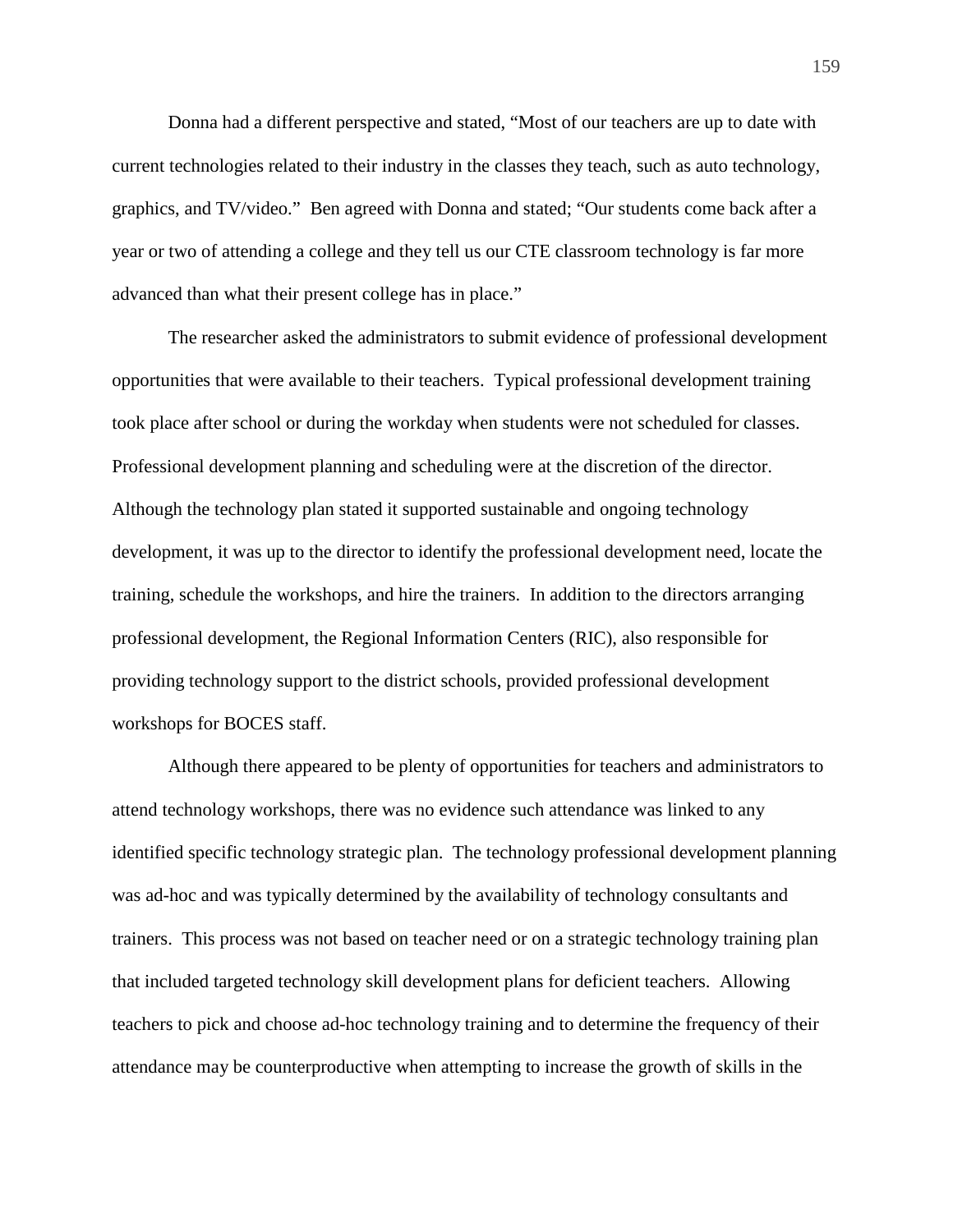Donna had a different perspective and stated, "Most of our teachers are up to date with current technologies related to their industry in the classes they teach, such as auto technology, graphics, and TV/video." Ben agreed with Donna and stated; "Our students come back after a year or two of attending a college and they tell us our CTE classroom technology is far more advanced than what their present college has in place."

The researcher asked the administrators to submit evidence of professional development opportunities that were available to their teachers. Typical professional development training took place after school or during the workday when students were not scheduled for classes. Professional development planning and scheduling were at the discretion of the director. Although the technology plan stated it supported sustainable and ongoing technology development, it was up to the director to identify the professional development need, locate the training, schedule the workshops, and hire the trainers. In addition to the directors arranging professional development, the Regional Information Centers (RIC), also responsible for providing technology support to the district schools, provided professional development workshops for BOCES staff.

Although there appeared to be plenty of opportunities for teachers and administrators to attend technology workshops, there was no evidence such attendance was linked to any identified specific technology strategic plan. The technology professional development planning was ad-hoc and was typically determined by the availability of technology consultants and trainers. This process was not based on teacher need or on a strategic technology training plan that included targeted technology skill development plans for deficient teachers. Allowing teachers to pick and choose ad-hoc technology training and to determine the frequency of their attendance may be counterproductive when attempting to increase the growth of skills in the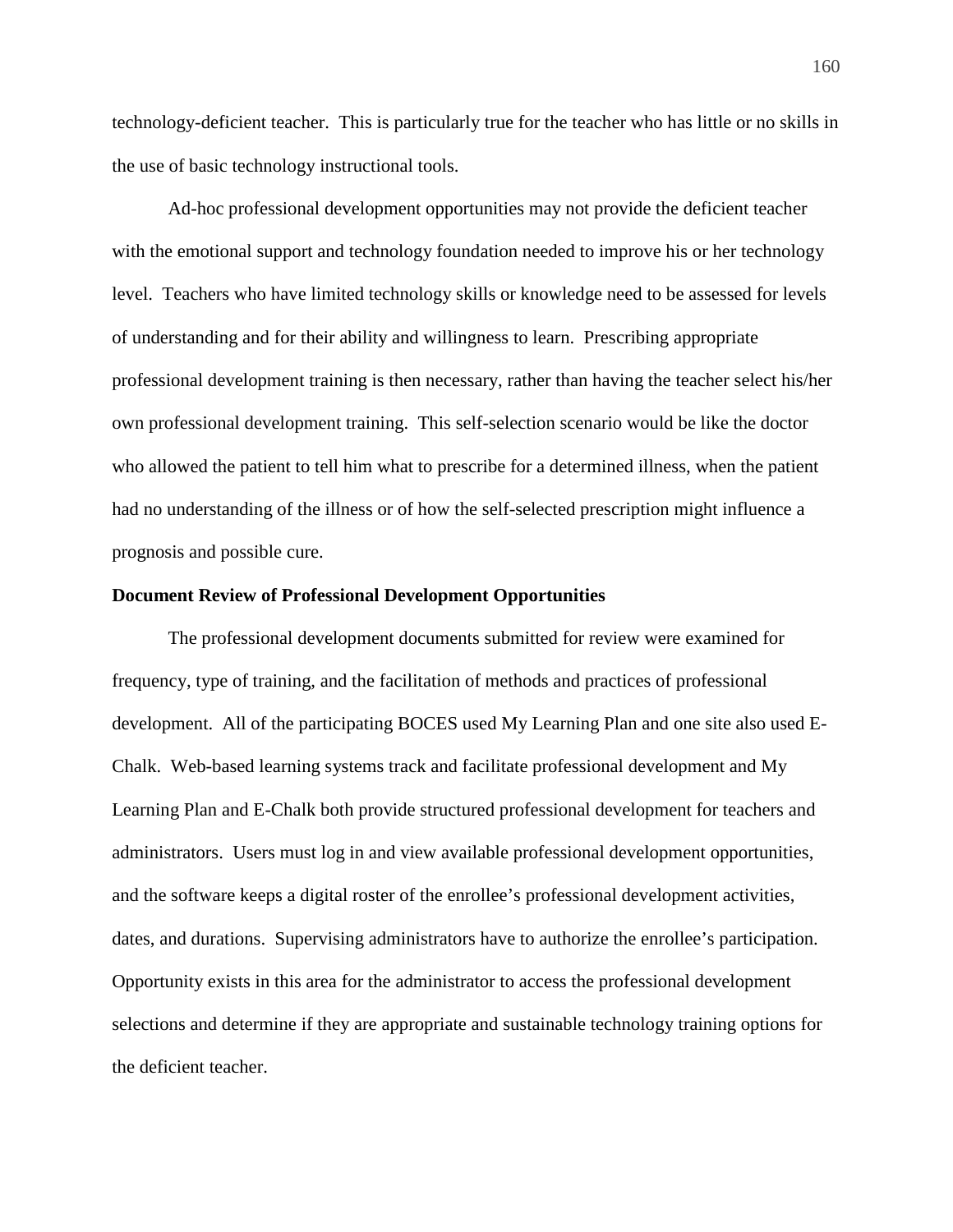technology-deficient teacher. This is particularly true for the teacher who has little or no skills in the use of basic technology instructional tools.

Ad-hoc professional development opportunities may not provide the deficient teacher with the emotional support and technology foundation needed to improve his or her technology level. Teachers who have limited technology skills or knowledge need to be assessed for levels of understanding and for their ability and willingness to learn. Prescribing appropriate professional development training is then necessary, rather than having the teacher select his/her own professional development training. This self-selection scenario would be like the doctor who allowed the patient to tell him what to prescribe for a determined illness, when the patient had no understanding of the illness or of how the self-selected prescription might influence a prognosis and possible cure.

#### **Document Review of Professional Development Opportunities**

The professional development documents submitted for review were examined for frequency, type of training, and the facilitation of methods and practices of professional development. All of the participating BOCES used My Learning Plan and one site also used E-Chalk. Web-based learning systems track and facilitate professional development and My Learning Plan and E-Chalk both provide structured professional development for teachers and administrators. Users must log in and view available professional development opportunities, and the software keeps a digital roster of the enrollee's professional development activities, dates, and durations. Supervising administrators have to authorize the enrollee's participation. Opportunity exists in this area for the administrator to access the professional development selections and determine if they are appropriate and sustainable technology training options for the deficient teacher.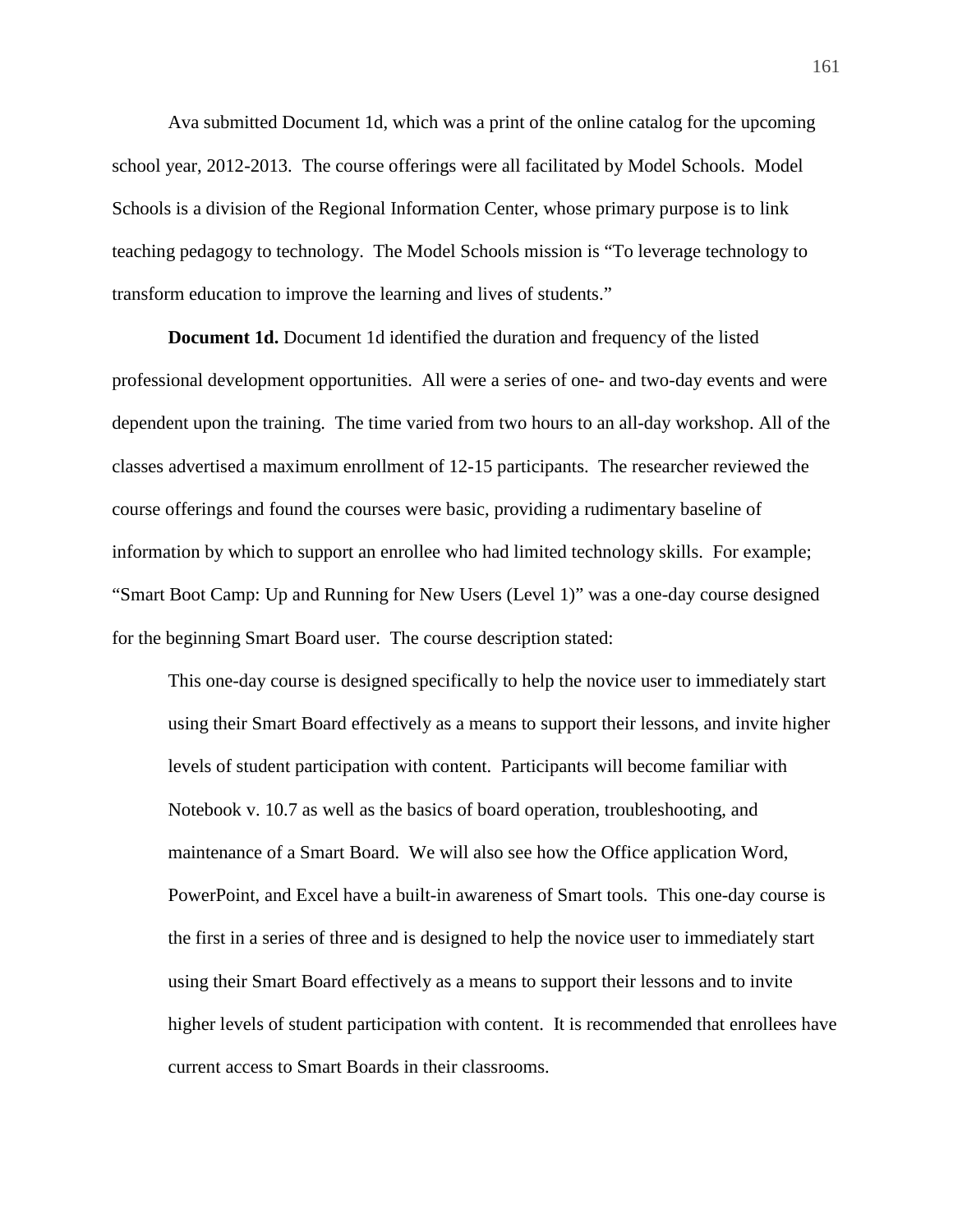Ava submitted Document 1d, which was a print of the online catalog for the upcoming school year, 2012-2013. The course offerings were all facilitated by Model Schools. Model Schools is a division of the Regional Information Center, whose primary purpose is to link teaching pedagogy to technology. The Model Schools mission is "To leverage technology to transform education to improve the learning and lives of students."

**Document 1d.** Document 1d identified the duration and frequency of the listed professional development opportunities. All were a series of one- and two-day events and were dependent upon the training. The time varied from two hours to an all-day workshop. All of the classes advertised a maximum enrollment of 12-15 participants. The researcher reviewed the course offerings and found the courses were basic, providing a rudimentary baseline of information by which to support an enrollee who had limited technology skills. For example; "Smart Boot Camp: Up and Running for New Users (Level 1)" was a one-day course designed for the beginning Smart Board user. The course description stated:

This one-day course is designed specifically to help the novice user to immediately start using their Smart Board effectively as a means to support their lessons, and invite higher levels of student participation with content. Participants will become familiar with Notebook v. 10.7 as well as the basics of board operation, troubleshooting, and maintenance of a Smart Board. We will also see how the Office application Word, PowerPoint, and Excel have a built-in awareness of Smart tools. This one-day course is the first in a series of three and is designed to help the novice user to immediately start using their Smart Board effectively as a means to support their lessons and to invite higher levels of student participation with content. It is recommended that enrollees have current access to Smart Boards in their classrooms.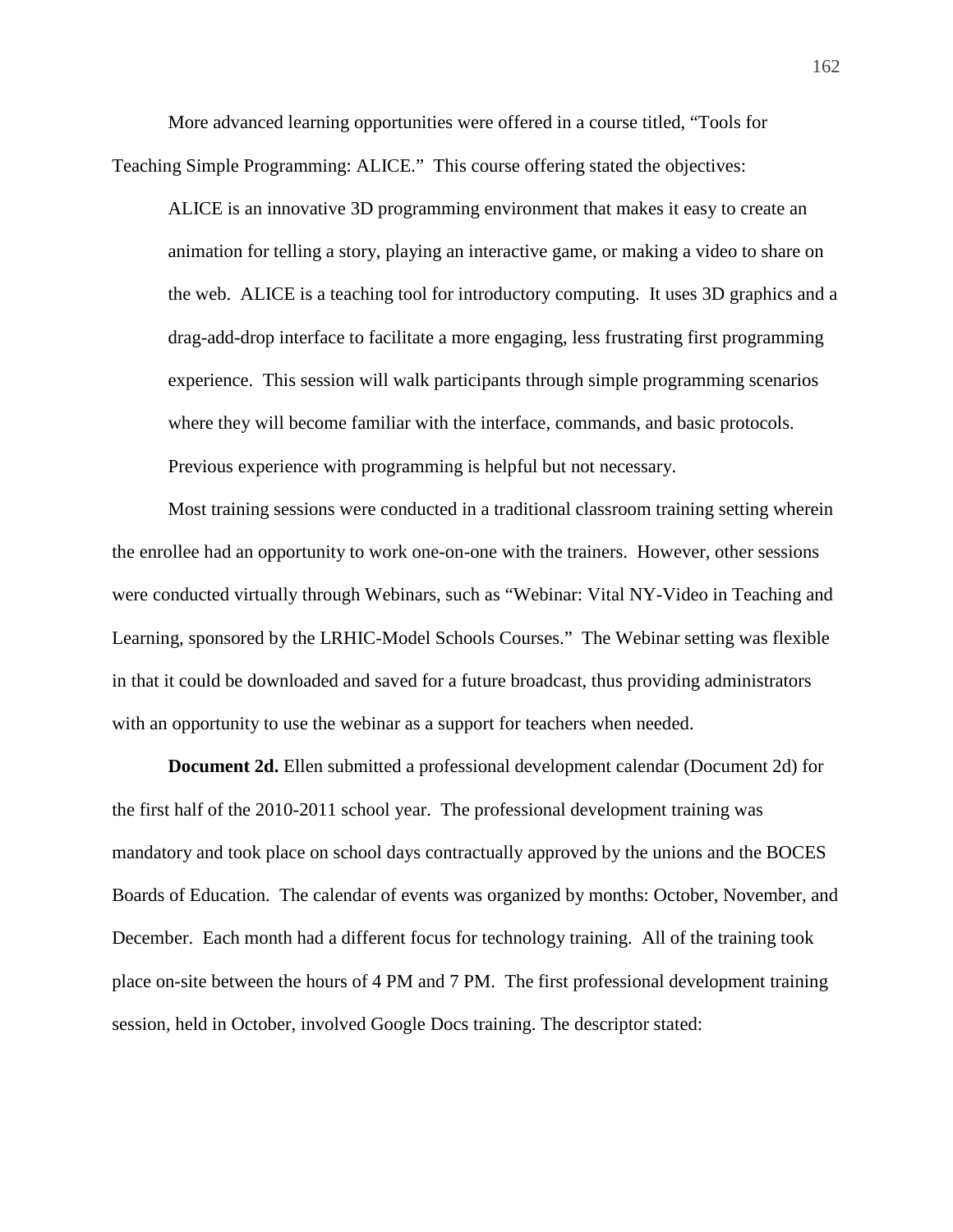More advanced learning opportunities were offered in a course titled, "Tools for Teaching Simple Programming: ALICE." This course offering stated the objectives:

ALICE is an innovative 3D programming environment that makes it easy to create an animation for telling a story, playing an interactive game, or making a video to share on the web. ALICE is a teaching tool for introductory computing. It uses 3D graphics and a drag-add-drop interface to facilitate a more engaging, less frustrating first programming experience. This session will walk participants through simple programming scenarios where they will become familiar with the interface, commands, and basic protocols. Previous experience with programming is helpful but not necessary.

 Most training sessions were conducted in a traditional classroom training setting wherein the enrollee had an opportunity to work one-on-one with the trainers. However, other sessions were conducted virtually through Webinars, such as "Webinar: Vital NY-Video in Teaching and Learning, sponsored by the LRHIC-Model Schools Courses." The Webinar setting was flexible in that it could be downloaded and saved for a future broadcast, thus providing administrators with an opportunity to use the webinar as a support for teachers when needed.

**Document 2d.** Ellen submitted a professional development calendar (Document 2d) for the first half of the 2010-2011 school year. The professional development training was mandatory and took place on school days contractually approved by the unions and the BOCES Boards of Education. The calendar of events was organized by months: October, November, and December. Each month had a different focus for technology training. All of the training took place on-site between the hours of 4 PM and 7 PM. The first professional development training session, held in October, involved Google Docs training. The descriptor stated: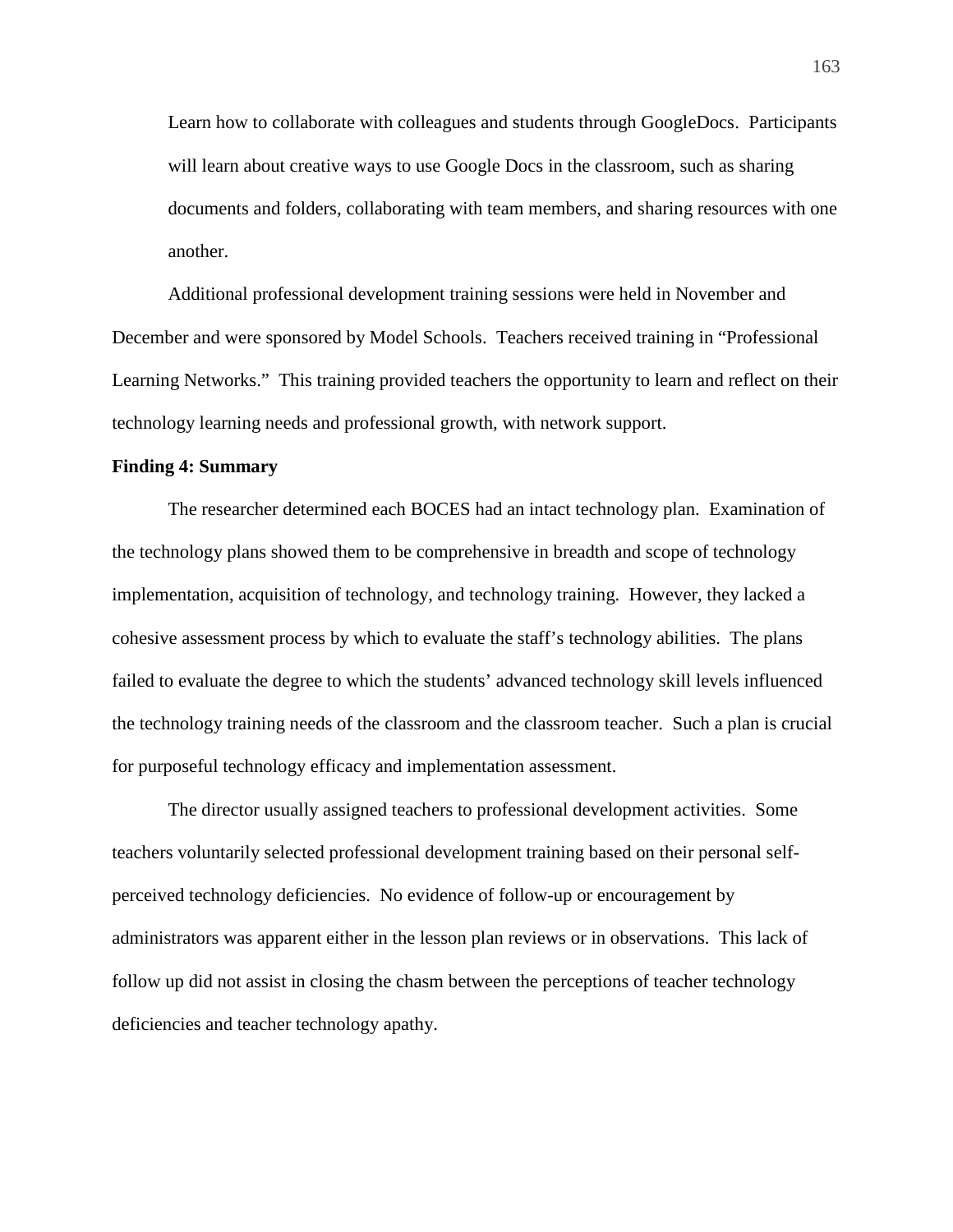Learn how to collaborate with colleagues and students through GoogleDocs. Participants will learn about creative ways to use Google Docs in the classroom, such as sharing documents and folders, collaborating with team members, and sharing resources with one another.

Additional professional development training sessions were held in November and December and were sponsored by Model Schools. Teachers received training in "Professional Learning Networks." This training provided teachers the opportunity to learn and reflect on their technology learning needs and professional growth, with network support.

## **Finding 4: Summary**

The researcher determined each BOCES had an intact technology plan. Examination of the technology plans showed them to be comprehensive in breadth and scope of technology implementation, acquisition of technology, and technology training. However, they lacked a cohesive assessment process by which to evaluate the staff's technology abilities. The plans failed to evaluate the degree to which the students' advanced technology skill levels influenced the technology training needs of the classroom and the classroom teacher. Such a plan is crucial for purposeful technology efficacy and implementation assessment.

The director usually assigned teachers to professional development activities. Some teachers voluntarily selected professional development training based on their personal selfperceived technology deficiencies. No evidence of follow-up or encouragement by administrators was apparent either in the lesson plan reviews or in observations. This lack of follow up did not assist in closing the chasm between the perceptions of teacher technology deficiencies and teacher technology apathy.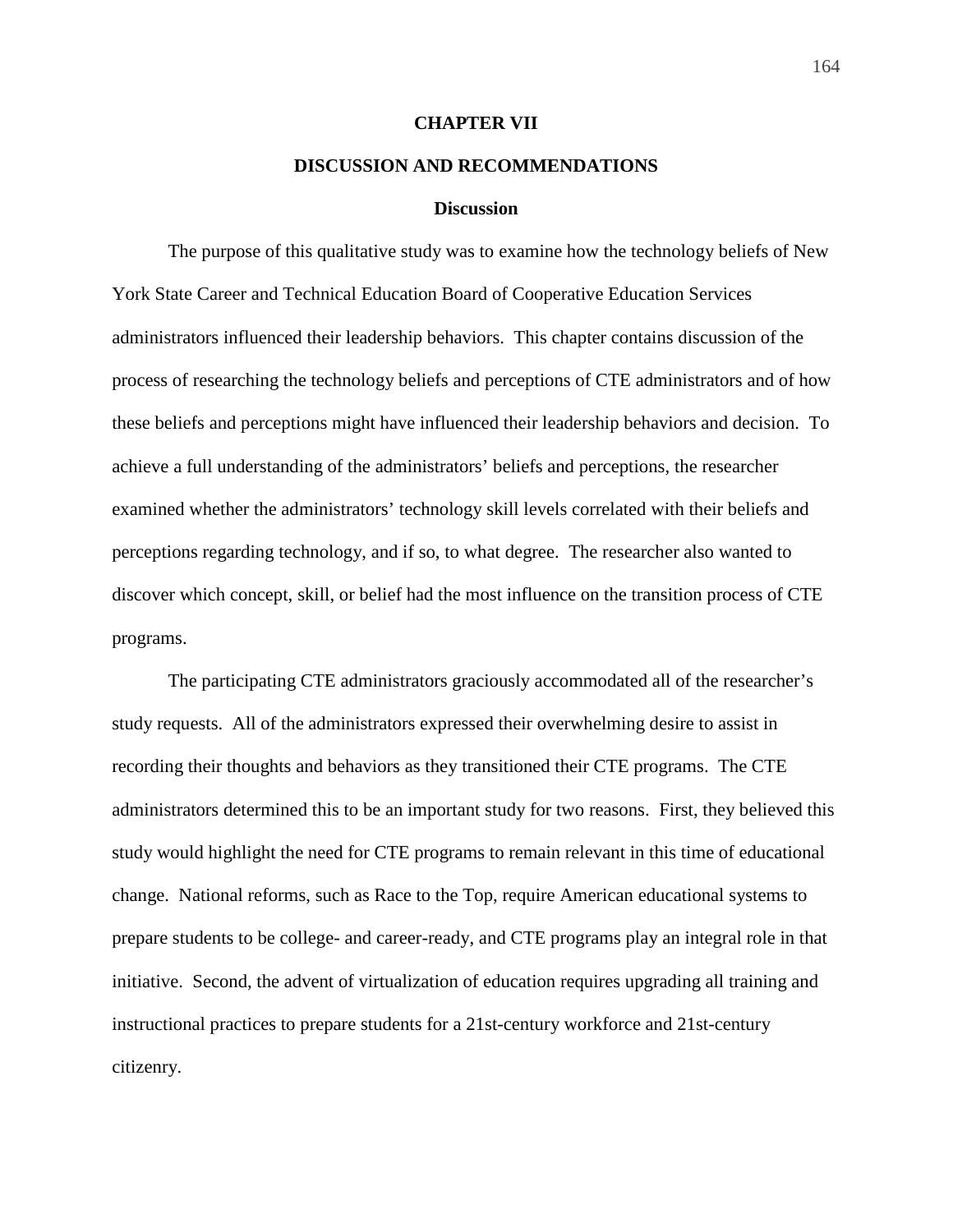### **CHAPTER VII**

# **DISCUSSION AND RECOMMENDATIONS**

### **Discussion**

 The purpose of this qualitative study was to examine how the technology beliefs of New York State Career and Technical Education Board of Cooperative Education Services administrators influenced their leadership behaviors. This chapter contains discussion of the process of researching the technology beliefs and perceptions of CTE administrators and of how these beliefs and perceptions might have influenced their leadership behaviors and decision. To achieve a full understanding of the administrators' beliefs and perceptions, the researcher examined whether the administrators' technology skill levels correlated with their beliefs and perceptions regarding technology, and if so, to what degree. The researcher also wanted to discover which concept, skill, or belief had the most influence on the transition process of CTE programs.

The participating CTE administrators graciously accommodated all of the researcher's study requests. All of the administrators expressed their overwhelming desire to assist in recording their thoughts and behaviors as they transitioned their CTE programs. The CTE administrators determined this to be an important study for two reasons. First, they believed this study would highlight the need for CTE programs to remain relevant in this time of educational change. National reforms, such as Race to the Top, require American educational systems to prepare students to be college- and career-ready, and CTE programs play an integral role in that initiative. Second, the advent of virtualization of education requires upgrading all training and instructional practices to prepare students for a 21st-century workforce and 21st-century citizenry.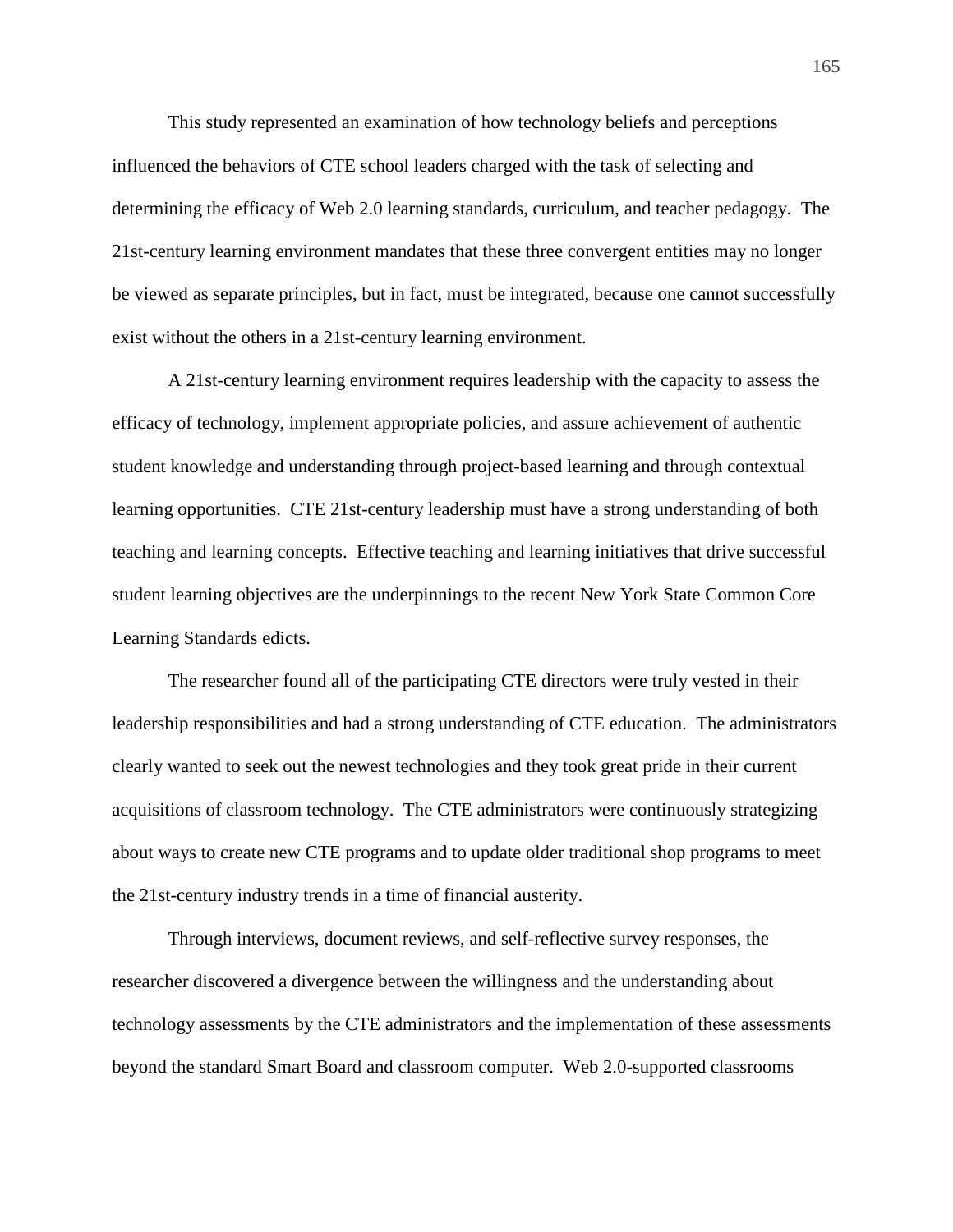This study represented an examination of how technology beliefs and perceptions influenced the behaviors of CTE school leaders charged with the task of selecting and determining the efficacy of Web 2.0 learning standards, curriculum, and teacher pedagogy. The 21st-century learning environment mandates that these three convergent entities may no longer be viewed as separate principles, but in fact, must be integrated, because one cannot successfully exist without the others in a 21st-century learning environment.

 A 21st-century learning environment requires leadership with the capacity to assess the efficacy of technology, implement appropriate policies, and assure achievement of authentic student knowledge and understanding through project-based learning and through contextual learning opportunities. CTE 21st-century leadership must have a strong understanding of both teaching and learning concepts. Effective teaching and learning initiatives that drive successful student learning objectives are the underpinnings to the recent New York State Common Core Learning Standards edicts.

 The researcher found all of the participating CTE directors were truly vested in their leadership responsibilities and had a strong understanding of CTE education. The administrators clearly wanted to seek out the newest technologies and they took great pride in their current acquisitions of classroom technology. The CTE administrators were continuously strategizing about ways to create new CTE programs and to update older traditional shop programs to meet the 21st-century industry trends in a time of financial austerity.

 Through interviews, document reviews, and self-reflective survey responses, the researcher discovered a divergence between the willingness and the understanding about technology assessments by the CTE administrators and the implementation of these assessments beyond the standard Smart Board and classroom computer. Web 2.0-supported classrooms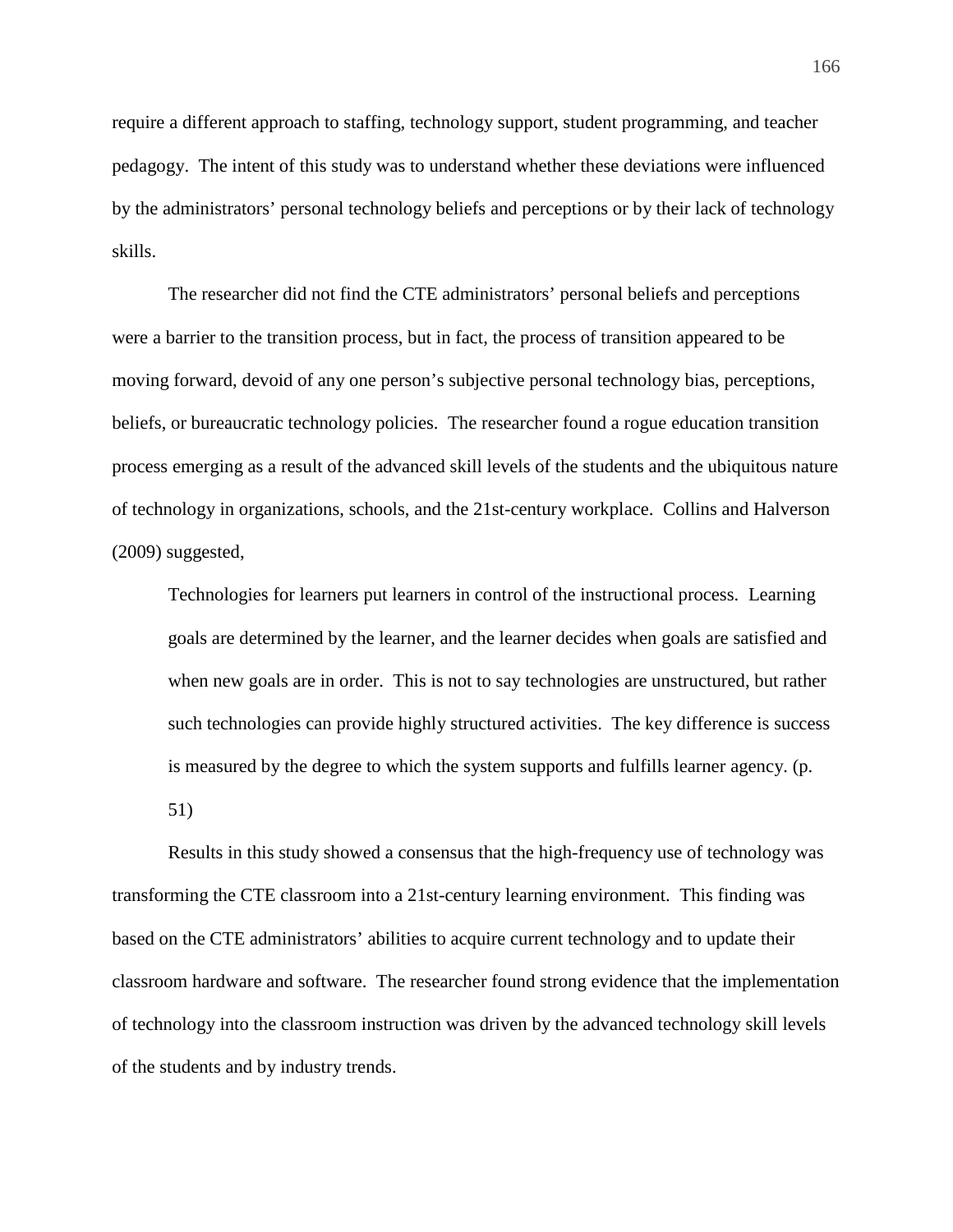require a different approach to staffing, technology support, student programming, and teacher pedagogy. The intent of this study was to understand whether these deviations were influenced by the administrators' personal technology beliefs and perceptions or by their lack of technology skills.

 The researcher did not find the CTE administrators' personal beliefs and perceptions were a barrier to the transition process, but in fact, the process of transition appeared to be moving forward, devoid of any one person's subjective personal technology bias, perceptions, beliefs, or bureaucratic technology policies. The researcher found a rogue education transition process emerging as a result of the advanced skill levels of the students and the ubiquitous nature of technology in organizations, schools, and the 21st-century workplace. Collins and Halverson (2009) suggested,

Technologies for learners put learners in control of the instructional process. Learning goals are determined by the learner, and the learner decides when goals are satisfied and when new goals are in order. This is not to say technologies are unstructured, but rather such technologies can provide highly structured activities. The key difference is success is measured by the degree to which the system supports and fulfills learner agency. (p.

51)

 Results in this study showed a consensus that the high-frequency use of technology was transforming the CTE classroom into a 21st-century learning environment. This finding was based on the CTE administrators' abilities to acquire current technology and to update their classroom hardware and software. The researcher found strong evidence that the implementation of technology into the classroom instruction was driven by the advanced technology skill levels of the students and by industry trends.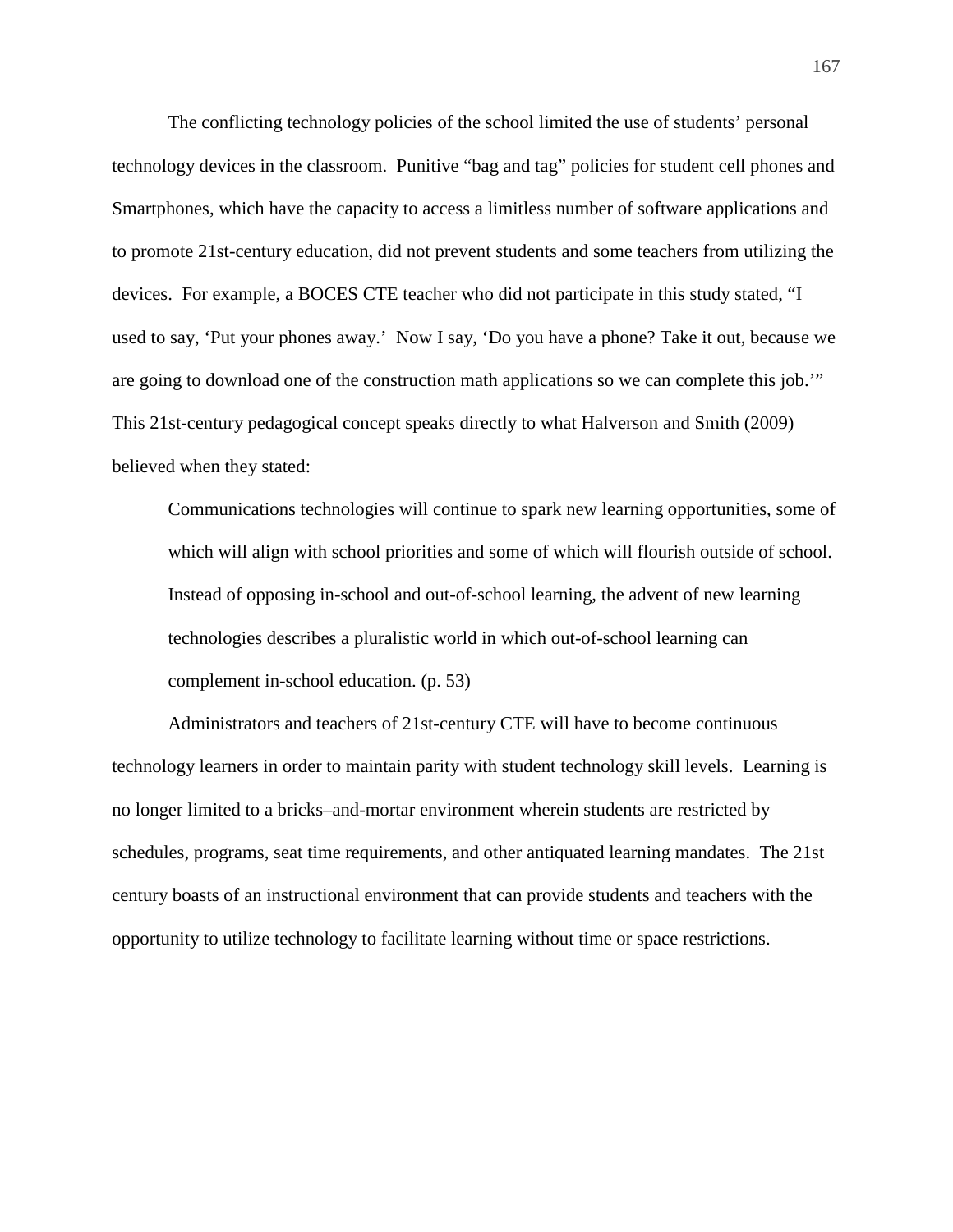The conflicting technology policies of the school limited the use of students' personal technology devices in the classroom. Punitive "bag and tag" policies for student cell phones and Smartphones, which have the capacity to access a limitless number of software applications and to promote 21st-century education, did not prevent students and some teachers from utilizing the devices. For example, a BOCES CTE teacher who did not participate in this study stated, "I used to say, 'Put your phones away.' Now I say, 'Do you have a phone? Take it out, because we are going to download one of the construction math applications so we can complete this job.'" This 21st-century pedagogical concept speaks directly to what Halverson and Smith (2009) believed when they stated:

Communications technologies will continue to spark new learning opportunities, some of which will align with school priorities and some of which will flourish outside of school. Instead of opposing in-school and out-of-school learning, the advent of new learning technologies describes a pluralistic world in which out-of-school learning can complement in-school education. (p. 53)

 Administrators and teachers of 21st-century CTE will have to become continuous technology learners in order to maintain parity with student technology skill levels. Learning is no longer limited to a bricks–and-mortar environment wherein students are restricted by schedules, programs, seat time requirements, and other antiquated learning mandates. The 21st century boasts of an instructional environment that can provide students and teachers with the opportunity to utilize technology to facilitate learning without time or space restrictions.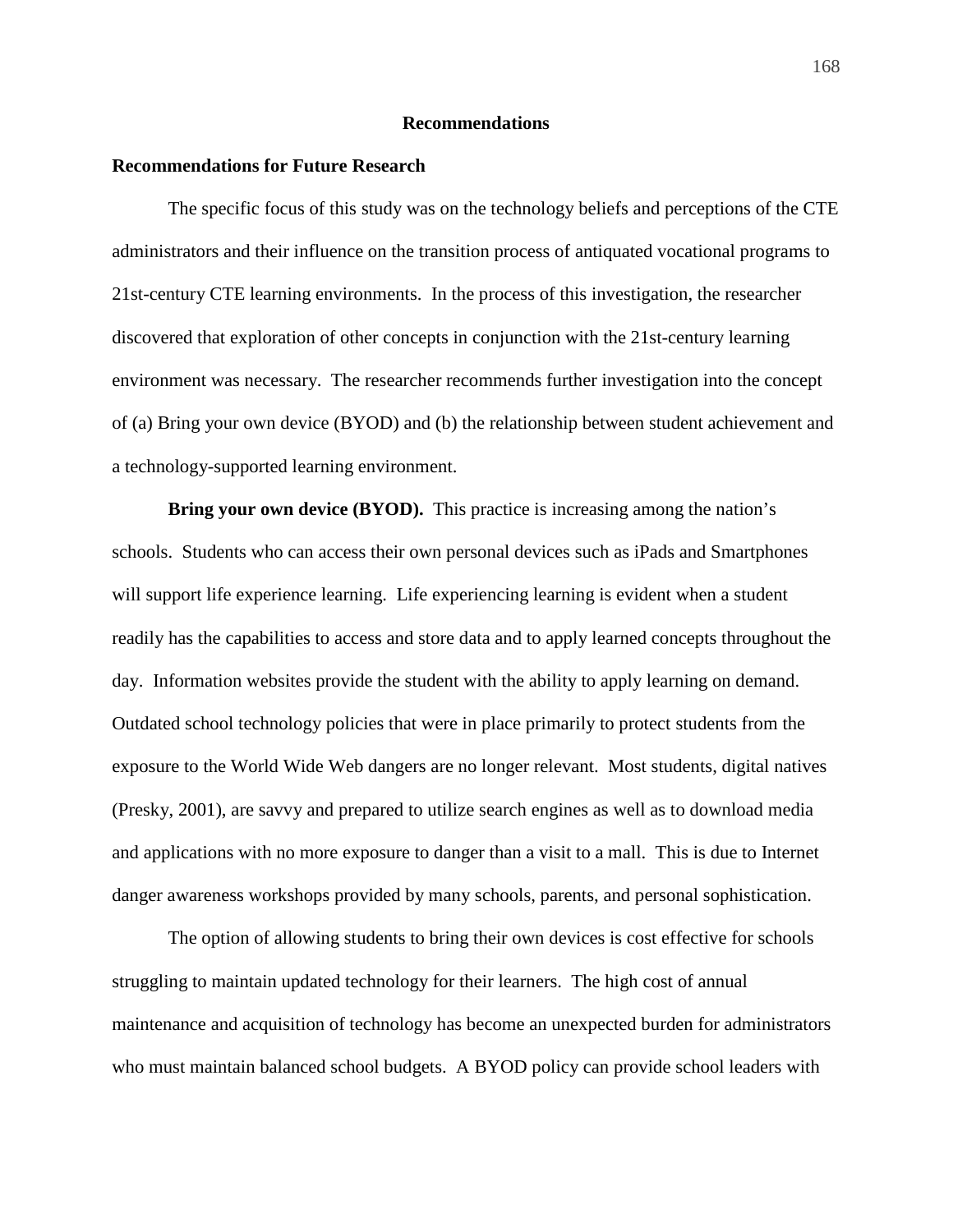## **Recommendations**

### **Recommendations for Future Research**

The specific focus of this study was on the technology beliefs and perceptions of the CTE administrators and their influence on the transition process of antiquated vocational programs to 21st-century CTE learning environments. In the process of this investigation, the researcher discovered that exploration of other concepts in conjunction with the 21st-century learning environment was necessary. The researcher recommends further investigation into the concept of (a) Bring your own device (BYOD) and (b) the relationship between student achievement and a technology-supported learning environment.

**Bring your own device (BYOD).** This practice is increasing among the nation's schools. Students who can access their own personal devices such as iPads and Smartphones will support life experience learning. Life experiencing learning is evident when a student readily has the capabilities to access and store data and to apply learned concepts throughout the day. Information websites provide the student with the ability to apply learning on demand. Outdated school technology policies that were in place primarily to protect students from the exposure to the World Wide Web dangers are no longer relevant. Most students, digital natives (Presky, 2001), are savvy and prepared to utilize search engines as well as to download media and applications with no more exposure to danger than a visit to a mall. This is due to Internet danger awareness workshops provided by many schools, parents, and personal sophistication.

 The option of allowing students to bring their own devices is cost effective for schools struggling to maintain updated technology for their learners. The high cost of annual maintenance and acquisition of technology has become an unexpected burden for administrators who must maintain balanced school budgets. A BYOD policy can provide school leaders with

168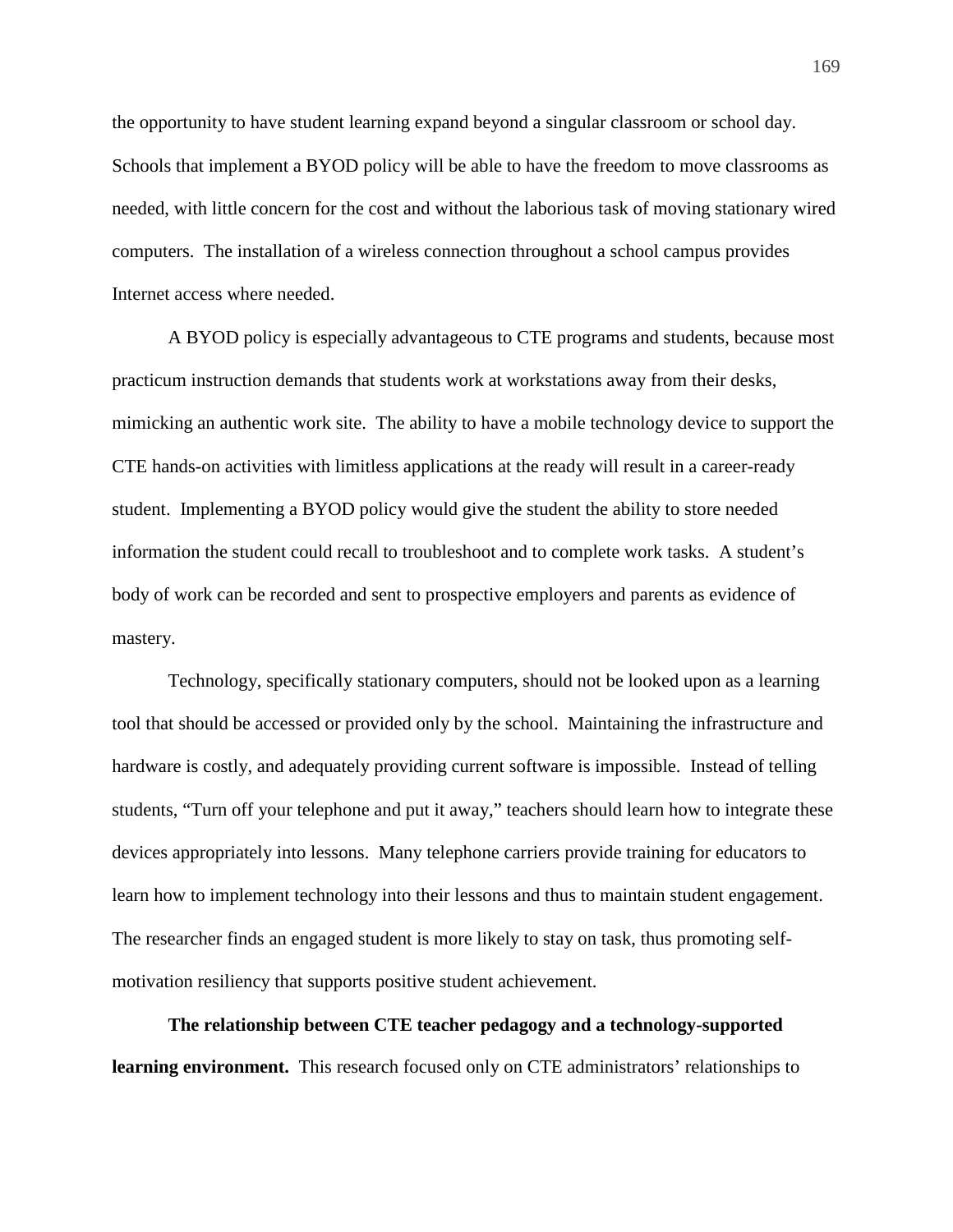the opportunity to have student learning expand beyond a singular classroom or school day. Schools that implement a BYOD policy will be able to have the freedom to move classrooms as needed, with little concern for the cost and without the laborious task of moving stationary wired computers. The installation of a wireless connection throughout a school campus provides Internet access where needed.

 A BYOD policy is especially advantageous to CTE programs and students, because most practicum instruction demands that students work at workstations away from their desks, mimicking an authentic work site. The ability to have a mobile technology device to support the CTE hands-on activities with limitless applications at the ready will result in a career-ready student. Implementing a BYOD policy would give the student the ability to store needed information the student could recall to troubleshoot and to complete work tasks. A student's body of work can be recorded and sent to prospective employers and parents as evidence of mastery.

 Technology, specifically stationary computers, should not be looked upon as a learning tool that should be accessed or provided only by the school. Maintaining the infrastructure and hardware is costly, and adequately providing current software is impossible. Instead of telling students, "Turn off your telephone and put it away," teachers should learn how to integrate these devices appropriately into lessons. Many telephone carriers provide training for educators to learn how to implement technology into their lessons and thus to maintain student engagement. The researcher finds an engaged student is more likely to stay on task, thus promoting selfmotivation resiliency that supports positive student achievement.

**The relationship between CTE teacher pedagogy and a technology-supported learning environment.** This research focused only on CTE administrators' relationships to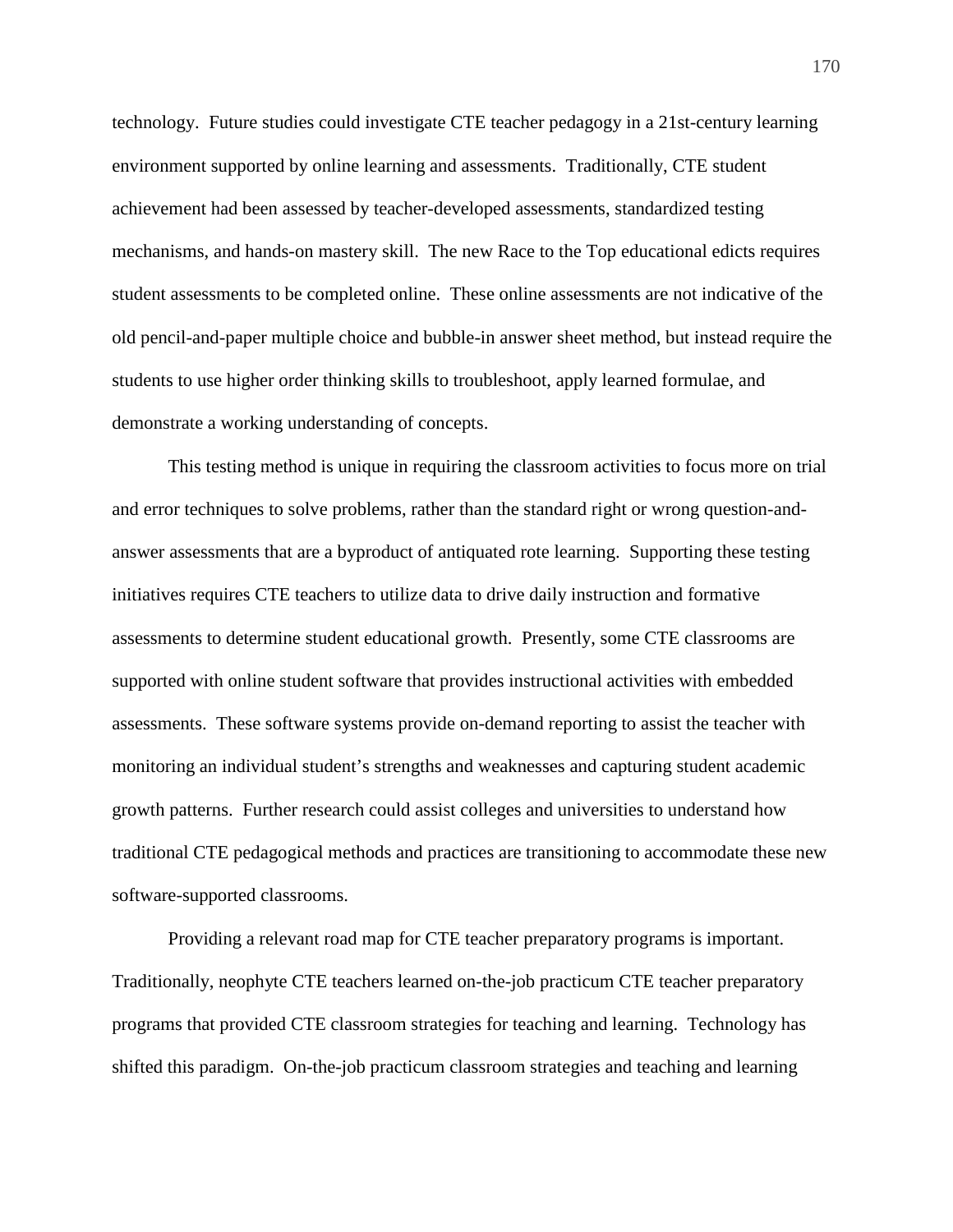technology. Future studies could investigate CTE teacher pedagogy in a 21st-century learning environment supported by online learning and assessments. Traditionally, CTE student achievement had been assessed by teacher-developed assessments, standardized testing mechanisms, and hands-on mastery skill. The new Race to the Top educational edicts requires student assessments to be completed online. These online assessments are not indicative of the old pencil-and-paper multiple choice and bubble-in answer sheet method, but instead require the students to use higher order thinking skills to troubleshoot, apply learned formulae, and demonstrate a working understanding of concepts.

 This testing method is unique in requiring the classroom activities to focus more on trial and error techniques to solve problems, rather than the standard right or wrong question-andanswer assessments that are a byproduct of antiquated rote learning. Supporting these testing initiatives requires CTE teachers to utilize data to drive daily instruction and formative assessments to determine student educational growth. Presently, some CTE classrooms are supported with online student software that provides instructional activities with embedded assessments. These software systems provide on-demand reporting to assist the teacher with monitoring an individual student's strengths and weaknesses and capturing student academic growth patterns. Further research could assist colleges and universities to understand how traditional CTE pedagogical methods and practices are transitioning to accommodate these new software-supported classrooms.

 Providing a relevant road map for CTE teacher preparatory programs is important. Traditionally, neophyte CTE teachers learned on-the-job practicum CTE teacher preparatory programs that provided CTE classroom strategies for teaching and learning. Technology has shifted this paradigm. On-the-job practicum classroom strategies and teaching and learning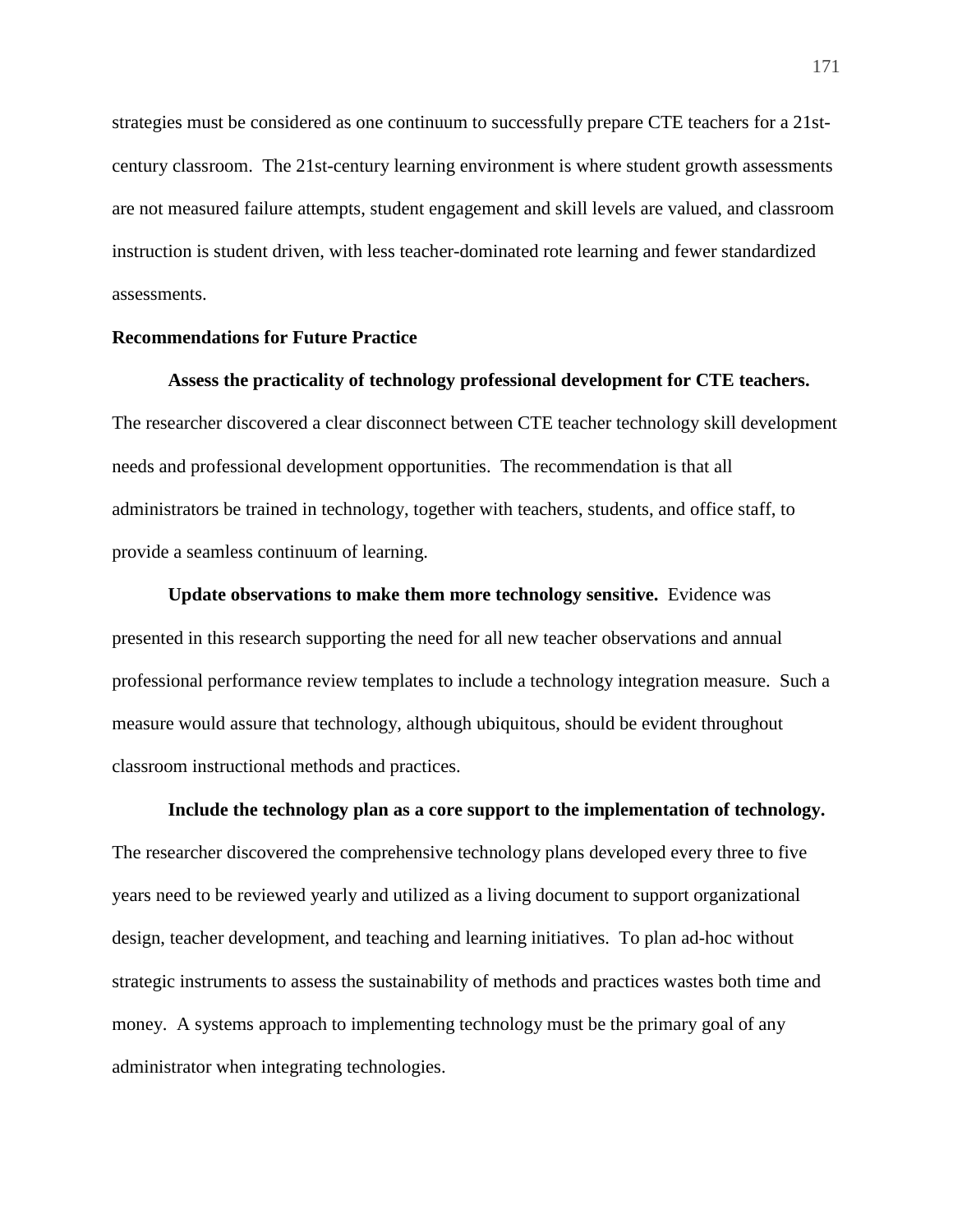strategies must be considered as one continuum to successfully prepare CTE teachers for a 21stcentury classroom. The 21st-century learning environment is where student growth assessments are not measured failure attempts, student engagement and skill levels are valued, and classroom instruction is student driven, with less teacher-dominated rote learning and fewer standardized assessments.

#### **Recommendations for Future Practice**

#### **Assess the practicality of technology professional development for CTE teachers.**

The researcher discovered a clear disconnect between CTE teacher technology skill development needs and professional development opportunities. The recommendation is that all administrators be trained in technology, together with teachers, students, and office staff, to provide a seamless continuum of learning.

**Update observations to make them more technology sensitive.** Evidence was presented in this research supporting the need for all new teacher observations and annual professional performance review templates to include a technology integration measure. Such a measure would assure that technology, although ubiquitous, should be evident throughout classroom instructional methods and practices.

**Include the technology plan as a core support to the implementation of technology.** The researcher discovered the comprehensive technology plans developed every three to five years need to be reviewed yearly and utilized as a living document to support organizational design, teacher development, and teaching and learning initiatives. To plan ad-hoc without strategic instruments to assess the sustainability of methods and practices wastes both time and money. A systems approach to implementing technology must be the primary goal of any administrator when integrating technologies.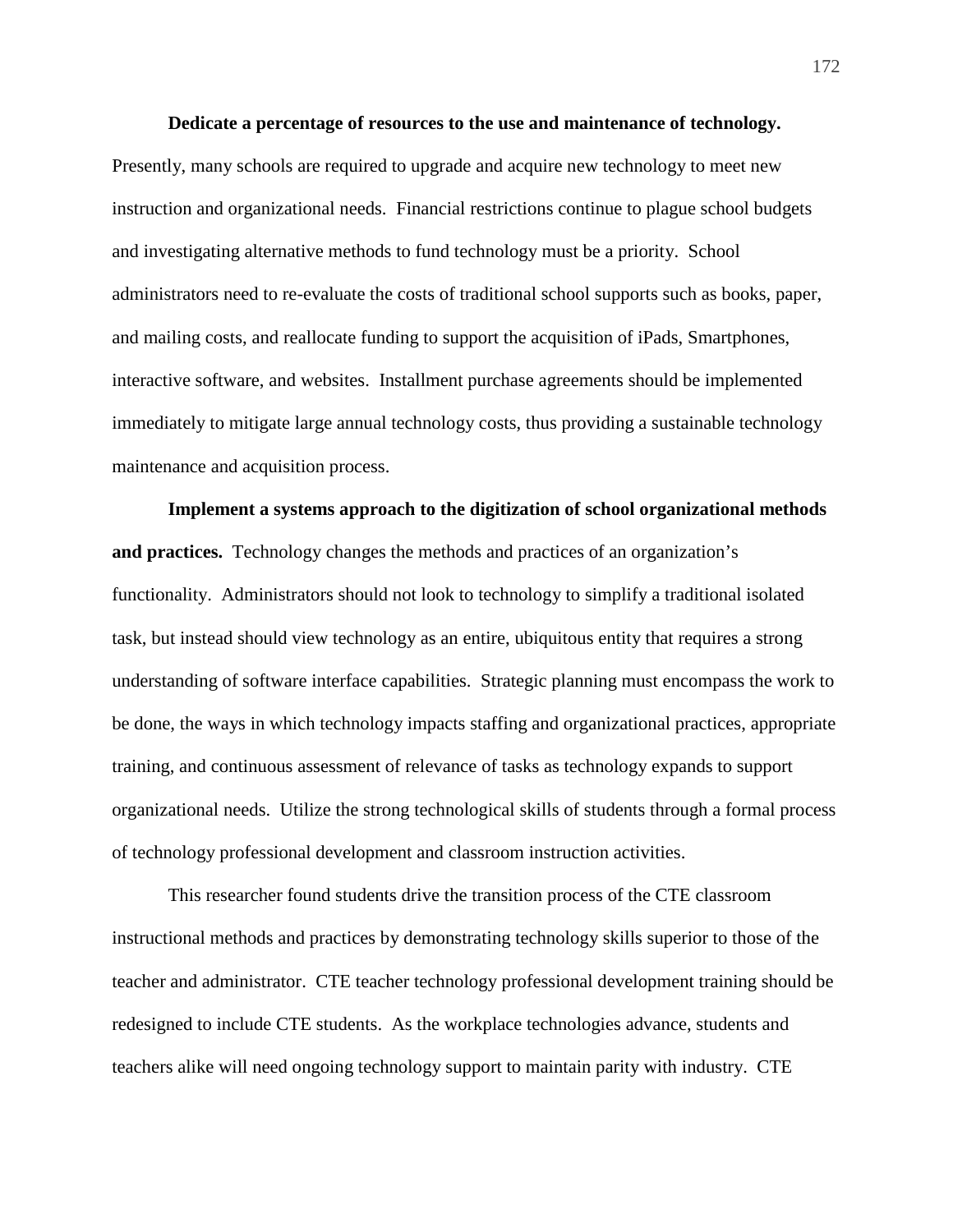**Dedicate a percentage of resources to the use and maintenance of technology.** Presently, many schools are required to upgrade and acquire new technology to meet new instruction and organizational needs. Financial restrictions continue to plague school budgets and investigating alternative methods to fund technology must be a priority. School administrators need to re-evaluate the costs of traditional school supports such as books, paper, and mailing costs, and reallocate funding to support the acquisition of iPads, Smartphones, interactive software, and websites. Installment purchase agreements should be implemented immediately to mitigate large annual technology costs, thus providing a sustainable technology maintenance and acquisition process.

**Implement a systems approach to the digitization of school organizational methods and practices.** Technology changes the methods and practices of an organization's functionality. Administrators should not look to technology to simplify a traditional isolated task, but instead should view technology as an entire, ubiquitous entity that requires a strong understanding of software interface capabilities. Strategic planning must encompass the work to be done, the ways in which technology impacts staffing and organizational practices, appropriate training, and continuous assessment of relevance of tasks as technology expands to support organizational needs. Utilize the strong technological skills of students through a formal process of technology professional development and classroom instruction activities.

This researcher found students drive the transition process of the CTE classroom instructional methods and practices by demonstrating technology skills superior to those of the teacher and administrator. CTE teacher technology professional development training should be redesigned to include CTE students. As the workplace technologies advance, students and teachers alike will need ongoing technology support to maintain parity with industry. CTE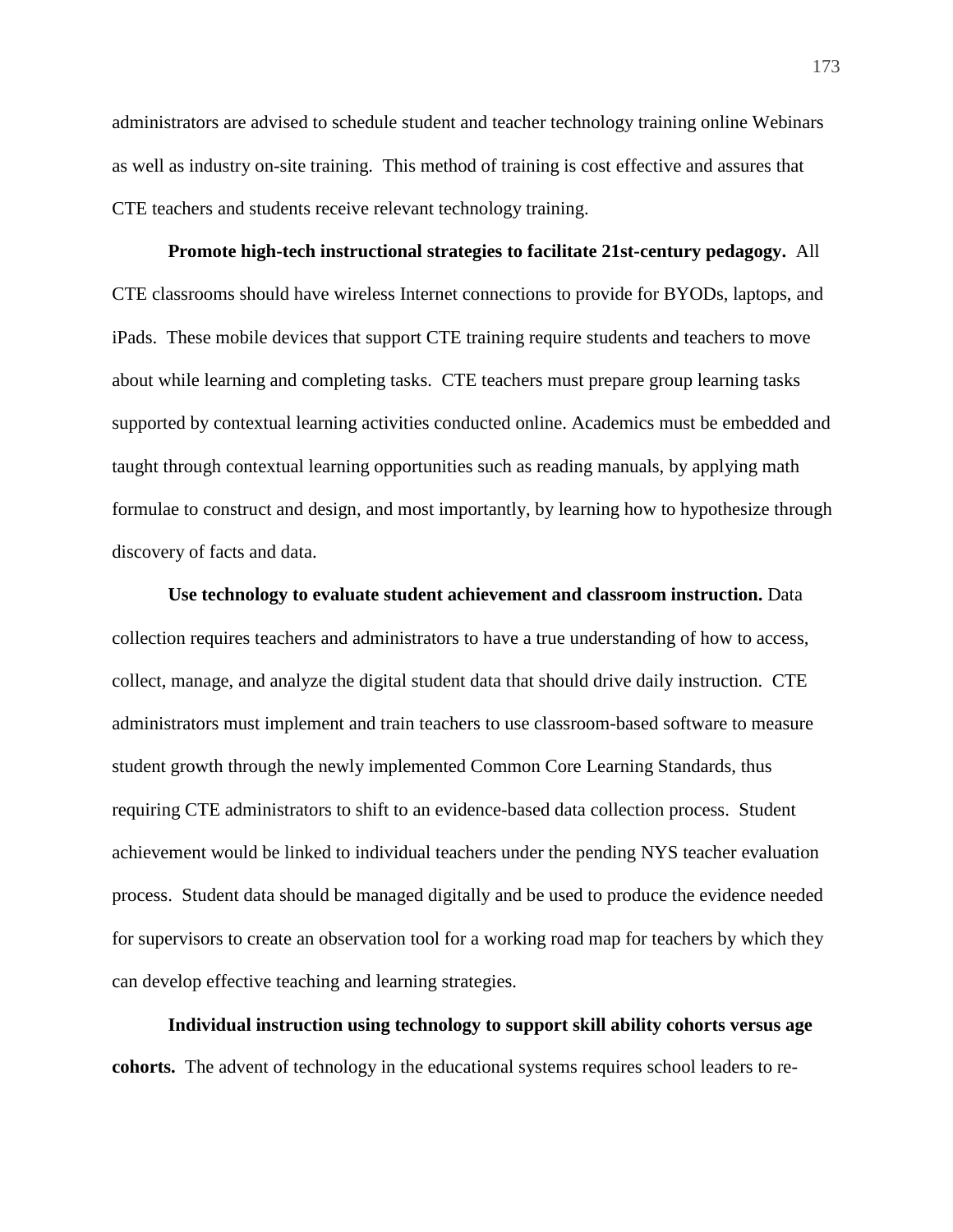administrators are advised to schedule student and teacher technology training online Webinars as well as industry on-site training. This method of training is cost effective and assures that CTE teachers and students receive relevant technology training.

**Promote high-tech instructional strategies to facilitate 21st-century pedagogy.**All CTE classrooms should have wireless Internet connections to provide for BYODs, laptops, and iPads. These mobile devices that support CTE training require students and teachers to move about while learning and completing tasks. CTE teachers must prepare group learning tasks supported by contextual learning activities conducted online. Academics must be embedded and taught through contextual learning opportunities such as reading manuals, by applying math formulae to construct and design, and most importantly, by learning how to hypothesize through discovery of facts and data.

**Use technology to evaluate student achievement and classroom instruction.** Data collection requires teachers and administrators to have a true understanding of how to access, collect, manage, and analyze the digital student data that should drive daily instruction. CTE administrators must implement and train teachers to use classroom-based software to measure student growth through the newly implemented Common Core Learning Standards, thus requiring CTE administrators to shift to an evidence-based data collection process. Student achievement would be linked to individual teachers under the pending NYS teacher evaluation process. Student data should be managed digitally and be used to produce the evidence needed for supervisors to create an observation tool for a working road map for teachers by which they can develop effective teaching and learning strategies.

**Individual instruction using technology to support skill ability cohorts versus age cohorts.**The advent of technology in the educational systems requires school leaders to re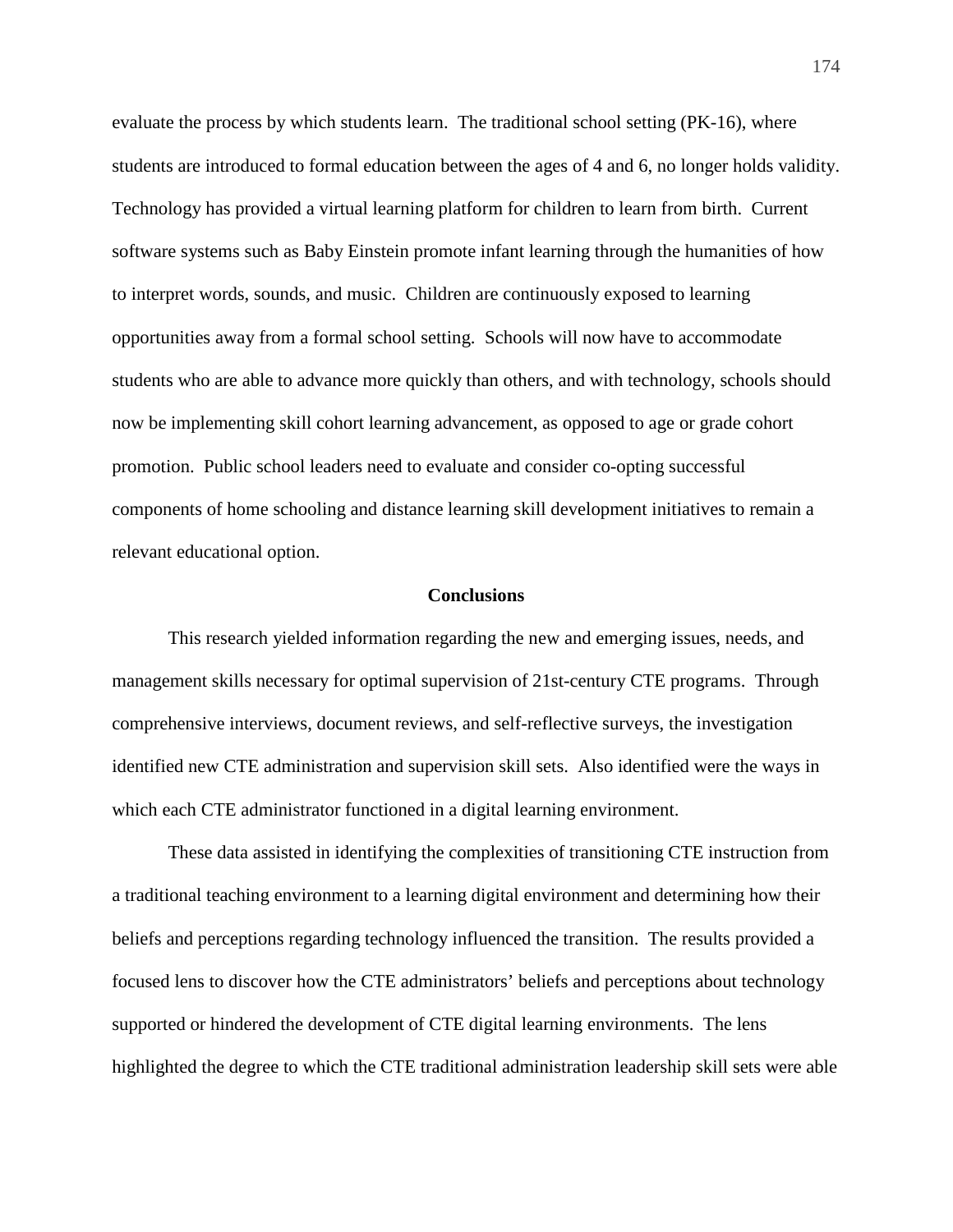evaluate the process by which students learn. The traditional school setting (PK-16), where students are introduced to formal education between the ages of 4 and 6, no longer holds validity. Technology has provided a virtual learning platform for children to learn from birth. Current software systems such as Baby Einstein promote infant learning through the humanities of how to interpret words, sounds, and music. Children are continuously exposed to learning opportunities away from a formal school setting. Schools will now have to accommodate students who are able to advance more quickly than others, and with technology, schools should now be implementing skill cohort learning advancement, as opposed to age or grade cohort promotion. Public school leaders need to evaluate and consider co-opting successful components of home schooling and distance learning skill development initiatives to remain a relevant educational option.

#### **Conclusions**

This research yielded information regarding the new and emerging issues, needs, and management skills necessary for optimal supervision of 21st-century CTE programs. Through comprehensive interviews, document reviews, and self-reflective surveys, the investigation identified new CTE administration and supervision skill sets. Also identified were the ways in which each CTE administrator functioned in a digital learning environment.

These data assisted in identifying the complexities of transitioning CTE instruction from a traditional teaching environment to a learning digital environment and determining how their beliefs and perceptions regarding technology influenced the transition. The results provided a focused lens to discover how the CTE administrators' beliefs and perceptions about technology supported or hindered the development of CTE digital learning environments. The lens highlighted the degree to which the CTE traditional administration leadership skill sets were able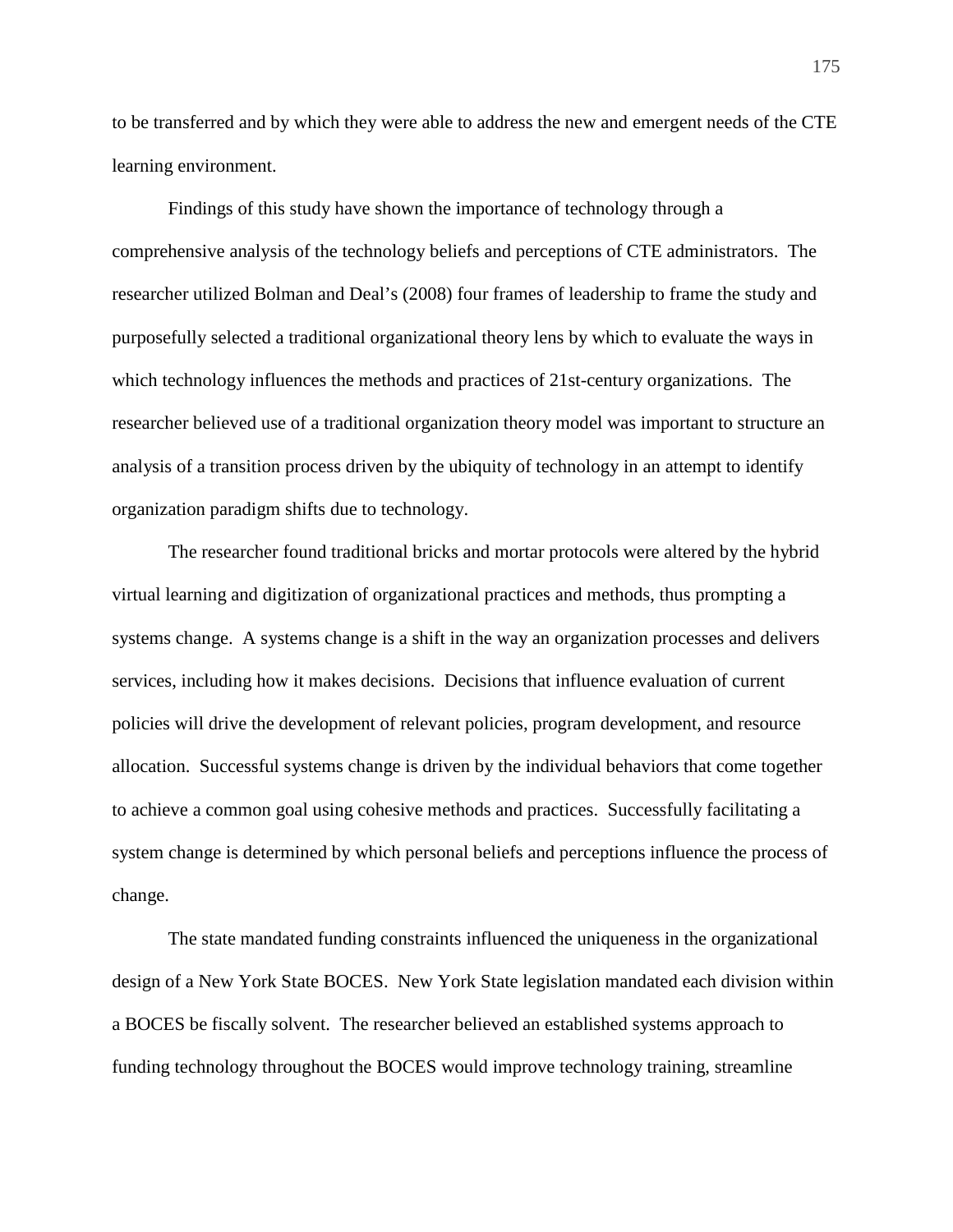to be transferred and by which they were able to address the new and emergent needs of the CTE learning environment.

 Findings of this study have shown the importance of technology through a comprehensive analysis of the technology beliefs and perceptions of CTE administrators. The researcher utilized Bolman and Deal's (2008) four frames of leadership to frame the study and purposefully selected a traditional organizational theory lens by which to evaluate the ways in which technology influences the methods and practices of 21st-century organizations. The researcher believed use of a traditional organization theory model was important to structure an analysis of a transition process driven by the ubiquity of technology in an attempt to identify organization paradigm shifts due to technology.

The researcher found traditional bricks and mortar protocols were altered by the hybrid virtual learning and digitization of organizational practices and methods, thus prompting a systems change. A systems change is a shift in the way an organization processes and delivers services, including how it makes decisions. Decisions that influence evaluation of current policies will drive the development of relevant policies, program development, and resource allocation. Successful systems change is driven by the individual behaviors that come together to achieve a common goal using cohesive methods and practices. Successfully facilitating a system change is determined by which personal beliefs and perceptions influence the process of change.

 The state mandated funding constraints influenced the uniqueness in the organizational design of a New York State BOCES. New York State legislation mandated each division within a BOCES be fiscally solvent. The researcher believed an established systems approach to funding technology throughout the BOCES would improve technology training, streamline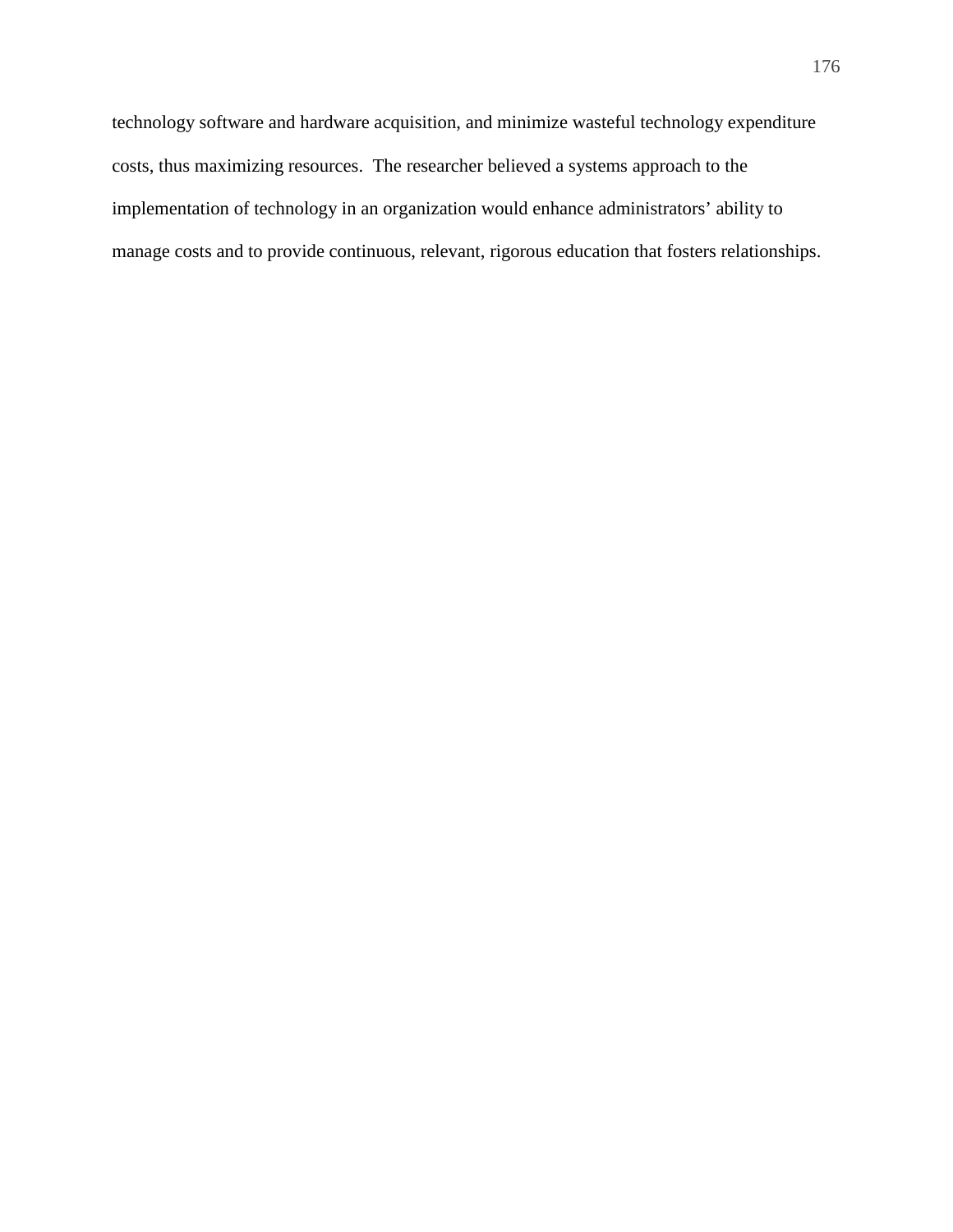technology software and hardware acquisition, and minimize wasteful technology expenditure costs, thus maximizing resources. The researcher believed a systems approach to the implementation of technology in an organization would enhance administrators' ability to manage costs and to provide continuous, relevant, rigorous education that fosters relationships.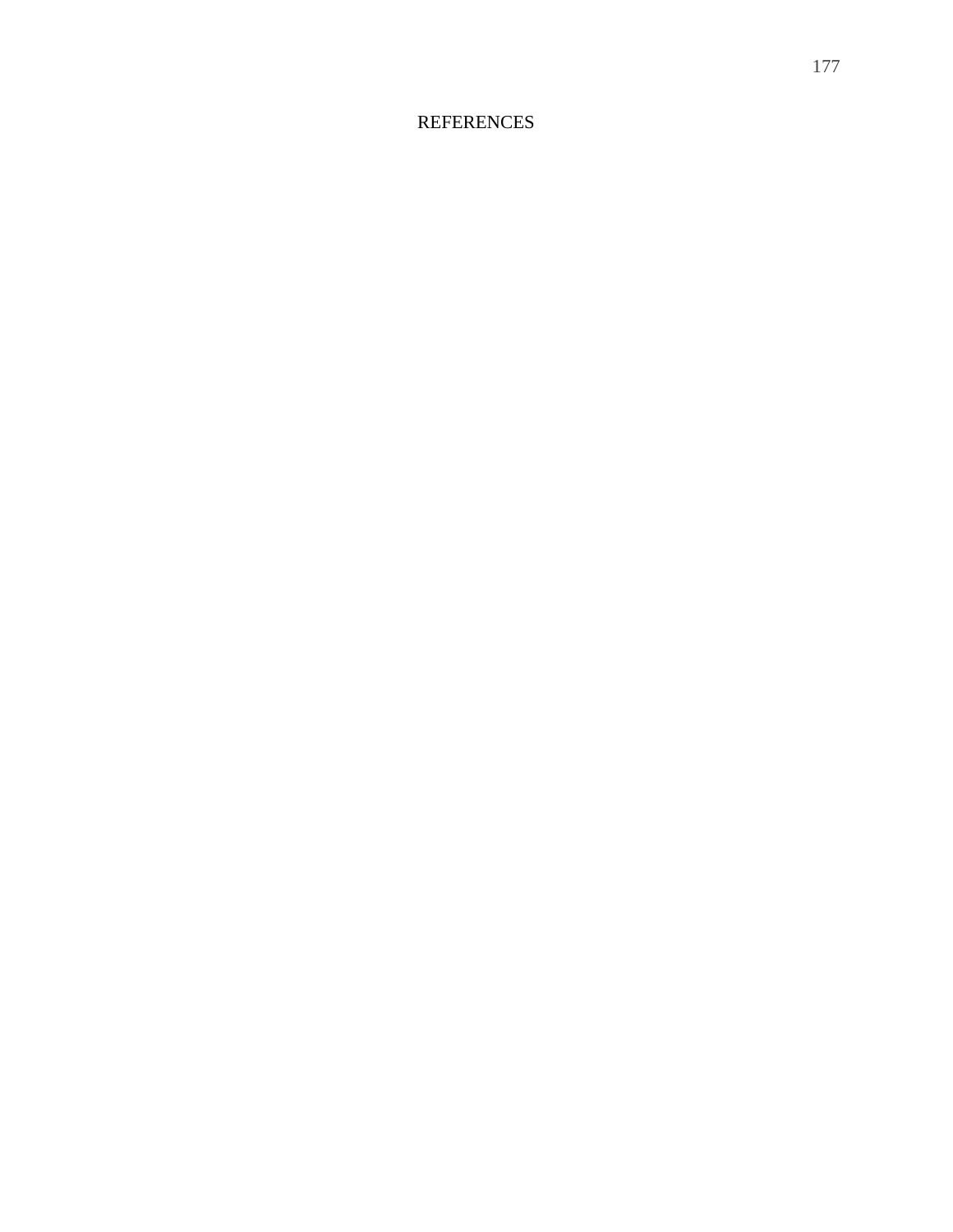#### **REFERENCES**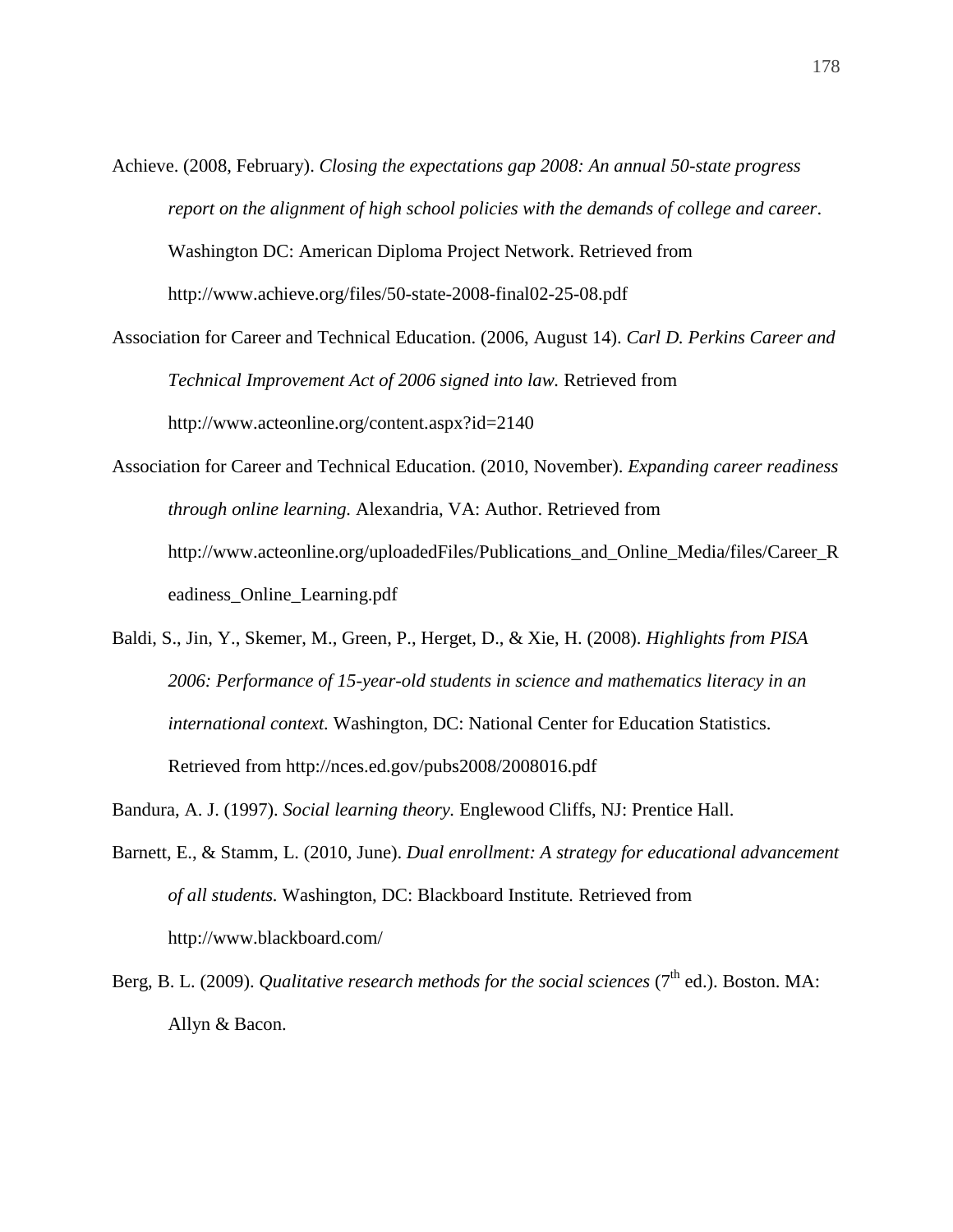Achieve. (2008, February). *Closing the expectations gap 2008: An annual 50-state progress report on the alignment of high school policies with the demands of college and career*. Washington DC: American Diploma Project Network. Retrieved from

http://www.achieve.org/files/50-state-2008-final02-25-08.pdf

- Association for Career and Technical Education. (2006, August 14). *Carl D. Perkins Career and Technical Improvement Act of 2006 signed into law.* Retrieved from http://www.acteonline.org/content.aspx?id=2140
- Association for Career and Technical Education. (2010, November). *Expanding career readiness through online learning.* Alexandria, VA: Author. Retrieved from http://www.acteonline.org/uploadedFiles/Publications\_and\_Online\_Media/files/Career\_R eadiness\_Online\_Learning.pdf
- Baldi, S., Jin, Y., Skemer, M., Green, P., Herget, D., & Xie, H. (2008). *Highlights from PISA 2006: Performance of 15-year-old students in science and mathematics literacy in an international context.* Washington, DC: National Center for Education Statistics. Retrieved from http://nces.ed.gov/pubs2008/2008016.pdf
- Bandura, A. J. (1997). *Social learning theory.* Englewood Cliffs, NJ: Prentice Hall.
- Barnett, E., & Stamm, L. (2010, June). *Dual enrollment: A strategy for educational advancement of all students.* Washington, DC: Blackboard Institute*.* Retrieved from http://www.blackboard.com/
- Berg, B. L. (2009). *Qualitative research methods for the social sciences* (7<sup>th</sup> ed.). Boston. MA: Allyn & Bacon.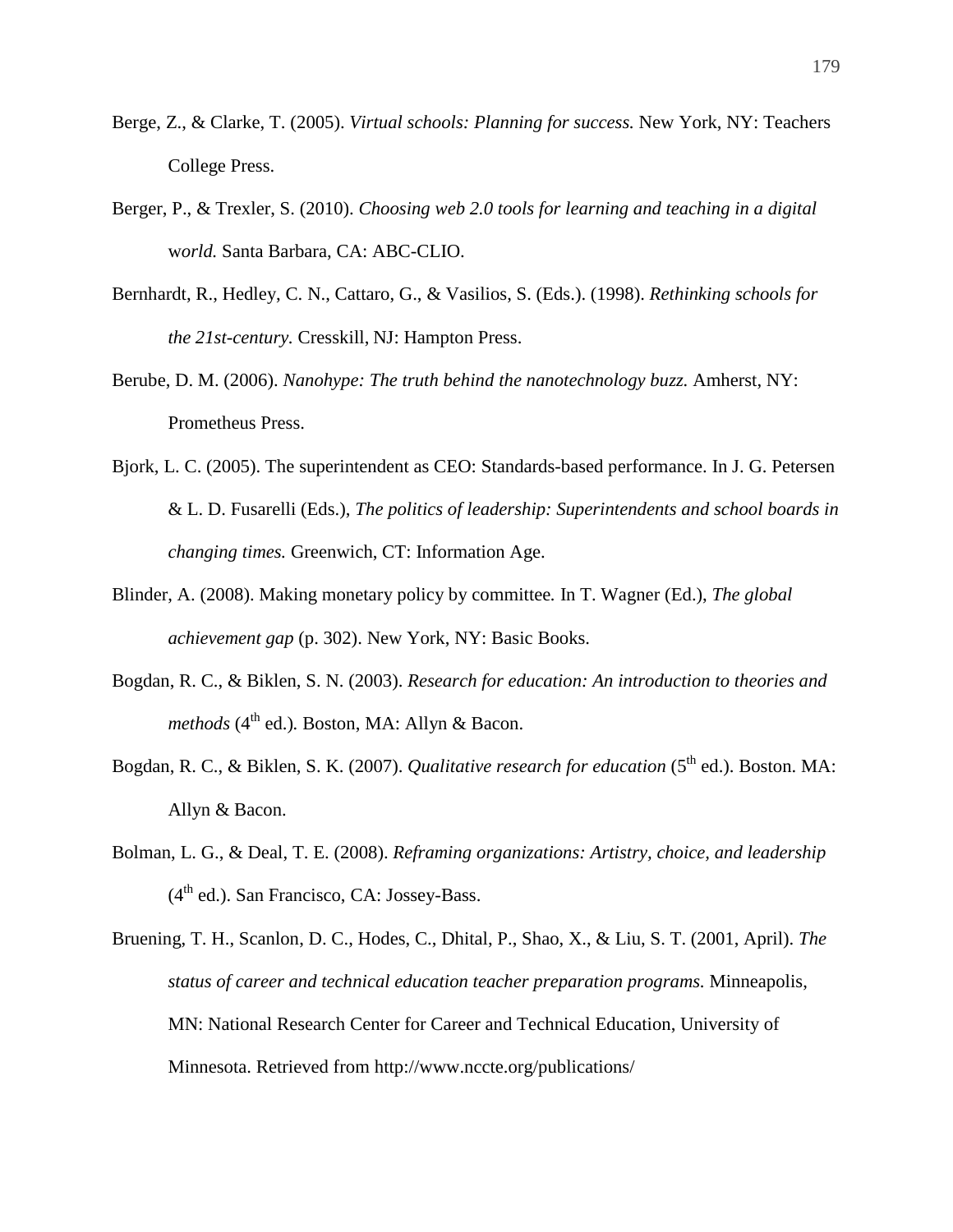- Berge, Z., & Clarke, T. (2005). *Virtual schools: Planning for success.* New York, NY: Teachers College Press.
- Berger, P., & Trexler, S. (2010). *Choosing web 2.0 tools for learning and teaching in a digital*  w*orld.* Santa Barbara, CA: ABC-CLIO.
- Bernhardt, R., Hedley, C. N., Cattaro, G., & Vasilios, S. (Eds.). (1998). *Rethinking schools for the 21st-century.* Cresskill, NJ: Hampton Press.
- Berube, D. M. (2006). *Nanohype: The truth behind the nanotechnology buzz.* Amherst, NY: Prometheus Press.
- Bjork, L. C. (2005). The superintendent as CEO: Standards-based performance. In J. G. Petersen & L. D. Fusarelli (Eds.), *The politics of leadership: Superintendents and school boards in changing times.* Greenwich, CT: Information Age.
- Blinder, A. (2008). Making monetary policy by committee*.* In T. Wagner (Ed.), *The global achievement gap* (p. 302). New York, NY: Basic Books.
- Bogdan, R. C., & Biklen, S. N. (2003). *Research for education: An introduction to theories and methods* ( $4^{\text{th}}$  ed.). Boston, MA: Allyn & Bacon.
- Bogdan, R. C., & Biklen, S. K. (2007). *Qualitative research for education* (5th ed.). Boston. MA: Allyn & Bacon.
- Bolman, L. G., & Deal, T. E. (2008). *Reframing organizations: Artistry, choice, and leadership*  $(4<sup>th</sup>$  ed.). San Francisco, CA: Jossey-Bass.
- Bruening, T. H., Scanlon, D. C., Hodes, C., Dhital, P., Shao, X., & Liu, S. T. (2001, April). *The status of career and technical education teacher preparation programs.* Minneapolis, MN: National Research Center for Career and Technical Education, University of Minnesota. Retrieved from http://www.nccte.org/publications/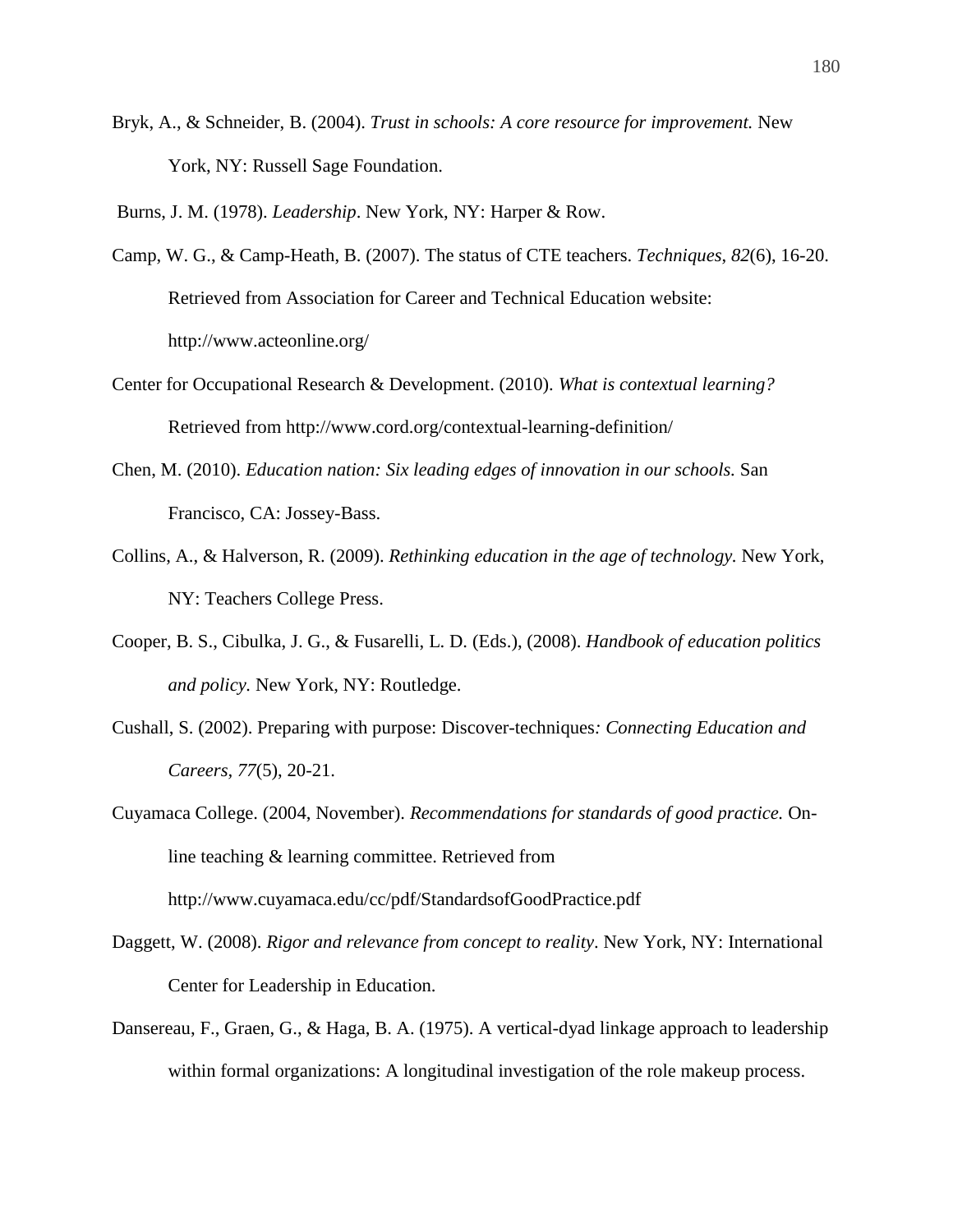Bryk, A., & Schneider, B. (2004). *Trust in schools: A core resource for improvement.* New York, NY: Russell Sage Foundation.

Burns, J. M. (1978). *Leadership*. New York, NY: Harper & Row.

- Camp, W. G., & Camp-Heath, B. (2007). The status of CTE teachers. *Techniques*, *82*(6), 16-20. Retrieved from Association for Career and Technical Education website: http://www.acteonline.org/
- Center for Occupational Research & Development. (2010). *What is contextual learning?*  Retrieved from http://www.cord.org/contextual-learning-definition/
- Chen, M. (2010). *Education nation: Six leading edges of innovation in our schools.* San Francisco, CA: Jossey-Bass.
- Collins, A., & Halverson, R. (2009). *Rethinking education in the age of technology.* New York, NY: Teachers College Press.
- Cooper, B. S., Cibulka, J. G., & Fusarelli, L. D. (Eds.), (2008). *Handbook of education politics and policy.* New York, NY: Routledge.
- Cushall, S. (2002). Preparing with purpose: Discover-techniques*: Connecting Education and Careers, 77*(5), 20-21.

Cuyamaca College. (2004, November). *Recommendations for standards of good practice.* Online teaching & learning committee. Retrieved from http://www.cuyamaca.edu/cc/pdf/StandardsofGoodPractice.pdf

- Daggett, W. (2008). *Rigor and relevance from concept to reality*. New York, NY: International Center for Leadership in Education.
- Dansereau, F., Graen, G., & Haga, B. A. (1975). A vertical-dyad linkage approach to leadership within formal organizations: A longitudinal investigation of the role makeup process.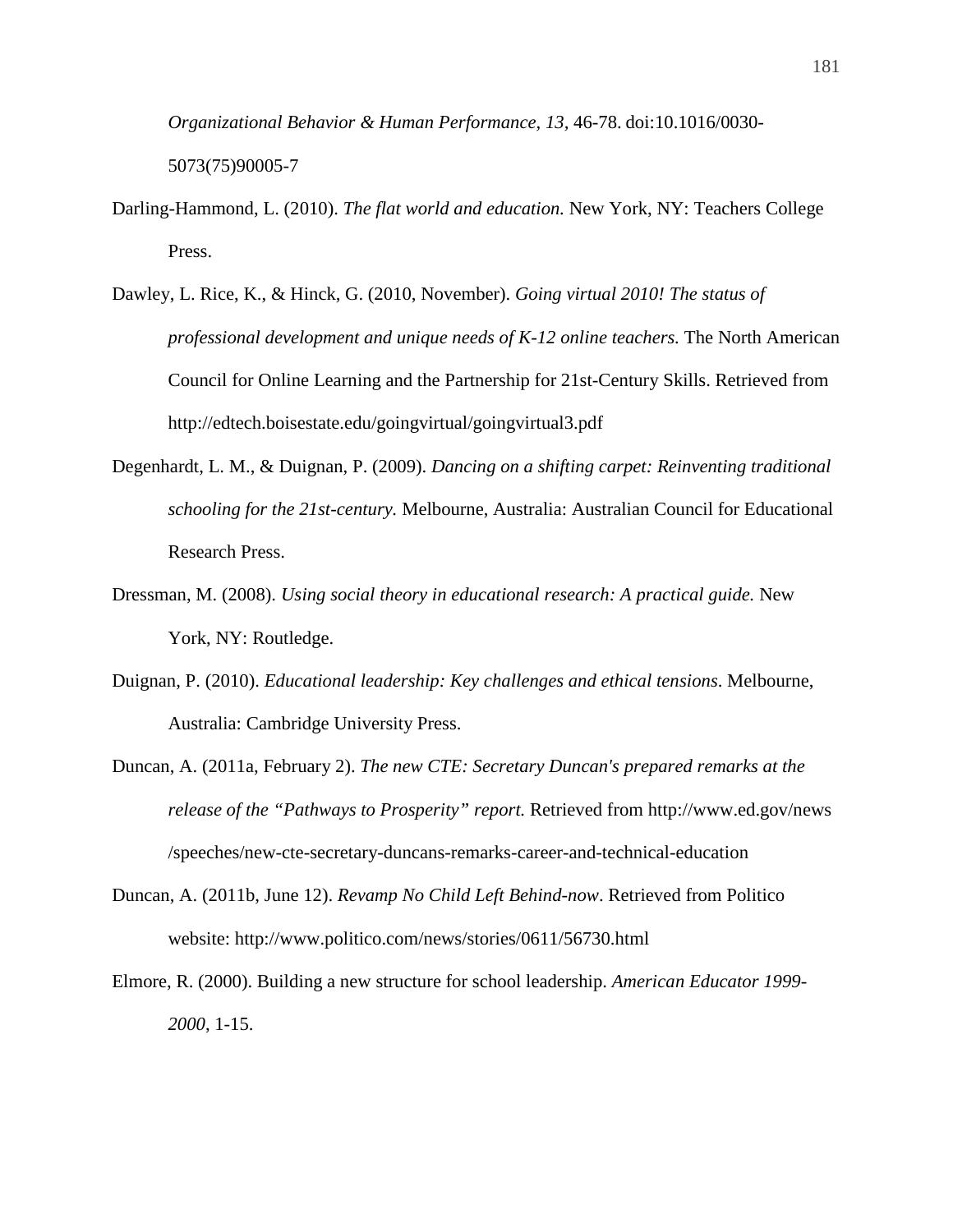*Organizational Behavior & Human Performance, 13,* 46-78. doi:10.1016/0030- 5073(75)90005-7

- Darling-Hammond, L. (2010). *The flat world and education.* New York, NY: Teachers College Press.
- Dawley, L. Rice, K., & Hinck, G. (2010, November). *Going virtual 2010! The status of professional development and unique needs of K-12 online teachers.* The North American Council for Online Learning and the Partnership for 21st-Century Skills. Retrieved from http://edtech.boisestate.edu/goingvirtual/goingvirtual3.pdf
- Degenhardt, L. M., & Duignan, P. (2009). *Dancing on a shifting carpet: Reinventing traditional schooling for the 21st-century.* Melbourne, Australia: Australian Council for Educational Research Press.
- Dressman, M. (2008). *Using social theory in educational research: A practical guide.* New York, NY: Routledge.
- Duignan, P. (2010). *Educational leadership: Key challenges and ethical tensions*. Melbourne, Australia: Cambridge University Press.
- Duncan, A. (2011a, February 2). *The new CTE: Secretary Duncan's prepared remarks at the release of the "Pathways to Prosperity" report.* Retrieved from http://www.ed.gov/news /speeches/new-cte-secretary-duncans-remarks-career-and-technical-education
- Duncan, A. (2011b, June 12). *Revamp No Child Left Behind-now*. Retrieved from Politico website: http://www.politico.com/news/stories/0611/56730.html
- Elmore, R. (2000). Building a new structure for school leadership. *American Educator 1999- 2000*, 1-15.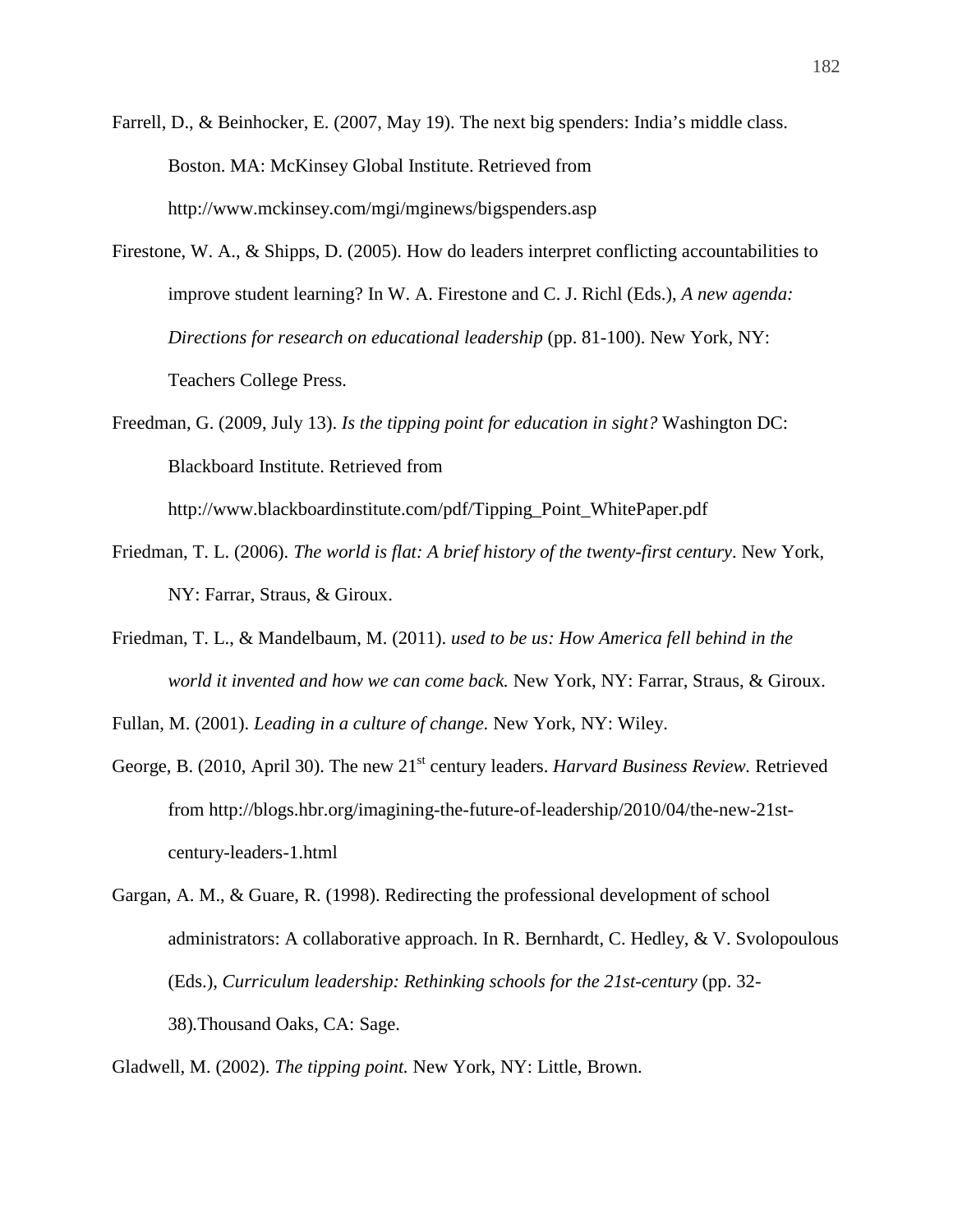Farrell, D., & Beinhocker, E. (2007, May 19). The next big spenders: India's middle class. Boston. MA: McKinsey Global Institute. Retrieved from http://www.mckinsey.com/mgi/mginews/bigspenders.asp

- Firestone, W. A., & Shipps, D. (2005). How do leaders interpret conflicting accountabilities to improve student learning? In W. A. Firestone and C. J. Richl (Eds.), *A new agenda: Directions for research on educational leadership* (pp. 81-100). New York, NY: Teachers College Press.
- Freedman, G. (2009, July 13). *Is the tipping point for education in sight?* Washington DC: Blackboard Institute. Retrieved from

http://www.blackboardinstitute.com/pdf/Tipping\_Point\_WhitePaper.pdf

- Friedman, T. L. (2006). *The world is flat: A brief history of the twenty-first century*. New York, NY: Farrar, Straus, & Giroux.
- Friedman, T. L., & Mandelbaum, M. (2011). *used to be us: How America fell behind in the world it invented and how we can come back.* New York, NY: Farrar, Straus, & Giroux.

Fullan, M. (2001). *Leading in a culture of change.* New York, NY: Wiley.

- George, B. (2010, April 30). The new 21<sup>st</sup> century leaders. *Harvard Business Review*. Retrieved from http://blogs.hbr.org/imagining-the-future-of-leadership/2010/04/the-new-21stcentury-leaders-1.html
- Gargan, A. M., & Guare, R. (1998). Redirecting the professional development of school administrators: A collaborative approach. In R. Bernhardt, C. Hedley, & V. Svolopoulous (Eds.), *Curriculum leadership: Rethinking schools for the 21st-century* (pp. 32- 38)*.*Thousand Oaks, CA: Sage.

Gladwell, M. (2002). *The tipping point.* New York, NY: Little, Brown.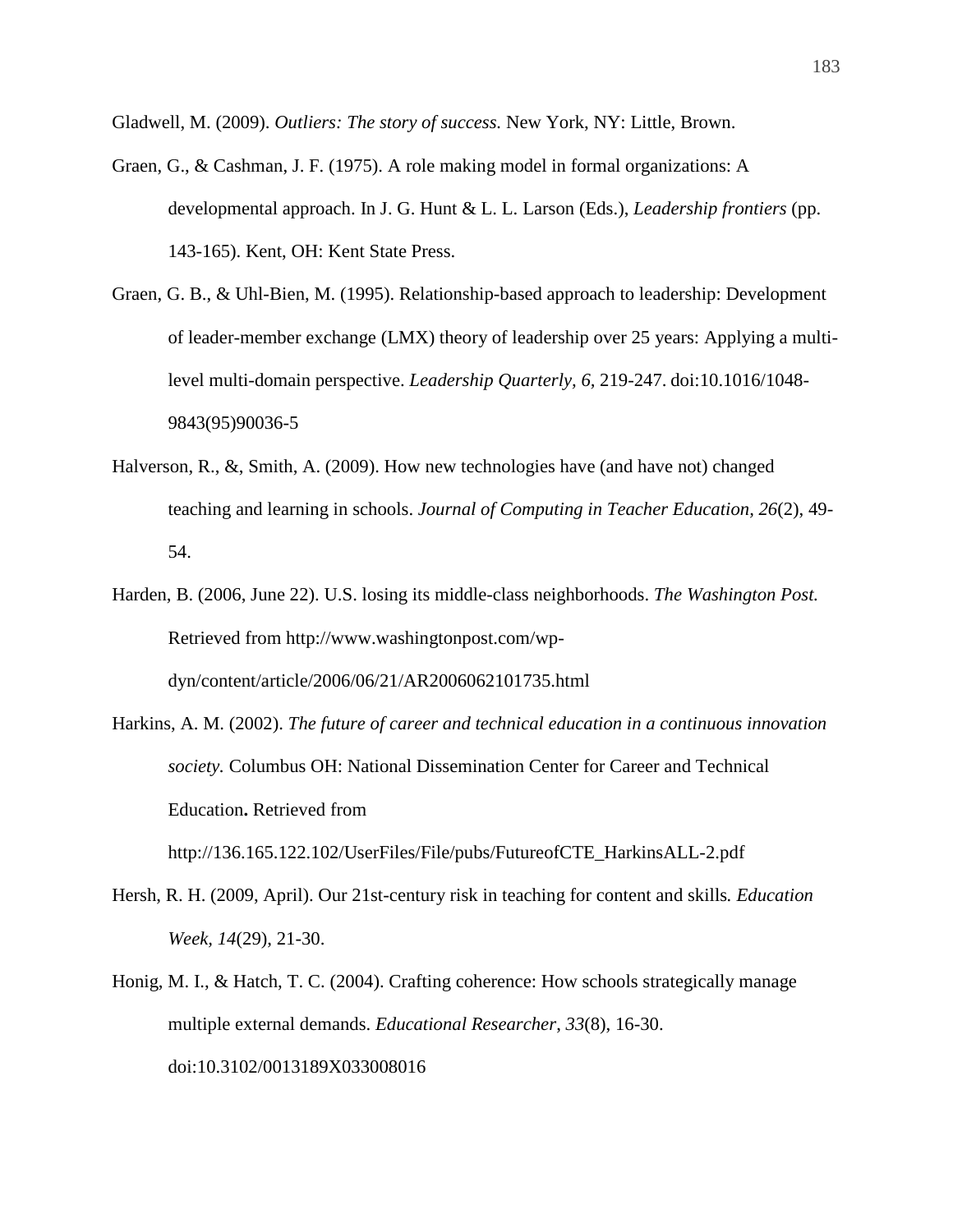Gladwell, M. (2009). *Outliers: The story of success.* New York, NY: Little, Brown.

- Graen, G., & Cashman, J. F. (1975). A role making model in formal organizations: A developmental approach. In J. G. Hunt & L. L. Larson (Eds.), *Leadership frontiers* (pp. 143-165). Kent, OH: Kent State Press.
- Graen, G. B., & Uhl-Bien, M. (1995). Relationship-based approach to leadership: Development of leader-member exchange (LMX) theory of leadership over 25 years: Applying a multilevel multi-domain perspective. *Leadership Quarterly, 6,* 219-247. doi:10.1016/1048- 9843(95)90036-5
- Halverson, R., &, Smith, A. (2009). How new technologies have (and have not) changed teaching and learning in schools. *Journal of Computing in Teacher Education, 26*(2), 49- 54.
- Harden, B. (2006, June 22). U.S. losing its middle-class neighborhoods. *The Washington Post.*  Retrieved from http://www.washingtonpost.com/wpdyn/content/article/2006/06/21/AR2006062101735.html
- Harkins, A. M. (2002). *The future of career and technical education in a continuous innovation society.* Columbus OH: National Dissemination Center for Career and Technical Education**.** Retrieved from http://136.165.122.102/UserFiles/File/pubs/FutureofCTE\_HarkinsALL-2.pdf
- Hersh, R. H. (2009, April). Our 21st-century risk in teaching for content and skills*. Education Week, 14*(29), 21-30.
- Honig, M. I., & Hatch, T. C. (2004). Crafting coherence: How schools strategically manage multiple external demands. *Educational Researcher*, *33*(8), 16-30. doi:10.3102/0013189X033008016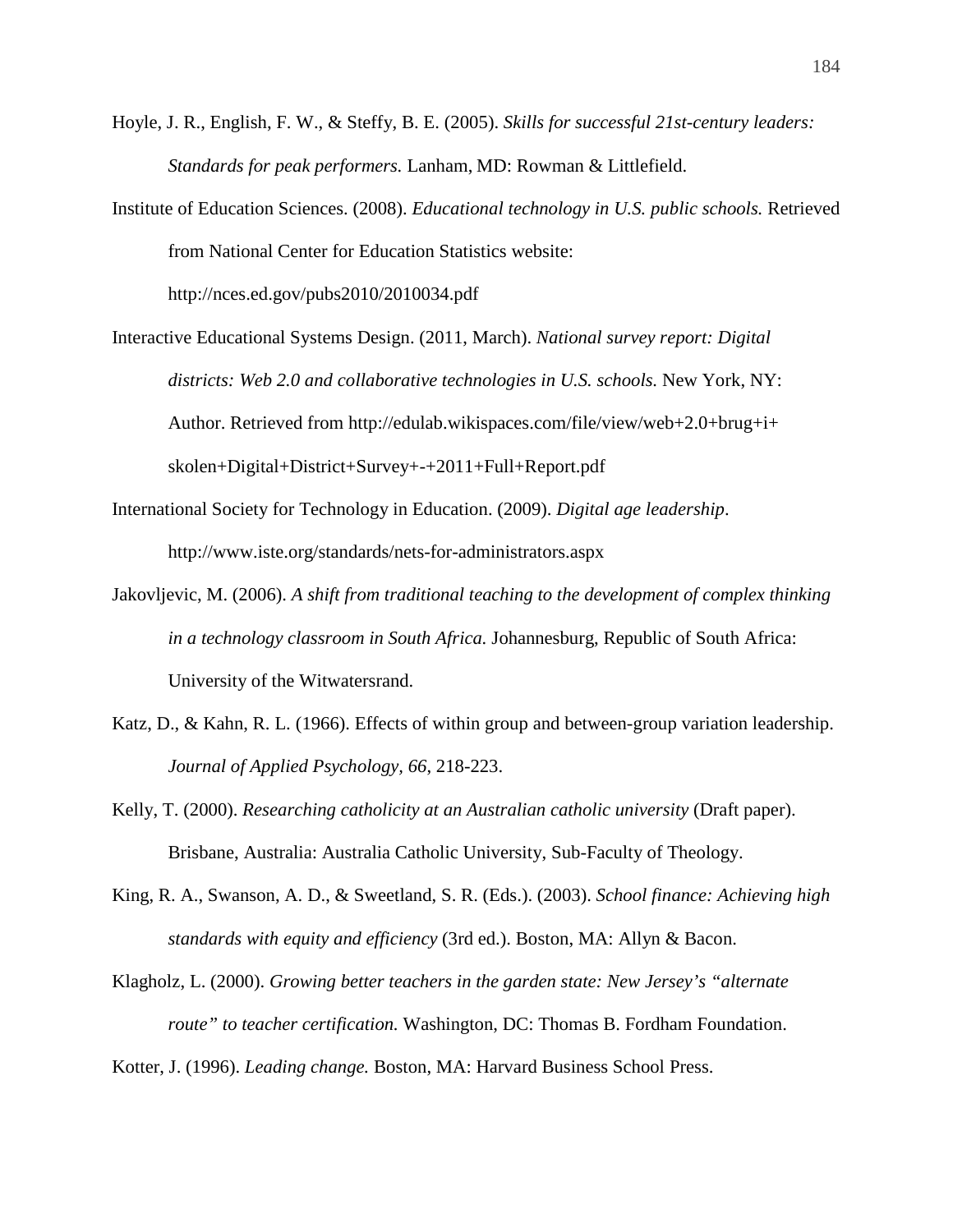- Hoyle, J. R., English, F. W., & Steffy, B. E. (2005). *Skills for successful 21st-century leaders: Standards for peak performers.* Lanham, MD: Rowman & Littlefield.
- Institute of Education Sciences. (2008). *Educational technology in U.S. public schools.* Retrieved from National Center for Education Statistics website:

http://nces.ed.gov/pubs2010/2010034.pdf

Interactive Educational Systems Design. (2011, March). *National survey report: Digital districts: Web 2.0 and collaborative technologies in U.S. schools.* New York, NY: Author. Retrieved from http://edulab.wikispaces.com/file/view/web+2.0+brug+i+ skolen+Digital+District+Survey+-+2011+Full+Report.pdf

International Society for Technology in Education. (2009). *Digital age leadership*. http://www.iste.org/standards/nets-for-administrators.aspx

- Jakovljevic, M. (2006). *A shift from traditional teaching to the development of complex thinking in a technology classroom in South Africa.* Johannesburg, Republic of South Africa: University of the Witwatersrand.
- Katz, D., & Kahn, R. L. (1966). Effects of within group and between-group variation leadership. *Journal of Applied Psychology, 66*, 218-223.
- Kelly, T. (2000). *Researching catholicity at an Australian catholic university* (Draft paper). Brisbane, Australia: Australia Catholic University, Sub-Faculty of Theology.
- King, R. A., Swanson, A. D., & Sweetland, S. R. (Eds.). (2003). *School finance: Achieving high standards with equity and efficiency* (3rd ed.). Boston, MA: Allyn & Bacon.
- Klagholz, L. (2000). *Growing better teachers in the garden state: New Jersey's "alternate route" to teacher certification.* Washington, DC: Thomas B. Fordham Foundation.
- Kotter, J. (1996). *Leading change.* Boston, MA: Harvard Business School Press.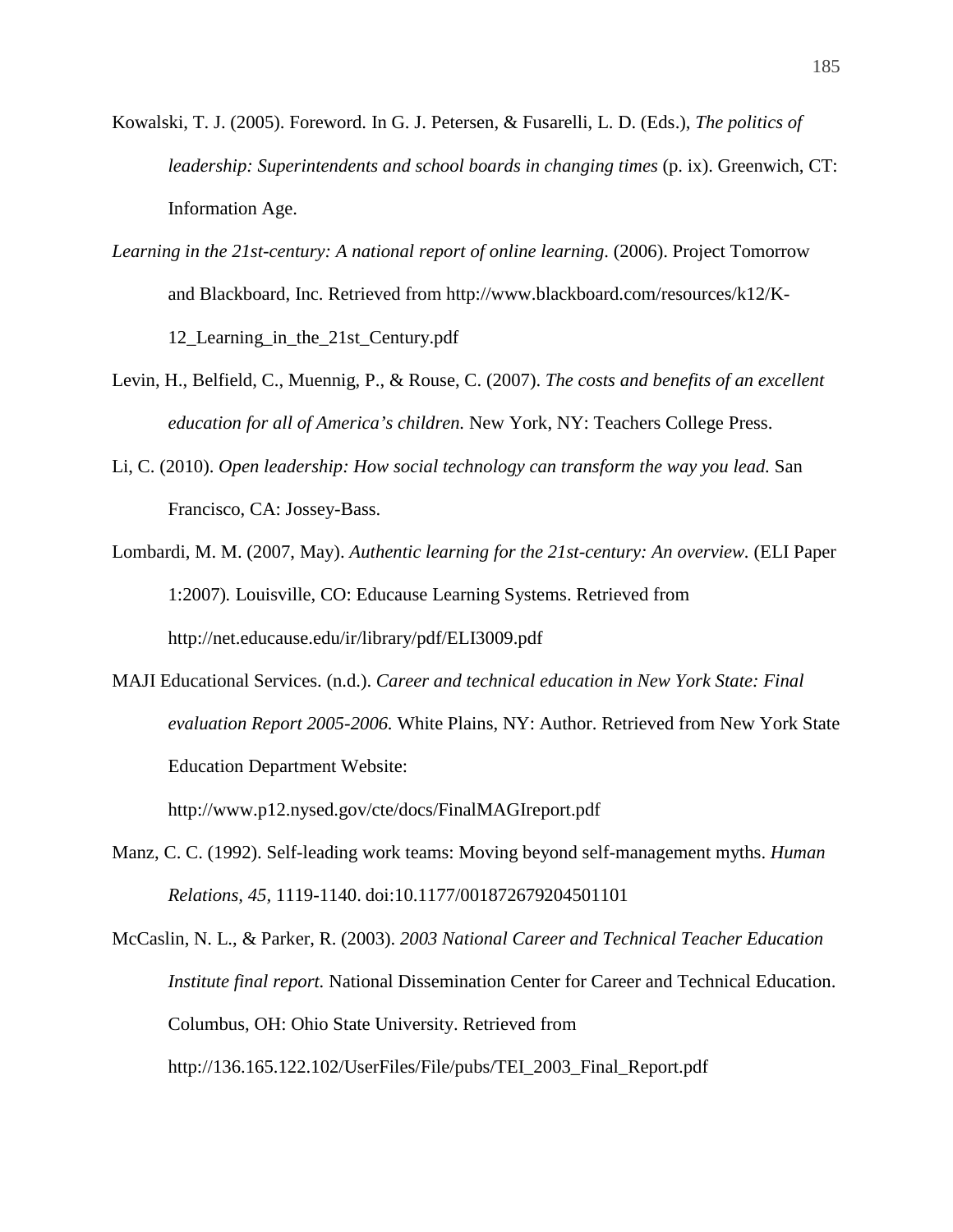- Kowalski, T. J. (2005). Foreword. In G. J. Petersen, & Fusarelli, L. D. (Eds.), *The politics of leadership: Superintendents and school boards in changing times* (p. ix). Greenwich, CT: Information Age.
- *Learning in the 21st-century: A national report of online learning*. (2006). Project Tomorrow and Blackboard, Inc. Retrieved from http://www.blackboard.com/resources/k12/K-12\_Learning\_in\_the\_21st\_Century.pdf
- Levin, H., Belfield, C., Muennig, P., & Rouse, C. (2007). *The costs and benefits of an excellent education for all of America's children.* New York, NY: Teachers College Press.
- Li, C. (2010). *Open leadership: How social technology can transform the way you lead.* San Francisco, CA: Jossey-Bass.
- Lombardi, M. M. (2007, May). *Authentic learning for the 21st-century: An overview.* (ELI Paper 1:2007)*.* Louisville, CO: Educause Learning Systems. Retrieved from http://net.educause.edu/ir/library/pdf/ELI3009.pdf
- MAJI Educational Services. (n.d.). *Career and technical education in New York State: Final evaluation Report 2005-2006.* White Plains, NY: Author. Retrieved from New York State Education Department Website:

http://www.p12.nysed.gov/cte/docs/FinalMAGIreport.pdf

Manz, C. C. (1992). Self-leading work teams: Moving beyond self-management myths. *Human Relations, 45,* 1119-1140. doi:10.1177/001872679204501101

McCaslin, N. L., & Parker, R. (2003). *2003 National Career and Technical Teacher Education Institute final report.* National Dissemination Center for Career and Technical Education. Columbus, OH: Ohio State University. Retrieved from http://136.165.122.102/UserFiles/File/pubs/TEI\_2003\_Final\_Report.pdf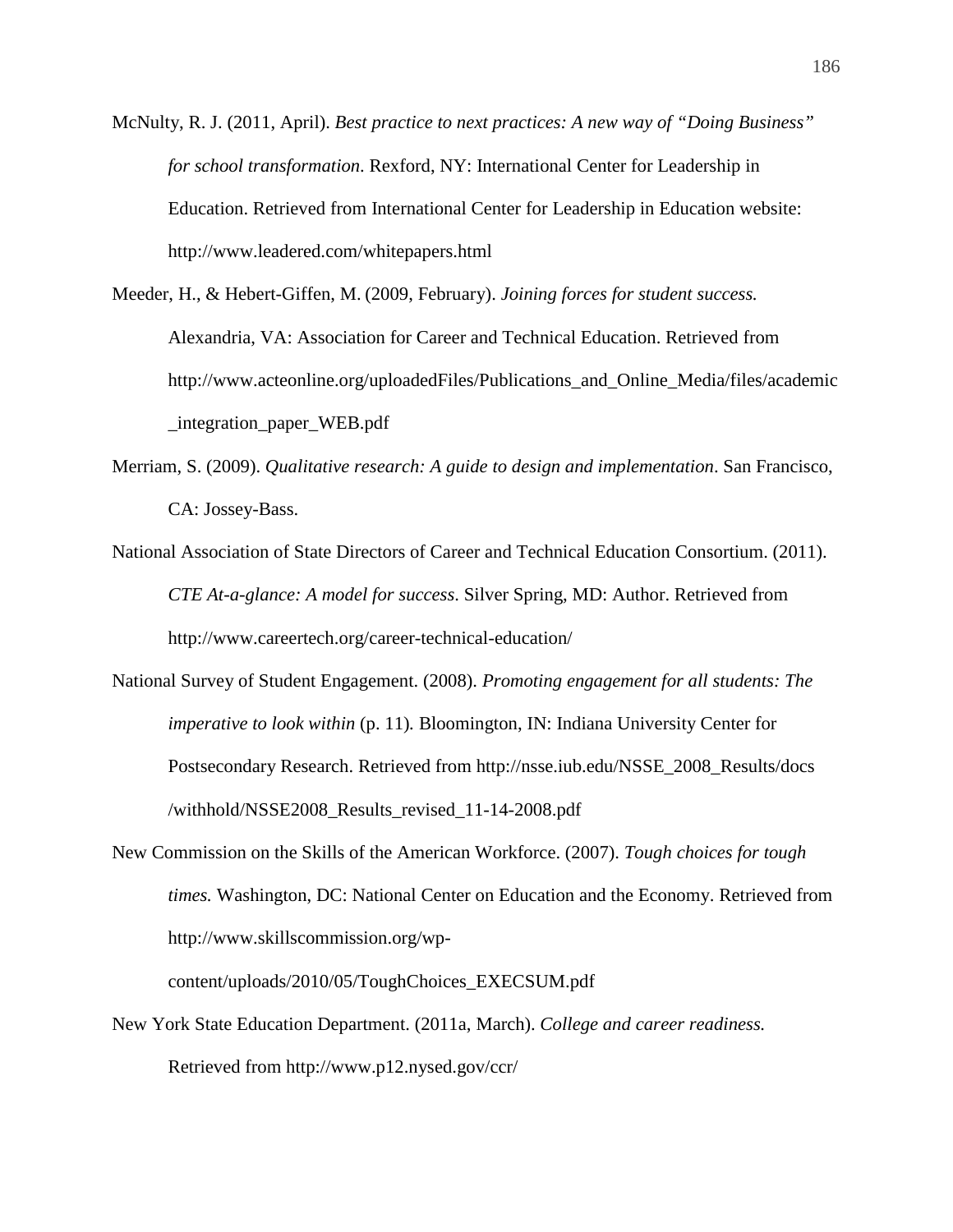McNulty, R. J. (2011, April). *Best practice to next practices: A new way of "Doing Business" for school transformation*. Rexford, NY: International Center for Leadership in Education. Retrieved from International Center for Leadership in Education website: http://www.leadered.com/whitepapers.html

Meeder, H., & Hebert-Giffen, M. (2009, February). *Joining forces for student success.* Alexandria, VA: Association for Career and Technical Education. Retrieved from http://www.acteonline.org/uploadedFiles/Publications\_and\_Online\_Media/files/academic \_integration\_paper\_WEB.pdf

- Merriam, S. (2009). *Qualitative research: A guide to design and implementation*. San Francisco, CA: Jossey-Bass.
- National Association of State Directors of Career and Technical Education Consortium. (2011). *CTE At-a-glance: A model for success*. Silver Spring, MD: Author. Retrieved from http://www.careertech.org/career-technical-education/
- National Survey of Student Engagement. (2008). *Promoting engagement for all students: The imperative to look within* (p. 11)*.* Bloomington, IN: Indiana University Center for Postsecondary Research. Retrieved from http://nsse.iub.edu/NSSE\_2008\_Results/docs /withhold/NSSE2008\_Results\_revised\_11-14-2008.pdf
- New Commission on the Skills of the American Workforce. (2007). *Tough choices for tough times.* Washington, DC: National Center on Education and the Economy. Retrieved from http://www.skillscommission.org/wp-

content/uploads/2010/05/ToughChoices\_EXECSUM.pdf

New York State Education Department. (2011a, March). *College and career readiness.* Retrieved from http://www.p12.nysed.gov/ccr/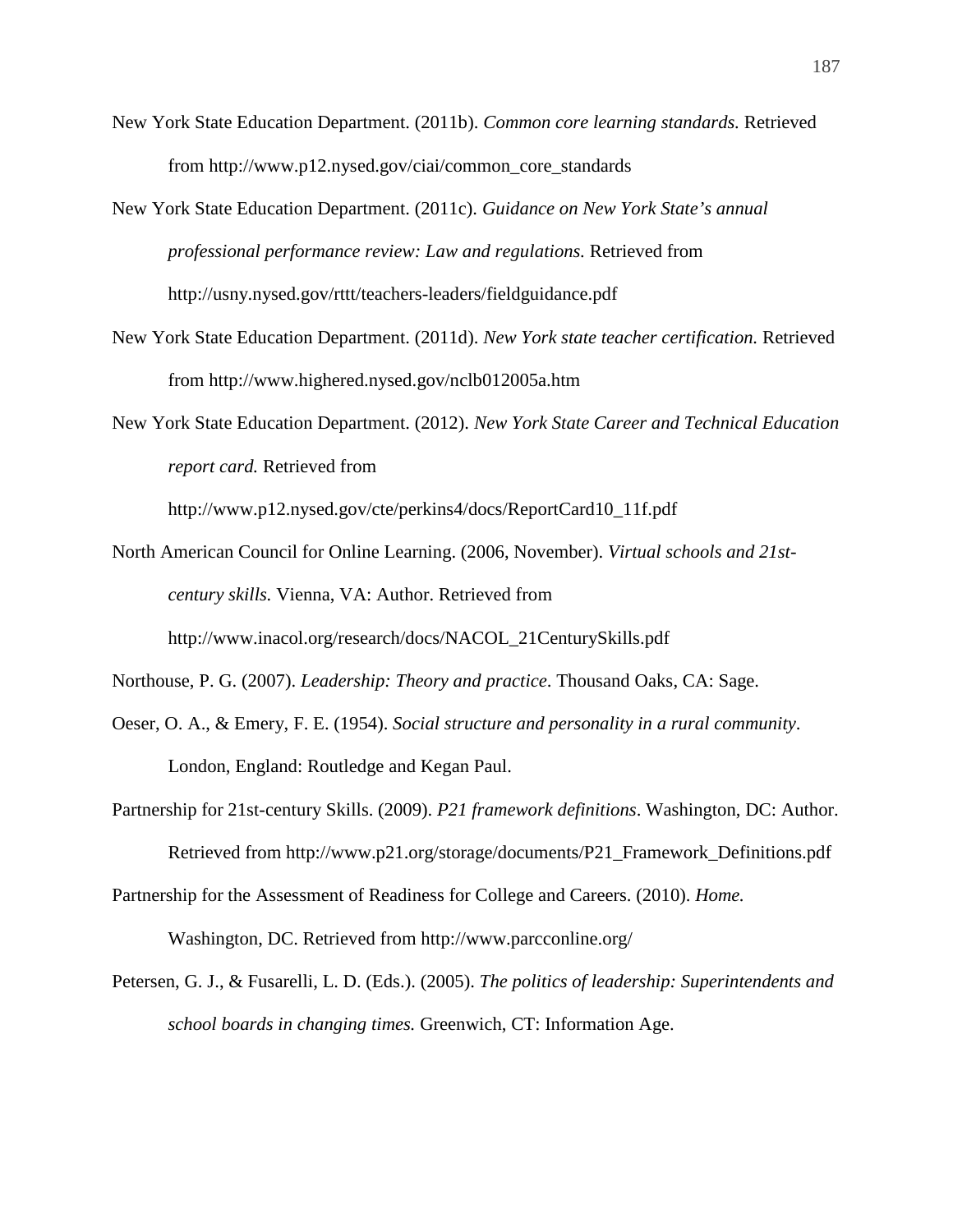- New York State Education Department. (2011b). *Common core learning standards.* Retrieved from http://www.p12.nysed.gov/ciai/common\_core\_standards
- New York State Education Department. (2011c). *Guidance on New York State's annual professional performance review: Law and regulations.* Retrieved from http://usny.nysed.gov/rttt/teachers-leaders/fieldguidance.pdf
- New York State Education Department. (2011d). *New York state teacher certification.* Retrieved from http://www.highered.nysed.gov/nclb012005a.htm
- New York State Education Department. (2012). *New York State Career and Technical Education report card.* Retrieved from

http://www.p12.nysed.gov/cte/perkins4/docs/ReportCard10\_11f.pdf

North American Council for Online Learning. (2006, November). *Virtual schools and 21stcentury skills.* Vienna, VA: Author. Retrieved from http://www.inacol.org/research/docs/NACOL\_21CenturySkills.pdf

Northouse, P. G. (2007). *Leadership: Theory and practice*. Thousand Oaks, CA: Sage.

- Oeser, O. A., & Emery, F. E. (1954). *Social structure and personality in a rural community*. London, England: Routledge and Kegan Paul.
- Partnership for 21st-century Skills. (2009). *P21 framework definitions*. Washington, DC: Author. Retrieved from http://www.p21.org/storage/documents/P21\_Framework\_Definitions.pdf

Partnership for the Assessment of Readiness for College and Careers. (2010). *Home.*

Washington, DC. Retrieved from http://www.parcconline.org/

Petersen, G. J., & Fusarelli, L. D. (Eds.). (2005). *The politics of leadership: Superintendents and school boards in changing times.* Greenwich, CT: Information Age.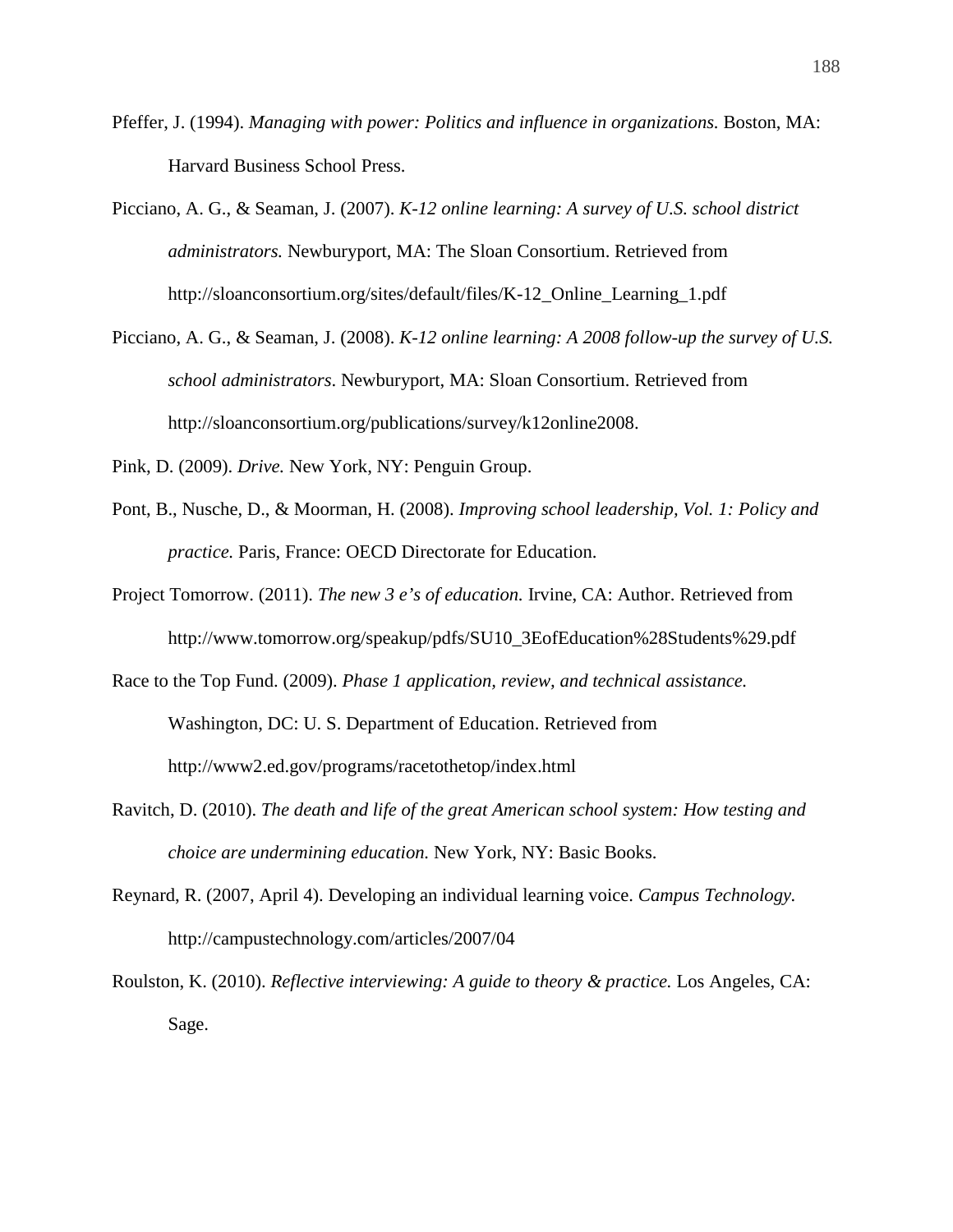- Pfeffer, J. (1994). *Managing with power: Politics and influence in organizations.* Boston, MA: Harvard Business School Press.
- Picciano, A. G., & Seaman, J. (2007). *K-12 online learning: A survey of U.S. school district administrators.* Newburyport, MA: The Sloan Consortium. Retrieved from http://sloanconsortium.org/sites/default/files/K-12\_Online\_Learning\_1.pdf
- Picciano, A. G., & Seaman, J. (2008). *K-12 online learning: A 2008 follow-up the survey of U.S. school administrators*. Newburyport, MA: Sloan Consortium. Retrieved from http://sloanconsortium.org/publications/survey/k12online2008.
- Pink, D. (2009). *Drive.* New York, NY: Penguin Group.
- Pont, B., Nusche, D., & Moorman, H. (2008). *Improving school leadership, Vol. 1: Policy and practice.* Paris, France: OECD Directorate for Education.
- Project Tomorrow. (2011). *The new 3 e's of education.* Irvine, CA: Author. Retrieved from http://www.tomorrow.org/speakup/pdfs/SU10\_3EofEducation%28Students%29.pdf
- Race to the Top Fund. (2009). *Phase 1 application, review, and technical assistance.*

Washington, DC: U. S. Department of Education. Retrieved from http://www2.ed.gov/programs/racetothetop/index.html

- Ravitch, D. (2010). *The death and life of the great American school system: How testing and choice are undermining education.* New York, NY: Basic Books.
- Reynard, R. (2007, April 4). Developing an individual learning voice. *Campus Technology.*  http://campustechnology.com/articles/2007/04

Roulston, K. (2010). *Reflective interviewing: A guide to theory & practice.* Los Angeles, CA: Sage.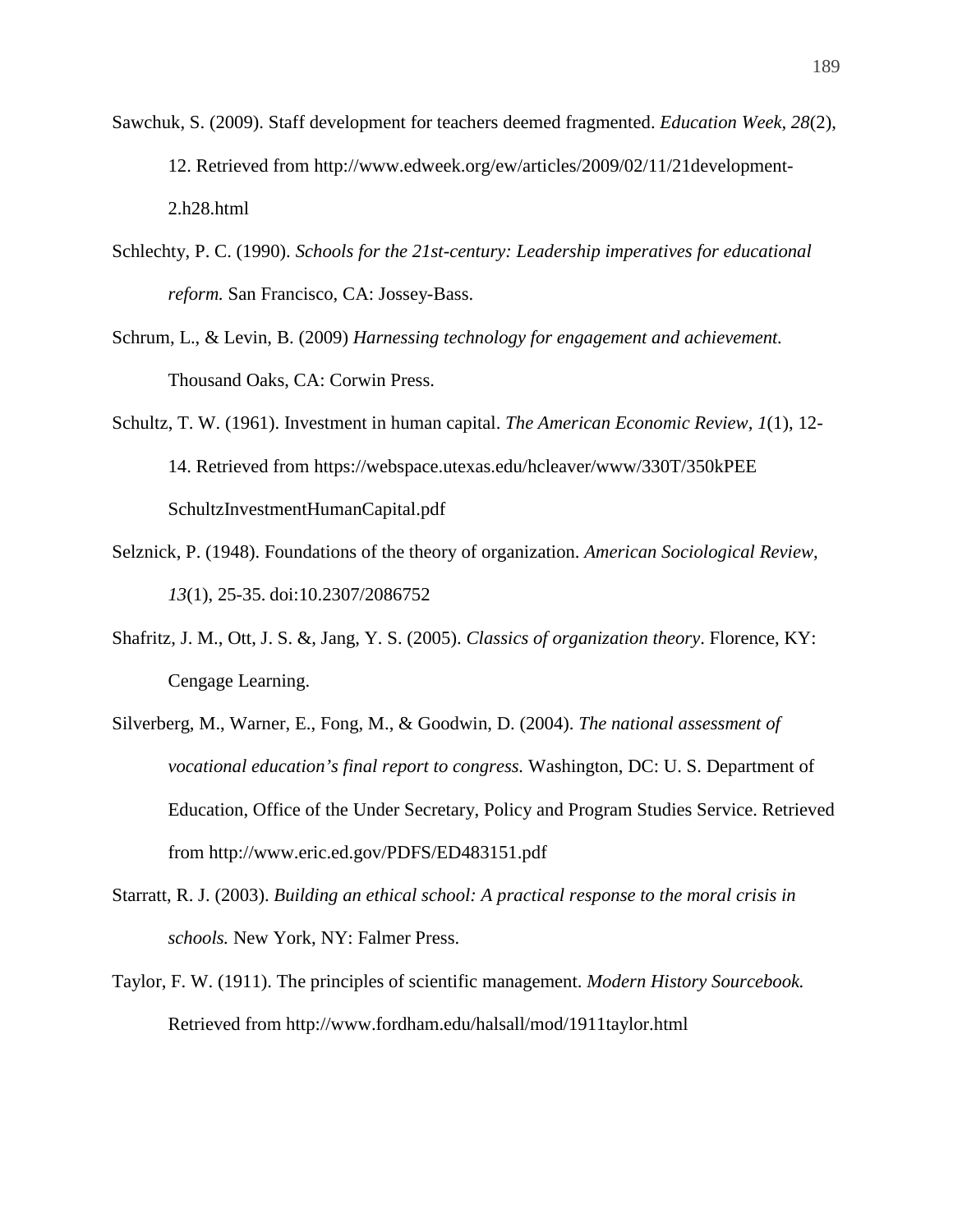- Sawchuk, S. (2009). Staff development for teachers deemed fragmented. *Education Week, 28*(2), 12. Retrieved from http://www.edweek.org/ew/articles/2009/02/11/21development-2.h28.html
- Schlechty, P. C. (1990). *Schools for the 21st-century: Leadership imperatives for educational reform.* San Francisco, CA: Jossey-Bass.
- Schrum, L., & Levin, B. (2009) *Harnessing technology for engagement and achievement.* Thousand Oaks, CA: Corwin Press.
- Schultz, T. W. (1961). Investment in human capital. *The American Economic Review, 1*(1), 12- 14. Retrieved from https://webspace.utexas.edu/hcleaver/www/330T/350kPEE SchultzInvestmentHumanCapital.pdf
- Selznick, P. (1948). Foundations of the theory of organization. *American Sociological Review, 13*(1), 25-35. doi:10.2307/2086752
- Shafritz, J. M., Ott, J. S. &, Jang, Y. S. (2005). *Classics of organization theory*. Florence, KY: Cengage Learning.
- Silverberg, M., Warner, E., Fong, M., & Goodwin, D. (2004). *The national assessment of vocational education's final report to congress.* Washington, DC: U. S. Department of Education, Office of the Under Secretary, Policy and Program Studies Service. Retrieved from http://www.eric.ed.gov/PDFS/ED483151.pdf
- Starratt, R. J. (2003). *Building an ethical school: A practical response to the moral crisis in schools.* New York, NY: Falmer Press.
- Taylor, F. W. (1911). The principles of scientific management. *Modern History Sourcebook.* Retrieved from http://www.fordham.edu/halsall/mod/1911taylor.html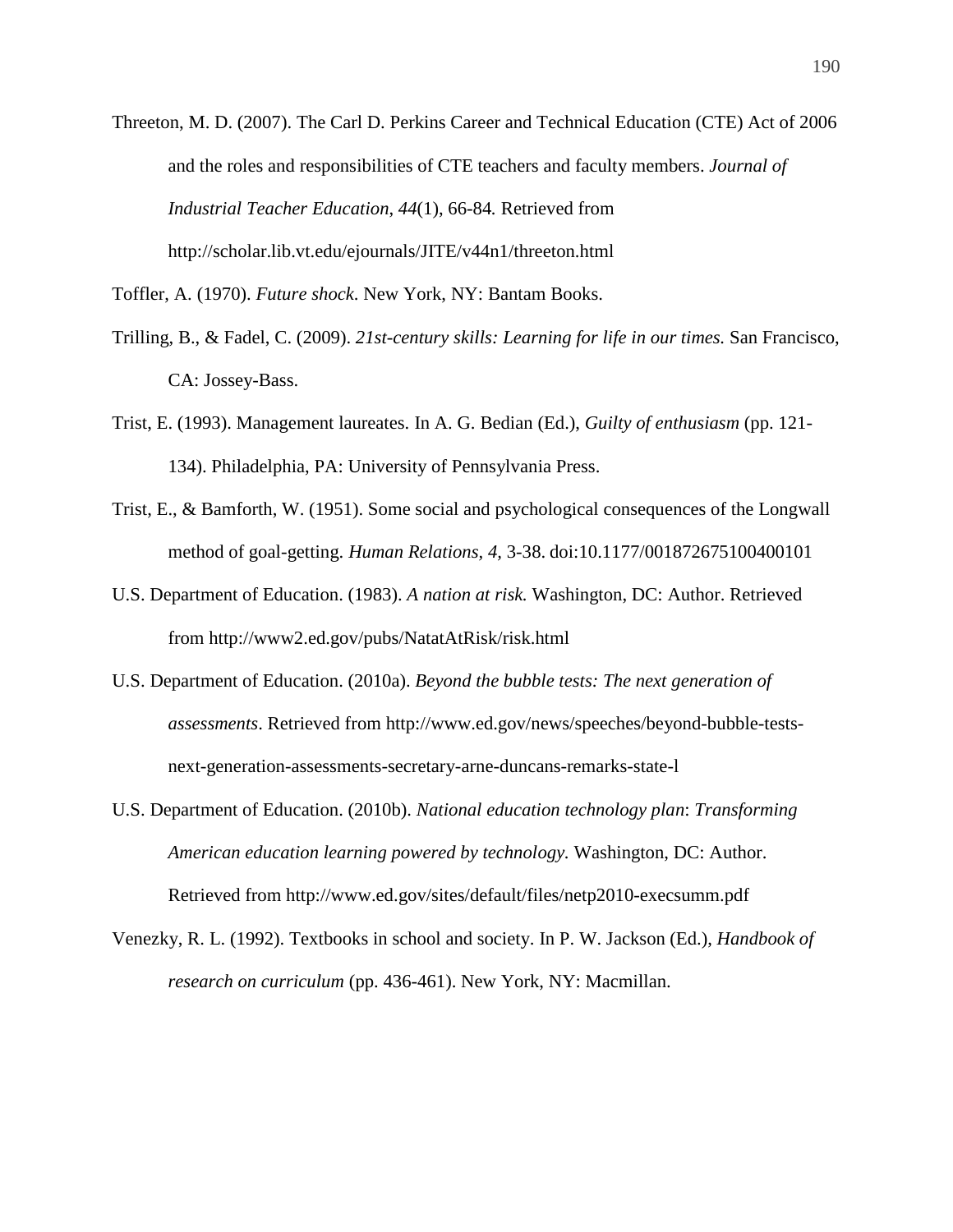Threeton, M. D. (2007). The Carl D. Perkins Career and Technical Education (CTE) Act of 2006 and the roles and responsibilities of CTE teachers and faculty members. *Journal of Industrial Teacher Education*, *44*(1), 66-84*.* Retrieved from http://scholar.lib.vt.edu/ejournals/JITE/v44n1/threeton.html

Toffler, A. (1970). *Future shock*. New York, NY: Bantam Books.

- Trilling, B., & Fadel, C. (2009). *21st-century skills: Learning for life in our times.* San Francisco, CA: Jossey-Bass.
- Trist, E. (1993). Management laureates. In A. G. Bedian (Ed.), *Guilty of enthusiasm* (pp. 121- 134). Philadelphia, PA: University of Pennsylvania Press.
- Trist, E., & Bamforth, W. (1951). Some social and psychological consequences of the Longwall method of goal-getting. *Human Relations, 4,* 3-38. doi:10.1177/001872675100400101
- U.S. Department of Education. (1983). *A nation at risk.* Washington, DC: Author. Retrieved from http://www2.ed.gov/pubs/NatatAtRisk/risk.html
- U.S. Department of Education. (2010a). *Beyond the bubble tests: The next generation of assessments*. Retrieved from http://www.ed.gov/news/speeches/beyond-bubble-testsnext-generation-assessments-secretary-arne-duncans-remarks-state-l
- U.S. Department of Education. (2010b). *National education technology plan*: *Transforming American education learning powered by technology.* Washington, DC: Author. Retrieved from http://www.ed.gov/sites/default/files/netp2010-execsumm.pdf
- Venezky, R. L. (1992). Textbooks in school and society. In P. W. Jackson (Ed.), *Handbook of research on curriculum* (pp. 436-461). New York, NY: Macmillan.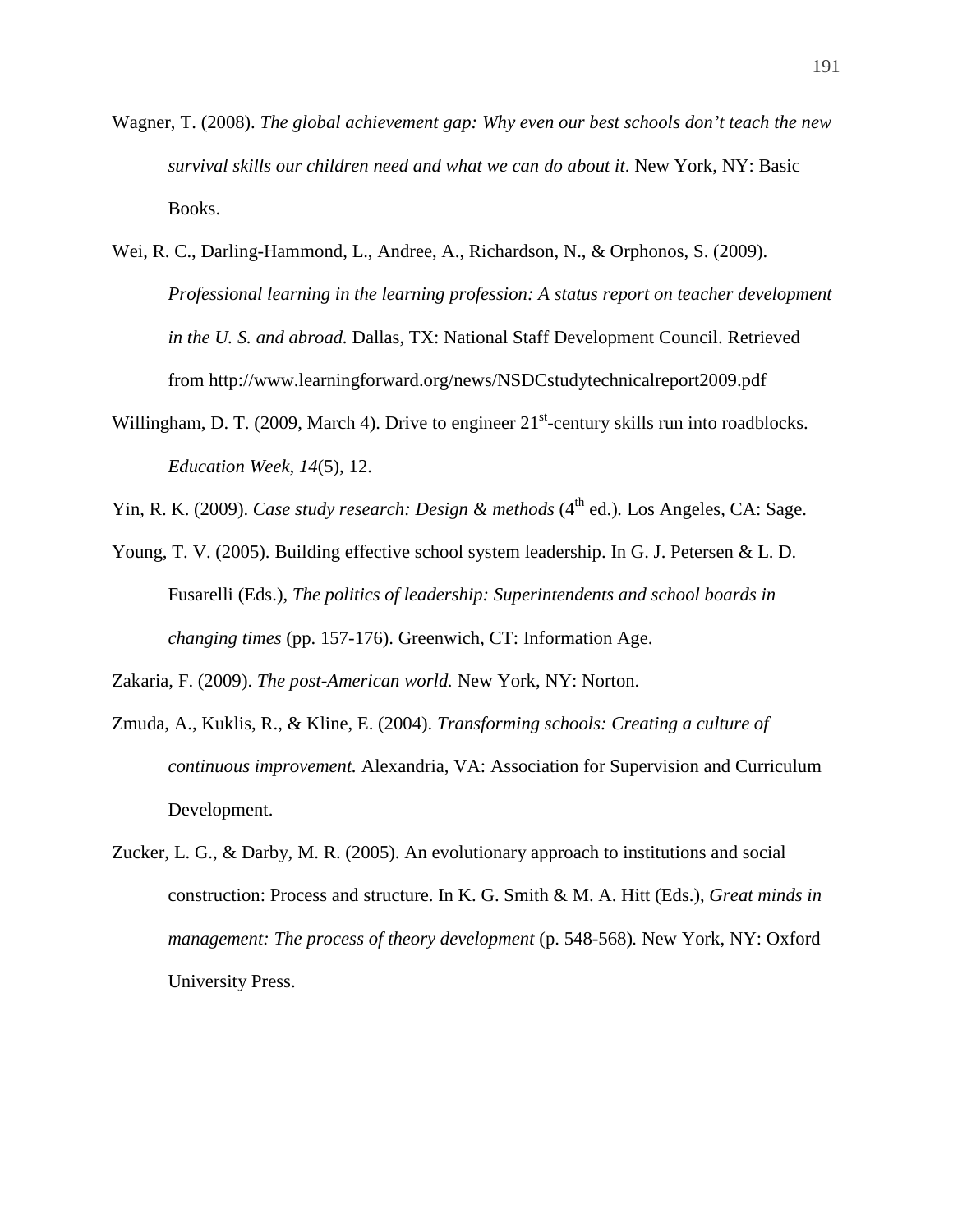- Wagner, T. (2008). *The global achievement gap: Why even our best schools don't teach the new survival skills our children need and what we can do about it*. New York, NY: Basic Books.
- Wei, R. C., Darling-Hammond, L., Andree, A., Richardson, N., & Orphonos, S. (2009). *Professional learning in the learning profession: A status report on teacher development in the U. S. and abroad.* Dallas, TX: National Staff Development Council. Retrieved from http://www.learningforward.org/news/NSDCstudytechnicalreport2009.pdf
- Willingham, D. T. (2009, March 4). Drive to engineer  $21<sup>st</sup>$ -century skills run into roadblocks. *Education Week*, *14*(5), 12.
- Yin, R. K. (2009). *Case study research: Design & methods* (4<sup>th</sup> ed.). Los Angeles, CA: Sage.
- Young, T. V. (2005). Building effective school system leadership. In G. J. Petersen & L. D. Fusarelli (Eds.), *The politics of leadership: Superintendents and school boards in changing times* (pp. 157-176). Greenwich, CT: Information Age.

Zakaria, F. (2009). *The post-American world.* New York, NY: Norton.

- Zmuda, A., Kuklis, R., & Kline, E. (2004). *Transforming schools: Creating a culture of continuous improvement.* Alexandria, VA: Association for Supervision and Curriculum Development.
- Zucker, L. G., & Darby, M. R. (2005). An evolutionary approach to institutions and social construction: Process and structure. In K. G. Smith & M. A. Hitt (Eds.), *Great minds in management: The process of theory development* (p. 548-568). New York, NY: Oxford University Press.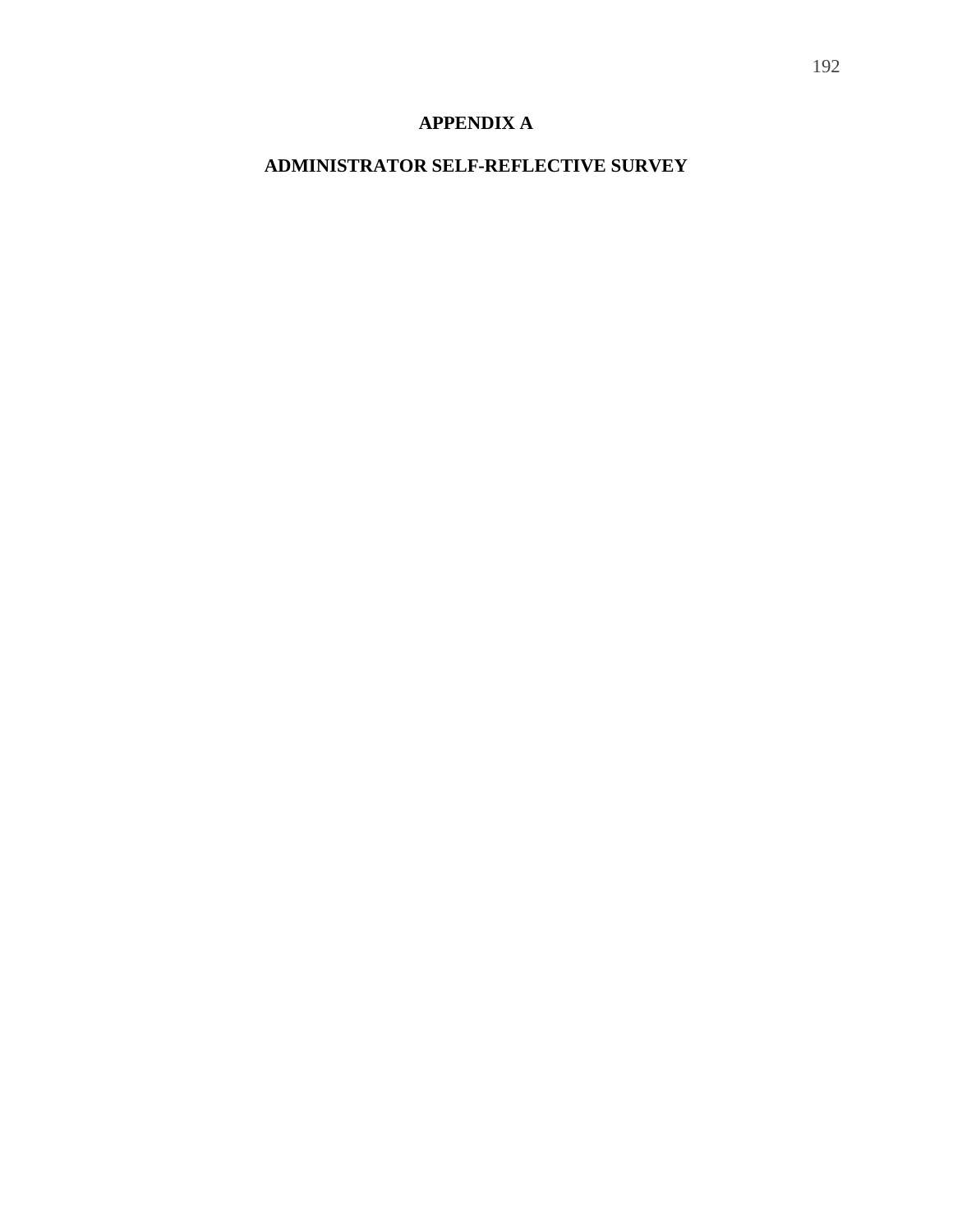# **APPENDIX A**

# **ADMINISTRATOR SELF-REFLECTIVE SURVEY**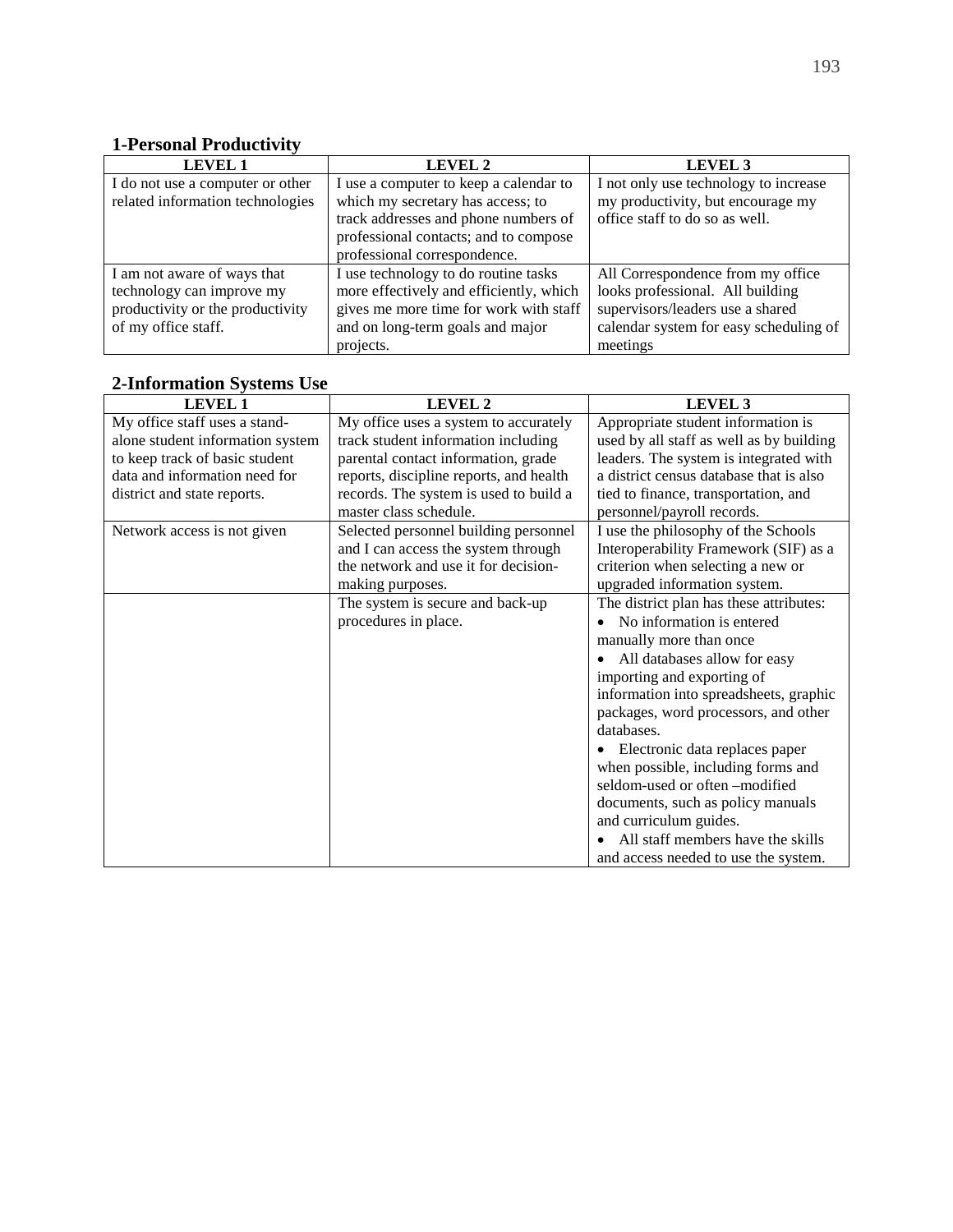# **1-Personal Productivity**

| <b>LEVEL 1</b>                   | LEVEL 2                                 | LEVEL 3                                |
|----------------------------------|-----------------------------------------|----------------------------------------|
| I do not use a computer or other | I use a computer to keep a calendar to  | I not only use technology to increase  |
| related information technologies | which my secretary has access; to       | my productivity, but encourage my      |
|                                  | track addresses and phone numbers of    | office staff to do so as well.         |
|                                  | professional contacts; and to compose   |                                        |
|                                  | professional correspondence.            |                                        |
| I am not aware of ways that      | I use technology to do routine tasks    | All Correspondence from my office      |
| technology can improve my        | more effectively and efficiently, which | looks professional. All building       |
| productivity or the productivity | gives me more time for work with staff  | supervisors/leaders use a shared       |
| of my office staff.              | and on long-term goals and major        | calendar system for easy scheduling of |
|                                  | projects.                               | meetings                               |

#### **2-Information Systems Use**

| <b>LEVEL 1</b>                   | <b>LEVEL 2</b>                          | LEVEL 3                                  |
|----------------------------------|-----------------------------------------|------------------------------------------|
| My office staff uses a stand-    | My office uses a system to accurately   | Appropriate student information is       |
| alone student information system | track student information including     | used by all staff as well as by building |
| to keep track of basic student   | parental contact information, grade     | leaders. The system is integrated with   |
| data and information need for    | reports, discipline reports, and health | a district census database that is also  |
| district and state reports.      | records. The system is used to build a  | tied to finance, transportation, and     |
|                                  | master class schedule.                  | personnel/payroll records.               |
| Network access is not given      | Selected personnel building personnel   | I use the philosophy of the Schools      |
|                                  | and I can access the system through     | Interoperability Framework (SIF) as a    |
|                                  | the network and use it for decision-    | criterion when selecting a new or        |
|                                  | making purposes.                        | upgraded information system.             |
|                                  | The system is secure and back-up        | The district plan has these attributes:  |
|                                  | procedures in place.                    | No information is entered                |
|                                  |                                         | manually more than once                  |
|                                  |                                         | All databases allow for easy             |
|                                  |                                         | importing and exporting of               |
|                                  |                                         | information into spreadsheets, graphic   |
|                                  |                                         | packages, word processors, and other     |
|                                  |                                         | databases.                               |
|                                  |                                         | • Electronic data replaces paper         |
|                                  |                                         | when possible, including forms and       |
|                                  |                                         | seldom-used or often -modified           |
|                                  |                                         | documents, such as policy manuals        |
|                                  |                                         | and curriculum guides.                   |
|                                  |                                         | All staff members have the skills        |
|                                  |                                         | and access needed to use the system.     |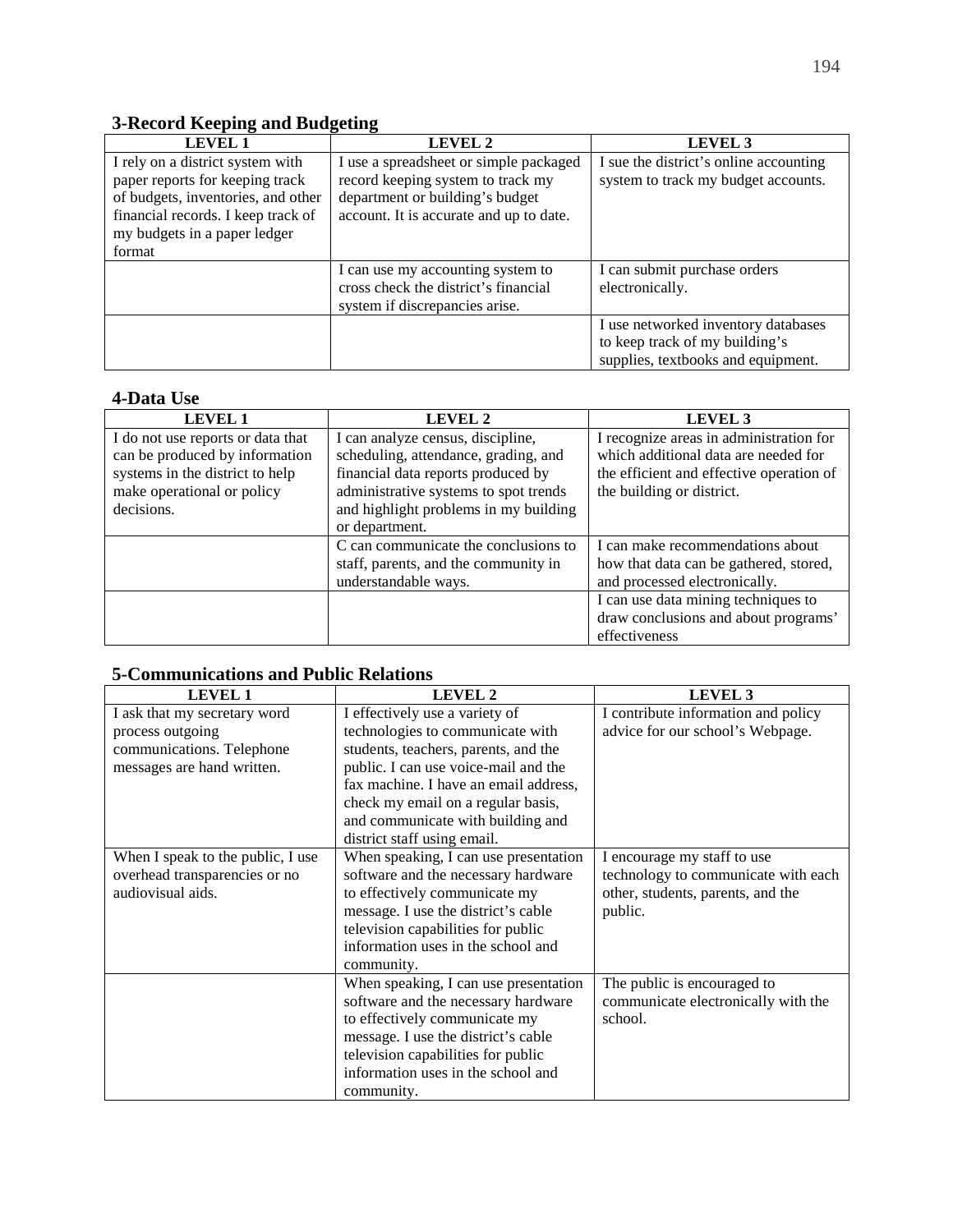# **3-Record Keeping and Budgeting**

| <b>LEVEL 1</b>                     | LEVEL 2                                 | <b>LEVEL 3</b>                         |
|------------------------------------|-----------------------------------------|----------------------------------------|
| I rely on a district system with   | I use a spreadsheet or simple packaged  | I sue the district's online accounting |
| paper reports for keeping track    | record keeping system to track my       | system to track my budget accounts.    |
| of budgets, inventories, and other | department or building's budget         |                                        |
| financial records. I keep track of | account. It is accurate and up to date. |                                        |
| my budgets in a paper ledger       |                                         |                                        |
| format                             |                                         |                                        |
|                                    | I can use my accounting system to       | I can submit purchase orders           |
|                                    | cross check the district's financial    | electronically.                        |
|                                    | system if discrepancies arise.          |                                        |
|                                    |                                         | I use networked inventory databases    |
|                                    |                                         | to keep track of my building's         |
|                                    |                                         | supplies, textbooks and equipment.     |

#### **4-Data Use**

| <b>LEVEL 1</b>                    | <b>LEVEL 2</b>                        | LEVEL 3                                  |
|-----------------------------------|---------------------------------------|------------------------------------------|
| I do not use reports or data that | I can analyze census, discipline,     | I recognize areas in administration for  |
| can be produced by information    | scheduling, attendance, grading, and  | which additional data are needed for     |
| systems in the district to help   | financial data reports produced by    | the efficient and effective operation of |
| make operational or policy        | administrative systems to spot trends | the building or district.                |
| decisions.                        | and highlight problems in my building |                                          |
|                                   | or department.                        |                                          |
|                                   | C can communicate the conclusions to  | I can make recommendations about         |
|                                   | staff, parents, and the community in  | how that data can be gathered, stored,   |
|                                   | understandable ways.                  | and processed electronically.            |
|                                   |                                       | I can use data mining techniques to      |
|                                   |                                       | draw conclusions and about programs'     |
|                                   |                                       | effectiveness                            |

# **5-Communications and Public Relations**

| <b>LEVEL 1</b>                    | <b>LEVEL 2</b>                        | LEVEL <sub>3</sub>                  |
|-----------------------------------|---------------------------------------|-------------------------------------|
| I ask that my secretary word      | I effectively use a variety of        | I contribute information and policy |
| process outgoing                  | technologies to communicate with      | advice for our school's Webpage.    |
| communications. Telephone         | students, teachers, parents, and the  |                                     |
| messages are hand written.        | public. I can use voice-mail and the  |                                     |
|                                   | fax machine. I have an email address, |                                     |
|                                   | check my email on a regular basis,    |                                     |
|                                   | and communicate with building and     |                                     |
|                                   | district staff using email.           |                                     |
| When I speak to the public, I use | When speaking, I can use presentation | I encourage my staff to use         |
| overhead transparencies or no     | software and the necessary hardware   | technology to communicate with each |
| audiovisual aids.                 | to effectively communicate my         | other, students, parents, and the   |
|                                   | message. I use the district's cable   | public.                             |
|                                   | television capabilities for public    |                                     |
|                                   | information uses in the school and    |                                     |
|                                   | community.                            |                                     |
|                                   | When speaking, I can use presentation | The public is encouraged to         |
|                                   | software and the necessary hardware   | communicate electronically with the |
|                                   | to effectively communicate my         | school.                             |
|                                   | message. I use the district's cable   |                                     |
|                                   | television capabilities for public    |                                     |
|                                   | information uses in the school and    |                                     |
|                                   | community.                            |                                     |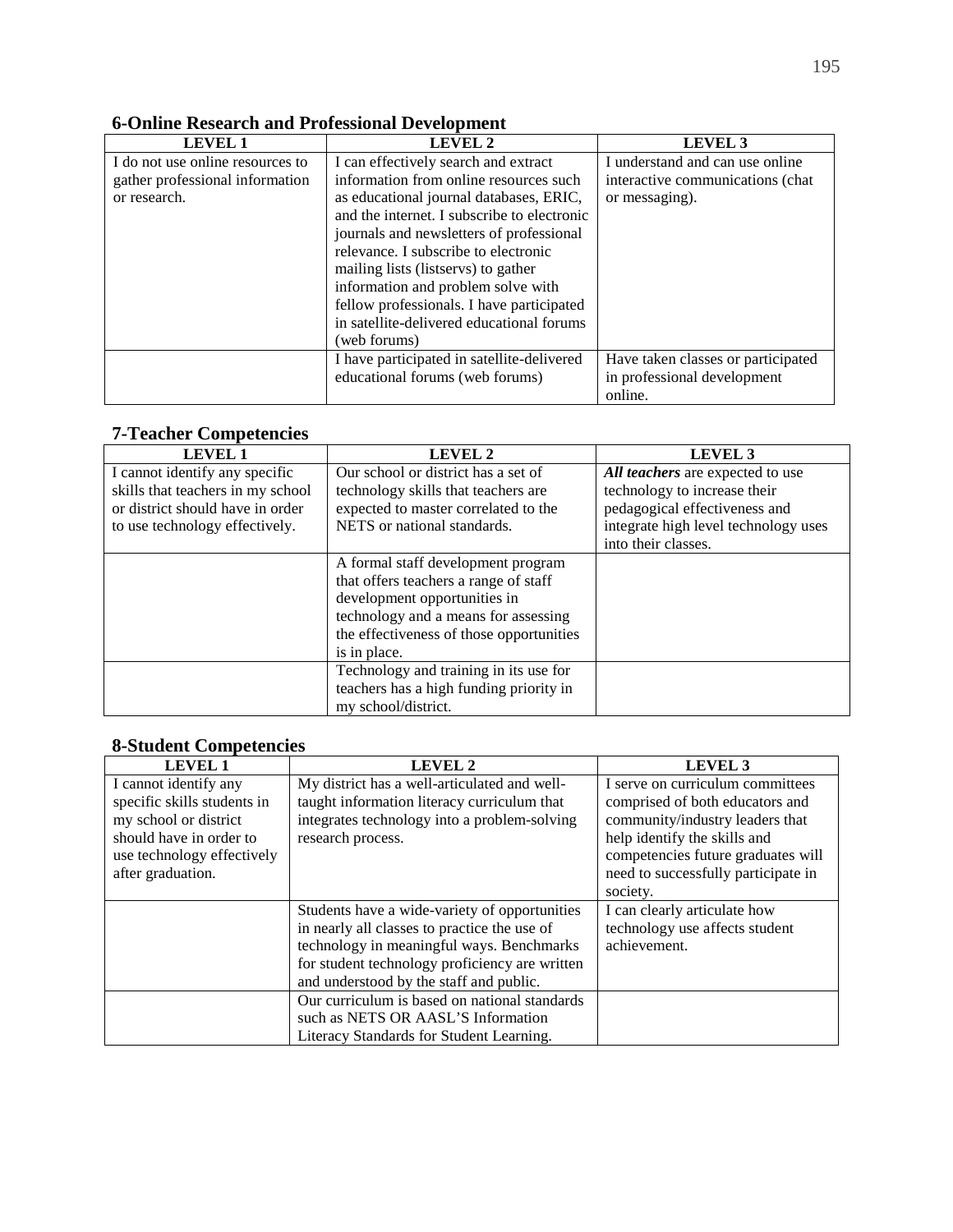#### **6-Online Research and Professional Development**  LEVEL 2 LEVEL 3 I do not use online resources to gather professional information or research. I can effectively search and extract information from online resources such as educational journal databases, ERIC, and the internet. I subscribe to electronic journals and newsletters of professional relevance. I subscribe to electronic mailing lists (listservs) to gather information and problem solve with fellow professionals. I have participated in satellite-delivered educational forums (web forums) I understand and can use online interactive communications (chat or messaging). I have participated in satellite-delivered educational forums (web forums) Have taken classes or participated in professional development online.

#### **7-Teacher Competencies**

| <b>LEVEL 1</b>                    | LEVEL 2                                  | LEVEL <sub>3</sub>                   |
|-----------------------------------|------------------------------------------|--------------------------------------|
| I cannot identify any specific    | Our school or district has a set of      | All teachers are expected to use     |
| skills that teachers in my school | technology skills that teachers are      | technology to increase their         |
| or district should have in order  | expected to master correlated to the     | pedagogical effectiveness and        |
| to use technology effectively.    | NETS or national standards.              | integrate high level technology uses |
|                                   |                                          | into their classes.                  |
|                                   | A formal staff development program       |                                      |
|                                   | that offers teachers a range of staff    |                                      |
|                                   | development opportunities in             |                                      |
|                                   | technology and a means for assessing     |                                      |
|                                   | the effectiveness of those opportunities |                                      |
|                                   | is in place.                             |                                      |
|                                   | Technology and training in its use for   |                                      |
|                                   | teachers has a high funding priority in  |                                      |
|                                   | my school/district.                      |                                      |

#### **8-Student Competencies**

| <b>LEVEL 1</b>              | LEVEL 2                                        | LEVEL <sub>3</sub>                  |
|-----------------------------|------------------------------------------------|-------------------------------------|
| I cannot identify any       | My district has a well-articulated and well-   | I serve on curriculum committees    |
| specific skills students in | taught information literacy curriculum that    | comprised of both educators and     |
| my school or district       | integrates technology into a problem-solving   | community/industry leaders that     |
| should have in order to     | research process.                              | help identify the skills and        |
| use technology effectively  |                                                | competencies future graduates will  |
| after graduation.           |                                                | need to successfully participate in |
|                             |                                                | society.                            |
|                             | Students have a wide-variety of opportunities  | I can clearly articulate how        |
|                             | in nearly all classes to practice the use of   | technology use affects student      |
|                             | technology in meaningful ways. Benchmarks      | achievement.                        |
|                             | for student technology proficiency are written |                                     |
|                             | and understood by the staff and public.        |                                     |
|                             | Our curriculum is based on national standards  |                                     |
|                             | such as NETS OR AASL'S Information             |                                     |
|                             | Literacy Standards for Student Learning.       |                                     |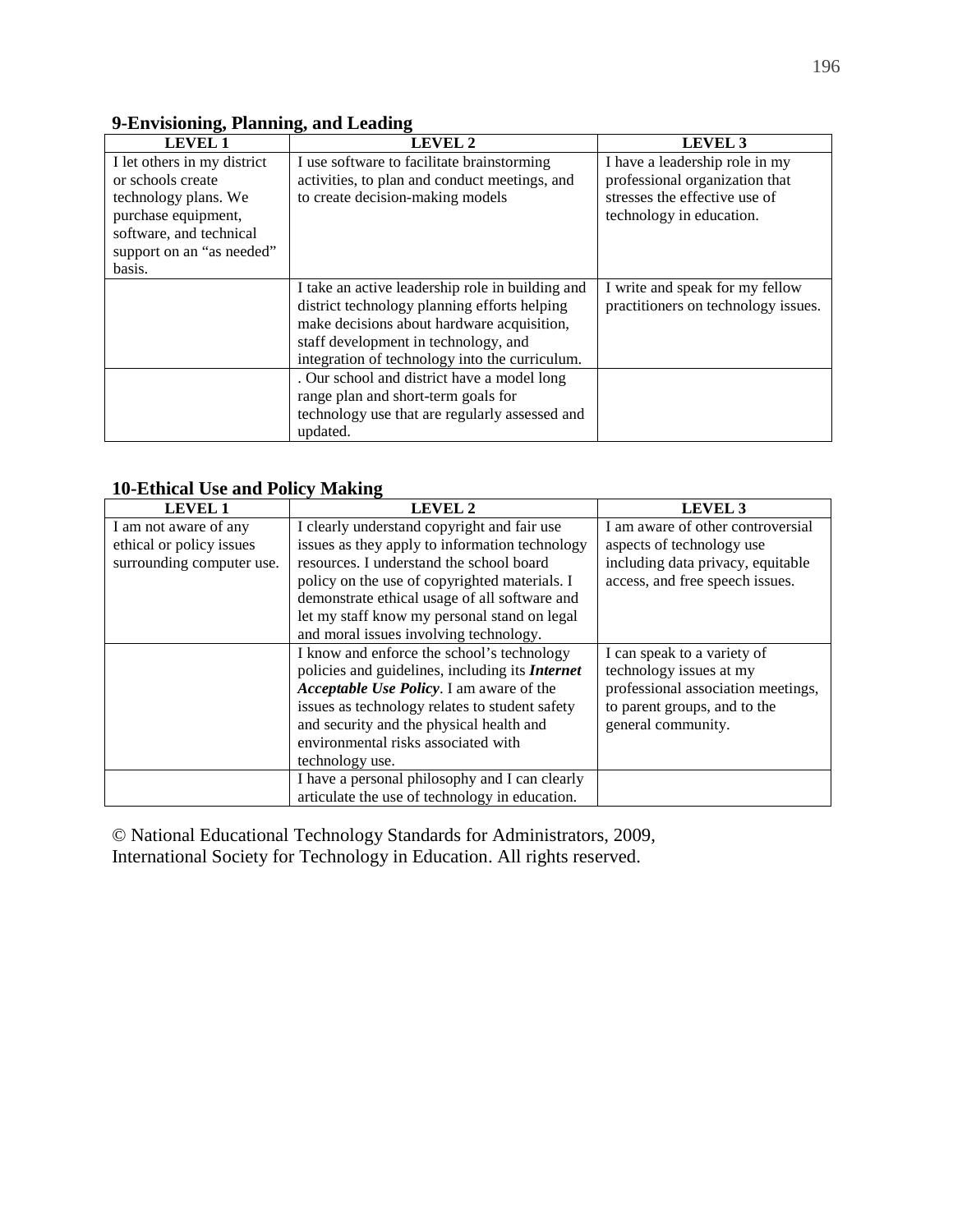#### **9-Envisioning, Planning, and Leading**

| <b>LEVEL 1</b>              | LEVEL 2                                          | LEVEL <sub>3</sub>                  |
|-----------------------------|--------------------------------------------------|-------------------------------------|
| I let others in my district | I use software to facilitate brainstorming       | I have a leadership role in my      |
| or schools create           | activities, to plan and conduct meetings, and    | professional organization that      |
| technology plans. We        | to create decision-making models                 | stresses the effective use of       |
| purchase equipment,         |                                                  | technology in education.            |
| software, and technical     |                                                  |                                     |
| support on an "as needed"   |                                                  |                                     |
| basis.                      |                                                  |                                     |
|                             | I take an active leadership role in building and | I write and speak for my fellow     |
|                             | district technology planning efforts helping     | practitioners on technology issues. |
|                             | make decisions about hardware acquisition,       |                                     |
|                             | staff development in technology, and             |                                     |
|                             | integration of technology into the curriculum.   |                                     |
|                             | . Our school and district have a model long      |                                     |
|                             | range plan and short-term goals for              |                                     |
|                             | technology use that are regularly assessed and   |                                     |
|                             | updated.                                         |                                     |

#### **10-Ethical Use and Policy Making**

| <b>LEVEL 1</b>            | <b>LEVEL 2</b>                                         | LEVEL <sub>3</sub>                 |
|---------------------------|--------------------------------------------------------|------------------------------------|
| I am not aware of any     | I clearly understand copyright and fair use            | I am aware of other controversial  |
| ethical or policy issues  | issues as they apply to information technology         | aspects of technology use          |
| surrounding computer use. | resources. I understand the school board               | including data privacy, equitable  |
|                           | policy on the use of copyrighted materials. I          | access, and free speech issues.    |
|                           | demonstrate ethical usage of all software and          |                                    |
|                           | let my staff know my personal stand on legal           |                                    |
|                           | and moral issues involving technology.                 |                                    |
|                           | I know and enforce the school's technology             | I can speak to a variety of        |
|                           | policies and guidelines, including its <i>Internet</i> | technology issues at my            |
|                           | Acceptable Use Policy. I am aware of the               | professional association meetings, |
|                           | issues as technology relates to student safety         | to parent groups, and to the       |
|                           | and security and the physical health and               | general community.                 |
|                           | environmental risks associated with                    |                                    |
|                           | technology use.                                        |                                    |
|                           | I have a personal philosophy and I can clearly         |                                    |
|                           | articulate the use of technology in education.         |                                    |

© National Educational Technology Standards for Administrators, 2009, International Society for Technology in Education. All rights reserved.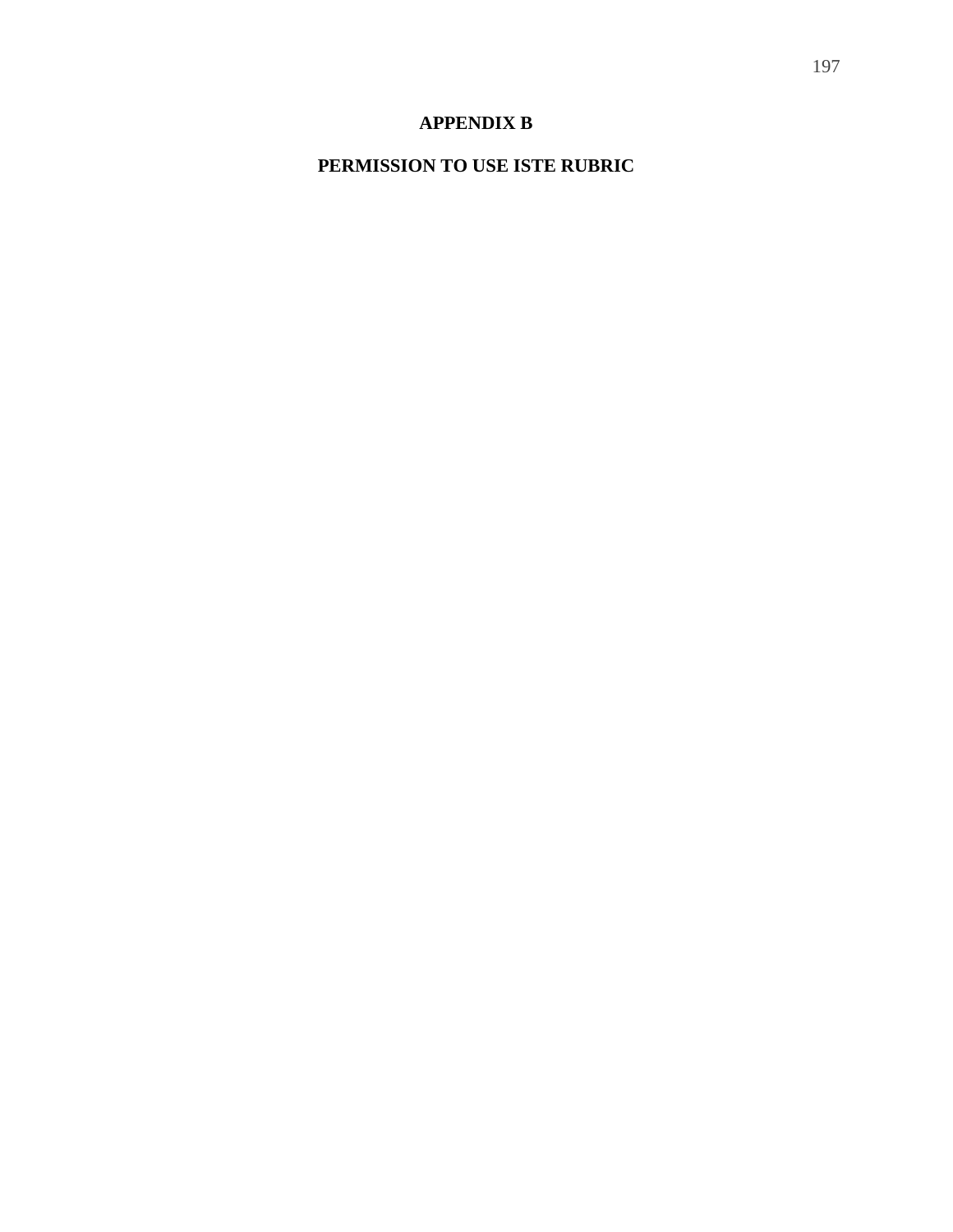# **APPENDIX B**

# **PERMISSION TO USE ISTE RUBRIC**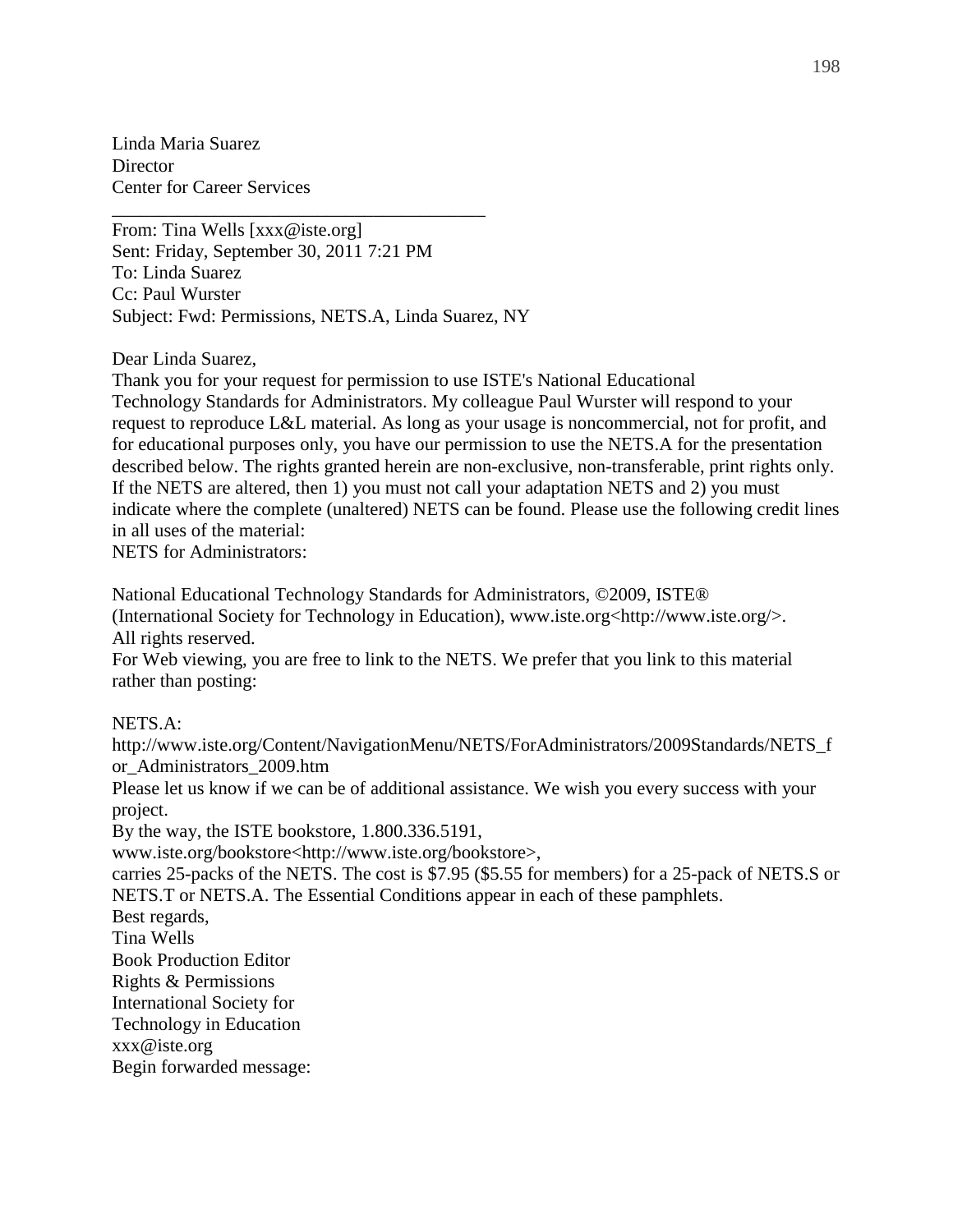Linda Maria Suarez **Director** Center for Career Services

From: Tina Wells [xxx@iste.org] Sent: Friday, September 30, 2011 7:21 PM To: Linda Suarez Cc: Paul Wurster Subject: Fwd: Permissions, NETS.A, Linda Suarez, NY

\_\_\_\_\_\_\_\_\_\_\_\_\_\_\_\_\_\_\_\_\_\_\_\_\_\_\_\_\_\_\_\_\_\_\_\_\_\_\_\_

Dear Linda Suarez,

Thank you for your request for permission to use ISTE's National Educational Technology Standards for Administrators. My colleague Paul Wurster will respond to your request to reproduce L&L material. As long as your usage is noncommercial, not for profit, and for educational purposes only, you have our permission to use the NETS.A for the presentation described below. The rights granted herein are non-exclusive, non-transferable, print rights only. If the NETS are altered, then 1) you must not call your adaptation NETS and 2) you must indicate where the complete (unaltered) NETS can be found. Please use the following credit lines in all uses of the material:

NETS for Administrators:

National Educational Technology Standards for Administrators, ©2009, ISTE® (International Society for Technology in Education), www.iste.org<http://www.iste.org/>. All rights reserved.

For Web viewing, you are free to link to the NETS. We prefer that you link to this material rather than posting:

#### NETS.A:

http://www.iste.org/Content/NavigationMenu/NETS/ForAdministrators/2009Standards/NETS\_f or\_Administrators\_2009.htm

Please let us know if we can be of additional assistance. We wish you every success with your project.

By the way, the ISTE bookstore, 1.800.336.5191,

www.iste.org/bookstore<http://www.iste.org/bookstore>,

carries 25-packs of the NETS. The cost is \$7.95 (\$5.55 for members) for a 25-pack of NETS.S or NETS.T or NETS.A. The Essential Conditions appear in each of these pamphlets.

Best regards,

Tina Wells

Book Production Editor Rights & Permissions

International Society for

Technology in Education

xxx@iste.org

Begin forwarded message: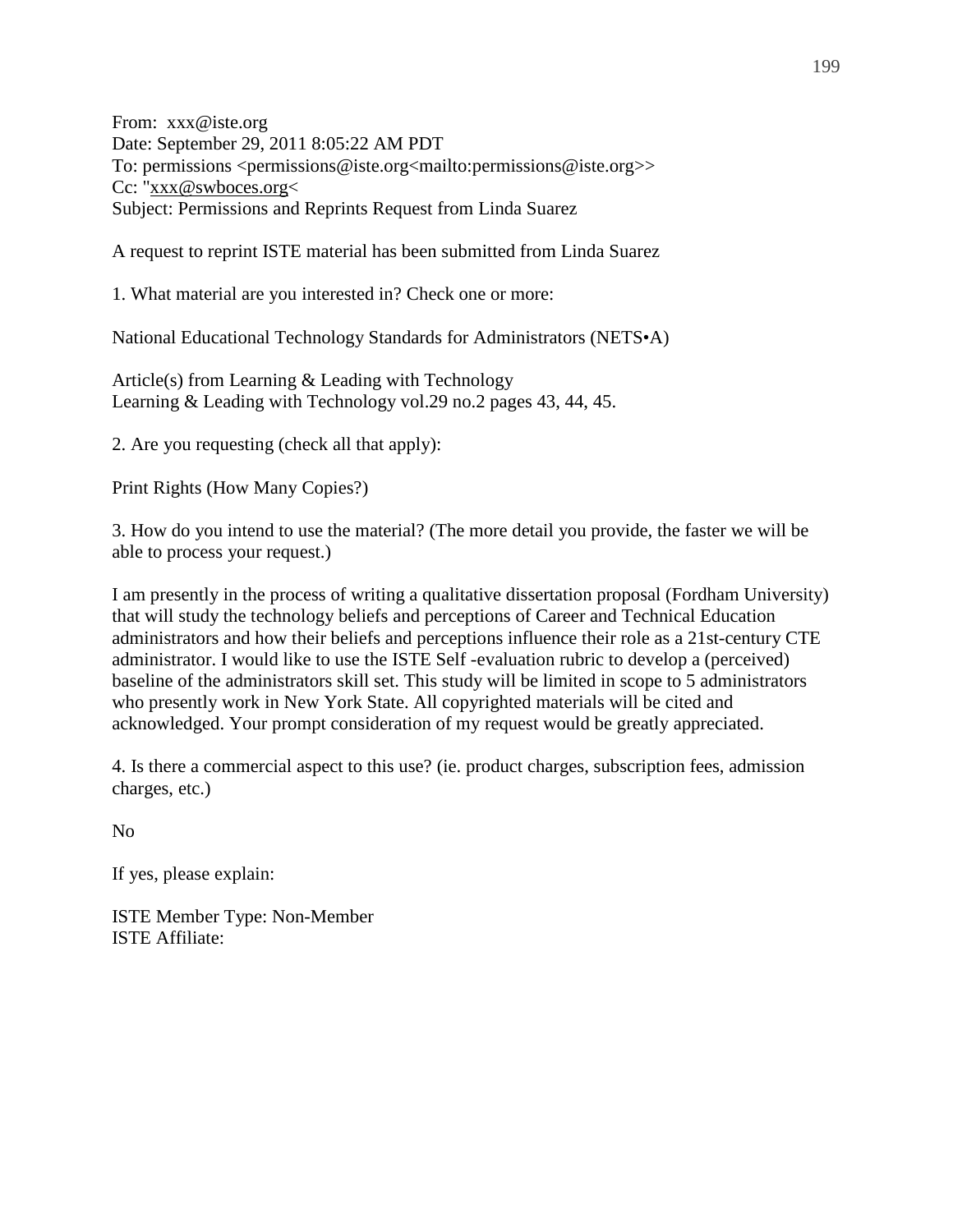From: xxx@iste.org Date: September 29, 2011 8:05:22 AM PDT To: permissions <permissions@iste.org<mailto:permissions@iste.org>> Cc: "xxx@swboces.org< Subject: Permissions and Reprints Request from Linda Suarez

A request to reprint ISTE material has been submitted from Linda Suarez

1. What material are you interested in? Check one or more:

National Educational Technology Standards for Administrators (NETS•A)

Article(s) from Learning & Leading with Technology Learning & Leading with Technology vol.29 no.2 pages 43, 44, 45.

2. Are you requesting (check all that apply):

Print Rights (How Many Copies?)

3. How do you intend to use the material? (The more detail you provide, the faster we will be able to process your request.)

I am presently in the process of writing a qualitative dissertation proposal (Fordham University) that will study the technology beliefs and perceptions of Career and Technical Education administrators and how their beliefs and perceptions influence their role as a 21st-century CTE administrator. I would like to use the ISTE Self -evaluation rubric to develop a (perceived) baseline of the administrators skill set. This study will be limited in scope to 5 administrators who presently work in New York State. All copyrighted materials will be cited and acknowledged. Your prompt consideration of my request would be greatly appreciated.

4. Is there a commercial aspect to this use? (ie. product charges, subscription fees, admission charges, etc.)

No

If yes, please explain:

ISTE Member Type: Non-Member ISTE Affiliate: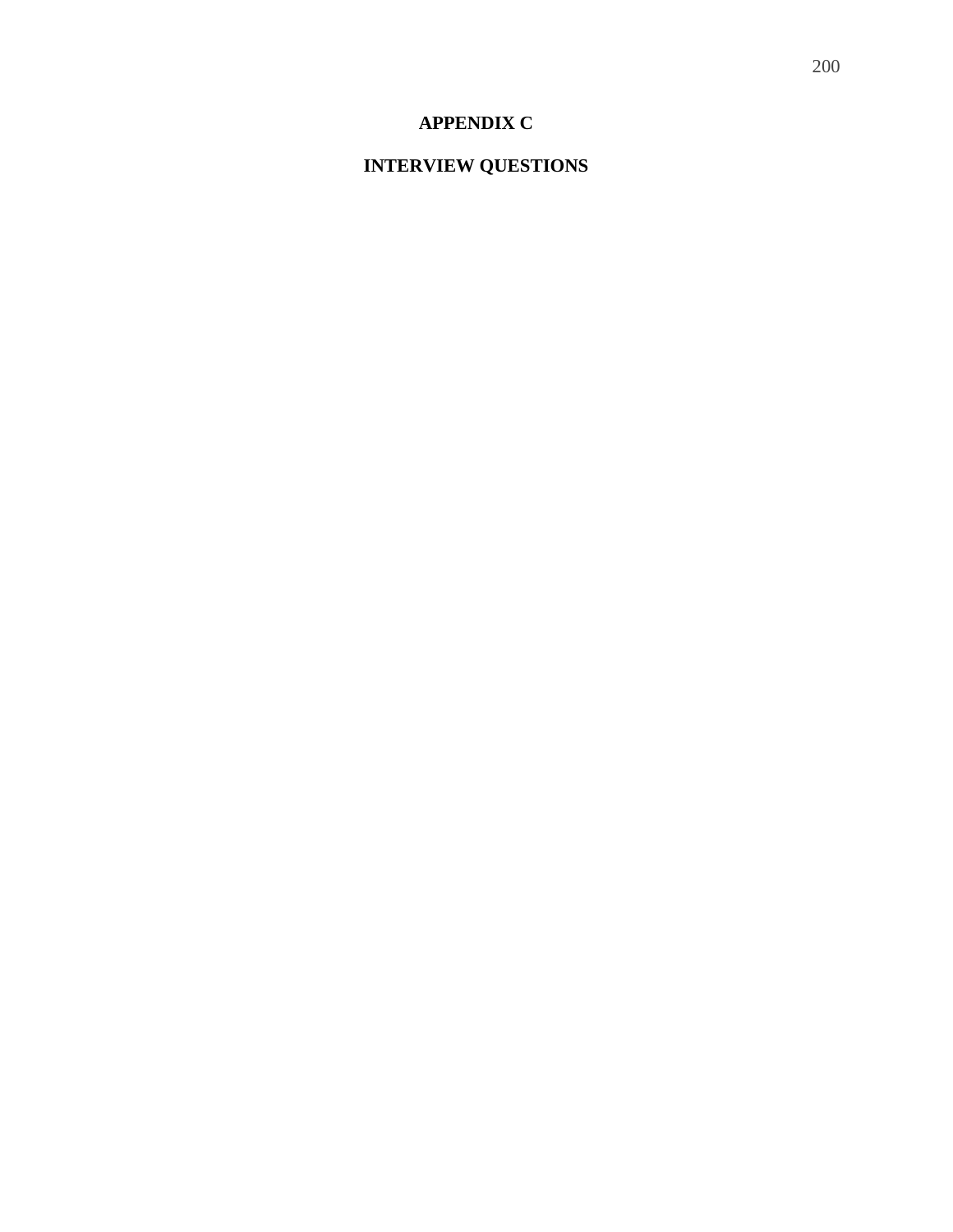### **APPENDIX C**

# **INTERVIEW QUESTIONS**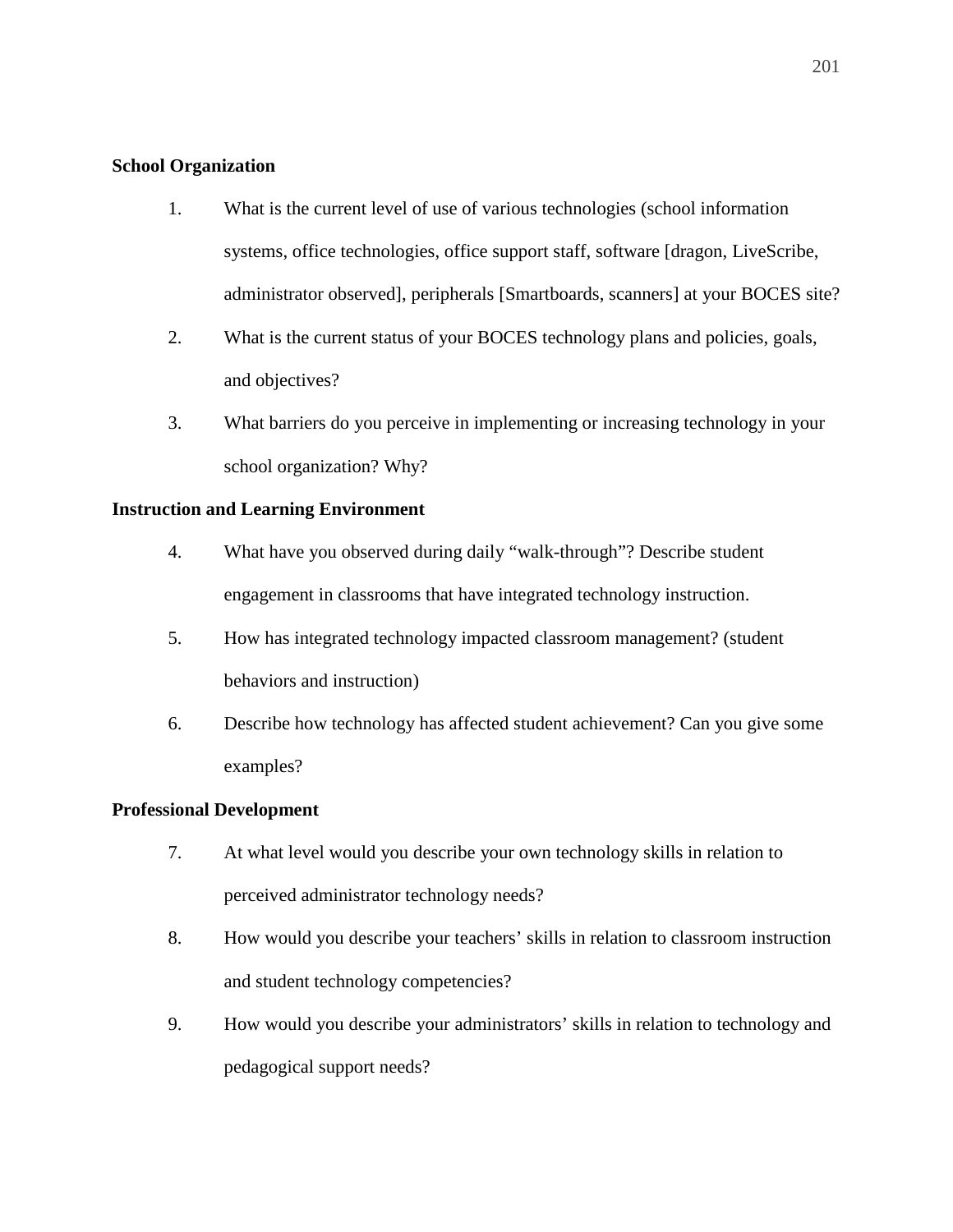#### **School Organization**

- 1. What is the current level of use of various technologies (school information systems, office technologies, office support staff, software [dragon, LiveScribe, administrator observed], peripherals [Smartboards, scanners] at your BOCES site?
- 2. What is the current status of your BOCES technology plans and policies, goals, and objectives?
- 3. What barriers do you perceive in implementing or increasing technology in your school organization? Why?

#### **Instruction and Learning Environment**

- 4. What have you observed during daily "walk-through"? Describe student engagement in classrooms that have integrated technology instruction.
- 5. How has integrated technology impacted classroom management? (student behaviors and instruction)
- 6. Describe how technology has affected student achievement? Can you give some examples?

#### **Professional Development**

- 7. At what level would you describe your own technology skills in relation to perceived administrator technology needs?
- 8. How would you describe your teachers' skills in relation to classroom instruction and student technology competencies?
- 9. How would you describe your administrators' skills in relation to technology and pedagogical support needs?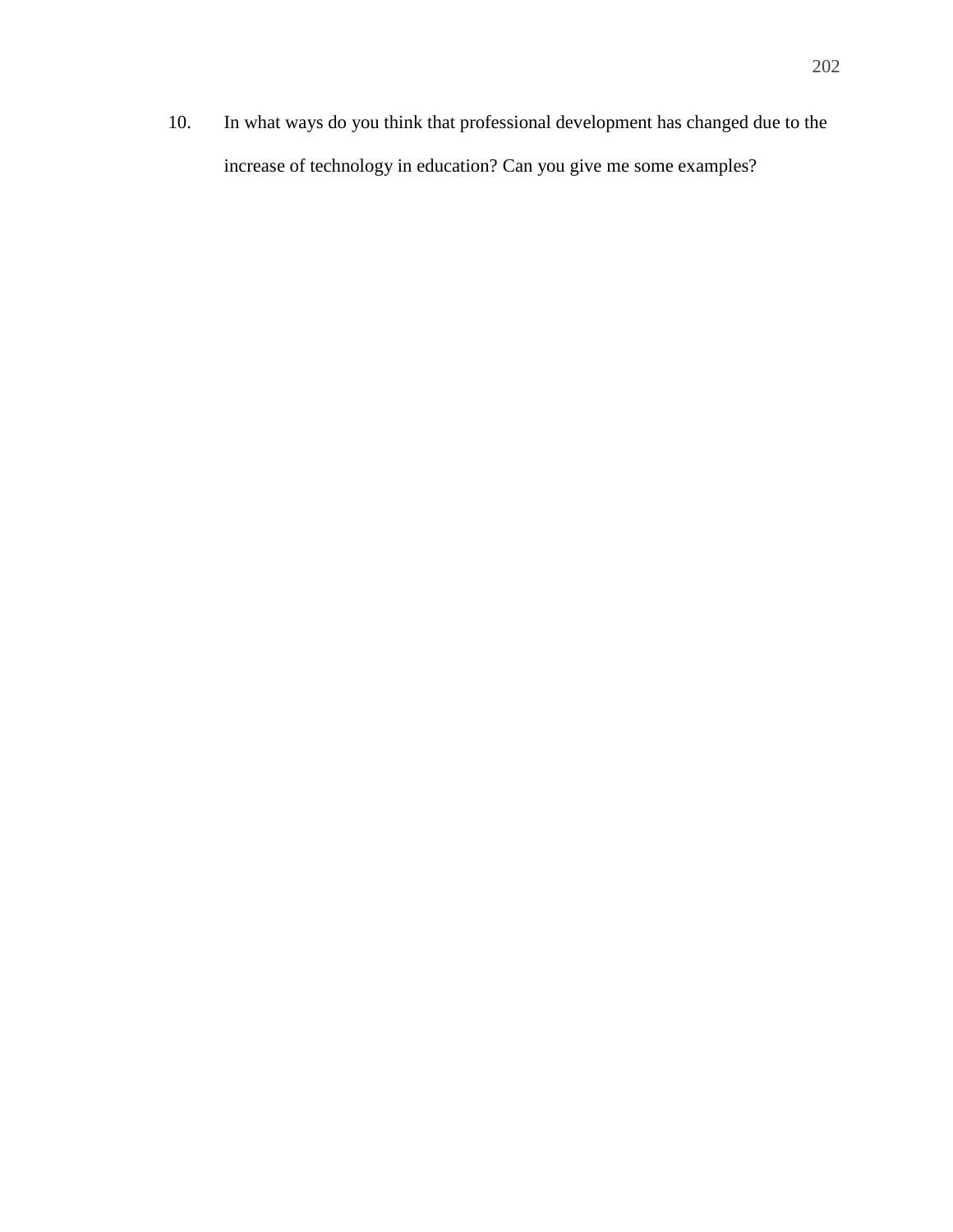10. In what ways do you think that professional development has changed due to the increase of technology in education? Can you give me some examples?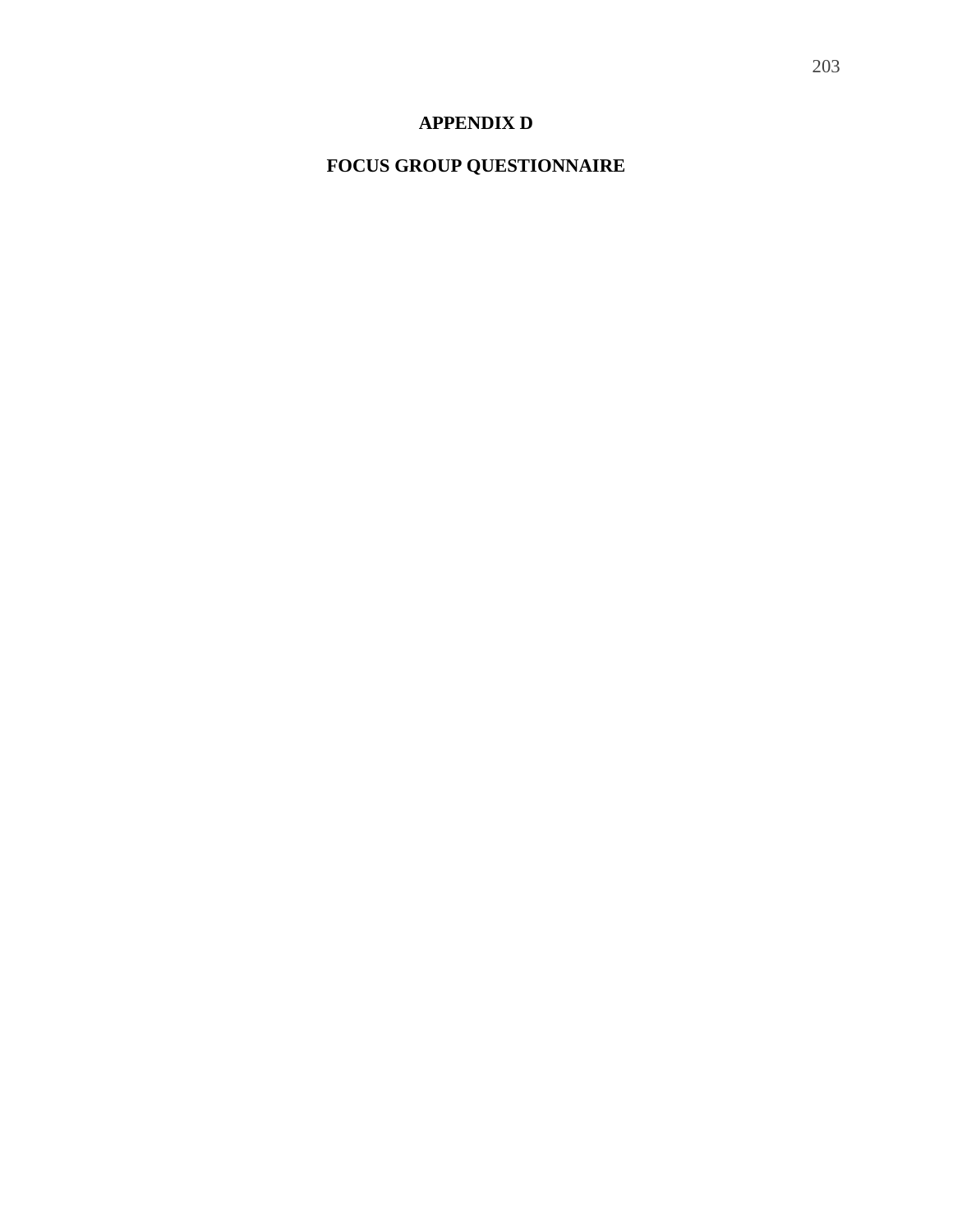# **APPENDIX D**

# **FOCUS GROUP QUESTIONNAIRE**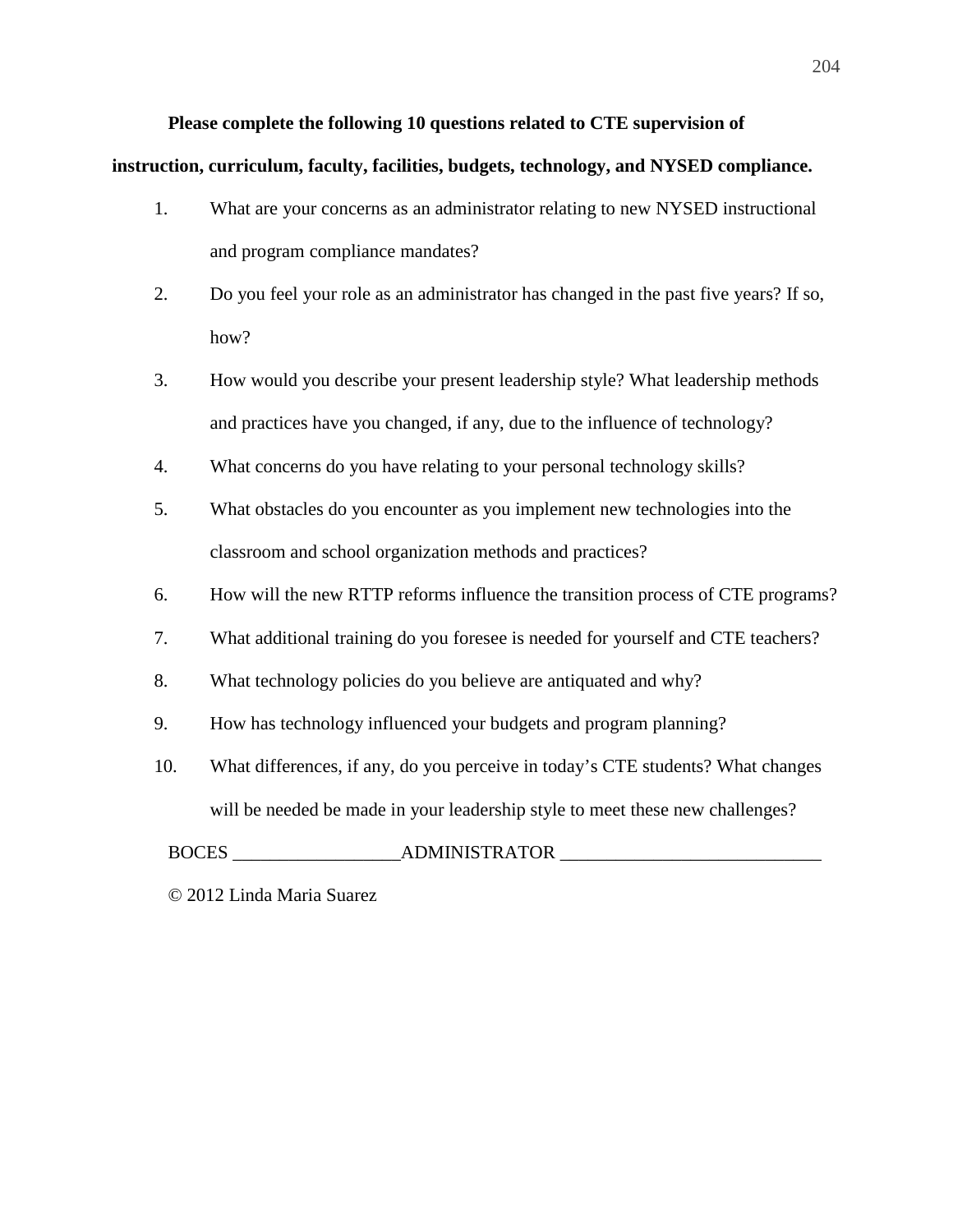# **Please complete the following 10 questions related to CTE supervision of**

#### **instruction, curriculum, faculty, facilities, budgets, technology, and NYSED compliance.**

- 1. What are your concerns as an administrator relating to new NYSED instructional and program compliance mandates?
- 2. Do you feel your role as an administrator has changed in the past five years? If so, how?
- 3. How would you describe your present leadership style? What leadership methods and practices have you changed, if any, due to the influence of technology?
- 4. What concerns do you have relating to your personal technology skills?
- 5. What obstacles do you encounter as you implement new technologies into the classroom and school organization methods and practices?
- 6. How will the new RTTP reforms influence the transition process of CTE programs?
- 7. What additional training do you foresee is needed for yourself and CTE teachers?
- 8. What technology policies do you believe are antiquated and why?
- 9. How has technology influenced your budgets and program planning?
- 10. What differences, if any, do you perceive in today's CTE students? What changes will be needed be made in your leadership style to meet these new challenges?

BOCES ADMINISTRATOR

© 2012 Linda Maria Suarez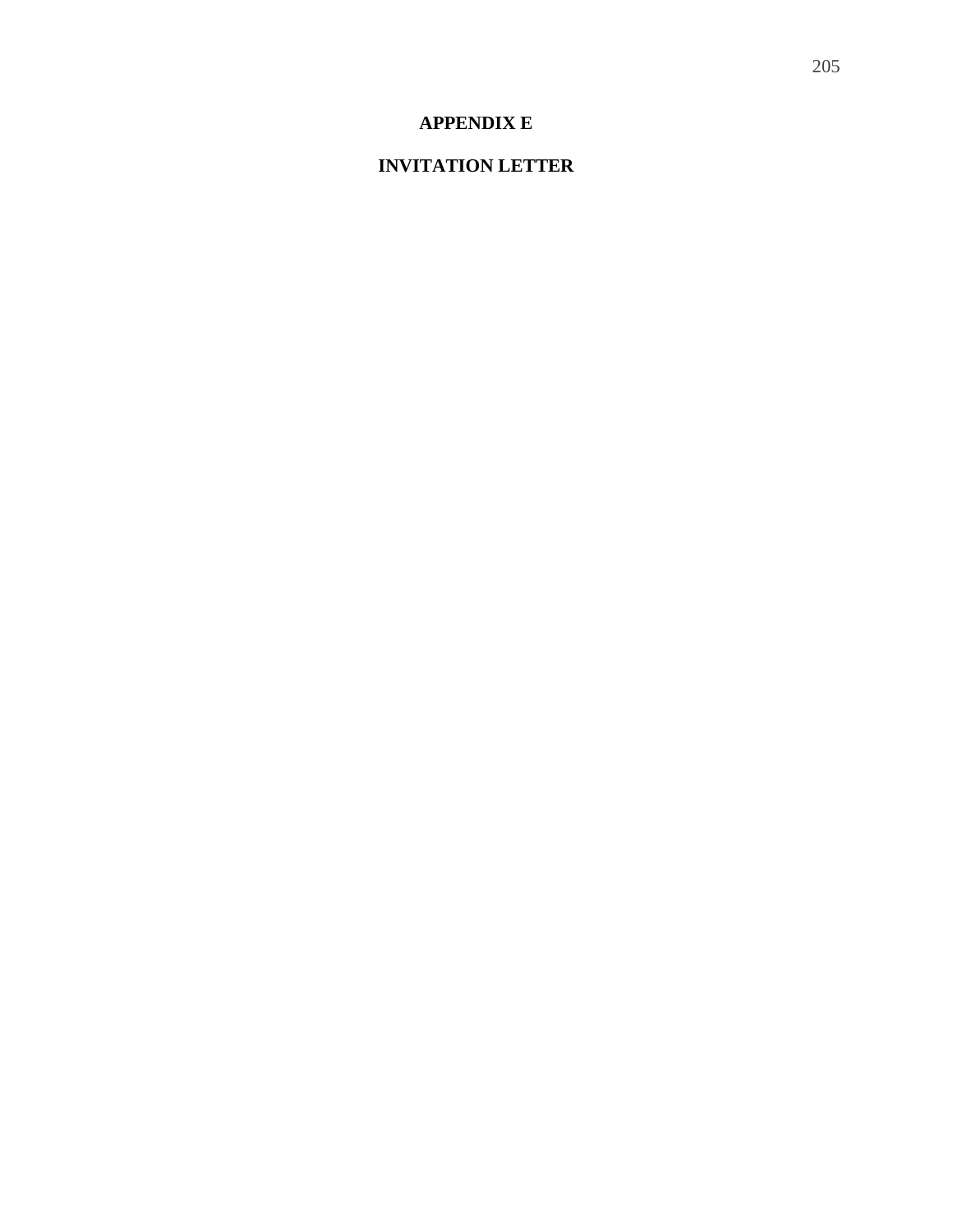# **APPENDIX E**

# **INVITATION LETTER**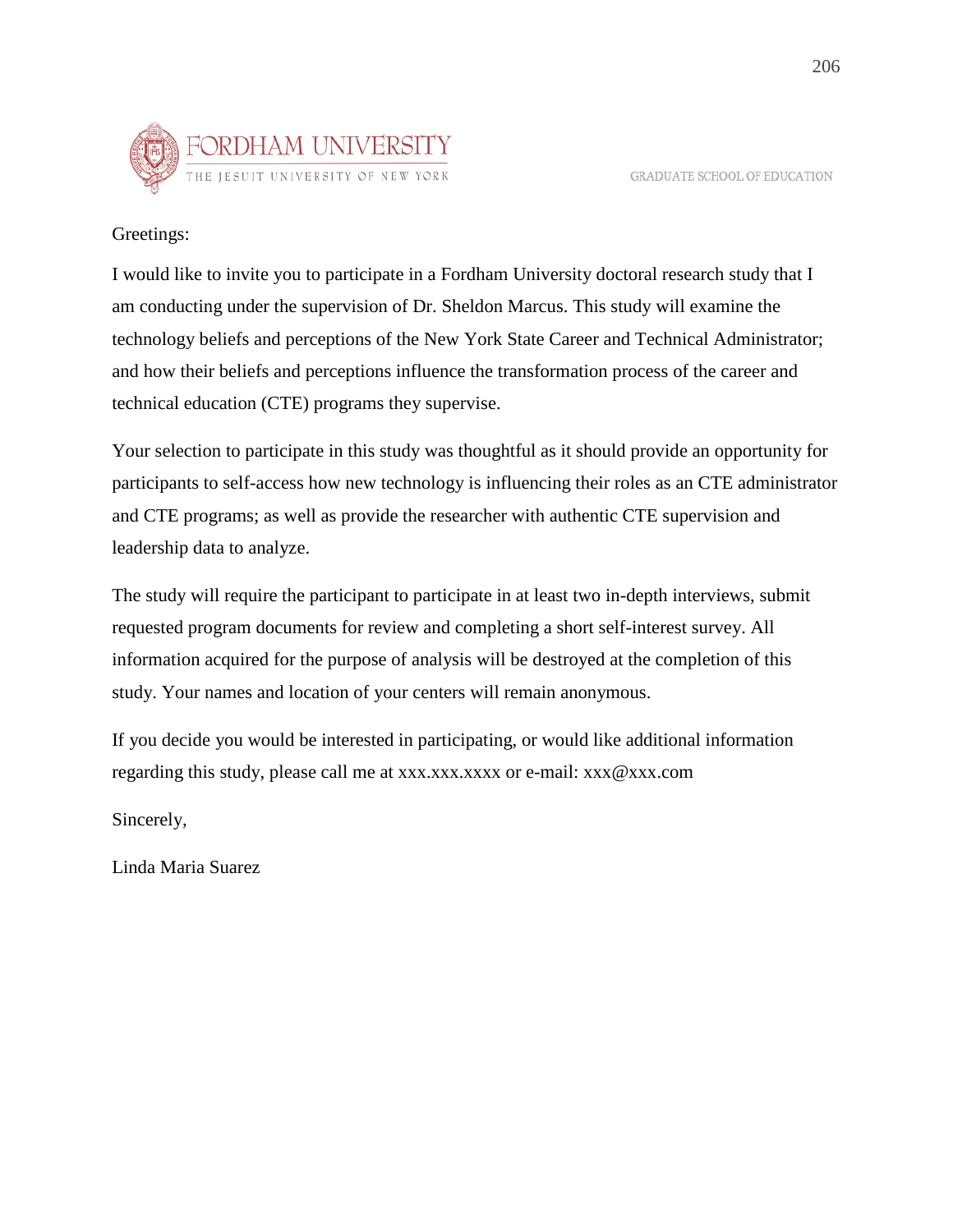



Greetings:

I would like to invite you to participate in a Fordham University doctoral research study that I am conducting under the supervision of Dr. Sheldon Marcus. This study will examine the technology beliefs and perceptions of the New York State Career and Technical Administrator; and how their beliefs and perceptions influence the transformation process of the career and technical education (CTE) programs they supervise.

Your selection to participate in this study was thoughtful as it should provide an opportunity for participants to self-access how new technology is influencing their roles as an CTE administrator and CTE programs; as well as provide the researcher with authentic CTE supervision and leadership data to analyze.

The study will require the participant to participate in at least two in-depth interviews, submit requested program documents for review and completing a short self-interest survey. All information acquired for the purpose of analysis will be destroyed at the completion of this study. Your names and location of your centers will remain anonymous.

If you decide you would be interested in participating, or would like additional information regarding this study, please call me at xxx.xxx.xxxx or e-mail: xxx@xxx.com

Sincerely,

Linda Maria Suarez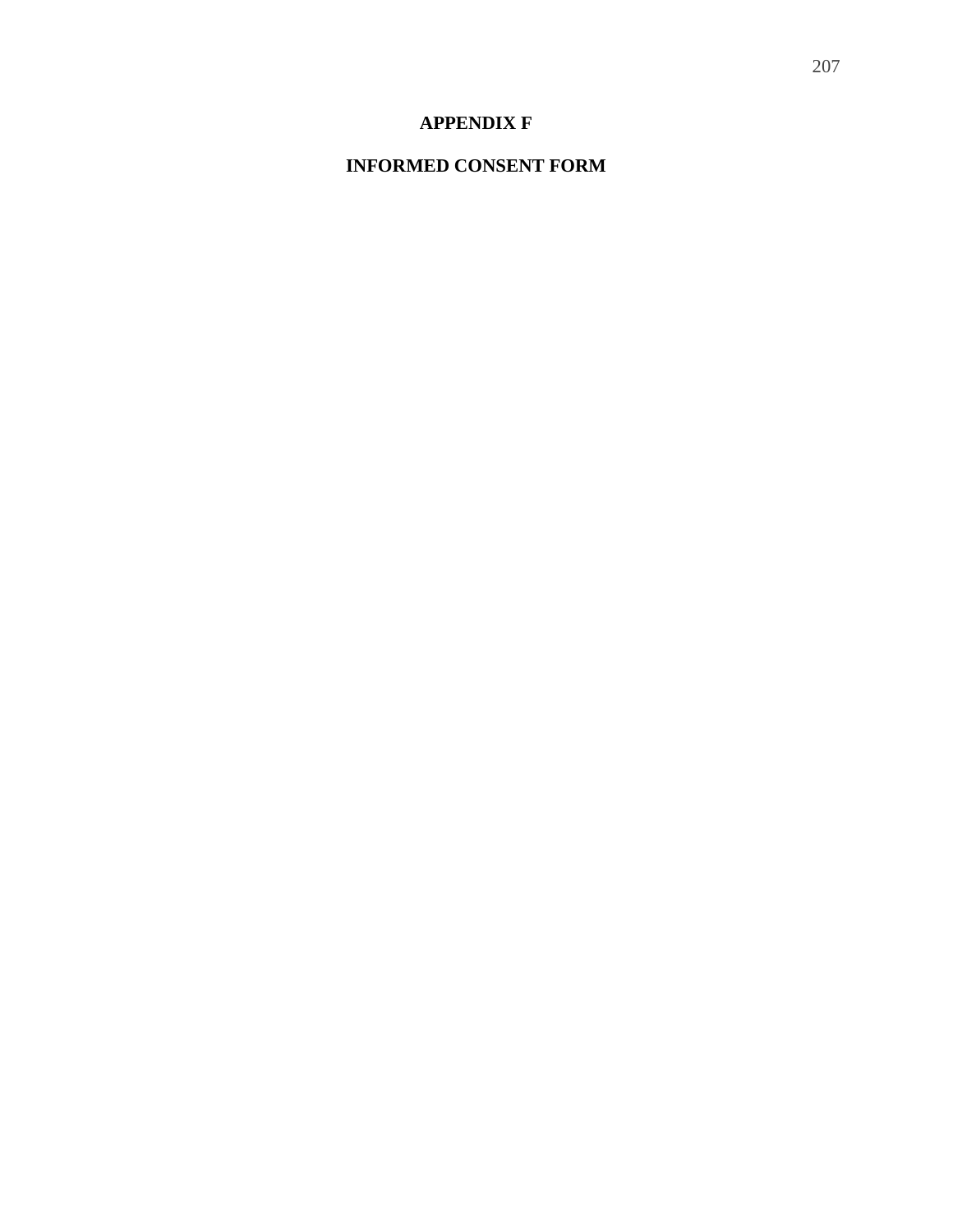## **APPENDIX F**

## **INFORMED CONSENT FORM**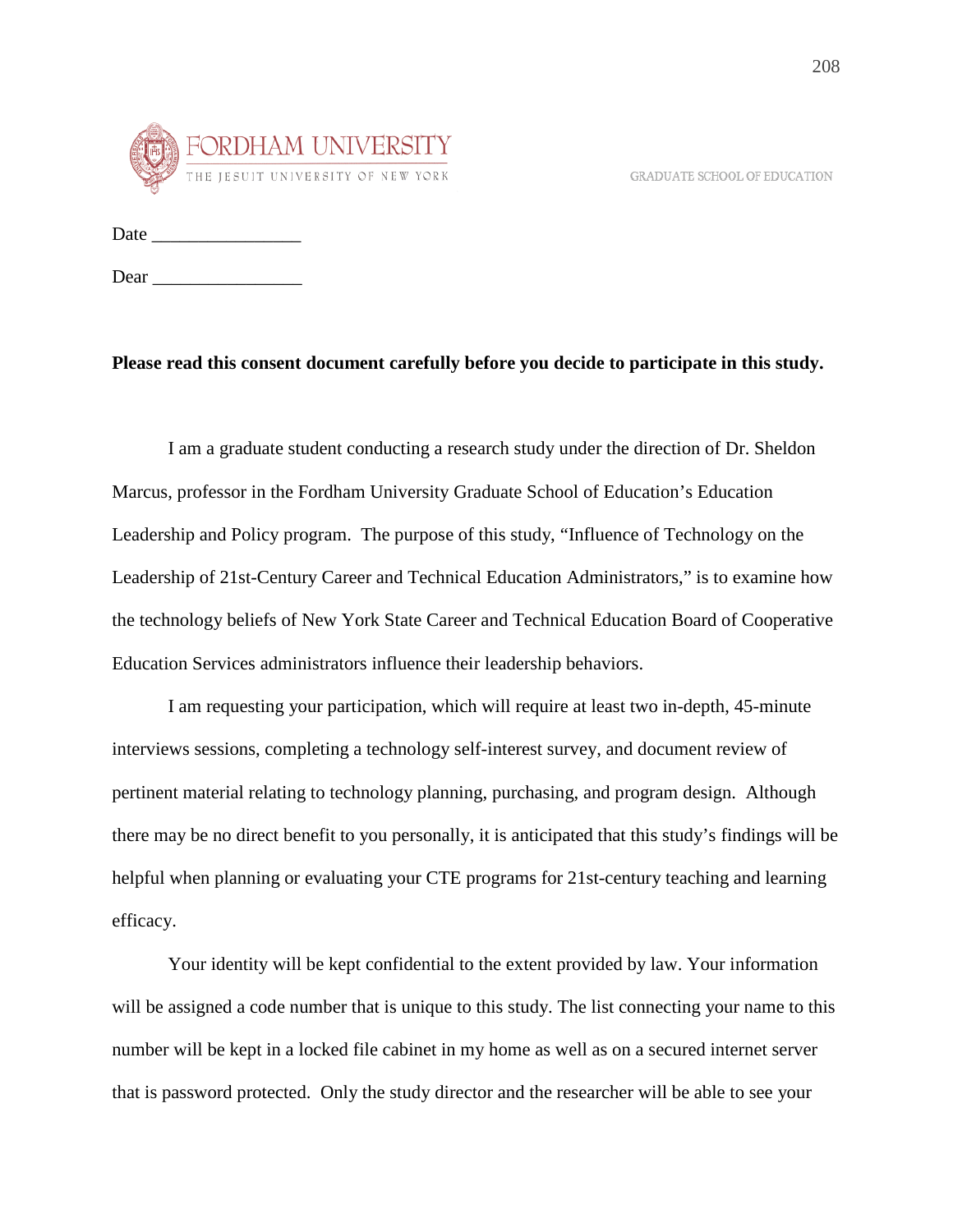GRADUATE SCHOOL OF EDUCATION



Date \_\_\_\_\_\_\_\_\_\_\_\_\_\_\_\_

Dear \_\_\_\_\_\_\_\_\_\_\_\_\_\_\_\_

### **Please read this consent document carefully before you decide to participate in this study.**

I am a graduate student conducting a research study under the direction of Dr. Sheldon Marcus, professor in the Fordham University Graduate School of Education's Education Leadership and Policy program. The purpose of this study, "Influence of Technology on the Leadership of 21st-Century Career and Technical Education Administrators," is to examine how the technology beliefs of New York State Career and Technical Education Board of Cooperative Education Services administrators influence their leadership behaviors.

I am requesting your participation, which will require at least two in-depth, 45-minute interviews sessions, completing a technology self-interest survey, and document review of pertinent material relating to technology planning, purchasing, and program design. Although there may be no direct benefit to you personally, it is anticipated that this study's findings will be helpful when planning or evaluating your CTE programs for 21st-century teaching and learning efficacy.

Your identity will be kept confidential to the extent provided by law. Your information will be assigned a code number that is unique to this study. The list connecting your name to this number will be kept in a locked file cabinet in my home as well as on a secured internet server that is password protected. Only the study director and the researcher will be able to see your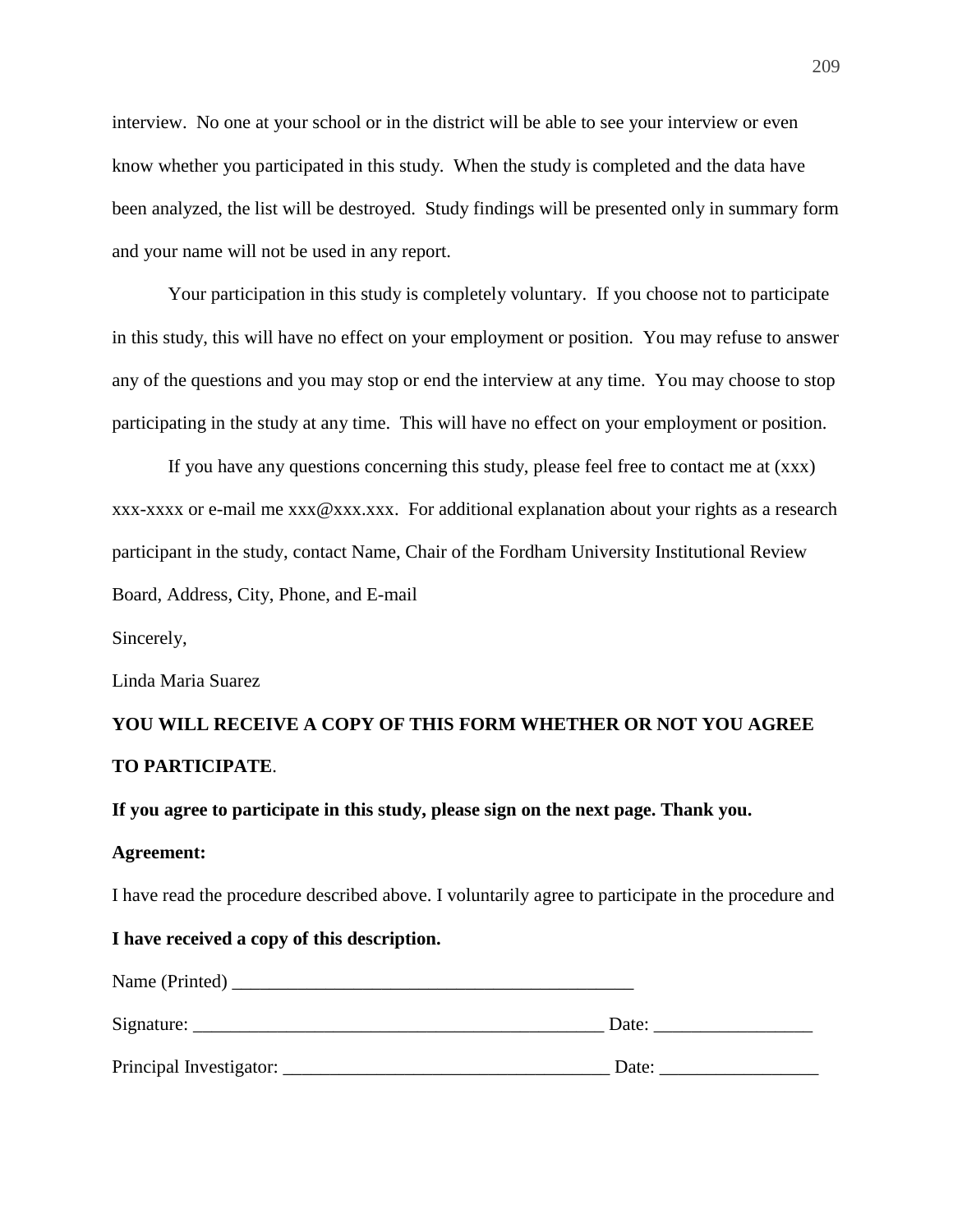interview. No one at your school or in the district will be able to see your interview or even know whether you participated in this study. When the study is completed and the data have been analyzed, the list will be destroyed. Study findings will be presented only in summary form and your name will not be used in any report.

Your participation in this study is completely voluntary. If you choose not to participate in this study, this will have no effect on your employment or position. You may refuse to answer any of the questions and you may stop or end the interview at any time. You may choose to stop participating in the study at any time. This will have no effect on your employment or position.

If you have any questions concerning this study, please feel free to contact me at (xxx) xxx-xxxx or e-mail me xxx@xxx.xxx. For additional explanation about your rights as a research participant in the study, contact Name, Chair of the Fordham University Institutional Review Board, Address, City, Phone, and E-mail

Sincerely,

Linda Maria Suarez

# **YOU WILL RECEIVE A COPY OF THIS FORM WHETHER OR NOT YOU AGREE TO PARTICIPATE**.

**If you agree to participate in this study, please sign on the next page. Thank you.**

#### **Agreement:**

I have read the procedure described above. I voluntarily agree to participate in the procedure and

#### **I have received a copy of this description.**

| Name (Printed)          |       |
|-------------------------|-------|
| Signature:              | Date: |
| Principal Investigator: | Date: |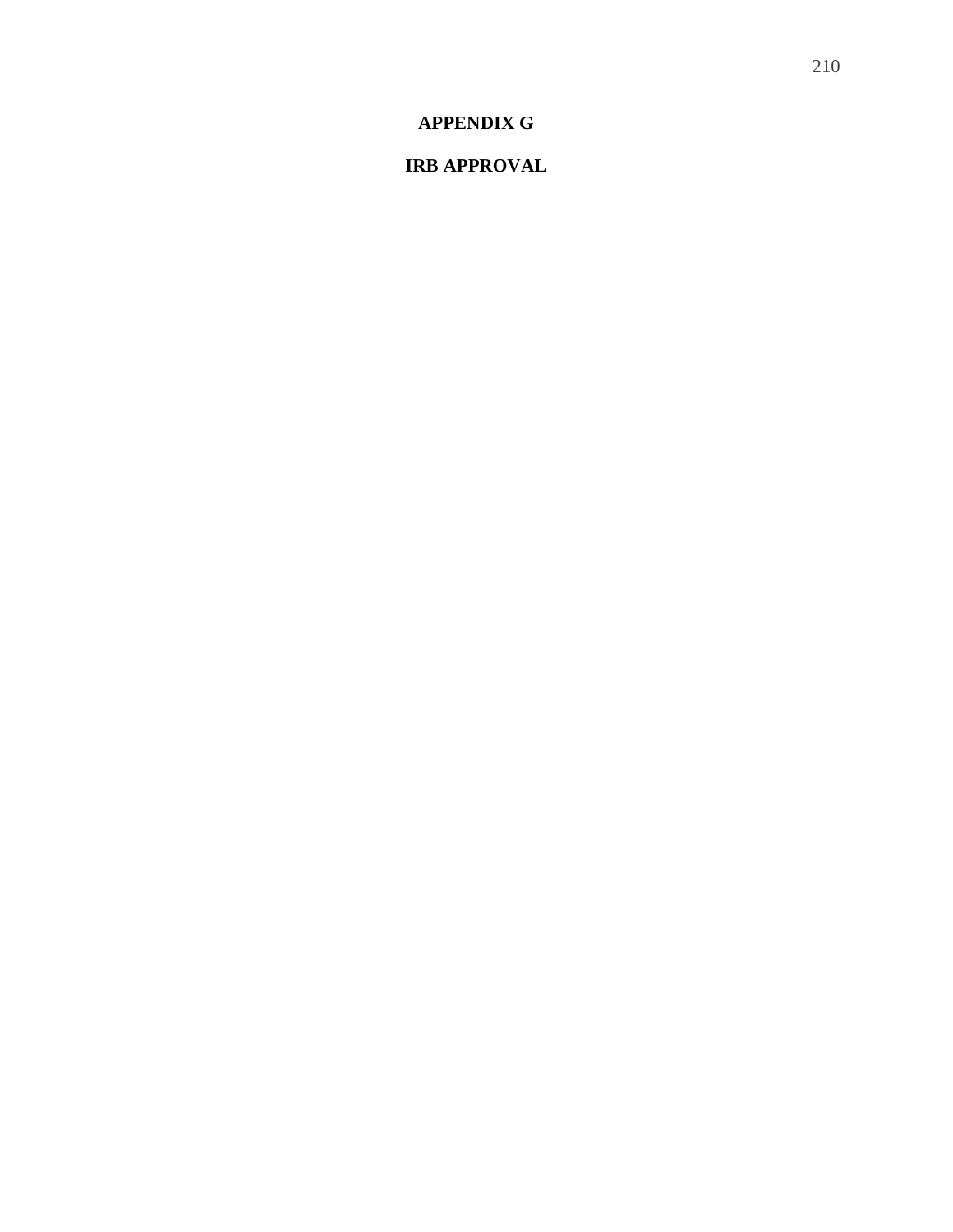**APPENDIX G** 

**IRB APPROVAL**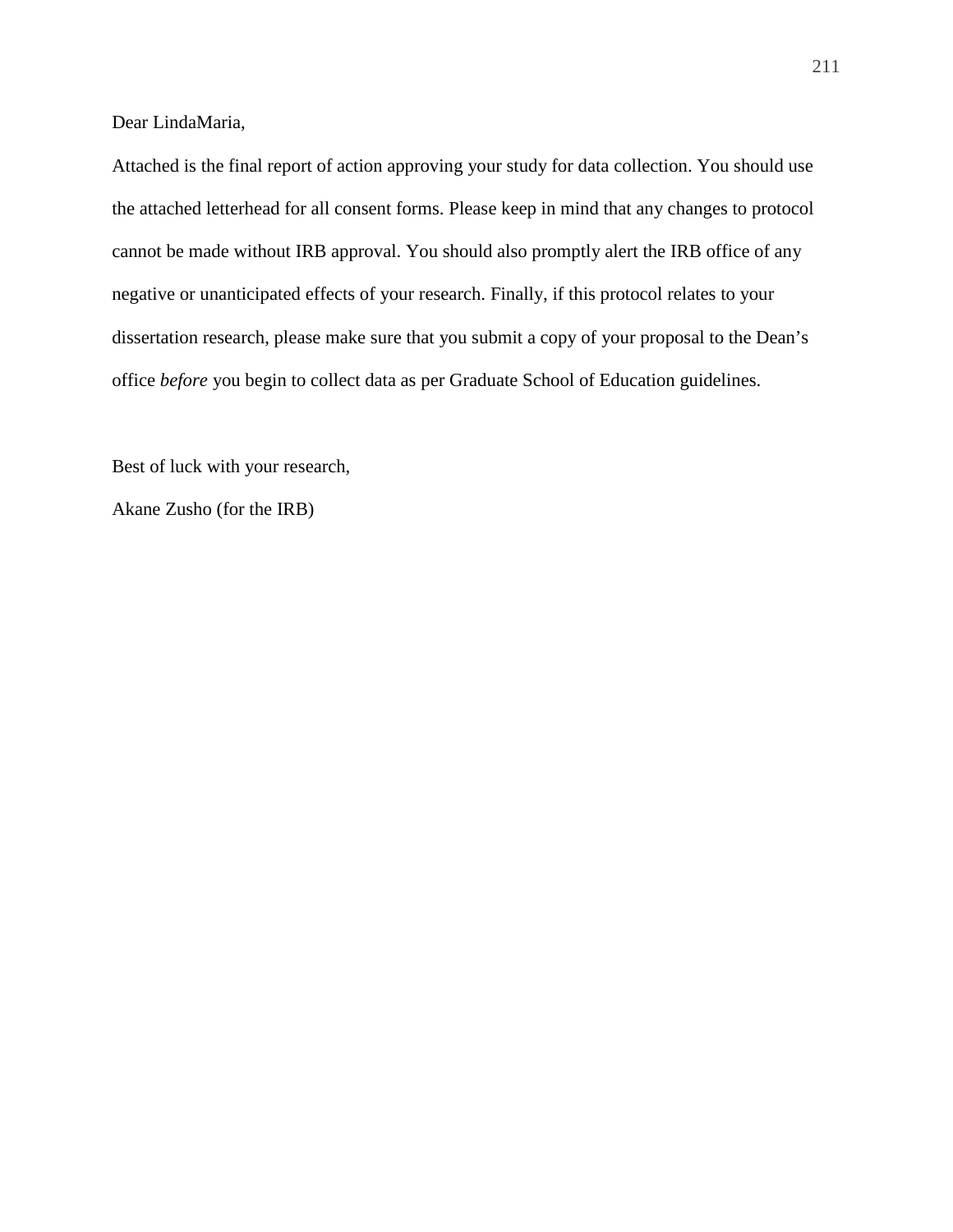Dear LindaMaria,

Attached is the final report of action approving your study for data collection. You should use the attached letterhead for all consent forms. Please keep in mind that any changes to protocol cannot be made without IRB approval. You should also promptly alert the IRB office of any negative or unanticipated effects of your research. Finally, if this protocol relates to your dissertation research, please make sure that you submit a copy of your proposal to the Dean's office *before* you begin to collect data as per Graduate School of Education guidelines.

Best of luck with your research,

Akane Zusho (for the IRB)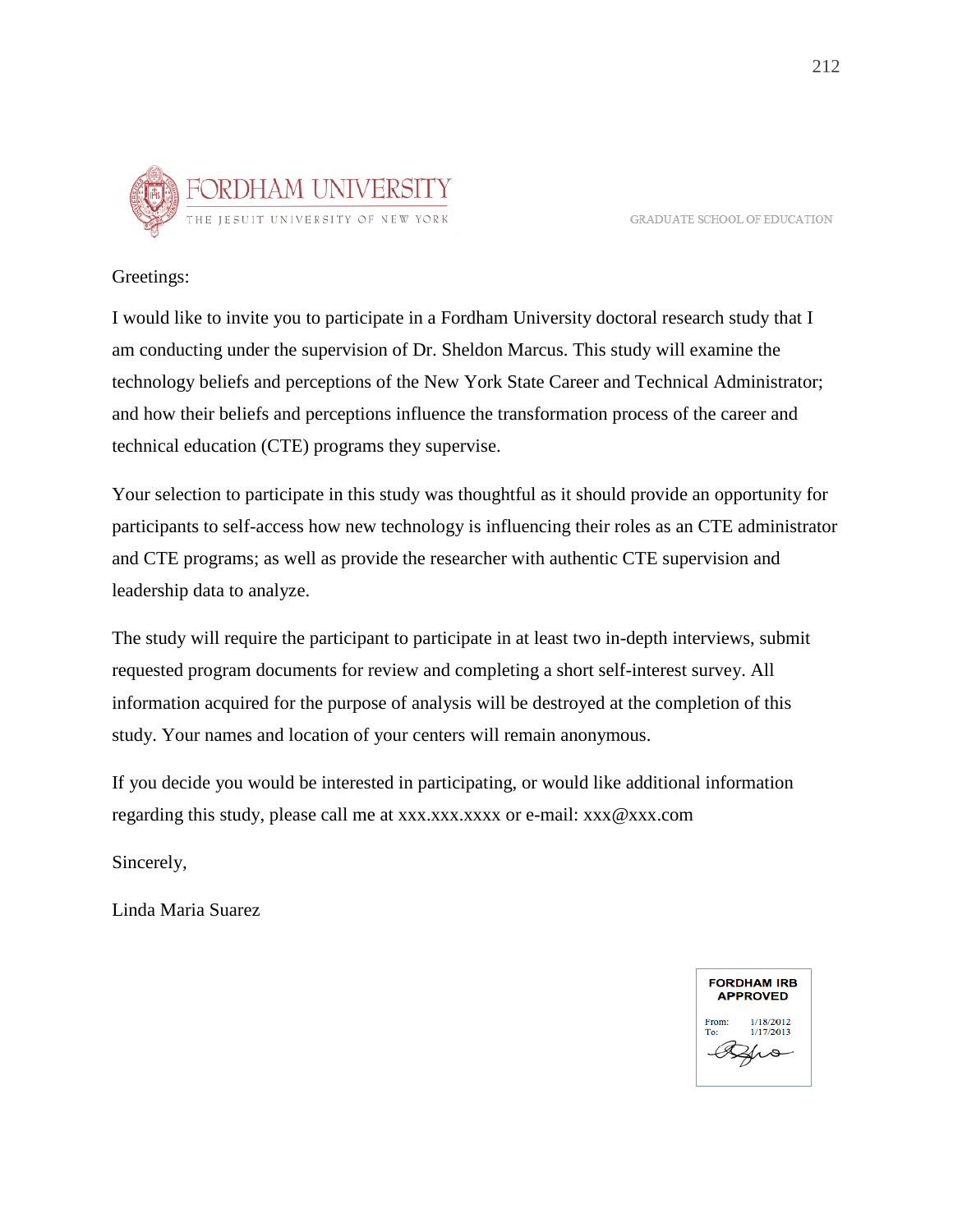

**GRADUATE SCHOOL OF EDUCATION** 

## Greetings:

I would like to invite you to participate in a Fordham University doctoral research study that I am conducting under the supervision of Dr. Sheldon Marcus. This study will examine the technology beliefs and perceptions of the New York State Career and Technical Administrator; and how their beliefs and perceptions influence the transformation process of the career and technical education (CTE) programs they supervise.

Your selection to participate in this study was thoughtful as it should provide an opportunity for participants to self-access how new technology is influencing their roles as an CTE administrator and CTE programs; as well as provide the researcher with authentic CTE supervision and leadership data to analyze.

The study will require the participant to participate in at least two in-depth interviews, submit requested program documents for review and completing a short self-interest survey. All information acquired for the purpose of analysis will be destroyed at the completion of this study. Your names and location of your centers will remain anonymous.

If you decide you would be interested in participating, or would like additional information regarding this study, please call me at  $xxxxxxxx$  or e-mail:  $xxx@xxx$ .com

Sincerely,

Linda Maria Suarez

**FORDHAM IRB APPROVED** 1/18/2012 1/17/2013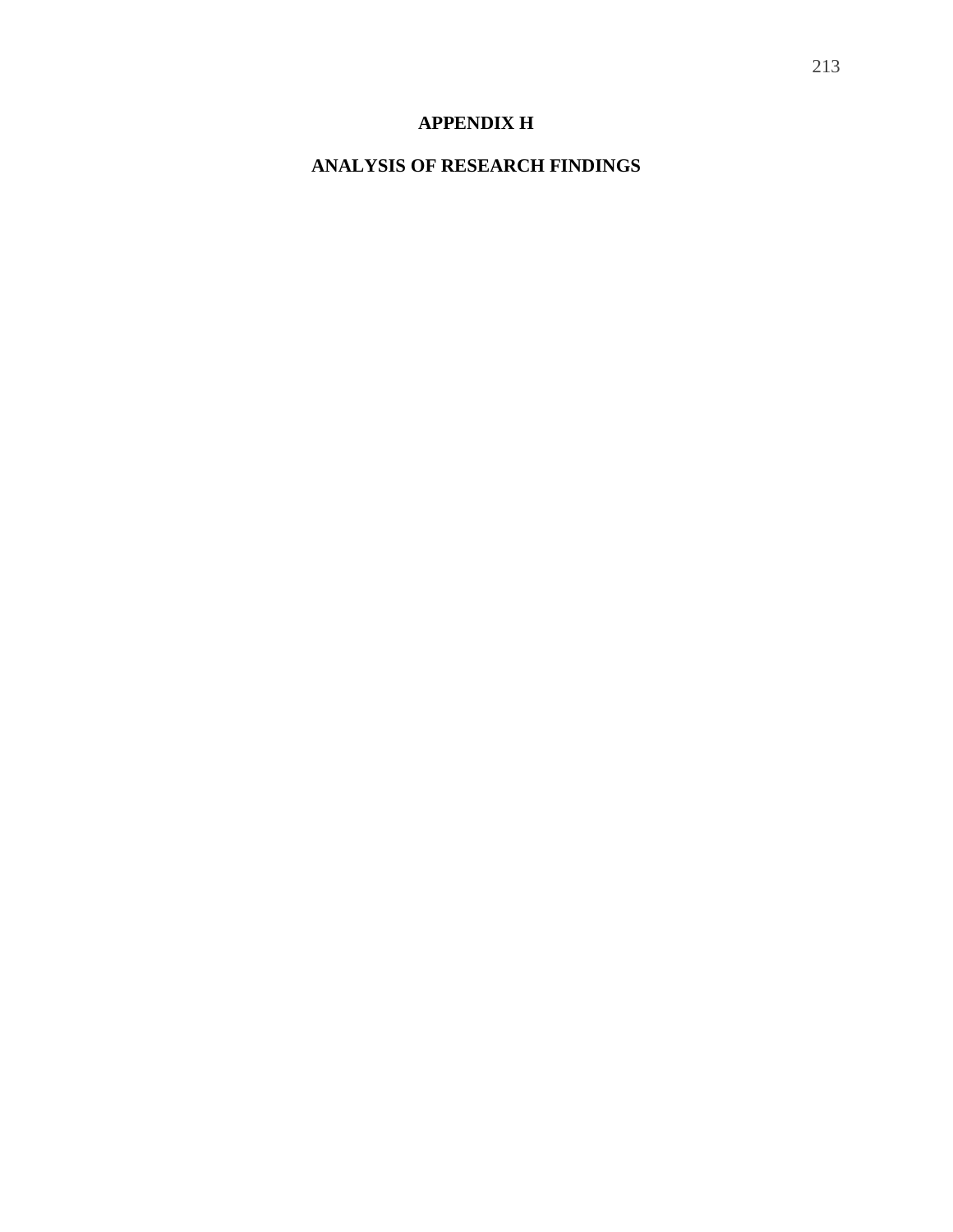# **APPENDIX H**

# **ANALYSIS OF RESEARCH FINDINGS**